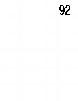92

 $\ddot{\phantom{0}}$ 

 $\hat{\boldsymbol{\beta}}$ 

 $\sim$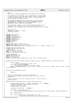```
\frac{1}{1}2 + \rho h c3 * Copyright (C) 2001 Dave Engebretsen & Todd Inglett IBM Corporation
 4 * 
 5 * This program is free software; you can redistribute it and/or modify
6 * it under the terms of the GNU General Public License as published by
7 * the Free Software Foundation; either version 2 of the License, or
8 * (at your option) any later version.
9 * 
10 * This program is distributed in the hope that it will be useful,
11 * but WITHOUT ANY WARRANTY; without even the implied warranty of
12 * MERCHANTABILITY or FITNESS FOR A PARTICULAR PURPOSE. See the
<sup>13</sup> * GNU General Public License for more details.
14 * 
15 * You should have received a copy of the GNU General Public License
16 * along with this program; if not, write to the Free Software
17 * Foundation, Inc., 59 Temple Place, Suite 330, Boston, MA 02111−1307 USA
\frac{1}{18} */
19
20 /* Change Activity:
21 * 2001/10/27 : engebret : Created.
22 \times End Change Activity
     *24
25 #include <linux/init.h>
26 #include <linux/pci.h>
27 #include <linux/proc_fs.h>
28 #include <linux/bootmem.h>
29 #include <asm/paca.h><br>30 #include <asm/process
    #include <asm/processor.h>
31 #include <asm/naca.h><br>32 #include <asm/io.h>
    32 #include <asm/io.h>
33 #include "pci.h"
34
35 #define BUID_HI(buid) ((buid) >> 32)
36 #define BUID_LO(buid) ((buid) & 0xffffffff)
37 #define CONFIG_ADDR(busno, devfn) (((((busno) & 0xff) << 8) | ((devfn) & 0xf8)) << 8)
38
39 unsigned long eeh_total_mmio_ffs;
40 unsigned long eeh_false_positives;
41 /* RTAS tokens */<br>42 static int ibm se
    static int ibm_set_eeh_option;
43 static int ibm_set_slot_reset;
    static int ibm_read_slot_reset_state;
45
46 int eeh_implemented;
47 #define EEH_MAX_OPTS 4096
48 static char *eeh_opts;
    static int eeh_opts_last;
50 static int eeh_check_opts_config(struct pci_dev *dev, int default_state);
51
52
   unsigned long eeh_token(unsigned long phb, unsigned long bus, unsigned long devfn, unsigned long offset)
\begin{matrix}54 & \{\\ 55 & \{\\ \end{matrix}if (phb > 0xff)56 panic("eeh_token: phb 0x%lx is too large\n", phb);<br>57 if (offset & 0x0fffffff000000000)
               if (offset & 0x0fffffff000000000)
58 panic("eeh_token: offset 0x%lx is out of range\n", offset);
59 return ((IO_UNMAPPED_REGION_ID << 60) | (phb << 48UL) | ((bus & 0xff) << 40UL) | (devfn << 32UL) | (offse
    t & 0xffffffff));
60 }
61
62 int eeh_get_state(unsigned long ea)<br>63 {
    \{64 return 0;
65 }
66
67 /* Check for an eeh failure at the given token address.
68 * The given value has been read and it should be 1's (0xff, 0xffff or
69 * 0xffffffff).
70 *
71 * Probe to determine if an error actually occurred. If not return val.<br>72 * Otherwise panic.
72 \times 0therwise panic.<br>73 \times 1\star74 unsigned long eeh_check_failure(void *token, unsigned long val)
75 {
76 unsigned long config_addr = (unsigned long)token >> 24; /* PPBBDDRR */<br>
77 unsigned long phbidx = (config addr >> 24) & 0xff;
77 unsigned long phbidx = (config_addr >> 24) & 0xff;
78 struct pci_controller *phb;
79 unsigned long ret, rets[2];
80
81 config_addr &= 0xffff00; /* 00BBDD00 */
82
83 if (phbidx >= global_phb_number) {
84 panic("EEH: checking token %p phb index of %ld is greater than max of %d\n", token, phbidx, global_phb_number−1);
85 }
86 phb = phbtab[phbidx];
87
88 ret = rtas_call(ibm_read_slot_reset_state, 3, 3, rets,
89 config_addr, BUID_HI(phb−>buid), BUID_LO(phb−>buid));
Registered Version: Linux Support Power PC64 eeh.c Exhibit 8.1−1 pg 1/5
```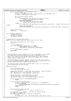```
90 if (ret == 0 && rets[1] == 1 && rets[0] >= 2) {
91 struct pci_dev *dev;
92 int bus = ((unsigned long)token >> 40) & 0xffff; /* include PHB# in bus */<br>93 int devfn = (config_addr >> 8) & 0xff;
                        int devfn = (config_addr >> 8) & 0xff;
94
95 dev = pci_find_slot(bus, devfn);
96 if (dev) {
97 printk(KERN_ERR "EEH: MMIO failure (%ld) on device:\n %s %s\n",<br>98 pets[0], dev->slot name, dev->name);
98 rets[0], dev−>slot_name, dev−>name);<br>PPCDBG ENTER DEBUGGER();
99 PPCDBG_ENTER_DEBUGGER();<br>
panic("EEH: MMIO failure (%)
                                 panic ("EEH: MMIO failure (%ld) on device:\n %s %s\n"
101 rets[0], dev->slot_name, dev->name);<br>102 else {
102 } else {<br>103
                                 103 printk(KERN_ERR "EEH: MMIO failure (%ld) on device buid %lx, config_addr %lx\n", rets[0], phb−>buid, conf
    ig_addr);
104 PPCDBG_ENTER_DEBUGGER();
                       11 component panic("EEH: MMIO failure (%ld) on device buid %lx, config_addr %lx\n", rets[0], phb->buid, config_addr);
106 }
107
108 eeh_false_positives++;<br>109 return val; /* 900
                                109 return val; /* good case */
110 }
111
112 struct eeh_early_enable_info {
113 unsigned int buid_hi;
114 unsigned int buid_lo;
115 int adapters_enabled;
116 };
117
118 /* Enable eeh for the given device node. */
119 static void *early_enable_eeh(struct device_node *dn, void *data)
120 \frac{1}{20}121 struct eeh_early_enable_info *info = data;<br>122 l ong ret;
              long ret;
123
124 /* Try to enable eeh */
125 ret = rtas_call(ibm_set_eeh_option, 4, 1, NULL,<br>126 cONFIG_ADDR(dn->busno, dn->devi
126 CONFIG_ADDR(dn−>busno, dn−>devfn)<br>127 CONFIG_ADDR(dn−>busno, dn−>devfn)<br>127 info->buid_hi, info->buid_lo, EEH
127 info->buid_hi, info->buid_lo, EEH_ENABLE);<br>128 if (ret == 0)
             if (ret == 0)
129 info−>adapters_enabled++;
130 return NULL; 
131 }
132
133 / *134 * Initialize eeh by trying to enable it for all of the adapters in the system.
135 * As a side effect we can determine here if eeh is supported at all.
136 * Note that we leave EEH on so failed config cycles won't cause a machine
137 * check. If a user turns off EEH for a particular adapter they are really
138 * telling Linux to ignore errors.
139
140 * We should probably distinguish between "ignore errors" and "turn EEH off"
141 * but for now disabling EEH for adapters is mostly to work around drivers that
142 * directly access mmio space (without using the macros).
143144 * The eeh−force−off/on option does literally what it says, so if Linux must
     * avoid enabling EEH this must be done.
146<br>147
   void eeh_init(void)
148 {
149 struct device node *phb;
150 struct eeh_early_enable_info info;
151<br>152152 extern char cmd_line[]; /* Very early cmd line parse. Cheap, but works. */<br>153 char *eeh_force_off = strstr(cmd_line, "eeh-force-off");<br>20 char *eeh_force_on = strstr(cmd_line, "eeh-force-on");
155
156 ibm_set_eeh_option = rtas_token("ibm,set−eeh−option");
157 ibm_set_slot_reset = rtas_token("ibm,set−slot−reset");
              158 ibm_read_slot_reset_state = rtas_token("ibm,read−slot−reset−state");
159
160 if (ibm_set_eeh_option == RTAS_UNKNOWN_SERVICE)
161 return;
162
163 if (eeh_force_off > eeh_force_on) {
164 /* User is forcing EEH off. Be noisy if it is implemented. */
165 if (eeh_implemented)<br>166 printk (KERN
<sup>166</sup> printk (KERN_WARNING "EEH: WARNING: PCI Enhanced I/O Error Handling is user disabled\n");<br>eeh implemented = 0;
                       eeeh_implemented = 0;
168 return;<br>169 }
169 }
170
171 if (eeh_force_on > eeh_force_off)<br>172 eeh_implemented = 1;
                                                    1<sup>'</sup>/* User is forcing it on. */
173
174 /* Enable EEH for all adapters. Note that eeh requires buid's */
175 info.adapters_enabled = 0;
176 for (phb = find_devices("pci"); phb; phb = phb−>next) {
                       int len;
178 int *buid_vals = (int *) get_property(phb, "ibm,fw−phb−id", &len);
Registered Version: Linux Support Power PC64 eeh.c Exhibit 8.1−1 pg 2/5
```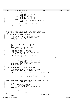```
179 if (!buid_vals)
180 continue;
181 if (len == sizeof(int)) {<br>182 info.buid lo = bu
                                 info.buid_to = build_vals[0];183<br>
184<br>
184<br>
185 else if (len == sizeof(int)*2) {<br>
info.buid_lo = buid_vals[1];<br>
186 info.buid_lo = buid_vals[1];
187 else {<br>188
188 printk ("EEH: odd ibm,fw-phb-id len returned: %d\n", len);<br>
continue;
                                 continue;
\left\{\n\begin{array}{ccc}\n190 & & \n\end{array}\n\right\}191 traverse_pci_devices(phb, early_enable_eeh, NULL, &info);
192<br>193
              if (info.adapters_enabled) {
194 printk(KERN_INFO "EEH: PCI Enhanced I/O Error Handling Enabled\n");
195 eeh_implemented = 1;
\begin{array}{c} 196 \\ 197 \end{array}197 }
198
199
200 /* Given a PCI device check if eeh should be configured or not.<br>201 * This may look at firmware properties and/or kernel cmdline o
     * This may look at firmware properties and/or kernel cmdline options.
202<br>203int is_eeh_configured(struct pci_dev *dev)
\begin{matrix}\n204 \\
205\n\end{matrix}struct device node *dn = pci device to OF node(dev);
206 struct pci_controller *phb = PCI_GET_PHB_PTR(dev);
207 unsigned long ret, rets[2];
208 int eeh_capable;
209 int default_state = 1; /* default enable EEH if we can. */210
211 if (dn == NULL || phb == NULL || !eeh_implemented)
212 return 0;
213
214 /* Hack: turn off eeh for display class devices by default.
215 * This fixes matrox accel framebuffer.
216 */
217 if ((dev->class >> 16) == PCI_BASE_CLASS_DISPLAY)<br>218 default state = 0;
                       default\_state = 0;219
220 /* Ignore known PHBs and EADs bridges */
221 if (dev−>vendor == PCI_VENDOR_ID_IBM &&
222 (dev->device == 0x\overline{0}102 || dev->device == 0x\overline{0}08b))<br>223 default state = 0idefault\_state = 0;224
225 if (!eeh_check_opts_config(dev, default_state)) {<br>226 if (default state)
<sup>226</sup> if (default_state)<br>
<sup>227</sup> printk(KER
227 printk(KERN_INFO "EEH: %s %s user requested to run without EEH.\n", dev->slot_name, dev->name);<br>228 return 0;
                       return 0;
229 }
230<br>231
              231 ret = rtas_call(ibm_read_slot_reset_state, 3, 3, rets,
CONFIG_ADDR(dn->busno, dn->devfn),<br>233 BUID_HI(phb->buid), BUID_LO(phb->buid));<br>234 eeh_capable = (ret == 0 && rets[1] == 1);
235 return eeh_capable;
236 }
237
238 int eeh_set_option(struct pci_dev *dev, int option)
239 {
240 struct device_node *dn = pci_device_to_OF_node(dev);
241 struct pci_controller *phb = PCI_GET_PHB_PTR(dev);
242243 if (dn == NULL || phb == NULL || phb−>buid == 0 || !eeh_implemented)
244 return −2;
245
246 return rtas_call(ibm_set_eeh_option, 4, 1, NULL,
247 CONFIG_ADDR(dn−>busno, dn−>devfn),
248 BUID_HI(phb−>buid), BUID_LO(phb−>buid), option);
249 }
250
251
252 static int eeh_proc_falsepositive_read(char *page, char **start, off_t off,<br>253 int count, int *eof, void *data)
                                  int count, int *eof, void *data)254255 int len;<br>256 len = 5p256 len = sprintf(page, "eeh_false_positives=%ld\n"<br>
<sup>257</sup><br>
<sup>257</sup>
                                "eeh_total_mmio_ffs=%ld\n"
258 eeh_false_positives, eeh_total_mmio_ffs);<br>259 return len;
<sup>259</sup> return len;<br>260 }
   \}261
262 /* Implementation of /proc/ppc64/eeh
263 * For now it is one file showing false positives.
264 */<br>265 sta
    static int __init eeh_init_proc(void)
266 {<br>267
              267 struct proc_dir_entry *ent = create_proc_entry("ppc64/eeh", S_IRUGO, 0);
268 if (ent) {
Registered Version: Linux Support Power PC64 eeh.c Exhibit 8.1−1 pg 3/5
```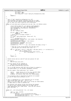```
269 ent−>nlink = 1;
270 ent−>data = NULL;
271 ent−>read_proc = (void *)eeh_proc_falsepositive_read;
272 }
273 return 0;
    274 }
275
276 /*<br>277 *
277 * Test if "dev" should be configured on or off<br>278 * This processes the options literally from let
278 * This processes the options literally from left to right.
279 * This lets the user specify stupid combinations of options,
280 * but at least the result should be very predictable.
281 */<br>282 sta
    static int eeh_check_opts_config(struct pci_dev *dev, int default_state)
283 {
284 struct device_node *dn = pci_device_to_OF_node(dev);
285 struct pci_controller *phb = PCI_GET_PHB_PTR(dev);
286 char devname[32], classname[32], phbname[32];<br>287 char *strs[8], *s;
287 char *strs[8], *s;<br>
288 int nstrs, i;
288 int nstrs, i;
289 int ret = default_state;
290
291 if (dn == NULL || phb == NULL)<br>292 return 0;
292 return 0;
293 /* Build list of strings to match */
294 nstrs = 0;<br>295 s = (char)
295 s = (char *)get_property(dn, "ibm,loc-code", 0);<br>296 if (s)
                if (s)297 strs[nstrs++] = s;
298 sprintf(devname, "dev%04x:%04x", dev−>vendor, dev−>device);
299 strs[nstrs++] = devname;
300 sprintf(classname, "class%04x", dev−>class);
301 strs[nstrs++] = classname;
302 sprintf(phbname, "pci@%lx", phb->buid);<br>303 strs[nstrs++] = phbname;
303 strategy<br>strs[nstrs++] = phbname;<br>304 strs[nstrs++] = ";
                                                    .<br>/* yes, this matches the empty string */
305
306 /* Now see if any string matches the eeh_opts list.
307 * The eeh_opts list entries start with + or -.
308<br>
for (s = eeh_opts; s && (s < (eeh_opts + eeh_opts_last)); s += strlen(s)+1) {<br>
for (i = 0; i < nstrs; i++) {<br>
if (strcasecmp(strs[i], s+1) == 0) {<br>
ret = (strs[i][0] == '+') ? 1 : 0;<br>
<br>
313
314 }
315 }
\frac{316}{317} return ret;
    }
318
319 /* Handle kernel eeh−on & eeh−off cmd line options for eeh.
320<br>321
         We support:
322 * eeh−off=loc1,loc2,loc3...
323324 * and this option can be repeated so
325 * eeh−off=loc1,loc2 eeh−off=loc3
326 * is the same as eeh−off=loc1,loc2,loc3
327<br>328
328 * loc is an IBM location code that can be found in a manual or
329 * via openfirmware (or the Hardware Management Console).
330<br>331
      * We also support these additional "loc" values:
332 *
333 * dev#:# vendor:device id in hex (e.g. dev1022:2000)
334 * class# class id in hex (e.g. class0200)
335 * pci@buid all devices under phb (e.g. pci@fef00000)
336<br>337
337 * If no location code is specified all devices are assumed
338 * so eeh−off means eeh by default is off.
339
340
341 /* This is implemented as a null separated list of strings.
342 * Each string looks like this: "+X" or "−X"
343 * where X is a loc code, dev, class or pci string (as shown above)
344 * or empty which is used to indicate all.
345<br>346
346 * We interpret this option string list during the buswalk
347 * so that it will literally behave left−to−right even if
348 * some combinations don't make sense. Give the user exactly
349 * what they want! :)
350 * /
351
352 static int __init eeh_parm(char *str, int state)
    \{354 char *s, *cur, *curend;<br>355 if (leeh opts) {
355 if (!eeh_opts) {
356 eeh_opts = alloc_bootmem(EEH_MAX_OPTS);
357 eeh_opts[eeh_opts_last++] = '+'; /* default */
358 eeh_opts[eeh_opts_last++] = '\0';
```
Registered Version: Linux Support Power PC64 **eeh.c** Exhibit 8.1−1 pg 4/5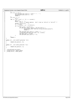```
eeh.c
Registered Version: Linux Support Power PC64
                                                                                                                                                                                                      Exhibit 8.1-1 pg 5/5
359
                       if (*str == '0') {
360
                                       \begin{array}{lll} \text{even} & \text{odd} \\ \text{even\_opts} & \text{6eh\_opts} \\ \text{each\_opts} & \text{6eh\_opts} \\ \text{even\_opts} & \text{6eh\_opts} \\ \text{6eh\_opts} & \text{6he} \\ \text{6he} & \text{6he} \\ \text{6he} & \text{6he} \\ \text{6he} & \text{6he} \\ \text{6he} & \text{6he} \\ \text{6he} & \text{6he} \\ \text{6he} & \text{6he} \\ \text{6he} & \text{6he} \\ \text{6he} & \text{6he} \\ \text{6he} & \text{6he} \\361
362
363
                                       return 1;364
                       if (*str == '=')365
                                       str++;366
367
                       for (s = str : s \&x * s != '0': s = current) {
368
                                       cur = siwhile (*cur == ',')<br>cur++; /* ignore empties. Don't treat as "all-on" or "all-off" */
369
370
                                        curend = strchr(cur, ',');rac{1}{371}372
                                       \texttt{if} (!curend)
                                                       curend = cur + strlen(cur);
373
                                       if (*cur) {<br>
int curlen = curend-curi<br>
+ curlen = curend-curi
374375
                                                       if (eeh_opts_last + curlen > EEH_MAX_OPTS-2) {<br>printk(KERN_INFO "EEH: sorry...too many eeh cmd line options\n");
376
377
378
                                                                       return 1;\rightarrow379
                                                       j<br>eh_opts[eeh_opts_last++] = state ? '+' : '-';<br>strncpy(eeh_opts+eeh_opts_last, cur, curlen);<br>eeh_opts_last += curlen;<br>eeh_opts[eeh_opts_last++] = '\0';
380
381
382
383
                                       \}384
385
                       \text{return } 1386
387
       \}388
      static int _init eehoff_parm(char *str)
389
390
      \left\{ \right.return eeh_parm(str, 0);
391
      \rightarrow392
393
      static int _init eehon_parm(char *str)
394395
      \{396return eeh_parm(str, 1);
397
      \}398
      _initcall(eeh_init_proc);<br>_setup("eeh-off", eehoff_parm);<br>_setup("eeh-on", eehon_parm);
399
400
401
```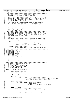```
flight recorder.c
                                                                                                            Exhibit 8.1-2 pg 1/3
Registered Version: Linux Support Power PC64
   * flight recorder.c
\overline{\phantom{a}}<del>ی د د د</del><br>د م م م م م
           \overline{\mathbf{3}}* This code supports the a generic flight recorder.
     * Copyright (C) 20yy <Allan H Trautman> <IBM Corp>
5
\epsilon* This program is free software; you can redistribute it and/or modify<br>* it under the terms of the GNU General Public License as published by
\overline{7}\mathbf{g}the Free Software Foundation; either version 2 of the License, or
    * (at your option) any later version.
1011* This program is distributed in the hope that it will be useful,<br>* but WITHOUT ANY WARRANTY; without even the implied warranty of
121314* MERCHANTABILITY or FITNESS FOR A PARTICULAR PURPOSE. See the
     * GNU General Public License for more details.
\overline{AB}16* You should have received a copy of the GNU General Public License
17* along with this program; if not, write to the:
18
    * Free Software Foundation, Inc.,
1920
2122
    * This is a simple text based flight recorder. Useful for logging
^{23}\overline{24}* information the you may want to retreive at a latter time.
                                                                         Errors or
    * debug inforamtion are good examples. A good method to dump the
25* information is via the proc file system.
26
27* To use.
28
      10 use.<br>1. Create the flight recorder object. Passing a NULL pointer will<br>kmalloc the space for you. If it is too early for kmalloc, create<br>space for the object. Beware, don't lie about the size, you will
29
30<sup>2</sup>space for the object.<br>pay for that later.
313233
                     FlightRecorder* TestFr = alloc_Flight_Recorder(NULL, "TestFr", 4096);
34* 2. Log any notable events, initialzation, error conditions, etc.<br>* 10GFR(TestFr,"5. Stack Variable(10) %d",StackVariable);
353637* 3. Dump the information to a buffer.
38
                     fr_Dump(TestFr, proc_file_buffer, proc_file_buffer_size);
39
4041#include <stdarg.h>
42#include <linux/kernel.h><br>#include <linux/kernel.h><br>#include <linux/rtc.h>
43
44#include <linux/slab.h><br>#include <asm/string.h><br>#include <asm/string.h><br>#include <asm/time.h>
45
46
\overline{47}#include <asm/flight recorder.h>
48
\overline{40}static char<br>static int
                        LogText[512];
50LogText Index;
51
   staticint
                        LogCount = 052static spinlock_t Fr_Lock;
5354
   55
    * Build the log time prefix based on Flags.
56
57
    \star00 = No time prefix01 = Date(mmddyy) Time(hhmmss) prefix58
      02 = Day(dd) Time(hhmmss) prefix
59
       60
    + + +61
   static void fr_Log_Time(FlightRecorder* Fr)
62
63
   \left\{ \right.64
            struct timeval TimeClock;
            struct rtc_time LogTime;
65
66
67
            do_gettimeofday(&TimeClock);
            to_tm(TimeClock.tv_sec, &LogTime);
68
69
            if (Fr->Flags == 1) {
707172LogTime.tm_mon, LogTime.tm_mday, LogTime.tm_year-2000,
                                         LogTime.tm_hour,LogTime.tm_min, LogTime.tm_sec);
73\overline{74}75
            else if (Fr->Flags == 2) {<br>LogTextIndex = sprintf(LogText, "%02d%02d%02d%02d",
76
77LogTime.tm_mday,
78
                                         LogTime.tm_hour, LogTime.tm_min, LogTime.tm_sec);
79
            \rightarrow80else if (Fr->Flags == 3) {
81
                     LogTextIndex = sprintf(LogText, "%02d%02d%02d")82
                                         LogTime.tm_hour,LogTime.tm_min, LogTime.tm_sec);
83
84
            else {
85++LogCount;
86
                     LogTextIndex = sprintf(LogText, "%04d.", LogCount);
87
88
            \}89
   - 1
90
```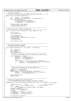```
flight recorder.c
Registered Version: Linux Support Power PC64
                                                                                                  Exhibit 8.1-2 pg 2/3
   91
    * Log entry into buffer,
\circ93
94
   static void fr_Log_Data(FlightRecorder* Fr)
95
96
                   TextLen = strlen(LogText);<br>Residual = (Fr->EndPointer - Fr->NextPointer)-15;
           int
97
           int98
           if (TextLen > Residual) {
99
                   strcpy(Fr->NextPointer, "WRAP");
100101Fr->WrapPointer = Fr->NextPointer + 5; Fr->NextPointer = Fr->StartPointer;102
           \mathcal{E}103
104
           strcpy(Fr->NextPointer, LogText);
           Fr->NextPointer += TextLen+1;<br>strcpy(Fr->NextPointer, "<=");
10<sub>5</sub>106107
    108
    109
110
   void fr_Log_Entry(struct flightRecorder* LogFr, const char *fmt, ...)
111112
  \mathcal{A}va_list arg_ptr;
113114spin\_lock( kFr\_Lock);
115fr\_Log\_Time(LogFr);<br>va start(arq ptr, fmt);
116
117
           vsprintf(LogText+LogTextIndex, fmt, arg_ptr);
118
           va_end(arg_ptr);
119fr_Log_Data(LogFr);
120121spin_unlock(&Fr_Lock);
122123
124125* Dump Flight Recorder into buffer.
126127
128
   int fr_Dump(FlightRecorder* Fr, char *Buffer, int BufferLen)
129
130\begin{array}{lll} int & \texttt{LineLen} = 0 \textit{;} \\ char^* & \texttt{StartEntry;} \end{array}131
132
           char* EndEntry;
133
134
           spin_lock(&Fr_Lock);
           135
            136
137
           if (Fr->WrapPointer != NULL) {
138
139StartEntry = Fr->NextPointer+3;
                   140
141142
                   \begin{tabular}{ll} \textbf{while (EndEntry & StartEntry & & lineLen & & \texttt{BufferLen}) \\ & LineLen & += & \texttt{spring}(\texttt{Buffer+LineLen}, \texttt{Ws\textbackslash}, \texttt{StartEntry}); \\ & StartEntry & += & \texttt{strlen}(\texttt{StartEntry}) + 1; \\ \end{tabular}143144
145\}146
147
           \}148
           149
            150
151
           StartEntry = Fr->StartPointer;<br>EndEntry = Fr->NextPointer;
152
153
           while (EndEntry > StartEntry && LineLen < BufferLen) {
154\frac{1}{\text{Index}} > StartEntry & LineLen < BufferLen) {<br>
LineLen  += sprintf(Buffer+LineLen,"%s\n",StartEntry);<br>
StartEntry += strlen(StartEntry) + 1;
155
156
157
           spin_unlock(&Fr_Lock);
158
159
           return LineLen;
  \rightarrow160
161
  162
    * Allocate and Initialized the Flight Recorder
163
      164
    **************
165
   FlightRecorder* alloc_Flight_Recorder(FlightRecorder* FrPtr, char* Signature, int SizeOfFr)
166
167
   \left\{ \right.168
           FlightRecorder* Fr
                                  = FrPtr;
                                                                    /* Pointer to Object */
                                                          /* Could be static
                           FrSize = (SizeOFF/16)*16;
160intif (\mathbb{F}r) = \text{MIT.I.}170-- Nommy<br>Fr = (FlightRecorder*)kmalloc(SizeOfFr, GFP_KERNEL);
171
           memset(Fr, 0, SizeOfFr);
172
           strcpy(Fr->Signature, Signature);
173
174
           Fr->size= FrSize;
                            = 0.7Fr->F]ags
175
           r->StartPointer = (char*)&Fr->Buffer;<br>Fr->EndPointer = (char*)&Fr->Buffer;<br>Fr->EndPointer = (char*)Fr + Fr->Size;
176
177
178
179
           fr Log Entry (Fr, "Initialized.");
180
```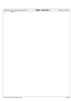| Registered Version: Linux Support Power PC64 | flight_recorder.c | Exhibit 8.1-2 pg 3/3 |
|----------------------------------------------|-------------------|----------------------|
| return Fr;<br>181<br>$\sim$ $\sim$ $\sim$    |                   |                      |

 $\begin{bmatrix} 181 \\ 182 \end{bmatrix}$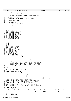$/$ \* <sup>2</sup> \* PowerPC64 port by Mike Corrigan and Dave Engebretsen \* {mikejc|engebret}@us.ibm.com \* \* Copyright (c) 2000 Mike Corrigan <mikejc@us.ibm.com>  $\epsilon$  \* SMP scalability work: <sup>8</sup> \* Copyright (C) 2001 Anton Blanchard <anton@au.ibm.com>, IBM \* \* Module name: htab.c \* 12 \* Description:<br>13 \* PowerPC Ha \* PowerPC Hashed Page Table functions <br> $15$ \* This program is free software; you can redistribute it and/or \* modify it under the terms of the GNU General Public License <sup>17</sup> \* as published by the Free Software Foundation; either version \* 2 of the License, or (at your option) any later version. <sub>19</sub> **#include** <linux/config.h> <sup>22</sup> **#include** <linux/spinlock.h> **#include** <linux/errno.h> **#include** <linux/sched.h> **#include** <linux/proc\_fs.h> <sup>26</sup> **#include** <linux/stat.h> **#include** <linux/sysctl.h> **#include** <linux/ctype.h> **#include** <linux/cache.h> **#include** <asm/ppcdebug.h> **#include** <asm/processor.h> **#include** <asm/pgtable.h> 34 **#include** <asm/mmu.h><br>35 **#include** <asm/mmu co **#include** <asm/mmu\_context.h> #include <asm/page.h> 37 **#include** <asm/types.h><br>38 **#include** <asm/uaccess. 38 **#include** <asm/uaccess.h><br>39 **#include** <asm/naca.h> 39 **#include** <asm/naca.h><br>40 **#include** <asm/pmc.h> #include <asm/pmc.h> 41 **#include** <asm/machdep.h><br>42 **#include** <asm/lmb.h> **#include** <asm/lmb.h> 43 **#include** <asm/abs\_addr.h><br>44 **#include** <asm/io.h> **#include** <asm/io.h> **#include** <asm/eeh.h> **#include** <asm/hvcall.h> 47 **#include** <asm/iSeries/LparData.h><br>48 **#include** <asm/iSeries/HvCallHpt.h **#include** <asm/iSeries/HvCallHpt.h> 50  $\frac{7}{51}$  \* Note: pte \* Note: pte −−> Linux PTE <sup>52</sup> \* HPTE −−> PowerPC Hashed Page Table Entry \* 54 \* Execution context:<br>55 \* htab initialize htab\_initialize is called with the MMU off (of course), but \* the kernel has been copied down to zero so it can directly <sup>57</sup> \* reference global data. At this point it is very difficult \* to print debug info. 59<br>60  $\star$  / 62 HTAB htab\_data =  $\{NULL, 0, 0, 0, 0\};$  extern unsigned long \_SDR1; **extern** unsigned long klimit; 67 void make\_pte(HPTE \*htab, unsigned long va, unsigned long pa,<br>68 declinate mode, unsigned long hash mask, int large); 68 int mode, unsigned long hash\_mask, int large);<br>69 long plpar\_pte\_enter(unsigned long flags, <sup>69</sup> long plpar\_pte\_enter(unsigned long flags, unsigned long ptex, <sup>71</sup> unsigned long new\_pteh, unsigned long new\_ptel, unsigned long \*old\_pteh\_ret, unsigned long \*old\_ptel\_ret); **static** long hpte\_remove(unsigned long hpte\_group); static long rpa\_lpar\_hpte\_remove(unsigned long hpte\_group); **static** long iSeries\_hpte\_remove(unsigned long hpte\_group); <sup>76</sup> **inline** unsigned long get\_lock\_slot(unsigned long vpn); **static** spinlock\_t pSeries\_tlbie\_lock = SPIN\_LOCK\_UNLOCKED; <sup>79</sup> **static** spinlock\_t pSeries\_lpar\_tlbie\_lock = SPIN\_LOCK\_UNLOCKED; **#define** LOCK\_SPLIT **#ifdef** LOCK\_SPLIT 83 hash\_table\_lock\_t hash\_table\_lock[128] \_\_cacheline\_aligned\_in\_smp = { [0 ... 31] = {SPIN\_LOCK\_UNLOCKED}};<br>84 **#else #else** hash\_table\_lock\_t hash\_table\_lock[1] \_\_cacheline\_aligned\_in\_smp = { [0] = {SPIN\_LOCK\_UNLOCKED}}; **#endif** <sup>88</sup> **#define** KB (1024) **#define** MB (1024\*KB) Registered Version: Linux Support Power PC64 **htab.c** Exhibit 8.1−3 pg 1/16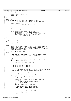Registered Version: Linux Support Power PC64 **htab.c** Exhibit 8.1−3 pg 2/16

<sup>91</sup> **static inline** void 92 loop forever(void) 93  $\begin{cases} 93 & 1 \end{cases}$ volatile unsigned long x = 1; 95 **for**( $i \times i \times j = 1$ ) <sup>96</sup> ;  $\begin{bmatrix} 97 \end{bmatrix}$ 98 <sup>99</sup> **static inline** void <sup>100</sup> create\_pte\_mapping(unsigned long start, unsigned long end, unsigned long mode, unsigned long mask, int large)  $\begin{matrix} 102 \\ 103 \end{matrix}$ 103 unsigned long addr;<br>104 HPTE \*htab = (HPTE 104 HPTE \*htab =  $(HPTE * )$  v2a(htab\_data.htab);<br>105 unsigned int step; unsigned int step; 106  $107$  **if** (large)  $108$  step =  $16*MB$ ;<br> $109$  else <sup>109</sup> **else**  $step = 4*KB;$ 111 <sup>112</sup> **for** (addr = start; addr < end; addr += step) { <sup>113</sup> unsigned long vsid = get\_kernel\_vsid(addr); <sup>114</sup> unsigned long va = (vsid << 28) | (addr & 0xfffffff); <sup>115</sup> make\_pte(htab, va, (unsigned long)\_\_v2a(addr), 116 mode, mask, large); 117 } <sup>118</sup> } 119  $120$  void  $121$  htab initialize(void)  $122 \frac{1}{2}$ <sup>123</sup> unsigned long table, htab\_size\_bytes; <sup>124</sup> unsigned long pteg\_count; 125 unsigned long mode\_rw, mask, lock\_shift; 126 <sup>127</sup> **#if** 0  $128$  /\* Can't really do the call below since it calls the normal RTAS<br>129 \* entry point and we're still relocate off at the moment. <sup>129</sup> \* entry point and we're still relocate off at the moment. <sup>130</sup> \* Temporarily diabling until it can call through the relocate off 131 \* RTAS entry point.  $-Peter$ <br>132 \*/ 132  $* /$ 133 ppc64\_boot\_msg(0x05, "htab init");<br>  $134$  #endif <sup>134</sup> **#endif** 135 136  $\overrightarrow{1}$  + Calculate the required size of the htab. We want the number of the number of the number of real pages. \* PTEGs to equal one half the number of real pages. 138<br>139 139 htab\_size\_bytes = 1UL << naca->pftSize;<br>140 bteg count = htab size bytes >> 7;  $pteg_count = htab_size_bytes >> 7;$ 141 <sup>142</sup> /\* For debug, make the HTAB 1/8 as big as it normally would be. \*/ <sup>143</sup> ifppcdebug(PPCDBG\_HTABSIZE) { <sup>144</sup> pteg\_count >>= 3; <sup>145</sup> htab\_size\_bytes = pteg\_count << 7; <sup>146</sup> } 147 <sup>148</sup> htab\_data.htab\_num\_ptegs = pteg\_count; <sup>149</sup> htab\_data.htab\_hash\_mask = pteg\_count − 1; 150 151  $/$  \* <sup>152</sup> \* Calculate the number of bits to shift the pteg selector such that we <sup>153</sup> \* use the high order 8 bits to select a page table lock. <sup>154</sup> \*/ <sup>155</sup> **asm** ("cntlzd %0,%1" : "=r" (lock\_shift) : <sup>156</sup> "r" (htab\_data.htab\_hash\_mask)); 157 htab\_data.htab\_lock\_shift =  $(64 - \text{lock\_shift}) - 8$ ; 158 <sup>159</sup> **if**(systemcfg−>platform == PLATFORM\_PSERIES) { <sup>160</sup> /\* Find storage for the HPT. Must be contiguous in <sup>161</sup> \* the absolute address space. 162  $* /$ 163 table = lmb\_alloc(htab\_size\_bytes, htab\_size\_bytes);<br>
1**f** ( !table ) {<br>
ppc64\_terminate\_msg(0x20, "hpt space");<br>
166 loop\_forever();  $167$  } 168 htab\_data.htab =  $(HPTE * )$ \_a2v(table); 169 <sup>170</sup> /\* htab absolute addr + encoded htabsize \*/  $17 \text{ N}$  = table + \_ilog2(pteg\_count) – 11; 172 <sup>173</sup> /\* Initialize the HPT with no entries \*/ <sup>174</sup> memset((void \*)table, 0, htab\_size\_bytes); <sup>175</sup> } **else** { 176  $'$  /\* Using a hypervisor which owns the htab \*/<br>177 htab data.htab = **NULL**; 177 **htab\_data.htab = <b>NULL**;<br>178 \_SDR1 = 0;  $-SDR\bar{1} = 0;$ <sup>179</sup> } 180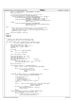```
181 mode_rw = _PAGE_ACCESSED | _PAGE_COHERENT | PP_RWXX;
182 mask = pteg_count−1;
183
184 /* XXX we currently map kernel text rw, should fix this */
185 if ((systemcfg−>platform & PLATFORM_PSERIES) &&
186 cpu_has_largepage() && (systemcfg−>physicalMemorySize > 256*MB)) {
187 create_pte_mapping((unsigned long)KERNELBASE,<br>188 KERNELBASE + 256*MB, mode_rw, mask, 0);
189 create_pte_mapping((unsigned long)KERNELBASE + 256*MB,<br>KERNELBASE + (systemcfq->physicalMe
190 KERNELBASE + (systemcfg->physicalMemorySize),<br>191 mode rw, mask, 1);
                                               mode_rw, mask, 1);
192 } else {
193 create_pte_mapping((unsigned long)KERNELBASE,<br>194 KERNELBASE+(systemcfq->phy
194 KERNELBASE+(systemcfg->physicalMemorySize),<br>195 mode rw. mask. 0);
                                               mode_rw, mask, 0);
196 }
197 #if 0
198 /* Can't really do the call below since it calls the normal RTAS
199 * entry point and we're still relocate off at the moment.
200 * Temporarily diabling until it can call through the relocate off<br>201 * Temporarily diabling until it can call through the relocate off
                 RTAS entry point. -Peter
202 * /
203 ppc64_boot_msg(0x06, "htab done");<br>204 #endif
    204 #endif
205 }
206 #undef KB
    207 #undef MB
208
209<br>210210 * Create a pte. Used during initialization only.
211 * We assume the PTE will fit in the primary PTEG.
212 */
213 void make_pte(HPTE *htab, unsigned long va, unsigned long pa,<br>214 void make_pte(HPTE *htab, unsigned long hash mask, int large)
    int mode, unsigned long hash_mask, int large)
215<br>216HPTE * hptep, local_hpte, rhpte;217 unsigned long hash, vpn, flags, lpar_rc;
218 unsigned long i, dummy1, dummy2;
219 long slot;
220
221 if (large)
222 vpn = va >> LARGE_PAGE_SHIFT;
223 else
                       vpn = va \gg PAGE\_SHIFT;225
226 hash = hpt hash(vpn, large);
227
228 local_hpte.dw1.dword1 = pa | mode;
229 local_hpte.dw0.dword0 = 0;
230 local_hpte.dw0.dw0.avpn = va >> 23;
231 local_hpte.dw0.dw0.bolted = 1; /* bolted */
232 if (large) {
233 local_hpte.dw0.dw0.l = 1; /* large page */<br>234 local_hpte.dw0.dw0.avpn &= ~0x1UL;
234 local\_hpte.dw0.dw0.avpn <= ~0x1UL;235 \Big\}236 10 \text{cal}_{hpte.}dw0.dw0.v = 1;237
238 if (systemcfg->platform == PLATFORM_PSERIES) {<br>239 hotep = htab + ((hash & hash mask)*HF
                       hptep = htab + ((hash & hash\_mask)*HPTES_PER_GROUP);240for (i = 0; i < 8; ++i, ++hptep) {<br>
if (hptep->dw0.dw0.v == 0) {<br>
if (hptep=>dw0.dw0.v == 0) {<br>
return;<br>
return;
245 }
246 }
247 else if (systemcfg->platform == PLATFORM_PSERIES_LPAR) {<br>248 slot = ((hash & hash mask)*HPTES PER GROUP);
                        slot = ((hash & hash\_mask)*HPTES_PER_GROUP);249
250 \frac{1}{250} /* Set CEC cookie to 0 \frac{x}{251} \frac{1}{250} \frac{1}{251} \frac{1}{250} \frac{1}{251} \frac{2}{51} \frac{1}{251} \frac{2}{51} \frac{2}{51} \frac{2}{51} \frac{2}{51} \frac{2}{51} \frac{2}{51} \frac{2}{51} \frac{2}{51} \frac{2}{51} \251 /* Zero page = 0<br>252 /* I−cache Invalidate = 0 */
253 /* I−cache synchronize = 0<br>254 /* Exact = 0 - modify any
                        254 /* Exact = 0 − modify any entry in group */
255 flags = 0;
256
257 lpar_rc = plpar_pte_enter(flags, slot, local_hpte.dw0.dword0,
258 local_hpte.dw1.dword1, 
259 &dummy1, &dummy2);
260 if (lpar_rc != H_Success) {
                                 22.2 \frac{1}{2} ppc64_terminate_msg(0x21, "hpte enter");
\frac{262}{263} loop_forever();
263 }
<sup>264</sup> return;<br>
<sup>265</sup> else if (syst
              265 } else if (systemcfg−>platform == PLATFORM_ISERIES_LPAR) {
266<br>
266<br>
267<br>
\textbf{if} (s\textbf{lot} < 0) {<br>
\textbf{if} (s\textbf{lot} < 0) {
267 if (slot < 0) {<br>
268 /* Must find space in primary group */<br>
panic("hash_page: hpte already exists\n");
270 }
Registered Version: Linux Support Power PC64 htab.c Exhibit 8.1−3 pg 3/16
```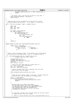```
271 HvCallHpt_addValidate(slot, 0, (HPTE *)&local_hpte );
272 return;
273 }
274
275 /* We should _never_ get here and too early to call xmon. */
276 ppc64_terminate_msg(0x22, "hpte platform");
\overline{277} \overline{10} \overline{0} \overline{1} \overline{10} \overline{1} \overline{0} \overline{1} \overline{1} \overline{0} \overline{0} \overline{1} \overline{1} \overline{0} \overline{1} \overline{0} \overline{1} \overline{0} \overline{1} \overline{0} \overline{1} \overline{0} \overline{1} \overline{0} \overline{1} \overline{0} \overline{1} \overline{0} \overline{1}\{279
\begin{array}{ccc} 280 & / & * \\ 281 & & * \end{array}281 * find_linux_pte returns the address of a linux pte for a given 
282 * effective address and directory. If not found, it returns zero.
283 */<br>284 pte
    pte_t *find_linux_pte(pgd_t *pgdir, unsigned long ea)
285
286 pgd_t *pg;
287 pmd_t *pm;
288 pte_t *pt = NULL;
289 pte_t pte;
290
pg = pgdir + pgd_index(ea);292 if (!pgd_none(*pg)) {
293 pm = pmd_offset(pg, ea);
\mathbf{if} (!pmd_none(*pm))<br>
\mathbf{if} (!pmd_none(*pm))
                                    pt = pte_offset(pm, ea);296 pte = *pt;
297 if (!pte_present(pte))
298 pt = NULL;
299 }
300 }
301<br>302
               return pt;
303 }
304
305 static inline unsigned long computeHptePP(unsigned long pte)
    \{307 return (pte & _PAGE_USER) |
308 (((pte & _PAGE_USER) >> 1) &
309 ((\sim((\text{pte} >> 2)\&\text{ (pre } >> 2)))<br>/* _PAGE_RW */<br>/* _PAGE_DIRTY */
\begin{array}{c} 311 \\ 312 \end{array} \begin{array}{c} 1) \\ i \end{array}\{313
314<br>315
315 * Handle a fault by adding an HPTE. If the address can't be determined
316 * to be valid via Linux page tables, return 1. If handled return 0
317 */
318 int __hash_page(unsigned long ea, unsigned long access, 
319 unsigned long vsid, pte_t *ptep)
320 {
321 unsigned long va, vpn;
322 unsigned long newpp, prpn;
323 unsigned long hpteflags, lock_slot;
324 long slot;
325 pte_t old_pte, new_pte;
326
327 /* Search the Linux page table for a match with va */
328 va = (vsid << 28) | (ea & 0x0fffffff);
329 vpn = va >> PAGE_SHIFT;
330 lock_slot = get_lock_slot(vpn); 
331
332 /* Acquire the hash table lock to guarantee that the linux
333 * pte we fetch will not change
334 */
335 spin_lock(&hash_table_lock[lock_slot].lock);
336
337 /* 
338 * Check the user's access rights to the page. If access should be
339 * prevented then send the problem up to do_page_fault.<br>340 * /
               \frac{P}{4} access
341 access = _PAGE_PRESENT;<br>342 if (unlikely(access \&6 ~ (
342 if (unlikely(access & ~(pte_val(*ptep)))) {
343 spin_unlock(&hash_table_lock[lock_slot].lock);
                          r<sub>eturn</sub> 1;
\hspace{1.5cm} 345 \hspace{1.5cm} \Big \}346
347 /* 
348 * We have found a pte (which was present).
349 * The spinlocks prevent this status from changing
350 * The hash_table_lock prevents the _PAGE_HASHPTE status
351 * from changing (RPN, DIRTY and ACCESSED too)
352 * The page_table_lock prevents the pte from being 
353 * invalidated or modified
354 */
355
356<br>357
357 * At this point, we have a pte (old_pte) which can be used to build
358 * or update an HPTE. There are 2 cases:<br>*359 *
360 * 1. There is a valid (present) pte with no associated HPTE (this is 
Registered Version: Linux Support Power PC64 htab.c Exhibit 8.1−3 pg 4/16
```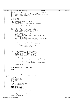```
361 * the most common case)
\frac{361}{362} * 2. There is a valid (present) pte with an associated HPTE. The
363 and the set of the pp bits in the HPTE prevent access<br>364 because we are doing software DIRTY bit management and t
364 * because we are doing software DIRTY bit management and the 365 * page is currently not DIRTY.
365 * page is currently not DIRTY.<br>366 */
366 */
367
368 old_pte = *ptep;<br>369 0 new pte = old pt
              new_{pt} = old_{pt}:
370
371 /* If the attempted access was a store */
372 if (access & _PAGE_RW)
373 pte_val(new_pte) |= _PAGE_ACCESSED | _PAGE_DIRTY;
374 else
                         pte_val(new_pte) |= _PAGE_ACCESSED;
376
377 newpp = computeHptePP(pte_val(new_pte));
378
\frac{379}{15} /* Check if pte already has an hpte (case 2) */<br>380 if (unlikely(pte val(old pte) & PAGE HASHPTE))
380 if (unlikely(pte_val(old_pte) & _PAGE_HASHPTE)) {
381 /* There MIGHT be an HPTE for this pte */
382 unsigned long hash, slot, secondary;
383
384 \frac{1}{2} \frac{1}{2} \frac{1}{2} \frac{1}{2} \frac{1}{2} \frac{1}{2} \frac{1}{2} \frac{1}{2} \frac{1}{2} \frac{1}{2} \frac{1}{2} \frac{1}{2} \frac{1}{2} \frac{1}{2} \frac{1}{2} \frac{1}{2} \frac{1}{2} \frac{1}{2} \frac{1}{2} \frac{1}{2} \frac{1}{2} \frac{1}{2hash = hpt\_hash(vpn, 0);386 secondary = (pte_val(old_pte) & _PAGE_SECONDARY) >> 15;
387 if (secondary)<br>388 if (secondary)<br>hash =
                                   hash = ~hash;389 slot = (hash & htab_data.htab_hash_mask) * HPTES_PER_GROUP;
390 slot += (pte_val(old_pte) & _PAGE_GROUP_IX) >> 12;
391<br>392
                         /* XXX fix large pte flag */
393 if (ppc_md.hpte_updatepp(slot, secondary, 
394 newpp, va, 0) == −1) {
395 pte_val(old_pte) \&= ~_PAGE_HPTEFLAGS;
                         396 } else {
397 if (!pte_same(old_pte, new_pte)) {
398 *ptep = new_pte;
399 }
400 }
401 }
402
403 if (likely(!(pte_val(old_pte) & _PAGE_HASHPTE))) {
404 /* Update the linux pte with the HPTE slot */
405 pte_val(new_pte) &= ~_PAGE_HPTEFLAGS;<br>
406 pte_val(new_pte) |= _PAGE_HASHPTE;<br>
prpn = pte_val(old_pte) >> PTE_SHIFT;
\frac{408}{400}409 \frac{409}{410} /* copy appropriate flags from linux pte */<br>htteflags = (pte val(new pte) & 0x1f8) | per
                        hpteflags = (pte_val(new_pte) & 0x1f8) | newpp;
411
412 slot = ppc md.hpte insert(vpn, prpn, hpteflags, 0, 0);
413
414 pte_val(new_pte) |= ((slot<<12) & 
415 (_PAGE_GROUP_IX | _PAGE_SECONDARY));
416
417 *ptep = new_pte;
418 }
419
420 spin_unlock(&hash_table_lock[lock_slot].lock);
421
422 return 0;
   \left\{ \right\}424
425<br>426...<br>426 * Handle a fault by adding an HPTE. If the address can't be determined<br>427 * to be valid via Linux page tables, return 1. If handled return 0
    A to be valid via Linux page tables, return 1. If handled return 0<br>* to be valid via Linux page tables, return 1. If handled return 0
428<br>429int hash_page(unsigned long ea, unsigned long access) {
430 {
431 void *pgdir;<br>432 unsigned lon
432 unsigned long vsid;<br>433 detruct mm struct *m
433 struct mm_struct *mm;<br>
434 pte_t *ptep;
435 int ret;
436
437 /* Check for invalid addresses. */<br>438 if (!IS VALID EA(ea)) return 1;
              438 if (!IS_VALID_EA(ea)) return 1;
439
440 switch (REGION_ID(ea)) {<br>441 case USER REGION ID:
441 case USER_REGION_ID:<br>442 mm = current
442 mm = current−>mm;<br>\lim_{443} if (mm == NIII.T,) r
443 if (mm == NULL) return 1;
444 vsid = get_vsid(mm->context, ea);<br>\frac{445}{445}445 break;
446 case IO_REGION_ID:
447 mm = &ioremap_mm;<br>448 vsid = get_kernel
448 vsid = get\_kernel\_vsid(ea);<br>
break;
                         449 break;
450 case VMALLOC_REGION_ID:
Registered Version: Linux Support Power PC64 htab.c Exhibit 8.1−3 pg 5/16
```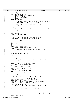```
451 mm = &init_mm;
452 vsid = get_kernel_vsid(ea);
453 break;<br>454 case IO_UNMAPP
454 case IO_UNMAPPED_REGION_ID:
455 udbg_printf("EEH Error ea = 0x%lx\n", ea);
456 PPCDBG_ENTER_DEBUGGER();
457 panic ("EEH Error ea = 0x\%lx\n", ea);<br>458 break;
458 break;<br>459 case KERNEL RE
459 case KERNEL_REGION_ID:
460 *461 * As htab_initialize is now, we shouldn't ever get here since
462 * we're bolting the entire 0xC0... region.
463 * /
464 udbg_printf("Little faulted on kernel address 0x\%lx\ln", ea);<br>prince \frac{1}{2}465 PPCDBG_ENTER_DEBUGGER();
466 panic("Little faulted on kernel address 0x%lx\n", ea);
467 break;<br>468 default:
468 default:
469 * Not a valid range, send the problem up to do_page_fault */<br>470 return 1;
470 return 1;<br>471 break;
                        471 break;
472 }
473
474 pgdir = mm−>pgd;<br>475 if (padir == NUL
              475 if (pgdir == NULL) return 1;
476
477 /*
478 * Lock the Linux page table to prevent mmap and kswapd
+79 * from modifying entries while we search and update<br>
* /
480 */
481 spin_lock(&mm−>page_table_lock);
482
483 ptep = find_linux_pte(pgdir, ea);<br>\frac{1}{4}484 /*
<sup>484</sup> \begin{array}{ccc} \n & / & \n \end{array} \begin{array}{ccc} \n \ast & \text{If} & \text{no} & \text{pte} & \text{found} & \text{or} & \text{not} & \text{present} \n \end{array}, send the problem up to
               * do_page_fault
487 */
<sup>488</sup> if (ptep && pte_present(*ptep)) {<br>489 if \begin{bmatrix} 1 & 0 & 0 \\ 0 & 1 & 0 \\ 0 & 0 & 0 \end{bmatrix} if \begin{bmatrix} 1 & 0 & 0 \\ 0 & 1 & 0 \\ 0 & 0 & 0 \end{bmatrix} if \begin{bmatrix} 0 & 0 & 0 \\ 0 & 1 & 0 \\ 0 & 0 & 0 \end{bmatrix} if \begin{bmatrix} 0 & 0 & 0 \\ 0 & 0 & 0 \\ 0 & 0 & 0489 ret = \frac{1}{2} hash_page(ea, access, vsid, ptep);
              490 } else {
490<br>491 492 1200 15 15 no pte, send the problem up to do_page_fault */<br>492 120\text{ret} = 1;493 }
494
495 spin_unlock(&mm−>page_table_lock);
496
497 return ret;<br>498 }
   \{499
500 void flush_hash_page(unsigned long context, unsigned long ea, pte_t *ptep)
\begin{matrix} 501 \\ 502 \end{matrix}502 unsigned long vsid, vpn, va, hash, secondary, slot, flags, lock_slot;
503 unsigned long large = 0, local = 0;
504 pte_t pte;
505
506 if ((ea >= USER_START) \& (ea <= USER_END))<br>507 vsid = qet vsid(context, ea);
                        vsid = get\_vsid(context, ea);508 else
                        vsid = get\_kernel\_vsid(ea);510
511 va = (vsid << 28) | (ea & 0x0fffffff);
\frac{1}{15} (large)<br>\frac{1}{15} (large)
vpn = va \gg LARGE_PAGE\_SHIFT;<br>514 else
              514 else
515 vpn = va >> PAGE_SHIFT;
516
517 lock_slot = get_lock_slot(vpn);<br>518 hash = hpt hash(vpn, large);
              hash = hpt\_hash(vpn, 'large);
519
520 spin lock irqsave(&hash table lock[lock slot].lock, flags);
521
522 pte = __pte(pte_update(ptep, _PAGE_HPTEFLAGS, 0));
523 secondary = (pte_val(pte) & _PAGE_SECONDARY) >> 15;
524 if (secondary) hash = ~hash;
525 slot = (hash & htab_data.htab_hash_mask) * HPTES_PER_GROUP;
526 slot += (pte_val(pte) & _PAGE_GROUP_IX) >> 12;
527
528 if (pte_val(pte) & _PAGE_HASHPTE) {<br>529 ppc_md.hpte_invalidate(slot, secondary, va, large, local);
530 }
531
532 spin_unlock_irqrestore(&hash_table_lock[lock_slot].lock, flags);
    \left\{ \right\}534
535 long plpar_pte_enter(unsigned long flags,
536 unsigned long ptex,<br>
\frac{1}{2} unsigned long ptex,
537 unsigned long new_pteh, unsigned long new_ptel<br>538 unsigned long *old_pteh_ret, unsigned long *old
    unsigned long *old_pteh_ret, unsigned long *old_ptel_ret)
539 {
540 unsigned long dummy, ret;
Registered Version: Linux Support Power PC64 htab.c Exhibit 8.1−3 pg 6/16
```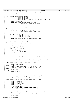```
541 ret = plpar_hcall(H_ENTER, flags, ptex, new_pteh, new_ptel,
542 old_pteh_ret, old_ptel_ret, &dummy);
543 return(ret);
   \left\{ \right\}545
546 long plpar_pte_remove(unsigned long flags,
547 unsigned long ptex,
548 unsigned long avpn,
549 unsigned long *old_pteh_ret, unsigned long *old_ptel_ret)
550 \{<br>551
             unsigned long dummy;
552 return plpar_hcall(H_REMOVE, flags, ptex, avpn, 0,
553 old_pteh_ret, old_ptel_ret, &dummy);
554 }
555
556 long plpar_pte_read(unsigned long flags,<br>557 unsigned long ptex.
                            andlynca formy ------
558 unsigned long *old_pteh_ret, unsigned long *old_ptel_ret)
\begin{matrix} 559 \\ 560 \end{matrix}560 unsigned long dummy;<br>561 return plpar heall(H
             561 return plpar_hcall(H_READ, flags, ptex, 0, 0,
562 old_pteh_ret, old_ptel_ret, &dummy);
   \left\{ \right\}564
565 long plpar_pte_protect(unsigned long flags,
566 unsigned long ptex,
567 unsigned long avpn)
568 {
569 return plpar_hcall_norets(H_PROTECT, flags, ptex, avpn);
   \rightarrow571
572 static __inline__ void set_pp_bit(unsigned long pp, HPTE *addr)
573 {<br>574574 unsigned long old;<br>575 unsigned long *p =
             575 unsigned long *p = &addr−>dw1.dword1;
576
577 __asm__ __volatile__(
578 "1: ldarx %0,0,%3\n\
579 rldimi \%0,\%2,0,62\ln\\%0.0\%3\hbox{h}581 bne lb"<br>
582 : "=&r" (old), "=m" (*p)<br>
583 : "r" (pp), "r" (p), "m" (*p)<br>
584 : "cc");
585 }
586
587 /*<br>588 *
     588 * Calculate which hash_table_lock to use, based on the pteg being used.
589<br>590
sso * Given a VPN, use the high order 8 bits to select one of 2^7 locks. The<br>ss1 * highest order bit is used to indicate primary vs. secondary group. If the<br>ss2 * secondary is selected, complement the lock select bits. Thi
593 * both the primary and secondary groups being covered under the same lock.
594inline unsigned long get_lock_slot(unsigned long vpn)
\begin{matrix}596\\597\end{matrix}unsigned long lock_slot;
598 #ifdef LOCK_SPLIT
             599 lock_slot = (hpt_hash(vpn,0) >> htab_data.htab_lock_shift) & 0xff;
600 if(lock_slot & 0x80) lock_slot = (~lock_slot) & 0x7f;
601 #else
602 lock_slot = 0;<br>603 #endif
603 #endif
             604 return(lock_slot);
605 }
606
607 /*
     * Functions used to retrieve word 0 of a given page table entry.
609Input : slot : PTE index within the page table of the entry to retrieve
611 * Output: Contents of word 0 of the specified entry
612
613 static unsigned long rpa_lpar_hpte_getword0(unsigned long slot)
614 {
615 unsigned long dword0;
616 unsigned long lpar_rc;
617 unsigned long dummy_word1;<br>618 unsigned long flags;
             unsigned long flags;
619
620 /* Read 1 pte at a time */
621 /* Do not need RPN to logical page translation */
622 /* No cross CEC PFT access<br>623 623 623 623flags = 0;624
625 lpar_rc = plpar_pte_read(flags, slot, &dword0, &dummy_word1);
626
<sup>627</sup> if (lpar_rc != H_Success)<br><sup>628</sup> panic ("Error on pte re:
                       panic("Error on pte read in get_hpte0 rc = %lx\n", lpar\_rc;
629
630 return dword0;
Registered Version: Linux Support Power PC64 htab.c Exhibit 8.1−3 pg 7/16
```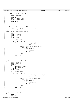```
631 }
632
633 unsigned long iSeries_hpte_getword0(unsigned long slot)
634 {
                 unsigned long dword0;
636
637 HPTE hpte;
638 HvCallHpt_get(&hpte, slot);<br>639 dword0 = hpte.dw0.dword0;
                 dword0 = \overrightarrow{hpte} . d\overrightarrow{w0} . dword0;640
641 return dword0;
642 }
643<br>644
644 /*
        Functions used to find the PTE for a particular virtual address.
646 * Only used during boot when bolting pages.
647 * \overline{1} \overline{1} \overline{1} \overline{1} \overline{1} \overline{1} \overline{1} \overline{1} \overline{1} \overline{1} \overline{1} \overline{1} \overline{1} \overline{1} \overline{1} \overline{1} \overline{1} \overline{1} \overline{1} \overline{1} \overline{1} \overline{1} \overline{1} \overline{1648 * Input : vpn : virtual page number
649 * Output: PTE index within the page table of the entry
\begin{array}{cc} 650 & \star & -1 & \text{on failure} \\ 651 & \star \end{array}\star /
652 static long hpte_find(unsigned long vpn)
653 \quad \{<br>654654 HPTE *hptep;<br>655 unsigned lon
655 unsigned long hash;
656 unsigned long i, j;
657 long slot;<br>658 Hpte_dword
                 Hpte_dword0 dw0;
659
660 hash = hpt_hash(vpn, 0);
661
                 for (j = 0; j < 2; j++)663 slot = (hash & htab_data.htab_hash_mask) * HPTES_PER_GROUP;<br>
for (i = 0; i \le HPTES) PER GROUP; i++) {
\begin{array}{ccc} 664 & & & \text{for} & (i = 0; i < HPTES\_PER\_GROUP; i++) \\ \text{for} & (i = 0; i < HPTES\_PER\_GROUP; i++) \\ & & \text{in} & \text{in} & \text{in} & \text{at} & \text{at} & \text{at} & \text{at} \end{array}665 hptep = htab_data.htab + slot;
666 dw0 = hptep−>dw0.dw0;
667
\begin{array}{rcl} \textbf{if} & (dw0. \text{avpn} = (vpn \implies 11)) & \& \& \; dw0. \text{v} & \& \; (dw0. \text{h} = & j)) \end{array}669 (dw0.h == j)) {
670 /* HPTE matches */
671 if (j)
\begin{array}{ccc} 672 & & & & \end{array} slot = -slot;<br>
\begin{array}{ccc} 672 & & & \end{array} slot = -slot;
673 return slot;<br>674 for all properties
674 }
675 + slot;
676 }
rac{677}{678} hash = ~hash;
678 }
679
680 return −1;
681 }
682<br>683
     static long rpa_lpar_hpte_find(unsigned long vpn)
684 {<br>685unsigned long hash;
686 unsigned long i, j;<br>687 long slot;
                 long slot;
688 union {
689 unsigned long dword0;<br>
Hote dword0 dw0;
                            Hpte_dword0 dw0;
691 } hpte dw0;
692 Hpte_dword0 dw0;
693<br>694
                 hash = hpt\_hash(vpn, 0);695
\begin{array}{lll} 696 & \text{for} & \text{if} = 0; \text{if} < 2; \text{if} +1) \\ 697 & \text{if} = 0.65 & \text{if} \\ 697 & \text{if} = 0.65 & \text{if} \end{array}\begin{array}{c} \text{697} \\ \text{698} \end{array} slot = (hash & htab_data.htab_hash_mask) * HPTES_PER_GROUP;<br>\begin{array}{c} \text{698} \\ \text{698} \end{array} for (i = 0; i < HPTES PER GROUP; i++) {
698 for (i = 0; i < HPTES_PER_GROUP; i++) {
699 hpte_dw0.dword0 = rpa_lpar_hpte_getword0(slot);
700 dw0 = hpte_dw0.dw0;
701
702 if ((dw0.avpn == (vpn >> 11)) && dw0.v &&
703 (dw0.h == j)) {
704 /* HPTE matches */
705 if (j)
706 slot = -slot;<br>707 slot = -slot;
<sup>707</sup> return slot;<br>707 return slot;
708 }
\frac{1}{100} \frac{1}{100} \frac{1}{100} \frac{1}{100} \frac{1}{100} \frac{1}{100} \frac{1}{100} \frac{1}{100} \frac{1}{100} \frac{1}{100} \frac{1}{100} \frac{1}{100} \frac{1}{100} \frac{1}{100} \frac{1}{100} \frac{1}{100} \frac{1}{100} \frac{1}{100} \frac{1710 }
711<br>712<br>712<br>}
712 }
713
714 return −1;
715 } 
716
717 static long iSeries_hpte_find(unsigned long vpn)
\begin{matrix}\n718 \\
719\n\end{matrix}HPTE hpte;
720 long slot;
Registered Version: Linux Support Power PC64 htab.c Exhibit 8.1−3 pg 8/16
```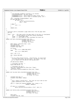```
721
722 *723 * The HvCallHpt_findValid interface is as follows:
724 * 0xffffffffffffffff : No entry found.
725 * 0x00000000xxxxxxxx : Entry found in primary group, slot x
726 * 0x80000000xxxxxxxx : Entry found in secondary group, slot x
727 *728 slot = HvCallHpt_findValid(&hpte, vpn);<br>729 if (hpte.dw0.dw0.v) {
729 if (hpte.dw0.dw0.v) {
730 if (slot < 0) {
731 slot &= 0x7ffffffffffffffff;<br>
510t = −slot;
733 }
734 } else {
                      slot = -1;736 }
737
738 return slot;
739 }
740
741 / *742 * Functions used to invalidate a page table entry from the page table 743 * and tlb.
       and tlb.
744<br>745
       Input: slot: PTE index within the page table of the entry to invalidated746 * va : Virtual address of the entry being invalidated
747 * large : 1 = large page (16M)
748 * local : 1 = Use tlbiel to only invalidate the local tlb
749<br>750
   static void hpte_invalidate(unsigned long slot,
751 unsigned long secondary,
752 unsigned long va,
753<br>754 \{\begin{matrix}\n754 \\
755\n\end{matrix}755 HPTE *hptep = htab_data.htab + slot;
756 Hpte_dword0 dw0;
757 unsigned long vpn, avpn;
758 unsigned long flags;
759
760 if (large)
761 vpn = va >> LARGE_PAGE_SHIFT;
762 else
                      vpn = va \gg PAGE\_SHIFT;764
765 avpn = vpn >> 11;
766
             767 dw0 = hptep−>dw0.dw0;
768
769 /*
770 * Do not remove bolted entries. Alternatively, we could check
771 * the AVPN, hash group, and valid bits. By doing it this way,
772 * it is common with the pSeries LPAR optimal path.
773<br>774
             774 if (dw0.bolted) return;
775
776 /* Invalidate the hpte. */
777 hptep−>dw0.dword0 = 0;
778
779 \frac{779}{780} /* Invalidate the tlb */<br>780 Spin lock irgsave(&pSeri
780 spin_lock_irqsave(&pSeries_tlbie_lock, flags);
781 _tlbie(va, large);
782 spin_unlock_irqrestore(&pSeries_tlbie_lock, flags);<br>783 }
   \{784
785 static void rpa_lpar_hpte_invalidate(unsigned long slot,<br>786 unsigned long secondary,
Registered Version: Linux Support Power PC64 htab.c Exhibit 8.1−3 pg 9/16
```
and the contract of the contract of the contract of the contract of the contract of the contract of the contract of the contract of the contract of the contract of the contract of the contract of the contract of the contra  $int \text{ large, } int \text{ local}$ 789<br>790 <sup>790</sup> unsigned long lpar\_rc;<br><sup>791</sup> unsigned long dummyl,  $unsigned$  long dummy1, dummy2; 792 <sup>793</sup> /\* <sup>794</sup> \* Don't remove a bolted entry. This case can occur when we bolt %<br> *T*95 \* pages dynamically after initial boot.<br>  $\star$ /<sup>796</sup> \*/ <sup>796</sup> \*/ 797 lpar\_rc = plpar\_pte\_remove(H\_ANDCOND, slot, (0x1UL << 4),  $\frac{1}{2}$  adumny1,  $\frac{1}{2}$  adumny2);  $\overline{\text{adummy1}}$ ,  $\overline{\text{adummy2}}$ ); 799 800 **if** (lpar\_rc != H\_Success)<br>801 **panic** ("Bad return cod  $\frac{1}{2}$  panic("Bad return code from invalidate rc = %lx\n", lpar\_rc); <sup>802</sup> } 803 804 **static** void iSeries\_hpte\_invalidate(unsigned long slot,<br>
805 unsigned long secondary,<br>
806 unsigned long va, 807 int large, int local)<br>807 int large, int local)  $808 \t{809}$ HPTE lhpte; <sup>810</sup> unsigned long vpn, avpn;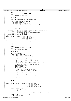Registered Version: Linux Support Power PC64 **htab.c** Exhibit 8.1−3 pg 10/16

```
811
812 if (large)
813 vpn = va >> LARGE_PAGE_SHIFT;<br>814 else
            814 else
815 vpn = va >> PAGE_SHIFT;
816
817 avpn = vpn >> 11;
818
819 lhpte.dw0.dword0 = iSeries_hpte_getword0(slot);
820
821 if ((lhpte.dw0.dw0.avpn == avpn) && 
822 (lhpte.dw0.dw0.v) &&
823 (lhpte.dw0.dw0.h == secondary)) {
824 HvCallHpt_invalidateSetSwBitsGet(slot, 0, 0);
            \left\{ \right\}826 }
827
828 / *<br>829 *Functions used to update page protection bits.
830<br>831
       Input : slot : PTE index within the page table of the entry to update
832 * newpp : new page protection bits
833 * va : Virtual address of the entry being updated
834 * large : 1 = large page (16M)<br>835 * Output: 0 on success, -1 on failure
      Output: 0 on success, -1 on failure
836 */
837 static long hpte updatepp(unsigned long slot,
838 unsigned long secondary,
839 unsigned long newpp,
840 unsigned long va, int large)
841 \quad \{
842HPTE * hptep = htab_data.htab + slot;843 Hpte_dword0 dw0;<br>844 Hpte_dword1 dw1;
844 Hpte_dword1 dw1;<br>845 mnsigned long vp
845 unsigned long vpn, avpn;
846 unsigned long flags;
847
\frac{1}{1} (large)<br>\frac{1}{1} (large)
849 vpn = va >> LARGE_PAGE_SHIFT;
            850 else
851 vpn = va >> PAGE SHIFT;
852
853 avpn = vpn >> 11;
854
855 dw0 = hptep−>dw0.dw0;
856 if ((dw0.avpn == avpn) &&<br>
857 (dw0.) && (dw0.h == secondary)) {<br>
858 /* Turn off valid bit in HPTE */<br>
859 dw0.v = 0;
860 hptep−>dw0.dw0 = dw0;
861
862 /* Ensure it is out of the tlb too */<br>863 spin lock irgsave(&pSeries tlbie lock
863 spin_lock_irqsave(&pSeries_tlbie_lock, flags);<br>a64 flags();<br>efficies, large);
864 _tlbie(va, large);
865 spin_unlock_irqrestore(&pSeries_tlbie_lock, flags);
866
867 /* Insert the new pp bits into the HPTE */
\frac{1}{2} as \frac{1}{2} dw1 = hptep->dw1.dw1;<br>as \frac{1}{2} dw1.pp = newpp;
869 dw1.pp = newpp;<br>870 hptep->dw1.dw1
                     hptep->dw1.dw1 = dw1;871
872 /* Ensure it is visible before validating */
873 __asm__ __volatile__ ("eieio" : : : "memory");
874
875 /* Turn the valid bit back on in HPTE */
876 dw0.v = 1;
\frac{1}{877} hptep->dw0.dw0 = dw0;
878
879 __asm__ __volatile__ ("ptesync" : : : "memory");
880
881 return 0;<br>
882 }
882 }
883
884 return −1;
885 }
886
887 static long rpa_lpar_hpte_updatepp(unsigned long slot, 
\begin{array}{c}\n 888 \\
 888 \\
 \hline\n 189\n \end{array}unsigned long newpp,
890 unsigned long va, int large)
   \{892 unsigned long lpar_rc;
893 unsigned long flags = (newpp & 7);
894 unsigned long avpn = va \rightarrow 23;<br>
895 HPTE hpte;
            HPTE hpte;
896
897 lpar_rc = plpar_pte_read(0, slot, &hpte.dw0.dword0, &hpte.dw1.dword1);
898
899 if ((hpte.dw0.dw0.avpn == avpn) &&
900 (hpte.dw0.dw0.v) &&
```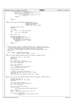```
901 (hpte.dw0.dw0.h == secondary)) {
902 lpar_rc = plpar_pte_protect(flags, slot, 0);
903<br>903 if (lpar<sub>_rc</sub> != H_Success)<br>904 panic ("bad return code
904 panic ("bad return code from pte protect rc = %lx\n",
\frac{905}{906} lpar_rc);
             906 return 0;
907 }
908
909 return −1;<br>910 }
   \}911
912 static long iSeries_hpte_updatepp(unsigned long slot, 
913 version control of the condary, the secondary, \frac{1}{914}<br>914 unsigned long secondary,
914 unsigned long newpp,<br>unsigned long va. in
                                             unsigned long via, int large)916 {
917 unsigned long vpn, avpn;
918 HPTE hpte;
919
920 if (large)
                       vpn = va >> LARGE_PAGE_SHIFT;
922 else
                       vpn = va \gg PAGE\_SHIFT;924
925 avpn = vpn >> 11;
926
927 HvCallHpt qet(&hpte, slot);
928 if ((hpte.dw0.dw0.avpn == avpn) && 
929 (hpte.dw0.dw0.v) &&
930 (hpte.dw0.dw0.h == secondary)) {
930<br>
931 Hord Hum Di<br>
Hum Di<br>
Hum Di
                       return 0;
933 }
934 return −1;<br>935 }
   \}936
937 /*<br>938 *
938 * Functions used to update the page protection bits. Intended to be used 
939 * to create guard pages for kernel data structures on pages which are bolted
940 * in the HPT. Assumes pages being operated on will not be stolen.
941 * Does not work on large pages. No need to lock here because we are the 
       only user.
943<br>944
944 * Input : newpp : page protection flags<br>945 * ea : effective kernel addr
                        : effective kernel address to bolt.
946<br>947
    static void hpte_updateboltedpp(unsigned long newpp, unsigned long ea)
948 \left\{\begin{array}{c} 948 \\ 949 \end{array}\right.949 unsigned long vsid, va, vpn, flags;<br>950 long slot;
950 long slot;<br>1951 - HPTE *hptep;
952<br>953
953 vsid = get_kernel_vsid(ea);
954 va = (vsid << 28) | (ea & 0x0fffffff);
955 vpn = va >> PAGE_SHIFT;
956
957 slot = hpte_find(vpn);
958 if (slot == −1)
959 panic("could not find page to bolt\n");
960 hptep = htab_data.htab + slot;
961
962 set pp bit(newpp, hptep);
963<br>964
              /* Ensure it is out of the tlb too */
965 spin_lock_irqsave(&pSeries_tlbie_lock, flags);
966 _tlbie(va, 0);
967 spin_unlock_irqrestore(&pSeries_tlbie_lock, flags);<br>968 }
   \rightarrow969
970 static void rpa_lpar_hpte_updateboltedpp(unsigned long newpp, unsigned long ea)
971 \{972\}972 unsigned long lpar_rc;<br>973 unsigned long vsid, va
973 unsigned long vsid, va, vpn, flags;<br>974 long slot:
             long slot;
975
976 vsid = get_kernel_vsid(ea);
977 va = (vsid << 28) | (ea & 0x0fffffff);
978 vpn = va >> PAGE_SHIFT;
979
980 slot = rpa_lpar_hpte_find(vpn);<br>
981 if (slot == −1)
982 panic("updateboltedpp: Could not find page to bolt\n");
983
984 flags = newpp & 3;<br>985 and loar rc = plpar pt
             lpar\_rc = p1par\_pte\_protect(flags, slot, 0);986
987 if (lpar_rc != H_Success)<br>988 panic ("Bad return coc
988 panic ("Bad return code from pte bolted protect rc = %lx\n",<br>
\frac{1}{2}lpar_rc);
990 }
Registered Version: Linux Support Power PC64 htab.c Exhibit 8.1−3 pg 11/16
```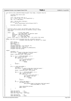991 <sup>992</sup> void iSeries hpte updateboltedpp(unsigned long newpp, unsigned long ea) Registered Version: Linux Support Power PC64 **htab.c** Exhibit 8.1−3 pg 12/16

```
993 {
994 unsigned long vsid, va, vpn;<br>995 long slot;
               long slot;
996
997 vsid = get_kernel_vsid( ea );
998 va = ( vsid << 28 ) | ( ea & 0x0fffffff );
999 vpn = va >> PAGE_SHIFT;
1000
1001 slot = iSeries_hpte_find(vpn);
1002 if (slot == −1)<br>
1003 panic("
                         \sum_{n=1}^{\infty} panic ("updateboltedpp: Could not find page to bolt\n");
1004
1005 HvCallHpt_setPp(slot, newpp);
1006 }
1007
1008 /*
noos * Functions used to insert new hardware page table entries.<br>1010 * Will castout non-bolted entries as necessary using a rand
1010 * Will castout non−bolted entries as necessary using a random
        algorithm.
1012<br>1013
1013 * Input : vpn : virtual page number
1014 * prpn : real page number in absolute space
1015 * hpteflags: page protection flags
1016 * bolted : 1 = bolt the page
1017 * large : 1 = large page (16M)
1018 * Output: hsss, where h = hash group, sss = slot within that group
1019<br>10201020 static long hpte_insert(unsigned long vpn, unsigned long prpn,<br>
1021 unsigned long hpteflags, int bolted, int large)
1022 {
1023 HPTE *hptep;<br>1024 Hpte dword 0
1024 Hpte_dword0 dw0;<br>1025 HPTE_lbnte;
1025 HPTE lhpte;
1026 int i, secondary;
1027 unsigned long hash = hpt_hash(vpn, 0);<br>1028 unsigned long avpn = vpn >> 11;
1028 unsigned long avpn = vpn >> 11;<br>1029 unsigned long arpn = physRpn_to
1029 unsigned long arpn = physRpn_to_absRpn(prpn);<br>1030 unsigned long bpte group;
               unsigned long hpte_group;
1031
1032 repeat:
1033 secondary = 0;<br>1034 hpte group = 0;
1034 hpte_group = ((hash & htab_data.htab_hash_mask) *<br>
HPTES PER GROUP) & ~0x7UL;
1035 HPTES_PER_GROUP) & ~0x7UL;
1036 hptep = htab_data.htab + hpte_group;
1037
1038 for (i = 0; i < HPTES\_PER_GROUP; i++) {<br>
dw0 = hnt = w0w0 dw0;1039 dw0 = hptep->\overline{dw}0 = hptep−>\overline{dw}0 : 1140
                         if (ldw0.v) {<br>
/* re
1041 /* retry with lock held */
1042 dw0 = hptep->dw0.dw0;<br>1043 if (!dw0.v)
1043 if (\text{low0.v})<br>1044 bre
1044 break;
1045 }
1046 \n  <i>hptep++</i>;
1047 }
1048
1049 if (i == HPTES_PER_GROUP) {
                          secondary = 1;1051 hpte_group = ((~hash & htab_data.htab_hash_mask) *
1052 HPTES_PER_GROUP) & ~0x7UL;
1053 hptep = htab_data.htab + hpte_group;
1054
1055 for (i = 0; i < HPTES_PER_GROUP; i++) {<br>
dw0 = hptep->dw0.dw0;
1057 if (\text{low0.v}) {<br>
1058 /* re
1058 \overrightarrow{A} \text{ return with lock held } \overrightarrow{A}/1059 \overrightarrow{A} 1059 \overrightarrow{A} 1059 \overrightarrow{A} 1059 \overrightarrow{A} 1059 \overrightarrow{A} 1059 \overrightarrow{A} 1059 \overrightarrow{A} 1059 \overrightarrow{A} 1059 \overrightarrow{A} 1059 \overrightarrow{A} 1059 \overrightarrow{A} 1059 \overrightarrow{A} 1059 \overrightarrow{A} 1059 \overrightarrow{A1059 dw0 = hptep->dw0.dw0;<br>
if \left(\frac{1}{2}dw0.v
                                               if('dw0.v)1061 break;
1062 }
1063 hptep++;
1064 }
1065 if (i == HPTES_PER_GROUP) {
1066 if (mftb() & 0x1)
1067 hpte_group=((hash & htab_data.htab_hash_mask)*<br>1068 HPTES PER GROUP) & ~0x7UL;
                                                               1068 HPTES_PER_GROUP) & ~0x7UL;
1069
1070 hpte_remove(hpte_group);<br>
1071 qoto repeat;
                         figure 1171 goto repeat;
1072 }
1073 }
1074
1075 lhpte.dw1.dword1 = 0;
1076 11pte.dw1.dw1.rpn = arpn;<br>1077 11pte.dw1.flags.flags = hptef
               1077 lhpte.dw1.flags.flags = hpteflags;
1078
1079 lhpte.dw0.dword0 = 0;
1080 lhpte.dw0.dw0.avpn = avpn;
```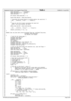```
1081 lhpte.dw0.dw0.h = secondary;
1082 lhpte.dw0.dw0.bolted = bolted;
1083 lhpte.dw0.dw0.v = 1;
1084
1085 if (large) lhpte.dw0.dw0.l = 1;
1086
1087 hptep−>dw1.dword1 = lhpte.dw1.dword1;
1088
1089 \frac{1089}{2000} /* Guarantee the second dword is visible before the valid bit */
               10asm__ _volatile__ ("eieio" : : : "memory");
1091
1092<br>1093
1092<br>1093 * Now set the first dword including the valid bit<br>* NOTE: this also unlocks the hpte
                 * NOTE: this also unlocks the hpte
1095
1096 hptep−>dw0.dword0 = lhpte.dw0.dword0;
1097
1098 ____________________volatile___ ("ptesync" : : : "memory");
1099
1100 return ((secondary << 3) | i);
1101 }
1102
1103 static long rpa_lpar_hpte_insert(unsigned long vpn, unsigned long prpn,
1104 1105<br>
1105 1105<br>
1105<br>
1105<br>
1105<br>
1105<br>
1105<br>
1104<br>
1105<br>
1105<br>
1105<br>
1105<br>
1105<br>
1105<br>
1105<br>
1105<br>
1105<br>
1105<br>
1105<br>
1105<br>
1105<br>
1105<br>
1105<br>
1105<br>
1105<br>
1105<br>
1105<br>
1105<br>
1105<br>
1105<br>
1105<br>
1105<br>
1105<br>
1105<br>
1105<br>
11
                                                 int bolted, int large)
1106 {
1107 /* XXX fix for large page */1108 unsigned long lpar_rc;
1109 unsigned long flags;
1110 unsigned long slot;
1111 HPTE lhpte;<br>1112 1nt secondar
                1112 int secondary;
1113 unsigned long hash = hpt_hash(vpn, 0);<br>1114 unsigned long ayon = yon >> 11;
1114 unsigned long avpn = vpn >> 11;<br>1115 unsigned long arpn = physRpn to1115 unsigned long arpn = physRpn_to_absRpn(prpn);<br>1116 unsigned long hpte group;
               unsigned long hpte_group;
1117
1118 /* Fill in the local HPTE with absolute rpn, avpn and flags */<br>1119 1hpte.dwl.dword1 = 0;<br>1120 1hpte.dwl.dwl.rpn = arpn;
1119 lhpte.dw1.dword1<br>120 = 0;1 lhpte.dw1.dw1.rpn
                lhpte.dw1.dw1.rpn
1121 lhpte.dwl.flags.flags = hpteflags;
1122
1123 lhpte.dw0.dword0 = 0;<br>
1124 lhpte.dw0.dw0.avpn = avpn;
1124 lhpte.dw0.dw0.avpn<br>1125 lhpte.dw0.dw0.bolte
               1hpte.dw0.dw0.bolted = bolted;1126 \qquad \qquad lhpte.dw0.dw0.v = 1;
1127
1128 if (large) lhpte.dw0.dw0.l = 1;
1129
1130 /* Now fill in the actual HPTE */
1131 /* Set CEC cookie to 0 */
1132 /* Large page = 0 */
1133 /* Zero page = 0 */
1134 /* I−cache Invalidate = 0 */
1135 /* I−cache synchronize = 0 */
1136 /* Exact = 0<br>1137 \qquad flags = 0;
               flags = 0;1138
1139 /* XXX why is this here? – Anton */<br>1140 /* –– Because at one point we hit
1140 /* −− Because at one point we hit a case where non cachable
1141 * pages where marked coherent & this is rejected by the HV.
1142 * Perhaps it is no longer an issue ... DRENG.
11431144 if (hpteflags & (_PAGE_GUARDED|_PAGE_NO_CACHE))
1145 lhpte.dw1.flags.flags &= ~_PAGE_COHERENT;
1146
1147 repeat:
1148 \qquad secondary = 0;<br>
1149 \qquad lhpte.dw0.dw0.
1149 lhpte.dw0.dw0.h = secondary;
1150 hpte_group = ((hash & htab_data.htab_hash_mask) *
1151 \text{HPTES\_PER\_GROUP} (\text{A} \sim 0 \times 7 \text{UL};
1152
1153 __asm__ __volatile__ (
                          H_ENTER_r3
1155 "mr 4, %2\n"
1156 "mr 5, %3\n"
1157 "mr 6, %4\n"<br>
1158 "mr 7, %5\n"
1158 "mr \frac{7}{158} "mr \frac{7}{5}%5\n"
1159 HSC 
1160 "mr %0, 3\n"
1161 "mr %1, 4\n"
1162 : "=r" (lpar_rc), "=r" (slot)
1163 : "r" (flags), "r" (hpte_group), "r" (lhpte.dw0.dword0),
1164 "r" (lhpte.dw1.dword1)
1165 : "r0", "r3", "r4", "r5", "r6", "r7", 
1166 "r8", "r9", "r10", "r11", "r12", "cc");
1167
1168 if (lpar_rc == H_PTEG_Full) {
                          secondary = 1;1170 \text{lhpte.dw0.dw0.h} = \text{secondary};
Registered Version: Linux Support Power PC64 htab.c Exhibit 8.1−3 pg 13/16
```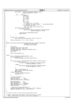```
1171 hpte_group = ((~hash & htab_data.htab_hash_mask) *
1172 HPTES_PER_GROUP) & ~0x7UL;
1173
1174 __asm__ __volatile__ (
1175 H_ENTER_r3
1176 "mr 4, %2\n"
\frac{1177}{1178} "mr 5, %3\n"<br>
1178 "mr 6, %4\n"
1178 \frac{1178}{1179} "mr 6, %4\n"<br>
1179 \frac{1179}{1179}1179 \lim_{1180} 7, \%5\ln"<br>HSC
1180 HSC
\frac{1181}{1181} "mr %0, 3\n"
\frac{1182}{1183} "mr %1, 4\n"<br>
\frac{1}{1183} "mr %1, 4\n"
1183<br>
1184 : "=r" (lpar_rc), "=r" (slot)<br>
: "r" (lhpte_dw0.dword0),<br>
"r" (lhpte.dw0.dword0),<br>
"r" ("n<sup>0"</sup>, "r3", "r4", "r5", "r6", "r7",<br>
: "r8", "r9", "r10", "r11", "r12", "cc");
1188 if (lpar_rc == H_PTEG_Full) {<br>1189 if (mfth() & 0x1)
<sup>1189</sup> if (mftb() \& 0x1)<br>
<sup>1190</sup> hpte grou
1190 hpte_group=((hash & htab_data.htab_hash_mask)* 
1191 HPTES_PER_GROUP) & ~0x7UL;
1192
1193 rpa_lpar_hpte_remove(hpte_group);<br>
1194 repeat;
1194 goto repeat;
\left\{\right. \right\}1196 }
1197
1198 if (lpar_rc != H_Success)<br>panic("Bad return code from pte enter rc = %lx\n", lpar_rc);
1200
1201 return ((secondary << 3) | (slot & 0x7));<br>1202 }
1202 }
1203
1204 static long iSeries_hpte_insert(unsigned long vpn, unsigned long prpn,<br>
1205<br>
1206 int bolted, int large)
1207 {<br>1208
1208 HPTE lhpte;<br>1209 unsigned lo
1209 unsigned long hash, hpte_group;<br>1210 unsigned long ayon = yon >> 11;
              unsigned long avpn = vpn >> 11;
1211 unsigned long arpn = physRpn_to_absRpn( prpn );
1212 int secondary = 0;
1213 long slot;
1214
1215 hash = hpt\_hash(vpn, 0);1216
1217 repeat:
1218 s slot = HvCallHpt_findValid(&lhpte, vpn);<br>1219 if (lhpte.dw0.dw0.v) {
1219 if (lhpte.dw0.dw0.v) {<br>1220 panic ("select hate
              panic ("select_hpte_slot found entry already valid\n");<br>}
1221 }
1222
1223 if (slot == −1) { /* No available entry found in either group */<br>
1224 if (mftb() & 0x1) {<br>
1225 hpte_group=((hash & htab_data.htab_hash_mask)*
1226<br>1227 else {<br>else {
1227 } else {
1228 hpte_group=((~hash & htab_data.htab_hash_mask)*<br>1229 hpte_group=((~hash & htab_data.htab_hash_mask)*
1229 \text{HPIES\_PER_GROUP} & ~0x7UL;
\{1230\}1231
1232 hash = hpt_hash(vpn, 0);<br>1233 1291 iSeries hpte remove(hpte
1233 iSeries_hpte_remove(hpte_group);<br>1234 goto repeat;
                        goto repeat;
1235 } else if (slot < 0) {<br>
1236 s slot &= 0x7ffffffffffffffff;
1237 \begin{array}{c} \text{secondary} = 1; \\ \text{1238} \end{array}1238 }
1239
1240 /* Create the HPTE */
1241 lhpte.dw1.dword1 = 0;
1242 lhpte.dw1.dw1.rpn = arpn;
1243 lhpte.dw1.flags.flags = hpteflags;
1244
1245 lhpte.dw0.dword0 = 0;
1246 lhpte.dw0.dw0.avpn = avpn;
1247 lhpte.dw0.dw0.h = secondary;
<sup>1247</sup> lhpte.dw0.dw0.h = secondary;<br>
1248 lhpte.dw0.dw0.bolted = bolted;<br>
1249 lhpte.dw0.dw0.y = 1;
              lhpte.dw0.dw0.v
1250
1251 /* Now fill in the actual HPTE */<br>1252 1252 HvCallHpt addValidate(slot. secon
1252 HvCallHpt_addValidate(slot, secondary, (HPTE *)&lhpte);
1253 return ((secondary << 3) | (slot & 0x7));
1254 }
1255
1256<br>1257
     * Functions used to remove hardware page table entries.
1258<br>1259
        Input : hpte_group: PTE index of the first entry in a group
1260 * Output: offset within the group of the entry removed or
Registered Version: Linux Support Power PC64 htab.c Exhibit 8.1−3 pg 14/16
```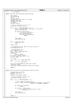```
1261 * -1 on failure
1262
1263 static long hpte_remove(unsigned long hpte_group)
1264<br>1265
1265 (<br>1265 HPTE *hptep;<br>1266 Hpte dword 0
              m in the dword0 dw0;
1267 int i;
1268 int slot_offset;
1269 unsigned long vsid, group, pi, pi_high;
1270 unsigned long slot;
1271 unsigned long flags;
1272 int large;<br>1273 unsigned l
              unsigned long va;
1274
1275 /* pick a random slot to start at */
1276 slot_offset = mftb() & 0x7;
1277
1278 for (i = 0; i < HPTES_PER_GROUP; i++) {<br>
1279 hptep = htab_data.htab + hpte_group + slot_offset;<br>
1280 dw0 = hptep->dw0.dw0;
1281
1282 if (dw0.v && !dw0.bolted) {<br>
1283 /* retry with lock held */
1284 dw0 = hptep−>dw0.dw0;
1285 if (dw0.v && !dw0.bolted)
1286 break;
\left\{\right.} 1287 \left.\right\}1288
1289 \begin{array}{ccc} 1289 & \text{slot\_offset++}; \\ 1290 & \text{slot\_offset} \end{array}slot\_offset &= 0x7;
1291 }
1292
1293 if (i == HPTES\_PER_GROUP)<br>
return -1;
                        return -1;
1295
1296 large = dw0.l;
1297
<sup>1208</sup> /* Invalidate the hpte. NOTE: this also unlocks it */<br>1299                  hptep->dw0.dword0 = 0;
              hptep->dw0.dword0 = 0;1300
1301 /* \tInvalidate the tlb */<br>1302 vsid = dw0. avpn >> 5;1302 vsid = dw0.avpn >> 5;<br>1303 slot = hptep - htab_d
1303 slot = hptep − htab_data.htab;
1304 group = slot >> 3;
1305 if (dw0.h)
1306 group = ~group;
1307 pi = (vsid ^ group) & 0x7ff;
1308 pi_high = (dw0.avpn & 0x1f) << 11;
1309 pi |= pi_high;
1310
1311 if (large)<br>1312 if (large)
1312 va = pi << LARGE_PAGE_SHIFT;<br>
1313 else
1313 else
                        va = pi << PAGE_SHIFT;
1315
1316 spin_lock_irqsave(&pSeries_tlbie_lock, flags);<br>
tlbie(va, large);
               _tlbie(va, large);
1318 spin_unlock_irqrestore(&pSeries_tlbie_lock, flags);
1319
1320 return i;
1321 }
1322
1323 static long rpa_lpar_hpte_remove(unsigned long hpte_group)
1324 {
1325 unsigned long slot_offset;
1326 unsigned long lpar_rc;
1327 int \overrightarrow{i}i<br>1328 unsignunsigned long dummy1, dummy2;
1329
1330 /* pick a random slot to start at */
1331 slot_offset = mftb() & 0x7;
1332
1333 for (i = 0; i < HPTES_PER_GROUP; i++) {
1334
1335 /* Don't remove a bolted entry */
1336 lpar_rc = plpar_pte_remove(H_ANDCOND, hpte_group + slot_offset,
1337 (1337) 1337 (1337) 1337 (0 \times 10L \times 4), \&dummy1, &dummy2);
1338
1339 if (lpar_rc == H_Success)
1340 return i;
1341
1342 if (lpar_rc != H_Not_Found)<br>
nanic ("Bad return code f
<sup>1343</sup> panic ("Bad return code from pte remove rc = %lx\n",<br>
<sup>1344</sup> <sup>1344</sup>
                                         lpar_rc);
1345
1346 slot_offset++;<br>1347 slot_offset &=
              slot\_offset \&= 0x7;}
1348 }
1349
Registered Version: Linux Support Power PC64 htab.c Exhibit 8.1−3 pg 15/16
```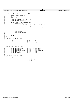Registered Version: Linux Support Power PC64 **htab.c** Exhibit 8.1−3 pg 16/16

 } **static** long iSeries\_hpte\_remove(unsigned long hpte\_group) { 1355 unsigned long slot\_offset;<br>1356 int i;  $int \; i$ ; 1357 HPTE lhpte; /\* Pick a random slot to start at \*/ <sup>1360</sup> slot\_offset = mftb() & 0x7; 1362 **for**  $(i = 0; i < HPTES\_PER_GROUP; i++)$  {<br>1363 **h**pte.dw0.dword0 = 1363 lhpte.dw0.dword0 =<br>
1363 lhpte.dw0.dword0 =<br>
1364 iSeries\_hp iSeries\_hpte\_getword0(hpte\_group + slot\_offset); 1366 **if** (!lhpte.dw0.dw0.bolted) {<br>1367 HvCallHpt\_invalidateSetSwBitsGet(hpte\_group + slot\_offset, 0, 0);<br> $1369$ **return** i;<br>1370 } } slot\_offset++; <sup>1373</sup> slot\_offset &= 0x7; } 1376 **return** −1;<br>1377 } } void hpte\_init\_pSeries(void) { ppc\_md.hpte\_invalidate = hpte\_invalidate; <sup>1382</sup> ppc\_md.hpte\_updatepp = hpte\_updatepp; ppc\_md.hpte\_updateboltedpp = hpte\_updateboltedpp; <sup>1384</sup> ppc\_md.hpte\_insert = hpte\_insert; 1385 ppc\_md.hpte\_remove = hpte\_remove;<br>1386 } } 1388 void pSeries\_lpar\_mm\_init(void)<br>1389 { { ppc\_md.hpte\_invalidate = rpa\_lpar\_hpte\_invalidate; <sup>1391</sup> ppc\_md.hpte\_updatepp = rpa\_lpar\_hpte\_updatepp; <sup>1392</sup> ppc\_md.hpte\_updateboltedpp = rpa\_lpar\_hpte\_updateboltedpp; 1393 ppc\_md.hpte\_insert = rpa\_lpar\_hpte\_insert;<br>
1394 ppc\_md.hpte\_remove = rpa\_lpar\_hpte\_remove; ppc\_md.hpte\_remove = rpa\_lpar\_hpte\_remove;<br>} } void hpte\_init\_iSeries(void)  $\begin{matrix} 1398 \\ 1399 \end{matrix}$ 1399 ppc\_md.hpte\_invalidate = iSeries\_hpte\_invalidate;<br>1400 ppc\_md\_bpte\_updatepp = iSeries\_bpte\_updatepp; ppc\_md.hpte\_updatepp = iSeries\_hpte\_updatepp; <sup>1401</sup> ppc\_md.hpte\_updateboltedpp = iSeries\_hpte\_updateboltedpp; <sup>1402</sup> ppc\_md.hpte\_insert = iSeries\_hpte\_insert; 1403 ppc\_md.hpte\_remove = iSeries\_hpte\_remove;<br>1404 } }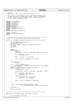# Registered Version: Linux Support Power PC64 **HvCall.c** Exhibit 8.1–4 pg 1/2

```
1 /\frac{1}{2} * HvCall.c
3 * Copyright (C) 2001 Mike Corrigan IBM Corporation
 4 * 
 5 * This program is free software; you can redistribute it and/or modify
6 * it under the terms of the GNU General Public License as published by
7 * the Free Software Foundation; either version 2 of the License, or
8 * (at your option) any later version.
     \star /
10
11 #include <linux/stddef.h>
12 #include <linux/kernel.h>
13 #include <linux/mm.h>
14 #include <linux/slab.h>
   #include <asm/system.h>
16 #include <asm/page.h>
17 #include <asm/iSeries/HvCall.h>
18 #ifndef _HVCALLSC_H
19 #include <asm/iSeries/HvCallSc.h>
20 #endif
   21 #include <asm/iSeries/LparData.h>
22
23 #ifndef _HVTYPES_H
24 #include <asm/iSeries/HvTypes.h>
25 #endif
26
27
28 /*=====================================================================
<sup>29</sup> * Note that this call takes at MOST one page worth of data
    \star /
31 int HvCall_readLogBuffer(HvLpIndex lpIndex, void *buffer, u64 bufLen)<br>32 {
   \{33 struct HvLpBufferList * builtist;<br>34 1064 \text{ bytesLeft} = \text{buffer};34 u64 bytesLeft = bufLen;<br>35 u64 leftThisPage;
35 u64 leftThisPage;<br>36 u64 curPtr = virt
             u64 curPtr = virt_to_absolute( (unsigned long) buffer );
37 u64 retVal;<br>38 int npages;
38 int npages;<br>39 int i;
             int \overline{i}40
41 npages = 0;
42 while (bytesLeft) {
43 npages++;<br>
\text{left}<sup>14</sup>
                       44 leftThisPage = ((curPtr & PAGE_MASK) + PAGE_SIZE) − curPtr;
45
46 if (leftThisPage > bytesLeft)<br>47 bytesLeft = 0;
47<br>48 else<br>else
48 else
                                49 bytesLeft −= leftThisPage;
50
51 curPtr = (curPtr & PAGE_MASK) + PAGE_SIZE;<br>52
52 }
53
54 if (npages == 0)
                      55 return 0;
56
57 bufList = (struct HvLpBufferList *)<br>58 kmalloc(npages * sizeof(str
58 kmalloc(npages * sizeof(struct HvLpBufferList), GFP_ATOMIC);<br>59 bytesLeft = bufLen;
59 bytesLeft = bufLen;<br>60 curPtr = virt to ab
60 curPtr = virt_to_absolute( (unsigned long) buffer );
61 for(i=0; i<npages; i++) {
62 bufList[i].addr = curPtr;
63 
                       64 leftThisPage = ((curPtr & PAGE_MASK) + PAGE_SIZE) − curPtr;
65
<sup>66</sup> if (leftThisPage > bytesLeft) {<br>
\delta<sub>67</sub> bufList[i].len = bytesL
67 bufList[i].len = bytesLeft;<br>bytesLeft = 0;<br>bytesLeft = 0;
68 bytesLeft = 0;<br>69 \} else {
69 } else {
                                70 bufList[i].len = leftThisPage;
71 bytesLeft −= leftThisPage;<br>72 }
72 }
73
74 curPtr = (curPtr & PAGE_MASK) + PAGE_SIZE;
75 }
76
77
78 retVal = HvCall3(HvCallBaseReadLogBuffer, lpIndex,<br>yirt to absolute((unsigned long))
                                  virt_to_absolute((unsigned long)bufList), bufLen);
80
81 kfree(bufList);
82
83 return (int)retVal;
   \left| \right|85
86 /*=====================================================================
\begin{array}{c} 87 \\ 87 \\ 88 \end{array} */
   88 void HvCall_writeLogBuffer(const void *buffer, u64 bufLen)
89 {
90 struct HvLpBufferList bufList;
```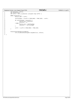```
91 u64 bytesLeft = bufLen;
92 u64 leftThisPage;
93 u64 curPtr = virt_to_absolute( (unsigned long) buffer );
94
95 while (bytesLeft) {
96 bufList.addr = curPtr;
96<br>97<br>98
                     98 leftThisPage = ((curPtr & PAGE_MASK) + PAGE_SIZE) − curPtr;
99
100 if (leftThisPage > bytesLeft) {<br>
101 bufList.len = bytesLeft;<br>
bytesLeft = 0;
103<br>104<br>104
104 bufList.len = leftThisPage;
105 bytesLeft −= leftThisPage;
106 }
106<br>107
108 curPtr = (curPtr & PAGE_MASK) + PAGE_SIZE;<br>109
109 }
110
111
112 HvCall2(HvCallBaseWriteLogBuffer,
113 virt_to_absolute((unsigned long)&bufList), bufLen);
114
115 }
Registered Version: Linux Support Power PC64 HvCall.c Exhibit 8.1–4 pg 2/2
```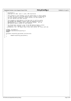# Registered Version: Linux Support Power PC64 **HvLpConfig.c** Exhibit 8.1−5 pg 1/1

 } 

 /\* <sup>2</sup> \* HvLpConfig.c \* Copyright (C) 2001 Kyle A. Lucke, IBM Corporation<br>4 \* \* <sup>5</sup> \* This program is free software; you can redistribute it and/or modify <sup>6</sup> \* it under the terms of the GNU General Public License as published by \* the Free Software Foundation; either version 2 of the License, or <sup>8</sup> \* (at your option) any later version. \* \* This program is distributed in the hope that it will be useful,<br>" \* but WITHOUT ANY WARRANTY; without even the implied warranty of<br>" \* MERCHANTABILITY or FITNESS FOR A PARTICULAR PURPOSE. See the<br>" GNU General Public L \* <sup>15</sup> \* You should have received a copy of the GNU General Public License <sup>16</sup> \* along with this program; if not, write to the Free Software <sup>17</sup> \* Foundation, Inc., 59 Temple Place, Suite 330, Boston, MA 02111−1307 USA \*/ <sup>20</sup> **#ifndef** \_HVLPCONFIG\_H **#include** <asm/iSeries/HvLpConfig.h> **#endif**  $\frac{23}{24}$ HvLpIndex HvLpConfig\_getLpIndex\_outline(void)<br>{  $\begin{array}{c} 25 \\ 26 \\ 27 \end{array}$ **return** HvLpConfig\_getLpIndex();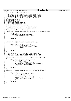## Registered Version: Linux Support Power PC64 **HvLpEvent.c** Exhibit 8.1–6 pg 1/1

```
\frac{1}{1}2 * Copyright 2001 Mike Corrigan IBM Corp
\frac{3}{4}4 * This program is free software; you can redistribute it and/or
 5 * modify it under the terms of the GNU General Public License
6 * as published by the Free Software Foundation; either version
7 * 2 of the License, or (at your option) any later version.
8 */
9 #include <linux/stddef.h>
10 #include <linux/kernel.h><br>11 #include <asm/system.h>
11 #include <asm/system.h>
12 #include <asm/iSeries/HvLpEvent.h>
13 #include <asm/iSeries/HvCallEvent.h><br>14 #include <asm/iSeries/HvCallEvent.h>
     14 #include <asm/iSeries/LparData.h>
15
16 /* Array of LpEvent handler functions */
17 LpEventHandler lpEventHandler[HvLpEvent_Type_NumTypes];
18 unsigned lpEventHandlerPaths[HvLpEvent_Type_NumTypes];
19
20 /* Register a handler for an LpEvent type */
21
22 int HvLpEvent_registerHandler( HvLpEvent_Type eventType, LpEventHandler handler )
\begin{matrix} 23 \\ 24 \end{matrix}24 int rc = 1;<br>
25 if (event)
                  25 if ( eventType < HvLpEvent_Type_NumTypes ) {
26 lpEventHandler[eventType] = handler;<br>
27 28 20;
                                rc = 0;28 }
29 return rc;
30
31 }
32
33 int HvLpEvent_unregisterHandler( HvLpEvent_Type eventType )
\begin{matrix} 34 & \{ \\ 35 & \end{matrix}35 int \text{r} = 1;<br>36 int \text{r} = 1;36 if ( eventType < HvLpEvent_Type_NumTypes ) {
37 if ( !lpEventHandlerPaths[eventType] ) {
38 lpEventHandler[eventType] = NULL;<br>39 c = 0;
39 TC = 0;<br>40 \}40  }
41 }
42 return rc;
43 }
44
45 /* (lpIndex is the partition index of the target partition. 
46 * needed only for VirtualIo, VirtualLan and SessionMgr. Zero
47 * indicates to use our partition index − for the other types)
48 \frac{*}{49} int
49 int HvLpEvent_openPath( HvLpEvent_Type eventType, HvLpIndex lpIndex )<br>50 {
     \{51 int \ncup i \rightharpoonup \rightharpoonup \rightharpoonup \rightharpoonup \rightharpoonup \rightharpoonup \rightharpoonup \rightharpoonup \rightharpoonup \rightharpoonup \rightharpoonup \rightharpoonup \rightharpoonup \rightharpoonup \rightharpoonup \rightharpoonup \rightharpoonup \rightharpoonup \rightharpoonup \rightharpoonup \rightharpoonup \rightharpoonup \rightharpoonup \rightharpoonup \rightharpoonup \rightharpoonup \rightharpoonup \rightharpoonup \rightharpoonup \rightharpoonup \rightharpoonup \rightharpoonup \rightharpoonup \rightharpoonup \rightharpoonup \r52 if ( eventType < HvLpEvent_Type_NumTypes &&
                           53 lpEventHandler[eventType] ) {
54 if ( lpIndex == 0 )
55 lpIndex = itLpNaca.xLpIndex;
56 HvCallEvent_openLpEventPath( lpIndex, eventType );<br>57 ++lpEventHandlerPaths[eventType];
                                ++lpEventHandlerPaths[eventType];
58 \text{rc} = 0;<br>59 }
59 }
60 return rc;
61 }
62
63 int HvLpEvent_closePath( HvLpEvent_Type eventType, HvLpIndex lpIndex )
64 {
\begin{array}{ccc} 65 & \text{int} & \text{rc} = 1; \\ \n66 & \text{if} & \text{event} \end{array}66 if ( eventType < HvLpEvent_Type_NumTypes &&
67 1992-1992-1992-1993<br>68 1992-1994 1992-1994 1992-1994 1992-1994<br>1993-1994 1992-1994 1992-1994 1994-1994 1994-1994 1994-1994
68 \overrightarrow{1} \overrightarrow{p} EventHandlerPaths[eventType] ) {<br>69 \overrightarrow{if} ( \overrightarrow{1} \overrightarrow{p} \overrightarrow{p} \overrightarrow{q} \overrightarrow{q} \overrightarrow{q} \overrightarrow{q} \overrightarrow{q} \overrightarrow{q} \overrightarrow{q} \overrightarrow{q} \overrightarrow{q} \overrightarrow{q} \overrightarrow{q} \overrightarrow{q} \overrightarrow{q} \overrightarrow{q} 
69 if ( \text{lpIndex} = 0 )<br>
\text{lpIndex} = index = itLpNaca.xLpIndex;
71 HvCallEvent_closeLpEventPath( lpIndex, eventType );
72 −−lpEventHandlerPaths[eventType];<br>
r c = 0;73 TC = 0;<br>
74 }
74 }
75 return rc;
76 }
77
```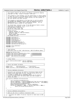|                                        | Registered Version: Linux Support Power PC64                                                                                                                                                                                                                                                                                          |                                                                  | iSeries_loMmTable.c                                              | Exhibit 8.1-7 pg 1/2 |
|----------------------------------------|---------------------------------------------------------------------------------------------------------------------------------------------------------------------------------------------------------------------------------------------------------------------------------------------------------------------------------------|------------------------------------------------------------------|------------------------------------------------------------------|----------------------|
| 1<br>-3                                | /* This module supports the iSeries I/O Address translation mapping<br>/* Copyright (C) 20yy <allan h="" trautman=""> <ibm corp=""><br/><math>/</math>*</ibm></allan>                                                                                                                                                                 |                                                                  | * /<br>$^{\star}$ /<br>$^{\star}$ /                              |                      |
| $\overline{4}$<br>5<br>8               | /* This program is free software; you can redistribute it and/or modify */<br>/* it under the terms of the GNU General Public License as published by */<br>/* the Free Software Foundation; either version 2 of the License, or<br>(at your option) any later version.                                                               |                                                                  | $^*/$<br>$^{\star}$ /                                            |                      |
| 9<br>10<br>11<br>12<br>13              | $/$ *<br>/* This program is distributed in the hope that it will be useful,<br>/* but WITHOUT ANY WARRANTY; without even the implied warranty of<br>/* MERCHANTABILITY or FITNESS FOR A PARTICULAR PURPOSE. See the<br>GNU General Public License for more details.                                                                   |                                                                  | $\star$ /<br>$^{\star}$ /<br>$^{\star}$ /<br>* /<br>$^{\star}$ / |                      |
| 14<br>15<br>16<br>17<br>18             | $/$ *<br>/* You should have received a copy of the GNU General Public License<br>/* along with this program; if not, write to the:<br>/* Free Software Foundation, Inc.,<br>/* 59 Temple Place, Suite 330,                                                                                                                            |                                                                  | $^{\star}$ /<br>$^*/$<br>* /<br>$^{\star}$ /<br>$^{\star}$ /     |                      |
| 19<br>20                               | /* Boston, MA 02111-1307 USA                                                                                                                                                                                                                                                                                                          |                                                                  | $^{\star}$ /<br>$^{\star}$ /                                     |                      |
| 21<br>22<br>23<br>24<br>25             | /* Change Activity:<br>$/$ *<br>Created, December 14, 2000<br>$\prime^*$<br>Added Bar table for IoMm performance.<br>$/$ *<br>Ported to ppc64<br>$/$ *<br>Added dynamic table allocation<br>/* End Change Activity                                                                                                                    |                                                                  | $*$ /<br>$^*/$<br>$^*/$<br>$^{\star}$ /<br>$\star/$              |                      |
| 26<br>27<br>28                         | #include <asm types.h=""></asm>                                                                                                                                                                                                                                                                                                       |                                                                  |                                                                  |                      |
| 29<br>30<br>31<br>32<br>33<br>34<br>35 | #include <asm resource.h=""><br/>#include <linux pci.h=""><br/>#include <linux spinlock.h=""><br/>#include <asm ppcdebug.h=""><br/>#include <asm flight_recorder.h=""><br/>#include <asm hvcallpci.h="" iseries=""><br/>#include <asm iseries="" iseries_pci.h=""></asm></asm></asm></asm></linux></linux></asm>                      |                                                                  |                                                                  |                      |
| 36<br>37<br>38                         | #include "iSeries_loMmTable.h"<br>#include "pci.h"                                                                                                                                                                                                                                                                                    |                                                                  |                                                                  |                      |
| 39<br>40<br>41<br>42<br>43             | /* Table defines<br>/* Each Entry size is 4 MB * 1024 Entries = 4GB I/O address space. */                                                                                                                                                                                                                                             |                                                                  | * /                                                              |                      |
| 44<br>45<br>46<br>47<br>48             | #define Max_Entries 1024<br>$unsigned$ long iSeries_IoMmTable_Entry_Size = $0x00000000004000000$<br>unsigned long iSeries_Base_Io_Memory<br>unsigned long iSeries_Max_Io_Memory<br>long iSeries_CurrentIndex<br>$= 0;$<br>static                                                                                                      | $= 0 \times E000000000000000;$<br>$= 0 \times E000000000000000;$ |                                                                  |                      |
| 49<br>50<br>51<br>52<br>53<br>54       | /* Lookup Tables.<br>struct iSeries_Device_Node** iSeries_IoMmTable;<br>u8*<br>iSeries_IoBarTable;                                                                                                                                                                                                                                    |                                                                  | * /                                                              |                      |
| 55<br>56                               |                                                                                                                                                                                                                                                                                                                                       |                                                                  |                                                                  |                      |
| 57<br>58<br>59<br>60                   | /* Static and Global variables<br>$=$ "iSeries PCI I/O" ;<br>static char*<br>iSeriesPciIoText<br>static spinlock_t iSeriesIoMmTableLock = SPIN_LOCK_UNLOCKED;                                                                                                                                                                         |                                                                  | * /                                                              |                      |
| 61<br>62<br>63<br>64                   | /* iSeries_IoMmTable_Initialize                                                                                                                                                                                                                                                                                                       |                                                                  | $^{\star}$ /                                                     |                      |
| 65<br>66<br>67<br>68<br>69             | /* Allocates and initalizes the Address Translation Table and Bar<br>/* Tables to get them ready for use. Must be called before any<br>$/* I/O$ space is handed out to the device BARs.<br>/* A follow up method, iSeries_IoMmTable_Status can be called to<br>$\prime^*$ adjust the table after the device BARs have been assiged to |                                                                  | $^{\star}$ /<br>* /<br>$^{\star}$ /<br>$^{\star}$ /<br>$^*/$     |                      |
| 70<br>71<br>72                         | $\prime\prime$ resize the table.<br>void iSeries_IoMmTable_Initialize(void)                                                                                                                                                                                                                                                           |                                                                  | $\star$ /                                                        |                      |
| 73<br>74                               | spin_lock(&iSeriesIoMmTableLock);                                                                                                                                                                                                                                                                                                     |                                                                  |                                                                  |                      |
| 75<br>76<br>77                         | $iseries_l$ oMmTable = kmalloc( $sizeof(void*)$ Max_Entries,GFP_KERNEL);<br>$iseries\_IoBarTable = kmalloc(sizeof(u8)*Max_Entries,$<br>spin_unlock(&iSeriesIoMmTableLock);                                                                                                                                                            |                                                                  | GFP_KERNEL);                                                     |                      |
| 78<br>79                               | $PCIFR$ ("IoMmTable Initialized $0x\%p$ ", iSeries_IoMmTable);<br>$\texttt{if}(\texttt{iseries\_I} \texttt{OMmTable} == \texttt{NULL} \mid \texttt{iseries\_I} \texttt{OBarTable} == \texttt{NULL})$                                                                                                                                  |                                                                  |                                                                  |                      |
| 80<br>81<br>82                         | $\text{panic}$ ( "PCI: I/O tables allocation failed.\n") ;                                                                                                                                                                                                                                                                            |                                                                  |                                                                  |                      |
| 83<br>84                               |                                                                                                                                                                                                                                                                                                                                       |                                                                  |                                                                  |                      |
| 85<br>86<br>87                         | /* iSeries_IoMmTable_AllocateEntry<br>/* Adds pci_dev entry in address translation table                                                                                                                                                                                                                                              |                                                                  | $*$ /<br>* /                                                     |                      |
| 88<br>89<br>90                         | /* - Allocates the number of entries required in table base on BAR */<br>$^{\prime}$<br>size                                                                                                                                                                                                                                          |                                                                  | $\star$ /                                                        |                      |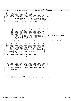```
iSeries loMmTable.c
                                                                                         Exhibit 8.1-7 pg 2/2
Registered Version: Linux Support Power PC64
  /* - Allocates starting at iSeries_Base_Io_Memory and increases.<br>/* - The size is round up to be a multiple of entry size.
91
02\gamma^* - CurrentIndex is incremented to keep track of the last entry.
93
  \frac{1}{1} - Builds the resource entry for allocated BARs.
94
   7******95
   static void iSeries_IoMmTable_AllocateEntry(struct pci_dev* PciDev, int BarNumber)
96
97
   \{struct resource* BarResource = &PciDev->resource[BarNumber];
98
          99
100
          /* No space to allocate, quick exit, skip Allocation. * *
101102
          if(Barsize == 0) return?103
          104
          105106spin_lock(&iSeriesIoMmTableLock);
107
          Prin_rown.wibournemental.com//<br>BarResource->hame = iSeriesPciIoText;<br>BarResource->start = iSeries_IoMmTable_Entry_Size*iSeries_CurrentIndex;
108
109110BarResource->start+= iSeries_Base_Io_Memory;
                          = BarResource->start+BarSize-1;
111BarResource->end
            112
          /* Allocate the number of table entries needed for BAR.
113114115while (BarSize > 0) {
                 *(iseries\_to\mbox{m}Table +iseries\_CurrentIndex) = (struct iseries\_Device\_Node*)PciDev->sysdata; *(iseries\_toBarTable +iseries\_CurrentIndex) = Bar\mbox{Number};116
117
                 BarSize -= iSeries_IoMmTable_Entry_Size;
118
                 ++iSeries_CurrentIndex;
119
120:<br>iSeries Max Io Memory = (iSeries_IoMmTable_Entry_Size*iSeries_CurrentIndex)+iSeries_Base_Io_Memory;
121spin_unlock(&iSeriesIoMmTableLock);
122\}123
124125
   /* iSeries_allocateDeviceBars
126/**********<br>/*********
             127
  \mu - Allocates ALL pci_dev BAR's and updates the resources with the*/
128
  \frac{7}{10}BARS with zero length will have the resources
129
       BAR value.
       The HvCallPci_getBarParms is used to get the size of the BAR */
130
  \frac{1}{2}It calls iSeries_IoMmTable_AllocateEntry to allocate
131
       space.
  \frac{1}{\sqrt{1}}each entry.
132
133
  /* - Loops through The Bar resourses(0 - 5) including the ROM
                                                                \star,
  /*
       134
   \frac{1}{x}135
   void iSeries_allocateDeviceBars(struct pci_dev* PciDev)
136
137
   \left\{ \right.struct resource* BarResource;
138
139intBarNumber;
140for(BarNumber = 0; BarNumber \le PCI_ROM_RESOURCE; ++BarNumber) {
                 BarResource = &PciDev->resource[BarNumber];141iSeries IoMmTable AllocateEntry(PciDev, BarNumber);
142
          \rightarrow143144
  \}145146
  \sqrt{*} Translates the IoAddress to the device that is mapped to IoSpace.
                                                                   \star147
  /* This code is inlined, see the iSeries_pci.c file for the replacement
148
149
150
   struct iSeries_Device_Node* iSeries_xlateIoMmAddress(void* IoAddress)
151
  \{return NULL;
152
  \mathcal{E}153
154
  155
    * Status hook for IoMmTable
156
   157
  void
           iSeries_IoMmTable_Status(void)
158
159
  \{PCIFR("IoMmTable......: 0x%p", iSeries_IoMmTable);
160
          PCIFR("IOMmTable Range: 0x%p to 0x%p", iSeries_Base_Io_Memory, iSeries_Max_Io_Memory);
161
          return162
  \rightarrow163
```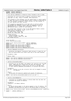## **iSeries IoMmTable.h**

Exhibit 8.1-8 pg 1/1

#ifndef \_ISERIES\_IOMMTABLE\_H  $\overline{1}$  $+4641n$  $\overline{2}$  $\overline{\mathbf{3}}$ /\* File iSeries\_IOMmTable.h created by Allan Trautman on Dec 12 2001.  $\overline{5}$ /\* Interfaces for the write/read Io address translation table.  $\epsilon$ /\* Copyright (C) 20yy Allan H Trautman, IBM Corporation  $\overline{7}$  $\mathbf{g}$ /\* This program is free software; you can redistribute it and/or modify<br>/\* it under the terms of the GNU General Public License as published by  $10$  $/\star$  $11$ the Free Software Foundation; either version 2 of the License, or /\* (at your option) any later version.  $12$  $\frac{1}{2}$  $13$  $\frac{1}{4}$ /\* This program is distributed in the hope that it will be useful, /\* Ints program is discussional in the more that is not a warranty of<br>/\* but WITHOUT ANY WARRANTY; without even the implied warranty of<br>/\* MERCHANTABILITY or FITNESS FOR A PARTICULAR PURPOSE. See the  $\overline{AB}$  $16$ /\* GNU General Public License for more details.  $17$ 18  $\sqrt{*}$  You should have received a copy of the GNU General Public License  $19$ /\* along with this program; if not, write to the: 20 /\* Free Software Foundation, Inc.,  $21$ /\* 59 Temple Place, Suite 330,<br>/\* 59 Temple Place, Suite 330,<br>/\* Boston, MA 02111-1307 USA 22  $^{23}$ \*\*\*\*\*\*\*\*\*\*\*\*\*\*\*\*\*\*\*\*\*\*\*\*\*\*\*\*\*\*\*\*\*  $\overline{24}$  $x$  Change Activity:  $25$  $\begin{tabular}{ll} & & \textit{J} & \textit{J} & \textit{J} & \textit{J} \\ \textit{/*} & \textit{Created December 12, 2000} \\ \textit{/*} & \textit{Portad the model} \end{tabular}$ 26 Ported to ppc64, August 30, 2001  $27$ Forced to ppc64, Au /\* End Change Activity<br>/\* End Change Activity<br>/\*\*\*\*\*\*\*\*\*\*\*\*\*\*\*\*\*\*\*\*\*\*\* 28 29  $30<sup>2</sup>$ struct pci\_dev;<br>struct iSeries\_Device\_Node;  $31$  $32$ 33 extern struct iSeries\_Device\_Node\*\* iSeries\_IoMmTable;  $34$ extern  $u8*$ iSeries IoBarTable; 35 extern unsigned long iSeries\_Base\_Io\_Memory;  $36$ extern unsigned long iSeries\_Max\_Io\_Memory;<br>extern unsigned long iSeries\_Max\_Io\_Memory;<br>extern unsigned long iSeries\_Base\_Io\_Memory;  $37$ 38 39  $40$ \* iSeries\_IoMmTable\_Initialize<br>/\* iSeries\_IoMmTable\_Initialize  $41$  $42$ /\* - Initalizes the Address Translation Table and get it ready for use. \*<br>/\* Must be called before any client calls any of the other methods. \* 43  $44$  $/$ \* 45 /\* Parameters: None. 46  $\frac{1}{x}$  $\overline{47}$  $/*$  Return: None 48  $49$ extern void iSeries\_IoMmTable\_Initialize(void);<br>extern void iSeries\_IoMmTable\_Status(void);  $50$ 51 52  $53$ 54 55 /\* - Allocates ALL pci\_dev BAR's and updates the resources with the BAR \*<br>/\* value. BARS with zero length will not have the resources. The \* 56 57  $7*$ HvCallPci\_getBarParms is used to get the size of the BAR space. 58  $/$ \* It calls iSeries\_IoMmTable\_AllocateEntry to allocate each entry. 59 60 /\* Parameters: 61 /\* pci\_dev = Pointer to pci\_dev structure that will be mapped to pseudo<br>/\* pci\_dev = Pointer to pci\_dev structure that will be mapped to pseudo 62 I/O Address. 63  $64$  $\frac{1}{2}$  Return: 65 .......<br>The pci\_dev I/O resources updated with pseudo I/O Addresses. 66 67 extern void iSeries\_allocateDeviceBars(struct pci\_dev\*); 68 69  $70$  $71$ 72 /\* - Translates an I/O Memory address to Device Node that has been the /\* allocated the psuedo I/O Address. 73  $\overline{74}$ 75 /\* Parameters: 76  $/*$  IoAddress =  $I/O$  Memory Address.  $77$ 78  $\frac{1}{1}$  Return.  $70$ ecurn:<br>An iSeries\_Device\_Node to the device mapped to the I/O address. The\*/<br>BarNumber and BarOffset are valid if the Device Node is returned. \*/  $\gamma$ \*  $80$ 81 82 extern struct iSeries\_Device\_Node\* iSeries\_xlateIoMmAddress(void\* IoAddress); 83 84 #endif  $/*$  \_ISERIES\_IOMMTABLE\_H \*/ 85

Registered Version: Linux Support Power PC64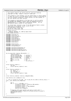| Registered Version: Linux Support Power PC64                                                                         |                                                                                                                                                    | <b>iSeries_irq.c</b> |                       | Exhibit 8.1-9 pg 1/3 |
|----------------------------------------------------------------------------------------------------------------------|----------------------------------------------------------------------------------------------------------------------------------------------------|----------------------|-----------------------|----------------------|
|                                                                                                                      |                                                                                                                                                    |                      |                       |                      |
| 3                                                                                                                    | /* This module supports the iSeries PCI bus interrupt handling<br>/* Copyright (C) 20yy <robert holtorf="" l=""> <ibm corp=""></ibm></robert>      |                      | * /<br>$\star$ /      |                      |
| $/$ *<br>$\overline{4}$                                                                                              |                                                                                                                                                    |                      | $*$ /                 |                      |
| 5                                                                                                                    | /* This program is free software; you can redistribute it and/or modify */<br>it under the terms of the GNU General Public License as published by |                      | $\star/$              |                      |
|                                                                                                                      | the Free Software Foundation; either version 2 of the License, or                                                                                  |                      | $^*/$                 |                      |
| (at your option) any later version.<br>8<br>$/$ *<br>9                                                               |                                                                                                                                                    |                      | $^{\star}$ /<br>$^*/$ |                      |
| $/$ *<br>10                                                                                                          | This program is distributed in the hope that it will be useful,                                                                                    |                      | $^*/$                 |                      |
| 11<br>12                                                                                                             | /* but WITHOUT ANY WARRANTY; without even the implied warranty of<br>/* MERCHANTABILITY or FITNESS FOR A PARTICULAR PURPOSE. See the               |                      | $^*/$<br>$^*/$        |                      |
| GNU General Public License for more details.<br>$/$ *<br>13                                                          |                                                                                                                                                    |                      | * /                   |                      |
| $/$ *<br>14<br>15                                                                                                    | /* You should have received a copy of the GNU General Public License                                                                               |                      | $^{\star}$ /<br>$^*/$ |                      |
| /* along with this program; if not, write to the:<br>16                                                              |                                                                                                                                                    |                      | $^{\star}$ /          |                      |
| /* Free Software Foundation, Inc.,<br>17<br>/* 59 Temple Place, Suite 330,                                           |                                                                                                                                                    |                      | $^{\star}$ /<br>$^*/$ |                      |
| 18<br>/* Boston, MA 02111-1307 USA<br>19                                                                             |                                                                                                                                                    |                      | $^*/$                 |                      |
| $/**$<br>20<br>/* Change Activity:<br>21                                                                             |                                                                                                                                                    |                      | $^{\star}$ /          |                      |
| 22                                                                                                                   | Created, December 13, 2000 by Wayne Holm                                                                                                           |                      | $^{\star}$            |                      |
| /* End Change Activity<br>23<br>24                                                                                   |                                                                                                                                                    |                      | $^{\star}$ /          |                      |
| #include <linux pci.h=""><br/>25</linux>                                                                             |                                                                                                                                                    |                      |                       |                      |
| #include <linux init.h=""><br/>26<br/>#include <linux threads.h=""></linux></linux>                                  |                                                                                                                                                    |                      |                       |                      |
| 27<br>#include <linux smp.h=""><br/>28</linux>                                                                       |                                                                                                                                                    |                      |                       |                      |
| #include <linux param.h=""><br/>29<br/>#include <linux string.h=""></linux></linux>                                  |                                                                                                                                                    |                      |                       |                      |
| 30<br>#include <linux bootmem.h=""><br/>31</linux>                                                                   |                                                                                                                                                    |                      |                       |                      |
| #include <linux blk.h=""><br/>32<br/>#include <linux ide.h=""></linux></linux>                                       |                                                                                                                                                    |                      |                       |                      |
| 33<br>34                                                                                                             |                                                                                                                                                    |                      |                       |                      |
| #include <linux irg.h=""><br/>35<br/>#include <linux spinlock.h=""></linux></linux>                                  |                                                                                                                                                    |                      |                       |                      |
| 36<br>#include <asm ppcdebug.h=""><br/>37</asm>                                                                      |                                                                                                                                                    |                      |                       |                      |
| 38<br>#include <asm hvcallpci.h="" iseries=""><br/>39</asm>                                                          |                                                                                                                                                    |                      |                       |                      |
| #include <asm hvcallxm.h="" iseries=""><br/>40</asm>                                                                 |                                                                                                                                                    |                      |                       |                      |
| #include <asm iseries="" iseries_irq.h=""><br/>41<br/>#include <asm iseries="" xmpcilpevent.h=""><br/>42</asm></asm> |                                                                                                                                                    |                      |                       |                      |
| 43                                                                                                                   |                                                                                                                                                    |                      |                       |                      |
| 44<br>hw_irq_controller iSeries_IRQ_handler = {                                                                      |                                                                                                                                                    |                      |                       |                      |
| 45<br>"iSeries irq controller",<br>46                                                                                |                                                                                                                                                    |                      |                       |                      |
| iSeries_startup_IRQ,<br>47<br>iSeries_shutdown_IRQ,<br>48                                                            | $\frac{1}{2}$ startup */<br>$/*$ shutdown $*/$                                                                                                     |                      |                       |                      |
| iSeries_enable_IRQ,<br>49                                                                                            | $/*$ enable $*/$                                                                                                                                   |                      |                       |                      |
| iSeries_disable_IRQ,<br>50<br>NULL,<br>51                                                                            | $/*$ disable $*/$<br>$/*$ ack $*/$                                                                                                                 |                      |                       |                      |
| iSeries_end_IRQ,<br>52                                                                                               | $/* end */$                                                                                                                                        |                      |                       |                      |
| NULL<br>53<br>$\}$ ;<br>54                                                                                           | $\prime\star$ set_affinity */                                                                                                                      |                      |                       |                      |
| 55                                                                                                                   |                                                                                                                                                    |                      |                       |                      |
| 56<br>struct iSeries_irqEntry {<br>57                                                                                |                                                                                                                                                    |                      |                       |                      |
| u32 dsa;<br>58                                                                                                       |                                                                                                                                                    |                      |                       |                      |
| struct iSeries_irqEntry* next;<br>59<br>$\}$ ;<br>60                                                                 |                                                                                                                                                    |                      |                       |                      |
| 61                                                                                                                   |                                                                                                                                                    |                      |                       |                      |
| struct iSeries_irqAnchor {<br>62<br>$u8$ valid : 1;<br>63                                                            |                                                                                                                                                    |                      |                       |                      |
| u8 reserved: 7;<br>64                                                                                                |                                                                                                                                                    |                      |                       |                      |
| u16 entryCount;<br>65<br>struct iSeries_irqEntry* head;<br>66                                                        |                                                                                                                                                    |                      |                       |                      |
| $\}$ ;<br>67                                                                                                         |                                                                                                                                                    |                      |                       |                      |
| 68<br>struct iSeries_irqAnchor iSeries_irqMap[NR_IRQS];<br>69                                                        |                                                                                                                                                    |                      |                       |                      |
| 70                                                                                                                   |                                                                                                                                                    |                      |                       |                      |
| void iSeries_init_irqMap(int irq);<br>71<br>72                                                                       |                                                                                                                                                    |                      |                       |                      |
| $/$ *<br>73                                                                                                          | This is called by init_IRQ. set in ppc_md.init_IRQ by iSeries_setup.c */                                                                           |                      |                       |                      |
| void __init iSeries_init_IRQ(void)<br>74<br>75                                                                       |                                                                                                                                                    |                      |                       |                      |
| int i;<br>76                                                                                                         |                                                                                                                                                    |                      |                       |                      |
| <b>for</b> (i = 0; i < NR_IRQS; i++) {<br>77<br>78                                                                   | irq_desc[i].handler = &iSeries_IRQ_handler;                                                                                                        |                      |                       |                      |
| 79                                                                                                                   | $irq$ desc[i].status = 0;                                                                                                                          |                      |                       |                      |
| 80<br>81                                                                                                             | $irq\_$ desc[i].status  = IRQ $\_$ DISABLED;<br>$irq\_desc[i].depth = 1;$                                                                          |                      |                       |                      |
| 82                                                                                                                   | iSeries_init_irqMap(i);                                                                                                                            |                      |                       |                      |
| 83<br>84                                                                                                             | /* Register PCI event handler and open an event path */                                                                                            |                      |                       |                      |
| 85                                                                                                                   | PPCDBG (PPCDBG_BUSWALK, "Register PCI event handler and open an event path $\ln$ ") ;                                                              |                      |                       |                      |
| XmPciLpEvent_init();<br>86<br>return;<br>87                                                                          |                                                                                                                                                    |                      |                       |                      |
| 88                                                                                                                   |                                                                                                                                                    |                      |                       |                      |
| 89<br>O <sub>0</sub>                                                                                                 |                                                                                                                                                    |                      |                       |                      |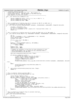```
91 * Called by iSeries_init_IRQ 
92 * Prevent IRQs 0 and 255 from being used. IRQ 0 appears in
93 * uninitialized devices. IRQ 255 appears in the PCI interrupt<br>94 * line register if a PCI error occurs,
 94 * line register if a PCI error occurs,
95 *********************************************************************/
96 void init iSeries init irqMap(int irq)
97 {
98 iSeries_irqMap[irq].valid = (irq == 0 || irq == 255)? 0 : 1;<br>99 iSeries irqMap[irq].entryCount = 0;
99 iSeries_irqMap[irq].entryCount = 0;<br>100 iSeries irqMap[irq].head = NULL;
100 iSeries_irqMap[irq].head = NULL;<br>101 }
    101 }
102
103 /* This is called out of iSeries_scan_slot to allocate an IRQ for an EADS slot */<br>104 /* It calculates the irq value for the slot. */
104 /* It calculates the irq value for the slot. */
105 int __init iSeries_allocate_IRQ(HvBusNumber busNumber, HvSubBusNumber subBusNumber, HvAgentId deviceId)
106 {
107 u8 idsel = (deviceId >> 4);
108 u8 function = deviceId & 0x0F;<br>109 int irq = ((((busNumber-1)*16)
               int irq = ((((busNumber-1)*16 + (idsel-1)*8 + function)*9/8) % 253) + 2;
110 return irq;
   \}112
113 /* This is called out of iSeries_scan_slot to assign the EADS slot to its IRQ number */<br>114 int _init iSeries_assign_IRQ(int irg, HvBusNumber busNumber, HvSubBusNumber subBusNumb
    114 int __init iSeries_assign_IRQ(int irq, HvBusNumber busNumber, HvSubBusNumber subBusNumber, HvAgentId deviceId)
115 {
116 int rc;
117 u32 dsa = (busNumber << 16) | (subBusNumber << 8) | deviceId;
118 struct iSeries_irqEntry* newEntry;
119 unsigned long flags;
120121 if \left| \text{irq} < 0 \right| \left| \text{irq} > \text{NR\_IRQS} \right) {<br>
return -1;
                          return −1;
123<br>124124 newEntry = kmalloc(sizeof(*newEntry), GFP_KERNEL);<br>125 if (newEntry == NULL) {
125 if (newEntry == NULL) {<br>
return −ENOMEM;
127 }
128 newEntry−>dsa = dsa;<br>129 newEntry−>next = NULI
129 newEntry−>next = NULL;
130 /********************************************************************
131 * Probably not necessary to lock the irq since allocation is only 
132 * done during buswalk, but it should not hurt anything except a 
133 * little performance to be smp safe.
134 *******************************************************************/
135 spin_lock_irqsave(&irq_desc[irq].lock, flags);
136
137 if (iSeries_irqMap[irq].valid) {<br>138 /* Push the new element
138 /* Push the new element onto the irq stack */
139 newEntry−>next = iSeries_irqMap[irq].head;
140 iSeries_irqMap[irq].head = newEntry;
141 ++iSeries_irqMap[irq].entryCount;
\text{142} \quad \text{r} \text{c} = 0;<br>
\text{143} \quad \text{PPCDBG}143 PPCDBG(PPCDBG_BUSWALK,"iSeries_assign_IRQ 0x%04X.%02X.%02X = 0x%04X\n",busNumber, subBusNumber, deviceId
     , irq);
144 }
145 else {
                          printk("PCI: Something is wrong with the iSeries_irqMap. \n");
147 \text{kfree}(\text{newEntry}):<br>
148 \text{rc} = -1;\{1, 2, \ldots, r: 1\}149 }
150 spin_unlock_irqrestore(&irq_desc[irq].lock, flags);
151 return rc;
152 }
153
154
155 /* This is called by iSeries activate IROs */
156 unsigned int iSeries_startup_IRQ(unsigned int irq)
157 \frac{1}{2}158 struct iSeries_irqEntry* entry;
159 u32 bus, subBus, deviceId, function, mask;
160 for(entry=iSeries_irqMap[irq].head; entry!=NULL; entry=entry->next) {<br>161 bus = (entry->dsa >> 16) & 0xFFFF;
162 subBus = (entry−>dsa >> 8) & 0xFF;<br>163 deviceId = entry−>dsa & 0xFF;
                          163 deviceId = entry−>dsa & 0xFF;
164 function = deviceId & 0x0F;
165 /* Link the IRQ number to the bridge */
166 HvCallXm_connectBusUnit(bus, subBus, deviceId, irq);
167 /* Unmask bridge interrupts in the FISR */
168 mask = 0x01010000 << function;
169 HvCallPci_unmaskFisr(bus, subBus, deviceId, mask);
170 PPCDBG(PPCDBG_BUSWALK,"iSeries_activate_IRQ 0x%02X.%02X.%02X Irq:0x%02X\n",bus,subBus,deviceId,irq);
171 }
    <sup>1</sup>/<sub>2</sub> return 0;
173 }
174
175 /* This is called out of iSeries_fixup to activate interrupt
176 * generation for usable slots */
177 void __init iSeries_activate_IRQs()<br>178 {
178 {
179 int irq;
Registered Version: Linux Support Power PC64 iSeries irq.c Exhibit 8.1–9 pg 2/3
```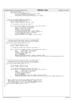```
180 unsigned long flags;
181 for (irq=0; irq < NR_IRQS; irq++) {
182 spin_lock_irqsave(&irq_desc[irq].lock, flags);
183 irq_desc[irq].handler−>startup(irq);
184 spin_unlock_irqrestore(&irq_desc[irq].lock, flags);<br>185   |
               \left\{ \right\}\begin{array}{c} 186 \\ 1 \end{array}187
188 /* this is not called anywhere currently */<br>189 void iSeries shutdown IRO(unsigned int irg)
189 void iSeries_shutdown_IRQ(unsigned int irq) {<br>190 struct iSeries irqEntry* entry;
190 struct iSeries_irqEntry* entry;
191 u32 bus, subBus, deviceId, function, mask;
192
193 /* irq should be locked by the caller */
194
195 for (entry=iSeries_irqMap[irq].head; entry; entry=entry−>next) {
196 bus = (entry−>dsa >> 16) & 0xFFFF;
197 subBus = (entry−>dsa >> 8) & 0xFF;<br>198 deviceId = entry−>dsa & 0xFF;
198 deviceId = entry−>dsa & 0xFF;<br>199 function = deviceId & 0x0F;
199 function = deviceId & 0x0F;
200 /* Invalidate the IRQ number in the bridge */
201 HvCallXm_connectBusUnit(bus, subBus, deviceId, 0);
202 /* Mask bridge interrupts in the FISR */
203 mask = 0x01010000 << function;<br>
204 HyCallPci maskFisr(bus, subBus
                          HvCallPci_maskFisr(bus, subBus, deviceId, mask);
205 }
206
207 }
208
209 /***********************************************************
210 * This will be called by device drivers (via disable_IRQ)
211 * to disable INTA in the bridge interrupt status register.
212 ***********************************************************/
    void iSeries_disable_IRQ(unsigned int irq)
214 {<br>215
               struct iSeries irgEntry* entry;
216 u32 bus, subBus, deviceId, mask;
217
218 /* The IRQ has already been locked by the caller */
219
220 for (entry=iSeries_irqMap[irq].head; entry; entry=entry−>next) {
221 bus = (entry−>dsa >> 16) & 0xFFFF;
222 subBus = (entry−>dsa >> 8) & 0xFF;
223 deviceId = entry−>dsa & 0xFF;
224 /* Mask secondary INTA */
225 mask = 0x80000000;
226 HvCallPci_maskInterrupts(bus, subBus, deviceId, mask);<br>227 PPCDBG(PPCDBG BUSWALK, "iSeries disable IRO 0x%02X.%02X.%02X0
227 PPCDBG(PPCDBG_BUSWALK, "iSeries_disable_IRQ 0x\%02X.\%02X.\%02X.0x\%04X\ln", bus, subBus, deviceId, irq);
\begin{array}{c} 228 \\ 229 \end{array}229 }
230
231 /***********************************************************
      * This will be called by device drivers (via enable_IRQ)
233 * to enable INTA in the bridge interrupt status register.
234 ***********************************************************/
235 void iSeries_enable_IRQ(unsigned int irq)
236 \quad \{237 struct iSeries_irqEntry* entry<br>238 132 bus. subBus. deviceId. mas
               u32 bus, subBus, deviceId, mask;
239
240 /* The IRQ has already been locked by the caller */
241 for (entry=iSeries_irqMap[irq].head; entry; entry=entry−>next) {
242 bus = (entry−>dsa >> 16) & 0xFFFF;
243 subBus = (entry−>dsa >> 8) & 0xFF;
244 deviceId = entry−>dsa & 0xFF;
245 /* Unmask secondary INTA */
246 mask = 0x80000000;
247 HvCallPci_unmaskInterrupts(bus, subBus, deviceId, mask);<br>248 PPCDBG(PPCDBG BUSWALK, "iSeries enable IRO 0x%02X,%02X,0x%02X
248 PPCDBG(PPCDBG_BUSWALK, "iSeries_enable_IRQ 0x%02X.%02X.%02X 0x%04X\n",bus,subBus,deviceId,irq);<br>249
               \rightarrow250 }
251
%% /* Need to define this so ppc_irq_dispatch_handler will NOT call<br>% enable_IRQ at the end of interrupt handling. However, this<br>% does nothing because there is not enough information provided<br>% to do the EOI HvCall. This 
256 void iSeries_end_IRQ(unsigned int irq)
257 {
258259Registered Version: Linux Support Power PC64 iSeries irq.c Exhibit 8.1–9 pg 3/3
```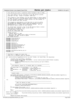**iSeries pci reset.c** Registered Version: Linux Support Power PC64 Exhibit 8.1-10 pg 1/2  $\overline{2}$  $\overline{\mathbf{3}}$ /\* This code supports the pci interface on the IBM iSeries systems. /\* Copyright  $(\tilde{C})$  20yy <Allan H Trautman> <IBM Corp> 5  $\epsilon$ /\* This program is free software; you can redistribute it and/or modify<br>/\* it under the terms of the GNU General Public License as published by  $\overline{7}$  $\mathbf{g}$ /\* the Free Software Foundation; either version 2 of the License, or /\* (at your option) any later version.  $10$  $11$ /\* This program is distributed in the hope that it will be useful,<br>/\* but WITHOUT ANY WARRANTY; without even the implied warranty of  $12$  $13$  $\frac{1}{4}$ /\* MERCHANTABILITY or FITNESS FOR A PARTICULAR PURPOSE. See the /\* GNU General Public License for more details.  $\overline{AB}$ 16 /\* You should have received a copy of the GNU General Public License  $17$ /\* along with this program; if not, write to the: 18 /\* Free Software Foundation, Inc.,  $19$ 20  $21$ 22 /\* Change Activity:  $23$  $/$ \*  $\overline{24}$ Created, March 20, 2001  $25$ April 30, 2001, Added return codes on functions.  $26$ September 10, 2001, Ported to ppc64. \* End Change Activity  $27$ 28 #include <linux/kernel.h> 29  $30<sup>2</sup>$ #include <linux/init.h> #include <linux/pci.h>  $31$ #include <linux/irq.h>  $32^{\circ}$  $33$  $34$  $\#$ include  $\langle$ asm/io.h> #include <asm/init.h><br>#include <asm/iSeries/HvCallPci.h>  $35^{\circ}$  $36$ #include <asm/iSeries/HvTypes.h>  $37$ #include <asm/iSeries/mf.h> 38 #include <asm/flight\_recorder.h> 39  $40$ #include <asm/pci.h>  $41$ #include <asm/iSeries/iSeries\_pci.h>  $42$ 43 #include "pci.h"  $44$ 45 /\* Interface to toggle the reset line 46  $x + 1$  increased to the seconds. The seconds.<br>  $x + 1$  in the is in . 1 seconds. The seconds.  $\overline{47}$  $7***$ \*\*\*\*\*\*\*\*\*\*\*\*\*\*\*\*\*\*\*\*\*\*\*\*\*\*\*\*\*\*\* 48 int iSeries\_Device\_ToggleReset(struct pci\_dev\* PciDev, int AssertTime, int DelayTime)  $49$  $50$  $\{$ unsigned long AssertDelay, WaitDelay; 51 struct iSeries Device Node\* DeviceNode = (struct iSeries Device Node\*)PciDev->sysdata; 52 if  $(DeviceNode == NULL)$  {  $53$ 54 printk ("PCI: Pci Reset Failed, Device Node not found for pci\_dev %p\n", PciDev);  $55$  $return -1$ 56 57 58 59 if (AssertTime == 0) AssertDelay =  $(5 * HZ)/10i$ 60 AssertDelay =  $(0.85e^{+T})^{T}$ <br>
MaitDelay =  $(30 * HZ)/10$ ;<br>
WaitDelay =  $(20 * HZ)/10$ ;<br>
WaitDelay =  $(DelayTime* HZ)/10$ ; 61  $_{\texttt{else}}$ if (WaitDelay == 0) WaitDelay 62 63 else 64 65 \* Assert reset 66 67 DeviceNode->ReturnCode = HvCallPci\_setSlotReset(ISERIES\_BUS(DeviceNode),0x00,DeviceNode->AgentId,1); 68  $if (DeviceNode > ReturnCode == 0)$ 69 set\_current\_state(TASK\_UNINTERRUPTIBLE);  $70$  $\frac{1}{4}$  Sleep for the time  $s$ chedule timeout (AssertDelay);  $71$ DeviceNode->ReturnCode = HvCallPci\_setSlotReset(ISERIES\_BUS(DeviceNode), 0x00, DeviceNode->AgentId,  $72$  $0)$ ;  $73$ 74 \* Wait for device to reset 75 76  $\overline{77}$ set\_current\_state(TASK\_UNINTERRUPTIBLE); 78 schedule\_timeout(WaitDelay);  $70$ if (DeviceNode->ReturnCode == 0) { 80 PCIFR("Slot0x%04X.%02X Reset\n", ISERIES\_BUS(DeviceNode), DeviceNode->AgentId ); 81 82  $e$ lse { 83 printk("PCI: Slot 0x%04X%02X Reset Failed RCode: %04X\n", ISERIES BUS(DeviceNode), DeviceNode->AgentId, Devic  $84$ eNode->ReturnCode); PCIFR( "Slot 0x%04X.%02X Reset Failed, RCode: %04X\n", ISERIES BUS (DeviceNode), DeviceNode->AgentId, Dev 85 iceNode->ReturnCode); 86 87 return DeviceNode->ReturnCode;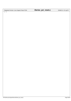Registered Version: Linux Support Power PC64 **iSeries\_pci\_reset.c** Exhibit 8.1−10 pg 2/2

<sup>88</sup> }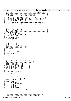|                                 | Registered Version: Linux Support Power PC64                                                                                                                                                                                                                                    | iSeries_VpdInfo.c                                                     | Exhibit 8.1-11 pg 1/4 |
|---------------------------------|---------------------------------------------------------------------------------------------------------------------------------------------------------------------------------------------------------------------------------------------------------------------------------|-----------------------------------------------------------------------|-----------------------|
| 1<br>2<br>3                     | /* File iSeries_vpdInfo.c created by Allan Trautman on Fri Feb 2 2001. */                                                                                                                                                                                                       |                                                                       |                       |
| 4<br>5                          | /* This code gets the card location of the hardware<br>/* Copyright (C) 20yy <allan h="" trautman=""> <ibm corp=""><br/><math>/</math>*</ibm></allan>                                                                                                                           | $^*/$<br>$^{\star}$ /<br>$\star$ /                                    |                       |
| 6<br>$\overline{7}$<br>10<br>11 | This program is free software; you can redistribute it and/or modify */<br>/* it under the terms of the GNU General Public License as published by */<br>/* the Free Software Foundation; either version 2 of the License, or<br>(at your option) any later version.<br>$/$ *   | $^*/$<br>$^{\star}$ /<br>$\star$ /                                    |                       |
| 12<br>13<br>14<br>15<br>16      | $\sqrt{\cdot}$ This program is distributed in the hope that it will be useful,<br>/* but WITHOUT ANY WARRANTY; without even the implied warranty of<br>/* MERCHANTABILITY or FITNESS FOR A PARTICULAR PURPOSE. See the<br>GNU General Public License for more details.<br>$/$ * | $^{\star}$ /<br>$^{\star}$ /<br>$^*/$<br>$^{\star}$ /<br>$^{\star}$ / |                       |
| 17<br>18<br>19<br>20            | /* You should have received a copy of the GNU General Public License<br>/* along with this program; if not, write to the:<br>/* Free Software Foundation, Inc.,<br>/* 59 Temple Place, Suite 330,                                                                               | $^*/$<br>$^{\star}$ /<br>$\star$ /<br>$^{\star}$ /                    |                       |
| 21<br>22<br>23<br>24            | /* Boston, MA 02111-1307 USA<br>$7$ *******************<br>/* Change Activity:<br>Created, Feb 2, 2001                                                                                                                                                                          | $\star/$<br>$^{\star}$ /<br>$^*/$                                     |                       |
| 25<br>26<br>27                  | $/$ *<br>Ported to ppc64, August 20, 2001<br>/* End Change Activity                                                                                                                                                                                                             | $^*/$<br>$\star$ /                                                    |                       |
| 28<br>29<br>30                  | #include <linux init.h=""><br/>#include <linux pci.h=""><br/>#include <asm types.h=""></asm></linux></linux>                                                                                                                                                                    |                                                                       |                       |
| 31<br>32                        | #include <asm resource.h=""></asm>                                                                                                                                                                                                                                              |                                                                       |                       |
| 33<br>34                        | #include <asm hvcallpci.h="" iseries=""><br/>#include <asm hvtypes.h="" iseries=""></asm></asm>                                                                                                                                                                                 |                                                                       |                       |
| 35<br>36                        | #include <asm iseries="" mf.h=""><br/>#include <asm iseries="" lpardata.h=""></asm></asm>                                                                                                                                                                                       |                                                                       |                       |
| 37<br>38                        | #include <asm hvcallpci.h="" iseries=""><br/>//#include <asm iseries="" iseries_vpdinfo.h=""></asm></asm>                                                                                                                                                                       |                                                                       |                       |
| 39<br>40                        | #include <asm iseries="" iseries_pci.h=""><br/>#include "pci.h"</asm>                                                                                                                                                                                                           |                                                                       |                       |
| 41<br>42                        |                                                                                                                                                                                                                                                                                 |                                                                       |                       |
| 43<br>44<br>45                  | /* Size of Bus VPD data<br>$*$ /<br>#define BUS_VPDSIZE 1024                                                                                                                                                                                                                    |                                                                       |                       |
| 46<br>47                        | $*$ /<br>/* Bus Vpd Tags                                                                                                                                                                                                                                                        |                                                                       |                       |
| 48<br>49                        | #define VpdEndOfDataTag<br>0x78                                                                                                                                                                                                                                                 |                                                                       |                       |
| 50                              | #define VpdEndOfAreaTag<br>0x79                                                                                                                                                                                                                                                 |                                                                       |                       |
| 51<br>52                        | #define VpdIdStringTag<br>0x82<br>#define VpdVendorAreaTag 0x84                                                                                                                                                                                                                 |                                                                       |                       |
| 53                              | $^{\star}$ /                                                                                                                                                                                                                                                                    |                                                                       |                       |
| 54<br>55                        | /* Mfg Area Tags                                                                                                                                                                                                                                                                |                                                                       |                       |
| 56<br>57                        | VpdFruFlag<br>0x4647<br>$//$ "FG"<br>#define<br>#define<br>VpdFruFrameId<br>0x4649<br>// "FI"                                                                                                                                                                                   |                                                                       |                       |
| .58                             | #define<br>VpdSlotMapFormat 0x4D46<br>// "MF"                                                                                                                                                                                                                                   |                                                                       |                       |
| 59<br>60                        | #define<br>VpdAsmPartNumber 0x504E<br>$//$ "PN"<br>$//$ "SN"<br>#define<br>VpdFruSerial<br>0x534E                                                                                                                                                                               |                                                                       |                       |
| 61                              | // "SM"<br>#define VpdSlotMap<br>0x534D                                                                                                                                                                                                                                         |                                                                       |                       |
| 62<br>63                        |                                                                                                                                                                                                                                                                                 |                                                                       |                       |
| 64<br>65                        | $^*/$<br>/* Structures of the areas                                                                                                                                                                                                                                             |                                                                       |                       |
| 66                              | struct MfgVpdAreaStruct {                                                                                                                                                                                                                                                       |                                                                       |                       |
| 67<br>68                        | ul6 Tag;<br>u8<br>TagLength;                                                                                                                                                                                                                                                    |                                                                       |                       |
| 69                              | u8<br>AreaDatal;                                                                                                                                                                                                                                                                |                                                                       |                       |
| 70<br>71                        | u8 AreaData2;<br>$\{i\}$                                                                                                                                                                                                                                                        |                                                                       |                       |
| 72<br>73<br>74                  | typedef struct MfgVpdAreaStruct MfgArea;<br>#define MFG_ENTRY_SIZE<br>3                                                                                                                                                                                                         |                                                                       |                       |
| 75<br>76                        | struct SlotMapStruct {<br>u8<br>AgentId;                                                                                                                                                                                                                                        |                                                                       |                       |
| 77                              | u8<br>SecondaryAgentId;                                                                                                                                                                                                                                                         |                                                                       |                       |
| 78<br>79                        | PhbId;<br>u8<br><i>char</i> CardLocation[3];                                                                                                                                                                                                                                    |                                                                       |                       |
| 80                              | <i>char</i> Parms[8];                                                                                                                                                                                                                                                           |                                                                       |                       |
| 81<br>82                        | <i>char</i> Reserved[2];<br>$\vert \cdot \rangle$                                                                                                                                                                                                                               |                                                                       |                       |
| 83<br>84                        | typedef struct SlotMapStruct SlotMap;<br>#define SLOT_ENTRY_SIZE<br>16                                                                                                                                                                                                          |                                                                       |                       |
| 85<br>86<br>87                  |                                                                                                                                                                                                                                                                                 |                                                                       |                       |
| 88<br>89                        | * Bus, Card, Board, FrameId, CardLocation.                                                                                                                                                                                                                                      | $\star$                                                               |                       |
| 90                              | LocationData* iSeries_GetLocationData(struct pci_dev* PciDev)                                                                                                                                                                                                                   |                                                                       |                       |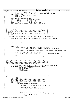```
91 \{99\}struct iSeries Device Node* DevNode = (struct iSeries Device Node*)PciDev−>sysdata;
93 LocationData* LocationPtr = (LocationData*)kmalloc(LOCATION_DATA_SIZE, GFP_KERNEL);<br>94 if (LocationPtr == NULL) {
94 if (LocationPtr == NULL) {
95 printk("PCI: LocationData area allocation failed!\n");
96 return NULL;
97 }
98 memset(LocationPtr,0,LOCATION_DATA_SIZE);<br>99 LocationPtr->Bus = ISERIES B
99 LocationPtr−>Bus = ISERIES_BUS(DevNode);<br>100 LocationPtr−>Board = DevNode->Board;
100 LocationPtr−>Board = DevNode<sup>-</sup>>Board;<br>101 LocationPtr−>FrameId = DevNode->FrameId;
101 LocationPtr->FrameId = DevNode->FrameId;<br>102 LocationPtr->Card = PCI_SLOT(DevNode->DevFn);<br>103 strcpy(&LocationPtr->CardLocation[0],&DevNode->CardLocation[0]);
104 return LocationPtr;
   }
106
107 /************************************************************************/
108 /* Formats the device information. */
109 /* − Pass in pci_dev* pointer to the device. */
110 /* − Pass in buffer to place the data. Danger here is the buffer must */
111 /* be as big as the client says it is. Should be at least 128 bytes.*/
112 /* Return will the length of the string data put in the buffer.<br>113 /* Format:
113 /* Format: */
114 /* PCI: Bus 0, Device 26, Vendor 0x12AE Frame 1, Card C10 Ethernet */
115 /* controller
116 /************************************************************************/
117 int iSeries Device Information(struct pci dev* PciDev,char* Buffer, int BufferSize)
118 \{119 struct iSeries_Device_Node* DevNode = (struct iSeries_Device_Node*)PciDev−>sysdata;
120 char* BufPtr = Buffer;
121 int LineLen = 0;
122
123 if (DevNode == NULL)<br>124 LineLen = Sp
124 LineLen = sprintf(BufPtr+LineLen, "PCI: iSeries_Device_Information DevNode is NULL");<br>
125 return LineLen;
             1<sup>3</sup> return LineLen;
126 }
127
128 if (BufferSize >= 128) {<br>129 ineLen = sprin
129 LineLen = sprintf(BufPtr+LineLen, "PCI: Bus%3d, Device%3d, Vendor %04X"<br>130 (ISERIES BUS(DevNode), PCI SLOT(PciDev->devfn),
                                             130 ISERIES_BUS(DevNode), PCI_SLOT(PciDev−>devfn),PciDev−>vendor);
131
132 LineLen += sprintf(BufPtr+LineLen,"Frame%3d, Card %4s ", DevNode−>FrameId,DevNode−>CardLocation);
133
134 if (pci_class_name(PciDev->class >> 8) == 0) {<br>135 ineLen += sprintf(BufPtr+LineLen,"0x%
                                135 LineLen += sprintf(BufPtr+LineLen,"0x%04X ",(int)(PciDev−>class >> 8));
136 }
137<br>138 else {
138 LineLen += sprintf(BufPtr+LineLen,"%s",pci_class_name(PciDev−>class >> 8) );
\left\{\right. \right\}140141 return LineLen;
142 }
    143 /************************************************************************/
144 /* Build a character string of the device location, Frame 1, Card C10 */
145 /************************************************************************/
146 int device_Location(struct pci_dev* PciDev, char* BufPtr)<br>147 {
   \left\{ \right.148 struct iSeries_Device_Node* DevNode = (struct iSeries_Device_Node*)PciDev->sysdata;<br>149 return sprintf(BufPtr, "PCI: Bus%3d, AgentId%3d, Vendor%04X, Location %s".
<sup>149</sup> return sprintf(BufPtr, "PCI: Bus%3d, AgentId%3d, Vendor %04X, Location %s",<br>DevNode->DsaAddr.busNumber.
                               150 DevNode−>DsaAddr.busNumber,
151 DevNode−>AgentId,
152 DevNode−>Vendor,<br>153 DevNode−>Locatio
153 DevNode−>Location);
   \}155
156 /*****************************************************************/
157 /* Parse the Slot Area */
158 /*****************************************************************/
159 void iSeries_Parse_SlotArea(SlotMap* MapPtr,int MapLen, struct iSeries_Device_Node* DevNode)
160 {
161 int SlotMapLen = MapLen;<br>162 SlotMap* SlotMapPtr = MapPtr;
162 SlotMap* SlotMapPtr = MapPtr;
163 /*************************************************************/
164 /* Parse Slot label until we find the one requrested */
                              165 /*************************************************************/
166 while (SlotMapLen > 0) {
167 if (SlotMapPtr−>AgentId == DevNode−>AgentId ) {
168 /*******************************************************/
169 /* If Phb wasn't found, grab the entry first one found.*/
170 /*******************************************************/
171 if (DevNode−>PhbId == 0xff) {
172 DevNode−>PhbId = SlotMapPtr−>PhbId; 
\left\{\right. \right\}174 /**************************************************/
175 /* Found it, extract the data. */
176 /**************************************************/
177 if (SlotMapPtr−>PhbId == DevNode−>PhbId ) {
178 memcpy(&DevNode->CardLocation,&SlotMapPtr->CardLocation,3);<br>DevNode->CardLocation[3] = 0;
                                         DevNode−>CardLocation[3] = 0;
180 break;
Registered Version: Linux Support Power PC64 iSeries_VpdInfo.c Exhibit 8.1−11 pg 2/4
```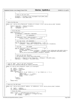```
\left\{\n \begin{array}{ccc}\n 181 & & \\
 182 & & \\
 183 & & \\
 184 & & \\
 185 & & \\
 186 & & \\
 187 & & \\
 188 & & \\
 189 & & \\
 189 & & \\
 189 & & \\
 189 & & \\
 189 & & \\
 189 & & \\
 189 & & \\
 189 & & \\
 189 & & \\
 189 & & \\
 189 & &amp\left\{\n \begin{array}{ccc}\n 182 & & \\
 \end{array}\n \right\}183 /*********************************************************/
184 /* Point to the next Slot */
185 /*********************************************************/
186 SlotMapPtr = (SlotMap*)((char*)SlotMapPtr+SLOT_ENTRY_SIZE);
187 SlotMapLen −= SLOT_ENTRY_SIZE;
\begin{array}{c} 188 \\ 189 \end{array}189 }
190
191 /*****************************************************************/
192 /* Parse the Mfg Area */
193 /*****************************************************************/
194 static void iSeries_Parse_MfgArea(u8* AreaData,int AreaLen, struct iSeries_Device_Node* DevNode)
195 {
195 L<br>196 MfgArea* MfgAreaLen = (MfgArea*)AreaData;<br>197 1nt MfgAreaLen = AreaLen;
197 int MfgAreaLen = AreaLen;<br>197 int MfgAreaLen = AreaLen;<br>198 u16 SlotMapFmt = 0;
                         SlothmpFmt = 0;
199
200 /*************************************************************/
              )<br>/* Parse Mfg Data<br>/*****************
202 /*************************************************************/
203 while (MfgAreaLen > 0) {<br>204 int MfgTagLen =
204 int MfgTagLen = MfgAreaPtr−>TagLength;
205 /*******************************************************/
206 /* Frame ID (FI 4649020310 ) */
207 /*******************************************************/
208 if (MfgAreaPtr−>Tag == VpdFruFrameId) { /* FI */
209 DevNode−>FrameId = MfgAreaPtr−>AreaData1;<br>210
210 \Big\}211 /*******************************************************/
212 /* Slot Map Format (MF 4D46020004 ) */
213 /*******************************************************/
214 else if (MfgAreaPtr−>Tag == VpdSlotMapFormat){ /* MF */
215 SlotMapFmt = (MfgAreaPtr−>AreaData1*256)+(MfgAreaPtr−>AreaData2);<br>216 SlotMapFmt = (MfgAreaPtr−>AreaData1*256)+(MfgAreaPtr−>AreaData2);
216 \Big\}217 /*******************************************************/
218 /* Slot Map (SM 534D90 */
219 /*******************************************************/
220 else if (MfgAreaPtr−>Tag == VpdSlotMap){ /* SM */
221 SlotMap* SlotMapPtr;
222 if (SlotMapFmt == 0x1004) SlotMapPtr = (SlotMap*)((char*)MfgAreaPtr+MFG_ENTRY_SIZE+1);
223 else SlotMapPtr = (SlotMap*)((char*)MfgAreaPtr+MFG_ENTRY_SIZE);
224 iSeries_Parse_SlotArea(SlotMapPtr,MfgTagLen, DevNode);
225 \Big\}226 /*********************************************************/
227 /* Point to the next Mfg Area<br>228 /* Use defined size, size of q:
228 /* Use defined size, sizeof give wrong answer */
229 /*********************************************************/
230 MfgAreaPtr = (MfgArea*)((char*)MfgAreaPtr + MfgTagLen + MFG_ENTRY_SIZE);
231 MfgAreaLen −= (MfgTagLen + MFG_ENTRY_SIZE); 
\begin{array}{c} 232 \\ 233 \end{array}\rightarrow234
235 /*****************************************************************/
236 /* Look for "BUS".. Data is not Null terminated.<br>237 /* PHBID of 0xFF indicates PHB was not found in \
237 /* PHBID of 0xFF indicates PHB was not found in VPD Data. */
238 /*****************************************************************/
239 static int iSeries_Parse_PhbId(u8* AreaPtr,int AreaLength)
240 {
240 u8* PhbPtr = AreaPtr;
242 int DataLen = AreaLength;<br>243 char PhbId = 0xFF;
243 char PhbId = 0xFF;<br>244 while (DataLen > 0)
              while (DataLen > 0) {
245 if (*PhbPtr == 'B' && *(PhbPtr+1) == 'U' && *(PhbPtr+2) == 'S') {
246<br>
247<br>
247<br>
248<br>
247<br>
248<br>
247<br>
248<br>
249<br>
249<br>
249<br>
249<br>
240<br>
240<br>
240<br>
240<br>
240247 while(*PhbPtr == '') ++PhbPtr;<br>248 PhbId = (*PhbPtr & 0x0F);
248 PhbId = (* \text{PhbPtr } & 0x0F);<br>
249 break;
249 break;
250 }
251<br>252<br>--DataLen
                          −DataLen;
253 }
              254 return PhbId;
255 }
256
257 /****************************************************************/
258 /* Parse out the VPD Areas */
259 /****************************************************************/
260 static void iSeries_Parse_Vpd(u8* VpdData, int VpdDataLen, struct iSeries_Device_Node* DevNode)
261 {
262 u8* TagPtr = VpdData;
263 int DataLen = VpdDataLen−3;
264 /*************************************************************/
265 /* Parse the Areas
266 /*************************************************************/
267 while (*TagPtr != VpdEndOfAreaTag && DataLen > 0) {
268 int AreaLen = *(TagPtr+1) + (*(TagPtr+2)*256);
269 u8* AreaData = TagPtr+3;
270
Registered Version: Linux Support Power PC64 iSeries_VpdInfo.c Exhibit 8.1−11 pg 3/4
```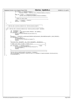```
271 if (*TagPtr == VpdIdStringTag) {<br>272 DevNode−>PhbId = iSeries_Parse_PhbId(AreaData,AreaLen);
273 }
274 else if (*TagPtr == VpdVendorAreaTag) {
275 iSeries_Parse_MfgArea(AreaData,AreaLen,DevNode);
276 }277 /*********************************************************
278 * Point to next Area.
279 *********************************************************/
280 TagPtr = AreaData + AreaLen;<br>281 DataLen -= AreaLen;
                      DataLen −= AreaLen;
\begin{array}{c} 282 \\ 283 \end{array}\rightarrow284
285 /****************************************************************
286 * iSeries_Get_Location_Code(struct iSeries_Device_Node*) *
287 *
288 ****************************************************************/
   289 void iSeries_Get_Location_Code(struct iSeries_Device_Node* DevNode)
290 \quad \left\{<br>291
             int BusVpdLen = 0;
292 u8* BusVpdPtr = (u8*)kmalloc(BUS_VPDSIZE, GFP_KERNEL);<br>293 if (BusVpdPtr == NULL) {
293 if (BusVpdPtr == NULL)<br>294 if (BusVpdPtr == NULL)
294 printk ("PCI: Bus VPD Buffer allocation failure.\n");<br>
295 prints
                      295 return;
296<br>297
<sup>297</sup> BusVpdLen = HvCallPci_getBusVpd(ISERIES_BUS(DevNode),REALADDR(BusVpdPtr),BUS_VPDSIZE);<br>298 if (BusVpdLen == 0) {
             if (BusVpdLen == 0) {
<sup>299</sup> kfree(BusVpdPtr);<br>
200
                      printk ("PCI: Bus VPD Buffer zero length.\n");
301 return;
302 }
303 //printk("PCI: BusVpdPtr: %p, %d\n",BusVpdPtr, BusVpdLen);
304 /*************************************************************/
305 /* Make sure this is what I think it is */
306 /*************************************************************/
307 if (*BusVpdPtr != VpdIdStringTag) { /*0x82 */<br>printk("PCI: Bus VPD Buffer missing starting tag.\n");
309 <br>310 kfree(BusVpdPtr);<br>return;
                      310 return;
311 }
312 /***************************************************************/
313 /***************************************************************/
314 iSeries_Parse_Vpd(BusVpdPtr,BusVpdLen, DevNode);<br>315 sprintf(DevNode->Location,"Frame%3d,Card%-4s",DevN
             315 sprintf(DevNode−>Location,"Frame%3d, Card %−4s",DevNode−>FrameId,DevNode−>CardLocation);
316 kfree(BusVpdPtr);
317 }
Registered Version: Linux Support Power PC64 iSeries_VpdInfo.c Exhibit 8.1−11 pg 4/4
```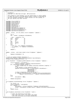# Registered Version: Linux Support Power PC64 **ItLpQueue.c** Exhibit 8.1−12 pg 1/2

```
\frac{1}{1}\frac{1}{2} * Thropperson \frac{1}{2}3 * Copyright (C) 2001 Mike Corrigan IBM Corporation
 4 * 
 5 * This program is free software; you can redistribute it and/or modify
6 * it under the terms of the GNU General Public License as published by
7 * the Free Software Foundation; either version 2 of the License, or
8 * (at your option) any later version.
      \star /
10
11 #include <linux/stddef.h>
12 #include <linux/kernel.h>
13 #include <linux/sched.h>
14 #include <asm/system.h>
    #include <asm/paca.h>
16 #include <linux/random.h><br>17 #include <asm/time.h>
    17 #include <asm/time.h>
18 #include <asm/iSeries/ItLpQueue.h>
    19 #include <asm/iSeries/HvLpEvent.h>
20 #include <asm/iSeries/HvCallEvent.h><br>21 #include <asm/iSeries/LparData.h>
    21 #include <asm/iSeries/LparData.h>
22
23 static __inline__ int set_inUse( struct ItLpQueue * lpQueue )
\begin{array}{c} 24 \\ 25 \end{array}25 int t;
26 u32 * inUseP = &(lpQueue−>xInUseWord);
27
28 \frac{a \text{sm}}{29} l: \frac{1}{\text{w} \text{ar}} \frac{\text{volarile}}{\%0,0,\%2} ("\n\
29 1: lwarx %0,0,%2 \n\<br>30 cmpi 0,%0,0 \n\
\frac{31}{32} li \frac{6}{60,0} \n\<br>32 bne 2f \n\
32 \quad \text{bne}-2f \quad \text{ln}\33 addi \%0,\%0,1 \n\<br>34 stwcx. \%0,0,\%2 \n\
34 stwcx. \%0,0,\%2 \n\<br>
35 bne 1b \n\
35 bne− 1b \n\
36 \quad 2: eieio"
37 : "=&r" (t), "=m" (lpQueue−>xInUseWord)
38 : "r" (inUseP), "m" (lpQueue−>xInUseWord)
39 : "cc");
40
41 return t;
    \rightarrow43
44 static __inline__ void clear_inUse( struct ItLpQueue * lpQueue )
    \left\{ \right.46 lpQueue−>xInUseWord = 0;
   47 }
48<br>4949 /* Array of LpEvent handler functions */<br>50 extern LpEventHandler lpEventHandler HvL
50 extern LpEventHandler lpEventHandler[HvLpEvent_Type_NumTypes];
51 unsigned long ItLpQueueInProcess = 0;
52
    53 struct HvLpEvent * ItLpQueue_getNextLpEvent( struct ItLpQueue * lpQueue )
\frac{54}{55} {
               55 struct HvLpEvent * nextLpEvent = 
56 (struct HvLpEvent *)lpQueue−>xSlicCurEventPtr;
57 if ( nextLpEvent−>xFlags.xValid ) {
58 /* rmb() needed only for weakly consistent machines (regatta) */<br>59 mb();
59 rmb();<br>60 /* Set
60 /* Set pointer to next potential event */
61 lpQueue−>xSlicCurEventPtr += ((nextLpEvent−>xSizeMinus1 +
62 LpEventAlign )<br>63 LpEventAlign )<br>LpEventAlign )
<sup>63</sup> Le EventAlign )<br>
Extending to the Le EventAlign )
                                                        L<sub>p</sub>EventAlign;
65 /* Wrap to beginning if no room at end */
66 if (lpQueue−>xSlicCurEventPtr > lpQueue−>xSlicLastValidEventPtr)
67 and the state of the state of the state of the state of the state of the state of the state of the state of the state of the state of the state of the state of the state of the state of the state of the state of the s
68 }
69 else
                          70 nextLpEvent = NULL;
71
72 return nextLpEvent;<br>
73 }
    73 }
74
75 int ItLpQueue_isLpIntPending( struct ItLpQueue * lpQueue )
76 {
77 int retval = 0;<br>78 struct HvLpEven
78 struct HvLpEvent * nextLpEvent;<br>
79 if ( lpOueue ) {
               if ( lpQueue )
80 nextLpEvent = (struct HvLpEvent *)lpQueue−>xSlicCurEventPtr;
81 retval = nextLpEvent−>xFlags.xValid | lpQueue−>xPlicOverflowIntPending;
82 }
83 return retval;
    \left| \right|85
86 void ItLpQueue_clearValid( struct HvLpEvent * event )
87<br>88
88 \overline{a} /* Clear the valid bit of the event<br>\overline{a} * Also clear bits within this even
                  Also clear bits within this event that might
90 * look like valid bits (on 64−byte boundaries)
```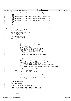```
91 * /
92 unsigned extra = (( event−>xSizeMinus1 + LpEventAlign ) /
93 Saint-Shot (1992) (1993) Library Land (1993) Library Land (1994) – 1;<br>94 Switch (extra) {
94 switch ( extra ) {
95 case 3:
              96 ((struct HvLpEvent*)((char*)event+3*LpEventAlign))−>xFlags.xValid=0;
97 case 2:
98 ((struct HvLpEvent*)((char*)event+2*LpEventAlign))->xFlags.xValid=0;<br>
case 1:
99 case 1:
100 ((struct HvLpEvent*)((char*)event+1*LpEventAlign))–>xFlags.xValid=0;<br>101 Case 0:
             101 case 0:
102 ;
103 }
\begin{array}{ccc} 104 & & & \text{mb}( ) \; \mathbf{7} \\ 105 & & & \text{event} \end{array}105 event−>xFlags.xValid = 0;
106 }
107
108 unsigned ItLpQueue_process( struct ItLpQueue * lpQueue, struct pt_regs *regs )
109<br>110
110 unsigned numIntsProcessed = 0;
111 struct HvLpEvent * nextLpEvent;
112
113 \frac{1}{14} /* If we have recursed, just return */<br>114 if (!set_inUse( lpQueue ) )
114 if ( !set_inUse( lpQueue ) )<br>115 return 0;
                   return 0;
116
117 if (ItLpQueueInProcess == 0)
118 118 118 ItLpQueueInProcess = 1;
119 else
                    RITG();
121
122 for (i) {
123 nextLpEvent = ItLpQueue_getNextLpEvent( lpQueue );<br>124 if ( nextLpEvent ) {
<sup>124</sup> if ( nextLpEvent )<br><sup>125</sup> /* Count e<sup>+</sup>
125 /* Count events to return to caller
126 * and count processed events in lpQueue
127 \star /
128 ++numIntsProcessed;
129 lpQueue−>xLpIntCount++;<br>130 /* Call appropriate han
130 /* Call appropriate handler here, passing 
131 * a pointer to the LpEvent. The handler
132 * must make a copy of the LpEvent if it
133 * needs it in a bottom half. (perhaps for * an ACK)
134 \star an ACK)<br>135 \star135 \star136 * Handlers are responsible for ACK processing *137 \star138 * The Hypervisor guarantees that LpEvents will<br>* only be delivered with types that we have
011 * only be delivered with types that we have<br>
\star registered for, so no type check is neces
                             * registered for, so no type check is necessary
141 * here!
142 * /
143 if ( nextLpEvent−>xType < HvLpEvent_Type_NumTypes )
144 lpQueue−>xLpIntCountByType[nextLpEvent−>xType]++;<br>145 if (nextInEvent−>xType < HyInEvent Type NumTypes δδ
145 if ( nextLpEvent−>xType < HvLpEvent_Type_NumTypes &&
146 lpEventHandler[nextLpEvent−>xType] ) 
147 lpEventHandler[nextLpEvent−>xType](nextLpEvent, regs);
148 else
                                    printk(KERN_INFO "Unexpected Lp Event type=%d\n", nextLpEvent->xType );
150
151 151 151 ItLpOueue clearValid( nextLpEvent );
\left\{\n \begin{array}{ccc}\n 152 & & \\
 \end{array}\n \right\}153 else /* No more valid events<br>154 else x If overflow events a
                             * If overflow events are pending<br>* process them
155 * process them
156 * /157 if ( lpQueue−>xPlicOverflowIntPending ) {
158 Intervention Control Text of The CallEvent_getOverflowLpEvents<br>(159 Inducus->xIndex)
159 1pQueue->xIndex};160 }
161 else /* If nothing left then we are done */<br>162 break;
           162 break;
163 }
164
165 ItLpQueueInProcess = 0;
166 mb();
167 clear_inUse( lpQueue );
168
169 get_paca()−>lpEvent_count += numIntsProcessed;
170
171 /* Use LPEvents as a source of randomness. Since there
172 * Isn't an LPEvent Randomness call, pretend these are
173 * mouse events (which is fair since we don't have mice
174 * on the iSeries)<br>175 */175 * /176 add_mouse_randomness(get_tb());
177
178 return numIntsProcessed;
   \}Registered Version: Linux Support Power PC64 ItLpQueue.c Exhibit 8.1−12 pg 2/2
```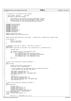Registered Version: Linux Support Power PC64 **lmb.c** Exhibit 8.1−13 pg 1/5

```
\sqrt{*}2 *3 * Procedures for interfacing to Open Firmware.
<sup>4</sup>
 5 * Peter Bergner, IBM Corp. June 2001.
6 * Copyright (C) 2001 Peter Bergner.
 7 * 
8 * This program is free software; you can redistribute it and/or
9 * modify it under the terms of the GNU General Public License<br>10 * as published by the Free Software Foundation; either versio
10 * as published by the Free Software Foundation; either version<br>11 * 2 of the License, or (at your option) any later version.
               2 of the License, or (at your option) any later version.
12 \t \t \t \t \t \t \t \t \t \t13
14 #include <linux/config.h>
    #include <linux/kernel.h>
16 #include <asm/types.h><br>17 #include <asm/page.h>
    17 #include <asm/page.h>
18 #include <asm/prom.h><br>19 #include <asm/lmb.h>
    #include <asm/lmb.h>
20 #include <asm/abs_addr.h>
21 #include <asm/bitops.h>
22 #include <asm/udbg.h>
23
24 extern unsigned long klimit;
    extern unsigned long reloc_offset(void);
26
27
28 static long lmb_add_region(struct lmb_region *, unsigned long, unsigned long, unsigned long);
29
30 struct lmb lmb = {
31 0, 0,<br>32 {0,0,0,0,{{0,0,0}}},<br>33 {0,0,0,0,{{0,0,0}}}
34 \quad \} ;
35
36
37 /* Assumption: base addr of region 1 < base addr of region 2 */<br>38 static void
38 static void<br>39 lmb_coalesc
    39 lmb_coalesce_regions(struct lmb_region *rgn, unsigned long r1, unsigned long r2)
4041 unsigned long i;
42
43 rgn->region[r1].size += rgn->region[r2].size;<br>44 for (i=r2; i < rgn->cnt-1 ;i++) {
44 for (i=r2; i < rgn->cnt-1 ;i++)<br>45 for (i=r2; i < rgn->region[i].base = r
45 rgn−>region[i].base = rgn−>region[i+1].base;
46 rgn−>region[i].physbase = rgn−>region[i+1].physbase;
47 rgn−>region[i].size = rgn−>region[i+1].size;
48 rgn−>region[i].type = rgn−>region[i+1].type;
49 }
50 rgn−>cnt−−;
51 }
52
53
54 /* This routine called with relocation disabled. */<br>55 void
    v \circ i \circ d56 lmb_init(void)<br>57 \{57 {
58 unsigned long offset = reloc_offset();<br>59 struct lmb * lmb = PTRRELOC(&lmb);
               struct lmb *_lmb = PTRRELOC(&lmb);
60
61 /* Create a dummy zero size LMB which will get coalesced away later.
62 * This simplifies the lmb_add() code below...
63 */
64 _lmb−>memory.region[0].base = 0;
65 _lmb−>memory.region[0].size = 0;
66 _lmb−>memory.region[0].type = LMB_MEMORY_AREA;
\frac{1}{\text{mb}-\text{5}} - \frac{1}{\text{mb}-\text{5}} - \frac{1}{\text{mb}-\text{6}} - \frac{1}{\text{6}}68
69 /* \text{Ditto.} */<br>
70 \text{lmb}\rightarrow \text{reserv}70 _lmb−>reserved.region[0].base = 0;
71 _lmb−>reserved.region[0].size = 0;
72 _lmb−>reserved.region[0].type = LMB_MEMORY_AREA;
73 _lmb->reserved.cnt = 1;
    74 }
75
76 /* This routine called with relocation disabled. */
77 void<br>78 lmb
    lmb_analyze(void)
79 {
80 unsigned long i;<br>81 unsigned long me
               unsisted long men_size = 0;82 unsigned long io_size = 0;<br>83 unsigned long size mask =
83 unsigned long size_mask = 0;<br>84 unsigned long offset = reloc
84 unsigned long offset = reloc_offset();
85 struct lmb *_lmb = PTRRELOC(&lmb);
86 #ifdef CONFIG_MSCHUNKS
87 unsigned long physbase = 0;<br>88 #endif
    88 #endif
89
90 for (i=0; i < _lmb->memory.cnt ;i++) {
```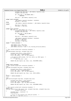```
91 unsigned long lmb_type = _lmb−>memory.region[i].type;
92 unsigned long lmb_size;
93
94 if ( lmb_type != LMB_MEMORY_AREA )
                                95 continue;
96
97 lmb_size = _lmb−>memory.region[i].size;
98
99 #ifdef CONFIG_MSCHUNKS
100 100 _lmb−>memory.region[i].physbase = physbase;<br>101 physbase += lmb_size;
                      physbase += lmb_size;102 #else
103 _lmb−>memory.region[i].physbase = _lmb−>memory.region[i].base;
104 #endif
105 mem_size += lmb_size;
106 size_mask |= lmb_size;
\left\{\n \begin{array}{ccc}\n 107 & & & \n \end{array}\n \right\}108
109 #ifdef CONFIG_MSCHUNKS
110 for (i=0; i < _lmb->memory.cnt ;i++) {<br>
111 unsigned long lmb_type = _lmb->memory.region[i].type;
112 unsigned long lmb_size;
113
114 if ( lmb_type != LMB_IO_AREA )<br>
115 continue;
                                continue;
116
117 lmb_size = _lmb−>memory.region[i].size;
118
119 lmb−>memory.region[i].physbase = physbase;<br>
120 mhysbase += lmb size;
120 physbase += lmb_size;
121 io_size += lmb_size;
122 size_mask | = \overline{lmb}_size;
123 }
124 #endif /* CONFIG_MSCHUNKS */
125
126 _lmb−>memory.size = mem_size;
127 _lmb−>memory.iosize = io_size;
128 _lmb−>memory.lcd_size = (1UL << cnt_trailing_zeros(size_mask));
   }
130
131 /* This routine called with relocation disabled. */<br>132 long
   long
133 lmb_add(unsigned long base, unsigned long size)
\begin{matrix} 134 \\ 135 \end{matrix}135 unsigned long offset = reloc_offset();<br>
136 struct lmb *_lmb = PTRRELOC(&lmb);<br>
137 struct lmb_region *_rgn = &(_lmb->memory);
138<br>139
<sup>139</sup> /* On pSeries LPAR systems, the first LMB is our RMO region. */<br>140 if ( base == 0 )
             if ( base == 0 )141 lmb−>rmo_size = size;
142<br>143
             143 return lmb_add_region(_rgn, base, size, LMB_MEMORY_AREA);
144
145 }
146
147 #ifdef CONFIG_MSCHUNKS
148 /* This routine called with relocation disabled. */<br>149 long
149 long
   150 lmb_add_io(unsigned long base, unsigned long size)
151 \begin{array}{c} 1 \end{array}152 unsigned long offset = reloc_offset();
153 struct lmb *_lmb = PTRRELOC(&lmb);
154 struct lmb_region *_rgn = &(_lmb−>memory);
155
156 return lmb_add_region(_rgn, base, size, LMB_IO_AREA);
157
158 }
   159 #endif /* CONFIG_MSCHUNKS */
160
161 long<br>162 lmb
    162 lmb_reserve(unsigned long base, unsigned long size)
\begin{matrix} 163 \\ 164 \end{matrix}unsigned long offset = reloc_offset();
165 struct lmb *_lmb = PTRRELOC(&lmb);
166 struct lmb_region *_rgn = &(_lmb−>reserved);
167
168 return lmb_add_region(_rgn, base, size, LMB_MEMORY_AREA);
169 }
170
171 /* This routine called with relocation disabled. */
172 static long
173 lmb_add_region(struct lmb_region *rgn, unsigned long base, unsigned long size,<br>174 		 unsigned long type)
174 unsigned long type)
   \{176 unsigned long i, coalesced = 0;<br>177 long adjacent;
             long adjacent;
178
179 /* First try and coalesce this LMB with another. */
180 for (i=0; i < rgn->cnt ; i++) {
Registered Version: Linux Support Power PC64 lmb.c Exhibit 8.1−13 pg 2/5
```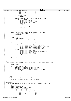```
181 unsigned long rgnbase = rgn−>region[i].base;
182 unsigned long rgnsize = rgn−>region[i].size;
183 unsigned long rgntype = rgn−>region[i].type;
184
185 if ( rgntype != type )<br>186 continue
                                186 continue;
187
188 adjacent = lmb\_address\_adjacent(base, size, rgnbase, rgnsize);<br>189 if (adjacent > 0 ) {
189 if ( adjacent > 0 )<br>
190 rgn->region
190 rgn−>region[i].base −= size;
191 rgn−>region[i].physbase −= size;
192 rgn−>region[i].size += size;
193<br>
194<br>
194<br>
break i194 break;
\left\{\right. \right\}196 else if ( adjacent < 0 ) {<br>
197 rgn−>region[i].size += size;
198 coalesced++;<br>
198 coalesced++;<br>
199 break;
199 break;
200 }
201 }
202
203 if ((i < rgn->cnt-1) && lmb_regions_adjacent(rgn, i, i+1) ) {<br>204 lmb_coalesce_regions(rgn, i, i+1);
204 lmb\text{-}coalesce\text{-}regions(rgn, i, i+1);<br>
205 coalesced++;\{20a \overline{\text{lessced}}+i\}206 }
207
208 if ( coalesced ) {
209 return coalesced;
210 } else if ( rgn−>cnt >= MAX_LMB_REGIONS ) {
211<br>
return -1;<br>
212212213<br>214214 /* Couldn't coalesce the LMB, so add it to the sorted table. */<br>215 for (i=rgn->cnt-1; i >= 0; i--) {
215 for (i=rgn−>cnt−1; i >= 0 ;i−−) {
216 if (base < rgn−>region[i].base) {
217 rgn−>region[i+1].base = rgn−>region[i].base;
218 rgn−>region[i+1].physbase = rgn−>region[i].physbase;
219 rgn−>region[i+1].size = rgn−>region[i].size;<br>220 rgn−>region[i+1].type = rgn−>region[i].type;
                                220 rgn−>region[i+1].type = rgn−>region[i].type;
221 } else {
222 rgn−>region[i+1].base = base;<br>223 rgn−>region[i+1].physbase = 1
223 rgn->region[i+1].physbase = lmb_abs_to_phys(base);<br>224 rgn->region[i+1].size = size;
224 rgn−>region[i+1].size = size;<br>225 rgn−>region[i+1].type = type;
                                rgn->region[i+1].type = type;
226 break;
227 \Big\}228<br>229229 rgn−>cnt++;
230
231 return 0;
232 }
233
234 long<br>235 lmhlmb_overlaps_region(struct lmb_region *rgn, unsigned long base, unsigned long size) {
236 {
             unsigned long i;
238
239 for (i=0; i < rgn−>cnt ;i++) {<br>240 unsigned long rgnbase
240 unsigned long rgnbase = rgn−>region[i].base;
241 unsigned long rgnsize = rgn−>region[i].size;
242 if ( lmb\_address\_overlap(base, size, rgnbase, rgnsize) ) {<br>
break;
243 break;
244 }
245 \Big\}246
247 return (i < rgn−>cnt) ? i : −1;<br>248 }
   \rightarrow249
250 unsigned long
251 lmb_alloc(unsigned long size, unsigned long align)
252 \begin{cases} 253 \end{cases}253 return lmb_alloc_base(size, align, LMB_ALLOC_ANYWHERE);
   \}255
256 unsigned long
257 lmb_alloc_base(unsigned long size, unsigned long align, unsigned long max_addr)<br>258 {
258<br>259%<br>
259 long i, j;<br>
261 unsigned long offset = reloc_offset();<br>
262<br>
262 struct lmb_region *_mem = &(_lmb->memory);<br>
264 struct lmb_region *_rsv = &(_lmb->reserved);<br>
264 struct lmb_region *_rsv = &(_lmb->reserved);
265
266 for (i=_mem−>cnt−1; i >= 0 ;i−−) {
267 unsigned long lmbbase = _mem−>region[i].base;
268 unsigned long lmbsize = _mem−>region[i].size;
269 unsigned long lmbtype = _mem−>region[i].type;
270
Registered Version: Linux Support Power PC64 lmb.c Exhibit 8.1−13 pg 3/5
```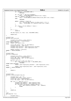```
271 if ( lmbtype != LMB_MEMORY_AREA )
<sup>272</sup> continue;
273
<sup>274</sup> if ( \max_{\text{addr}} = \text{LMB\_ALLOC\_ANYWHERE} )<br><sup>275</sup> base = ALIGN DOWN(lmbbase+lm
275 base = _ALIGN_DOWN(lmbbase+lmbsize−size, align);<br>276 else if (lmbbase < max addr)
                      else if ( lmbbase < max addr )
277 base = _ALIGN_DOWN(min(lmbbase+lmbsize,max_addr)−size, align);
278 else
                               continue;
280
281 while ( (lmbbase <= base) &&
282 ((j = lmb_overlaps_region(_rsv,base,size)) >= 0) )<br>283 base = ALIGN DOWN( rsv->region[j].base-size, align
283 base = _ALIGN_DOWN(_rsv−>region[j].base−size, align);<br>284 }
284 }
205286 if ( (base != 0) && (lmbbase <= base) )
             287 break;
288 }
289
290 if ( i < 0 )
                     return 0;
292
293 lmb_add_region(_rsv, base, size, LMB_MEMORY_AREA);
294
295 return base;
296 }
297
298 unsigned long
299 lmb_phys_mem_size(void)
300301 unsigned long offset = reloc_offset();
302 struct lmb *_lmb = PTRRELOC(&lmb);
303 #ifdef CONFIG_MSCHUNKS
            304 return _lmb−>memory.size;
305 #else
306 struct lmb_region *_mem = &(_lmb−>memory);
307 unsigned long idx = _mem−>cnt−1;
308 unsigned long lastbase = _mem−>region[idx].physbase;
309 unsigned long lastsize = _mem−>region[idx].size;
310
311 return (lastbase + lastsize);
312 #endif /* CONFIG_MSCHUNKS */
313 }
314
315 unsigned long
316 lmb_end_of_DRAM(void)<br>317 {
317<br>318318 unsigned long offset = reloc_offset();<br>319 struct lmb * lmb = PTRRELOC(klmb);319 struct lmb *_lmb = PTRRELOC(&lmb);<br>320 struct lmb_region *_mem = &(_lmb->memory);<br>321 unsigned long idx;
322<br>323
            for(idx=[mem->cnt-1; idx >= 0; idx--) {
<sup>324</sup> if ( _mem->region[idx].type != LMB_MEMORY_AREA )<br>225
                               325 continue;
326 #ifdef CONFIG_MSCHUNKS
                      327 return (_mem−>region[idx].physbase + _mem−>region[idx].size);
328 #else
329 return (_mem−>region[idx].base + _mem−>region[idx].size);
   #endif /* CONFIG_MSCHUNKS */
331 }
332
333 return 0;
   \}335
336
337 unsigned long<br>338 lmb abs to ph
   lmb_abs_to_phys(unsigned long aa)
339 \{<br>340340 unsigned long i, pa = aa;
341 unsigned long offset = reloc_offset();
342 struct lmb *_lmb = PTRRELOC(&lmb);
343 struct lmb_region *_mem = &(_lmb−>memory);
344
345 for (i=0; i < _mem−>cnt ;i++) {
346 unsigned long lmbbase = _mem−>region[i].base;
347 unsigned long lmbsize = _mem−>region[i].size;
348 if ( lmb_addrs_overlap(aa,1,lmbbase,lmbsize) ) {
349 pa = _mem−>region[i].physbase + (aa − lmbbase);
350 break;
351 }
352 }
353
354 return pa;
   \}356
357 \text{ void}<br>358 \text{ lmb}lmb_dump(char *str)359 {
360 unsigned long i;
Registered Version: Linux Support Power PC64 lmb.c Exhibit 8.1−13 pg 4/5
```

```
./PPC64/linux/arch/ppc64/kernel/lmb.c Page 46/239
```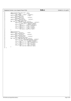|            | Registered Version: Linux Support Power PC64                                  | lmb.c | Exhibit 8.1-13 pg $5/5$ |
|------------|-------------------------------------------------------------------------------|-------|-------------------------|
| 361        |                                                                               |       |                         |
| 362        | udbg $printf("hlmb dump: %s\n", str);$                                        |       |                         |
| 363        | udbg printf(" debug<br>$=$ %s\n",                                             |       |                         |
| 364        | $(\text{lmb.debug})$ ? "TRUE" : "FALSE");                                     |       |                         |
| 365        | udbg_printf(" memory.cnt<br>$=$ %d\n ",                                       |       |                         |
| 366        | lmb.memory.cnt);                                                              |       |                         |
| 367        | $= 0x\%$ lx\n",<br>udbg_printf(" memory.size                                  |       |                         |
| 368        | lmb. memory.size);                                                            |       |                         |
| 369        | $= 0x\%$ lx\n ",<br>udbg printf(" memory.lcd size                             |       |                         |
| 370        | lmb.memory.lcd_size);                                                         |       |                         |
| 371        | for $(i=0; i < 1mb$ .memory.cnt $(i++)$ {                                     |       |                         |
| 372        | udbq printf(" memory.region[%d].base<br>$= 0x\%$ lx\n",                       |       |                         |
| 373        | i, lmb.memory.region[i].base);                                                |       |                         |
| 374        | udbg_printf("<br>.physbase = $0x\%$ lx\n",<br>lmb.memory.region[i].physbase); |       |                         |
| 375        | udbg_printf("<br>$size = 0x\%$ lx\n",                                         |       |                         |
| 376<br>377 | lmb. memory. region[i].size);                                                 |       |                         |
| 378        | udbg_printf("<br>$\text{type} = 0 \times \% \text{lx} \cdot \text{n}$         |       |                         |
| 379        | lmb. memory. region[i].type);                                                 |       |                         |
| 380        |                                                                               |       |                         |
| 381        |                                                                               |       |                         |
| 382        | $udbg_printf('h'');$                                                          |       |                         |
| 383        | $=$ %d\n",<br>udbg_printf(" reserved.cnt                                      |       |                         |
| 384        | lmb. reserved.cnt);                                                           |       |                         |
| 385        | $= 0x\%$ lx\n",<br>udbg printf (" reserved.size                               |       |                         |
| 386        | lmb.reserved.size);                                                           |       |                         |
| 387        | $= 0x\%$ lx\n ",<br>udbq printf(" reserved.lcd size                           |       |                         |
| 388        | lmb.reserved.lcd_size);                                                       |       |                         |
| 389        | for $(i=0; i < 1mb$ .reserved.cnt $(i++)$ {                                   |       |                         |
| 390        | udbg_printf(" reserved.region[%d].base = $0x\%lx\ln$ ",                       |       |                         |
| 391        | i, lmb.reserved.region[i].base);                                              |       |                         |
| 392        | udbg printf("<br>.physbase = $0x\%$ lx\n ",                                   |       |                         |
| 393        | lmb.reserved.region[i].physbase);                                             |       |                         |
| 394        | udbg_printf("<br>$size = 0x\%$ lx\n",                                         |       |                         |
| 395        | lmb. reserved. region[i].size);                                               |       |                         |
| 396        | udbg printf("<br>$.\text{type} = 0 \times \% \times \ln \$                    |       |                         |
| 397        | lmb. reserved. region[i].type);                                               |       |                         |
| 398        |                                                                               |       |                         |
| 399        |                                                                               |       |                         |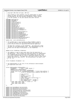## Registered Version: Linux Support Power PC64 **LparData.c** Exhibit 8.1−14 pg 1/3

 /\* <sup>2</sup> \* Copyright 2001 Mike Corrigan, IBM Corp \* \* This program is free software; you can redistribute it and/or \* modify it under the terms of the GNU General Public License <sup>6</sup> \* as published by the Free Software Foundation; either version <sup>7</sup> \* 2 of the License, or (at your option) any later version. \*/ 9 **#include** <asm/types.h><br>10 **#include** <asm/page.h> #include <asm/page.h> <sup>11</sup> **#include** <stddef.h> **#include** <linux/threads.h> 13 **#include** <asm/processor.h><br> **#include** <asm/ptrace.h> **#include** <asm/ptrace.h> **#include** <asm/naca.h> **#include** <asm/abs\_addr.h> **#include** <asm/bitops.h> **#include** <asm/iSeries/ItLpNaca.h> #include <asm/iSeries/ItLpPaca.h> <sup>20</sup> **#include** <asm/iSeries/ItLpRegSave.h> **#include** <asm/paca.h> 22 **#include** <asm/iSeries/HvReleaseData.h><br>23 **#include** <asm/iSeries/LparMap.h> **#include** <asm/iSeries/LparMap.h> **#include** <asm/iSeries/ItVpdAreas.h> #include <asm/iSeries/ItIplParmsReal.h> 26 **#include** <asm/iSeries/ItExtVpdPanel.h><br>27 **#include** <asm/iSeries/ItLpOueue.h> **#include** <asm/iSeries/ItLpQueue.h> **#include** <asm/iSeries/IoHriProcessorVpd.h> **#include** <asm/iSeries/ItSpCommArea.h> **extern** char \_start\_boltedStacks[]; /\* The LparMap data is now located at offset 0x6000 in head.S <sup>34</sup> \* It was put there so that the HvReleaseData could address it \* with a 32−bit offset as required by the iSeries hypervisor \* \* The Naca has a pointer to the ItVpdAreas. The hypervisor finds <sup>38</sup> \* the Naca via the HvReleaseData area. The HvReleaseData has the \* offset into the Naca of the pointer to the ItVpdAreas. **extern** struct ItVpdAreas itVpdAreas; /\* The LpQueue is used to pass event data from the hypervisor to \* the partition. This is where I/O interrupt events are communicated. <sup>46</sup> \* The ItLpQueue must be initialized (even though only to all zeros) 47 \* If it were uninitialized (in .bss) it would get zeroed after the<br>48 \* kernel gets control. The hypervisor will have filled in some fi \* kernel gets control. The hypervisor will have filled in some fields <sup>49</sup> \* before the kernel gets control. By initializing it we keep it out  $50 * \circ f$  the .bss \*/  $struct$  ItLpQueue xItLpQueue = {}; 56 /\* The HvReleaseData is the root of the information shared between<br>57 \* the hvpervisor and Linux. \* the hypervisor and Linux. \*/ struct HvReleaseData hvReleaseData = { <sup>61</sup> 0xc8a5d9c4, /\* desc = "HvRD" ebcdic \*/ 62 **sizeof**(struct HyReleaseData),<br>63 **sizeof**(struct HyReleaseData), <sup>63</sup> offsetof(struct naca\_struct, xItVpdAreas), (struct naca\_struct \*)(KERNELBASE+0x4000), /\* 64−bit Naca address \*/ 65 0x6000,  $\frac{1}{66}$  /\* offset of LparMap within loadarea (see head.S) \*/  $\begin{array}{ccc} 66 & & 0, \\ 67 & & 1, \end{array}$ 67 1,  $\begin{array}{ccc} 1, & \text{if } 4 \neq 68 \\ 0, & \text{if } 64 \text{ bit} \end{array}$  \*/  $\begin{array}{ccccc} 66 & & 1 & , & & \end{array}$ <br>  $\begin{array}{ccccc} 68 & & 0 & , & & \end{array}$ <br>  $\begin{array}{ccccc} 68 & & 0 & , & \end{array}$ <br>  $\begin{array}{ccccc} 68 & & 0 & , & \end{array}$ <br>  $\begin{array}{ccccc} 7^* & & & & 64 & & \text{blue}{2} & & \end{array}$ <br>  $\begin{array}{ccccc} 7^* & & & & 64 & & \text{blue}{2} & & \end{array}$ <br>  $\begin{array}{ccccc} 7^* & & & & 64 & & \text{blue}{2} & & \end$ <sup>69</sup> 0, /\* shared processors \*/ 0, /\* HMT allowed \*/  $\begin{array}{ccccc}\n 71 & & & 6 \\
 72 & & & 4\n \end{array}$  6,  $\begin{array}{ccccc}\n 72 & & & 4\n \end{array}$   $\begin{array}{ccccc}\n 72 & & 4\n \end{array}$   $\begin{array}{ccccc}\n 72 & & 4\n \end{array}$  $\begin{array}{ccc} 72 & 4, & \end{array}$ <br>  $\begin{array}{ccc} 73 & 3, & \end{array}$   $\begin{array}{ccc} 75 & 72 & \end{array}$   $\begin{array}{ccc} 77 & 78 & \end{array}$   $\begin{array}{ccc} 77 & 77 & \end{array}$ <sup>73</sup> 3, /\* Min supported PLIC = v5r1m0 \*/ 3, /\* Min usuable PLIC = v5r1m0 \*/ { 0xd3, 0x89, 0x95, 0xa4, /\* "Linux 2.4 "\*/ <sup>76</sup> 0xa7, 0x40, 0xf2, 0x4b, <sup>77</sup> 0xf4, 0x4b, 0xf6, 0xf4 },  $\{0\}$ <br> $79$  }; }; **extern** void SystemReset\_Iseries(void); 82 **extern** void MachineCheck\_Iseries(void);<br>83 **extern** void DataAccess Iseries(void); extern void DataAccess\_Iseries(void); 84 **extern** void InstructionAccess\_Iseries(void);<br>85 **extern** void HardwareInterrupt Iseries(void); **extern** void HardwareInterrupt\_Iseries(void); <sup>86</sup> **extern** void Alignment\_Iseries(void); 87 **extern** void ProgramCheck\_Iseries(void);<br>88 **extern** void FPUnavailable\_Iseries(void); 88 **extern** void FPUnavailable\_Iseries(void);<br>89 **extern** void Decrementer Iseries(void); extern void Decrementer\_Iseries(void); **extern** void Trap\_0a\_Iseries(void);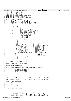```
91 extern void Trap_0b_Iseries(void);
92 extern void SystemCall_Iseries(void);
extern void SingleStep_Iseries(void);<br>94 extern void Trap_0e_Iseries(void);
     extern void Trap_0e_Iseries(void);
95 extern void PerformanceMonitor_Iseries(void);<br>96 extern void DataAccessSLB Iseries(void);
     extern void DataAccessSLB Iseries(void);
97 extern void InstructionAccessSLB_Iseries(void);
98
99 Struct ItLpNaca itLpNaca = {<br>
0xd397d581, /* desc = "LpNa" ebcdic */<br>
101 0xd3900, 19, /* size of ItLpNaca */<br>
102 0x0300, 19, /* offset to int array, # ents */<br>
103 0, 0, 0, /* Part # of primary, serv, me */<br>
104 0, 0
105 0, 0, 0, 0, 0, 1 Firanha stu<br>
106 { 0, 0, 0, 0, 0, 0 } , 1 * reserved */<br>
107 0, 0, 0, 0, 0, 0, 0, 0, 0, 1 * stuff */<br>
108 { 0, 0, 0, 0, 0, 0 } , /* reserved */
108 { 0, 0, 0, 0, 0 }, /* reserved */<br>109 0, /* reserved */
110 0, 10, 10 110 0, 111 0, 0, 111 0, 0, 0, 111 111 0, 0, 0, 111 11
111 0, 0, /* min supported, compat SLIC */
112 0, /* 64−bit addr of load area */
113 0, /* chunks for load area */
113 0, 0, \frac{1}{4} PASE mask, seg table */<br>
114 0, 0, \frac{1}{4} PASE mask, seg table */<br>
115 \begin{Bmatrix} 0 \\ 0 \\ 0 \\ 0 \\ 0 \\ 10 \\ 0 \end{Bmatrix}, \begin{Bmatrix} 1 & 0 & 0 \\ 0 & 1 & 0 \\ 0 & 1 & 0 \\ 0 & 1 & 0 \\ 0 & 1 & 0 \end{Bmatrix}, \begin{Bmatrix} 1 & 0 & 0 \\ 0 & 1 & 0 \\ 0 & 11155 \ldots, 155 \ldots, 155116 { 0 }, /* 128 reserved bytes */
117 { 0 }, /* Old LP Queue */
\begin{array}{ccc} \begin{array}{c} \text{118} \\ \text{118} \end{array} \\ \end{array} \begin{array}{ccc} \begin{array}{ccc} \text{118} \\ \text{118} \end{array} \\ \end{array} \begin{array}{ccc} \begin{array}{ccc} \text{118} \\ \text{118} \end{array} \\ \end{array}119<br>120(u64)SystemReset_Iseries,<br>(u64)MachineCheck Iseries.
119<br>
120 (u64)SystemReset_Iseries, /* 0x100 System Reset */<br>
121 (u64)DataAccess_Iseries, /* 0x300 Data Access */<br>
122 (u64)DataAccess_Iseries, /* 0x300 Data Access */
                                                                                      1<sup>*</sup> 0x300 Data Access */
123 (u64)InstructionAccess_Iseries, /* 0x400 Instruction Access */
(124 (u64)HardwareInterrupt_Iseries, /* 0x500 External */<br>(1064)HardwareInterrupt_Iseries, /* 0x500 External */<br>\frac{1}{25}125 (u64)Alignment_Iseries,<br>126 (u64)ProgramCheck Iseries,
                                 (u64)AarawareInterrupt_Iseries, /* 0x500 External */<br>
(u64)Alignment_Iseries, /* 0x600 Alignment */<br>
(u64)ProgramCheck_Iseries, /* 0x700 Program Check */<br>
(u64)FPUnavailable Iseries, /* 0x800 FP Unavailable *
127 (u64)FPUnavailable_Iseries, \frac{1}{27} (u64) FPUnavailable_Iseries, \frac{1}{27} (u64) Decrementer_Iseries, \frac{1}{27} (u64) Decrementer_Iseries, \frac{1}{27} (u64) Decrementer_Iseries, \frac{1}{27} (x900 Decrementer */
128 (u64)Decrementer_Iseries, /* 0x900 Decrementer<br>
129 (u64)Trap_0a_Iseries, /* 0xa00 Trap 0A */<br>
(u64)Trap_0b_Iseries, /* 0xb00 Trap 0B */
(129) (164)Trap_0a_Iseries, (164)Trap 0b Iseries.
                                 (1064)Trap_Ob_Iseries, /* 0xb00 Trap 0B */<br>(1064)SystemCall Iseries, /* 0xc00 System Call *
131 (u64)SystemCall_Iseries,<br>
(u64)SingleStep_Iseries,
132 (u64)SingleStep_Iseries, \frac{1}{2} (u64)SingleStep_Iseries, \frac{1}{2} (u64)Trap_0e_Iseries, \frac{1}{2} (xe00 Trap 0E */
133 (u64)Trap_0e_Iseries,<br>134 (u64)PerformanceMonite
134 (u64)PerformanceMonitor_Iseries, \frac{1}{2} (u64)PerformanceMonitor_Iseries, \frac{1}{2} 0. (* int 0x1000 */
135 0, 0, 136 136 136 136 136 136 136 136 137 138 139 139 130 131 132 132 133 134 135 136 137 138 138 138 138 1
137 0, /* int 0x1020 CPU ctls */
138 (u64)HardwareInterrupt_Iseries, /* SC Ret Hdlr */
139 (u64)DataAccessSLB_Iseries, /* 0x380 D−SLB */
139 (u64)DataAccessSLB_Iseries, /* 0x380 D-SLB */<br>140 (u64)InstructionAccessSLB_Iseries /* 0x480 I-SLB */
141 }
142 };
143
144 struct ItIplParmsReal xItIplParmsReal = {};
145
146 struct ItExtVpdPanel xItExtVpdPanel = \{\}\147
148 #define maxPhysicalProcessors 32
149
     150 struct IoHriProcessorVpd xIoHriProcessorVpd[maxPhysicalProcessors] = {
151 \left\{151 {<br>152 xInstCacheOperandSize: 32,<br>153 xDataCacheOperandSize: 32,
153 xDataCacheOperandSize: 32,<br>154 xProcFreq: 50000000,
                                xProcFreq:
155 xTimeBaseFreq: 50000000,
156 xPVR: 0x3600<br>157 }
157 }
     158 };
159
160
161 u64 xMsVpd[3400] = \{\}\; /* Space for Main Store Vpd 27,200 bytes */
162
163 u64 xRecoveryLogBuffer[32] = \{\}\ /* Space for Recovery Log Buffer */
164
165 struct SpCommArea xSpCommArea = {
166 0xE2D7C3C2,
167 1,
168 {0},
169 0, 0, 0, 0, {0}
170 };
171
172 struct ItVpdAreas itVpdAreas = 0 \times C9a3e5c1, \frac{\pi}{100} /* \frac{\pi}{100}\alpha 173 0xc9a3e5c1, \alpha 170 \alpha 170 \alpha 170 \alpha 170 \alpha 170 \alpha 174 \alpha 174
174 sizeof( struct ItVpdAreas ),
                   \begin{smallmatrix} 0 \ , \ 26 \ , \end{smallmatrix}176 26, 26, 4 \text{ VPD} \text{ array entries }<br>
177 10, 4 \text{ PMA} \text{ array entries }177 10, /* # DMA array entries */
178 MAX_PROCESSORS*2, maxPhysicalProcessors, /* Max logical, physical procs */
179 offsetof(struct ItVpdAreas,xPlicDmaToks),/* offset to DMA toks */
180 offsetof(struct ItVpdAreas,xSlicVpdAdrs),/* offset to VPD addrs */
Registered Version: Linux Support Power PC64 LparData.c Exhibit 8.1−14 pg 2/3
```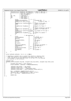<sup>181</sup> offsetof(struct ItVpdAreas,xPlicDmaLens),/\* offset to DMA lens \*/ <sup>182</sup> offsetof(struct ItVpdAreas,xSlicVpdLens),/\* offset to VPD lens \*/ 183 0,  $\begin{array}{ccc}\n\sqrt{188} & 0.7 \\
\sqrt{188} & 0.7 \\
\end{array}$ <br>
184 1,  $\begin{array}{ccc}\n\sqrt{188} & 160 \\
\sqrt{188} & 160 \\
\end{array}$ <br>
185  $\begin{array}{ccc}\n\sqrt{188} & \sqrt{188} \\
\end{array}$ <br>
186  $\begin{array}{ccc}\n\sqrt{188} & \sqrt{188} \\
\end{array}$ <br>
186  $\begin{array}{ccc}\n\sqrt{188} & \sqrt{188} \\
\end{array}$ <br>
186  $\begin{array}{$ 184  $\begin{array}{ccc} 1, & \text{(1)} \\ 1, & \text{(2)} \\ 1, & \text{(3)} \end{array}$ ,  $\begin{array}{ccc} \text{(3)} & \text{(4)} & \text{(5)} \\ \text{(6)} & \text{(6)} & \text{(6)} \end{array}$ ,  $\begin{array}{ccc} \text{(4)} & \text{(5)} & \text{(6)} \\ \text{(7)} & \text{(8)} & \text{(9)} \\ \text{(9)} & \text{(9)} & \text{(9)} \end{array}$ <sup>185</sup> {0}, {0}, /\* reserved \*/ <sup>186</sup> {0}, /\* DMA lengths \*/ 187  $\{0\}$ ,  $\qquad \qquad \uparrow$  DMA tokens \*/<br>188  $\qquad \qquad \qquad \uparrow$  VPD lengths \* 188  $\begin{array}{c} \begin{array}{c} \begin{array}{c} \end{array} \\ \begin{array}{c} \end{array} \\ \begin{array}{c} \end{array} \\ \begin{array}{c} \end{array} \\ \begin{array}{c} \end{array} \\ \begin{array}{c} \end{array} \\ \begin{array}{c} \end{array} \end{array} \end{array} \begin{array}{c} \end{array} \begin{array}{c} \end{array} \begin{array}{c} \end{array} \begin{array}{c} \end{array} \begin{array}{c} \end{array} \end{array} \begin{array}{c} \end{array} \begin{array}{c} \end{array} \begin{array}{c} \end{array} \$ <sup>189</sup> 0,0,0, /\* 0 − 2 \*/ <sup>190</sup> **sizeof**(xItExtVpdPanel), /\* 3 Extended VPD \*/ 190 **sizeof**(xItExtVpdPanel), /\* 3 Extended VPD \*/<br>191 **sizeof**(struct paca\_struct), /\* 4 length of Paca \*/<br>192 0, /\* 5 \*/ <sup>192</sup> 0, /\* 5 \*/ <sup>193</sup> **sizeof**(struct ItIplParmsReal),/\* 6 length of IPL parms \*/ 194 26992,  $26992,$ <br>
195 0,  $\frac{1}{3}$   $\frac{1}{2}$   $\frac{1}{2}$   $\frac{1}{2}$   $\frac{1}{2}$   $\frac{1}{2}$   $\frac{1}{2}$   $\frac{1}{2}$   $\frac{1}{2}$   $\frac{1}{2}$   $\frac{1}{2}$   $\frac{1}{2}$   $\frac{1}{2}$   $\frac{1}{2}$   $\frac{1}{2}$   $\frac{1}{2}$   $\frac{1}{2}$   $\frac{1}{2}$   $\frac{1}{2}$   $\frac$ 195 0, <br> **sizeof**(struct ItLpNaca),/\* 9 length of LP Naca \*/<br>
197 0, <br>
197 10 \*/ <sup>198</sup><br> **sizeof**(struct SpCommArea),  $\frac{1}{12}$  length of Recovery Log Buf \*/<br> **sizeof**(struct IoHriProcessorVpd),  $\frac{1}{12}$  length of SP Comm Area \*/<br> **sizeof**(struct IoHriProcessorVpd),  $\frac{1}{16}$  length of Proc Vpd \*/<br> 205  $\left\{\n\begin{array}{ccc}\n265 \\
206\n\end{array}\n\right\}$ , 206 {<br>207 0,0,0, /\* VPD addresses \*/<br>207 0 − 2 \*/ <sup>208</sup> &xItExtVpdPanel, /\* 3 Extended VPD \*/ 209  $\left[\begin{matrix}209 & 0 & 0\\0.0 & 0.0 & 0\end{matrix}\right]$ ,  $\left(\begin{matrix}4 & 4 & 1 & 0\\7 & 4 & 5 & 1\end{matrix}\right)$  Paca  $\left(\begin{matrix}4 & 0 & 0\\0 & 0 & 0\end{matrix}\right)$ <sup>210</sup> 0, /\* 5 \*/ <sup>211</sup> &xItIplParmsReal, /\* 6 IPL parms \*/ 212 **EXNSVpd,** (and the set of the set of the set of the set of the set of the set of the set of the set of the set of the set of the set of the set of the set of the set of the set of the set of the set of the set of the 213 0,  $\frac{1}{8}$   $\frac{1}{8}$   $\frac{1}{8}$   $\frac{1}{8}$ 214  $\begin{array}{ccccccccc}\n & & & & & & & \\
 & & & & & & & \\
\delta & & & & & & & \\
\delta & & & & & & & \\
\delta & & & & & & & \\
\delta & & & & & & & \\
0. & & & & & & & \\
0. & & & & & & & \\
\end{array}$ <sup>215</sup> 0, /\* 10 \*/ <sup>216</sup> &xRecoveryLogBuffer, /\* 11 Recovery Log Buffer \*/ 217 6xSpCommArea,  $\frac{217}{218}$  6xSpCommArea,  $\frac{12}{218}$  5P Comm Area \*/<br>218 0,0,0, <sup>218</sup> 0,0,0, /\* 13 − 15 \*/ 219  $&xIOHriProcessorVpd,$  /\* 16 Proc Vpd \*/<br>220  $0,0,0,0,0,0,$  $2,0,0,0,0,0,$ <br>  $2,2,3,4$ <br>  $2,3,4$ <br>  $2,4$ <br>  $2,4$ <br>  $2,4$ <br>  $2,4$  $221$  &xItLpQueue,  $\overline{\smash{\big)}\ x^2}$  23 Lp Queue \*/<br>222 0,0  $\begin{matrix} & & & & \ldots \\ & & & & 0 \\ & & & & 0 \end{matrix}$ <sup>223</sup> } <sup>224</sup> }; 225 <sup>226</sup> struct msChunks msChunks = {0, 0, 0, 0, **NULL**}; 227 <sup>228</sup> /\* Depending on whether this is called from iSeries or pSeries setup <sup>229</sup> \* code, the location of the msChunks struct may or may not have <sup>230</sup> \* to be reloc'd, so we force the caller to do that for us by passing <sup>231</sup> \* in a pointer to the structure.  $232 + 7$ <br>  $233 \text{ uns}$ unsigned long <sup>234</sup> msChunks\_alloc(unsigned long mem, unsigned long num\_chunks, unsigned long chunk\_size)  $235$ 236 unsigned long offset = reloc\_offset();<br>237 struct msChunks \* msChunks = PTRRELOC(  $struct$  msChunks \*\_msChunks = PTRRELOC(&msChunks); 238 239 \_msChunks->num\_chunks = num\_chunks;<br>240 msChunks->chunk size = chunk size; <sup>240</sup> \_msChunks−>chunk\_size = chunk\_size; <sup>241</sup> \_msChunks−>chunk\_shift = \_\_ilog2(chunk\_size); <sup>242</sup> \_msChunks−>chunk\_mask = (1UL<<\_msChunks−>chunk\_shift)−1;  $243$ <br> $244$ <sup>244</sup> mem = \_ALIGN(mem, **sizeof**(msChunks\_entry)); <sup>245</sup> \_msChunks−>abs = (msChunks\_entry \*)(mem + offset); <sup>246</sup> mem += num\_chunks \* **sizeof**(msChunks\_entry); 247 248 **return** mem;<br>249 }  $\rightarrow$ Registered Version: Linux Support Power PC64 **LparData.c** Exhibit 8.1–14 pg 3/3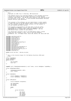$/$ \*  $\frac{1}{2}$   $\star$  mf.c <sup>3</sup> \* Copyright (C) 2001 Troy D. Armstrong IBM Corporation \*<br>\* \* This modules exists as an interface between a Linux secondary partition<br>\* \* running on an iSeries and the primary partition's Virtual Service<br>\* \* Processor (VSP) object. The VSP has final authority over powering on/o \* machine facility type operations. <sup>10</sup> \* <sup>11</sup> \* <sup>12</sup> \* This program is free software; you can redistribute it and/or modify <sup>13</sup> \* it under the terms of the GNU General Public License as published by <sup>14</sup> \* the Free Software Foundation; either version 2 of the License, or<br><sup>15</sup> \* (at your option) any later version. \* (at your option) any later version.  $16 \n17$ \* This program is distributed in the hope that it will be useful, <sup>18</sup> \* but WITHOUT ANY WARRANTY; without even the implied warranty of <sup>19</sup> \* MERCHANTABILITY or FITNESS FOR A PARTICULAR PURPOSE. See the <sup>20</sup> \* GNU General Public License for more details.  $21$ <sup>22</sup> \* You should have received a copy of the GNU General Public License <sup>23</sup> \* along with this program; if not, write to the Free Software <sup>24</sup> \* Foundation, Inc., 59 Temple Place, Suite 330, Boston, MA 02111−1307 USA  $25$ 26 <sup>27</sup> **#include** <asm/iSeries/mf.h> <sup>28</sup> **#include** <linux/types.h> 29 **#include** <linux/errno.h><br>30 **#include** <linux/kernel.h <sup>30</sup> **#include** <linux/kernel.h> <sup>31</sup> **#include** <linux/init.h> <sup>32</sup> **#include** <linux/mm.h> <sup>33</sup> **#include** <asm/iSeries/HvLpConfig.h> <sup>34</sup> **#include** <linux/slab.h> <sup>35</sup> **#include** <linux/delay.h> <sup>36</sup> **#include** <asm/nvram.h> 37 **#include** <asm/time.h><br>38 **#include** <asm/iSeries 38 **#include** <asm/iSeries/ItSpCommArea.h><br>39 **#include** <asm/iSeries/mf\_proc.h> <sup>39</sup> **#include** <asm/iSeries/mf\_proc.h> #include <asm/iSeries/iSeries\_proc.h> <sup>41</sup> **#include** <asm/uaccess.h> <sup>42</sup> **#include** <linux/pci.h> 43 <sup>44</sup> **extern** struct pci\_dev \* iSeries\_vio\_dev; 45  $46$ <br> $47$  $\begin{array}{c}47 \end{array}$  \* This is the structure layout for the Machine Facilites LPAR event<br>48 \* flows. 48  $*$  flows.  $49 + 7$ <br>50 Str so *struct* VspCmdData*;*<br>si *struct* CeMsgData*;* <sup>52</sup> **union** SafeCast  $\{$ <sup>54</sup> u64 ptrAsU64; <sup>55</sup> void \*ptr; <sup>56</sup> }; 57 58 <sup>59</sup> **typedef** void (\*CeMsgCompleteHandler)( void \*token, struct CeMsgData \*vspCmdRsp ); 60 <sup>61</sup> struct CeMsgCompleteData  $\begin{matrix} 62 \\ 63 \end{matrix}$ 63 CeMsgCompleteHandler xHdlr;<br>64 coid \*xToken; void \*xToken; <sup>65</sup> }; 66 67 struct VspRspData  $68 \t{69}$ <sup>69</sup> struct semaphore \*xSemaphore; <sup>70</sup> struct VspCmdData \*xResponse; <sup>71</sup> }; 72 <sup>73</sup> struct IoMFLpEvent <sup>74</sup> { <sup>75</sup> struct HvLpEvent xHvLpEvent; 76 77 u16 xSubtypeRc;<br>78 u16 xRsvd1; 78 u16 xRsvd1<br>79 u32 xRsvd2  $1132$  xRsvd2; 80  $\begin{array}{ccc}\n\overline{\phantom{0}} & & \text{union} \\
\overline{\phantom{0}} & & \overline{\phantom{0}} \\
\overline{\phantom{0}} & & \overline{\phantom{0}} \\
\overline{\phantom{0}} & & \overline{\phantom{0}} \\
\overline{\phantom{0}} & & \overline{\phantom{0}} \\
\overline{\phantom{0}} & & \overline{\phantom{0}} \\
\overline{\phantom{0}} & & \overline{\phantom{0}} \\
\overline{\phantom{0}} & & \overline{\phantom{0}} \\
\overline{\phantom{0}} & & \overline{\phantom{0}} \\
\overline{\phantom{0}} & & \overline{\phantom{0}} \\
\overline{\phantom$  $\{$ 83 84 struct AllocData  $85$   $\left\{ \begin{array}{c} \end{array} \right.$ 86 u16 xSize;<br>87 u16 xType; % u16 xType;<br>88 u32 xCount  $\begin{array}{ccc}\n 0.88 & 0.32 & xCount; \\
 0.32 & xCount;\n\end{array}$  $116$  xRsvd3; 90 u8 xRsvd4; Registered Version: Linux Support Power PC64 **mf.c** Exhibit 8.1–15 pg 1/14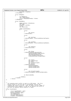```
91 HvLpIndex xTargetLp;<br>
32 32 kAllocData;
                  92 } xAllocData;
93
94 struct CeMsgData<br>95 {
95 \{96 u8 xCEMsg[12];<br>97 u8 xReserved
97<br>
98 char xReserved[4];<br>
98 struct CeMsqComple
98 struct CeMsgCompleteData *xToken;<br>99 <br/>
kCEMsgData;
                  } xCEMsgData;
100
101 struct VspCmdData
102 \left\{103 union SafeCast xTokenUnion;<br>104 u16 xCmd;
104 u16 xCmd;<br>
105 u16 wLnTndex
                          HvLpIndex xLpIndex;
106 u8 xRc;<br>107 u32 xRe
                          u<sub>32</sub> xReserved1;
108
109 union VspCmdSubData
110<sup>111</sup> struct
\{113 u64 xState;<br>
114 114 2001;<br>
114 2001;<br>
114 2001;
                                  } xGetStateOut;
115
116 struct
\left\{ \right\}118 u64 xIplType;
119 } xGetIplTypeOut, xFunction02SelectIplTypeIn;
120
121 struct<br>122 {
\{123 u64 xIplMode;<br>124 u64 xIplModeOut xFu
                                  124 } xGetIplModeOut, xFunction02SelectIplModeIn;
125
126 struct
\left\{ \begin{array}{c} 127 \end{array} \right.128 u64 xPage[4];<br>129 129 xGetSrcHistoryIn;
                                  } xGetSrcHistoryIn;
130
131 struct 132\{133 u64 xFlag;
134 <br>135 <br>RetAutoIplWhenPrimaryIpl<br/>SetAutoIplWhenPrimaryIplxSetAutoIplWhenPrimaryIp<br/> \,135 xSetAutoIplWhenPrimaryIplsIn,
136 xWhiteButtonPowerOffIn,
137 xFunction08FastPowerOffIn,<br>
137 xFunction08FastPowerOffIn,<br>
138 xIsSpcnRackPowerIncomplete
                                         138 xIsSpcnRackPowerIncompleteOut;
139
140 struct 141\left\{ \begin{array}{c} 1 \end{array} \right\}142 u64 xToken;
143 u64 xAddressType;
144 u64 xSide;
145 u32 xTransferLength;
146 u32 xOffset;<br>
147 147 NSetKernelImageIn,
147 <br>148 <br>148 <br>SetKernelImageIn, xGetKernelIm
148 xGetKernelImageIn, <br>
xGetKernelCmdLinel<br>
xSetKernelCmdLinel
149 xSetKernelCmdLineIn,<br>150 xGetKernelCmdLineIn,
                                         xGetKernelCmdLineIn;
151
152 struct \left\{\n \begin{array}{ccc}\n 153 & 52 \\
 153 & 52\n \end{array}\n \right\}\left\{ \begin{array}{c} 1 \end{array} \right\}154 u32 xTransferLength;
155 } xGetKernelImageOut,xGetKernelCmdLineOut;
156
157
158 u8 xReserved2[80];
159
160 } xSubData;
161 } xVspCmd;
162 } xUnion;
163 };
164
165
166 /*167 * All outgoing event traffic is kept on a FIFO queue. The first<br>168 * pointer points to the one that is outstanding, and all new
<sup>168</sup> * pointer points to the one that is outstanding, and all new<br><sup>*</sup> requests get stuck on the end. Also, we keep a certain number of<br><sup>170</sup> * preallocated stack elements so that we can operate very early in<br><sup>171</sup> * the b
172 + 7<br>173 SLTstruct StackElement
174 \{<br>175struct StackElement * next;
176 struct IoMFI<sub>P</sub>Event event;<br>176 Struct IoMFI<sub>P</sub>Event event;<br>177 MFCompleteHandler hdlr;
177 MFCompleteHandler hdlr;<br>178 ChardmaData[72];
178 char dmaData[72];<br>179 charioned dmaDataL
          unsigned dmaDataLength;
180 unsigned remoteAddress;
Registered Version: Linux Support Power PC64 mf.c Exhibit 8.1–15 pg 2/14
```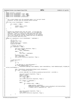```
181 };
182 static spinlock t spinlock;
183 static struct StackElement * head = NULL;<br>184 static struct StackElement * tail = NULL;
   184 static struct StackElement * tail = NULL;
185 static struct StackElement * avail = NULL;
186 static struct StackElement prealloc[16];
187
188<br>189
189 * Put a stack element onto the available queue, so it can get reused.
190 * Attention! You must have the spinlock before calling!
191
192 void free( struct StackElement * element )
\begin{matrix} 193 \\ 194 \end{matrix}194 if ( element != NULL )
195 {
196 element−>next = avail;<br>197 avail = element;
             1971111 avail = element;
198<br>199
   \}200
201 / *202 * Enqueue the outbound event onto the stack. If the queue was
203 * empty to begin with, we must also issue it via the Hypervisor
204 * interface. There is a section of code below that will touch
205 * the first stack pointer without the protection of the spinlock.
206 * This is OK, because we know that nobody else will be modifying
207 * the first pointer when we do this.
208 */
209 static int signalEvent( struct StackElement * newElement )
210211 int rc = 0;<br>212 unsigned lo
             unsigned long flags;
213 int go = 1;
214 struct StackElement * element;
215 HvLpEvent_Rc hvRc;
216
217 /* enqueue the event *.<br>218 if ( newElement != NUL)
             if ( newElement != NULL )
219<br>220220 spin_lock_irqsave( &spinlock, flags );
221 if ( head == NULL )
222 head = newElement;
223 else {
224<br>225 225<br>225 \tanh^{-1}2ntail->next = newElement;
226 }
227 newElement−>next = NULL;
228 tail = newElement;<br>228 tail = newElement;<br>229 spin unlock ircres
229 spin_unlock_irqrestore( &spinlock, flags );<br>230
             \}231
232 \frac{7}{233} \frac{1}{233} \frac{1}{233} \frac{1}{233} \frac{1}{233} \frac{1}{233} \frac{1}{233} \frac{1}{233} \frac{1}{233} \frac{1}{233} \frac{1}{233} \frac{1}{233} \frac{1}{233} \frac{1}{233} \frac{1}{233} \frac{1}{233} \frac{1}{233} \frac{1}{233}while ( go )
234 \{q_0 = 0;236
237 /* any DMA data to send beforehand? */
238 if ( head−>dmaDataLength > 0 )
                               239 HvCallEvent_dmaToSp( head−>dmaData, head−>remoteAddress, head−>dmaDataLength, HvLpDma_Dir
    ection_LocalToRemote );
240
241 hvRc = HvCallEvent_signalLpEvent(&head−>event.xHvLpEvent);<br>242 if ( hvRc != HvLpEvent Rc Good )
242 if ( hvRc != HvLpEvent_Rc_Good )
243 {
244 printk( KERN_ERR "mf.c: HvCallEvent_signalLpEvent() failed with %d\n", (int)hvRc );
245
246 spin_lock_irqsave( &spinlock, flags );<br>247 element = head;
247 element = head;<br>
248 head = head->ne;
248 head = head−>next;<br>249 if (head != NIII.T.
                                if ( head != NULL )250 go = 1;
                                spin_unlock_irqrestore( &spinlock, flags );
252
253 if ( element == newElement )
\text{rc} = -\text{EIO};255 else {
256 if ( element−>hdlr != NULL )
257 \Big\{258 union SafeCast mySafeCast;
259 mySafeCast.ptrAsU64 = element−>event.xHvLpEvent.xCorrelationToken;
260 (*element−>hdlr)( mySafeCast.ptr, −EIO );
261 }
262 }
263
264 spin_lock_irqsave( &spinlock, flags );
<sup>265</sup> free (element );<br><sup>266</sup> spin unlock irgr
266 spin_unlock_irqrestore( &spinlock, flags );<br>267 }
267 {}_{\text{267}}268 }
269
```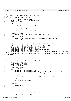Registered Version: Linux Support Power PC64 **mf.c** Exhibit 8.1–15 pg 4/14

```
270 return rc;
271 }
272
273 /*
274 * Allocate a new StackElement structure, and initialize it.
275
276 static struct StackElement * newStackElement( void )
277 \{278<sup>278</sup> struct StackElement * newElement = NULL;<br><sup>279</sup> HvLpIndex primaryLp = HvLpConfiq qetPrim
279 HvLpIndex primaryLp = HvLpConfig_getPrimaryLpIndex();
             unsigned long flags;
281
             282 if ( newElement == NULL )
283 \{spin_lock_irqsave( &spinlock, flags );
285 if ( avail != NULL )
286 \left\{ \right.287 newElement = avail;<br>
288 avail = avail->next;
288 avail = avail−>next;
289 }
290 spin_unlock_irqrestore( &spinlock, flags );<br>291 }
291 }
292
293 if ( newElement == NULL )<br>294 newElement = kmal
                      294 newElement = kmalloc(sizeof(struct StackElement),GFP_ATOMIC);
295
296 if ( newElement == NULL )
297 {
298 printk( KERN_ERR "mf.c: unable to kmalloc %ld bytes\n", sizeof(struct StackElement) );<br>
PRESECUTE:
             <sup>2</sup><br>399 return NULL;
300
301
302 memset( newElement, 0, sizeof(struct StackElement) );
303 newElement−>event.xHvLpEvent.xFlags.xValid = 1;
304 newElement−>event.xHvLpEvent.xFlags.xAckType = HvLpEvent_AckType_ImmediateAck;
305 newElement−>event.xHvLpEvent.xFlags.xAckInd = HvLpEvent_AckInd_DoAck;
306 newElement−>event.xHvLpEvent.xFlags.xFunction = HvLpEvent_Function_Int;
307 newElement−>event.xHvLpEvent.xType = HvLpEvent_Type_MachineFac;
308 newElement−>event.xHvLpEvent.xSourceLp = HvLpConfig_getLpIndex();
309 newElement−>event.xHvLpEvent.xTargetLp = primaryLp;
310 newElement−>event.xHvLpEvent.xSizeMinus1 = sizeof(newElement−>event)−1;
311 newElement−>event.xHvLpEvent.xRc = HvLpEvent_Rc_Good;
312 newElement−>event.xHvLpEvent.xSourceInstanceId = HvCallEvent_getSourceLpInstanceId(primaryLp,HvLpEvent_Ty
   pe_MachineFac);
313 newElement−>event.xHvLpEvent.xTargetInstanceId = HvCallEvent_getTargetLpInstanceId(primaryLp,HvLpEvent_Ty
   pe_MachineFac);
314
315 return newElement;
   \}317
318 static int signalVspInstruction( struct VspCmdData *vspCmd )
\begin{matrix} 319 \\ 320 \end{matrix}struct StackElement * newElement = newStackElement();
321 int rc = 0;
322 struct VspRspData response;
323 DECLARE_MUTEX_LOCKED(Semaphore);<br>324 response.xSemaphore = &Semaphore
             324 response.xSemaphore = &Semaphore;
325 response.xResponse = vspCmd;
326
327 if ( newElement == NULL )<br>328 rc = −ENOMEM;
329 else {
330 newElement−>event.xHvLpEvent.xSubtype = 6;<br>newElement->event.xHvLpEvent.x.xSubtypeDat
                      331 newElement−>event.xHvLpEvent.x.xSubtypeData = ('M'<<24)+('F'<<16)+('V'<<8)+('I'<<0);
332 newElement−>event.xUnion.xVspCmd.xTokenUnion.ptr = &response;
333 newElement−>event.xUnion.xVspCmd.xCmd = vspCmd−>xCmd;
334 newElement−>event.xUnion.xVspCmd.xLpIndex = HvLpConfig_getLpIndex();<br>335 newElement−>event.xUnion.xVspCmd.xRc = 0xFF;
335 newElement−>event.xUnion.xVspCmd.xRc = 0xFF;
336 newElement−>event.xUnion.xVspCmd.xReserved1 = 0;<br>memcov(&(newElement−>event.xInion.xVspCmd.xSubDa
                      337 memcpy(&(newElement−>event.xUnion.xVspCmd.xSubData),&(vspCmd−>xSubData), sizeof(vspCmd−>xSubData)
    );
338 mb();
339
340 rc = signalEvent(newElement);
341 }
342
343 if (rc == 0)
344<br>345down(&Semaphore);<br>}
346 }
347
348 return rc;
   \rightarrow350
351
352<br>353
     353 * Send a 12−byte CE message to the primary partition VSP object
354<br>355
   static int signalCEMsg( char * ceMsg, void * token )
356 {
```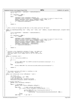```
357 struct StackElement * newElement = newStackElement();
358 int rc = 0;
359
360 if ( newElement == NULL )
361 TC = -ENDMEM;<br>362 else {
           362 else {
363 newElement−>event.xHvLpEvent.xSubtype = 0;
364 newElement−>event.xHvLpEvent.x.xSubtypeData = ('M'<<24)+('F'<<16)+('C'<<8)+('E'<<0);
365 memcpy( newElement−>event.xUnion.xCEMsgData.xCEMsg, ceMsg, 12 );
366 newElement−>event.xUnion.xCEMsgData.xToken = token;
           rc = signalEvent(newElement);368 }
369
370 return rc;<br>371 }
   \left\{ \right\}372
373 / *374 * Send a 12−byte CE message and DMA data to the primary partition VSP object
375
376 static int dmaAndSignalCEMsg( char * ceMsg, void * token, void * dmaData, unsigned dmaDataLength, unsigned remote
   Address )
\begin{matrix} 377 \\ 378 \end{matrix}378 struct StackElement * newElement = newStackElement();<br>379 int rc = 0;
           int rc = 0;
380
381 if ( newElement == NULL )
\text{TC} = - \text{ENOMEM};383 else {
384 newElement−>event.xHvLpEvent.xSubtype = 0;<br>1385 newElement->event_xHvLpEvent_x_xSubtypeDat
                   385 newElement−>event.xHvLpEvent.x.xSubtypeData = ('M'<<24)+('F'<<16)+('C'<<8)+('E'<<0);
386 memcpy( newElement−>event.xUnion.xCEMsgData.xCEMsg, ceMsg, 12 );
                   387 newElement−>event.xUnion.xCEMsgData.xToken = token;
388 memcpy( newElement−>dmaData, dmaData, dmaDataLength );
389 newElement−>dmaDataLength = dmaDataLength;
390 newElement−>remoteAddress = remoteAddress;
           rc = signalEvent(newElement);392 }
393
394 return rc;
   \}396
397 /*398 * Initiate a nice (hopefully) shutdown of Linux. We simply are
399 * going to try and send the init process a SIGINT signal. If
400 * this fails (why?), we'll simply force it off in a not−so−nice
401 * manner.
402<br>403
   static int shutdown( void )
404int rc = kill proc(1,SIGINT,1);406
407 if ( rc )
\begin{array}{c} 408 \\ 409 \end{array}409 printk( KERN_ALERT "mf.c: SIGINT to init failed (%d), hard shutdown commencing\n", rc );<br>mf powerOff();
                   mf_powerOff();
411<br>412412 else
413 printk( KERN_INFO "mf.c: init has been successfully notified to proceed with shutdown\n" );
414
415 return rc;
416 }
417
418<br>419The primary partition VSP object is sending us a new
420 * event flow. Handle it...
421
422 static void intReceived( struct IoMFLpEvent * event )
423 \quad \{
424424 int freeIt = 0;<br>425 struct Struct StackEle
           425 struct StackElement * two = NULL;
426 /* ack the interrupt */
427 event−>xHvLpEvent.xRc = HvLpEvent_Rc_Good;
428 HvCallEvent_ackLpEvent( &event−>xHvLpEvent );
429
430 /* process interrupt */
431 switch( event−>xHvLpEvent.xSubtype )
432 {
433 case 0: /* CE message */
                    434 switch( event−>xUnion.xCEMsgData.xCEMsg[3] )
435436 case 0x5B: /* power control notification */
437 if ( (event−>xUnion.xCEMsgData.xCEMsg[5]&0x20) != 0 )
438439 printk( KERN_INFO "mf.c: Commencing partition shutdown\n" );
440 if ( shutdown() == 0 )
441 signalCEMsg( "\x00\x00\x00\xDB\x00\x00\x00\x00\x00\x00\x00\x00", NULL );
442 }
443 break;<br>
444 case 0xC0;
                                    /* get time */
445Registered Version: Linux Support Power PC64 mf.c Exhibit 8.1–15 pg 5/14
```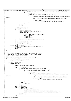```
446 if ( (head != NULL) && ( head−>event.xUnion.xCEMsgData.xCEMsg[3] == 0x40 ) )
447448 free\texttt{if} \in \texttt{1}; \texttt{if} \in \texttt{head} \rightarrow \texttt{if}449 if ( head−>event.xUnion.xCEMsgData.xToken != 0 )
450451 CeMsgCompleteHandler xHdlr = head−>event.xUnion.xCEMsgData.xToken
  −>xHdlr;
452 void * token = head−>event.xUnion.xCEMsgData.xToken−>xToken;
453
454 if (xHdlr != NULL)
                                 455 (*xHdlr)( token, &(event−>xUnion.xCEMsgData) );
\{456\}457 }
458 }
459 break;
460 }
461
462 /* remove from queue */
463 if ( freeIt == \hat{1} ) 464
464 \left\{465 and 101 million unsigned long flags;
466 spin_lock_irqsave( &spinlock, flags );
467 if ( head != NULL )
468469 struct StackElement *oldHead = head;
470 head = head−>next;
1471 two = head;
472 free( oldHead );<br>473473 }
474 \text{spin\_unlock\_irqrestore} ( \text{aspin\_or});
475 }
476
^{47} ^{47} ^{47} ^{47} ^{47} ^{47} ^{47} ^{47} ^{47} ^{47} ^{47} ^{47} ^{47} ^{47} ^{47} ^{47} ^{47} ^{47} ^{47} ^{47} ^{47} ^{47} ^{47} ^{47} ^{47} ^{47} ^{47} ^{47} ^{47} ^{47} ^{47} ^{47<sup>478</sup> if ( two != NULL )<br><sup>479</sup> signalEven
479 signalEvent( NULL );<br>
break;
        break;<br>case 1: /* IT
481 case 1: \frac{1}{1} xys shutdown *<br>482 case printk( KERN_INFO "m
482 printk( KERN_INFO "mf.c: Commencing system shutdown\n" );<br>483 shutdown();
483 shutdown();<br>as break;
               484 break;
\begin{array}{c} 485 \\ 486 \end{array} }
486 }
487
488<br>489
489 * The primary partition VSP object is acknowledging the receipt
490 * of a flow we sent to them. If there are other flows queued
^{491} * up, we must send another one now...
492<br>493493 static void ackReceived( struct IoMFLpEvent * event )
  \{495 unsigned long flags;
496 struct StackElement * two = NULL;<br>497 unsigned long freeIt = 0;
         unsigned long freeIt = 0;498
499 /* handle current event */
500 if ( head != NULL )
501 {
502 switch( event−>xHvLpEvent.xSubtype )
503 {
504 case 0: /* CE msg */
505 if ( event−>xUnion.xCEMsgData.xCEMsg[3] == 0x40 )
506507 if ( event−>xUnion.xCEMsgData.xCEMsg[2] != 0 )
508509 freeIt = 1;
510 if ( head−>event.xUnion.xCEMsgData.xToken != 0 )
\left\{ \begin{array}{c} 511 \end{array} \right.512 CeMsgCompleteHandler xHdlr = head−>event.xUnion.xCEMsgData.xToken
  −>xHdlr;
513 void * token = head−>event.xUnion.xCEMsgData.xToken−>xToken;
514
515 if (xHdlr != NULL)
516 (*xHdlr)( token, &(event−>xUnion.xCEMsgData) );
517 }
518 }
519 } else {
520 freeIt = 1;
521 }
522 break;
523 case 4: /* allocate */
524 case 5: /* deallocate */
524 case 5: /* deallocate */<br>525 if ( head−>hdlr != NULL )<br>526 {
526527 union SafeCast mySafeCast;
528 mySafeCast.ptrAsU64 = event−>xHvLpEvent.xCorrelationToken;
529 (*head−>hdlr)( mySafeCast.ptr, event−>xUnion.xAllocData.xCount );
530 }
531 freeIt = 1;<br>\frac{1}{2};
                     532 break;
533 case 6:
Registered Version: Linux Support Power PC64 mf.c Exhibit 8.1–15 pg 6/14
```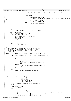```
534 \{535 struct VspRspData *rsp = (struct VspRspData *)event−>xUnion.xVspCmd.xTokenUnion.p
   tr;
536
537 if (rsp != NULL)
538539 if (rsp−>xResponse != NULL)
540 memcpy(rsp−>xResponse, &(event−>xUnion.xVspCmd), sizeof(event−>xU
   nion.xVspCmd));
541 if (rsp−>xSemaphore != NULL)
                                                 542 up(rsp−>xSemaphore);
543 } else {
544 printk( KERN_ERR "mf.c: no rsp\n");<br>545
545 }
546 freeIt = 1;
547 }
548 break;
549 }
550 }
551 else
                  printk( KERN_ERR "mf.c: stack empty for receiving ack\n" );
553
554 /* remove from queue */<br>555 \qquad \qquad \qquad \qquad \qquad \qquad \qquad \qquad \qquad \qquad \qquad \qquad \qquad \qquad \qquad \qquad \qquad \qquad \qquad \qquad \qquad \qquad \qquad \qquad \qquad \qquad \qquad \qquad \qquad \qquad \qquad555 spin_lock_irqsave( \&spinlock, flags );<br>556 if (( head I = NIII.I, ) \& ( free It = = 1)
           556 if (( head != NULL ) && ( freeIt == 1 ))
557 {
558 struct StackElement *oldHead = head;
559 head = head−>next;
560 two = head;<br>561 free(oldHe
                  free( oldHead );
562<br>563
          spin_unlock_irqrestore( &spinlock, flags );
564<br>565
565 \frac{1}{2} /* send next waiting event */
566 if ( two != NULL )
                  signalEvent( NULL );
568 }
569
570 /*
    * This is the generic event handler we are registering with
572 * the Hypervisor. Ensure the flows are for us, and then
573 * parse it enough to know if it is an interrupt or an
574 \star acknowledge.
575<br>576
   static void hvHandler( struct HvLpEvent * event, struct pt_regs * regs )
577 {
578 if ( (event != NULL) && (event−>xType == HvLpEvent_Type_MachineFac) )
579 {
580 switch( event−>xFlags.xFunction )
581 \left\{582 case HvLpEvent_Function_Ack:
583 ackReceived( (struct IoMFLpEvent *)event );<br>584 break;
584 break;<br>585 break case HyLpEvent
585 case HvLpEvent_Function_Int:
                          intReceived( (struct IoMFLpEvent *)event );
587 break;
                  588 default:
589 printk (KERN_ERR "mf.c: non ack/int event received\n");<br>
break;
590 break;
591 }
592 }
593 else
594 printk( KERN_ERR "mf.c: alien event received\ln" );
   \}596
597 / *<br>598 * *598 * Global kernel interface to allocate and seed events into the 599 * Hypervisor.
     Hypervisor.
600 601void mf_allocateLpEvents( HvLpIndex targetLp,
607 Vid mi_directoring interest HyLpEvent_Type type,<br>603 unsigned size,
<sup>603</sup> unsigned size,<br><sup>604</sup> unsigned count
604<br>
ensigned count<br>
MFCompleteHand
                            MFCompleteHandler hdlr,
606 void * userToken )
607 {
\begin{array}{lll} 608 & \text{struct StackElement} * \text{newElement} = \text{newStackElement}(); \ 609 & \text{int} * \text{cc} = 0; \end{array}int rc = 0;
610
611 if ( newElement == NULL )
r = -ENOMEM;613 else {
<sup>614</sup> union SafeCast mine;<br><sup>615</sup> mine.ptr = userToken
615 mine.ptr = userToken;<br>616 mewElement->event.xHv
                  616 newElement−>event.xHvLpEvent.xSubtype = 4;
617 newElement−>event.xHvLpEvent.xCorrelationToken = mine.ptrAsU64;
618 newElement−>event.xHvLpEvent.x.xSubtypeData = ('M'<<24)+('F'<<16)+('M'<<8)+('A'<<0);
619 newElement−>event.xUnion.xAllocData.xTargetLp = targetLp;
                  620 newElement−>event.xUnion.xAllocData.xType = type;
621 newElement−>event.xUnion.xAllocData.xSize = size;
Registered Version: Linux Support Power PC64 mf.c Exhibit 8.1–15 pg 7/14
```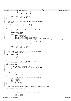```
622 newElement−>event.xUnion.xAllocData.xCount = count;
623 newElement−>hdlr = hdlr;
624 rc = signalEvent(newElement);<br>625 }
625 }
626
627 if ( (rc != 0) && (hdlr != NULL) )
628 (*hdlr)( userToken, rc );
629 }
630
631 /*
     * Global kernel interface to unseed and deallocate events already in
633 * Hypervisor.
634<br>635
635 void mf_deallocateLpEvents( HvLpIndex targetLp,
                                       636 HvLpEvent_Type type,
\frac{1}{100} \frac{1}{100} \frac{1}{100} \frac{1}{100} \frac{1}{100} \frac{1}{100} \frac{1}{100} \frac{1}{100} \frac{1}{100} \frac{1}{100} \frac{1}{100} \frac{1}{100} \frac{1}{100} \frac{1}{100} \frac{1}{100} \frac{1}{100} \frac{1}{100} \frac{1}{100} \frac{1example.<br>
638 MFCompleteHandler hdlr,
\begin{array}{ccc} \text{639} & \text{639} \\ \text{640} & \text{640} \end{array}640 {
641 struct StackElement * newElement = newStackElement();<br>642 int rc = 0;
              int rc = 0;643
if ( newElement == NULL )<br>
{}_{645} if ( newElement == NULL )
645 rc = −ENOMEM;<br>646 else {
              646 else {
647 union SafeCast mine;
648 mine.ptr = userToken;
649 newElement−>event.xHvLpEvent.xSubtype = 5;
650 newElement−>event.xHvLpEvent.xCorrelationToken = mine.ptrAsU64;
651 newElement−>event.xHvLpEvent.x.xSubtypeData = ('M'<<24)+('F'<<16)+('M'<<8)+('D'<<0);
652 newElement−>event.xUnion.xAllocData.xTargetLp = targetLp;
653 newElement−>event.xUnion.xAllocData.xType = type;
654 newElement−>event.xUnion.xAllocData.xCount = count;
655 newElement−>hdlr = hdlr;
656 rc = signalEvent(newElement);\rightarrow658
659 if ( (rc != 0) && (hdlr != NULL) )
660 (*hdlr)( userToken, rc );
    661 }
662
663 /*
664 * Global kernel interface to tell the VSP object in the primary<br>665 * partition to power this partition off.
     * partition to power this partition off.<br>*/
666 */
667 void mf_powerOff( void )
668 {
669 printk( KERN_INFO "mf.c: Down it goes...\n" );
670 signalCEMsg( "\x00\x00\x00\x4D\x00\x00\x00\x00\x00\x00\x00\x00", NULL );
671 for (;;);
672 }
673<br>674
   /*
675 * Global kernel interface to tell the VSP object in the primary<br>676 * partition to reboot this partition
     * partition to reboot this partition.
677
678 void mf_reboot( void )
679 {<br>680
<sup>6180</sup> printk( KERN_INFO "mf.c: Preparing to bounce...\n");<br>680 sigmalCEMsg( "\x00\x00\x00\x4E\x00\x00\x00\x00\x00\x00\x0
              \overline{s}ignalCEMsg( "\x00\x00\x00\x00\x4E\x00\x00\x00\x00\x00\x00\x00\x00", NULL );
682 for (;;);
683 }
684
685 /*
686 * Display a single word SRC onto the VSP control panel.
687 +688 void mf_displaySrc( u32 word )
689 {
              u8 ce[12];
691
692 memcpy( ce, "\x00\x00\x00\x00\x4A\x00\x00\x00\x00\x00\x00\x00\x00", 12 );
ce[8] = word>>24;<br>
ce[9] = word>>16;cos ce[9] = word>>16;<br>ose ce[10] = word>>8;ce[10] = words>>8;696 ce[11] = word;
697 signalCEMsg( ce, NULL );
698 }
699
700
701 * Display a single word SRC of the form "PROGXXXX" on the VSP control panel.
702
703 void mf_displayProgress( u16 value )
\begin{matrix} 704 \\ 705 \end{matrix}705 u8 ce[12];<br>706 u8 src[72]
              706 u8 src[72];
707
\frac{1}{708} memcpy( ce, "\x00\x00\x04\x4A\x00\x00\x00\x00\x00\x00\x00", 12 );<br>
\frac{1}{709} memcpy( src,
709 memcpy (710710 "\x01\x00\x00\x01"
711 "\x00\x00\x00\x00"
Registered Version: Linux Support Power PC64 mf.c Exhibit 8.1–15 pg 8/14
```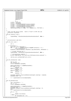|              | Registered Version: Linux Support Power PC64                                                            | mf.c                            | Exhibit 8.1-15 pg 9/14 |
|--------------|---------------------------------------------------------------------------------------------------------|---------------------------------|------------------------|
| 712          | "\x00\x00\x00\x00"                                                                                      |                                 |                        |
| 713          | "\x00\x00\x00\x00"                                                                                      |                                 |                        |
| 714          | "\x00\x00\x00\x00 "<br>"\x00\x00\x00\x00 "                                                              |                                 |                        |
| 715<br>716   | "\x00\x00\x00\x00 "                                                                                     |                                 |                        |
| 717          | "\x00\x00\x00\x00 "                                                                                     |                                 |                        |
| 718          | "\x00\x00\x00\x00"                                                                                      |                                 |                        |
| 719          | "\x00\x00\x00\x00"                                                                                      |                                 |                        |
| 720<br>721   | " PROGXXXX"<br>ш                                                                                        |                                 |                        |
| 722          | $72$ ) ;                                                                                                |                                 |                        |
| 723          | $src[6] = values > 8i$                                                                                  |                                 |                        |
| 724          | $src[7] = value\&255;$                                                                                  |                                 |                        |
| 725<br>726   | $src[44] = "0123456789ABCDEF" [(value>>12) & 15];$<br>$src[45] = "0123456789ABCDEF" [(value>>8) & 15];$ |                                 |                        |
| 727          | $src[46] = "0123456789ABCDEF" [(value>>4) \& 15];$                                                      |                                 |                        |
| 728          | $src[47] = "0123456789ABCDEF" [value&15];$                                                              |                                 |                        |
| 729          | $dmaAndSignalCEMsg(ce, NULL, src, sizeof(src), 9*64*1024)$                                              |                                 |                        |
| 730<br>731   |                                                                                                         |                                 |                        |
| 732          |                                                                                                         |                                 |                        |
| 733          | * Clear the VSP control panel.                                                                          | Used to "erase" an SRC that was |                        |
| 734          | previously displayed.<br>$^*/$                                                                          |                                 |                        |
| 735<br>736   | void mf_clearSrc( void )                                                                                |                                 |                        |
| 737          |                                                                                                         |                                 |                        |
| 738          | $signalCEMsg$ ( "\x00\x00\x00\x4B\x00\x00\x00\x00\x00\x00\x00\x00", NULL ) ;                            |                                 |                        |
| 739<br>740   |                                                                                                         |                                 |                        |
| $/$ *<br>741 |                                                                                                         |                                 |                        |
| 742          | * Initialization code here.                                                                             |                                 |                        |
| 743          | $^*/$                                                                                                   |                                 |                        |
| 744<br>745   | void mf_init( void )                                                                                    |                                 |                        |
| 746          | int i;                                                                                                  |                                 |                        |
| 747          |                                                                                                         |                                 |                        |
| 748          | /* initialize */                                                                                        |                                 |                        |
| 749<br>750   | spin_lock_init( &spinlock );<br>for ( i = 0; i < sizeof(prealloc)/sizeof(*prealloc); ++i )              |                                 |                        |
| 751          | $free($ &prealloc[i] $)$ ;                                                                              |                                 |                        |
| 752          | HvLpEvent_registerHandler(    HvLpEvent_Type_MachineFac,                &hvHandler );                   |                                 |                        |
| 753          | $\frac{\pi}{2}$ virtual continue ack */                                                                 |                                 |                        |
| 754<br>755   | $signalCEMsg$ ( $\forall x00\x00\x00\x57\x00\x00\x00\x00\x00\x00\x00\x00\x00$ )                         |                                 |                        |
| 756          |                                                                                                         |                                 |                        |
| 757          | $\frac{\pi}{2}$ initialization complete */                                                              |                                 |                        |
| 758<br>759   | printk (KERN_NOTICE "mf.c: iSeries Linux LPAR Machine Facilities initialized\n");                       |                                 |                        |
| 760          | iSeries_proc_callback(&mf_proc_init);                                                                   |                                 |                        |
| ł<br>761     |                                                                                                         |                                 |                        |
| 762<br>763   | void mf_setSide(char side)                                                                              |                                 |                        |
| 764          |                                                                                                         |                                 |                        |
| 765          | int $rc = 0$ ;                                                                                          |                                 |                        |
| 766<br>767   | $u64$ newSide = 0;<br>struct VspCmdData myVspCmd;                                                       |                                 |                        |
| 768          |                                                                                                         |                                 |                        |
| 769          | memset(&myVspCmd, 0, sizeof(myVspCmd));                                                                 |                                 |                        |
| 770          | if (side == $'A'$ )                                                                                     |                                 |                        |
| 771<br>772   | $newSide = 0;$<br>else if (side == $'B'$ )                                                              |                                 |                        |
| 773          | $newSide = 1;$                                                                                          |                                 |                        |
| 774          | else if (side == $(C')$                                                                                 |                                 |                        |
| 775          | $newSide = 2i$<br>else                                                                                  |                                 |                        |
| 776<br>777   | $newSide = 3;$                                                                                          |                                 |                        |
| 778          |                                                                                                         |                                 |                        |
| 779          | $myVspCmd.xSubData.xFunction02SelectIp1TypeIn.xIp1Type = newSide;$                                      |                                 |                        |
| 780          | $myVspCmd.xCmd = 107$                                                                                   |                                 |                        |
| 781<br>782   | $rc = signalVspInstruction(\&myVspCmd);$                                                                |                                 |                        |
| 783          |                                                                                                         |                                 |                        |
| 784          |                                                                                                         |                                 |                        |
| 785<br>786   | <i>char</i> mf_getSide(void)                                                                            |                                 |                        |
| 787          | <i>char</i> returnValue = $'$ ;                                                                         |                                 |                        |
| 788          | int $rc = 0$ ;                                                                                          |                                 |                        |
| 789          | struct VspCmdData myVspCmd;                                                                             |                                 |                        |
| 790<br>791   | memset(&myVspCmd, 0, sizeof(myVspCmd));                                                                 |                                 |                        |
| 792          | $myVspCmd.xCmd = 27$                                                                                    |                                 |                        |
| 793          | myVspCmd.xSubData.xFunction02SelectIplTypeIn.xIplType = 0;                                              |                                 |                        |
| 794          | $mb()$ ;<br>rc = signalVspInstruction(&myVspCmd);                                                       |                                 |                        |
| 795<br>796   |                                                                                                         |                                 |                        |
| 797          | if $(rc := 0)$                                                                                          |                                 |                        |
| 798<br>799   | return returnValue;                                                                                     |                                 |                        |
| 800          | $\}$ else $\cdot$                                                                                       |                                 |                        |
| 801          | $if$ (myVspCmd.xRc == 0)                                                                                |                                 |                        |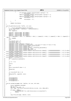```
802 \left\{ \begin{array}{c} 2 \end{array} \right.<sup>31</sup> if (myVspCmd.xSubData.xGetIplTypeOut.xIplType == 0)
804 returnValue = 'A';<br>805 else if (myVspCmd.xSubData)
                                      else if (myVspCmd.xSubData.xGetIplTypeOut.xIplType == 1)
\begin{array}{ccc} 806 \\ 807 \end{array} returnValue = 'B';<br>\begin{array}{ccc} 807 \\ 807 \end{array} relse if \begin{array}{ccc} \text{mV}{\text{S}}\text{C}^{\text{m}}\text{d} & \text{x}\text{SubData} \end{array}else if (myVspCmd.xSubData.xGetIplTypeOut.xIplType == 2)
\frac{1}{808} \frac{1}{809} \frac{1}{809} \frac{1}{809} \frac{1}{809} \frac{1}{809} \frac{1}{809} \frac{1}{809} \frac{1}{809} \frac{1}{809} \frac{1}{809} \frac{1}{809} \frac{1}{809} \frac{1}{809} \frac{1}{809} \frac{1}{809} \frac{1}{809} \frac{1}{809} \frac{1809 else
810 returnValue = 'D;<br>811811 \Big\}812 }
813<br>814
    return returnValue;
815 }
816
817 void mf_getSrcHistory(char *buffer, int size)
818 \frac{1}{2}819 /* struct IplTypeReturnStuff returnStuff;<br>820 struct StackElement * newElement = newStack
820 struct StackElement * newElement = newStackElement();<br>821 int rc = 0;
821 int rc = 0;
822 char *pages[4];
823
824 pages[0] = kmalloc(4096, GFP_ATOMIC);<br>825 pages[1] = kmalloc(4096, GFP_ATOMIC);
825 pages[1] = kmalloc(4096, GFP_ATOMIC);<br>826 pages[2] = kmalloc(4096, GFP ATOMIC);
           pages[2] = kmalloc(4096, GFP\_ATOMIC);
827 pages[3] = kmalloc(4096, GFP_ATOMIC);
828 if (( newElement == NULL ) || (pages[0] == NULL) || (pages[1] == NULL) || (pages[2] == NULL) || (pages[3] ==
      NULL))
829 \begin{array}{ccc} & rc & = & -ENOMEM \end{array}0.89831 {
           returnStuff.xType = 0;833 returnStuff.xR_{\text{C}} = 0;<br>834 returnStuff.xDone =
834 returnStuff.xDone = 0;<br>835 newElement->event.xHvI
835 newElement−>event.xHvLpEvent.xSubtype = 6;<br>836 newElement->event.xHvLpEvent.x.xSubtypeDat
           836 newElement−>event.xHvLpEvent.x.xSubtypeData = ('M'<<24)+('F'<<16)+('V'<<8)+('I'<<0);
837 newElement->event.xUnion.xVspCmd.xEvent = &returnStuff;<br>838 newElement->event.xUnion.xVspCmd.xCmd = 4;
838 newElement−>event.xUnion.xVspCmd.xCmd = 4;
839 newElement−>event.xUnion.xVspCmd.xLpIndex = HvLpConfig_getLpIndex();<br>840 newElement->event.xUnion.xVspCmd.xRc = 0xFF:
           840 newElement−>event.xUnion.xVspCmd.xRc = 0xFF;
841 newElement−>event.xUnion.xVspCmd.xReserved1 = 0;
842 newElement−>event.xUnion.xVspCmd.xSubData.xGetSrcHistoryIn.xPage[0] = (0x8000000000000000ULL | virt_to_absol
    ute((unsigned long)pages[0]));
843 newElement−>event.xUnion.xVspCmd.xSubData.xGetSrcHistoryIn.xPage[1] = (0x8000000000000000ULL | virt_to_absol
    ute((unsigned long)pages[1]));
844 newElement−>event.xUnion.xVspCmd.xSubData.xGetSrcHistoryIn.xPage[2] = (0x8000000000000000ULL | virt_to_absol
    ute((unsigned long)pages[2]));
845 newElement−>event.xUnion.xVspCmd.xSubData.xGetSrcHistoryIn.xPage[3] = (0x8000000000000000ULL | virt_to_absol
    ute((unsigned long)pages[3]));
846 mb();
\frac{1}{100} \frac{1}{100} \frac{1}{100} \frac{1}{100} \frac{1}{100} \frac{1}{100} \frac{1}{100} \frac{1}{100} \frac{1}{100} \frac{1}{100} \frac{1}{100} \frac{1}{100} \frac{1}{100} \frac{1}{100} \frac{1}{100} \frac{1}{100} \frac{1}{100} \frac{1}{100} \frac{1848 }
849
850 if (rc != 0)
851
852 return;
853 }
854 else
855<br>856
           while (returnStuff.xDone != 1)857 {
858 udelay(10);
859 }
860
861 if (returnStuff.xRc == 0)
862<br>863
           \stackrel{\cdot}{\text{memory}}(\text{buffer}, \text{pages}[0], \text{size});864 }
865 }
866
867 kfree(pages[0]);<br>868 kfree(pages[1]);
868 kfree(pages[1]);<br>869 kfree(pages[2]);
869 kfree(pages[2]);<br>870 kfree(pages[3]);
           870 kfree(pages[3]);*/
871 }
872
873 void mf_setCmdLine(const char *cmdline, int size, u64 side)
874 {<br>875struct VspCmdData myVspCmd;
\begin{array}{lll}\n\text{876} & \text{int} & \text{rc} = 0; \\
\text{877} & \text{dma} & \text{addr} & \text{t}\n\end{array}\frac{1}{2} dma_addr = 0;
878 char *page = pci_alloc_consistent(iSeries_vio_dev, size, &dma_addr);
879
880 if (page == NULL)<br>881 printk(KER
                           printk(KERN_ERR "mf.c: couldn't allocate memory to set command line\n");
882 return;<br>883 }
883 }
884
885 copy_from_user(page, cmdline, size);
886
Registered Version: Linux Support Power PC64 mf.c Exhibit 8.1−15 pg 10/14
```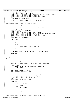```
887 memset(&myVspCmd, 0, sizeof(myVspCmd));
888 myVspCmd.xCmd = 31;
889 myVspCmd.xSubData.xSetKernelCmdLineIn.xToken = dma_addr;<br>890 myVspCmd.xSubData.xSetKernelCmdLineIn.xAddressType = HvL
            890 myVspCmd.xSubData.xSetKernelCmdLineIn.xAddressType = HvLpDma_AddressType_TceIndex;
891 myVspCmd.xSubData.xSetKernelCmdLineIn.xSide = side;<br>892 myVspCmd.xSubData.xSetKernelCmdLineIn.xTransferLeng
            892 myVspCmd.xSubData.xSetKernelCmdLineIn.xTransferLength = size;
893 mb();<br>894 TC =894 rc = signalVspInstruction(&myVspCmd);
895
896 pci_free_consistent(iSeries_vio_dev, size, page, dma_addr);<br>897 }
   }
898
<sup>899</sup> int mf_getCmdLine(char *cmdline, int *size, u64 side)<br><sup>900</sup> {
900 {
            struct VspCmdData myVspCmd;
902 int rc = 0;
903 int len = *size;
904 dma_addr_t dma_addr = pci_map_single(iSeries_vio_dev, cmdline, *size, PCI_DMA_FROMDEVICE);
905
906 memset(cmdline, 0, *size);
907 memset(&myVspCmd, 0, sizeof(myVspCmd));
908 myVspCmd.xCmd = 33;<br>909 myVspCmd.xSubData.x
909 myVspCmd.xSubData.xGetKernelCmdLineIn.xToken = dma_addr;<br>910 myVspCmd.xSubData.xGetKernelCmdLineIn.xAddressType = HvL
910 myVspCmd.xSubData.xGetKernelCmdLineIn.xAddressType = HvLpDma_AddressType_TceIndex;
            myVspCmd.xSubData.xGetKernelCmdLineIn.xSide = side;
912 myVspCmd.xSubData.xGetKernelCmdLineIn.xTransferLength = *size;
913 mb();
914 rc = signalVspInstruction(&myVspCmd);
915
916 if ( ! rc ) {
917
918 if (myVspCmd.xRc == 0)
919 \Big\{920 len = myVspCmd.xSubData.xGetKernelCmdLineOut.xTransferLength;<br>}
921 }
922 /* else
923 {
=<br>
924 memcpy(cmdline, "Bad cmdline", 11);<br>
925 and the same parameter of the same parameter of the same parameter of the same parameter of the same parameter of the same parameter of the same parameter of the same paramet
925 {}926 * /
927 \Big\}928
929 pci_unmap_single(iSeries_vio_dev, dma_addr, *size, PCI_DMA_FROMDEVICE);
930
931 return len;
\begin{matrix} 932 \end{matrix}933
934<br>935
935 int mf_setVmlinuxChunk(const char *buffer, int size, int offset, u64 side)
   \{937 struct VspCmdData myVspCmd;
938 int rc = 0;
939
940 dma_addr_t dma_addr = 0;
941
942 char *page = pci_alloc_consistent(iSeries_vio_dev, size, &dma_addr);
943
944 if (page == NULL) {
945 printk(KERN_ERR "mf.c: couldn't allocate memory to set vmlinux chunk\n");<br>946 printk = ENOMEM;
                     946 return −ENOMEM;
947 }
948
949 copy_from_user(page, buffer, size);<br>950 memset(&mvVspCmd, 0, sizeof(mvVspCm
            memset(&myVspCmd, 0, sizeof(myVspCmd));
951
952 myVspCmd.xCmd = 30;<br>953 myVspCmd.xSubData.x
953 myVspCmd.xSubData.xGetKernelImageIn.xToken = dma_addr;
954 myVspCmd.xSubData.xGetKernelImageIn.xAddressType = HvLpDma_AddressType_TceIndex;
955 myVspCmd.xSubData.xGetKernelImageIn.xSide = side;
            \overline{m}yVspCmd.xSubData.xGetKernelImageIn.xOffset = offset;
957 myVspCmd.xSubData.xGetKernelImageIn.xTransferLength = size;
958 \overline{mb}();<br>959 \overline{rc} =959 rc = signalVspInstruction(&myVspCmd);
960
961 if (rc == 0)
962 {
963 if (myVspCmd.xRc == 0)
964 \{965 rc = 0;
966 } else {
                     \begin{array}{rcl} \uparrow \text{C} & = & - \text{ENOMEM}; \end{array}968 }
969 }
970
971 pci_free_consistent(iSeries_vio_dev, size, page, dma_addr);
972
973 return rc;<br>974 }
974 }
975
976 int mf_getVmlinuxChunk(char *buffer, int *size, int offset, u64 side)
Registered Version: Linux Support Power PC64 mf.c Exhibit 8.1−15 pg 11/14
```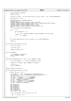```
977 {
end to the struct VspCmdData myVspCmd;
979 int \ncup int rc = 0;<br>980 int \then = *int len = *size;
981
982 dma_addr_t dma_addr = pci_map_single(iSeries_vio_dev, buffer, *size, PCI_DMA_FROMDEVICE);
983
984 memset(buffer, 0, len);
985
986 memset(&myVspCmd, 0, sizeof(myVspCmd));<br>987 mvVspCmd.xCmd = 32;
              myVspCmd.xCmd = 32;988 myVspCmd.xSubData.xGetKernelImageIn.xToken = dma_addr;
989 myVspCmd.xSubData.xGetKernelImageIn.xAddressType = HvLpDma_AddressType_TceIndex;
990 myVspCmd.xSubData.xGetKernelImageIn.xSide = side;<br>myVspCmd_xSubData_yGetKernelImageIn_yOffset = off
              myVspCmd.xSubData.xGetKernelImageIn.xOffset = offset;
992 myVspCmd.xSubData.xGetKernelImageIn.xTransferLength = len;<br>993 mb();
993 mb();<br>994 TC =994 rc = signalVspInstruction(&myVspCmd);
995
996 if (rc == 0)
997 {
998 if (myVspCmd.xRc == 0)
999 {
1000 * size = myVspCmd.xSubData.xGetKernelImageOut.xTransferLength;<br>} else {
                        1001 } else {
1002 \text{r} \text{c} = - \text{ENOMEM};
1003 }
1004 }
1005
1006 pci_unmap_single(iSeries_vio_dev, dma_addr, len, PCI_DMA_FROMDEVICE);
1007
1008 return rc;<br>1009 }
1009 }
1010
1011 int mf_setRtcTime(unsigned long time)<br>1012 {
1012 {
1013 struct rtc time tm;
1014
1015 to_tm(time, &tm);
1016
1017 return mf_setRtc( &tm );
1018 }
1019
1020 struct RtcTimeData
1021 {
1022 struct semaphore *xSemaphore;
1023 struct CeMsgData xCeMsg;
1024 int xRc;<br>1025 i
   1025 };
1026
1027 void getRtcTimeComplete(void * token, struct CeMsgData *ceMsg)
\begin{matrix} 1028 \\ 1029 \end{matrix}struct RtcTimeData *rtc = (struct RtcTimeData *)token;
1030
1031 memcpy(&(rtc−>xCeMsg), ceMsg, sizeof(rtc−>xCeMsg));
1032
1033 rtc−>xRc = 0;
1034 up(rtc−>xSemaphore);<br>1035 }
1035 }
1036
1037 static unsigned long lastsec = 1;
1038
1039 int mf_getRtcTime(unsigned long *time) \{1040\}\left\{ \right. _{111}1041 /* unsigned long usec, tsec; */
1042
1043 u32 dataWord1 = *((u32 *)(&xSpCommArea.xBcdTimeAtIplStart));
1044 u32 dataWord2 = *(((u32 *)&(xSpCommArea.xBcdTimeAtIplStart)) + 1);
1045 int year = 1970;<br>
1046 int yearl = (dat
1046 int year1 = ( dataWord1 >> 24 ) & 0x000000FF;
1047 int year2 = ( dataWord1 >> 16 ) & 0x000000FF;
1048 int sec = ( dataWord1 >> 8 ) \& 0x0000000FF;<br>1049 int min = dataWord1 \& 0x000000FF;
1049 1040 int min = dataWord1 & 0x000000FF;<br>1050 111 hour = ( dataWord2 >> 24 ) & 0x000000FF;<br>1051 111 day = ( dataWord2 >> 8 ) & 0x000000FF;<br>1052 1nt mon = dataWord2 & 0x000000FF;
1053
1054 BCD_TO_BIN(sec);<br>1055 BCD_TO_RIN(min);
              BCDTO-BIN(min);1056 BCD_TO_BIN(hour);<br>1057 BCD_TO_BIN(day);
              BCD_TO_BIN(day);
1058 BCD_TO_BIN(mon);<br>1059 BCD_TO_BIN(year)
1059 BCD_TO_BIN(year1);<br>1060 BCD_TO_BIN(year2);
1060 BCD_TO_BIN(year2);
1061 year = year1 * 100 + year2;
1062
1063 *time = mktime(year, mon, day, hour, min, sec);
1064
1065 *time += ( jiffies / HZ );
Registered Version: Linux Support Power PC64 mf.c Exhibit 8.1−15 pg 12/14
```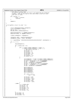```
1067 /* Now THIS is a nasty hack!
1068 * It ensures that the first two calls to mf_getRtcTime get different
1069 * answers. That way the loop in init_time (time.c) will not think<br>1070 * the clock is stuck.
1070 * the clock is stuck.<br>1071 *1071 */<br>1072 if ( lastsec ) {<br><sup>1073</sup> *time −= lastsec;
1074 –−lastsec;<br>1075 }
1075 }
1076 
            return 0;
1078
1079}
1080
1081 int mf_getRtc( struct rtc_time * tm )
1082 {
1083
1084 struct CeMsgCompleteData ceComplete;<br>1085 struct RtcTimeData rtcData;
1085 struct RtcTimeData rtcData;<br>1086 int rc = 0;
1086 int \, \text{r}c = 0;<br>1087 DECLARE MUTI
            Instructions.<br>DECLARE_MUTEX_LOCKED(Semaphore);
1088
1089 memset(&ceComplete, 0, sizeof(ceComplete));<br>1090 memset(&rtcData, 0, sizeof(rtcData));
            1090 memset(&rtcData, 0, sizeof(rtcData));
1091
1092 rtcData.xSemaphore = &Semaphore;
1093
1094 ceComplete.xHdlr = &getRtcTimeComplete;
1095 ceComplete.xToken = (void *)&rtcData;
1096
1097 rc = signalCEMsg( "\x00\x00\x00\x40\x00\x00\x00\x00\x00\x00\x00\x00", &ceComplete );
1098
1099 if ( rc == 0 )
1100 \{down(&Semaphore);
1102
1103 if (r \text{t} \text{cData} \cdot x \text{Rc} = 0)
1104 \left\{1105 if ( ( rtcData.xCeMsg.xCEMsg[2] == 0xa9 ) ||<br>
1106 ( rtcData.xCeMsg.xCEMsg[2] == 0xaf ) ) {<br>
1107 /* TOD clock is not set */
1108 t = -t \frac{sec}{12} = 1;<br>
1109 t = -t \frac{sec}{12} = 1;<br>
t = -t \frac{sec}{12} = 1;1109 tm→>tm_min = 1;<br>
1110 tm→>tm_nour = 1
tm->tm<sup>-</sup>hour = 1;<br>tm->tm mday = 1(
1111 tm−>tm_mday = 10;<br>
1112 tm−>tm_mon = 8;
1113 tm−>tm_year = 71;<br>
1113 tm−>tm_year = 71;<br>
1114 mf setRtc( tm );
1114 mf_setRtc( tm );<br>
1115
1115 \Big\}1116 \left\{1117 u32 dataWord1 = *((u32 *)(rtcData.xCeMsg.xCEMsg+4));
1118 u32 dataWord2 = *((u32 *)(rtcData.xCeMsg.xCEMsg+8));
1119<br>119<br>1120<br>18 year = (dataWord1 >> 16 ) & 0x0000000FF;<br>120<br>18 sec = (dataWord1 >> 8 ) & 0x000000FF;
1120 u8 sec = ( dataWord1 >> 8 ) & 0x000000FF;
1121 u8 min = dataWord1 & 0x000000FF;
1122 u8 hour = ( dataWord2 >> 24 ) & 0x000000FF;
1123 u8 day = ( dataWord2 >> 8 ) & 0x000000FF;
1124 1124 u8 mon = dataWord2 & 0x000000FF;
1125
1126 BCD_TO_BIN(sec);<br>
1127 BCD_TO_BIN(min);
1128 BCD\overline{LO}BIN(hour);<br>1129 BCD TO BIN(day);
1129 BCD_TD_BIN(\text{day});<br>
BCD_TD_BIN(\text{day});
                                       BCD<sup>-</sup>TO<sup>-</sup>BIN(mon);\verb|BCD_TO_BIN(year)|;1132
1133 if ( year <= 69 )<br>1134 if ( year <= 69 )
                                                year + = 100;1135 
                                       tm->tm_sec = sec;
1137 tm->tm_mmin = min;<br>1138 tm->tm_hour = hour1138 tm−>tm_hour = hour;<br>
1139 tm−>tm mday = day;
1139 tm−>tm_mday = day;<br>
1140 tm−>tm_mon = mon;
1141 tm−>tm_year = year;<br>
1142 htm−>tm_year = year;
1142 }
1143 } else {
1144 \text{TC} = \text{rtcData.xRc};<br>\text{tm}\rightarrow\text{tm} \text{sec} = 0;
                              tm->tm_sec = 0;
1146 tm−>tm_min = 0;<br>1147 tm−>tm_hour = 0;
1148 tm−>tm_mday = 15;<br>
tm->tm_mday = 15;<br>
tm->tm_mon = 5;
1149 tm−>tm_mon = 5;<br>1150 tm−>tm year = 5
                              tm->tm_year = 52;
1151
1152 \Big\}1153 tm−>tm_wday = 0;<br>1154 tm−>tm_yday = 0;
1154 tm->tm\_yday = 0;<br>
tm->tm\_sdst = 0;tm->tm_isdst = 0;
1156
Registered Version: Linux Support Power PC64 mf.c Exhibit 8.1−15 pg 13/14
```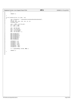Registered Version: Linux Support Power PC64 **mf.c** Exhibit 8.1−15 pg 14/14

```
1157 }
1158
1159 return rc;
1160
1161 }
1162
1163 int mf_setRtc(struct rtc_time * tm)<br>1164 {
1164 {
1165 char ceTime[12] = "\x00\x00\x00\x41\x00\x00\x00\x00\x00\x00\x00\x00";
1166 int rc = 0;
1167 u8 day, mon, hour, min, sec, y1, y2;
1168 unsigned year;
1169<br>1170
1170 year = 1900 + tm−>tm_year;<br>
1171 y1 = year / 100;<br>
1172 y2 = year % 100;
1173 
1174 sec = tm−>tm_sec;
1175 min = tm−>tm_min;
1176 hour = tm−>tm_hour;
1177 day = tm−>tm_mday;
1178 mon = tm−>tm_mon + 1;
1179 
1180 BIN_TO_BCD(sec);<br>1181 BIN_TO_BCD(min);
1181 BIN_TO_BCD(min);
1182 BIN_TO_BCD(hour);
1183 BIN_TO_BCD(mon);
1184 BIN_TO_BCD(day);<br>1185 BIN_TO_BCD(y1);
1185 BIN_TO_BCD(y1);
1186 BIN_TO_BCD(y2);
1187
1188 ceTime[4] = y1;<br>1189 ceTime[5] = y2;
1189 ceTime[5] = y2;
1190 ceTime[6] = sec;
1191 ceTime[7] = min;
1192 ceTime[8] = hour;
1193 ceTime[10] = day;
1194 ceTime[11] = mon;
1195 
                 1196 rc = signalCEMsg( ceTime, NULL );
1197
1198 return rc;
1199 }
1200
1201
1202
```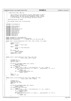```
Registered Version: Linux Support Power PC64 nvram.c Exhibit 8.1−16 pg 1/2
```

```
1 /*
2 \times c 2001 PPC 64 Team, IBM Corp
\frac{3}{4}4 * This program is free software; you can redistribute it and/or
 5 * modify it under the terms of the GNU General Public License
6 * as published by the Free Software Foundation; either version
7 * 2 of the License, or (at your option) any later version.
\begin{array}{c} 8 \\ 9 \end{array}9 * /dev/nvram driver for PPC64
\begin{array}{c} 10 \\ 11 \end{array}* This perhaps should live in drivers/char
12 */
13
14 #include <linux/module.h>
15
16 #include <linux/types.h>
17 #include <linux/errno.h>
18 #include <linux/fs.h><br>19 #include <linux/miscd
    #include <linux/miscdevice.h>
20 #include <linux/fcntl.h>
21 #include <linux/nvram.h>
22 #include <linux/init.h><br>23 #include <asm/uaccess.h
23 #include <asm/uaccess.h><br>24 #include <asm/nvram.h>
24 #include <asm/nvram.h><br>25 #include <asm/rtas.h>
    #include <asm/rtas.h>
26 #include <asm/prom.h>
27
28 static unsigned int rtas_nvram_size;
29 static unsigned int nvram_fetch, nvram_store;
30 static char nvram_buf[4]; /* assume this is in the first 4GB */
\frac{31}{32}32 static loff_t nvram_llseek(struct file *file, loff_t offset, int origin)
33 \n{34}34 switch (origin) {
35 case 1:
                           36 offset += file−>f_pos;
37 break;
38 case 2:
39 offset += rtas_nvram_size;<br>40 break;
                           40 break;
41 }
42 \textbf{if} \text{ (offset } < 0)<br>43 \textbf{return}43 return −EINVAL;
44 file−>f_pos = offset;
45 return file−>f_pos;
46 }
\frac{1}{47}48
49 static ssize_t read_nvram(struct file *file, char *buf,
                                          size_t count, loff_t *ppos)
\begin{matrix} 51 \\ 52 \end{matrix} {
52 unsigned int i;<br>53 unsigned long 1
53 unsigned long len;<br>54 char *p = buf;
                char *p = buf;55
56 if (verify_area(VERIFY_WRITE, buf, count))<br>57 return -EFAULT;
57 return −EFAULT;<br>58 if (*ppos >= rtas_nvram
58 if (*ppos >= rtas_nvram_size)<br>59 return 0;
59 return 0;<br>60 for (i = *ppos; c
60 for (i = *ppos; count > 0 && i < rtas_nvram_size; ++i, ++p, −−count) {
61 if ((rtas_call(nvram_fetch, 3, 2, &len, i, __pa(nvram_buf), 1) != 0) ||
\begin{array}{ccc} 62 & \text{len} & \text{l = 1)} \\ 63 & \text{return} \end{array}63 return −EIO;
                           if (_put_user(nvram_buf[0], p))
65 return −EFAULT;
66 }
\frac{1}{67} \frac{1}{27} \frac{1}{27} \frac{1}{27} \frac{1}{27} \frac{1}{27} \frac{1}{27} \frac{1}{27} \frac{1}{27} \frac{1}{27} \frac{1}{27} \frac{1}{27} \frac{1}{27} \frac{1}{27} \frac{1}{27} \frac{1}{27} \frac{1}{27} \frac{1}{27} \frac{1}{27} \frac{1}{27} 68 return p − buf;
    \left\{ \right\}70
71 static ssize_t write_nvram(struct file *file, const char *buf,
72 size_t count, loff_t *ppos)
\begin{matrix} 73 \\ 74 \end{matrix}unsigned int i;
75 unsigned long len;
76 const char *p = buf;
77 char c;
78
79 if (verify_area(VERIFY_READ, buf, count))
80 return −EFAULT;<br>81 if (*ppos >= rtas nyram
                81 if (*ppos >= rtas_nvram_size)
\begin{array}{ccc} 82 & \text{return } 0; \\ 83 & \text{for } (i = * \text{ppos}; c) \end{array}83 for (i = *ppos; count > 0 && i < rtas_nvram_size; ++i, ++p, --count) {<br>84 if (qet user(c, p))
84 if (__get_user(c, p))<br>85 return −EFAULT;<br>86 nvram_buf[0] = c;
87 if ((rtas_call(nvram_store, 3, 2, &len, i, __pa(nvram_buf), 1) != 0) ||
\lim_{89} len \lim_{x \to 0} len \lim_{x \to 0}89 return −EIO;
90 }
```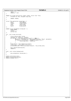```
91 *ppos = i;
92 return p − buf;
\begin{matrix} 92 \\ 93 \end{matrix}94
 95 static int nvram_ioctl(struct inode *inode, struct file *file,
96 unsigned int cmd, unsigned long arg)
97 \begin{cases} 98 \end{cases}98 return −EINVAL;<br>99 }
    99 }
100
101 struct file_operations nvram_fops = {
102 owner: THIS_MODULE,
102 owner: THIS_MODULE,<br>
103 llseek: nvram_llseek,<br>
104 read: read_nvram,
104 read: read_nvram,<br>105 write: write write nyram
                                           write_nvram,
106 ioctl: nvram_ioctl,
107 } ;
108
109 static struct miscdevice nvram_dev = {
110 NVRAM_MINOR,<br>
111 nvram ",
                  " nvram",
112 & nvram_fops
    113 };
114
115 int __init nvram_init(void)
\begin{matrix} 116 \\ 117 \end{matrix}117 struct device_node *nvram;<br>118 mnsigned int *nbytes_p, pr
118 \qquad \qquad \text{unsigned int *nbytes\_p, proplen;\n    if ((nvram = find_type\_devices("nvram")) != NULL) {\n        nbytes\_p = (unsigned int *)get\_property(nvram, "#bytes", \&proplen);\n        if (nbytes\_p &amp;&amp; proplen == <b>sizeof</b>(unsigned int)) {\n            rtas_nvram_size = *nbytes\_p;\n        }\n    }\n}\n</math>124 }
125 nvram_fetch = rtas_token("nvram−fetch");
126 nvram_store = rtas_token("nvram−store");
127 printk(KERN_INFO "PPC64 nvram contains %d bytes\n", rtas_nvram_size);
128<br>129129 misc_register(&nvram_dev);<br>130 return 0;
                 return 0;
131 }
132
133 void __exit nvram_cleanup(void)
134 {
                 135 misc_deregister( &nvram_dev );
136 }
137
138 module_init(nvram_init);<br>139 module exit(nvram cleanu
139 module_exit(nvram_cleanup);<br>140 MODULE LICENSE("GPL");
     MODULE_LICENSE("GPL");
Registered Version: Linux Support Power PC64 nvram.c Exhibit 8.1−16 pg 2/2
```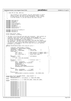```
1 / *
2 \times c 2001 PPC 64 Team, IBM Corp
3 *
               This program is free software; you can redistribute it and/or
 5 * modify it under the terms of the GNU General Public License
6 * as published by the Free Software Foundation; either version
7 * 2 of the License, or (at your option) any later version.
8 \times /9
10 #include <asm/types.h><br>11 #include <asm/page.h>
11 #include <asm/page.h>
12 #include <stddef.h>
13 #include <linux/config.h><br>14 #include <linux/threads.h
14 #include <linux/threads.h>
    15 #include <asm/page.h>
16 #include <asm/mmu.h><br>17 #include <asm/proces
    17 #include <asm/processor.h>
18 #include <asm/ptrace.h>
19
20 #include <asm/iSeries/ItLpPaca.h>
21 #include <asm/naca.h>
22 #include <asm/paca.h>
23
24 struct naca_struct *naca;<br>25 struct systemcfg *systemc
    struct systemcfg *systemcfg;
26
27 /* The Paca is an array with one entry per processor. Each contains an
<sup>28</sup> * ItLpPaca, which contains the information shared between the
* hypervisor and Linux. Each also contains an ItLpRegSave area which<br>* is used by the hypervisor to save registers.<br>* On systems with hardware multi-threading, there are two threads<br>* Per processor. The Paca array must con
<sup>34</sup> * processors. The processor VPD array needs one entry per physical<br><sup>35</sup> * processor (not thread).
        processor (not thread).
3637 #define PACAINITDATA(number,start,lpq,asrr,asrv) \
38 \left\{ \begin{array}{ccc} \end{array} \right.39 xLpPacaPtr: \&paca[number].xLpPaca, \xLpReaSavePtr: \&paca[number].xReaSavPtr: \&paca[number].xReaSavPtr: \&paca[number].xReaSavPtr: \&paca[number].xReaSavPtr: \&paca[number].xReaSavPtr: \&paca[number].xReaSavPtr: \&paca[number].xReaSavPtr: \&paca[number].xReaSavPtr: \&paca[number].xReaSavPtr: \&paca[number].xReaSavPtr: \&paca[number].xReaSavPtr: \&paca[number40 xLpRegSavePtr: &paca[number].xRegSav, \
41 xPacaIndex: (number), /* Paca Index */ \
42 default_decr: 0x00ff0000, /* Initial Decr */ \
43 xStab_data: {<br>44 real: (asrr),44 real: (asrr), /* Real pointer to segment table<br>45 virt: (asrv), /* Virt pointer to segment table
45 virt: (asrv), /* Virt pointer to segment table */ \
46 next_round_robin: 1 /* Round robin index */ \
47 }, \
48 lpQueuePtr: (lpq), /* &xItLpQueue, */ \
49 /* xRtas: { \
50 lock: SPIN_LOCK_UNLOCKED
51 \qquad \qquad \qquad \qquad \qquad \qquad \qquad \qquad \qquad \qquad \qquad \qquad \qquad \qquad \qquad \qquad \qquad \qquad \qquad \qquad \qquad \qquad \qquad \qquad \qquad \qquad \qquad \qquad \qquad \qquad \qquad \qquad \qquad \qquad \qquad \qquad \52 xProcStart: (start), /* Processor start */ \
53 xLpPaca: { \
\overline{\text{xDesc: 0xd397d781}}, \overline{\text{xSize: 0xd397d781}},
                          xSize: sizeof(struct ItLpPaca),
56 xFPRegsInUse: 1, \
57 xDynProcStatus: 2, \
58 \texttt{xDecrVal:} 0 \texttt{x00ff0000}59 xEndOfQuantum: 0xffffffffffffffff \
60 \hspace{1.6cm} \hspace{1.6cm} \hspace{1.6cm} \hspace{1.6cm} \hspace{1.6cm} \hspace{1.6cm} \hspace{1.6cm} \hspace{1.6cm} \hspace{1.6cm} \hspace{1.6cm} \hspace{1.6cm} \hspace{1.6cm} \hspace{1.6cm} \hspace{1.6cm} \hspace{1.6cm} \hspace{1.6cm} \hspace{1.6cm} \hspace{1.6cm} \\alpha<sub>61</sub> xRegSav: {
62 xDesc: 0xd397d9e2, /* "LpRS" */<br>63 xSize: sizeof(struct ItLpReqSave)
63 xSize: sizeof(struct ItLpRegSave) \
\begin{pmatrix} 64 & 1 \end{pmatrix},
65 exception_sp: \
66 (&paca[number].exception_stack[0]) − EXC_FRAME_SIZE, \
67 }
68
69 struct paca_struct paca[MAX_PACAS] __page_aligned = {
70 #ifdef CONFIG_PPC_ISERIES
71 PACAINITDATA( 0, 1, \&ItLpQueue, 0, STAB0_VIRT_ADDR),
    72 #else
73 PACAINITDATA( 0, 1, 0, STAB0_PHYS_ADDR, STAB0_VIRT_ADDR),
    74 #endif
75 PACAINITDATA( 1, 0, 0, 0, 0),
76 PACAINITDATA( 2, 0, 0, 0, 0),
77 PACAINITDATA( 3, 0, 0, 0, 0),
78 PACAINITDATA(\overline{4}, \overline{0}, \overline{0}, \overline{0}, \overline{0}), \overline{0}<br>
PACAINITDATA(\overline{5}, \overline{0}, \overline{0}, \overline{0}), \overline{0}),
               PACAINITDATA( 5, 0, 0, 0,
80 PACAINITDATA( 6, 0, 0, 0, 0),
81 PACAINITDATA( 7, 0, 0, 0, 0),
82 PACAINITDATA( 8, 0, 0, 0, 0),
83 PACAINITDATA( 9, 0, 0, 0, 0),<br>84 PACAINITDATA(10, 0, 0, 0, 0)
84 PACAINITDATA(10, 0, 0, 0, 0),<br>85 PACAINITDATA(11, 0, 0, 0, 0),
               PACAINITDATA(11, 0, 0, 0,
86 PACAINITDATA(12, 0, 0, 0, 0),
87 PACAINITDATA(13, 0, 0, 0, 0),
88 PACAINITDATA(14, 0, 0, 0, 0),<br>89 PACAINITDATA(15, 0, 0, 0, 0),
               PACAINITDATA(15, 0,
90 PACAINITDATA(16, 0, 0, 0, 0),
Registered Version: Linux Support Power PC64 pacaData.c Exhibit 8.1−17 pg 1/2
```
./PPC64/linux/arch/ppc64/kernel/pacaData.c Page 67/239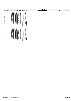|                  | Registered Version: Linux Support Power PC64 | pacaData.c | Exhibit 8.1–17 pg $2/2$ |
|------------------|----------------------------------------------|------------|-------------------------|
| 91               | PACAINITDATA $(17, 0, 0, 0, 0)$ ,            |            |                         |
| 92               | PACAINITDATA $(18, 0, 0, 0, 0)$ ,            |            |                         |
| 93               | PACAINITDATA $(19, 0, 0, 0, 0)$ ,            |            |                         |
| 94               | PACAINITDATA $(20, 0, 0, 0, 0)$ ,            |            |                         |
| 95               | PACAINITDATA $(21, 0, 0, 0, 0)$ ,            |            |                         |
| 96               | PACAINITDATA $(22, 0, 0, 0, 0)$ ,            |            |                         |
| 97               | PACAINITDATA $(23, 0, 0, 0, 0)$ ,            |            |                         |
| 98               | PACAINITDATA $(24, 0, 0, 0, 0)$ ,            |            |                         |
| 99               | PACAINITDATA $(25, 0, 0, 0, 0)$ ,            |            |                         |
| 100              | PACAINITDATA $(26, 0, 0, 0, 0)$ ,            |            |                         |
| 101              | PACAINITDATA $(27, 0, 0, 0, 0)$ ,            |            |                         |
| 102              | PACAINITDATA $(28, 0, 0, 0, 0)$ ,            |            |                         |
| 103              | PACAINITDATA $(29, 0, 0, 0, 0)$ ,            |            |                         |
| 104              | PACAINITDATA(30, 0, 0, 0, 0),                |            |                         |
| 105              | PACAINITDATA $(31, 0, 0, 0, 0)$ ,            |            |                         |
| 106              | PACAINITDATA(32, 0, 0, 0, 0),                |            |                         |
| 107              | PACAINITDATA(33, 0, 0, 0, 0),                |            |                         |
| 108              | PACAINITDATA $(34, 0, 0, 0, 0)$ ,            |            |                         |
| 109              | PACAINITDATA (35, 0, 0, 0, 0),               |            |                         |
| 110              | PACAINITDATA $(36, 0, 0, 0, 0)$ ,            |            |                         |
| 111              | PACAINITDATA(37, 0, 0, 0, 0),                |            |                         |
| 112              | PACAINITDATA(38, 0, 0, 0, 0),                |            |                         |
| 113              | PACAINITDATA(39, 0, 0, 0, 0),                |            |                         |
| 114              | PACAINITDATA $(40, 0, 0, 0, 0)$ ,            |            |                         |
| 115              | PACAINITDATA $(41, 0, 0, 0, 0)$ ,            |            |                         |
| 116              | PACAINITDATA $(42, 0, 0, 0, 0)$ ,            |            |                         |
| 117              | PACAINITDATA $(43, 0, 0, 0, 0)$ ,            |            |                         |
| 118              | PACAINITDATA $(44, 0, 0, 0, 0)$ ,            |            |                         |
| 119              | PACAINITDATA $(45, 0, 0, 0, 0)$ ,            |            |                         |
| 120              | PACAINITDATA $(46, 0, 0, 0, 0)$ ,            |            |                         |
| 121              | PACAINITDATA(47, 0, 0, 0, 0)                 |            |                         |
| $\vert$ ;<br>122 |                                              |            |                         |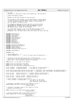```
/*
2 * \text{pci} \cdot \text{d}m3 * Copyright (C) 2001 Mike Corrigan & Dave Engebretsen, IBM Corporation
 4 *
5 * Dynamic DMA mapping support.
\epsilon7 * Manages the TCE space assigned to this partition.
8 * 
9 * This program is free software; you can redistribute it and/or modify
10 * it under the terms of the GNU General Public License as published by
11 * the Free Software Foundation; either version 2 of the License, or
12 * (at your option) any later version.
13<br>14<sup>14</sup> * This program is distributed in the hope that it will be useful,<br><sup>15</sup> * but WITHOUT ANY WAPPANTY, without even the implied warranty of
15 * but WITHOUT ANY WARRANTY; without even the implied warranty of
16 * MERCHANTABILITY or FITNESS FOR A PARTICULAR PURPOSE. See the
17 * GNU General Public License for more details.
18<br>19* You should have received a copy of the GNU General Public License
20 * along with this program; if not, write to the Free Software
21 * Foundation, Inc., 59 Temple Place, Suite 330, Boston, MA 02111−1307 USA
2223
24 #include <linux/init.h>
    25 #include <linux/types.h>
26 #include <linux/slab.h>
27 #include <linux/mm.h>
28 #include <linux/spinlock.h>
29 #include <linux/string.h><br>30 #include <linux/nci h>
    #include <linux/pci.h>
31 #include <asm/io.h><br>32 #include <asm/prom.
    32 #include <asm/prom.h>
33 #include <asm/rtas.h>
    #include <asm/ppcdebug.h>
35
36 #include <asm/iSeries/HvCallXm.h>
37 #include <asm/iSeries/LparData.h>
38 #include <asm/pci_dma.h>
39 #include <asm/pci−bridge.h>
    40 #include <asm/iSeries/iSeries_pci.h>
41
42 #include <asm/machdep.h>
43
44 #include "pci.h"
45
46 /* #define DEBUG_TCE 1 */
47 /* #define MONITOR_TCE 1 */ /* Turn on to sanity check TCE generation. */
48
4950 /* Initialize so this guy does not end up in the BSS section.
51 * Only used to pass OF initialization data set in prom.c into the main 
52 * kernel code −− data ultimately copied into tceTables[].
     *54 extern struct _of_tce_table of_tce_table[];
55
56 extern struct pci_controller* hose_head;
57 extern struct pci_controller** hose_tail;
58 extern struct list_head iSeries_Global_Device_List;
59
60 struct TceTable virtBusVethTceTable; /* Tce table for virtual ethernet */
61 struct TceTable virtBusVioTceTable; /* Tce table for virtual I/O */
62
63 struct iSeries_Device_Node iSeries_veth_dev_node = { LogicalSlot: 0xFF, DevTceTable: &virtBusVethTceTable };
64 struct iSeries_Device_Node iSeries_vio_dev_node = { LogicalSlot: 0xFF, DevTceTable: &virtBusVioTceTable };
65<br>66 struct pci dev
66 struct pci_dev iSeries_veth_dev_st = { sysdata: &iSeries_veth_dev_node };
67 struct pci_dev iSeries_vio_dev_st = { sysdata: &iSeries_vio_dev_node };
68
69 struct pci_dev * iSeries_veth_dev = &iSeries_veth_dev_st;
70 struct pci_dev * iSeries_vio_dev = &iSeries_vio_dev_st;
71
72 /* Device TceTable is stored in Device Node */<br>73 /* struct TceTable * tceTables[256]; */ /* Tce
73 /* struct TceTable * tceTables[256]; */ /* Tce tables for 256 busses
74 * Bus 255 is the virtual bus
75 * zero indicates no bus defined
76 */
77 /* allocates a contiguous range of tces (power−of−2 size) */
78 static inline long alloc_tce_range(struct TceTable *, 
79 unsigned order );
80
81 /* allocates a contiguous range of tces (power−of−2 size)
\begin{array}{ccc} 82 & * \text{ assumes lock already held} \\ 83 & * \end{array}\rightarrow84 static long alloc_tce_range_nolock(struct TceTable *, 
                                                     unsigned order );
86
87 /* frees a contiguous range of tces (power-of-2 size) */<br>88 static inline void free_tce_range(struct TceTable *,
88 static inline void free_tce_range(struct TceTable *,<br>89 long t.cenum.
                                                    long tcenum,
90 unsigned order );
Registered Version: Linux Support Power PC64 pci_dma.c Exhibit 8.1−18 pg 1/17
```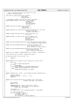```
9'92 /* frees a contiguous rnage of tces (power−of−2 size)
ex assumes lock already held
94
95 void free_tce_range_nolock(struct TceTable *, 
                                     long tcenum.
97 unsigned order );
98
99 /* allocates a range of tces and sets them to the pages */<br>100 static inline dma addr t get tces( struct TceTable *,
100 static inline dma_addr_t get_tces( struct TceTable *, 
                                               unsigned order,
102 102 void *page, 103
103<br>
103 unsigned numPages,<br>
104 int direction );
                                               int direction i;
105
106 static long test_tce_range( struct TceTable *,<br>107 long tcenum,
                                      Berace reera
108 unsigned order );
109
110 static unsigned fill_scatterlist_sg(struct scatterlist *sg, int nents, 
111 dma_addr_t dma_addr,<br>
112 dma 1012 dma 1013 dma 1013 dma
113
114 static unsigned long num_tces_sg( struct scatterlist *sg, 
                                             int nents );
116
117 static dma_addr_t create_tces_sg( struct TceTable *tbl, 
118 struct scatterlist *sg,
119 int nents,<br>120 intervals intervals intervals intervals intervals intervals intervals in the set of the set of the set of<br>120 intervals in the set of the set of the set of the set of the set of the set of the set of the
                                             unsigned numTces,
121 int direction );
122
123 static void getTceTableParmsiSeries(struct iSeries_Device_Node* DevNode,<br>124 struct TceTable *tce table parms
                                                  struct TceTable *tce_table_parms );
125
126 static void getTceTableParmsPSeries( struct pci_controller *phb, 
127 struct device_node *dn,
128 struct TceTable *tce_table_parms );
129
130 static void getTceTableParmsPSeriesLP(struct pci_controller *phb,
131 struct device_node *dn,<br>132 struct TceTable *newTceTable );
133
134 static struct TceTable* findHwTceTable(struct TceTable * newTceTable );
135
136 void create pci bus tce table( unsigned long token );
137
138 u8 iSeries_Get_Bus( struct pci_dev * dv )
139 {
             return 0;
141 }
142<br>143
   static inline struct TceTable *get_tce_table(struct pci_dev *dev)
\begin{matrix} 144 \\ 145 \end{matrix}if (Idev)146 dev = ppc64_isabridge_dev;<br>
147 if (!dev)
              if (!dev)148 return NULL;<br>149 if (systemcfg->platf)
149 if (systemcfg->platform == PLATFORM_ISERIES_LPAR) {<br>150 return ISERIES DEVNODE(dev)->DevTceTable;
                       150 return ISERIES_DEVNODE(dev)−>DevTceTable;
151 } else {
152 return PCI_GET_DN(dev)->tce_table;<br>153 }
153 }
   }
155
156 static unsigned long __inline__ count_leading_zeros64( unsigned long x )
\begin{matrix} 157 \\ 158 \end{matrix}158 unsigned long lzi<br>159 asm("cntlzd %0. %1)159 asm("cntlzd %0, %1" : "=r"(lz) : "r"(x));<br>160 ceturn 1z;
             160 return lz;
161 }
162
163 static void tce_build_iSeries(struct TceTable *tbl, long tcenum,<br>164 unsigned long uaddr, int direction
165 {
166 u64 setTceRc;
167 union Tce tce;
168
169 PPCDBG(PPCDBG_TCE, "build_tce: uaddr = 0x%lx\n", uaddr);<br>
170 PPCDBG(PPCDBG_TCE, "\ttcenum = 0x%lx, tbl = 0x%lx, index=%lx\n",<br>
171 tcenum, tbl, tbl->index);
172
173 tce.wholeTce = 0;<br>174 tce.tceBits.rpn =
             174 tce.tceBits.rpn = (virt_to_absolute(uaddr)) >> PAGE_SHIFT;
175
176 \frac{17}{17} /* If for virtual bus */<br>177 if ( tbl->tceType == TCE
177 if ( tbl->tceType == TCE_VB ) {<br>178 if ( tbl->tceType == TCE_VB ) {<br>tce.tceBits.valid = 1;
178 tce.tceBits.valid = 1;<br>179 tce.tceBits.allIo = 1;
                        tce. tceBits. allIo = 1;Registered Version: Linux Support Power PC64 pci_dma.c Exhibit 8.1–18 pg 2/17
```
<sup>180</sup> **if** ( direction != PCI\_DMA\_TODEVICE )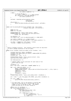```
181 tce.tceBits.readWrite = 1;
182 } else {
183<br>183 \left(\frac{1}{2}\right)^{\frac{1}{2}-1} /* If for PCI bus *<br>tce.tceBits.readWri
                         tce.tceBits.readWrite = 1; // Read allowed
185 if ( direction != PCI_DMA_TODEVICE )<br>186 if the the state state is positivale = 1;
              tce.tceBits.pciWrite = 1;<br>}
187 }
188
189 setTceRc = HvCallXm_setTce((u64)tbl−>index,<br>190 (u64)tcenum,
190 (u64)tcenum,<br>tce.wholeTce
                                                 tce.wholeTce );
192 if(setTceRc) {<br>
193 panic(
              1<br>panic("PCI_DMA: HvCallXm_setTce failed, Rc: 0x%lx\n", setTceRc);<br>}
194 }
   \{196
197 static void tce_build_pSeries(struct TceTable *tbl, long tcenum, 
198 unsigned long uaddr, int direction )
199 {
200 union Tce tce;
201 union Tce *tce_addr;
202
203 PPCDBG(PPCDBG_TCE, "build_tce: uaddr = 0x%lx\n", uaddr);<br>204 PPCDBG(PPCDBG_TCE, "\ttcenum = 0x%lx, tbl = 0x%lx, index=%lx\n",<br>205 tcenum, tbl, tbl->index);
206
207 tce.wholeTce = 0;
208 tce.tceBits.rpn = (virt_to_absolute(uaddr)) >> PAGE_SHIFT;
209
210 tce.tceBits.readWrite = 1; // Read allowed 
211 if ( direction != PCI_DMA_TODEVICE ) tce.tceBits.pciWrite = 1;
212
213 tce_addr = ((union Tce *)tbl−>base) + tcenum;
214 *tce_addr = (union Tce)tce.wholeTce;
215
216 }
217
\begin{array}{ccc}\n218 & / \star \\
219 & \star\n\end{array}219 * Build a TceTable structure. This contains a multi−level bit map which
    <sup>2</sup><br><sup>2</sup> is used to manage allocation of the tce space.
221<br>222
    static struct TceTable *build_tce_table( struct TceTable * tbl )
223 {<br>224
<sup>224</sup> unsigned long bits, bytes, totalBytes;<br><sup>225</sup> unsigned long numBits[NUM TCE LEVELS],
225 unsigned long numBits[NUM_TCE_LEVELS], numBytes[NUM_TCE_LEVELS];
226 unsigned i, k, m;
227 unsigned char * pos, * p, b;
228<br>229229 PPCDBG(PPCDBG_TCEINIT, "build_tce_table: tbl = 0x\%lx\ln", tbl);<br>230 spin lock init( \&(tbl->lock));
              spin_lock_init( &(tbl->lock) );
231
232 tbl−>mlbm.maxLevel = 0;
233
234 /* Compute number of bits and bytes for each level of the<br>
\frac{235}{235} * multi-level bit man
               * multi-level bit map<br>*/
236 * /
237 totalBytes = 0;
238 bits = tbl−>size * (PAGE_SIZE / sizeof( union Tce ));
239
240 for ( i=0; i<NUM_TCE_LEVELS; ++i ) {
241 bytes = ((bits+63)/64) * 8;
<sup>242</sup> PPCDBG(PPCDBG_TCEINIT, "build_tce_table: level %d bits=%ld, bytes=%ld\n", i, bits, bytes );<br>243 mumBits[i] = bits;
243 numBits[i] = bits;<br>244 numBytes[i] = byte
                         numBytes[i] = bytes;245 bits /= 2;<br>246 bits \sqrt{246}226, 276, 276, 276, 276247 }
              PPCDBG(PPCDBG_TCEINIT, "build_tce_table: totalBytes="old\n", totalBytes ;
249
250 pos = (char *)__get_free_pages( GFP_ATOMIC, get_order( totalBytes ));
251
252 if ( pos == NULL ) {
253 panic ("PCI_DMA: Allocation failed in build_tce_table!\n");<br>
\frac{254}{254}\}255
256 /* For each level, fill in the pointer to the bit map,
257 * and turn on the last bit in the bit map (if the
258 * number of bits in the map is odd). The highest
259 * level will get all of its bits turned on.
260 * /
261 memset(pos, 0, totalBytes );
262 for (i=0; i<NUM_TCE_LEVELS; ++i) {
263 if ( numBytes[i] ) {
264 tbl−>mlbm.level[i].map = pos;<br>265 tbl−>mlbm_maxLevel = i;
                                   265 tbl−>mlbm.maxLevel = i;
266
<sup>267</sup> if ( numBits[i] & 1 ) {<br>
268 p = pos + numBy
p = pos + numBytes[i] - 1;<br>
m = ((numRits[i] * 8) - 1;269 m = (( numBits[i] % 8) − 1) & 7;
270 *_{p} = 0 \times 80 \implies m;Registered Version: Linux Support Power PC64 pci_dma.c pci_dma.c Exhibit 8.1–18 pg 3/17
```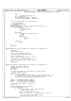```
271 PPCDBG(PPCDBG_TCEINIT, "build_tce_table: level %d last bit %x\n", i, 0x80>>m );
272 \Big\}273 }
274 else
275 tbl->mlbm.level[i].map = 0;<br>276 pos += numBvtes[i];
                     pos += numBytes[i];277 tbl−>mlbm.level[i].numBits = numBits[i];<br>278 tbl−>mlbm.level[i].numBytes = numBytes[i
            278 tbl−>mlbm.level[i].numBytes = numBytes[i];
279 }
280
281 /* For the highest level, turn on all the bits */
282
283 i = tbl->mlbm.maxLevel;<br>284 p = tbl->mlbm.level[i].
284 p = tbl->mlbm.level[i].map;<br>285 m = numBits[i];
            m = numBits[i];286 PPCDBG(PPCDBG_TCEINIT, "build_tce_table: highest level (%d) has all bits set\n", i);<br>287 for (k=0; k<numBvtes[i]; ++k) {
287 fried of (k=0; k=cm bytes[i]; ++k) {<br>288 for (k=0; k=cm bytes[i]; ++k) {
288 if ( m >= 8 ) {<br>
289 /* handle full bytes */
290 *_{p++} = 0 \times f \cdot f;<br>
291 m = 8;292 }
293 else if(m>0) {
294 /* handle the last partial byte */
295 b = 0x80;
^{*}P = 0;<br>
^{*}P = 0;<br>
^{*}P = 0;<br>
^{*}P = 0;while (m) {<br>
298 b >> 1;<br>
299 b >> 1;<br>
200 −−m;
301 }
302 } else {
\sum_{303}^{303} break;
304 }
305 }
306
307 return tbl;
   \{309
310 static inline long alloc_tce_range( struct TceTable *tbl, unsigned order )
311 {<br>312long retval;
313 unsigned long flags;
314
315 /* Lock the tce allocation bitmap */
316 spin_lock_irqsave( &(tbl−>lock), flags );
317
318 /* Do the actual work */<br>319 retval = alloc tce range
            319 retval = alloc_tce_range_nolock( tbl, order );
320
321 /* Unlock the tce allocation bitmap */
322 spin_unlock_irqrestore( &(tbl−>lock), flags );
323
324 return retval;
   \left\{ \right\}326
327 static long alloc_tce_range_nolock( struct TceTable *tbl, unsigned order )
\begin{array}{c} 328 \\ 329 \end{array}329 annsigned long numBits, numBytes;<br>330 annsigned long i, bit, block, mas
            unsigned long i, bit, block, mask;
331 long tcenum;
332 u64 * map;
333<br>334
            334 \pm 1f the order (power of 2 size) requested is larger than our
335 * biggest, indicate failure<br>326 */
336 */
337 if(order >= NUM_TCE_LEVELS)<br>338 /* This can happen
338 /* This can happen if block of TCE's are not found. This code */
339 /* maybe in a recursive loop looking up the bit map for the range.*/
340 panic("PCI_DMA: alloc_tce_range_nolock: invalid order: %d\n",order);
341 }
342
343 numBits = tbl−>mlbm.level[order].numBits;
            344 numBytes = tbl−>mlbm.level[order].numBytes;
345 map = (u64 *)tbl−>mlbm.level[order].map;
346
347 /* Initialize return value to -1 (failure) */<br>348 tcenum = -1;
            \text{teenum} = -1;349
350 /* Loop through the bytes of the bitmap */
351 for (i=0; i<numBytes/8; ++i) {
352 if ( *map ) {
353 /* A free block is found, compute the block
\frac{354}{1000} * number (of this size)
355 * /
356 bit = count_leading_zeros64( *map );
357 block = (i * 64) + bit; /* Bit count to free entry */
358
359 /* turn off the bit in the map to indicate
<sup>360</sup> * that the block is now in use
Registered Version: Linux Support Power PC64 pci_dma.c Exhibit 8.1–18 pg 4/17
```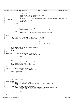```
361 * /
\text{mask} = 0 \times 1 \text{UL} \ll (63 - \text{bit});
\text{max} *map \&= ~mask;
364
365 /* compute the index into our tce table for
366 * the first tce in the block
367 */
368 PPCDBG(PPCDBG_TCE, "alloc_tce_range_nolock: allocating block %ld, (byte=%ld, bit=%ld) order %d\n", block, i, bi
   t, order );
369 \text{50} tcenum = block << order;<br>370 return tcenum;
                             370 return tcenum;
371 }
372 + + \text{map};<br>373373 }
374
375 #ifdef DEBUG_TCE
376 if ( tcenum == −1 ) {
377 PPCDBG(PPCDBG_TCE, "alloc_tce_range_nolock: no available blocks of order = %d\n", order );<br>378 if ( order < tbl->mlbm.maxLevel ) {
                     378 if ( order < tbl−>mlbm.maxLevel ) {
379 PPCDBG(PPCDBG_TCE, "alloc_tce_range_nolock: trying next bigger size\n");<br>380
380 }
381 else {
382 panic ("PCI_DMA: alloc_tce_range_nolock: maximum size reached...failing\n");
\}384 }
385 #endif
386
387 /* If no block of the requested size was found, try the next
388 * size bigger. If one of those is found, return the second
389 * half of the block to freespace and keep the first half
390 */
391 if((tcenum == −1) && (order < (NUM_TCE_LEVELS − 1))) {
392 tcenum = alloc_tce_range_nolock( tbl, order+1 );
393 if ( tcenum != −1 ) {
394 free_tce_range_nolock( tbl, tcenum+(1<<order), order );<br>395
395 }
396 }
397
398 /* Return the index of the first tce in the block<br>399 * (or -1 if we failed)
             * (or -1 if we failed)
400 * /
401 return tcenum;
402 }
403
404 static inline void free_tce_range(struct TceTable *tbl, 
405 long tcenum, unsigned order )
406<br>407
            unsigned long flags;
408
409 /* Lock the tce allocation bitmap */
410 spin_lock_irqsave( &(tbl−>lock), flags );
411<br>4124<sup>*</sup> Do the actual work */413 free_tce_range_nolock( tbl, tcenum, order );
414415 /* Unlock the tce allocation bitmap */<br>416 spin unlock irgrestore( \&(tbl->lock),
            416 spin_unlock_irqrestore( &(tbl−>lock), flags );
417
418 }
419
420 void free_tce_range_nolock(struct TceTable *tbl, 
\frac{421}{422} \left\{\n\begin{array}{ccc}\n1 & - & - & - & - \\
1 & - & - & - & 1 \\
\end{array}\n\right\} long tcenum, unsigned order )
422<br>423unsigned long block;
424 unsigned byte, bit, mask, b;
425 unsigned char * map, * bytep;
426
427 if (order >= NUM_TCE_LEVELS) {<br>a<sub>28</sub> panic ("PCI DMA: free tce ra
428 panic("PCI_DMA: free_tce_range: invalid order: 0x\%x\ln", order);<br>return;
                     429 return;
430 }
431
432 block = tcenum >> order;
433
434 #ifdef MONITOR_TCE
435 if ( tcenum != (block << order ) ) {
436 printk("PCI_DMA: Free_tce_range: tcenum %lx misaligned for order %x\n", tcenum, order);<br>return;
437 return;
438 }
439 if ( block >= tbl−>mlbm.level[order].numBits ) {
440 printk("PCI_DMA: Free_tce_range: tcenum %lx is outside the range of this map (order %x, numBits %lx\n", tcenum, order, tbl->mlbm. level[order]. numBits );
441 tcenum, order, tbl−>mlbm.level[order].numBits );
                     442 return;
443<br>444444 if ( test_tce_range( tbl, tcenum, order ) ) {
445 printk("PCI_DMA: Freeing range not allocated: tTceTable %p, tcenum %lx, order %x\n", tbl, tcenum, order );<br>
return;
            446 return;
447<br>448448 #endif
449
Registered Version: Linux Support Power PC64 pci_dma.c pci_dma.c Exhibit 8.1–18 pg 5/17
```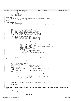```
450 map = tbl−>mlbm.level[order].map;
451 byte = block / 8;
452 bit = block % 8;
453 mask = 0x80 >> bit;
454 bytep = map + byte;
455
456 #ifdef DEBUG_TCE
457 PPCDBG(PPCDBG_TCE, "free_tce_range_nolock: freeing block %ld (byte=%d, bit=%d) of order %d\n",<br>block, byte, bit, order);
458 block, byte, bit, order);<br>459 #endif
    459 #endif
460
461 #ifdef MONITOR_TCE<br>462 if ( *byte)
462 if (*bytep & mask )<br>463 if (*bytep & mask )
463 panic("PCI_DMA: Tce already free: TceTable %p, tcenum %lx, order %x\n", tbl, tcenum, order);<br>464
464 }
465 #endif
466
467 *bytep | = mask;
468
469 /* If there is a higher level in the bit map than this we may be<br>470 * able to buddy up this block with its partner.<br>471 * If this is the highest level we can't buddy up<br>* If this level has an odd number of bits and
473 * we are freeing the last block we can't buddy up
474 * Don't buddy up if it's in the first 1/4 of the level
475 * /476 if (( order < tbl−>mlbm.maxLevel ) &&
477 ( block > (tbl−>mlbm.level[order].numBits/4) ) &&
478 ((block < tbl->mlbm.level[order].numBits−1 ) ||<br>
479 (0 == (tbl->mlbm.level[order].numBits & 1)))) {<br>
480 /* See if we can buddy up the block we just freed */<br>
bit &= 6; /* get to the first of the buddy bits */
%482 mask = 0xc0 >> bit; /* build two bit mask */<br>
483 b = *bytep & mask; /* Get the two bits */<br>
484 if ( 0 == (b ^ mask) } { /* If both bits are on */<br>
/* both of the buddy blocks are free we can combine them */
486 *bytep ^= mask; /* turn off the two bits */
487 block = ( byte * 8 ) + bit; /* block of first of buddies */
488 tcenum = block << order;<br>
\frac{1}{4} \frac{1}{4} \frac{1}{4} \frac{1}{4} \frac{1}{4} \frac{1}{4} \frac{1}{4} \frac{1}{4} \frac{1}{4} \frac{1}{4} \frac{1}{4} \frac{1}{4} \frac{1}{4} \frac{1}{4} \frac{1}{4} \frac{1}{4} \frac{1}{4} \frac{1}{4} \frac{1}{4} \/* free the buddied block */490 PPCDBG(PPCDBG_TCE, 491
491 Tree_tce_range: buddying blocks %ld & %ld\n",<br>block, block+1);
492 block, block+1);<br>493 free t.ce range nolock(
493 free_tce_range_nolock( tbl, tcenum, order+1 );<br>494 }
494 }
495 }
496 }
497<br>498498 static long test_tce_range( struct TceTable *tbl, long tcenum, unsigned order )
    \{500 unsigned long block;
501 unsigned byte, bit, mask, b;
502 long retval, retLeft, retRight;
503 unsigned char * map;
504
505 map = tbl−>mlbm.level[order].map;
506 block = tcenum >> order;<br>507 byte = block / 8;
507 byte = block / 8; /* Byte within bitmap */
508 bit = block % 8; /* Bit within byte */
509 mask = 0x80 >> bit;
510 b = (*(map+byte) & mask ); /* 0 if block is allocated, else free */
\begin{array}{ccc} 511 & \text{if} & \text{b} \\ 512 & \text{retval} = 1 \end{array}512 retval = 1; \angle /* 1 == block is free */
              513 else
514 retval = 0; \qquad \qquad /* 0 == block is allocated */
515 /* Test bits at all levels below this to ensure that all agree */
516
517 if (order) {
518 518 retLeft = test_tce_range( tbl, tcenum, order-1 );<br>519 retRight = test tce_range( tbl. tcenum+(1<<(order-
519 retRight = test_tce_range( tbl, tcenum+(1<<(order−1)), order−1 );
520 if ( retLeft || retRight ) {
521 retval = 2;
522 }
523 }
524
525 /* Test bits at all levels above this to ensure that all agree */
526
527 return retval;
   528 }
529
530 static inline dma_addr_t get_tces( struct TceTable *tbl, unsigned order, void *page, unsigned numPages, int direc
    tion )
531 {
532 long tcenum;<br>533 unsigned lon
533 unsigned long uaddr;
534 unsigned i;
535 dma_addr_t retTce = NO_TCE;
536
537 uaddr = (unsigned long)page & PAGE_MASK;
538
Registered Version: Linux Support Power PC64 pci_dma.c pci_dma.c Exhibit 8.1–18 pg 6/17
```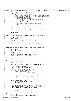```
539 /* Allocate a range of tces */<br>540 tcenum = alloc_tce_range( tbl, order );<br>541 if ( tcenum != −1 ) {
542 /* We got the tces we wanted */
543 tcenum += tbl−>startOffset; /* Offset into real TCE table */
544 retTce = tcenum << PAGE_SHIFT; /* Set the return dma address */
545 /* Setup a tce for each page */
546 for (i=0; i<numPages; ++i) {
547 ppc_md.tce_build(tbl, tcenum, uaddr, direction);<br>548 family ++tcenum;
548 + t \text{cenum};<br>549 + t \text{cenum};uaddr += PAGE_SIZE;
550 }
550 \}<br>551 /* Make sure the update is visible to hardware.<br>552 sync required to synchronize the update to
552 sync required to synchronize the update to<br>the TCE table with the MMIO that will send
553 the TCE table with the MMIO that will send
554 the bus address to the IOA */
555 __asm__ __volatile__ ("sync" : : : "memory");
556 }
557 else {
             panic ("PCI_DMA: Tce Allocation failure in get_tces. 0x%p\n", tbl);
559 }
560
561 return retTce;
   562 }
563
564 static void tce_free_one_iSeries( struct TceTable *tbl, long tcenum )
565 {
             u64 set_tce_rc;
567 union Tce tce;<br>568 tce whole Tce =
              tce. wholeTce = 0;569 set_tce_rc = HvCallXm_setTce((u64)tbl->index,<br>570 (u64)tcenum,
                                               (u64)tcenum,
571 tce.wholeTce);<br>572 if (set tce rc)
572 if ( set_tce_rc )<br>573 panic( "PC
                       panic("PCI_DMA: HvCallXm_setTce failed, Rc: 0x%lx\n", set_tce_rc);
574
575 }
576
577 static void tce_free_one_pSeries( struct TceTable *tbl, long tcenum )
578 {
579 union Tce tce;
580 union Tce *tce_addr;
581
582 tce.wholeTce = 0;
583
584 tce_addr = ((union Tce *)tbl−>base) + tcenum;
              585 *tce_addr = (union Tce)tce.wholeTce;
586<br>587
   587 }
588
589 static void tce_free(struct TceTable *tbl, dma_addr_t dma_addr, 
590 unsigned order, unsigned num_pages)
591 {
\frac{592}{593} long tcenum, total_tces, free_tce;
             unsigned i;
594
595 total_tces = (tbl−>size * (PAGE_SIZE / sizeof(union Tce)));
596
597 tcenum = dma_addr >> PAGE_SHIFT;<br>598 free tce = tcenum - tbl->startOf
             free_tce = tcenum - tbl->startOffset;
599
600 if ( ( (free_tce + num_pages) > total_tces ) ||
601 ( tcenum < tbl−>startOffset ) ) {
602 printk("tce_free: invalid tcenum\n");
603 printk("\ttcenum = 0x\%lx\ln", tcenum);<br>
604 printk("\tTCE Table = 0x\%lx\ln", (u64)tbl);
605 printk("\tbus# = 0x%lx\n", (u64)tbl−>busNumber );
606 printk("\tsize = 0x%lx\n", (u64)tbl−>size);
607 printk("\tstartOff = 0x%lx\n", (u64)tbl−>startOffset );
608 printk("\tindex = 0x%lx\n", (u64)tbl−>index);
609 return;
610 }
611
612 for (i=0; i<num_pages; ++i) {
613 ppc_md.tce_free_one(tbl, tcenum);
614 ++tcenum;
615 }
616
617 /* No sync (to make TCE change visible) is required here.
618 The lwsync when acquiring the lock in free_tce_range
619 is sufficient to synchronize with the bitmap.
620
621
622 free_tce_range( tbl, free_tce, order );<br>623 }
623 }
624
625 void __init create_virtual_bus_tce_table(void)
626 {<br>627struct TceTable *t;
628 struct TceTableManagerCB virtBusTceTableParms;
Registered Version: Linux Support Power PC64 pci_dma.c pci_dma.c Exhibit 8.1–18 pg 7/17
```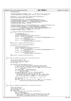```
629 u64 absParmsPtr;
630
631 virtBusTceTableParms.busNumber = 255; /* Bus 255 is the virtual bus */
632 virtBusTceTableParms.virtualBusFlag = 0xff; /* Ask for virtual bus */
633
634 absParmsPtr = virt to absolute( (u64) &virtBusTceTableParms );
635 HvCallXm_getTceTableParms( absParmsPtr );
636
637 virtBusVethTceTable.size = virtBusTceTableParms.size / 2;
638 virtBusVethTceTable.busNumber = virtBusTceTableParms.busNumber;
             \verb|virtBusVert| \verb|Net|: \verb|startOffset| = \verb|virtBusTeTableParms|: \verb|startOffset|;640 virtBusVethTceTable.index = virtBusTceTableParms.index;
641 virtBusVethTceTable.tceType = TCE_VB;
642
643 virtBusVioTceTable.size = virtBusTceTableParms.size − virtBusVethTceTable.size;
644 virtBusVioTceTable.busNumber = virtBusTceTableParms.busNumber;
645 virtBusVioTceTable.startOffset = virtBusTceTableParms.startOffset +
646 virtBusVethTceTable.size * (PAGE_SIZE/sizeof(union Tce));
             virtBusVioTceTable.index = virtBusTceTableParms.index;
648 virtBusVioTceTable.tceType = TCE_VB; 
649
650 t = build_tce_table( \&\text{virtBusVethTceTable} );<br>651 if ( t ) \{650<br>651<br>652<br>if ( t ) {<br>/*
652 \overrightarrow{A} tceTables[255] = t; *,<br>653 \overrightarrow{V} /VirtBusVethTceTable = 1
653 //VirtBusVethTceTable = t;
654 printk( "Virtual Bus VETH TCE table built successfully.\n");
655 printk( " TCE table size = %ld entries\n", 
656 (unsigned long)t−>size*(PAGE_SIZE/sizeof(union Tce)) );
657 printk( " TCE table token = %d\n",<br>\sum_{n=1}^{\infty} (unsigned) t =
                                           658 (unsigned)t−>index );
659 printk( " TCE table start entry = 0x%lx\n" (\frac{1}{100} eso (\frac{1}{2} eso (\frac{1}{2} eso ) t
                                           660 (unsigned long)t−>startOffset );
661 }
662 else printk( "Virtual Bus VETH TCE table failed.\n");
663
664 t = build_tce_table( &virtBusVioTceTable );
665 if ( t ) {
666 //VirtBusVioTceTable = t;
667 printk( "Virtual Bus VIO TCE table built successfully.\n");
668 printk( " TCE table size = %ld entries\n", 
669 (unsigned long)t−>size*(PAGE_SIZE/sizeof(union Tce)) );
670 printk( " TCE table token = %d\n",
671 (unsigned)t->index );<br>672 printk( "TCE table start entry = 0x%lx\n",
                       printk( " TCE table start entry = 0x\%lx\n"
673 (unsigned long)t−>startOffset );
674<br>675
              675 else printk( "Virtual Bus VIO TCE table failed.\n");
676 }
677
678 void create_tce_tables_for_buses(struct list_head *bus_list)
679 {
680 struct pci_controller* phb;<br>681 struct device node *dn, *fi
              struct device_node *dn, *first_dn;
682 int num_slots, num_slots_ilog2;
683 int first_phb = 1;
684
685 for (phb=hose_head;phb;phb=phb−>next) {
686 first_dn = ((struct device_node *)phb->arch_data)->child;<br>687 first_dn = ((struct device_node *)phb->arch_data)->child;
687 /* Carve 2GB into the largest dma_window_size possible *<br>688 for (dn = first dn, num slots = 0; dn != NIII.I; dn = dn->
                        for (dn = first_dn, num_slots = 0; dn != NULL; dn = dn->sibling)
689 num slots++;
690 num_slots_ilog2 = __ilog2(num_slots);
691 if ((1<<num_slots_ilog2) != num_slots)
692 num_slots_ilog2++;
693 phb−>dma_window_size = 1 << (22 − num_slots_ilog2);
694 /* Reserve 16MB of DMA space on the first PHB.
es and the should probably be more careful and use firmware props.<br>Esse that is space is remapped, not lost. But we don't
                         * In reality this space is remapped, not lost. But we don't
697 * want to get that smart to handle it -- too much work.
698 * /
699 phb−>dma_window_base_cur = first_phb ? (1 << 12) : 0;
700 701 701 701 701 701 701for (dn = first_dn, num_slots = 0; dn != NULL; dn = dn->sibling) {<br>
create pci bus tce table((unsigned long)dn);
                                 create_pci_bus_tce_table((unsigned long)dn);
703 }
704 }
705 }
706
707 void create_tce_tables_for_busesLP(struct list_head *bus_list)
\begin{matrix} 708 \\ 709 \end{matrix}struct list_head *ln;
710 struct pci_bus *bus;
711 struct device_node *busdn;
712 u32 \stardma_window;<br>713 for (ln=bus list)
             713 for (ln=bus_list−>next; ln != bus_list; ln=ln−>next) {
714 bus = pci_bus_b(ln);
715 busdn = PCI_GET_DN(bus);
716 \frac{75}{4} /* NOTE: there should never be a window declared on a bus when<br>\frac{71}{4} \frac{71}{4} \frac{71}{4} \frac{71}{4} \frac{71}{4} \frac{71}{4} \frac{71}{4} \frac{71}{4} \frac{71}{4} \frac{71}{4} \frac{71}{4} \frac{71}{4} \frac{71}{4} 
                          child devices also have a window. If this should ever be
The contract contract which is the children to have priority.<br>The same state and the probably want children to have priority.
Registered Version: Linux Support Power PC64 pci_dma.c pci_dma.c Exhibit 8.1–18 pg 8/17
```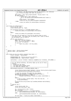\* In reality, the PHB containing ISA has the property, but otherwise <sup>720</sup> \* it is the pci−bridges that have the property.  $*$  / dma\_window = (u32 \*)get\_property(busdn, "ibm,dma−window", 0); <sup>723</sup> **if** (dma\_window) { /\* Busno hasn't been copied yet. \* Do it now because getTceTableParmsPSeriesLP needs it.<br>The state of the second to the second second to the second to the second to the second to the second to the second to the second to the second to the second to the se  $*$  / 727 busdn−>busno = bus−>number;<br>728 create pci bus tce table(u 728 create\_pci\_bus\_tce\_table((unsigned long)busdn);<br>729 **else**  } **else** 730 create\_tce\_tables\_for\_busesLP(&bus->children);<br>731 } 731<br>732 } } <sup>734</sup> void create\_tce\_tables(void) { struct pci\_dev \*dev; <sup>736</sup> struct device\_node \*dn, \*mydn; **if** (systemcfg−>platform == PLATFORM\_PSERIES\_LPAR) { <sup>739</sup> create\_tce\_tables\_for\_busesLP(&pci\_root\_buses); } **else** { create\_tce\_tables\_for\_buses(&pci\_root\_buses); } /\* Now copy the tce\_table ptr from the bus devices down to every <sup>745</sup> \* pci device\_node. This means get\_tce\_table() won't need to search <sup>746</sup> \* up the device tree to find it.  $*$  pci\_for\_each\_dev(dev) 749 mydn = dn = PCI\_GET\_DN(dev);<br> **mydn = dn = PCI\_GET\_DN(dev);**<br> **while** (dn && dn->tce table = **while** (dn && dn−>tce\_table == **NULL**) dn = dn−>parent;<br> $752$  if (dn) { **if** (dn)  $\{753\}$  mydn->tce\_table = dn->tce\_table;<br>} } <br> $756$  }  $\left\{ \right\}$  759<br>760 <sup>760</sup> \* iSeries token = iSeries\_device\_Node\*<br>761 \* pSeries token = pci\_controller\*  $pSeries$  token =  $pci\_controller*$  \*<br> $763$  \* <sup>764</sup> void create\_pci\_bus\_tce\_table( unsigned long token ) { struct TceTable \* newTceTable; PPCDBG(PPCDBG\_TCE, "Entering create\_pci\_bus\_tce\_table.\n"); <sup>768</sup> PPCDBG(PPCDBG\_TCE, "\ttoken = 0x%lx\n", token); newTceTable = (struct TceTable \*)kmalloc( **sizeof**(struct TceTable), GFP\_KERNEL ); /\*\*\*\*\*\*\*\*\*\*\*\*\*\*\*\*\*\*\*\*\*\*\*\*\*\*\*\*\*\*\*\*\*\*\*\*\*\*\*\*\*\*\*\*\*\*\*\*\*\*\*\*\*\*\*\*\*\*\*\*\*\*\*\*\*/  $/$ \* For the iSeries machines, the HvTce Table can be one of three \*/  $\frac{75}{100}$  /\* flavors,<br> $775$   $\frac{75}{100}$  /\* – Single /\* − Single bus TCE table, /\* − Tce Table Share between buses, \*/ <sup>777</sup> /\* − Tce Table per logical slot. \*/ <sup>778</sup> /\*\*\*\*\*\*\*\*\*\*\*\*\*\*\*\*\*\*\*\*\*\*\*\*\*\*\*\*\*\*\*\*\*\*\*\*\*\*\*\*\*\*\*\*\*\*\*\*\*\*\*\*\*\*\*\*\*\*\*\*\*\*\*\*\*/ **if**(systemcfg−>platform == PLATFORM\_ISERIES\_LPAR) { 781 struct iSeries\_Device\_Node\* DevNode = (struct iSeries\_Device\_Node\*)token;<br>382 setTeeTableParmsiSeries(DevNode.newTeeTable); getTceTableParmsiSeries(DevNode,newTceTable); /\* Look for existing TCE table for this device. \*/ 785 DevNode−>DevTceTable = findHwTceTable(newTceTable);<br>786 1f(DevNode−>DevTceTable = findHwTceTable(newTceTable); **if**( DevNode−>DevTceTable == **NULL**) { 787 DevNode−>DevTceTable = build\_tce\_table( newTceTable );<br>788 } } <sup>789</sup> **else** { <sup>790</sup> /\* We're using a shared table, free this new one. \*/ kfree(newTceTable); } printk("Pci Device 0x%p TceTable: %p\n",DevNode,DevNode−>DevTceTable); return; } /\* pSeries Leg \*/<br> $797$  else {  $e$ lse { struct device\_node \*dn; <sup>799</sup> struct pci\_controller \*phb;  $\text{dn} = (\text{struct device} \cdot \text{node}^*)\text{token};$ <br>any  $\text{phb} = \text{dn} \cdot \text{pb}$ ; phb = dn−>phb;<br> $803$  **if** (systemcfo-) **if** (systemcfg−>platform == PLATFORM\_PSERIES) 804 getTceTableParmsPSeries(phb, dn, newTceTable);<br>805 alse **else** getTceTableParmsPSeriesLP(phb, dn, newTceTable); dn−>tce\_table = build\_tce\_table( newTceTable ); **Registered Version: Linux Support Power PC64 pci\_dma.c** Exhibit 8.1–18 pg 9/17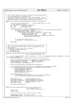```
809 }
810 }
811
812 /***********************************************************************/
813 /* This function compares the known Tce tables to find a TceTable that */
814 /* has already been built for hardware TCEs. */
815 /* Search the complete(all devices) for a TCE table assigned. If the */
816 /* startOffset, index, and size match, then the TCE for this device has*/
817 /* already been built and it should be shared with this device */
818 /***********************************************************************/
819 static struct TceTable* findHwTceTable(struct TceTable * newTceTable )
820<br>821
821 struct list_head* Device_Node_Ptr = iSeries_Global_Device_List.next;<br>822 /* Cache the compare values. */
822 /* Cache the compare values. */
823 u64 startOffset = newTceTable−>startOffset;
824 u64 index = newTceTable−>index;<br>825 u64 size = newTceTable−>size;
                                   825 u64 size = newTceTable−>size;
826
827 while(Device_Node_Ptr != &iSeries_Global_Device_List) {
828 struct iSeries_Device_Node* CmprNode = (struct iSeries_Device_Node*)Device_Node_Ptr;
829 if( CmprNode−>DevTceTable != NULL &&
830 CmprNode−>DevTceTable−>tceType == TCE_PCI) {
831 if( CmprNode−>DevTceTable−>startOffset == startOffset &&
832 CmprNode−>DevTceTable−>index == index &&
                                       833 CmprNode−>DevTceTable−>size == size ) {
834 printk("PCI TCE table matches 0x%p \n",CmprNode−>DevTceTable);
835 return CmprNode−>DevTceTable;<br>836 return CmprNode−>DevTceTable;
836 }
837 }
837 \} et next Device Node in List \star/
839 Device_Node_Ptr = Device_Node_Ptr−>next;
840
841 return NULL;<br>842 }
   \rightarrow843
844 /***********************************************************************/
845 /* Call Hv with the architected data structure to get TCE table info. */<br>846 /* info. Put the returned data into the Linux representation of the */
846 /* info. Put the returned data into the Linux representation of the \frac{1}{2} /* TCE table data.
847 /* TCE table data. */
848 /* The Hardware Tce table comes in three flavors. */
849 /* 1. TCE table shared between Buses. */
850 /* 2. TCE table per Bus.
851 /* 3. TCE Table per IOA. */
852 /***********************************************************************/
853 static void getTceTableParmsiSeries(struct iSeries_Device_Node* DevNode,<br>854 struct TceTable* newTceTable )
855 {
856 struct TceTableManagerCB* pciBusTceTableParms = (struct TceTableManagerCB*)kmalloc( sizeof(struct TceTabl
    eManagerCB), GFP_KERNEL );
857 if(pciBusTceTableParms == NULL) panic("PCI_DMA: TCE Table Allocation failed.");
858
859 memset( (void*)pciBusTceTableParms,0,sizeof(struct TceTableManagerCB) );<br>860 pciBusTceTableParms->busNumber = ISERIES_BUS(DevNode);
              \begin{aligned} \texttt{pciBusTceTableParms->busNumber} &\quad = \texttt{ISERIES\_BUS(DevNode)}; \\ \texttt{pciBusTceTableParms->logicalSlot} &\quad = \texttt{DevNode->LogicalSlot} \end{aligned}861 pciBusTceTableParms−>logicalSlot<br>= DeviBusTceTableParms−>virtualBusF
              862 pciBusTceTableParms−>virtualBusFlag = 0;
863
864 HvCallXm_getTceTableParms( REALADDR(pciBusTceTableParms) );
865
866 /* PciTceTableParms Bus:0x18 Slot:0x04 Start:0x000000 Offset:0x04c000 Size:0x0020 */<br>867 printk("PciTceTableParms Bus:0x%02lx Slot:0x%02x Start:0x%06lx Offset:0x%06lx Size:0x%04lx\n".
              867 printk("PciTceTableParms Bus:0x%02lx Slot:0x%02x Start:0x%06lx Offset:0x%06lx Size:0x%04lx\n",
868 pciBusTceTableParms−>busNumber,
869 pciBusTceTableParms−>logicalSlot,
870 pciBusTceTableParms−>start,<br>pciBusTceTableParms−>startC
                       871 pciBusTceTableParms−>startOffset,
872 pciBusTceTableParms−>size);
873
874 if(pciBusTceTableParms−>size == 0) {<br>875 printk("PCI DMA: Possible Structure
875 printk("PCI_DMA: Possible Structure mismatch, 0x%p\n",pciBusTceTableParms);
876 panic( "PCI_DMA: pciBusTceTableParms−>size is zero, halt here!");
877 }
878
879 newTceTable−>size = pciBusTceTableParms−>size;
880 newTceTable−>busNumber = pciBusTceTableParms−>busNumber;
              newTceTable->startOffset = pciBusTceTableParms->startOffset;
882 newTceTable−>index = pciBusTceTableParms−>index;<br>883 newTceTable−>tceType = TCE_PCI;
883 newTceTable−>tceType
884
885 kfree(pciBusTceTableParms);
    <sup>3</sup>
887
888 static void getTceTableParmsPSeries(struct pci_controller *phb,
889 struct device_node *dn,<br>struct TceTable *newTce
890 struct TceTable *newTceTable ) {<br>R91 struct TceTable *newTceTable ) {
891 phandle node;<br>892 phandle node;
              892 unsigned long i;
893
894 node = ((struct device_node *)(phb−>arch_data))−>node;
895
896 PPCDBG(PPCDBG_TCEINIT, "getTceTableParms: start\n"); 
897 PPCDBG(PPCDBG_TCEINIT, "\tof_tce_table = 0x%lx\n", of_tce_table); 
Registered Version: Linux Support Power PC64 pci_dma.c Exhibit 8.1–18 pg 10/17
```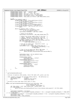```
898 PPCDBG(PPCDBG_TCEINIT, "\tphb = 0x\%lx\ln", phb);<br>899 PPCDBG(PPCDBG_TCEINIT, "\tdn = 0x\%lx\ln", dn);
899 PPCDBG(PPCDBG_TCEINIT, "\tdn = 0x%lx\n", dn); 
900 PPCDBG(PPCDBG_TCEINIT, "\tdn−>name = %s\n", dn−>name); 
901 PPCDBG(PPCDBG_TCEINIT, "\tdn−>full_name= %s\n", dn−>full_name); 
902 PPCDBG(PPCDBG_TCEINIT, "\tnewTceTable = 0x%lx\n", newTceTable); 
903 PPCDBG(PPCDBG_TCEINIT, "\tdma_window_size = 0x%lx\n", phb−>dma_window_size); 
904
\dot{1} = 0;<br>
906 \dot{1} = 0;<br>
while
906 while(of_tce_table[i].node) \frac{1}{2}<br>PPCDBG(PPCDBG TCEIN
907<br>PPCDBG(PPCDBG_TCEINIT, "\tof_tce_table[%d].node = 0x%lx\n",<br>ans
908 i, of_tce_table[i].node);
909 PPCDBG(PPCDBG_TCEINIT, "\tof_tce_table[%d].base = 0x%lx\n", 
910 i, of_tce_table[i].base);
911 PPCDBG(PPCDBG_TCEINIT, "\tof_tce_table[%d].size = 0x\%lx\n",<br>922 \frac{1}{2} of tce_table[i] size >> PACF SHIFT):
912 i, of_tce_table[i].size >> PAGE_SHIFT);
913 PPCDBG(PPCDBG_TCEINIT, "\tphb−>arch_data−>node = 0x%lx\n", 
\frac{1}{914} node);
915
916 if(of_tce_table[i].node == node) {
917 memset((void *)of_tce_table[i].base, 
918 0, of_tce_table[i].size);
919 newTceTable−>busNumber = phb−>bus−>number;
920
921 921 /* Units of tce entries.<br>
922 mewTceTable->startOffset
                                 newTceTable->startOffset = phb->dma_window_base_cur;
923
924 /* Adjust the current table offset to the next \frac{\ast}{25}<br>925 /* region. Measured in TCE entries. Force an
925 /* region. Measured in TCE entries. Force an */<br>926 /* alignment to the size alloted per IOA. This */
926 /* alignment to the size alloted per IOA. This */
927 /* makes it easier to remove the 1st 16MB. */
928 phb->dma_window_base_cur += (phb->dma_window_size>>3);<br>phb->dma_window_base_cur &=
                                 929 phb−>dma_window_base_cur &= 
930 \sim ((phb->dma_window_size>>3)-1);
931
932 /* Set the tce table size − measured in units */
933 /* of pages of tce table. */
934 newTceTable−>size = ((phb−>dma_window_base_cur −
936 newTceTable−>startOffset) << 3)<br>936 newTceTable−>startOffset) << 3)<br>938 > PAGE_SHIFT;
                                                           936 >> PAGE_SHIFT;
937
938 /* Test if we are going over 2GB of DMA space. */
939 if(phb−>dma_window_base_cur > (1 << 19)) { 
\overline{P} panic ("PCI_DMA: Unexpected number of IOAs under this PHB.\n");
941 }
942
943 newTceTable−>base = of_tce_table[i].base;
                                 newTeerable->index = 0;945<br>946
946 PPCDBG(PPCDBG_TCEINIT,
                                          "\tnewTceTable–>base = 0x\%lx\ln",
948 newTceTable−>base);
949 PPCDBG(PPCDBG_TCEINIT, 
                                          950 "\tnewTceTable−>startOffset = 0x%lx"
951 \frac{1}{2} (# tce entries)\n",<br>newTceTable ->
                                         952 newTceTable−>startOffset);
953<br>
954 PPCDBG (PPCDBG_TCEINIT,<br>
954 "ItnewTceTable->size
                                          "\tnewTceTable–>size = 0x\%lx"
955 "(\# pages of tce table)\n" \qquad \text{newTreeTable} > \text{size}956 newTceTable−>size);<br>
}
957 }
958 i++;
959 }
960 }
961
962963 * getTceTableParmsPSeriesLP
964<br>965
       Function: On pSeries LPAR systems, return TCE table info, given a pci bus.
966<br>967
       ToDo: properly interpret the ibm,dma-window property. The definition is:<br>logical-bus-number (1 word)
968 * logical−bus−number<br>969 * phys-address
969 * phys−address (#address−cells words)
                                          (#cell-size words)
971 *
972 * Currently we hard code these sizes (more or less).
973 */
974 static void getTceTableParmsPSeriesLP(struct pci_controller *phb,
975 SCALES VOID SCIENCE DIRECT UNIVERSITY CONTROL ENTRE CHARGE INCLUSION STRUCT DEVICE INCLUSION STRUCT TO THE STRUCT THE STRUCT TO THE STRUCT THE STRUCT TO THE STRUCT THE STRUCT THAT AND STRUCT THE STRUCT THE STRUCT THAT 
976 struct TceTable *newTceTable ) {
977 u32 *dma_window = (u32 *)get_property(dn, "ibm,dma−window", 0);
978 if (!dma_window) {
979 panic("PCI_DMA: getTceTableParmsPSeriesLP: device %s has no ibm,dma−window property!\n", dn−>full_name);
980
981
982 newTceTable−>busNumber = dn−>busno;
983 newTceTable−>size = (((((unsigned long)dma_window[4] << 32) | (unsigned long)dma_window[5]) >> PAGE_SHIFT
     << 3) >> PAGE SHIFT;
984 newTceTable−>startOffset = ((((unsigned long)dma_window[2] << 32) | (unsigned long)dma_window[3]) >> 12);
             newTceTable->base = 0;
986 newTceTable−>index = dma_window[0];
Registered Version: Linux Support Power PC64 pci_dma.c Exhibit 8.1−18 pg 11/17
```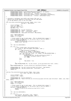```
987 PPCDBG(PPCDBG_TCEINIT, "getTceTableParmsPSeriesLP for bus 0x%lx:\n", dn->busno);<br>988 PPCDBG(PPCDBG_TCEINIT, "\tDevice = %s\n", dn->full_name);<br>990 PPCDBG(PPCDBG_TCEINIT, "\tnewTceTable->iandex = 0x%lx\n", newTceTable->
991 PPCDBG(PPCDBG_TCEINIT, "\tnewTceTable->size = 0x%lx\n", newTceTable->size);<br>992 }
   }
993
994 /* Allocates a contiguous real buffer and creates TCEs over it.<br>995 * Returns the virtual address of the buffer and sets dma hand.
995 * Returns the virtual address of the buffer and sets dma_handle<br>996 * to the dma address (tce) of the first page.
996 * to the dma address (tce) of the first page.<br>997 */
997 */
998 void *pci_alloc_consistent(struct pci_dev *hwdev, size_t size,
999 dma_addr_t *dma_handle)
1000 \t{1001}1001 struct TceTable * tbl;<br>
1002 void *ret = NULL;
1003 void rec - Nom ...
1004 dma_addr_t tce;
1005
1006 PPCDBG(PPCDBG_TCE, "pci_alloc_consistent:\n");
1007 PPCDBG(PPCDBG_TCE, "\thwdev = 0x%16.16lx\n", hwdev);
1008 PPCDBG(PPCDBG_TCE, "\tsize = 0x%16.16lx\n", size);
1009 PPCDBG(PPCDBG_TCE, "\tdma_handle = 0x%16.16lx\n", dma_handle);
1010
1011    size = PAGE_ALIGN(size);
1012 order = get_order(size);
1013 nPages = 1 << order;
1014
1015 /* Client asked for way to much space. This is checked later anyway */<br>1016 /* It is easier to debug here for the drivers than in the tce tables.*/<br>1017 if(order >= NUM_TCE_LEVELS) {
<sup>1018</sup> printk("PCI_DMA: pci_alloc_consistent size to large: 0x\%lx \n", size);
1019 return (voi\bar{d}^*)\overline{\text{NO\_TCE}};
1020 }
1021
1022 tbl = get_tce_table(hwdev);
1023
1024 if ( tbl ) {<br>1025 /* A
1025 \frac{1}{2} /* Alloc enough pages (and possibly more) */<br>1026 \frac{1}{2} ret = (void *) get free pages (GFP ATOMIC.
                          1026 ret = (void *)__get_free_pages( GFP_ATOMIC, order );
1027 if ( ret ) {
1028 /* Page allocation succeeded */
1029 memset(ret, 0, nPages << PAGE_SHIFT);<br>
1030 /* Set up toes to cover the allocated
1030 /* Set up tces to cover the allocated range */<br>tce = qet tces( tbl, order, ret, nPaqes, PCI D
1031 tce = get_tces( tbl, order, ret, nPages, PCI_DMA_BIDIRECTIONAL );
1032 if ( tce == NO_TCE ) {
1032 if (tce == NO_TCE) {<br>1033 PPCDBG(PPCDBG_TCE, "pci_alloc_consistent: get_tces failed\n" );<br>1034 PPCDBG(PPCDBG_TCE, "pci_alloc_consistent: get_tces failed\n" );<br>1034
1034 free_pages( (unsigned long)ret, order );<br>
ret = NIU.I.;<br>
ret = NIU.I.;
1035 ret = \text{NULL};
1036 }
1037 else
1038\frac{1039}{1040} *dma_handle = tce;
1040 }
1041 }
1042 else PPCDBG(PPCDBG_TCE, "pci_alloc_consistent: __get_free_pages failed for order = %d\n", order);
1043 }
1044 else PPCDBG(PPCDBG_TCE, "pci_alloc_consistent: get_tce_table failed for 0x%016lx\n", hwdev);
1045
1046 PPCDBG(PPCDBG_TCE, "\tpci_alloc_consistent: dma_handle = 0x%16.16lx\n", *dma_handle);
1047 PPCDBG(PPCDBG_TCE, "\tpci_alloc_consistent: return = 0x%16.16lx\n", ret);
1048 return ret;<br>1049 }
1049 }
1050
1051 void pci_free_consistent(struct pci_dev *hwdev, size_t size,
1052 void *vaddr, dma_addr_t dma_handle)
\begin{matrix} 1053 \\ 1054 \end{matrix}1054 struct TceTable * tbl;<br>1055 unsigned order, pPages
               unsigned order, nPages;
1056
1057 PPCDBG(PPCDBG_TCE, "pci_free_consistent:\n");
1058 PPCDBG(PPCDBG_TCE, "\thwdev = 0x%16.16lx, size = 0x%16.16lx, dma_handle = 0x%16.16lx, vaddr = 0x%16.16lx\n", hwdev, size, dma_h
    andle, vaddr);
1059
1060 size = PAGE_ALIGN(size);
1061 order = get_order(size);
1062 nPages = 1 << order;
1063
1064 /* Client asked for way to much space. This is checked later anyway */
1065 /* It is easier to debug here for the drivers than in the tce tables.*/
1066 if(order >= NUM_TCE_LEVELS) {
1067 printk(\overline{PCI\_DMA}: pci_free_consistent size to large: 0x\%lx \n", size);<br>
return;
               1068 return;
1069 }
1070
1071 tbl = get_tce_table(hwdev);
1072
1073 if ( \text{th} ) {<br>1074 i ce
                           tce_free(tbl, dma_handle, order, nPages);
1075 free_pages( (unsigned long)vaddr, order );
Registered Version: Linux Support Power PC64 pci_dma.c Exhibit 8.1−18 pg 12/17
```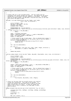```
\begin{bmatrix} 1076 \\ 1077 \end{bmatrix}1077 }
1078
1079 /* Creates TCEs for a user provided buffer. The user buffer must be 
1080 * contiguous real kernel storage (not vmalloc). The address of the buffer
1081 * passed here is the kernel (virtual) address of the buffer. The buffer
1082 * need not be page aligned, the dma_addr_t returned will point to the same
1083 * byte within the page as vaddr.
1084<br>1085
1085 dma_addr_t pci_map_single(struct pci_dev *hwdev, void *vaddr,<br>1086 size t size, int direction
                                     size_t size, int direction )
\begin{matrix} 1087\\ 1088 \end{matrix} \quad \begin{matrix} \{ \end{matrix}1088 struct TceTable * tbl;
1089 dma\_addr\_t dma\_handle = NO_TCE;<br>1090 unsinned long\_uaddr:unsigned long uaddr;
1091 unsigned order, nPages;
1092
1093 PPCDBG(PPCDBG_TCE, "pci_map_single:\n");
1094 PPCDBG(PPCDBG_TCE, "\thwdev = 0x%16.16lx, size = 0x%16.16lx, direction = 0x%16.16lx, vaddr = 0x%16.16lx\n", hwdev, size, directio
    n, vaddr);
1095 if ( direction == PCI_DMA_NONE )
1096 BUG();
1097
1098 uaddr = (unsigned long)vaddr;<br>1099 nPages = PAGE ALIGN( uaddr +
              nPages = PAGE_ALIGN( uaddr + size ) - ( uaddr & PAGE_MASK );
1100 order = get_order( nPages & PAGE_MASK );
1101 nPages >>= PAGE SHIFT;
1102
1103 /* Client asked for way to much space. This is checked later anyway */
1104 /* It is easier to debug here for the drivers than in the tce tables.*/
1105 if(order >= NUM_TCE_LEVELS) {
1106 printk("PCI_DMA: pci_map_single size to large: 0x\%lx \n", size);
1107 return NO_TCE;
1108 }
1109
1110 tbl = get_tce_table(hwdev);
1111
1112 if (tbl) {<br>1113 dma_l
1113 dma_handle = get_tces( tbl, order, vaddr, nPages, direction );
1114 dma_handle |= ( uaddr & ~PAGE_MASK );
1115 }
1116
1117 return dma_handle;
1118 }
1119
1120 void pci_unmap_single( struct pci_dev *hwdev, dma_addr_t dma_handle, size_t size, int direction )
1121 {<br>1122
1122 struct TceTable * tbl;<br>1123 11133 unsigned order, pPages
              unsigned order, nPages;
1124
1125 PPCDBG(PPCDBG_TCE, "pci_unmap_single:\ln");
1126 PPCDBG(PPCDBG_TCE, "\thwdev = 0x%16.16lx, size = 0x%16.16lx, direction = 0x%16.16lx, dma_handle = 0x%16.16lx\n", hwdev, size, dir
    ection, dma_handle);
1127 if \overline{ } direction == PCI_DMA_NONE )
                        BUG();
1129
1130 nPages = PAGE_ALIGN( dma_handle + size ) - ( dma_handle & PAGE_MASK );
1131 order = get_order( nPages & PAGE_MASK );
              1132 nPages >>= PAGE_SHIFT;
1133
1134 /* Client asked for way to much space. This is checked later anyway */
1135 \frac{1}{100} /* It is easier to debug here for the drivers than in the tce tables.*/<br>1136 if (order >= NUM TCE LEVELS) {
1136 if(order >= NUM_TCE_LEVELS) {
                        printk("PCI_DMA: pci_unmap_single size to large: 0x%lx \n", size);
1138 return;<br>1139 } return;
1139 }
1140
1141 tbl = get\_tce\_table(hwdev);1142
1143 if ( tbl ) 
1144 tce_free(tbl, dma_handle, order, nPages);
1145
1146 }
1147
1148 /* Figure out how many TCEs are actually going to be required
1149 * to map this scatterlist. This code is not optimal. It 
1150 * takes into account the case where entry n ends in the same<br>1151 * page in which entry n+1 starts. It does not handle the
1151 * page in which entry n+1 starts.<br>
\frac{1}{152} * general case of entry n ending
      * general case of entry n ending in the same page in which<br>* entry m starts
1153 * entry m starts.
1154
1155 static unsigned long num_tces_sg( struct scatterlist *sg, int nents )
1156 {<br>11571157 insigned long nTces, numPages, startPage, endPage, prevEndPage;<br>1158 insigned i;
              unsigned i;
1159
1160 \text{prevEndPage} = 0;<br>
1161 \text{nTees} = 0;nTces = 0;1162
1163 for (i=0; i<nents; ++i) {
Registered Version: Linux Support Power PC64 pci_dma.c Exhibit 8.1−18 pg 13/17
```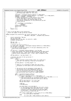```
1164 /* Compute the starting page number and
1165 * the ending page number for this entry
1166 *1167 startPage = (unsigned long)sg−>address >> PAGE_SHIFT;
1168 endPage = ((unsigned long)sg−>address + sg−>length − 1) >> PAGE_SHIFT;
1169 numPages = endPage − startPage + 1;
1170 /* Simple optimization: if the previous entry ended
1171 * in the same page in which this entry starts
1172 * then we can reduce the required pages by one.<br>
* This matches assumptions in fill scatterlist.
1173 * This matches assumptions in fill_scatterlist_sg and<br>1174 * Create tres sq
                        * create\_tces\_sg1175 *1176 if (startPage == prevEndPage )<br>117<sub>6</sub> --numPages;
1177 −−numPages;<br>1178 −−numPages;<br>1178 nTces += numPages;
                       nTces += numPages;
1179 prevEndPage = endPage;
1180 sq++;1181<br>1182
   <sup>return</sup> nTces;<br>}
1183 }
1184<br>1185 /*
1185 /* Fill in the dma data in the scatterlist
1186 * return the number of dma sg entries created
1187 */1188 static unsigned fill_scatterlist_sg( struct scatterlist *sg, int nents, 
1189 dma_addr_t dma_addr , unsigned long numTces)
1190 {
1191 struct scatterlist *dma_sg;
1192 u32 cur_start_dma;
1193 unsigned long cur_len_dma, cur_end_virt, uaddr;
1194 unsigned num_dma_ents;
1195
\text{dma}\_ \text{sg} = \text{sg};
\text{dma}\_ \text{sg} = \text{sg};
\text{num}\_ \text{dma}\_ \text{ent}num\_dma\_ents = 1;1198
1199 /* Process the first sg entry */
1130 cur_start_dma = dma_addr + ((unsigned long)sg−>address & (~PAGE_MASK));<br>1201 cur_len_dma = sq->length;
1201 cur_len_dma = sg−>length;<br>1202 /* cur_end_virt holds the
1202 /* cur_end_virt holds the address of the byte immediately after the
1203 * end of the current buffer.
1204<br>1205
             cur_end_virt = (unsigned long)sg->address + cur_len_dma;
1206 /* Later code assumes that unused sg->dma_address and sg->dma_length<br>1207 the fields will be zero. Other archs seem to assume that the user
1207 The state of the zero. Other archs seem to assume that the user<br>1208 to device driver) quarantees that...I don't want to depend on the
               * (device driver) guarantees that...I don't want to depend on that
1209<br>1210
             1210 sg−>dma_address = sg−>dma_length = 0;
1211
1212 /* Process the rest of the sg entries */<br>1213 while (--nents) {
             while (--nents) {
1214 ++sg;
1215 /* Clear possibly unused fields. Note: sg >= dma_sg so
1216 * this can't be clearing a field we've already set
1217 */
1218 sg−>dma_address = sg−>dma_length = 0;
1219
1220 /* Check if it is possible to make this next entry
1221 * contiguous (in dma space) with the previous entry.<br>12221222 * /
1223
1224 /* The entries can be contiguous in dma space if
1225 * the previous entry ends immediately before the<br>1226 * start of the current entry (in virtual space)
1226 * start of the current entry (in virtual space)<br>1226 * start of the current entry (in virtual space)
                        * or if the previous entry ends at a page boundary
1228 * and the current entry starts at a page boundary.
1229 * /
1230 uaddr = (unsigned long)sg->address;<br>1231 if ( uaddr != cur end virt ) &&
                       if ( ( uaddr != cur\_end\_virt ) &1232 ( ( ( uaddr | cur_end_virt ) & (~PAGE_MASK) ) ||
1233 ( ( uaddr & PAGE_MASK ) == ( ( cur_end_virt−1 ) & PAGE_MASK ) ) ) ) {
1234 /* This entry can not be contiguous in dma space.
1235 * save the previous dma entry and start a new one
1236 * /
1237 dma_sg−>dma_address = cur_start_dma;
1238 dma_sg−>dma_length = cur_len_dma;
1239
\begin{array}{cccc}\n 1240 & +\text{dma\_sg} \\
 +\text{num} & \text{dma}\n \end{array}+num_dma_ents;
1242
1243 cur_start_dma += cur_len_dma−1;
1244 /* If the previous entry ends and this entry starts
1245 * in the same page then they share a tce. In that * case don't bump cur start dma to the next page
1246 * case don't bump cur_start_dma to the next page 
1247 * in dma space. This matches assumptions made in
1248 * num_tces_sg and create_tces_sg.
1249 * /
1250 if ((uaddr & PAGE_MASK) == ((cur_end_virt−1) & PAGE_MASK))
1251 cur_start_dma &= PAGE_MASK;<br>1252 else
1252 else
1253 cur_start_dma = PAGE_ALIGN(cur_start_dma+1);
Registered Version: Linux Support Power PC64 pci_dma.c Exhibit 8.1–18 pg 14/17
```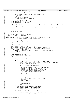```
1254 cur_start_dma += ( uaddr & (~PAGE_MASK) );
1255 cur_len_dma = 0;
1256 }
1256 \}<br>1257 /* Accumulate the length of this entry for the next<br>1258 * dma entry
1258 * dma entry<br>1259 * /
1259 * /
1260 cur_len_dma += sg−>length;
1261 cur_end_virt = uaddr + sg−>length;
1262<br>1263
1263 /* Fill in the last dma entry */
1264 dma_sg−>dma_address = cur_start_dma;
1265 dma_sg−>dma_length = cur_len_dma;
1266
1267 if ((((cur_start_dma +cur_len_dma − 1)>> PAGE_SHIFT) − (dma_addr >> PAGE_SHIFT) + 1) != numTces)
1268 {
1269 PPCDBG(PPCDBG_TCE, "fill_scatterlist_sg: numTces %ld, used tces %d\n",
1270 numTces,
1271 (unsigned)(((cur_start_dma + cur_len_dma − 1) >> PAGE_SHIFT) − (dma_addr >> PAGE_SHIFT) + 1));
1272 }
1273
1274
1275 return num_dma_ents;
1276 }
1277
1278 /* Call the hypervisor to create the TCE entries.
1279 * return the number of TCEs created
1280 */
1281 static dma_addr_t create_tces_sg( struct TceTable *tbl, struct scatterlist *sg, 
1282 int nents, unsigned numTces, int direction )<br>1283 {
1283 {
1284 unsigned order, i, j;<br>1285 unsigned long startPa
             11285 1286 1286 1785.<br>unsigned long startPage, endPage, prevEndPage, numPages, uaddr;
1286 long tcenum, starttcenum;<br>
1287 \dim A \cdot \dim Adma_addr_t dmaAddr;
1288
1289 dmaAddr = NO_TCE;
1290
1291 order = get_order( numTces << PAGE_SHIFT );
1292 /* Client asked for way to much space. This is checked later anyway */<br>1293 /* It is easier to debug here for the drivers than in the tce tables.*/<br>if(order >= NUM_TCE_LEVELS) {
1295 printk("PCI_DMA: create_tces_sg size to large: 0x%x \n", (numTces << PAGE_SHIFT));
1296 return NO_TCE;
1297 }
1298
1299 /* allocate a block of tces */
1300 tcenum = alloc_tce_range( tbl, order );<br>1301 if ( tcenum != -1 ) {
1301 if ( \text{tcenum} != -1 )<br>1302 i \text{tcenum} += \text{t}}1301 if ( tcenum != -1 ) {<br>
tcenum += tbl−>startOffset;<br>
1302 starttcenum = tcenum;
                      starttcenum = tcenum;
1304 dmaAddr = tcenum << PAGE SHIFT;
1305 prevEndPage = 0;<br>1306 for (i=0; i \leq n)\overline{\textbf{for}} (j=0; j<nents; ++j)
1307 startPage = (unsigned long)sg->address >> PAGE_SHIFT;<br>endPage = (unsigned long)sg->address + sg->length -
                               1308 endPage = ((unsigned long)sg−>address + sg−>length − 1) >> PAGE_SHIFT;
1309 numPages = endPage − startPage + 1;
1310
1311 uaddr = (unsigned long)sg−>address;
1312
1313 /* If the previous entry ended in the same page that
1314 * the current page starts then they share that
1315 \begin{array}{r} \text{...} \\ \text{...} \\ \text{...} \end{array} tce and we reduce the number of tces we need<br>
\begin{array}{r} \text{...} \\ \text{...} \end{array} to and we reduce the number of tces we need<br>
\begin{array}{r} \text{...} \\ \text{...} \end{array}1316 * by one. This matches assumptions made in<br>1317 * num toes sq and fill scatterlist sq
                                * num_tces_sg and fill_scatterlist_sg
1318 * /
1319 if ( startPage == prevEndPage ) {
1320 −−numPages;<br>
1321 uaddr += PA
1321<br>1322<br>1322<br>}<br>}<br>}<br>}<br>}\left\{\right. \right\}1323
1324 for (i=0; i<numPages; ++i) {<br>none md.t.ce build(tbl. t.cen
1325 ppc_md.tce_build(tbl, tcenum, uaddr, direction);<br>
1326 + + tcenum;
1326 + t\text{Cenum};<br>1327 + t\text{Cenum};uaddr += PAGE_SIZE;
\}1329
1330 prevEndPage = endPage;<br>sq++;<br>sq++;
\frac{1331}{1332} sg++;
\left\{\right. \right\}1333 /* Make sure the update is visible to hardware. 
1334 sync required to synchronize the update to 
1335 the TCE table with the MMIO that will send<br>
the bus address to the IOA * /1336 the bus address to the IOA */
                        \text{Lasm}_{\text{max}} __volatile__ ("sync" : : : "memory");
1338
1339 if ((tcenum − starttcenum) != numTces)
1340 PPCDBG(PPCDBG_TCE, "create_tces_sg: numTces %d, tces used %d\n",
1341 numTces, (unsigned)(tcenum − starttcenum));
1342
1343 }
Registered Version: Linux Support Power PC64 pci_dma.c Exhibit 8.1−18 pg 15/17
```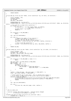```
1344
1345 return dmaAddr;<br>1346 }
1346 }
1347
1348 int pci_map_sg( struct pci_dev *hwdev, struct scatterlist *sg, int nents, int direction )<br>1349 {
1349 {
1350 struct TceTable * tbl;
1351 unsigned numTces;<br>
1352 115 int num dma;
1352 int \ num\_dma;<br>1353 dma \ addr \ t \ ddma_addr_t dma_handle;
1354
1355 PPCDBG(PPCDBG_TCE, "pci_map_sg:\n");
1356 PPCDBG(PPCDBG_TCE, "\thwdev = 0x%16.16lx, sg = 0x%16.16lx, direction = 0x%16.16lx, nents = 0x%16.16lx\n", hwdev, sg, direction, 
    nents);
1357 /* Fast path for a single entry scatterlist */
1358 if ( nents == 1 ) {
11 \\beg->dma_address = pci_map_single( hwdev, sg->address,<br>1360 sg->dma_address = pci_map_single( hwdev, sg->address,
1360 sg−>length, direction );<br>
\frac{1}{360} sg−>length, direction );<br>
\frac{1}{360}1361 sg−>dma_length = sg−>length;<br>
1362 return 1;
              \begin{aligned} 1; \end{aligned}1363 }
1364
1365 if ( direction == PCI_DMA_NONE )<br>1366 BUG();
                         BUG();
1367
1368 tbl = get_tce_table(hwdev);
1369
1370 if ( tbl ) {<br>
1371 /* Compute the number of tces required */<br>
1372 numTces = num_tces_sg( sg, nents );
1373 /* Create the tces and get the dma address */
                         dma_handle = create_tces_sq( tbl, sq, nents, numTces, direction );
1375
1376 /* Fill in the dma scatterlist */<br>1377 num_{\text{dma}} = fill_{\text{scattering}} scatterlist sql sql
              num_dma = fill_scatterlist_sg( sg, nents, dma_handle, numTces );<br>}
1378 }
1379
1380 return num_dma;<br>1381 }
1381 }
1382
1383 void pci_unmap_sg( struct pci_dev *hwdev, struct scatterlist *sg, int nelms, int direction )
1384 {<br>1385
1385 struct TceTable * tbl;<br>1386 unsigned order, numTce
1386 unsigned order, numTces, i;<br>1387 1387 dma addr t dma end page, dm
              dma_addr_t dma_end_page, dma_start_page;
1388
1389 PPCDBG(PPCDBG_TCE, "pci_unmap_sg:\n");
1390 PPCDBG(PPCDBG_TCE, "\thwdev = 0x%16.16lx, sg = 0x%16.16lx, direction = 0x%16.16lx, nelms = 0x%16.16lx\n", hwdev, sg, direction,
      nelms);
1391
1392 if ( direction == PCI_DMA_NONE || nelms == 0 )
1393 BUG();
1394
1395 dma_start_page = sg−>dma_address & PAGE_MASK;<br>1396 dma_end_page = 0;
              dma_end_page
1397 for ( i=nelms; i>0; --i ) {<br>
1398 unsigned k = i - 1;
1399 if ( sg[k].dma_length ) {
1400 dma_end_page = ( sg[k].dma_address +
1401 sg[k].dma_length − 1 ) & PAGE_MASK;
1402 break;<br>
1403 break;
1403 }
1404 }
1405
1406 numTces = ((dma_end_page − dma_start_page ) >> PAGE_SHIFT) + 1;
1407 order = get_order( numTces << PAGE_SHIFT );
1408
1409 \frac{1}{4} Client asked for way to much space. This is checked later anyway */<br>1410 \frac{1}{4} The seasier to debug bere for the drivers than in the tre tables */
1410 /* It is easier to debug here for the drivers than in the tce tables.*/
1411 if(order >= NUM_TCE_LEVELS) {
1412 printk("PCI_DMA: dma_start_page:0x%lx dma_end_page:0x%lx\n",dma_start_page,dma_end_page);
1413 printk("PCI_DMA: pci_unmap_sg size to large: 0x%x \n",(numTces << PAGE_SHIFT));
1414 return;<br>1415 }
1415 }
1416
1417 tbl = qet tce table(hwdev);1418
1419 if ( tbl )<br>1420 if ( tbl )
                         .,<br>tce_free( tbl, dma_start_page, order, numTces );
1421
1422 }
1423
1424<br>1425
        phb_tce_table_init
1426 * 
1427 * Function: Display TCE config registers. Could be easily changed
1428 * to initialize the hardware to use TCEs.
1429 */<br>1430 1175unsigned long phb_tce_table_init(struct pci_controller *phb) {
1431 unsigned int r, cfg_rw, i;
Registered Version: Linux Support Power PC64 pci_dma.c Exhibit 8.1−18 pg 16/17
```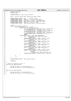```
1432 unsigned long r64;
1433 phandle node;
1434
1435 PPCDBG(PPCDBG_TCE, "phb_tce_table_init: start.\n"); 
1436
1437 node = ((struct device_node *)(phb−>arch_data))−>node;
1438
1439 PPCDBG(PPCDBG_TCEINIT, "\tphb = 0x\%lx\ln", phb);<br>1440 PPCDBG(PPCDBG TCEINIT, "\tphb->type = 0x\%lx\ln", phk
1440<br>
PPCDBG(PPCDBG_TCEINIT, "\tphb->type = 0x%lx\n", phb->type);<br>
PPCDBG(PPCDBG_TCEINIT, "\tphb->phb_regs = 0x%lx\n", phb->phb_regs);<br>
PPCDBG(PPCDBG_TCEINIT, "\tphb->chip_regs = 0x%lx\n", phb->chip_regs);<br>
PPCDBG(PPCDBG_T
1445
1446 i = 0;
1447 while(of_tce_table[i].node) {
1448 if(of_tce_table[i].node == node) {
1449<br>
1450 if(\text{phb}->type == \text{phb\_type\_python}) {<br>
r = *(((\text{unsigned int} *)\text{phb}->ph\text{c} - \text{reps}) + (\text{0}xf10>2));<br>
\text{PPCDBG(PCCDBG\_TCEINT, "VTAR(low) = 0x%x\n', r)}<br>
r = *(((\text{unsigned int} *)\text{phb}->ph\text{c} - \text{reps}) + (\text{0}xf00>2));<br>
r = *(((\text{unsigned int} *)\text{phb}->ph\text{c} - \text{reps}) + (\text{1455 PPCDBG(PPCDBG_TCEINIT, "\tTAR(high) = 0x%x\n", r);<br>
r = *((\text{unsigned int} *) \text{phb->phb_regs}) + (\text{0xfd0>>2});<br>
PPCDBG(PPCDBG_TCEINIT, "\tPHB cfg(rw) = 0x%x\n", r);<br>
Ans
                                                                 break;
1457 else if(phb->type == phb_type_speedwagon) {<br>
1458 r64 = *(((unsigned long *)phb->chip_regs) +
(0 \times 800 \times 3));<br>(0 \times 800 \times 3);<br>(1460)<br>PPCDBG (PCDBG_TCEINI)1460 PPCDBG(PPCDBG_TCEINIT, "\tNCFG = 0x\%lx\ln", r64);<br>
1461 r64 = * (l \text{ (unsi) and *} \text{ (b)} \text{ (b)} \text{ (c)}r64 = *((\text{unsigned long *})phb->chip\_regs) +1462 (0x580>>3));<br>1463 1463 PPCDBG (PPCDBG TCEINI
1463 PPCDBG(PPCDBG_TCEINIT, "\tTAR0 = 0x%lx\n", r64);
1464 r64 = *((\text{unsigned long *})\text{phb->chip\_regs}) + (0 \times 588 > 3));
1465 (0x588>3);<br>1465<br>\overline{C} \overline{C} \overline{C} \overline{C} \overline{C} \overline{C} \overline{C} \overline{C} \overline{C} \overline{C} \overline{C} \overline{C} \overline{C} \overline{C} \overline{C} \overline{C} \overline{C} \overline{C} \overline{C} \overline{C} \overline{C} \overline{C}1466 PPCDBG(PPCDBG_TCEINIT, "\tTAR1 = 0x\%lx\ln", r64);<br>
r64 = *(((unsigned long *)phb->chip regs) +
                                                                 1467 r64 = *(((unsigned long *)phb−>chip_regs) + 
1468 (0x590>>3));<br>
1469 1469 PPCDBG (PPCDBG TCEINI
1469 \text{PCDBG}(\text{PCDBG}(\text{TCEMIT}, \text{``kTAR2 = 0x\%lx\n''}, \text{r64});<br>
1470 \text{r64 = *(((unsigned long *)phb->chip\_regs) +1470 r64 = *((\text{unsigned long *})\text{phb->chip\_regs}) + (0 \times 598 > 3));
                                                                                 (0x598>>3);
1472 PPCDBG(PPCDBG_TCEINIT, "\tTAR3 = 0x\%lx\ln", r64; r64; r64; r64; r64; r64; r64; r64; r64; r64; r64; r64; r64; r64; r64; r64; r64; r64; r64; r64; r64; r64; r64; r64; 
1.1250 (1.1250 (1.1250 (1.1250 (1.1250 (1.1250 (1.1250 (1.1250 (1.1250 (1.1250 (1.1250 (1.1250 m) cfg_rw = *(((unsigned int *)phb->chip_regs) + (0x160 +
1474 (\frac{1}{1475} ) (\frac{1}{1475} ) (\frac{1}{1475} ) (\frac{1}{1475} ) (\frac{1}{1475} ) (\frac{1}{1475} ) (\frac{1}{1475} ) (\frac{1}{1475} ) (\frac{1}{1475} ) (\frac{1}{1475} ) (\frac{1}{1475} ) (\frac{1}{1475} ) (\frac{1}{1475} ) (\frac{1}{11475 (((phb−>local_number)+8)<<12))>>2));<br>
1476 1476 1477 PPCDBG(PPCDBG TCEINIT, "\tcfg rw = 0x%x\n", cfq rw);
                                                  PPCDBG(PPCDBG_TCEINIT, "\tcfg_rw = 0x%x\n", cfg_rw);
\left\{ \right\}1478 }
1479 \stackrel{?}{\phantom{}_{\smash{\big)}}} \stackrel{?}{\phantom{}_{\smash{\big)}}} \stackrel{?}{\phantom{}_{\smash{\big)}}} \stackrel{?}{\phantom{}_{\smash{\big)}}} \stackrel{?}{\phantom{}_{\smash{\big)}}} \stackrel{?}{\phantom{}_{\smash{\big)}}} \stackrel{?}{\phantom{}_{\smash{\big)}}} \stackrel{?}{\phantom{}_{\smash{\big)}}} \stackrel{?}{\phantom{}_{\smash{\big)}}} \stackrel{?}{\phantom{}_{\smash{\big)}}} \stackrel{?1480 }
1481
1482 PPCDBG(PPCDBG_TCEINIT, "phb_tce_table_init: done\n");
1483
                     return(0);
1485 }
1486
1487 /* These are called very early. */<br>1488 void tce init pSeries(void)
      void tce_init_pSeries(void)
1489 \{<br>14901490 ppc_md.tce_build = tce_build_pSeries;<br>1491 ppc_md.tce_free_one = tce_free_one_pS
                     ppc_md.tce_free_one = tce_free_one_pSeries;
1492 }
1493
1494 void tce_init_iSeries(void)<br>1495 {
140E
1496 ppc_md.tce_build = tce_build_iSeries;
1497 ppc_md.tce_free_one = tce_free_one_iSeries;
1498 }
Registered Version: Linux Support Power PC64 pci_dma.c Exhibit 8.1−18 pg 17/17
```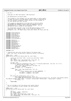Registered Version: Linux Support Power PC64 **pci\_dn.c** Exhibit 8.1−19 pg 1/5

 $/$ \*  $\frac{1}{2}$   $*$  pci dn.c  $\frac{3}{4}$ Copyright (C) 2001 Todd Inglett, IBM Corporation  $\frac{5}{6}$ PCI manipulation via device nodes. <sup>7</sup> \* <sup>8</sup> \* This program is free software; you can redistribute it and/or modify <sup>9</sup> \* it under the terms of the GNU General Public License as published by <sup>10</sup> \* the Free Software Foundation; either version 2 of the License, or<br><sup>11</sup> \* (at your option) any later version. (at your option) any later version.  $12$ <br> $13$ <sup>13</sup> \* This program is distributed in the hope that it will be useful,<br><sup>14</sup> \* but WITHOUT ANY WARRANTY; without even the implied warranty of <sup>14</sup> \* but WITHOUT ANY WARRANTY; without even the implied warranty of <sup>15</sup> \* MERCHANTABILITY or FITNESS FOR A PARTICULAR PURPOSE. See the <sup>16</sup> \* GNU General Public License for more details. <sup>17</sup> \* <sup>18</sup> \* You should have received a copy of the GNU General Public License <sup>19</sup> \* along with this program; if not, write to the Free Software <sup>20</sup> \* Foundation, Inc., 59 Temple Place, Suite 330, Boston, MA 02111−1307 USA  $21$ 22 <sup>23</sup> **#include** <linux/config.h> <sup>24</sup> **#include** <linux/kernel.h> <sup>25</sup> **#include** <linux/pci.h> <sup>26</sup> **#include** <linux/delay.h> <sup>27</sup> **#include** <linux/string.h> <sup>28</sup> **#include** <linux/init.h> <sup>29</sup> **#include** <linux/bootmem.h>  $30$ 31 **#include** <asm/io.h><br>32 **#include** <asm/pgtab <sup>32</sup> **#include** <asm/pgtable.h> 33 **#include** <asm/irq.h><br>34 **#include** <asm/prom.h <sup>34</sup> **#include** <asm/prom.h> <sup>35</sup> **#include** <asm/machdep.h> <sup>36</sup> **#include** <asm/init.h> <sup>37</sup> **#include** <asm/pci−bridge.h> 38 **#include** <asm/ppcdebug.h><br>39 **#include** <asm/naca.h> <sup>39</sup> **#include** <asm/naca.h> <sup>40</sup> **#include** <asm/pci\_dma.h> 41 <sup>42</sup> **#include** "pci.h" 43 <sup>44</sup> /\* Traverse\_func that inits the PCI fields of the device node. <sup>45</sup> \* NOTE: this \*must\* be done before read/write config to the device.  $rac{46}{47}$ 47 **static** void \* \_\_init<br>48 update dn pci info(s update\_dn\_pci\_info(struct device\_node \*dn, void \*data)  $rac{49}{50}$ struct pci\_controller \*phb = (struct pci\_controller \*)data;  $51$  u32  $*$ regs; 52 char \*device\_type = get\_property(dn, "device\_type", 0);<br>53 char \*status = qet property(dn, "status", 0);  $char$  \*status = get\_property(dn, "status", 0); 54 55 dn−>phb = phb; <sup>56</sup> **if** (device\_type && strcmp(device\_type, "pci") == 0 && get\_property(dn, "class−code", 0) == 0) { <sup>57</sup> /\* special case for PHB's. Sigh. \*/ <sup>58</sup> regs = (u32 \*)get\_property(dn, "bus−range", 0); <sup>59</sup> dn−>busno = regs[0]; <sup>60</sup> dn−>devfn = 0; /\* assumption \*/ <sup>61</sup> } **else** { 62  $\text{regs} = (u32 \cdot \text{kg})\text{get\_property}(dn, \text{ "reg", 0)};$ <br>63  $\text{if} (\text{regs})$ <sup>63</sup> **if** (regs) { <sup>64</sup> /\* First register entry is addr (00BBSS00) \*/ <sup>65</sup> dn−>busno = (regs[0] >> 16) & 0xff; <sup>66</sup> dn−>devfn = (regs[0] >> 8) & 0xff; 67 } <sup>68</sup> } 69 **if** (status && strcmp(status, "ok") != 0) {<br>70 c*har* \*name = get\_property(dn, "name", 0);<br>printk(KERN\_ERR "PCI: %04x:%02x.%x %s (%s)has bad status from firmware! (%s)", dn->busno, PCI\_SLOT(dn->devfn), PCI\_FUNC(dn->devfn), name ? name : "<no name>", device\_type ? device\_type : "<unknown type>", status);  $72$  dn−>status = 1;<br>  $73$ <sup>73</sup> } <sup>74</sup> **return NULL**; <sup>75</sup> } 76  $\frac{77}{78}$ \* Hit all the BARs of all the devices with values from OF.<br>\* This is unnecessary on most systems, but also barmless. <sup>79</sup> \* This is unnecessary on most systems, but also harmless.  $\frac{1}{80}$  \*/ 81 **static** void \* \_init<br>82 write OF bars(struct write\_OF\_bars( $\overline{struct}$  device\_node \*dn, void \*data)  $83 \n{84}$ int i; <sup>85</sup> u32 oldbar, newbar, newbartest; 86 u8 config\_offset;<br>87 char \*name = get\_p <sup>87</sup> char \*name = get\_property(dn, "name", 0); <sup>88</sup> char \*device\_type = get\_property(dn, "device\_type", 0); <sup>89</sup> char devname[128];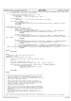```
90 sprintf(devname, "%04x:%02x.%x %s (%s)", dn−>busno, PCI_SLOT(dn−>devfn), PCI_FUNC(dn−>devfn), name ? name : 
"<no name>", device_type ? device_type : "<unknown type>");
91
92 if (device_type && strcmp(device_type, "pci") == 0 &&
93 get_property(dn, "class−code", 0) == 0)
94 return NULL; /* This is probably a phb. Skip it. */
95
96 if (dn−>n_addrs == 0)
                                            /* This is normal for some adapters or bridges */
98
99 if (dn−>addrs == NULL) {
100 /* This shouldn't happen. */
101 printk(KERN_WARNING "write_OF_bars %s: device has %d BARs, but no addrs recorded\n", devname, dn−>n_addrs);
102 return NULL;<br>103 }
103 }
104
105 #ifndef CONFIG_PPC_ISERIES 
106 for (i = 0; i < dn \rightarrow n\_address; i++) {<br>107 for i = dn \rightarrow addrs[i].addressnewbar = dn->addrs[i].address;
108 config_offset = dn−>addrs[i].space & 0xff;
109 if (ppc_md.pcibios_read_config_dword(dn, config_offset, &oldbar) != PCIBIOS_SUCCESSFUL) {
110 printk(KERN_WARNING "write_OF_bars %s: read BAR%d failed\n", devname, i);<br>continue;
111 continue;<br>112 b
\{112 \}112 \frac{1}{4} Need to update this BAR. */
if (ppc_md.pcibios_write_config_dword(dn, config_offset, newbar) != PCIBIOS_SUCCESSFUL) {<br>115 printk(KERN_WARNING "write_OF_bars %s: write BAR%d with 0x%08x failed(old was 0x%08x)\n", devname, i, ne
    wbar, oldbar);
116 continue;<br>117 b
\{117\}118 /* sanity check */
119 if (ppc_md.pcibios_read_config_dword(dn, config_offset, &newbartest) != PCIBIOS_SUCCESSFUL) {
120 printk (KERN_WARNING "write_OF_bars %s: sanity test read BAR%d failed?\n", devname, i);<br>continue;
121 continue;<br>122 a
\left\{\n \begin{array}{ccc}\n 1 & 2 & 3 \\
 2 & 3 & 4\n \end{array}\n \right\}123 if ((newbar & PCI_BASE_ADDRESS_MEM_MASK) != (newbartest & PCI_BASE_ADDRESS_MEM_MASK)) {
printk(KERN_WARNING "write_OF_bars %s: oops...BAR%d read back as 0x%08x%s!\n", devname, i, newbartest,<br>(oldbar & PCI_BASE_ADDRESS_MEM_MASK) == (newbartest & PCI_BASE_ADDRESS_MEM_MASK) ? "(original value)" : "");
125 continue;<br>126 b
126 }
127 }
128 #endif
129 return NULL;<br>130 }
    \left\{ \right\}131
132 #if 0
<sup>133</sup> /<sup>*</sup> Traverse_func that starts the BIST (self test) */<br><sup>133</sup> Static void * init
134 static void<sup>*</sup><br>135 startBIST(stru
    startBIST(struct device node *dn, void *data)
136 {
137 struct pci controller *phb = (struct pci_controller *)data;
138 u8 bist;
139
140 char *name = get_property(dn, "name", 0);
141 udbg_printf("startBIST: %s phb=%p, device=%p\n", name ? name : "<unknown>", phb, dn);
142
143 if (ppc_md.pcibios_read_config_byte(dn, PCI_BIST, &bist) == PCIBIOS_SUCCESSFUL) {
144 if (bist & PCI_BIST_CAPABLE) {
145 udbg_printf(" −> is BIST capable!\n", phb, dn);
146 \overline{})^* Start bist here \overline{})\{147\}148 }
149 return NULL;
150 }
151 #endif
152
153
154 /******************************************************************
155 * Traverse a device tree stopping each PCI device in the tree.<br>156 * This is done depth first. As each node is processed, a "pre
156 * This is done depth first. As each node is processed, a "pre"
157 * function is called, the children are processed recursively, and
158 * then a "post" function is called.
159 *
160 * The "pre" and "post" funcs return a value. If non−zero
161 * is returned from the "pre" func, the traversal stops and this
162 * value is returned. The return value from "post" is not used.
163 * This return value is useful when using traverse as<br>164 * a method of finding a device.
     * a method of finding a device.
165 *
166 * NOTE: we do not run the funcs for devices that do not appear to
167 * be PCI except for the start node which we assume (this is good
<sup>168</sup> * because the start node is often a phb which may be missing PCI<br><sup>169</sup> * properties).
        properties).
170 * We use the class-code as an indicator. If we run into \frac{170}{11} * one of these nodes we also assume its siblings are not
       one of these nodes we also assume its siblings are non-pci for
172 * performance.
173 *
174 ******************************************************************/
    void *traverse_pci_devices(struct device_node *start, traverse_func pre, traverse_func post, void *data)
176 {
Registered Version: Linux Support Power PC64 pci_dn.c Exhibit 8.1−19 pg 2/5
```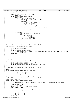```
177 struct device_node *dn, *nextdn;
178 void *ret;
179
180 if (pre && (ret = pre(start, data)) != NULL)
181 return ret;<br>182 for (dn = start->ch)182 for (dn = start−>child; dn; dn = nextdn) {
183 nextdn = NULL;
184 if (get_property(dn, "class–code", 0)) {<br>185 if (pre && (ret = pre(dn, data
185 if (pre \& (ret = pre(dn, data)) != NULL)
186 return ret;<br>187 if (dn->child) {
                                  if (dn->child)<br>\angle /* Dent
188 \overline{z} / \overline{z} / \overline{z} / \overline{z} / \overline{z} / \overline{z} / \overline{z} / \overline{z} / \overline{z} / \overline{z} / \overline{z} / \overline{z} / \overline{z} / \overline{z} / \overline{z} / \overline{z} / \overline{z} / \overline{z} / \overline{z} / \overline{z}189 nextdn = dn−>child;<br>199<br>alse if (dn−>sibling) {
190 and 191 and 191 and 191 and 191 and 191 and 191 and 191 and 191 and 191 and 191 and 191 and 191 and 191 and 1<br>
191 and 191 and 191 and 191 and 191 and 191 and 191 and 191 and 191 and 191 and 191 and 191 and 191 and 1
192 nextdn = dn−>sibling;
193 } else {<br>194\begin{array}{ccc} \text{194} & \text{196} \\ \text{197} & \text{198} \end{array} \begin{array}{ccc} \text{198} & \text{199} \\ \text{199} & \text{199} \end{array}if (post)196 post(dn, data);
\{197\}\{198\}199 \mathbf{if} (!nextdn) {<br>
200 \mathbf{if} (!nextdn) {<br>
\mathbf{if} wal
\frac{200}{201} /* Walk up to next valid sibling. */
                                  \overline{d} \circ {
202 dn = dn−>parent;<br>
203 dn = start)
                                            if (dn == start)204 return NULL;
205 } while (dn−>sibling == NULL);<br>206 hextdn = dn−>sibling;
                        106 nextdn = dn−>sibling;<br>}
207 \Big\}208 }
209 return NULL;
    \rightarrow211
212 /* Same as traverse_pci_devices except this does it for all phbs.
213<br>214
214 void *traverse_all_pci_devices(traverse_func pre)<br>215 {
215 \{<br>216
216 struct pci_controller* phb;
217 void *ret;
218 for (phb=hose_head;phb;phb=phb−>next)
219 if ((ret = traverse_pci_devices((struct device_node *)phb−>arch_data, pre, NULL, phb)) != NULL)
<sup>220</sup> return ret;<br><sup>221</sup> return NULL;
              221 return NULL;
\begin{array}{c} 222 \\ 222 \end{array}223
224
225 /* Traversal func that looks for a <br/> \epsilon /> alue.<br>226 * If found, the device node is returned (thus terminational)
     * If found, the device_node is returned (thus terminating the traversal).
220 */
228 static void *
   is_devfn_node(struct device_node *dn, void *data)
230 \{230\}231 int busno = ((unsigned long)data >> 8) & 0xff;
232 int devfn = ((unsigned long)data) & 0xff;
233 return (devfn == dn−>devfn && busno == dn−>busno) ? dn : NULL;
234 }
235
236 /* Same as is_devfn_node except ignore the "fn" part of the "devfn".
237
238 static void *
239 is_devfn_sub_node(struct device_node *dn, void *data)<br>240 {
   \{241 int busno = ((unsigned long)data >> 8) & 0xff;
242 int devfn = ((unsigned long)data) & 0xf8;
243 return (devfn == (dn−>devfn & 0xf8) && busno == dn−>busno) ? dn : NULL;
   \rightarrow245
246 /* Given an existing EADs (pci bridge) device node create a fake one
247 * that will simulate function zero. Make it a sibling of other_eads.
248<br>249
249 static struct device_node *
    create_eads_node(struct device_node *other_eads)
251 \{252 struct device_node *eads = (struct device_node *)kmalloc(sizeof(struct device_node), GFP_KERNEL);
253
254 if (!eads) return NULL; /* huh? */
255 *eads = *other_eads;
256 eads−>devfn &= ~7; /* make it function zero */
257 eads−>tce_table = NULL;
258 /*
259 * NOTE: share properties. We could copy but for now this should
260 * suffice. The full_name is also incorrect...but seems harmless.
261 */
262 eads−>child = NULL;
263 eads−>next = NULL;<br>264 other_eads−>allnex
264 other_eads->allnext = eads;<br>265 other eads->sibling = eads;
              other_eads->sibling = eads;
266 return eads;
Registered Version: Linux Support Power PC64 pci_dn.c pci_dn.c Exhibit 8.1–19 pg 3/5
```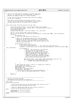```
267 }
268
269 /* This is the "slow" path for looking up a device_node from a
270 * pci_dev. It will hunt for the device under it's parent's
271 * phb and then update sysdata for a future fastpath.
272
273 * It may also do fixups on the actual device since this happens
274 * on the first read/write.
275<br>276
276 * Note that it also must deal with devices that don't exist.
277 * In this case it may probe for real hardware ("just in case")
278 * and add a device_node to the device tree if necessary.
279 *
\frac{280}{281}struct device_node *fetch_dev_dn(struct pci_dev *dev)
282 \begin{cases} 283 \end{cases}283 struct device_node *orig_dn = (struct device_node *)dev−>sysdata;
284 struct pci_controller *phb = orig_dn−>phb; /* assume same phb as orig_dn */
285 struct device_node *phb_dn;
286 struct device_node *dn;
287 unsigned long searchval = (dev−>bus−>number << 8) | dev−>devfn;
288
289 phb_dn = (struct device_node *)(phb->arch_data);<br>290 dn = (struct device_node *)traverse_pci_devices(
290 dn = (struct device_node *)traverse_pci_devices(phb_dn, is_devfn_node, NULL, (void *)searchval);<br>291 if (dn) {
              if (dn)292 dev−>sysdata = dn;
293 /* ToDo: call some device init hook here */
294 } else {
295 /* Now it is very possible that we can't find the device
296 * because it is not the zero'th device of a mutifunction
297 * device and we don't have permission to read the zero'th
298 * device. If this is the case, Linux would ordinarily skip
\begin{array}{c}\n \star \text{ all the other functions.} \\
 * \text{ } \end{array}300 */
301 if ((searchval & 0x7) == 0) {<br>302 struct device_node *thisdevdn;<br>303 /* Ok, we are looking for fn == 0. Let's check for other functions. */
304 thisdevdn = (struct device_node *)traverse_pci_devices(phb_dn, is_devfn_sub_node, NULL, (
    void *)searchval);
305 if (thisdevdn) {
306 /* Ah ha! There does exist a sub function.
307 * Now this isn't an exact match for
308 * searchval, but in order to get Linux to<br>
* believe the sub functions exist we will
                                             * believe the sub functions exist we will
310 * need to manufacture a fake device_node for
311 * this zero'th function. To keept this
312 and the simple for now we only handle pci bridges<br>313 and we just hand back the found node which the same of the same of the same of the same of the same of the same of the same of the same of the same of the same of t
313 * and we just hand back the found node which<br>* isn't correct, but Linux won't care
314 * isn't correct, but Linux won't care.<br>315
315 */
316 char *device_type = (char *)get\_property(thisdevd, "device_type", 0);<br>317 char *device type && strcmp(device type, "pci") == 0) {
317 if (device_type && strcmp(device_type,<br>318 if (device_type && strcmp(device_type,<br>return create eads node(thisdev
                                            return create_eads_node(thisdevdn);
\left.\begin{array}{ccc}319\end{array}\right\}320 }
321 }
322 /* ToDo: device not found...probe for it anyway with a fake dn?
323 struct device_node fake_dn;<br>324 memset(&fake_dn, 0, sizeof(
324 memset(\&fake_dn, 0, sizeof(fake_dn));<br>325 fake dn.phb = phb;
325 fake_dn.phb = phb;
326 fake_dn.busno = dev−>bus−>number;
327 fake_dn.devfn = dev->devfn;<br>328 ... now do ppc_md.pcibios_read_config_dword(&fake_dn.....)<br>330 ... if ok, alloc a real device_node and dn = real_dn;<br>*/
331 }
rac{1}{332} return dn;
   \rightarrow334
335
336 /******************************************************************
     * Actually initialize the phbs.
338 * The buswalk on this phb has not happened yet.
339 ******************************************************************/
340 void init
341 pci_devs_phb_init(void)
342 \n343\frac{343}{244} /* This must be done first so the device nodes have valid pci info! */
              traverse_all_pci_devices(update_dn_pci_info);
345
346 /* Hack for regatta which does not init the bars correctly */
347 traverse_all_pci_devices(write_OF_bars);<br>348 #if 0
348 #if 0
349 traverse_all_pci_devices(startBIST);
350 mdelay(5000);
351 traverse_all_pci_devices(checkBIST);<br>352 #endif
    352 #endif
353 }
354
355
Registered Version: Linux Support Power PC64 pci_dn.c Exhibit 8.1−19 pg 4/5
```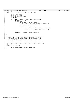```
356 static void __init
357 pci_fixup_bus_sysdata_list(struct list_head *bus_list)
\begin{matrix}358\\359\end{matrix}359 Struct list_head *ln;<br>360 struct pci_bus *bus;
360 struct pci_bus *bus;
361 struct pci_controller *phb;
362 int newnum;
363
364 for (ln=bus_list−>next; ln != bus_list; ln=ln−>next) {
365 bus = pci_bus_b(ln);<br>366 if (bus->self) {
                      366 if (bus−>self) {
367 bus−>sysdata = bus−>self−>sysdata;
368 /* Also fixup the bus number on large bus systems to
369 * include the PHB# in the next byte
370 * /
371 phb = PCI_GET_DN(bus)−>phb;
372 if (phb && phb−>buid) {
373 newnum = (phb−>global_number << 8) | bus−>number;
374 bus−>number = newnum;
375 sprintf(bus−>name, "PCI Bus #%x", bus−>number);<br>376 }
376 }
377 }
378 pci_fixup_bus_sysdata_list(&bus−>children);
379<br>380
   380 }
381
382 /******************************************************************
383 * Fixup the bus−>sysdata ptrs to point to the bus' device_node.
384 * This is done late in pcibios_init(). We do this mostly for
385 * sanity, but pci_dma.c uses these at DMA time so they must be
386 * correct<br>387 * To do ti
    387 * To do this we recurse down the bus hierarchy. Note that PHB's
388 * have bus−>self == NULL, but fortunately bus−>sysdata is already
389 * correct in this case.
390 ******************************************************************/
<sup>391</sup> void init
392 pci_fix_bus_sysdata(void)
393 {
394 pci_fixup_bus_sysdata_list(&pci_root_buses);<br>395 }
   \left\{ \right\}Registered Version: Linux Support Power PC64 pci_dn.c Exhibit 8.1−19 pg 5/5
```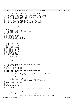```
\frac{1}{2}2 * pmc.c
3 * Copyright (C) 2001 Dave Engebretsen & Mike Corrigan IBM Corporation
 4 * 
 5 * This program is free software; you can redistribute it and/or modify
6 * it under the terms of the GNU General Public License as published by
7 * the Free Software Foundation; either version 2 of the License, or
8 * (at your option) any later version.
* * This program is distributed in the hope that it will be useful,<br>" * but WITHOUT ANY WARRANTY; without even the implied warranty of<br>" * MERCHANTABILITY or FITNESS FOR A PARTICULAR PURPOSE. See the<br>" GNU General Public L
14 * 
15 * You should have received a copy of the GNU General Public License
16 * along with this program; if not, write to the Free Software
17 * Foundation, Inc., 59 Temple Place, Suite 330, Boston, MA 02111−1307 USA
18 * /19
20 /* Change Activity:
21 * 2001/06/05 : engebret : Created.
22 * 2002/04/11 : engebret : Add btmalloc code.
23 * End Change Activity<br>
24 */
     *25
26 #include <asm/proc_fs.h>
27 #include <asm/paca.h>
28 #include <asm/iSeries/ItLpPaca.h>
29 #include <asm/iSeries/ItLpQueue.h><br>30 #include <asm/processor.h>
    #include <asm/processor.h>
31
32 #include <linux/proc_fs.h>
33 #include <linux/spinlock.h>
34 #include <linux/slab.h>
35 #include <linux/vmalloc.h>
36 #include <asm/pmc.h>
37 #include <asm/uaccess.h>
38 #include <asm/naca.h>
39 #include <asm/pgalloc.h>
40 #include <asm/pgtable.h>
41 #include <asm/mmu_context.h>
42 #include <asm/page.h>
43 #include <asm/machdep.h>
44 #include <asm/lmb.h>
45 #include <asm/abs_addr.h>
46 #include <asm/ppcdebug.h>
47
48 struct _pmc_sw pmc_sw_system = {
49 0 
50 };
51
52 struct _pmc_sw pmc_sw_cpu[NR_CPUS] = {<br>5354 };
55
56<br>57
     57 * Provide enough storage for either system level counters or
\begin{array}{ccc} 58 & * & \text{one} \\ 59 & * & \end{array}59 */
60 struct _pmc_sw_text pmc_sw_text;
61 struct _pmc_hw_text pmc_hw_text;
62
63 extern pte_t *find_linux_pte( pgd_t * pgdir, unsigned long ea );
64 extern pgd_t *bolted_pgd;
65
66 static struct vm_struct *get_btm_area(unsigned long size, unsigned long flags);
67 static int local_free_bolted_pages(unsigned long ea, unsigned long num);
68
69 extern pgd_t bolted_dir[];
70 pgd_t *bolted_pgd = (pgd_t *)&bolted_dir;
71
72 struct vm_struct *btmlist = NULL;<br>73 struct mm_struct btmalloc_mm = {p
73 struct mm_struct btmalloc_mm = {pgd ?4
                                                   74 page_table_lock : SPIN_LOCK_UNLOCKED};
75
76 extern spinlock_t hash_table_lock;
77
78 char *<br>79 ppc64
    ppc64_pmc_stab(int file)
80<br>81
                int n;
82 unsigned long stab_faults, stab_capacity_castouts, stab_invalidations;<br>83      unsigned long i;
                unsigned long i;
84
85 stab_faults = stab_capacity_castouts = stab_invalidations = n = 0;
86
87 if (file == -1) {<br>88 for (i =
88 for (i = 0; i < \text{sup\_num\_cpus}; i++) {<br>stab faults += pmc sw cpulil.
                                       \texttt{stab\_faults}\texttt{~+}\texttt{=}\texttt{pm\_sw\_cpu[i].stab\_faults} \texttt{;}90 stab_capacity_castouts += pmc_sw_cpu[i].stab_capacity_castouts;
Registered Version: Linux Support Power PC64 pmc.c Exhibit 8.1−20 pg 1/5
```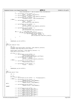```
91 stab_invalidations += pmc_sw_cpu[i].stab_invalidations;<br>92
 92 }
\sum_{\text{93}}^{\text{93}} n += sprintf(pmc_sw_text.buffer + n,<br>"Faults 0x%lx\n", stab_
 Faults 0x%lx\n", stab_faults);<br>
95 n += sprintf(pmc_sw_text.buffer + n,<br>
97 n += sprintf(pmc_sw_text.buffer + n,<br>
10 n = sprintf(pmc_sw_text.buffer + n,<br>
98 n = sprintf(pmc_sw_text.buffer + n,<br>
98 n = sprintf(pmc_sw_text.b
99 } else {
100 n \neq 5 n n \neq 6 n n \neq 7 n n \neq 8 n n \neq 8 n n \neq 7 n n \neq 8 n n \neq 8 n n \neq 9 n n \neq 9 n n \neq 9 n n \neq 9 n n \neq 9 n n \neq 9 n n \neq 9 n n \neq 9 n n \neq 9 n n \neq 9 n n \neq 9 n n \neq 9101 "Faults 0x%lx\n", 
102 pmc_sw_cpu[file].stab_faults);
103
104 n \neq sprintf(pmc_sw_text.buffer + n,<br>"Castouts 0x%lx\n".
                                             "Castouts 0x\%lx\n"
106 pmc_sw_cpu[file].stab_capacity_castouts);
107
108 n \leftarrow sprintf(pmc_sw_text.buffer + n,<br>
"Invalidations 0x%lx\n",
110 pmc_sw_cpu[file].stab_invalidations);
111
112 for (i = 0; i < STAB_ENTRY_MAX; i++) {<br>
113 if (pmc_sw_cpu[file].stab_entr
113 if (pmc_sw_cpu[file].stab_entry_use[i]) {<br>
114 if the sprintf(pmc_sw_text.buffer +
114 114 n += \text{sprintf}(\text{pmc}_\text{sw\_text.buffer + n},<br>
"Entry %02ld 0x%lx\n", i,
116 pmc_sw_cpu[file].stab_entry_use[i]);<br>117
\{117\}\left\{\n \begin{array}{ccc}\n 118 & & \\
 \end{array}\n \right\}119
120 }
121
122 return(pmc_sw_text.buffer); 
123 }
124
125 char *<br>126 mchar
    ppc64_pmc_htab(int file)
127 {
128 int n;<br>129 unsigne
129 unsigned long htab_primary_overflows, htab_capacity_castouts;<br>130 unsigned long htab read to write faults;
               unsigned long that\text{lr}ead_to_write_faults;
131
132 htab_primary_overflows = htab_capacity_castouts = 0;<br>
133 htab_read_to_write_faults = n = 0;
               htab_read_to_write_faults = n = 0;
134
135 if (file == −1) {
136 n \leftarrow \text{sprintf}(\text{pmc\_sw\_text.buffer + n},<br>
"Primary Overflows 0x%lx\n",
138 pmc_sw_system.htab_primary_overflows);<br>
139 n += sprintf(pmc sw text.buffer + n,
139 n \leftarrow sprintf(pmc_sw_text.buffer + n,<br>
"Castouts 0x%lx\n",
141 pmc_sw_system.htab_capacity_castouts);
142 } else {<br>143
143 n += sprintf(pmc_sw_text.buffer + n,<br>
"Primary Overflows N/A\n");
                                             "Primary Overflows N/A\n");
145
146 n += sprintf(pmc_sw_text.buffer + n, N(A\ln\ln r);
                                                           N/A\ln n");
148
149 }
150
151 return(pmc_sw_text.buffer); 
152 }
153
    char *
155 ppc64_pmc_hw(int file)
156 {
               int n;
158
159 n = 0;<br>160 i \in \{f\}160 if (file == −1) {
161 n \neq 1 sprintf(pmc_hw_text.buffer + n, "Not Implemented\n");
162 } else {
163 n += sprintf(pmc_hw_text.buffer + n,<br>
"MMCR0 0x%lx\n", mfspr(MMCR0));<br>
165 n += sprintf(pmc_hw_text.buffer + n,<br>
166 mMCR1 0x%lx\n", mfspr(MMCR1));
167 #if 0
168 n += sprintf(pmc_hw_text.buffer + n,<br>
"MMCRA 0x%lx\n", mfspr(MMCRA));
170 #endif
171
172 <br>
173 n += \text{sprintf}(\text{pmc}\text{-}\text{hw}\text{-}\text{text.buffer} + n,<br>
"PMC1 0x%lx\n", mfspr(PMC1));
174 n += sprintf(pmc_hw_text.buffer + n,<br>
175 n += sprintf(pmc_hw_text.buffer + n,<br>
176 n += sprintf(pmc_hw_text.buffer + n,<br>
177 \frac{n\pi}{2} = 177 \frac{n\pi}{2} = 1780 (PMC3), infspr(PMC3));
178 n += sprintf(pmc_hw_text.buffer + n,<br>
179 n += sprintf(pmc_hw_text.buffer + n,<br>
180 n += sprintf(pmc_hw_text.buffer + n,
Registered Version: Linux Support Power PC64 pmc.c Exhibit 8.1−20 pg 2/5
```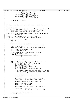```
181 "PMC5 0x%lx\n", mfspr(PMC5)); 
182 n += sprintf(pmc_hw_text.buffer + n, 
183 \mu Per and \mu PMC6 0x%lx\n", mfspr(PMC6));<br>184 n \leftarrow sprintf(pmc_hw_text.buffer + n,
                         n += sprintf(pmc_hw_text.buffer + n,
185 "PMC7 0x%lx\n", mfspr(PMC7)); 
186 n += sprintf(pmc_hw_text.buffer + n, 
<sup>187</sup> \overline{\text{PMC8}} \overline{0}x\%lx\n", mfspr(PMC8));
188 }
189
190 return(pmc_hw_text.buffer);<br>
191 }
191 }
192
\begin{array}{ccc}\n193 & / & \star \\
194 & & \star\n\end{array}* * Manage allocations of storage which is bolted in the HPT and low fault<br>195 * overhead in the segment tables. Intended to be used for buffers used
        overhead in the segment tables. Intended to be used for buffers used
196 * to collect performance data. 
197 *
198 * Remaining Issues:<br>199 * - Power4 is not
199 * − Power4 is not tested at all, 0xB regions will always be castout of slb
200 * − On Power3, 0xB00000000 esid is left in the stab for all time,
201 * other 0xB segments are castout, but not explicitly removed.
202 * – Error path checking is weak at best, wrong at worst.
203 *
204 * btmalloc − Allocate a buffer which is bolted in the HPT and (eventually)<br>205 *
                      the segment table.
206 *
207 * Input : unsigned long size: bytes of storage to allocate.
208 * Return: void * : pointer to the kernal address of the buffer.
\frac{209}{210}\overline{1} void* btmalloc (unsigned long size) {
211 pgd_t *pgdp;
212 pmd_t *pmdp;
213 pte_t *ptep, pte;
214 unsigned long ea_base, ea, hpteflags;
215 struct vm_struct *area;
216 unsigned long pa, pg_count, page, vsid, slot, va, arpn, vpn;
217<br>218
218<br>218 212 = PAGE_1LIGN(size);<br>219 212 = PAGE_2LIGN(size)\textbf{if} (!size |\bar{ }| (size >> PAGE_SHIFT) > num_physpages) return NULL;
220
221 spin_lock(&btmalloc_mm.page_table_lock);
222 spin_lock(&hash_table_lock);
223
224 /* Get a virtual address region in the bolted space */<br>225 area = qet btm area(size, 0);
              area = get_btm_area(size, 0);226 if (!area) {
227 spin_unlock(&btmalloc_mm.page_table_lock);<br>228 spin_unlock(&btmalloc_mm.page_table_lock);
228 return NULL;
              \}230231 ea_base = (unsigned long) area−>addr;
232 pq count = (size >> PAGE SHIFT);
233
234 /* Create a Linux page table entry and an HPTE for each page */<br>\frac{235}{235} for (page = 0; page < pg count; page++) {
235 for(page = 0; page < pg_count; page++) {
236 pa = get_free_page(GFP_KERNEL) − PAGE_OFFSET; 
237 ea = ea_base + (page * PAGE_SIZE);
238 vsid = get_kernel_vsid(ea);
239 va = ( vsid << 28 ) | ( pa & 0xfffffff );
240 vpn = va >> PAGE_SHIFT;
241 arpn = ((unsigned long)__v2a(ea)) >> PAGE_SHIFT;
242
\frac{243}{4} /* Get a pointer to the linux page table entry for this page<br>
\frac{244}{4} * allocating pmd or pte pages along the way as needed. Note
                            allocating pmd or pte pages along the way as needed.
245 * that the pmd & pte pages are not themselfs bolted.<br>246 */
246 * /
247 pgdp = pgd_offset_b(ea);<br>248 pmdp = pmd alloc(&btmall
248 pmdp = pmd_alloc(&btmalloc_mm, pgdp, ea);<br>
249 ptep = pte_alloc(&btmalloc_mm, pmdp, ea);
249 ptep = pte_alloc(&btmalloc_mm, pmdp, ea);
250 pte = *ptep;
251
252 /* Clear any old hpte and set the new linux pte */<br>253 set pte(ptep, mk pte phys(pa & PAGE MASK, PAGE KER
                         set_pte(ptep, mk_pte_phys(pa & PAGE_MASK, PAGE_KERNEL));
254
255 hpteflags = _PAGE_ACCESSED|_PAGE_COHERENT|PP_RWXX;
256
257 pte_val(pte) &= ~_PAGE_HPTEFLAGS;
258 pte_val(pte) |= _PAGE_HASHPTE;
259
260 slot = ppc md.hpte insert(vpn, arpn, hpteflags, 1, 0);
261
262 pte_val(pte) | = ((slot<<12) &<br>
263 pte_val(pte) | = (page group
              263 (_PAGE_GROUP_IX | _PAGE_SECONDARY));
264
265
266 spin_unlock(&hash_table_lock);
267 spin_unlock(&btmalloc_mm.page_table_lock);<br>268 return (void*)ea_base;
268 return (void*)ea_base;
    269 }
270
Registered Version: Linux Support Power PC64 pmc.c Exhibit 8.1−20 pg 3/5
```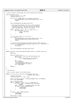Registered Version: Linux Support Power PC64 **pmc.c** Exhibit 8.1−20 pg 4/5

 $271 /$ <sup>277</sup> \* Free a range of bolted pages that were allocated with btmalloc<br>272 \* \* / 273<br>274 <sup>274</sup> void btfree(void \*ea) { <sup>275</sup> struct vm\_struct \*\*p, \*tmp; <sup>276</sup> unsigned long size = 0; 277 278 **if** ((!ea) || ((PAGE\_SIZE-1) & (unsigned long)ea)) {<br>279 **printk(KERN ERR "Trying to btfree() bad address (%p)\n"** 279 printk(KERN\_ERR "Trying to btfree() bad address  $(\%p)\ln$ ", ea);<br> **return**; 280 **return**;<br>281 }  $\}$ 282 spin\_lock(&btmalloc\_mm.page\_table\_lock); 284 <sup>285</sup> /\* Scan the bolted memory list for an entry matching <sup>286</sup> \* the address to be freed, get the size (in bytes) <sup>287</sup> \* and free the entry. The list lock is not dropped <sup>288</sup> \* until the page table entries are removed. <sup>289</sup> \*/ <sup>290</sup> **for**(p = &btmlist; (tmp = \*p); p = &tmp−>next ) { <sup>291</sup> **if** ( tmp−>addr == ea ) { 292 size = tmp−>size;<br>293 **break**; <sup>293</sup> **break**;  $294$  } 295  $\Big\}$ 296 297  $\frac{1}{298}$  /\* If no entry found, it is an error \*/<br>298 **if** ( !size ) { if ( !size ) <sup>299</sup> printk(KERN\_ERR "Trying to btfree() bad address (%p)\n", ea); <sup>300</sup> spin\_unlock(&btmalloc\_mm.page\_table\_lock); <sup>301</sup> **return**; <sup>302</sup> } 303<br>304  $\frac{1}{304}$  /\* Free up the bolted pages and remove the page table entries \*/<br>305 **if**(local free bolted pages((unsigned long)ea, size >> PAGE SHIFT <sup>305</sup> **if**(local\_free\_bolted\_pages((unsigned long)ea, size >> PAGE\_SHIFT)) { <sup>306</sup> \*p = tmp−>next;  $rac{1}{307}$ <br> $rac{1}{308}$  kfree(tmp); <sup>308</sup> } 309 <sup>310</sup> spin\_unlock(&btmalloc\_mm.page\_table\_lock); <sup>311</sup> } 312 <sup>313</sup> **static** int local\_free\_bolted\_pages(unsigned long ea, unsigned long num) {  $314$  int i;<br> $315$  pte t pte\_t pte; 316 317 **for**(i=0; i<num; i++) {<br>318 **for** t \*ptep = <sup>318</sup> pte\_t \*ptep = find\_linux\_pte(bolted\_pgd, ea); <sup>319</sup> **if**(!ptep) { <sup>320</sup> panic("free\_bolted\_pages − page being freed " <sup>321</sup> "(0x%lx) is not bolted", ea );  $322$  }  $323$ <br> $324$ <br> $324$ <br> $324$ <br> $pte$  = \*ptep; <sup>324</sup> pte\_clear(ptep);<br><sup>325</sup> free pages(pte) free\_pages(pte\_page(pte), 0); <sup>326</sup> flush\_hash\_page(0, ea, ptep); <sup>327</sup> ea += PAGE\_SIZE; 328<br>329 <sup>329</sup> **return** 1;  $\}$ 331 332<br>333 get\_btm\_area <sup>334</sup> \* 335 \* Get a virtual region in the bolted space 336<br>337 <sup>337</sup> **static** struct vm\_struct \*get\_btm\_area(unsigned long size,  $\frac{1}{338}$  unsigned long flags) {<br> $\frac{1}{339}$  unsigned long addri 339 unsigned long addr;<br>340 struct ym struct \*\* struct vm\_struct \*\*p, \*tmp, \*area; 341<br>342 <sup>342</sup> area = (struct vm\_struct \*) kmalloc(**sizeof**(\*area), GFP\_KERNEL); <sup>343</sup> **if** (!area) **return NULL**; 344 <sup>345</sup> addr = BTMALLOC\_START; <sup>346</sup> **for** (p = &btmlist; (tmp = \*p) ; p = &tmp−>next) { <sup>347</sup> **if** (size + addr < (unsigned long) tmp−>addr)<br>348 **if** (size + addr < (unsigned long) tmp->addr)  $348$  **break**;<br> $349$  **addr** =  $\text{tmn}$  > si addr = tmp−>size + (unsigned long) tmp->addr; 350 **if** (addr + size > BTMALLOC\_END)<br>351 **if** (addr + size > BTMALLOC\_END) kfree(area); <sup>352</sup> **return NULL**;  $353$  } <sup>354</sup> } 355  $\text{if} \left( \text{addr} + \text{size} > \text{BTMALLOC\_END} \right)$  {<br>357  $\text{kfree}(\text{area})$  ; 357 kfree(area);<br>358 **kfree(area)**;<br>**return NULL**; <sup>358</sup> **return NULL**;  $359$  } <sup>360</sup> area−>flags = flags;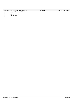| Registered Version: Linux Support Power PC64 |                                  | pmc.c | Exhibit 8.1–20 pg $5/5$ |
|----------------------------------------------|----------------------------------|-------|-------------------------|
| 361                                          | $area$ ->addr = $void *$ )addr;  |       |                         |
| 362                                          | $area \rightarrow size = size$ ; |       |                         |
| 363                                          | $area$ ->next = *p;              |       |                         |
| 364                                          | $*_{p}$ = area;                  |       |                         |
| 365                                          | return area;                     |       |                         |
| 366                                          |                                  |       |                         |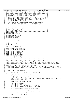|                                                                                                 | Registered Version: Linux Support Power PC64                                                                                                                                                                                                                               | proc_pcifr.c |                                                                  | Exhibit 8.1-21 pg 1/3 |
|-------------------------------------------------------------------------------------------------|----------------------------------------------------------------------------------------------------------------------------------------------------------------------------------------------------------------------------------------------------------------------------|--------------|------------------------------------------------------------------|-----------------------|
| $\mathbf{1}$<br>2<br>3<br>4<br>5<br>$/$ *                                                       | /* File pcifr_proc.c created by Allan Trautman on Thu Aug 2 2001.<br>/* Supports the /proc/ppc64/pcifr for the pci flight recorder.<br>/* Copyright (C) 20yy <allan h="" trautman=""> <ibm corp=""></ibm></allan>                                                          |              | $^{\star}$ /<br>$^{\star}$ /<br>$^{\star}$ /<br>$\star$ /        |                       |
| 6<br>$\overline{7}$<br>8<br>9<br>10<br>/*<br>11                                                 | /* This program is free software; you can redistribute it and/or modify */<br>/* it under the terms of the GNU General Public License as published by */<br>/* the Free Software Foundation; either version 2 of the License, or<br>/* (at your option) any later version. |              | $^*/$<br>$^{\star}$ /<br>$^*/$                                   |                       |
| 12<br>13<br>14<br>15<br>$/$ *<br>16                                                             | $\prime^*$ This program is distributed in the hope that it will be useful,<br>/* but WITHOUT ANY WARRANTY; without even the implied warranty of<br>/* MERCHANTABILITY or FITNESS FOR A PARTICULAR PURPOSE. See the<br>/* GNU General Public License for more details.      |              | $^*/$<br>$^{\star}$ /<br>$^{\star}$<br>$^{\star}$ /<br>$\star$ / |                       |
| 17<br>18<br>19<br>20<br>21                                                                      | /* You should have received a copy of the GNU General Public License<br>/* along with this program; if not, write to the:<br>/* Free Software Foundation, Inc.,<br>/* 59 Temple Place, Suite 330,<br>/* Boston, MA 02111-1307 USA                                          |              | $^{\star}$ /<br>$^{\star}$ /<br>$^*/$<br>$\star$ /<br>$\star$ /  |                       |
| 22<br>#include <stdarg.h><br/>23<br/>#include <linux kernel.h=""><br/>24</linux></stdarg.h>     |                                                                                                                                                                                                                                                                            |              |                                                                  |                       |
| 25<br>26<br>$\#include$ $\langle$ asm/uaccess.h><br>27<br>#include <asm time.h=""><br/>28</asm> | #include <linux proc_fs.h=""></linux>                                                                                                                                                                                                                                      |              |                                                                  |                       |
| 29<br>#include <linux pci.h=""><br/>30<br/>31<br/>32<br/>33</linux>                             | #include <asm pci-bridge.h=""><br/>#include <linux netdevice.h=""></linux></asm>                                                                                                                                                                                           |              |                                                                  |                       |
| 34<br>35<br>#include "pci.h"<br>36<br>37                                                        | #include <asm flight_recorder.h=""><br/>#include <asm iseries="" iseries_pci.h=""></asm></asm>                                                                                                                                                                             |              |                                                                  |                       |
| 38<br>39                                                                                        | void pci_Fr_TestCode(void);                                                                                                                                                                                                                                                |              |                                                                  |                       |
| 40<br>41<br>42                                                                                  | static spinlock_t proc_pcifr_lock;<br>struct flightRecorder* PciFr = NULL;                                                                                                                                                                                                 |              |                                                                  |                       |
| 43<br>44<br>45<br>46<br>47<br>48<br>49                                                          | extern long Pci_Interrupt_Count;<br>extern long Pci_Event_Count;<br>extern long Pci_Io_Read_Count;<br>extern long Pci_Io_Write_Count;<br>extern long Pci_Cfg_Read_Count;<br>extern long Pci_Cfg_Write_Count;<br>extern long Pci_Error_Count;                               |              |                                                                  |                       |
| 50<br>51<br>/* Forward declares.                                                                |                                                                                                                                                                                                                                                                            |              | $\star$ /                                                        |                       |
| 52<br>53<br>54<br>55<br>56<br>57                                                                | static struct proc_dir_entry *pciFr_proc_root = NULL;<br>int proc_pciFr_read_proc(char *page, char **start, off_t off, int count, int *eof, void *data);<br>int proc_pciFr_write_proc(struct file *file, const char *buffer, unsigned long count, void *data);             |              |                                                                  |                       |
| 58<br>59<br>60<br>61                                                                            | static struct proc_dir_entry *pciDev_proc_root = NULL;<br>int proc_pciDev_read_proc(char *page, char **start, off_t off, int count, int *eof, void *data);<br>int proc_pciDev_write_proc(struct file *file, const char *buffer, unsigned long count, void *data);          |              |                                                                  |                       |
| 62<br>63<br>64<br>65                                                                            | /* Create entry /proc/ppc64/pcifr<br>void proc_pciFr_init(struct proc_dir_entry *proc_ppc64_root)                                                                                                                                                                          |              | $^{\star}$ /                                                     |                       |
| 66<br>67<br>68                                                                                  | if $(\text{proc\_ppc64\_root} == \texttt{NULL})$ return;                                                                                                                                                                                                                   |              |                                                                  |                       |
| 69<br>70<br>71<br>72                                                                            | /* Read = User,Group,Other, Write User */<br>$printk$ ("PCI: Creating/proc/ppc64/pcifr\n");<br>$spin\_lock(\&proc\_policy\_lock)$ ;<br>pciFr_proc_root = create_proc_entry("pcifr", S_IFREG   S_IRUGO   S_IWUSR, proc_ppc64_root);                                         |              |                                                                  |                       |
| 73<br>74<br>75                                                                                  | $spin\_unlock(\&proc\_policy\_lock)$ ;<br>if (pciFr_proc_root == NULL) return;                                                                                                                                                                                             |              |                                                                  |                       |
| 76<br>77                                                                                        | $pcir\_proc\_root \rightarrow nlink = 1;$                                                                                                                                                                                                                                  |              |                                                                  |                       |
| 78<br>79<br>80<br>81                                                                            | $pcir\_proc\_root \rightarrow data = (void * )0;$<br>$pcir\_proc\_root->read\_proc = proc\_pcirr\_read\_proc;$<br>$pciFr\_proc\_root \rightarrow write\_proc = proc\_pciFr\_write\_proc$                                                                                   |              |                                                                  |                       |
| 82<br>83                                                                                        | $Pcirr = allloc_Flight\_Recorder(\text{NULL}, "Pcir", 4096);$                                                                                                                                                                                                              |              |                                                                  |                       |
| 84<br>85<br>86<br>87                                                                            | $printk$ ("PCI: Creating /proc/ppc64/pci \n");<br>spin_lock(&proc_pcifr_lock);<br>pciDev_proc_root = create_proc_entry("pci", S_IFREG   S_IRUGO   S_IWUSR, proc_ppc64_root);<br>spin_unlock(&proc_pcifr_lock);                                                             |              |                                                                  |                       |
| 88<br>89<br>90                                                                                  | if (pciDev_proc_root == NULL) return;                                                                                                                                                                                                                                      |              |                                                                  |                       |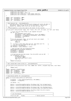```
91 pciDev_proc_root−>nlink = 1;
92 pciDev_proc_root > niiiiii − 1;<br>92 pciDev proc_root->data = (void *)0;
93 pciDev_proc_root−>read_proc = proc_pciDev_read_proc;
              pciDev_proc_root->write_proc = proc_pciDev_write_proc;
95 }
96
97 static char* PciFrBuffer = NULL;
98 static int PciFrBufLen = 0;
99 static char* PciFrBufPtr = NULL;
100 static int PciFileSize = 0;
101
102 /*******************************************************************************/
103 /* Read function for ../proc/ppc64/pcifr.<br>104 /* -> Function grabs a copy of the pcifr
104 /* −> Function grabs a copy of the pcifr(could change) and writes the data to */
105 /* the caller. Note, it may not all fit in the buffer. The function */
106 /* handles the repeated calls until all the data has been read.<br>107 /* Tip:
107 /* Tip: */
108 /* ./fs/proc/generic.c::proc_file_read is the caller of this routine. */
109 /*******************************************************************************/
110 int proc_pciFr_read_proc(char *page, char **start, off_t off, int count, int *eof, void *data)
111 \quad \{112 \frac{1}{113} /* First call will have offset 0, get snapshot the pcifr \frac{1}{113} \frac{1}{113}113 if( off == 0) {
114 spin_lock(&proc_pcifr_lock);<br>115 PciFrBuffer = (char*)kmalloc
                         PciFrBuffer = (char*)kmalloc(PciFr->Size, GFP_KERNEL);
116 PciFrBufLen = fr_Dump(PciFr,PciFrBuffer, PciFr−>Size);
117 PciFrBufPtr = PciFrBuffer;
118 PciFileSize = 0;
119 }<br>
120 /* For the persistant folks, set eof and return zero length. */<br>
121 else if( PciFrBuffer == NULL) {<br>
122 return 0;<br>
return 0;
124<br>125125 /* − If there is more data than will fit, move what will fit. */
126 /* − The rest will get moved on the next call. */
127 1nt MoveSize = PciFrBufLen;<br>128 1f (MoveSize > count) MoveS
              128 if( MoveSize > count) MoveSize = count;
129
130 \frac{1}{2} /* Move the data info the FileSystem buffer. \frac{1}{2} */
131 memcpy(page+off,PciFrBufPtr,MoveSize);<br>132 PciFrBufPtr += MoveSize;
132 PciFrBufPtr += MoveSize;<br>133 PciFrBufPtr += MoveSize;
133 PciFileSize += MoveSize;
              134 PciFrBufLen −= MoveSize;
135
136 \frac{1}{13} /* If all the data has been moved, free the buffer and set EOF. */
137 if( PciFrBufLen == 0)<br>138 if Research Refree (PciFrBuf
138 kfree(PciFrBuffer);<br>
p_{\text{c}}iFrBuffer = NIII.
139 PCIFRUITE = NULL;<br>140 PCIFRUITE = NULL;
                         140 spin_unlock(&proc_pcifr_lock);
*_{\text{eof}} = 1;142 }
              143 return PciFileSize;
144<br>145145 /*******************************************************************************/
146 /* Gets called when client writes to ../proc/ppc64/pcifr */
147 /*******************************************************************************/
148 int proc_pciFr_write_proc(struct file *file, const char *buffer, unsigned long count, void *data)
\begin{matrix} 149 \\ 150 \end{matrix}<sup>1</sup> return count;
151 }
152 static spinlock_t ProcBufferLock;
153 static char* ProcBuffer = NULL;
154 static int ProcBufSize = 0;
155 static char* ProcBufPtr = NULL;
156 static int ProcFileSize = 0;
157
158 /*******************************************************************************/
159 /* Build Device Buffer for /proc/ppc64/pci */
160 /*******************************************************************************/
161 static int build_PciDev_Buffer(int BufferSize) 
   \vert163 ProcBuffer = (char*)kmalloc(BufferSize, GFP_KERNEL);
164 ProcBufPtr = ProcBuffer;
165
166 int BufLen = 0;
167
168 BufLen += sprintf(ProcBuffer+BufLen,"Pci I/O Reads. %8ld ",Pci_Io_Read_Count);
169 BufLen += sprintf(ProcBuffer+BufLen,"Pci I/O Writes %8ld\n",Pci_Io_Write_Count);
170
171 BufLen += sprintf(ProcBuffer+BufLen,"Pci Cfg Reads. %8ld ",Pci_Cfg_Read_Count);
172 BufLen += sprintf(ProcBuffer+BufLen, "PciCfg Writes %8ld\n", Pci_Cfg_Write_Count);
173
174 BufLen += sprintf(ProcBuffer+BufLen, "Pci I/O Errors %8ld\n", Pci_Error_Count);<br>175 BufLen += sprintf(ProcBuffer+BufLen, "\n");
176
177 /***************************************************************************/
178 /* List the devices */
                                       179 /***************************************************************************/
180 struct pci_dev* PciDev;
Registered Version: Linux Support Power PC64 proc_pcifr.c Exhibit 8.1−21 pg 2/3
```
./PPC64/linux/arch/ppc64/kernel/proc\_pcifr.c Page 97/239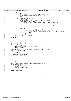```
181 struct net_device* dev; /* net_device pointer */
182 int DeviceCount = 0;
183 pci_for_each_dev(PciDev)<br>184 if (BufLen > Bu
184 if ( Buflen > BufferSize-128) { /* Room for another line? */<br>185 if ( BufLen +=sprintf(ProcBuffer+BufLen, "Buffer Full\n");
185 BufLen +=sprintf(ProcBuffer+BufLen, "Buffer Full\n");<br>
break;
                                186 break;
\{187\}188 if( PCI_SLOT(PciDev->devfn) != 0) {<br>
189 ++DeviceCount;
189 ++DeviceCount;<br>
190 + BufLen += spri
190 BufLen += sprintf(ProcBuffer+BufLen, "%3d. ", DeviceCount);<br>
if ( PciDev->sysdata != NULL ) {
191 if ( PciDev−>sysdata != NULL ) {
192 BufLen += format_device_location(PciDev,ProcBuffer+BufLen,128);
\left\{\right. \right\}194 else {
                                         BufLen += sprintf(ProcBuffer+BufLen, "No Device Node\ln");
196 }
197 BufLen += sprintf(ProcBuffer+BufLen,"\n");
198
<sup>199</sup> /* look for the net devices out \star/<br>200 for (dev = dev base; dev != NULL;
200 for (dev = dev_base; dev != NULL; dev = dev−>next) {
201 if (dev−>base_addr == PciDev−>resource[0].start ) {
202<br>
202 BufLen += sprintf(ProcBuffer+BufLen, " – Net device: %s\n", dev->name);<br>
203
203 break;
204 <br>
205 <br>
205 <br>
205 <br>
205 <br>
205 <br>
207 <br>
207 <br>
207 <br>
207 <br>
208 <br>
208 <br>
208 <br>
208 <br>
208 <br>
208 <br>
208 <br>
208 <br>
208 <br>
208 <br>
208 <br>
208 <br>
208 <br>
208 <br>
208 <br>
208 <br>
208 <br>
208 <br>
208 <br>
208 <br>
208 <br>
208 <br>
208 <br>
208 <br>
208 <br>
208 <br>
206 } /* if(PCI_SLOT(PciDev−>devfn) != 0) */
207 }
208 return BufLen;
\frac{209}{210}210 /*******************************************************************************/
211 /* Get called when client reads the ../proc/ppc64/pcifr. */
212 /*******************************************************************************/
213 int proc_pciDev_read_proc(char *page, char **start, off_t off, int count, int *eof, void *data)
214 {<br>215
215 /* First call will have offset 0 */
216 if( off == 0) {
217 spin_lock(&ProcBufferLock);<br>218 ProcBufSize = build_PciDev
218 ProcBufSize = build_PciDev_Buffer(4096);<br>219 ProcFileSize = 0;
219 ProcFileSize = 0;<br>220 }
220 }
221 /* For the persistant folks, set eof and return zero length. */
222 else if( ProcBuffer == NULL) {
*eof = 1;<br>
*eof = 1;<br>
*eof = 1;
                      return 0;
225 }
226 /* How much data can be moved */
227 int MoveSize = ProcBufSize;<br>228 if (MoveSize > count) MoveS
             if( MoveSize > count) MoveSize = count;
229\frac{1}{230} /* Move the data info the FileSystem buffer. \frac{1}{2} */
231 memcpy(page+off,ProcBufPtr,MoveSize);<br>232 ProcBufPtr += MoveSize;
232 ProcBufPtr += MoveSize;
233 ProcBufSize −= MoveSize;
234 ProcFileSize += MoveSize;
235236 /* If all the data has been moved, free the buffer and set EOF. */
237 if( ProcBufSize == 0) {
238 kfree(ProcBuffer );<br>239 ProcBuffer = NULL;
239 ProcBuffer = NULL;<br>240 ProcBuffer = NULL;
240 spin_unlock(&ProcBufferLock);
241 *eof = 1;
242 }
             243 return ProcFileSize;
244245 /*******************************************************************************/
246 /* Gets called when client writes to ../proc/ppc64/pcifr */
247 /*******************************************************************************/
248 int proc_pciDev_write_proc(struct file *file, const char *buffer, unsigned long count, void *data)
249 {<br>250
            return count;
251 }
Registered Version: Linux Support Power PC64 proc_pcifr.c Exhibit 8.1−21 pg 3/3
```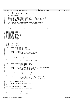Registered Version: Linux Support Power PC64 **pSeries\_lpar.c** Exhibit 8.1−22 pg 1/5

 $/$ \* <sup>2</sup> \* pSeries\_lpar.c <sup>2</sup>  $\frac{1}{3}$  \* Copyright (C) 2001 Todd Inglett, IBM Corporation <sup>4</sup> \*  $5 * pSeries LPAR support.$ <sup>6</sup> \* <sup>7</sup> \* This program is free software; you can redistribute it and/or modify <sup>8</sup> \* it under the terms of the GNU General Public License as published by <sup>9</sup> \* the Free Software Foundation; either version 2 of the License, or<br><sup>10</sup> \* (at your option) any later version. \* (at your option) any later version. <sup>11</sup> \* <sup>12</sup> \* This program is distributed in the hope that it will be useful, <sup>13</sup> \* but WITHOUT ANY WARRANTY; without even the implied warranty of <sup>14</sup> \* MERCHANTABILITY or FITNESS FOR A PARTICULAR PURPOSE. See the<br><sup>15</sup> \* GNU General Public License for more details <sup>15</sup> \* GNU General Public License for more details.  $16 \n17$ <sup>17</sup> \* You should have received a copy of the GNU General Public License<br><sup>18</sup> \* along with this program; if not, write to the Free Software <sup>18</sup> \* along with this program; if not, write to the Free Software <sup>19</sup> \* Foundation, Inc., 59 Temple Place, Suite 330, Boston, MA 02111−1307 USA  $20 * /$ 21 <sup>22</sup> **#include** <linux/config.h> <sup>23</sup> **#include** <linux/kernel.h> 24 **#include** <linux/fs.h><br>25 **#include** <asm/process #include <asm/processor.h> 26 **#include** <asm/semaphore.h><br>27 **#include** <asm/mmu.h> <sup>27</sup> **#include** <asm/mmu.h> <sup>28</sup> **#include** <asm/page.h> 29 **#include** <asm/pgtable.h><br>30 **#include** <asm/machdep.h> <sup>30</sup> **#include** <asm/machdep.h> <sup>31</sup> **#include** <asm/abs\_addr.h> <sup>32</sup> **#include** <asm/mmu\_context.h> <sup>33</sup> **#include** <asm/ppcdebug.h> <sup>34</sup> **#include** <asm/pci\_dma.h> <sup>35</sup> **#include** <linux/pci.h> <sup>36</sup> **#include** <asm/naca.h> <sup>37</sup> **#include** <asm/hvcall.h> 38 <sup>39</sup> long plpar\_tce\_get(unsigned long liobn,<br><sup>40</sup> unsigned long ioba. unsigned long ioba, 41 unsigned long \*tce\_ret)  $\{$ 43 unsigned long dummy;<br>44 **return** plpar heall(F <sup>44</sup> **return** plpar\_hcall(H\_GET\_TCE, liobn, ioba, 0, 0, tce\_ret, &dummy, &dummy); <sup>46</sup> }  $\frac{1}{47}$ 48<br>49 49 long plpar\_tce\_put(unsigned long liobn,<br>50 unsigned long ioba, <sup>50</sup> unsigned long ioba, <sup>51</sup> unsigned long tceval)  $\begin{matrix}52\\53\end{matrix}\quad \biggl\{$ <sup>53</sup> **return** plpar\_hcall\_norets(H\_PUT\_TCE, liobn, ioba, tceval); <sup>54</sup> } 55 <sup>56</sup> long plpar\_get\_term\_char(unsigned long termno, <sup>57</sup> unsigned long \*len\_ret,  $\frac{1}{59}$  f char  $\frac{1}{59}$  char  $\frac{1}{59}$  $\begin{matrix} 59 \\ 60 \end{matrix}$ <sup>60</sup> unsigned long \*lbuf = (unsigned long \*)buf\_ret; /\* ToDo: alignment? \*/ <sup>61</sup> **return** plpar\_hcall(H\_GET\_TERM\_CHAR, termno, 0, 0, 0, <sup>62</sup> len\_ret, lbuf+0, lbuf+1); <sup>63</sup> } 64 <sup>65</sup> long plpar\_put\_term\_char(unsigned long termno, <sup>66</sup> unsigned long len, <sup>67</sup> **const** char \*buffer) <sup>68</sup> { <sup>69</sup> unsigned long dummy; <sup>70</sup> unsigned long \*lbuf = (unsigned long \*)buffer; /\* ToDo: alignment? \*/ <sup>71</sup> **return** plpar\_hcall(H\_PUT\_TERM\_CHAR, termno, len, <sup>72</sup> lbuf[0], lbuf[1], &dummy, &dummy, &dummy); <sup>73</sup> } 74 <sup>75</sup> long plpar\_eoi(unsigned long xirr) <sup>76</sup> { 77 **return** plpar\_hcall\_norets(H\_EOI, xirr);<br>78 } <sup>78</sup> } 79 <sup>80</sup> long plpar\_cppr(unsigned long cppr) <sup>81</sup> { 82 **return** plpar\_hcall\_norets(H\_CPPR, cppr);<br>83 }  $\rightarrow$ 84 <sup>85</sup> long plpar\_ipi(unsigned long servernum, 88<br>88 unsigned long mfrr)  $\begin{matrix} 87 & \left\{ \\ 88 & \right. \end{matrix}$ 88 **return** plpar\_hcall\_norets(H\_IPI, servernum, mfrr);  $\}$ 

90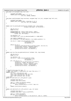```
91 long plpar_xirr(unsigned long *xirr_ret)
9293 unsigned long dummy;<br>94 return plpar_hcall(H)
                 94 return plpar_hcall(H_XIRR, 0, 0, 0, 0,
95 xirr_ret, &dummy, &dummy);
    96 }
97
98 long plpar_ipoll(unsigned long servernum, unsigned long* xirr_ret, unsigned long* mfrr_ret)
99 \{<br>100
100 unsigned long dummy;<br>101 return plpar_hcall(H
                101 return plpar_hcall(H_IPOLL, servernum, 0, 0, 0,
102 xirr_ret, mfrr_ret, &dummy);
    \}104
105
106 static void tce_build_pSeriesLP(struct TceTable *tbl, long tcenum, 
107 unsigned long uaddr, int direction )
\begin{matrix}\n108 \\
109\n\end{matrix}109 u64 set_tce_rc;<br>110 union Tce tce;
                union Tce tce;
111
112 PPCDBG(PPCDBG_TCE, "build_tce: uaddr = 0x%lx\n", uaddr);
113 PPCDBG(PPCDBG_TCE, "\ttcenum = 0x%lx, tbl = 0x%lx, index=%lx\n", 
114 tcenum, tbl, tbl−>index);
115
116 tce.wholeTce = 0;117 tce.tceBits.rpn = (virt_to_absolute(uaddr)) >> PAGE_SHIFT;
118
119 tce.tceBits.readWrite = 1;
120 if ( direction != PCI_DMA_TODEVICE ) tce.tceBits.pciWrite = 1;
121
                set_tce_rc = plpar_tce_put((u64)tbl->index,
123<br>124<br>124<br>124<br>124<br>124<br>124<br>124tce.wholeTce );
125
126 if(set tce rc) {
printk("tce_build_pSeriesLP:plpar_tce_put failed.rc=%ld\n", set_tce_rc);<br>printk("\tindex = 0x%lx\n", (u64)tbl->index);<br>printk("\ttcenum = 0x%lx\n", (u64)tcenum);<br>printk("\ttce val = 0x%lx\n", tce.wholeTce);
\begin{array}{c} 131 \\ 132 \end{array} }
132 }
133
134 static void tce_free_one_pSeriesLP(struct TceTable *tbl, long tcenum)
135 {
136 u64 set_tce_rc;<br>137 union Tce tce;
                \overline{1} \overline{1} \overline{1} \overline{1} \overline{1} \overline{1} \overline{1} \overline{1} \overline{1} \overline{1} \overline{1} \overline{1} \overline{1} \overline{1} \overline{1} \overline{1} \overline{1} \overline{1} \overline{1} \overline{1} \overline{1} \overline{1} \overline{1} \overline{1} \overline{138<br>139
139 tce.wholeTce = 0;<br>140 set tce rc = plpa
140 set_tce_rc = plpar_tce_put((u64)tbl−>index, 
141 (u64)tcenum << 12,
142<br>143 if (set tce rc) {<br>143 if (set tce rc) {
                if ( set tce rc ) {
printk("tce_free_one_pSeriesLP:plpar_tce_put failed\n");<br>printk("\trace_one_pSeriesLP:plar_tce_rc);<br>printk("\timedx=0x%lx\n", (u64)tbl->index);<br>printk("\tteenum =0x%lx\n", (u64)tcenum);<br>printk("\ttee val = 0x%lx\n", tce.wh
149 }
150
151 }
152
153 /* PowerPC Interrupts for lpar. */
154 /* NOTE: this typedef is duplicated (for now) from xics.c! */
155 typedef struct {<br>156 int (*xirr_info_get)(int cpu);
157 void (*xirr_info_set)(int cpu, int val);
158 void (*cppr_info)(int cpu, u8 val);
159 void (*qirr_info)(int cpu, u8 val);<br>160 * xics ops;
160 } xics_ops;
161 static int pSeriesLP_xirr_info_get(int n_cpu)
162 \frac{1}{2}163 unsigned long lpar_rc;<br>164 unsigned long return_v
                unsigned long return_value;
165
166 lpar_rc = plpar_xirr(&return_value);
167 if (lpar_rc != H_Success)<br>168 if (lpar_rc != H_Success)
                            \frac{1}{\text{panic}}(" bad return code xirr – rc = %lx \n", lpar_rc);
169 }
170 return ((int)(return_value));
    171 }
172
173 static void pSeriesLP_xirr_info_set(int n_cpu, int value)
174 {<br>175unsigned long lpar_rc;
176 unsigned long val64 = value & 0xffffffff;
177
178 lpar_rc = plpar_eoi(val64)<br>179 if (lpar rc != H Success)
179 if (lpar_rc != H_Success) {<br>panic(" bad return code EOI - rc = %ld, value=%lx \n", lpar_rc, val64);
Registered Version: Linux Support Power PC64 pSeries_lpar.c Exhibit 8.1−22 pg 2/5
```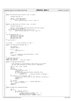```
\begin{matrix} 181 \\ 182 \end{matrix}182
183
184 static void pSeriesLP_cppr_info(int n_cpu, u8 value)
\begin{matrix} 185 \\ 186 \end{matrix}unsigned long lpar rc;
187
188 lpar_rc = plpar_cppr(value);<br>189 if (lpar rc != H Success) {
189 if (lpar_rc != H_Success) {<br>
panic(" bad return code cppr − rc = %lx \n", lpar_rc);
191 }
192 }
193
194 static void pSeriesLP_qirr_info(int n_cpu , u8 value)
195 {
196 unsigned long lpar rc;
197
198 lpar_rc = plpar_ipi(get_hard_smp_processor_id(n_cpu),value);<br>199 if (lpar rc != H Success) {
199 if (lpar_rc != H_Success) {<br>
200 udbg_printf("pSeriesLP_qirr_info - plpar_ipi failed!!!!!!!!\n");<br>
201 panic(" bad return code qirr -ipi - rc = %lx \n", lpar_rc);
202 }
203 }
204
205 xics_ops pSeriesLP_ops = {
206 pSeriesLP_xirr_info_get,
207 pSeriesLP_xirr_info_set,
208 pSeriesLP_cppr_info,
209 pSeriesLP_qirr_info<br>210 };
   210 };
211 / * end TAI-LPAR */
212
213<br>214 int vtermno:
                     y^* virtual terminal# for udbg */
215
<sup>216</sup> static void udbg putcLP(unsigned char c)
217 \{<br>218
218 char buf[16];<br>219 char buf[16];
              unsigned long rc;
220
221 if (c == 'n')<br>222 id (c == 'nn')udbg\_putcLP('r');223
224 buf[0] = c;<br>225 do {
              225 do {
226 rc = plpar_put_term_char(vtermno, 1, buf);<br>227 while(rc == H Busy);
227 } while(rc == H_Busy);<br>228 }
   \rightarrow229230 /* Buffered chars getc */
231 static long inbuflen;
232 static long inbuf[2]; /* must be 2 longs */
233
234 static int udbg_getc_pollLP(void)
235236 /* The interface is tricky because it may return up to 16 chars.
237 * We save them statically for future calls to udbg_getc().
238 */<br>239 cha
239 char ch, *buf = (char *) \infty<br>
240 int i;
               int i;
241 long rc;
242 if (inbuflen == 0) {
243 /* get some more chars. */
244 inbuflen = 0;
245 rc = plpar_get_term_char(vtermno, &inbuflen, buf);
246 if (rc != H_Success)
247 inbuflen = 0; /* otherwise inbuflen is garbage */
248<br>249
249 if (inbuflen <= 0 || inbuflen > 16) {
250 /* Catch error case as well as other oddities (corruption) */
251<br>
252<br>
252<br>
252<br>
252<br>
252<br>
252<br>
252<br>
252252 return −1;
253 }
               ch = but [0];255 for (i = 1; i < inbuflen; i++) /* shuffle them down. */<br>
256 buf[i−1] = buf[i];
257 inbuflen−−;<br>258 return ch;
258 return ch;
   259 }
260261 static unsigned char udbg_getcLP(void)
262 \{263\}263 int ch;<br>264 for (;;
264 for (;;)
                        \begin{cases} \n\ch = \text{udbg\_getc\_pollLP()}; \n\end{cases}266 if (ch == −1) {<br>267 if this shouldn't be needed...but... */
268 volatile unsigned long delay;
269 for (delay=0; delay < 2000000; delay++)
270 \frac{1}{2}Registered Version: Linux Support Power PC64 pSeries_lpar.c Exhibit 8.1−22 pg 3/5
```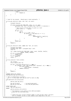```
271 } else {
<sup>272</sup> return ch;<br>273 f
273 }
\begin{array}{c} 274 \\ 275 \end{array} }
275 }
276
277
278
279 /* Code for hvc_console. Should move it back eventually. */
280
281 int hvc_get_chars(int index, char *buf, int count)
\begin{matrix} 282 \\ 283 \end{matrix}unsigned long got;
284
285 if (plpar_hcall(H_GET_TERM_CHAR, index, 0, 0, 0, &got,<br>
286 (unsigned long *)buf, (unsigned long *)buf+1) == H_Success) {<br>
/*
288 * Work around a HV bug where it gives us a null<br>
\frac{1}{289} * after every \Gamma. -- paulus
289 * after every \r. −− paulus<br>289 * after every \r. −− paulus
290 * /
291 if (got > 0) {
292 \frac{\text{int}}{\text{293}} \frac{\text{int}}{\text{t}} \frac{1}{\text{t}}for (i = 1; i < got; ++i) {<br>
294 for (i = 1; i < got; ++i) {<br>
1f (buf[i] == 0 &&
294 if (buf[i] == 0 && buf[i−1] == '\r') {<br>295 ––αot:
                                                    −−got;
296 if (i < got)
\frac{297}{298} memmove(&buf[i], &buf[i+1], \frac{298}{296}\frac{1}{3} got − i);
299 \}300 }
301 }
302 return got;
303<br>304
304 return 0;<br>305 }
   \}306
307 int hvc_put_chars(int index, const char *buf, int count)
\begin{matrix}308\\309\end{matrix}<sup>309</sup> unsigned long dummy;<br><sup>310</sup> unsigned long *lbuf
             unsigned long *lbuf = (unsigned long *) buf;
311 long ret;
312
313 ret = plpar_hcall(H_PUT_TERM_CHAR, index, count, lbuf[0], lbuf[1],<br>314 6dummy, &dummy, &dummy);
\text{314} \text{51} \text{62} \text{63} \text{64} \text{64} \text{65} \text{64} \text{65} \text{65} \text{66} \text{67} \text{68} \text{69} \text{69} \text{60} \text{60} \text{61} \text{62} \text{63} \text{64} \text{65} \text{66} \text{67} \text{315 if (ret == H_Success)
316 return count;<br>317 if (ret == H Busy)
317 if (ret == H_Busy)<br>318 return 0;
\frac{1}{318} return 0;<br>\frac{1}{319} return -1;
319 return −1;<br>320 }
   320 }
321
322 int hvc_count(int *start_termno)<br>323 {
323 \n{324}324 u32 *termno;<br>325 struct device
             struct device_node *dn;
326
327 if ((dn = find_path_device("/rtas")) != NULL) {
\mathbf{if} ((termno = (u32 *)get_property(dn, "ibm,termno", 0)) != NULL) {<br>\mathbf{if} (start termno)
329 if (start_termno)
330 *start_termno = termno[0];
331 return termno[1];
332 }
333 }
             return 0;
335 }
336
337 #ifndef CONFIG_PPC_ISERIES
   void pSeries_lpar_mm_init(void);
339
340 /* This is called early in setup.c.
341 * Use it to setup page table ppc_md stuff as well as udbg.
342 */<br>343 VO
   void pSeriesLP_init_early(void)<br>{
344 {
345 pSeries_lpar_mm_init();
346
347 ppc_md.tce_build = tce_build_pSeriesLP;<br>348 ppc_md.tce_free_one = tce_free_one_pSeries
                                           = \text{tce\_free\_one\_pSeriesLP};349
350 #ifdef CONFIG_SMP
             smp_init_pSeries();
352 #endif
             353 pSeries_pcibios_init_early();
354
355 /* The keyboard is not useful in the LPAR environment.
\begin{array}{ccc}\n\text{356} \\
\text{357} \\
\text{358}\n\end{array} * Leave all the interfaces NULL.
357 *358
359 /* lookup the first virtual terminal number in case we don't have a com port.
360 * Zero is probably correct in case someone calls udbg before the init.
Registered Version: Linux Support Power PC64 pSeries_lpar.c Exhibit 8.1−22 pg 4/5
```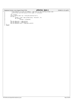|     |        | Registered Version: Linux Support Power PC64                               | pSeries Ipar.c | Exhibit $8.1 - 22$ pg $5/5$ |
|-----|--------|----------------------------------------------------------------------------|----------------|-----------------------------|
| 361 |        | * The property is a pair of numbers. The first is the starting termno (the |                |                             |
| 362 |        | * one we use) and the second is the number of terminals.                   |                |                             |
| 363 |        | $\star$ /                                                                  |                |                             |
| 364 |        | u32 *termno;                                                               |                |                             |
| 365 |        | struct device node *np = find path device("/rtas");                        |                |                             |
| 366 |        | if (np)                                                                    |                |                             |
| 367 |        | termno = $(u32 *)$ get_property(np, "ibm,termno", 0);                      |                |                             |
| 368 |        | $if$ (termno)                                                              |                |                             |
| 369 |        | $v$ termno = termno $[0]$ ;                                                |                |                             |
| 370 |        |                                                                            |                |                             |
| 371 |        | $ppc_m d. udbq_p utc = udbq_p utcL P$                                      |                |                             |
| 372 |        | $ppc$ md.udbq qetc = udbq qetcLP;                                          |                |                             |
| 373 |        | $ppc_m$ d.udbg_getc_poll = udbg_getc pollLP;                               |                |                             |
| 374 |        |                                                                            |                |                             |
| 375 | #endif |                                                                            |                |                             |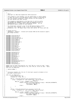$\overline{2}$  $\begin{array}{ccc} 3 & * & r \text{as.c} \\ 4 & * & \text{Copyr} \end{array}$  \* Copyright (C) 2001 Dave Engebretsen IBM Corporation \* \* This program is free software; you can redistribute it and/or modify <sup>7</sup> \* it under the terms of the GNU General Public License as published by \* the Free Software Foundation; either version 2 of the License, or \* (at your option) any later version. <br> $11$  \* This program is distributed in the hope that it will be useful, <sup>12</sup> \* but WITHOUT ANY WARRANTY; without even the implied warranty of <sup>13</sup> \* MERCHANTABILITY or FITNESS FOR A PARTICULAR PURPOSE. See the <sup>14</sup>  $\star$  GNU General Public License for more details. \* <sup>16</sup> \* You should have received a copy of the GNU General Public License <sup>17</sup> \* along with this program; if not, write to the Free Software \* Foundation, Inc., 59 Temple Place, Suite 330, Boston, MA 02111−1307 USA  $\star$   $21 / *$  Change Activity: \* 2001/09/21 : engebret : Created with minimal EPOW and HW exception support. <sup>23</sup> \* End Change Activity \*/ <sup>26</sup> **#include** <linux/ptrace.h> **#include** <linux/errno.h> **#include** <linux/threads.h> **#include** <linux/kernel\_stat.h> **#include** <linux/signal.h> **#include** <linux/sched.h> **#include** <linux/ioport.h> **#include** <linux/interrupt.h> **#include** <linux/timex.h> **#include** <linux/init.h> **#include** <linux/slab.h> **#include** <linux/pci.h> 38 **#include** <linux/delay.h><br>39 **#include** <linux/irq.h> **#include** <linux/irq.h> **#include** <linux/proc\_fs.h> 41 **#include** <linux/random.h><br>42 **#include** <linux/sysra.h> **#include** <linux/sysrq.h> **#include** <asm/uaccess.h> <sup>45</sup> **#include** <asm/bitops.h> **#include** <asm/system.h> 47 **#include** <asm/io.h><br>48 **#include** <asm/pqtab **#include** <asm/pgtable.h> **#include** <asm/irq.h> <sup>50</sup> **#include** <asm/cache.h> **#include** <asm/prom.h> **#include** <asm/ptrace.h> #include <asm/iSeries/LparData.h> 54 **#include** <asm/machdep.h><br>55 **#include** <asm/rtas h> **#include** <asm/rtas.h> **#include** <asm/ppcdebug.h> <sup>58</sup> **static** void ras\_epow\_interrupt(int irq, void \*dev\_id, struct pt\_regs \* regs); **static** void ras\_error\_interrupt(int irq, void \*dev\_id, struct pt\_regs \* regs); 60 void init\_ras\_ $\overline{\text{IRQ}}(\text{voi}\overline{d})$ ; /\* #define DEBUG \*/  $/$ \* \* Initialize handlers for the set of interrupts caused by hardware errors<br>
\* and nower system events  $66 \times$  and power system events. \*/<br> $68$   $VO$ void init\_ras\_IRQ(void) { struct device\_node \*np; <sup>70</sup> unsigned int \*ireg, len, i; **if**((np = find\_path\_device("/event-sources/internal-errors")) & &<br>
73 (ireq = (unsigned int \*)qet property(np, "open-pic-in (ireg = (unsigned int \*)get\_property(np, "open−pic−interrupt", &len))) { <sup>75</sup> **for**(i=0; i<(len / **sizeof**(\*ireg)); i++) { <sup>76</sup> request\_irq(virt\_irq\_create\_mapping(\*(ireg)) + NUM\_8259\_INTERRUPTS, <sup>77</sup> &ras\_error\_interrupt, 0, "RAS\_ERROR", **NULL**);  $ireg++;$ 80 }  $\begin{array}{ccc} 81 & & & \end{array}$  83 **if**((np = find\_path\_device("/event-sources/epow-events")) & &<br>
84 (ireg = (unsigned int \*)get\_property(np, "open-pic-interrupt",<br>
86 **for**(i=0; i<(len / **sizeof**(\*ireg)); i++) {  $\textbf{for}(\texttt{i=0};\texttt{i<(len / sizeof(*ireg))};\texttt{i++}) \left\{ \begin{array}{l} \texttt{error}(\texttt{i=0};\texttt{i<(len / sizeof(*ireg))};\texttt{i++}) \left\{ \begin{array}{l} \texttt{array}( \texttt{i=(neg(g)) + NUM_8259\_INTERRUPTS, \end{array} \right.} \right. \\ \texttt{arg\_epow\_interryt, 0,}$ <sup>88</sup> &ras\_epow\_interrupt, 0, "RAS\_EPOW", **NULL**); Registered Version: Linux Support Power PC64 **ras.c** Exhibit 8.1−23 pg 1/2

ireg++;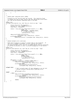## Registered Version: Linux Support Power PC64 **ras.c** Exhibit 8.1−23 pg 2/2

```
91 \Big\}92 }
93 }
94
95<br>96
     96 * Handle power subsystem events (EPOW).
97 *
98 * Presently we just log the event has occured. This should be fixed
99 * to examine the type of power failure and take appropriate action where<br>100 * the time horizon permits something useful to be done.
     the time horizon permits something useful to be done.<br>* the time horizon permits something useful to be done.
101102 static void
<sup>103</sup> ras_epow_interrupt(int irq, void *dev_id, struct pt_regs * regs)<br>104\left\{104 \{<br>105struct rtas_error_log log_entry;
106 unsigned int size = sizeof(log_entry);
107 long status = 0xdeadbeef;
108
109 status = rtas_call(rtas_token("check−exception"), 6, 1, NULL, 
110 0x500, irq, 
111 EPOW_WARNING | POWERMGM_EVENTS, 
112 112 112 1, /* Time Critical *<br>113 113 113 114 12 1, 12 1, 13 113
                                      pa(&log_entry), size);
114
115 udbg_printf("EPOW <0x%lx 0x%lx>\n",
116 *((unsigned long *)&log_entry), status); 
117 printk(KERN_WARNING)
118 "EPOW <0x%lx 0x%lx>\n", *((unsigned long *) &log_entry), status);
119 }
120121 /*<br>122 *
     * Handle hardware error interrupts.
123<br>124124 * RTAS check-exception is called to collect data on the exception. If<br>125 * the error is deemed recoverable. we log a warning and return
125 * the error is deemed recoverable, we log a warning and return.
126 * For nonrecoverable errors, an error is logged and we stop all processing
127 * as quickly as possible in order to prevent propagation of the failure.
128 */<br>129 sta
129 static void
    130 ras_error_interrupt(int irq, void *dev_id, struct pt_regs * regs)
\begin{matrix} 131 \\ 132 \end{matrix}132 struct rtas_error_log log_entry;<br>133 muniqued int size = sizeof(log_e
133 unsigned int size = sizeof(log_entry);<br>134 long status = 0xdeadbeef;
              long status = 0xdeadbeef;
135
136 status = rtas_call(rtas_token("check−exception"), 6, 1, NULL, 
137 0x500, irq, 
138 INTERNAL_ERROR,<br>139 1. /* Time Crit
139 1, \frac{\pi}{\text{me}} \text{ Critical *}<br>140 \text{pa}(\text{a} \text{log} \text{ entry}), size
                                      pa(\&log\_entry), size);
141
142 if((status != 1) && 
                  (log_entry.severity >= SEVERITY_ERROR_SYNC)) {
144 udbg_printf("HW Error <0x%lx 0x%lx>\n",
145 *((unsigned long *)&log_entry), status);
<sup>146</sup> printk(KERN_EMERG)<br><sup>147</sup> Error: Fatal ha
                                  147 "Error: Fatal hardware error <0x%lx 0x%lx>\n",
148 *((unsigned long *)&log_entry), status);
149
150 #ifndef DEBUG
151 /* Don't actually power off when debugging so we can test
152 * without actually failing while injecting errors.
153 */154 ppc_md.power_off();
155 #endif
156 i else {<br>157 b
157 udbg_printf("Recoverable HW Error <0x%lx 0x%lx>\n",<br>
<sup>158</sup> (unsigned long *)&log_entry), status);
159 printk(KERN_WARNING)<br>160 m Warning Recovery
                                  "Warning: Recoverable hardware error <0x%lx 0x%lx>\n",
*( (unsigned long *)&log_entry), status);
162
163 return;<br>164 }
164 }
165 }
```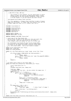```
1 / *
2 \times c 2001 PPC 64 Team, IBM Corp
3 *
               This program is free software; you can redistribute it and/or
 5 * modify it under the terms of the GNU General Public License
6 * as published by the Free Software Foundation; either version
7 * 2 of the License, or (at your option) any later version.
8<br>9
        /proc/ppc64/rtas/firmware_flash interface
10<br>1111 * This file implements a firmware_flash interface to pump a firmware
12 * image into the kernel. At reboot time rtas_restart() will see the
13 * firmware image and flash it as it reboots (see rtas.c).
1415
16 #include <linux/module.h>
17
18 #include <linux/config.h>
    #include <linux/proc_fs.h>
20 #include <linux/init.h>
21 #include <asm/uaccess.h>
22 #include <asm/rtas.h>
23
24 #define MODULE_VERSION "1.0"
    25 #define MODULE_NAME "rtas_flash"
26
27 #define FIRMWARE_FLASH_NAME "firmware_flash"
28
29 /* Local copy of the flash block list.
30 * We only allow one open of the flash proc file and create this
31 * list as we go. This list will be put in the kernel's
32 * rtas_firmware_flash_list global var once it is fully read.
33<br>34
* For convenience as we build the list we use virtual addrs,<br>* we do not fill in the version number, and the length field
35 * we do not fill in the version number, and the length field
36 * is treated as the number of entries currently in the block
\begin{array}{c} \n\text{37} \\
\text{48} \\
\text{50} \\
\text{51} \\
\text{62} \\
\text{72} \\
\text{83} \\
\text{74} \\
\text{75} \\
\text{76} \\
\text{77} \\
\text{78} \\
\text{79} \\
\text{79} \\
\text{79} \\
\text{70} \\
\text{70} \\
\text{71} \\
\text{71} \\
\text{72} \\
\text{73} \\
\text{74} \\
\text{75} \\
\text{76} \\
\text{77} \\
\text{78} \\
\text{79} \\
\text{79} \\
\text{70} \\
\text{70} \\
\38 */<br>39 sta
39 static struct flash_block_list *flist;
40 static char *flash_msg;
41 static int flash_possible;
42
43 static int rtas_flash_open(struct inode *inode, struct file *file)
\frac{44}{45}45 if ((file−>f_mode & FMODE_WRITE) && flash_possible) {
46 if (flist)
47 return −EBUSY;
48 flist = (struct flash_block_list *)get_free_page(GFP_KERNEL);
49 if (!flist)
                                     50 return −ENOMEM;
51 }
\begin{array}{ccc} 52 & \text{return } 0; \\ 53 & \end{array}\rightarrow54
55 /* Do simple sanity checks on the flash image. */
56 static int flash_list_valid(struct flash_block_list *flist)
57 {
58 \frac{\text{struct flash\_block\_list *f}}{\text{59}}59 int i;<br>60 unsign
               unsigned long block_size, image_size;
61
62 flash_msg = NULL;<br>63 /* Paranoid self
63 \frac{1}{2} /* Paranoid self test here. We also collect the image size. */<br>64 image size = 0;
               image_size = 0;65 for (f = flist; f; f = f−>next) {
66 for (i = 0; i < f−>num_blocks; i++)<br>67 for (i = 0; i < f->num_blocks; i++)
67<br>if (f->blocks[i].data == NULL)<br>68<br>flash msq = "error: internal
68 flash_msg = "error: internal error null data\n";<br>f f f f f f69 return 0;
7071 block_size = f->blocks[i].length;<br>72 if (block_size <= 0 || block_size
72 if (block_size <= 0 || block_size > PAGE_SIZE) {
73 flash_msg = "error: internal error bad length\n";
74 return 0;
75 }
\begin{array}{c} 76 \\ 77 \end{array} \begin{array}{c} \text{image\_size} \\ \text{image\_size} \end{array} += block_size;
77 }
78 }
\frac{1}{15} (image_size < (256 << 10)) {
80 if (image_size < 2)<br>81 if (image_size < 2)<br>81 if (image_size < 2)
                                                                      /* allow "clear" of image */
82 else
83 flash_msg = "error: flash image short\n";<br>84 return 0;
84 return 0;<br>85 <br>}
85 }
86 printk(KERN_INFO "FLASH: flash image with %ld bytes stored for hardware flash on reboot\n", image_size);<br>return 1;
87 return 1;<br>88 }
    }
89
Registered Version: Linux Support Power PC64 rtas_flash.c Exhibit 8.1−24 pg 1/3
```
**static** void free\_flash\_list(struct flash\_block\_list \*f)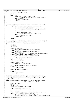Registered Version: Linux Support Power PC64 **rtas\_flash.c** Exhibit 8.1−24 pg 2/3

```
91 \begin{cases} 91 \\ 92 \end{cases}struct flash block list *next;
93 int i;
94
95 while (f) {
96 for (i = 0; i < f−>num_blocks; i++)
97<br>
98 free_page((unsigned long)(f->blocks[i].data));<br>
98 mext = f->next;
98 next = f−>next;<br>99 free page((unsi
99 free_page((unsigned long)f);<br>
f = next;
              \text{f} = \text{next};101 }
102 }
103
104 static int rtas_flash_release(struct inode *inode, struct file *file)
105 {
106 if (flist) {
107 /* Always clear saved list on a new attempt. */
108 if (rtas_firmware_flash_list.next) {<br>109 if (rtas firmware_flash list(rtas firmware
109 free_flash_list(rtas_firmware_flash_list.next);<br>110 the stirmware flash list.next = NULL;
110 rtas_firmware_flash_list.next = NULL;<br>
111
\left\{\n \begin{array}{ccc}\n 1 & 1 & 1 \\
 1 & 1 & 1\n \end{array}\n \right\}112
113 if (flash_list_valid(flist))<br>tas_firmware_flash_
114 rtas\_firmware\_flash\_list.next = flist;<br>115 else
                        115 else
116 free_flash_list(flist);
117 flist = NULL;
118 }
119 return 0;<br>120 }
   120 }
121
122 /* Reading the proc file will show status (not the firmware contents) */
123 static ssize_t rtas_flash_read(struct file *file, char *buf,<br>
size_t count, loff_t *ppos)
125 \{<br>126int error;
127 char *msg;<br>128 int msglen
              int msglen;
129
130 if (!flash_possible) {
131 msg = "error: this partition does not have service authority\n";<br>
} else if (flist) {
133 msg = "info: this file is busy for write by some process\n";<br>
134 else if (flash msg) {
134 } else if (flash_msg) {
135 msg = flash_msg; /* message from last flash attempt */
136 } else if (rtas_firmware_flash_list.next) {
137 msg = "ready: firmware image ready for flash on reboot\ln";<br>
138 else {
138 } else {
                        \text{msg} = \text{``info: no firmware image for flash\n'':}140 }
\text{msglen} = \text{strlen}(\text{msq});
142 if (msglen > count)<br>143 msglen = co
                        msqlen = count;144
145 if (ppos \&& *ppos != 0)<br>146 return 0;
146 return 0; /* be cheap */
147
148 error = verify_area(VERIFY_WRITE, buf, msglen);<br>149 if (error)
149 if (error)
                        150 return −EINVAL;
151
152 copy_to_user(buf, msg, msglen);
153<br>154if (ppos)
155 *ppos = msglen;
156 return msglen;
   \}158
159 /* We could be much more efficient here. But to keep this function
160 * simple we allocate a page to the block list no matter how small the
161 * count is. If the system is low on memory it will be just as well
162 * that we fail....
163 */<br>164 sta
    164 static ssize_t rtas_flash_write(struct file *file, const char *buffer,
165 size_t count, loff_t *off)
166 {
167 size_t len = count;
168 char *p;
169 int next_free;
170 struct flash block list *fl = flist;
171
172 if (!flash_possible || len == 0)<br>173 return len; /* disca
                                            173 return len; /* discard data */
174
175 while (fl−>next)
176 fl = fl−>next; /* seek to last block_list for append */<br>177 hext free = fl−>num blocks;
177 next_free = fl−>num_blocks;<br>178 if (next_free == FLASH_BLOC)
178 if (next_free == FLASH_BLOCKS_PER_NODE) {<br>179 /* Need to allocate another block_list */<br>180 fl−>next = (struct flash_block_list *)get_free_page(GFP_KERNEL);
```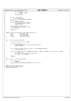```
181 if (!fl−>next)<br>182 if (!fl−>next)
                                182 return −ENOMEM;
183 fl = fl−>next;<br>184 fl = fl−>next;<br>184 next_free = 0;
             184 next_free = 0;
185 }
186
187 if (len > PAGE_SIZE)
188 len = PAGE_SIZE;
189 p = (char *')get\_free\_page(GFP\_KERNEL);<br>190 if (!p)
190 if (!p)
                      191 return −ENOMEM;
192 if(copy_from_user(p, buffer, len)) {<br>
193 free_page((unsigned long)p);
194 return −EFAULT;<br>195 }
195 }
196 fl−>blocks[next_free].data = p;
197 fl−>blocks[next_free].length = len;
198 fl−>num_blocks++;
199
200 return len;
   \}202
203 static struct file_operations rtas_flash_operations = {
204 read: read: rtas_flash_read,<br>205 vrite: rtas_flash_write
                                rtas_flash_write,
206 open: rtas_flash_open,
207 release: rtas_flash_release,
208 } ;
209
210
211 int __init rtas_flash_init(void) 212 \t\{213 struct proc_dir_entry *ent = NULL;
214215 if (!rtas_proc_dir) {<br>216 printk(KERN_WARNING "rtas proc dir does not already exist");
<sup>217</sup> return −ENOENT;<br><sup>218</sup> }
218 }
219
220 if (rtas_token("ibm,update−flash−64−and−reboot") != RTAS_UNKNOWN_SERVICE)
221 flash_possible = 1;
222
223 if ((ent = create_proc_entry(FIRMWARE_FLASH_NAME, S_IRUSR | S_IWUSR, rtas_proc_dir)) != NULL) {
224 ent−>nlin\overline{k} = 1;<br>225 ent−>proc fops
225 ent−>proc_fops = &rtas_flash_operations;
226 ent−>owner = THIS_MODULE;
227 }<br>228 r
228 return 0;
   \}230
231 void __exit rtas_flash_cleanup(void)
232 \n233233 if (!rtas_proc_dir)<br>234 if (!rtas_proc_dir)
234 return;<br>235 remove procent
             235 remove_proc_entry(FIRMWARE_FLASH_NAME, rtas_proc_dir);
236 }
237
238 module_init(rtas_flash_init);
239 module_exit(rtas_flash_cleanup);
240 MODULE_LICENSE("GPL");
Registered Version: Linux Support Power PC64 rtas_flash.c Exhibit 8.1−24 pg 3/3
```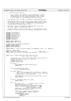```
1 / *
2 \times c 2001 PPC 64 Team, IBM Corp
3 *
              This program is free software; you can redistribute it and/or
 5 * modify it under the terms of the GNU General Public License
6 * as published by the Free Software Foundation; either version
7 * 2 of the License, or (at your option) any later version.
8<br>9
       scan-log-data driver for PPC64 Todd Inglett <tinglett@vnet.ibm.com>
10<br>1111 * When ppc64 hardware fails the service processor dumps internal state
12 * of the system. After a reboot the operating system can access a dump
13 * of this data using this driver. A dump exists if the device−tree
14 * /chosen/ibm,scan−log−data property exists.
15
16 * This driver exports /proc/ppc64/scan−log−dump which can be read.
17 * The driver supports only sequential reads.
18<br>19
    * The driver looks at a write to the driver for the single word "reset"
20 * If given, the driver will reset the scanlog so the platform can free it.
2122
23 #include <linux/module.h>
24 #include <linux/types.h>
    #include <linux/errno.h>
26 #include <linux/proc_fs.h>
27 #include <linux/init.h>
28 #include <asm/uaccess.h>
29 #include <asm/rtas.h><br>30 #include <asm/prom.h>
    #include <asm/prom.h>
31
32 #define MODULE_VERSION "1.0"
33 #define MODULE_NAME "scanlog"
34
35 /* Status returns from ibm,scan−log−dump */
36 #define SCANLOG_COMPLETE 0
37 #define SCANLOG_HWERROR<br>38 #define SCANLOG_CONTINUE
    38 #define SCANLOG_CONTINUE 1
39
40 #define DEBUG(A...) do { if (scanlog_debug) printk(KERN_ERR "scanlog: " A); } while (0)
41
42 static int scanlog_debug;
43 static unsigned int ibm_scan_log_dump; /* RTAS token */
44 static struct proc_dir_entry *proc_ppc64_scan_log_dump; /* The proc file */
45
\frac{46}{47}47 static ssize_t scanlog_read(struct file *file, char *buf, 48
\frac{1}{48} size_t count, loff_t *ppos)
\begin{matrix} 49 & \left\{ 50 \right. \end{matrix}50 struct proc_dir_entry *dp = file−>f_dentry−>d_inode−>u.generic_ip;
51 unsigned int *data = (unsigned int *)dp−>data;
52 unsigned long status;<br>53 unsigned long status;
              unsigned long len, off;
54 unsigned int wait_time;
55
56 if (!data) {
57 printk(KERN_ERR "scanlog: read failed no data\n");<br>58 printk(KERN_ERR "scanlog: read failed no data\n");
58 return −EIO;
59 }
60
61 if (count > RTAS_DATA_BUF_SIZE)
62 count = \overline{RTAS}_DATA_BUF_SIZE;
63
              if (count < 1024) {
65 /* This is the min supported by this RTAS call. Rather
66 * than do all the buffering we insist the user code handle
67 * larger reads. As long as cp works... :)<br>68 * / arger reads. As long as cp works... :)
68 * /
69 printk(KERN_ERR "scanlog: cannot perform a small read (%ld)\n", count);
70 return −EINVAL;
71 }
72
73 if (verify_area(VERIFY_WRITE, buf, count))<br>return -EFAULT;
                        74 return −EFAULT;
75
76 for (;;) {<br>77 wait_time = HZ/2;
77 wait_time = HZ/2; \frac{7}{10} /* default wait if no data */<br>
78 spin lock(&rtas data buf lock);
78 spin_lock(&rtas_data_buf_lock);<br>79 memcpy(rtas_data_buf,_data,_RTA
                        79 memcpy(rtas_data_buf, data, RTAS_DATA_BUF_SIZE);
80 status = rtas_call(ibm_scan_log_dump, 2, 1, NULL,
81 __pa(rtas_data_buf), count);
82 memcpy(data, rtas_data_buf, RTAS_DATA_BUF_SIZE);
83 spin_unlock(&rtas_data_buf_lock);
84
85 DEBUG ("status=%ld, data[0]=%x, data[1]=%x, data[2]=%x\n",
86 status, data[0], data[1], data[2]);<br>87 switch (status) {
87<br>88<br>88<br>switch (status) {<br>case SCANLOG_
88 case SCANLOG_COMPLETE:<br>B89 DEBUG("hit eof\n");
                                 DEBUG("hit eof\n");
90 return 0;
Registered Version: Linux Support Power PC64 scanlog.c Exhibit 8.1−25 pg 1/3
```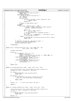```
91 case SCANLOG_HWERROR:
                               92 DEBUG("hardware error reading scan log data\n");
93 return −EIO;<br>94 case SCANLOG_CON
94 case SCANLOG_CONTINUE:<br>95 /* We may or may n
95 /* We may or may not have data yet */
96 len = data[1];
97 of f = \text{data}[2];<br>98 if (len > 0) {
98 if (len > 0) {
99 if (copy_to_user(buf, ((char *)data)+off, len))
100 return −EFAULT;
101 return len;
102 }
102<br>
103 /* Break to sleep default time */<br>
break;
104 break;<br>105 default:
                          105 default:
106 if (status > 9900 && status <= 9905) {
107 /* No data. RTAS is hinting at a delay required
108 + between 1-100000 milliseconds<br>+ /
109 * /
110 int \text{ ms} = 1;<br>
for i stat:
111 for (; status > 9900; status−−)<br>
112 ms = ms * 10;
113 \frac{1}{14} \frac{1}{114} \frac{1}{114} \frac{1}{114} \frac{1}{114} \frac{1}{114} \frac{1}{114} \frac{1}{114} \frac{1}{114} \frac{1}{114} \frac{1}{114} \frac{1}{114} \frac{1}{114} \frac{1}{114} \frac{1}{114} \frac{1}{114} \frac{1}{114} \frac{1}{114} \114 ms * = 1000i<br>wait time =
                                        wait_time = ms / (1000000/Hz); /* round down is fine */
116 \frac{1}{16} /* Fall through to sleep */
117 } else {
118 printk(KERN_ERR "scanlog: unknown error from rtas: %ld\n", status);
119 return −EIO;<br>120 f
120 }
\left\{\n \begin{array}{ccc}\n 1 & 2 & 1 \\
 1 & 1 & 1\n \end{array}\n \right\}121 \uparrow Apparently no data yet. Wait and try again. */
123 set_current_state(TASK_INTERRUPTIBLE);<br>schedule timeout(wait time);
                      \overline{\text{1}} schedule_timeout(wait_time);
125<br>126\big/*NOTREACHED*/
127
128
129 static ssize_t scanlog_write(struct file * file, const char * buf,
130 size_t count, loff_t *ppos)
\begin{matrix} 131 \\ 132 \end{matrix}unsigned long status;
133
134 if (buf) i
135 if (strncmp(buf, "reset", 5) == 0) {
136 DEBUG("reset scanlog\n");
137 status = rtas_call(ibm_scan_log_dump, 2, 1, NULL, NULL, 0);
138 DEBUG("rtas returns %ld\n", status);<br>
139 else if (strncmp(buf, "debugon", 7) == 0) {<br>
printk(KERN_ERR "scanlog: debug on\n");
\frac{1}{141} scanlog_debug = 1;
142 else if (strncmp(buf, "debugoff", 8) == 0) {<br>printk(KERN_ERR "scanlog: debug off\n");
144 scanlog_debug = 0;<br>145\left\{\right\}146 }
             \textbf{return} count;
148 }
149
150 static int scanlog_open(struct inode * inode, struct file * file)
151 \quad \{152 struct proc_dir_entry *dp = file−>f_dentry−>d_inode−>u.generic_ip;
153 unsigned int *data = (unsigned int *)dp−>data;
154
155 if (!data) {<br>156 printk(KERN_ERR "scanlog: open failed no data\n");
157 return −EIO;
158<br>159
159 if \begin{cases} \text{data}[0] := 0 \end{cases} {<br>160 /* This imm
                         160 /* This imperfect test stops a second copy of the
161 \star data (or a reset while data is being copied)<br>\star/
162 * /163 return −EBUSY;<br>164 }
164 }
165
166 data[0] = 0; /* re−init so we restart the scan */
167
168 return 0;<br>169 }
   \}170
171 static int scanlog_release(struct inode * inode, struct file * file)
\begin{matrix} 172 \\ 173 \end{matrix}173 struct proc_dir_entry *dp = file−>f_dentry−>d_inode−>u.generic_ip;
174 unsigned int *data = (unsigned int *)dp−>data;
175
176 if (!data) if (!data)
177 printk(KERN_ERR "scanlog: release failed no data\n");<br>178 printk(KERN_ERR "scanlog: release failed no data\n");
                      178 return −EIO;
179 }
480 \t\t \text{data}[0] = 0;Registered Version: Linux Support Power PC64 scanlog.c Exhibit 8.1−25 pg 2/3
```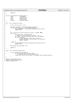```
Registered Version: Linux Support Power PC64 scanlog.c Exhibit 8.1−25 pg 3/3
```

```
181
182 return 0;
\begin{matrix} 183 \end{matrix}184
185 struct file_operations scanlog_fops = {
186 owner: THIS_MODULE,
187 read: scanlog_read,<br>188 read: scanlog_read,<br>188 write: scanlog_write
188 write: scanlog_write,<br>
189 open: scanlog_open,
189 open: scanlog_open,<br>190 release: scanlog_relea
190 release: scanlog_release,<br>
191 };
    191 };
192
    int _init scanlog_init(void) {
194 {
               struct proc_dir_entry *ent;
196<br>197
197 ibm_scan_log_dump = rtas_token("ibm,scan−log−dump");
198 if (ibm_scan_log_dump == RTAS_UNKNOWN_SERVICE) {<br>printk(KERN_ERR "scan-log-dump not implemented on this system\n");
200 return −EIO;<br>201 }
               \}202
203 ent = create_proc_entry("ppc64/scan−log−dump", S_IRUSR, NULL);
204 if (ent) {
                          205 ent−>proc_fops = &scanlog_fops;
206 /* Ideally we could allocate a buffer < 4G */
207 ent−>data = kmalloc(RTAS_DATA_BUF_SIZE, GFP_KERNEL);
208 if (!ent−>data) {<br>209 if (!ent−>data) {<br>printk(KE
209 printk(KERN_ERR "Failed to allocate a buffer\n");<br>210 remove_proc_entry("scan-log-dump", ent->parent);<br>211 return −ENOMEM;
212 \Big\}213 } else {
214 printk(KERN_ERR "Failed to create ppc64/scan–log–dump proc entry\n");<br>215 printk(KERN_ERR "Failed to create ppc64/scan–log–dump proc entry\n");
                          215 return −EIO;
216217 proc_ppc64_scan_log_dump = ent;
218<br>219
219 return 0;
    \}221
222 void __exit scanlog_cleanup(void)<br>223 {
223 \{224<sup>224</sup> if (proc_ppc64_scan_log_dump) {<br><sup>225</sup> if (proc_ppc64_scan_log
225 if (proc_ppc64_scan_log_dump−>data)
226 kfree(proc_ppc64_scan_log_dump−>data);
227 remove_proc_entry("scan−log−dump", proc_ppc64_scan_log_dump->parent);<br>228 }
228 }
    \}230
231 module_init(scanlog_init);
232 module_exit(scanlog_cleanup);
233 MODULE_LICENSE("GPL");
```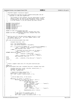Registered Version: Linux Support Power PC64 **stab.c** Exhibit 8.1−26 pg 1/4

```
/*
2 * PowerPC64 Segment Translation Support.
\frac{3}{4}4 * Dave Engebretsen and Mike Corrigan {engebret|mikejc}@us.ibm.com
            Copyright (c) 2001 Dave Engebretsen
\epsilon7 * This program is free software; you can redistribute it and/or
8 * modify it under the terms of the GNU General Public License
9 * as published by the Free Software Foundation; either version<br>10 * 2 of the License, or (at your option) any later version.
10 * 2 of the License, or (at your option) any later version.<br>11 */\star /
\frac{12}{13}13 #include <linux/config.h><br>14 #include <asm/pqtable.h>
14 #include <asm/pgtable.h><br>15 #include <asm/mmu.h>
    15 #include <asm/mmu.h>
16 #include <asm/mmu_context.h>
17 #include <asm/paca.h><br>18 #include <asm/paca.h>
18 #include <asm/naca.h><br>19 #include <asm/pmc.h>
    #include <asm/pmc.h>
20
21 inline int make_ste(unsigned long stab, 
<sup>22</sup> unsigned long esid, unsigned long vsid);<br><sup>23</sup> inline void make slbe(unsigned long esid, unsigned long vsid
23 inline void make_slbe(unsigned long esid, unsigned long vsid,
                                  int large);
25
26<br>27
<sup>27</sup> * Build an entry for the base kernel segment and put it into<br><sup>28</sup> * the segment table or SLB. All other segment table or SLB
     * the segment table or SLB. All other segment table or SLB
29 * entries are faulted in.
30^{\circ}31 void stab_initialize(unsigned long stab) 32 \t{\{33 unsigned long esid, vsid; 
34
35 esid = GET_ESID(KERNELBASE);
36 vsid = get_kernel_vsid(esid << SID_SHIFT); 
37
38 if (!__is_processor(PV_POWER4) && !__is_processor(PV_POWER4p)) {
39 __asm__ __volatile__("isync; slbia; isync":::"memory");
40 make_ste(stab, esid, vsid);
41  else {<br>
\prime /* Invalidate the entire SLB & all the ERATS */
42 /* Invalidate the entire SLB & all the ERATS */
43 __asm__ __volatile__("isync" : : : "memory");
44 #ifndef CONFIG_PPC_ISERIES
45 __asm__ __volatile__("slbmte %0,%0"
46 : : "r" (0) : "memory");
47 __asm__ __volatile__("isync; slbia; isync":::"memory");
\overline{\text{make\_sibe}}(\text{esid}, \text{vsid}, 0);<br>49 #else
49 #else
                          __asm__ __volatile_("isync; slbia; isync":::"memory");
51 #endif
\begin{array}{c} 52 \\ 53 \end{array}\overline{\ }54
5556 * Create a segment table entry for the given esid/vsid pair.
57 */
58 inline int
    59 make_ste(unsigned long stab, unsigned long esid, unsigned long vsid)
60 {
61 unsigned long entry, group, old_esid, castout_entry, i;
62 unsigned int global_entry;
63 STE *ste, *castout_ste;
64
65 /* Search the primary group first. */
66 global_entry = (esid & 0x1f) << 3;
67 ste = (STE *)(stab | ((esid & 0x1f) << 7)); 
68
69 /*
70 * Find an empty entry, if one exists.
71 */
72 for(group = 0; group < 2; group++) {<br>73 for(entry = 0; entry < 8; en
73 for(entry = 0; entry < 8; entry++, ste++) {
74 if(!(ste−>dw0.dw0.v)) {
75 ste−>dw1.dw1.vsid = vsid;
76 /* Order VSID updte */
77 __asm__ __volatile__ ("eieio" : : : "memory");
78 ste−>dw0.dw0.esid = esid;
79 ste−>dw0.dw0.v = 1;
...<br>80 ste−>dw0.dw0.kp = 1;<br>81 ster update /* Order update
81 am the set of the set of the set of the set of the set of the set of the set of the set of the set of the set of the set of the set of the set of the set of the set of the set of the set of the set of the set of the set
                                                82 __asm__ __volatile__ ("sync" : : : "memory"); 
83
84 return(global_entry | entry);<br>85
8586 }
86<br>87 /* Now search the secondary group. *<br>910bal_entry = ((~esid) & 0x1f) << 3
88 global_entry = ((~esid) & 0x1f) << 3;
89 ste = (STE *)(stab | (((~esid) & 0x1f) << 7)); 
90 }
```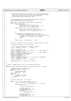```
91
 92 /*
 % * Could not find empty entry, pick one with a round robin selection.<br>* Search all entries in the two groups. Note that the first time<br>* we get here, we start with entry 1 so the initializer<br>* can be common with the SLB c
 97 *98
99 \frac{\pi}{100} /* This assumes we never castout when initializing the stab. */
               PMC_SW_PROCESSOR(stab_capacity_castouts);
101
102 castout_entry = get_paca()−>xStab_data.next_round_robin;
103 for(i = 0; i < 16; i++) {
104 if(castout_entry < 8) {<br>\text{105}105 global_entry = (esid & 0x1f) << 3;
106 ste = (STE *)(stab | ((esid & 0x1f) << 7)); 
107 castout_ste = ste + castout_entry;
108 else {<br>109
109 (109 content of the state of the state of the state of the state of the state of the state of the state of the state of the state of the state of the state of the state of the state of the state of the state of the sta
110 ste = (STE *)(stab | (((~esid) & 0x1f) << 7)); 
111 castout_ste = ste + (castout_entry − 8);
\{112 \}113
114 if((((castout_ste->dw0.dw0.esid) >> 32) == 0) ||<br>115 (((castout_ste->dw0.dw0.esid) & 0xfffffffff) > 0)) {<br>116 /* Found an entry to castout. It is either a user */<br>117 /* region, or a secondary kernel segment. */
118 break;
\left\{\right. \right\}120121 castout_entry = \{ \text{castout\_entry} + 1 \} & 0 \text{xf} i122 }
123<br>124124 get_paca()−>xStab_data.next_round_robin = (castout_entry + 1) & 0xf;
125
126 \frac{1}{x} Modify the old entry to the new value. \frac{x}{y}127
128 /* Force previous translations to complete. DRENG */
               \text{max} __volatile ("isync" : : : "memory" );
130
131 castout_ste−>dw0.dw0.v = 0;<br>
132 asm volatile ("sync"
132 __asm__ __volatile__ ("sync" : : : "memory" ); /* Order update */
133 castout_ste−>dw1.dw1.vsid = vsid;
134 __asm__ __volatile__ ("eieio" : : : "memory" ); /* Order update */
135 old_esid = castout_ste−>dw0.dw0.esid;
136 castout_ste−>dw0.dw0.esid = esid;
137 castout_ste−>dw0.dw0.v = 1;
138 castout_ste−>dw0.dw0.kp = 1;
139 __asm__ __volatile__ ("slbie %0" : : "r" (old_esid << SID_SHIFT)); 
140 /* Ensure completion of slbie */
141 __asm__ __volatile__ ("sync" : : : "memory" ); 
142<br>143
               143 return(global_entry | (castout_entry & 0x7));
144 }
145
146<br>147
      * Create a segment buffer entry for the given esid/vsid pair.
148<br>149
149 inline void make_slbe(unsigned long esid, unsigned long vsid, int large)
    \{151 unsigned long entry, castout_entry;
152 slb_dword0 castout_esid_data;<br>153 union {
153 union {
                          unsigned long word0;
155 slb_dword0 data;
\begin{array}{c} \text{156} \\ \text{156} \\ \text{157} \end{array} besid_data;
157 union \overline{\left\{158\right\}}158 unsigned long word0;<br>159 unsigned long word1 data;
159 slb_dword1<br>160 sid data;
               } vsid_data;
161
162<br>163
                * Find an empty entry, if one exists.
164
165 for(entry = 0; entry < naca->slb_size; entry++) {<br>166 ____________________volatile_("slbmfee %0,%1"
167 \overline{H} \overline{H} \overline{H} \overline{H} : "=r" (esid_data) : "r" (entry));
168 if(!esid_data.data.v) {
169 \overline{)}\frac{170}{171} * Write the new SLB entry.
171 \star /
172 vsid_data.word0 = 0;<br>173 vsid_data.data.vsid
173 173 174<br>174 174 175 176 176 176 176 176 176 176 176 176 176 176 176 176 176 176 176 176 176 176 176 176 176 176 176 176 176 176 176 176 176 176174 vsid_data.data.kp = 1;<br>
if (\text{large})if (large)
176 vsid data.data.l = 1;
177
178 esid_data.word0 = 0;<br>179 esid data.data.esid
                                      esid data.data.esid = esid;
180 esid data.data.v = 1;
Registered Version: Linux Support Power PC64 stab.c Exhibit 8.1−26 pg 2/4
```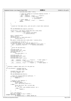```
181 esid_data.data.index = entry;
182
183 \frac{1}{4} slbie not needed as no previous mapping existed. */<br>184 \frac{1}{4} Order update */
184 /* Order update */
185 __asm__ __volatile__ ("isync" : : : "memory");
186 __asm__ __volatile__ ("slbmte %0,%1" 
\frac{187}{188} : \frac{187}{188} : \frac{187}{188} : \frac{187}{188} : \frac{187}{188} (esid data),
188 r_r" (esid_data));<br>
189 \frac{r}{r} /* Order update */
189 190 /* Order update */<br>190 190 190 1910 1910 1920 1931 1942
190 __asm__ __volatile__ ("isync" : : : "memory");
                        191 return;
\left\{\n \begin{array}{ccc}\n 192 & & \\
 \end{array}\n \right\}\begin{array}{c} \n \stackrel{\cdot}{\cdot} \n \stackrel{\cdot}{\cdot} \n \stackrel{\cdot}{\cdot} \n \end{array}194
195 /*
196 * Could not find empty entry, pick one with a round robin selection.
197
198
              PMC_SW_PROCESSOR(stab_capacity_castouts);
200
201 castout_entry = get_paca()−>xStab_data.next_round_robin;
202 __asm__ __volatile__("slbmfee %0,%1" 
203 : "=r" (castout_esid_data) 
204 : "r" (castout_entry));
205
206 entry = castout_entry; 
207 castout_entry++; 
208 if(castout_entry >= naca−>slb_size) {
209 castout_entry = 1;
210 \Big\}211 get_paca()−>xStab_data.next_round_robin = castout_entry;
212
213 /* Invalidate the old entry. */
214 castout_esid_data.v = 0; /* Set the class to 0 */
215 /* slbie not needed as the previous mapping is still valid. */
216 __asm__ __volatile__("slbie %0" : : "r" (castout_esid_data)); 
217
218 \overline{) \atop 219} \overline{) \atop \ast}219 * Write the new SLB entry.<br>220 */
               \star /
221 vsid_data.word0 = 0;<br>222 vsid data.data.vsid :
222 vsid_data.data.vsid = vsid;<br>222 vsid_data.data.vsid = vsid;<br>223 vsid_data.data.kp = 1;
223 vsid_data.data.kp = 1;<br>224 if (large)
224 if (large)<br>225 VS
                        v\text{sid\_data.data.l} = 1;
226
<sup>227</sup> esid_data.word0 = 0;<br>228 esid data.data.esid
228 esid_data.data.esid = esid;<br>229 esid_data.data.v = 1;
229 esid_data.data.v = 1;<br>
230 esid_data_data_index;
              esid data.data.index = entry;
231
232 __asm__ __volatile__ ("isync" : : : "memory"); /* Order update */
233 __asm__ __volatile__ ("slbmte %0,%1" 
234 : : "r" (vsid_data), "r" (esid_data)); 
235 __asm__ __volatile__ ("isync" : : : "memory" ); /* Order update */
236 }
237
238<br>239
     \overleftrightarrow{a} + Allocate a segment table entry for the given ea.
240241 int ste_allocate ( unsigned long ea, 
<sup>242</sup> unsigned long trap)
243 {<br>244
              unsigned long vsid, esid;
245 int kernel_segment = 0;
246
247 PMC_SW_PROCESSOR(stab_faults); 
248
249 /* Check for invalid effective addresses. */
250 if (!IS_VALID_EA(ea)) {
\frac{1}{252} return 1;
252 }
253
254 /* Kernel or user address? */
255 if (REGION_ID(ea)) {
256 kernel_segment = 1;
257 vsid = get\_kernel\_vsid( ea );<br>258 \} else {
258 } else {
                        259 struct mm_struct *mm = current−>mm;
260 if ( mm ) {
                                  261 vsid = get_vsid(mm−>context, ea );
262 } else {
263 return 1;<br>264 }
264 }
265 }
266
267 esid = GET_ESID(ea);<br>268 if (trap == 0x380 ||
268 if (trap =\left[0 \times 380 \right] | trap =\left[0 \times 480\right] {<br>269 #ifndef CONFIG PPC ISERIES
    269 #ifndef CONFIG_PPC_ISERIES
<sup>270</sup> if (REGION_ID(ea) == KERNEL_REGION_ID)
Registered Version: Linux Support Power PC64 stab.c Exhibit 8.1−26 pg 3/4
```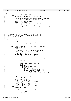```
271 make_slbe(esid, vsid, 1); 
272 else
273 #endif
274 make_slbe(esid, vsid, 0);<br>275 else {
275 } else {
                      unsigned char top_entry, stab_entry, *segments;
277
278 stab_entry = make_ste(get_paca()->xStab_data.virt, esid, vsid);<br>279 PMC SW PROCESSOR A(stab entry use, stab entry & 0xf);
                     PMC_SW_PROCESSOR_A(stab_entry_use, stab_entry & 0xf);
280
281 segments = get_paca()−>xSegments;
282 top_entry = segments[0];
283 if(!kernel_segment && top_entry < (STAB_CACHE_SIZE − 1)) {
284 top_entry++;<br>285 second second second second second second second second second second second second second second second second second second second second second second second second second second second second secon
285 segments[top_entry] = stab_entry;
286 if(top_entry == STAB_CACHE_SIZE − 1) top_entry = 0xff;
287 segments[0] = top_entry;
288 \Big\}289 }
290
291 return(0); 
292 }
293
294 / ** Flush all entries from the segment table of the current processor.
296 * Kernel and Bolted entries are not removed as we cannot tolerate 
297 * faults on those addresses.
298
299
300 #define STAB_PRESSURE 0
301<br>302
   void flush_stab(void)
303 {<br>304304 STE *stab = (STE *) get_paca()−>xStab_data.virt;<br>305 309 unsigned char *segments = get paca()−>xSegments;
305 unsigned char *segments = get_paca()−>xSegments;
306 unsigned long flags, i;
307
308 if (!__is_processor(PV_POWER4) && !__is_processor(PV_POWER4p)) {
309 unsigned long entry;<br>310 STE *ste;
                     STE *ste;
311
312 /* Force previous translations to complete. DRENG */
313 __asm__ __volatile__ ("isync" : : : "memory");
314
315 __save_and_cli(flags);
316 if(segments[0] != 0xff && !STAB_PRESSURE) {
317 for(i = 1; i <= segments[0]; i++) {
318 \text{ste} = \text{stab} + \text{segments}[i];<br>319 \text{ste} - \text{dw}0.\text{dw}0.\text{y} = 0;319 \text{Ste} > dw0.dw0.v = 0;<br>\text{DM}^{\text{C}} SW \text{PROCRSSOR}(s)PMC_SW_PROCESSOR(stab_invalidations);
321 }
322 } else {
323 /* Invalidate all entries. */
                              ste = stabi325
326 /* Never flush the first entry. */<br>327 ste += 1;
                               ste += 1;\frac{328}{329} for(entry = 1;<br>\frac{1}{2} entry < (F)
329 entry < (PAGE_SIZE / sizeof(STE)); 
330 entry++, ste++) {
331 unsigned long ea;
332 ea = ste−>dw0.dw0.esid << SID_SHIFT;
333 if (STAB_PRESSURE || (!REGION_ID(ea))) {
334 ste−>dw0.dw0.v = 0;
335 PMC_SW_PROCESSOR(stab_invalidations);<br>336
336 }
337 }
338 }
339
340 *((unsigned long *)segments) = 0;
341 __restore_flags(flags);
342
343 /* Invalidate the SLB. */<br>344 /* Force invals to comple
                      \frac{1}{4} Force invals to complete. */
345 __asm__ __volatile__ ("sync" : : : "memory"); 
346 /* Flush the SLB. */
347 __asm__ __volatile__ ("slbia" : : : "memory"); 
348 /* Force flush to complete. */
349 __asm__ __volatile__ ("sync" : : : "memory"); 
350 } else {
                      unsigned long flags;
352
                     PMC_SW_PROCESSOR(stab_invalidations);
354
355 __save_and_cli(flags);
356 __asm__ __volatile__("isync; slbia; isync":::"memory");
357 __restore_flags(flags);
\begin{array}{c} 358 \\ 359 \end{array}359 }
Registered Version: Linux Support Power PC64 stab.c Exhibit 8.1−26 pg 4/4
```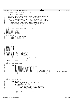Registered Version: Linux Support Power PC64 **udbg.c** Exhibit 8.1−27 pg 1/3

```
/*
2 * NS16550 Serial Port (uart) debugging stuff.
\frac{3}{4}4 * c 2001 PPC 64 Team, IBM Corp
\frac{5}{6}NOTE: I am trying to make this code avoid any static data references to
7 * simplify debugging early boot. We'll see how that goes...
 8 *
9 * To use this call udbg_init() first. It will init the uart to 9600 8N1.
10 * You may need to update the COM1 define if your uart is at a different addr.
11 *
12 * This program is free software; you can redistribute it and/or
13 * modify it under the terms of the GNU General Public License
<sup>14</sup> * as published by the Free Software Foundation; either version<br><sup>15</sup> * <sup>2</sup> of the License or (at your option) any later version
                 2 of the License, or (at your option) any later version.
\frac{16}{16} */
17
18 #include <stdarg.h>
     19 #define WANT_PPCDBG_TAB /* Only defined here */
20 #include <asm/ppcdebug.h>
21 #include <asm/processor.h>
22 #include <asm/naca.h>
23 #include <asm/uaccess.h>
24 #include <asm/machdep.h>
25
26 struct NS16550 {
27 /* this struct must be packed */
28 unsigned char rbr; /* 0 */
29 unsigned char ier; /* 1 */
30 unsigned char fcr; /* 2 */
31 unsigned char lcr; /* 3 */<br>32 unsigned char mcr; /* 4 */
                 unsigned char mcr; /* 4 \times/<br>unsigned char lsr; /* 5 \times/<br>unsigned char msr; /* 6 \times/
33 unsigned char lsr;<br>34 11 unsigned char msr;
34 unsigned char msr; /* 6 */
\frac{35}{36} unsigned char scr; \frac{3}{7} */<br>\frac{3}{7}36 };
37
<sup>38</sup> #define thr rbr<br>39 #define iir fcr
39 #define iir fcr
     40 #define dll rbr
41 #define dlm ier
     42 #define dlab lcr
43
44 #define LSR_DR 0x01 /* Data ready */
45 #define LSR_OE 0x02 /* Overrun */
46 #define LSR_PE 0x04 /* Parity error */
47 #define LSR_FE 0x08 /* Framing error */<br>48 #define LSR BI 0x10 /* Break */
48 #define LSR_BI 0x10<br>49 #define LSR_THRE 0x20
                                         49 Framing error<br>
\frac{1}{7} Break */<br>
\frac{1}{7} Xmit holding register empty */<br>
\frac{1}{7} Xmitter empty */<br>
\frac{1}{7} Error */
50 #define LSR_TEMT 0x40 /* Xmitter empty */
51 #define LSR_ERR 0x80 /* Error */
52
    volatile struct NS16550 *udbg_comport;
54
55 void
56 udbg_init_uart(void *comport)
57 {
58 if (comport) {
59 udbg\_compact = (struct NS16550 * )comport;<br>60 udbg\_compact->lcr = 0x00; eieio();
60 udbg_comport−>lcr = 0x00; eieio();
61 udbg_comport−>ier = 0xFF; eieio();
62 udbg_comport−>ier = 0x00; eieio();
63 udbg_comport->lcr = 0x80; eieio();<br>
64 udbg_comport->dll = 12; eieio();
% udbg_comport->dll = 12; eieio(); /* 1 = 115200, 2 = 57600, 3 = 38400, 12 = 9600 baud */<br>% udbg_comport->dlm = 0; eieio(); /* dll >> 8 which should be zero for fast rates; */<br>% udbg_comport->lcr = 0x03; eieio(); /* 8 data
67 udbg_comport−>mcr = 0x03; eieio(); /* RTS/DTR */<br>
udbg_comport−>fcr = 0x07; eieio(); /* Clear & enable FIFOs */
68 udbg_comport->fcr = 0x07; eieio();
\begin{matrix} 69 \\ 70 \end{matrix} }
    \rightarrow71
72 void<br>73 udbg
     udbg_putc(unsigned char c)
74 {
75 if ( udbg_comport ) {
76 while ((udbg_comport−>lsr & LSR_THRE) == 0)
\frac{77}{77}<br>
\frac{77}{78} \frac{1}{20} \frac{1}{20} \frac{7}{20} \frac{1}{20} \frac{1}{20} \frac{1}{20} \frac{1}{20} \frac{1}{20} \frac{1}{20} \frac{1}{20} \frac{1}{20} \frac{1}{20} \frac{1}{20} \frac{1}{20} \frac{1}{20} \frac{1}{20} \frac{1}{20} \frac{1}{20}78 udbg_comport->thr = c; eieio();<br>79 if (c == 'n')}
                              if \overline{(c)} = \overline{(n')}\begin{cases} (1)^x & \text{if } x \neq 0 \end{cases}80 /* Also put a CR. This is for convenience. */
81 while ((udbg_comport−>lsr & LSR_THRE) == 0)
82 /* wait for idle */;<br>83 udbg_comport->thr = '\r'; eieio();
84 }
85 } else if (systemcfg−>platform == PLATFORM_ISERIES_LPAR) {
86 /* ToDo: switch this via ppc_md */
87 printk("%c", c);
88 }
89 }
```
90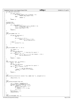```
91 int udbg_getc_poll(void)
\begin{matrix} 92 \\ 93 \end{matrix}93 if (udbg_comport) {<br>94 if ((udbg_c
94 if ((udbg_comport->lsr & LSR_DR) != 0)<br>95 if ((udbg_comport->lsr & LSR_DR) != 0)
95 return udbg_comport−>rbr;
                           96 else
97 return −1;
 98 }
99 return −1;<br>100 }
100 }
101
102 unsigned char<br>103 udbg_getc(voi
103 udbg_getc(void)<br>104 {
104 \{<br>105\textbf{if} \text{ (} udbg_comport \text{)} \text{ } \{106 while ((udbg_comport->lsr & LSR_DR) == 0)<br>
107 /* wait for char */;
108 return udbg_comport−>rbr;
109 }
               return 0;\frac{11}{111}}
112
113 void<br>114 udbg
    udbg_puts(const char *s)<br>{
115 {
116 if (ppc_md.udbg_putc) {
\frac{117}{\text{char of }117}118
119 if (s & \s \text{ \s \s \text{ \s \text{ \s \text{ \s \text{ \s \text{ \s \text{ \s \text{ \s \text{ \s \text{ \s \s \text{ \s \text{ \s \text{ \s \text{ \s \text{ \s \text{ \s \text{ \s \s \text{ \s \text{ \s \text{
121 ppc_md.udbg_putc(c); \text{ppc\_md.udbg\_putc(c)};
\left\{\n \begin{array}{ccc}\n 1 & 2 & 3 \\
 2 & 3 & 4\n \end{array}\n \right\}123 } else {
                \begin{array}{c} \text{printk}("\%s", s); \\ \} \end{array}125<br>126126 }
127
128 int
    129 udbg_write(const char *s, int n)
130 \begin{matrix} 1 \end{matrix}131 int \t{131} = n;<br>
132 char \t{c};
               char c;
133 if (!ppc_md.udbg_putc)<br>134 for (i);
for (;;); /* stop here for cpuctl */<br>
135 if ( s && *s != '\0' ) {<br>
while ( (( c = *s++ ) != '\0') && (remain-- > 0)) {
137 ppc_md.udbg_putc(c);<br>
138 }
\left\{\right.} 138
139 }
               140 return n − remain;
141 }
142
143 int<br>144 udb
144 udbg_read(char *buf, int buflen) {
145 char c, *p = buf;
146 int i;
147 if (!ppc_md.udbg_putc)
148 for (;i); f * stop here for cpuctl */<br>
149 for (i = 0; i < buflen; ++i) {
150 do {
151 c = ppc_md.udbg_getc();<br>
152 } while (c == 0x11 || c == 0x13);<br>
*_{p++} = c;
154 }
155 return i;
   }
157
158 void<br>159 udbg
159 udbg_console_write(struct console *con, const char *s, unsigned int n)
    \{161 udbg\_write(s, n);<br>162 }
    \{163
164 void
165 udbg_puthex(unsigned long val)
166 {
167 int i, nibbles = sizeof(val)*2;<br>168 unsigned char buf[sizeof(val)*2
168 unsigned char buf[sizeof(val)*2+1];<br>
for (i = nibbles−1; i >= 0; i-−) {<br>
170 buf[i] = (val & 0xf) + '0';<br>
if (buf[i] > '9')
172 buf[i] += ('a' - '0' -10);<br>
173 val >>= 4;
                          val \gg= 4;
174<br>175put[nibbles] = 'W'i176 udbg\_puts(buf);177 }
178
179 void
180 udbg_printSP(const char *s)
Registered Version: Linux Support Power PC64 udbg.c Exhibit 8.1−27 pg 2/3
```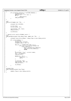```
\begin{matrix}\n181 & \{ \\
182 & \{ \end{matrix}182 if (systemcfg−>platform == PLATFORM_PSERIES) {
183 unsigned long sp;
184 asm("mr %0,1" : "=r" (sp) :);
asm(\frac{m}{m})<br>
if (s)<br>
if (s)
                                   udbg puts(s);\frac{187}{188} udbg_puthex(sp);
\begin{matrix} 188 \\ 189 \end{matrix}189 }
190
191 void
192 udbg_printf(const char *fmt, ...)
193 {
              unsigned char buf[256];
195
196 va_list args;<br>197 va start(args)
              va_iibc args;<br>va_start(args, fmt);
198
199 vsprintf(buf, fmt, args);<br>200 udbg puts(buf);
              udbg_puts(buf);
201
202 va_end(args);
   \{204
205 /* Special print used by PPCDBG() macro */
206 void
207 udbg_ppcdbg(unsigned long debug_flags, const char *fmt, ...)
\begin{matrix} 208 \\ 209 \end{matrix}209 unsigned long active_debugs = debug_flags & naca−>debug_switch;
210
211 if ( active_debugs ) {<br>212 va_list ap;
213 unsigned char buf[256];
214 unsigned long i, len = 0;
215
216 for(i=0; i < PPCDBG_NUM_FLAGS ;i++) {
217 if (((1U << i) & active_debugs) && 
218 trace_names[i]) {
219 1en += strlen(trace_names[i]);<br>220 1en += strlen(trace_names[i]);
                                             udbg_puts(trace_names[i]);
221 break;
222 \Big\}223 \Big\}224 sprintf(buf, "[%s]: ", current->comm);<br>225 1en += strlen(buf);
225 len += strlen(buf); 
226 udbg_puts(buf);
227
228 while(len < 18) {
\begin{array}{ccc}\n & \text{max} & \text{max} & \text{min} & \text{min} \\
 & \text{udog\_puts}(\text{'''})\text{;} \\
 & \text{length} & \text{min} & \text{min}\n\end{array}\lim_{x \to 0}231 }
232
%233 va_start(ap, fmt);<br>
234 vsprintf(buf, fmt, ap);<br>
235 udbg_puts(buf);
236
\begin{array}{cc} \text{237} \\ \text{238} \end{array} va_end(ap);
238<br>239
    \rightarrow240
241 unsigned long
242 udbg_ifdebug(unsigned long flags)<br>243 {
243<br>244244 return (flags & naca−>debug_switch);
245 }
Registered Version: Linux Support Power PC64 udbg.c Exhibit 8.1−27 pg 3/3
```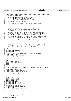Registered Version: Linux Support Power PC64 **viocd.c** Exhibit 8.1−28 pg 1/10

 $1 / * - * - 1$  inux-c  $- * -$ <sup>2</sup> \* drivers/cdrom/viocd.c \* \*\*\*\*\*\*\*\*\*\*\*\*\*\*\*\*\*\*\*\*\*\*\*\*\*\*\*\*\*\*\*\*\*\*\*\*\*\*\*\*\*\*\*\*\*\*\*\*\*\*\*\*\*\*\*\*\*\*\*\*\*\*\*\*\*\*\*\*\*\*\*\*\*\*\* \* iSeries Virtual CD Rom  $\epsilon$  \* Authors: Dave Boutcher <boutcher@us.ibm.com> 8 \* Ryan Arnold <ryanarn@us.ibm.com> Colin Devilbiss <devilbis@us.ibm.com> <br> $11$  \* (C) Copyright 2000 IBM Corporation  $\begin{array}{c} 12 \\ 13 \end{array}$  \* This program is free software; you can redistribute it and/or \* modify it under the terms of the GNU General Public License as <sup>15</sup> \* published by the Free Software Foundation; either version 2 of the \* License, or (at your option) anyu later version. <br>18 \* This program is distributed in the hope that it will be useful, but <sup>19</sup> \* WITHOUT ANY WARRANTY; without even the implied warranty of \* MERCHANTABILITY or FITNESS FOR A PARTICULAR PURPOSE. See the GNU <sup>21</sup> \* General Public License for more details.  $rac{22}{23}$  \* You should have received a copy of the GNU General Public License \* along with this program; if not, write to the Free Software Foundation, <sup>25</sup> \* Inc., 59 Temple Place, Suite 330, Boston, MA 02111−1307 USA <sup>26</sup> \*\*\*\*\*\*\*\*\*\*\*\*\*\*\*\*\*\*\*\*\*\*\*\*\*\*\*\*\*\*\*\*\*\*\*\*\*\*\*\*\*\*\*\*\*\*\*\*\*\*\*\*\*\*\*\*\*\*\*\*\*\*\*\*\*\*\*\*\*\*\*\*\*\*\* \* This routine provides access to CD ROM drives owned and managed by an \* OS/400 partition running on the same box as this Linux partition.  $rac{29}{30}$ \* All operations are performed by sending messages back and forth to  $\overline{\phantom{a}}$ <sup>31</sup>  $\overline{\phantom{a}}$  the OS/400 partition. \*  $rac{33}{34}$  $\frac{34}{34}$  \* This device driver can either use it's own major number, or it can<br>35 \* pretend to be an AZTECH drive. This is controlled with a \* pretend to be an AZTECH drive. This is controlled with a <sup>36</sup> \* CONFIG option. You can either call this an elegant solution to the <sup>37</sup> \* fact that a lot of software doesn't recognize a new CD major number... \* or you can call this a really ugly hack. Your choice. \*  $40^{1}$  **#include** <linux/major.h> **#include** <linux/config.h> /\* Decide on the proper naming convention to use for our device \*/ <sup>46</sup> **#ifdef** CONFIG\_DEVFS\_FS <sup>47</sup> **#define** VIOCD\_DEVICE "cdroms/cdrom%d" 48 **#define** VIOCD\_DEVICE\_OFFSET 0<br>49 **#else #else #ifdef** CONFIG\_VIOCD\_AZTECH <sup>51</sup> **#define** VIOCD\_DEVICE "aztcd" **#define** VIOCD\_DEVICE\_OFFSET 0 **#else #define** VIOCD\_DEVICE "iseries/vcd%c" **#define** VIOCD\_DEVICE\_OFFSET 'a' **#endif #endif** /\*\*\*\*\*\*\*\*\*\*\*\*\*\*\*\*\*\*\*\*\*\*\*\*\*\*\*\*\*\*\*\*\*\*\*\*\*\*\*\*\*\*\*\*\*\*\*\*\*\*\*\*\*\*\*\*\*\*\*\*\*\*\*\*\*\*\*\*\*\*\*\*\*\*\* \* Decide if we are using our own major or pretending to be an AZTECH drive <sup>61</sup> \*\*\*\*\*\*\*\*\*\*\*\*\*\*\*\*\*\*\*\*\*\*\*\*\*\*\*\*\*\*\*\*\*\*\*\*\*\*\*\*\*\*\*\*\*\*\*\*\*\*\*\*\*\*\*\*\*\*\*\*\*\*\*\*\*\*\*\*\*\*\*\*\*\*\*/ **#ifdef** CONFIG\_VIOCD\_AZTECH **#define** MAJOR\_NR AZTECH\_CDROM\_MAJOR **#define** do\_viocd\_request do\_aztcd\_request **#else** <sup>66</sup> #define MAJOR\_NR VIOCD\_MAJOR<br><sup>67</sup> #endif **#endif #define** VIOCD\_VERS "1.04" 71 **#include** <linux/blk.h><br>72 **#include** <linux/cdrom. 72 **#include** <linux/cdrom.h><br>73 **#include** <linux/errno.h> **#include** <linux/errno.h> 74 **#include** <linux/init.h><br>75 **#include** <linux/pci.h> <sup>75</sup> **#include** <linux/pci.h> **#include** <linux/proc\_fs.h> **#include** <linux/module.h> **#include** <asm/iSeries/HvTypes.h> <sup>80</sup> **#include** <asm/iSeries/HvLpEvent.h> **#include** "vio.h" **#include** <asm/iSeries/iSeries\_proc.h> **extern** struct pci\_dev \* iSeries\_vio\_dev; **#define** signalLpEventFast HvCallEvent\_signalLpEventFast 88 struct viocdlpevent {<br>89 struct HyLpEv struct HvLpEvent event;  $90 \qquad 1132 \qquad m$ Reserved1;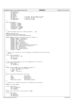<sup>91</sup> u16 mVersion; <sup>92</sup> u16 mSubTypeRc; 93 u16 mDisk;<br>94 u16 mFlags 94 u16 mFlags;<br>95 u32 mToken; 95 u32 mToken;<br>96 u64 mOffset; use missions:<br>u64 mOffset; // On open, the max number of disks<br>u64 mLen; // On open, the size of the disk <sup>97</sup> u64 mLen; // On open, the size of the disk <sup>98</sup> u32 mBlockSize; // Only set on open 99 u32 mMediaSize; // Only set on open <sup>100</sup> }; 101 <sup>102</sup> enum viocdsubtype { <sup>103</sup> viocdopen = 0x0001,  $104$  viocdclose =  $0 \times 0002$ ,<br> $105$  viocdread =  $0 \times 0003$ .  $viocdread = 0x0003$ . <sup>106</sup> viocdwrite = 0x0004, 107 viocalockdoor = 0x0005,<br>108 viocdqetinfo = 0x0006,  $108$  viocdgetinfo = 0x0006,<br>  $109$  viocdcheck = 0x0007  $viocdeheck = 0x0007$ <sup>110</sup> }; 111 112 /\* Should probably make this a module parameter....sigh 113<br>114 <sup>114</sup> **#define** VIOCD\_MAX\_CD 8 int viocd\_blocksizes[VIOCD\_MAX\_CD]; <sup>116</sup> **static** u64 viocd\_size\_in\_bytes[VIOCD\_MAX\_CD]; 117 <sup>118</sup> **static const** struct vio\_error\_entry viocd\_err\_table[] = { <sup>119</sup> {0x0201, EINVAL, "Invalid Range"}, <sup>120</sup> {0x0202, EINVAL, "Invalid Token"}, <sup>121</sup> {0x0203, EIO, "DMA Error"}, <sup>122</sup> {0x0204, EIO, "Use Error"}, 123 {0x0205, EIO, "Release Error"},<br>
124 {0x0206, EINVAL, "Invalid CD"},<br>
125 {0x020C, EROFS, "Read Only Device"},<br>
{0x020D, EIO, "Changed or Missing Volume (or Varied Off?)"}, 127 {0x020E, EIO, "Optical System Error (Varied Off?)" },<br>
128 {0x02FF, EIO, "Internal Error" }, <sup>129</sup> {0x3010, EIO, "Changed Volume"}, <sup>130</sup> {0xC100, EIO, "Optical System Error"}, 131  $\{0 \times 0000, 0, \text{NULL}\},$ <sup>132</sup> }; 133 134 /\* This is the structure we use to exchange info between driver and interrupt  $*$  handler \* handler  $136$  \*/<br>137 Str  $s$ *truct* viocd\_waitevent { 138  $struct$  semaphore  $*sem$ ;<br>139  $int$  rc; 139 int rc;<br>140 116 sub 140 u16 subtypeRc;<br>
141 int changed; <sup>142</sup> }; 143 <sup>144</sup> /\* this is a lookup table for the true capabilities of a device \*/ <sup>145</sup> struct capability\_entry {  $146$  char \*type;<br> $147$  int capabil int capability; <sup>148</sup> }; 149 150 **static** struct capability\_entry capability\_table[] = {<br>
151 { "6330", CDC\_LOCK | CDC\_DVD\_RAM },<br>
152 { "6321", CDC\_LOCK },<br>
153 { "632B", 0 },<br> **NULL** , CDC\_LOCK }, 155 }  $\big\}$  ; 156 <sup>157</sup> struct block\_device\_operations viocd\_fops =  $\begin{matrix} 158 \\ 159 \end{matrix}$ 159 Owner: THIS\_MODULE,<br>160 Open: Cdrom open, open: cdrom\_open,<br>
160 release: cdrom\_relea 161 release: cdrom\_release,<br>162 ioctl: cdrom\_ioctl, ioctl: cdrom\_ioctl,<br>check\_media\_change: cdrom\_media\_ <sup>163</sup> check\_media\_change: cdrom\_media\_changed, <sup>164</sup> }; 165 166 /\* These are our internal structures for keeping track of devices 167<br>168 static int viocd\_numdev; 169 <sup>170</sup> struct cdrom\_info { <sup>171</sup> char rsrcname[10]; 172 char type[4];<br>173 char model[3] 173 char model[3];<br>174 };  $174$  } *i*<br> $175$  **st** <sup>175</sup> **static** struct cdrom\_info \*viocd\_unitinfo = **NULL**; 176  $177$  struct disk\_info{<br> $178$  u32 useCo  $178$  u32 useCount;<br> $179$  u32 blocksize u32 blocksize;  $180$   $1132$  mediasize; Registered Version: Linux Support Power PC64 **viocd.c** Exhibit 8.1−28 pg 2/10

./PPC64/linux/drivers/iseries/viocd.c Page 120/239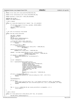```
181 };
182 static struct disk info viocd diskinfo[VIOCD MAX CD];
183
184 static struct cdrom_device_info viocd_info[VIOCD_MAX_CD];
185
186 static spinlock t viocd lock = SPIN LOCK UNLOCKED;
187
188 #define MAX_CD_REQ 1
   static LIST_HEAD(reqlist);
190
191 /* End a request
192<br>193
193 static int viocd_end_request(struct request *req, int uptodate)
194 \{<br>195if (end_that_request_first(req, uptodate, DEVICE_NAME))
196 return 0;
197 end_that_request_last(req);
198 return 1;
199 }
200
201
202 / * Get info on CD devices from OS/400203<br>204static void get_viocd_info(void)
205 {
206 dma_addr_t dmaaddr;<br>207 dwLpEvent Rc hyrc;
             HvLpEvent_Rc hvrc;
208 int \div i209 DECLARE_MUTEX_LOCKED(Semaphore);<br>210 struct viocd waitevent we;
             struct viocd waitevent we;
211
212 // If we don't have a host, bail out
<sup>213</sup> if (viopath_hostLp == HvLpIndexInvalid)<br>
1214 return:
                      return;
215
216 if (viocd unitinfo == N(II,L))
<sup>217</sup> viocd_unitinfo =<br><sup>218</sup> kmalloc(size
<sup>218</sup> kmalloc(sizeof(struct cdrom_info) * VIOCD_MAX_CD,<br><sup>219</sup> GFP_KERNEL);
                                    GFP_KERNEL);
220
<sup>221</sup> memset(viocd_unitinfo, 0x00,<br>222 sizeof(struct cdrom i
                     222 sizeof(struct cdrom_info) * VIOCD_MAX_CD);
223
224 dmaaddr = pci_map_single(iSeries_vio_dev, viocd_unitinfo,<br>225 sizeof(struct cdrom info) * VIOO
225 sizeof(struct cdrom_info) * VIOCD_MAX_CD,
226 PCI_DMA_FROMDEVICE);
227 if (dmaaddr == 0xFFFFFFFF) {<br>228 printk(KERN WARNING
228 printk(KERN_WARNING_VIO "error allocating tce\n");<br>
\frac{1}{229}<sup>2</sup>/<sub>2</sub> return<sub>i</sub>
230 }
231
232 we.sem = &Semaphore;
233
234 hvrc = signalLpEventFast(viopath_hostLp<sub>235</sub> hvrc = signalLpEventFast(viopath_hostLp<sub>235</sub>
                                     235 HvLpEvent_Type_VirtualIo,
236 viomajorsubtype_cdio | viocdgetinfo,
                                     237 HvLpEvent_AckInd_DoAck,
238 HvLpEvent_AckType_ImmediateAck,<br>239 viopath sourceinst(viopath host
239 viopath_sourceinst(viopath_hostLp),<br>240 viopath_targetinst(viopath_hostLp),
240 viopath_targetinst(viopath_hostLp),
241 (u64) (unsigned long) &we,
<sup>242</sup><br>
<sup>242</sup><br>
243 DIOVERSION << 16,<br>
243 dmaaddr,
243 dmaaddr, 0.
244 0,
245 sizeof(struct cdrom_info) * VIOCD_MAX_CD,
246 0);
247 if (hvrc != HvLpEvent_Rc_Good) {
248 printk(KERN_WARNING_VIO "cdrom error sending event. rc %d\n", (int) hvrc);
249 return;
250 }
251
252 down(&Semaphore);
253
254 if (we.rc) {
255 const struct vio_error_entry *err = vio_lookup_rc(viocd_err_table, we.subtypeRc);
256 printk(KERN_WARNING_VIO "bad rc %d:0x%04X on getinfo: %s\n", we.rc, we.subtypeRc, err−>msg);
257 return;
258 }
259
260261 for (i = 0; (i < VIOCD_MAX_CD) && (viocd_unitinfo[i].rsrcname[0]); i++) {
262 viocd_numdev++;
\begin{matrix} 263 \\ 264 \end{matrix}264 }
265
266 /* Open a device
267 */
268 static int viocd_open(struct cdrom_device_info *cdi, int purpose)
269 {
270 DECLARE MUTEX LOCKED(Semaphore);
Registered Version: Linux Support Power PC64 viocd.c Exhibit 8.1−28 pg 3/10
```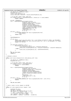```
271 int device_no = MINOR(cdi−>dev);
272 HvLpEvent_Rc hvrc;
273 struct viocd_waitevent we;<br>273 struct viocd_waitevent we;<br>274 struct disk_info *diskinfo
              struct disk_info *diskinfo = &viocd_diskinfo[device_no];
275
276 // If we don't have a host, bail out
277 if (viopath_hostLp == HvLpIndexInvalid || device_no >= viocd_numdev)
278 return −ENODEV;
279
280 we.sem = &Semaphore;<br>281 hyrc = signalLoEvent
281 hvrc = signalLpEventFast(viopath_hostLp,
282 HvLpEvent_Type_VirtualIo,
283 viomajorsubtype_cdio | viocdopen,
284 HvLpEvent_AckInd_DoAck,
                                        285 HvLpEvent_AckType_ImmediateAck,
286 viopath_sourceinst(viopath_hostLp),
287 viopath_targetinst(viopath_hostLp),
<sup>228</sup> (unsigned long) awe,<br>288 (unsigned long) awe,<br>289 (UDVERSION << 16,
<sup>289</sup> VIOVERSION << 16,<br>
((u64) device no
290 ((u64) device_no << 48),
291 0, 0, 0);
292 if (hvrc != 0) {
293 printk(KERN_WARNING_VIO "bad rc on signalLpEventFast %d\n",<br>
(1) torc of the constant of the constant of the constant of the constant of the constant of the constant of the constant of the constant of the constant of t
294 (int) hvrc);<br>
295 return -EIO;
              1 return −EIO;
296 }
297
298 down(&Semaphore);
299
300 if (we.rc) {
301 const struct vio_error_entry *err = vio_lookup_rc(viocd_err_table, we.subtypeRc);
302 printk(KERN_WARNING_VIO "bad rc %d:0x%04X on open: %s\n", we.rc, we.subtypeRc, err−>msg);
303 return −err−>errno;
304 }
305
306 if (diskinfo−>useCount == 0) {
307 if(diskinfo->blocksize > 0)<br>308 viocd blocksizes[de
308 viocd_blocksizes[device_no] = diskinfo−>blocksize;
309 viocd_size_in_bytes[device_no] = diskinfo−>blocksize * diskinfo−>mediasize;
                        310 } else {
311 viocd_size_in_bytes[device_no] = 0xFFFFFFFFFFFFFFFF;
312 }
313 }
314 MOD_INC_USE_COUNT;<br>315 return 0;
              315 return 0;
316 }
317
318 /* Release a device
319<br>320
    static void viocd_release(struct cdrom_device_info *cdi)
321 \frac{1}{2}322 int device_no = MINOR(cdi−>dev);<br>323 HVLpEvent Rc hvrc;
              HvLpEvent_Rc hvrc;
324
325 /* If we don't have a host, bail out */
326 if (viopath_hostLp == HvLpIndexInvalid<br>327 | device no >= viocd numdev)
                   || device_no >= viocd_numdev)
328 return;
329
330 hvrc = signalLpEventFast(viopath_hostLp,<br>331 HvLpEvent_Type_VirtualIo,<br>332 viocdclose,<br>333 HvLpEvent_AckInd_NoAck,
334 HvLpEvent_AckType_ImmediateAck,
335 viopath_sourceinst(viopath_hostLp),
336 viopath_targetinst(viopath_hostLp),
337 0,
338 VIOVERSION << 16, 339 VIOVERSION << 16, 339 VIOVERSION << 16, 339 VIOVERSION <
339 ((u64) device_no << 48),
340 0, 0, 0);
341 if (hvrc != 0) {
342 printk(KERN_WARNING_VIO "bad rc on signalLpEventFast %d\n", (int) hvrc);<br>343 protesting;
              343 return;
344 }
345
346 MOD_DEC_USE_COUNT;
347 }
348
349 /* Send a read or write request to 0S/400
350<br>351
   static int send_request(struct request *req)
352 \n{353}353 353 HvLpEvent_Rc hvrc;<br>354 354 dma addr t dmaaddr
354 dma_addr_t dmaaddr;<br>355 int device no = DEV
355 int device_no = DEVICE_NR(req−>rq_dev);
356 u64 start = req−>sector * 512,
357 len = req−>current_nr_sectors * 512;<br>358 char reading = req->cund == READ;
\begin{array}{rcl} 358 & \text{char reading} = \text{req} - \text{cond} = = \text{READ} \text{;} \\ 359 & \text{116 command} = \text{reading} \text{?} \text{viordrea} \end{array}u16 command = reading ? viocdread : viocdwrite;
360
Registered Version: Linux Support Power PC64 viocd.c Exhibit 8.1−28 pg 4/10
```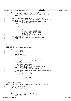```
361
<sup>362</sup> if(start + len > viocd size in bytes[device no]) {
363 printk(KERN_WARNING_VIO "viocd%d; access position %lx, past size %lx\n",<br>device_no, start + len, viocd_size_in_bytes[device_
364 device_no, start + len, viocd_size_in_bytes[device_no]);<br>365 return -1;
             f return −1;
366 }
367
368 dmaaddr = pci_map_single(iSeries_vio_dev, req−>buffer, len,
\frac{369}{370} if (dmaaddr == 0xFFFFFFFFF) {<br>370 if (dmaaddr == 0xFFFFFFFFF) {
370 if (dmaaddr == 0xFFFFFFFF) {
                      printk(KERN_WARNING_VIO "error allocating tce for address %p len %ld\n",
372<br>373 return -1;<br>373 return -1;
             return −1;<br>}
374 }
375
376 hvrc = signalLpEventFast(viopath_hostLp,
377 HvLpEvent_Type_VirtualIo,
378 viomajorsubtype_cdio | command,
379 HvLpEvent_AckInd_DoAck,<br>380 HvLpEvent_AckTvpe_Immed
380 HvLpEvent_AckType_ImmediateAck,<br>381 381 Microsoft Sourceinst (viopath host
                                     viopath_sourceinst(viopath_hostLp),
382 viopath_targetinst(viopath_hostLp),<br>383 (u64) (unsigned long) req->buffer,
383 (u64) (unsigned long) req−>buffer,
384<br>384 VIOVERSION << 16,<br>((1164) device no
                                     385 ((u64) device_no << 48) | dmaaddr,
386 start, len, 0);<br>387 if (hvrc != HvLpEvent_Rc_Good) {<br>388 printk(KERN_WARNING_VIO "hv error on op %d\n", (int) hvrc);
389 return −1;<br>390 }
390 }
391
392 return 0;
393 }
394
395
396 /* Do a request
397 */<br>398 sta
398 static int rwreq;<br>399 static void do_vi
    static void do_viocd_request(request_queue_t * q)
400401 for (i i) {<br>402 for (k i) }
402 struct request *req;<br>
403 dharer_str[80] = "
\begin{array}{ccc} \text{103} & \text{104} \\ \text{204} & \text{105} \\ \text{206} & \text{107} \\ \text{208} & \text{108} \end{array}int device_no;
405
\frac{406}{407} INIT_REQUEST;
407 if (rwreq >= MAX_CD_REQ) {<br>408 if (return)
408 return;
409 }
410
411 device no = CURRENT DEV;
412<br>413413 /* remove the current request from the queue */<br>
r = T \cdot \frac{1}{r} req = CURRENT;
<sup>414</sup> req = CURRENT;<br>hlkdev demieue
                      blkdev_dequeue_request(req);
416
417 /* check for any kind of error */
418 if (device_no > viocd_numdev)<br>419 if (device_no > viocd_numdev)
419 \text{sprint}(\text{err\_str}, \text{ "Invalid device number }\%d", \text{ device\_no});<br>
else if (send request (req) < 0)
420 else if (send_request(req) < 0)
421 strcpy(err_str, "unable to send message to OS/400!");
422
423 \frac{1}{4} /* if we had any sort of error, log it and cancel the request */
                      424 if (*err_str) {
425 printk(KERN_WARNING_VIO "%s\n", err_str);<br>printk(KERN_WARNING_VIO "%s\n", err_str);<br>viocd end request(req. 0);
426 viocd_end_request(req, 0);<br>427 and alse {<br>distribution } alse {
427 } else {
428 spin_lock(&viocd_lock);<br>11st add tail(&reg->gue
429 list_add_tail(&req−>queue, &reqlist);
                                ++rwreq;
431 spin_unlock(&viocd_lock);<br>432 }
432 }
\left.\begin{array}{ccc}433 & & & \cr 434 & & \end{array}\right\}434 }
435
^{436} /* Check if the CD changed
437<br>438
   438 static int viocd_media_changed(struct cdrom_device_info *cdi, int disc_nr)
439 {
440 struct viocd_waitevent we;
441 HvLpEvent_Rc hvrc;
442 int device_no = MINOR(cdi−>dev);
443
444 /* This semaphore is raised in the interrupt handler */
445 DECLARE_MUTEX_LOCKED(Semaphore);
446
\frac{447}{448} /* Check that we are dealing with a valid hosting partition */<br>448 if (viopath_hostLp == HvLpIndexInvalid) {
448 if (viopath_hostLp == HvLpIndexInvalid) {<br>printk(KERN WARNING VIO "Invalid hos
                      printk(KERN_WARNING_VIO "Invalid hosting partition\n");
450 return −EIO;
Registered Version: Linux Support Power PC64 viocd.c Exhibit 8.1−28 pg 5/10
```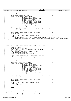```
451 }
452
453 we.sem = &Semaphore;
454
455 /* Send the open event to OS/400 */
456 hvrc = signalLpEventFast(viopath_hostLp,
457 HvLpEvent_Type_VirtualIo,
458 viomajorsubtype_cdio | viocdcheck,
459 HvLpEvent_AckInd_DoAck,<br>460 HvLpEvent AckType Immed
460 HvLpEvent_AckType_ImmediateAck,<br>wiopath sourceinst (viopath host
                                  461 viopath_sourceinst(viopath_hostLp),
462 viopath_targetinst(viopath_hostLp),<br>
(u64) (unsigned long) &we,
463<br>
463 (u64) (unsigned long) &we,<br>
464 VIOVERSION << 16,
VIOVERSION \leq 16,<br>(1164) device no
                                  ((u64) device_no << 48),
466 0, 0, 0);
467
468 if (hvrc != 0) {
469 printk(KERN_WARNING_VIO "bad rc on signalLpEventFast %d\n", (int) hvrc);<br>470 return -EIO;
470 return −EIO;
            \left\{ \right\}472
473 \frac{473}{474} /* Wait for the interrupt handler to get the response \frac{47}{474} down(&Semaphore);
            down(&Semaphore);
475
476 /* Check the return code. If bad, assume no change \star/
477 if (we.rc)
478 const struct vio_error_entry *err = vio_lookup_rc(viocd_err_table, we.subtypeRc);
479 printk(KERN_WARNING_VIO "bad rc %d:0x%04X on check_change: %s; Assuming no change\n", we.rc, we.subtypeRc, err
   −>msg);
480 return 0;<br>
481 <br>
\begin{bmatrix} 1 & 0 \\ 0 & 1 \end{bmatrix}481 }
482<br>483
483 return we.changed;
   \}485
486 static int viocd_lock_door(struct cdrom_device_info *cdi, int locking)
\begin{matrix} 487 & \left\{ \\ 488 & \right. \end{matrix}488 HvLpEvent_Rc hvrc;<br>489 1164 device no = MI
            u64 device_no = MINOR(cdi->dev);
490 /* NOTE: flags is 1 or 0 so it won't overwrite the device_no */
491 u64 \text{ flags} = 1!locking<br>492 /* This semaphore is r
492 /* This semaphore is raised in the interrupt handler \star/<br>493 DECLARE_MUTEX_LOCKED(Semaphore);
493 DECLARE_MUTEX_LOCKED(Semaphore);<br>494 struct viocd waitevent we = { se
            struct viocd_waitevent we = { sem: &Semaphore };
495
496 /* Check that we are dealing with a valid hosting partition \mathbf{if} (viopath hostLp == HyLpIndexInvalid) {
497 if (viopath_hostLp == HvLpIndexInvalid)<br>printk(KERN WARNING VIO "Invalid ho
498 printk(KERN_WARNING_VIO "Invalid hosting partition\n");<br>return -EIO;
                    499 return −EIO;
500 }
501
            we.sem = &Semaphore;503
\frac{504}{4} /* Send the lockdoor event to 0S/400 \frac{1}{2}505 hvrc = signalLpEventFast(viopath_hostLp,
506 HvLpEvent_Type_VirtualIo,
507 viomajorsubtype_cdio | viocdlockdoor,<br>508 vioceled BulbEvent AckInd DoAck.
508 HvLpEvent_AckInd_DoAck,<br>HvLpEvent_AckTvpe_Immed
509 HvLpEvent_AckType_ImmediateAck,
510 viopath_sourceinst(viopath_hostLp),
511 viopath_targetinst(viopath_hostLp),<br>512 (u64) (unsigned long) &we,
(1064) (unsigned long) \frac{6}{9} (unsigned long) \frac{6}{9} we,
                                  VIOVERSION << 16,
514 (device_no << 48) | (flags << 32),
515 0, 0, 0);
516
517 if (hvrc != 0) {
518 printk(KERN_WARNING_VIO "bad rc on signalLpEventFast %d\n", (int) hvrc);<br>return -EIO;
                    519 return −EIO;
520 }
521
522 /* Wait for the interrupt handler to get the response \frac{*}{2}<br>523 down(&Semaphore);
            down(&Semaphore);
524
525 /* Check the return code. If bad, assume no change * /*
526 if (we.rc != 0)<br>527 return –
            f<br>Freturn −EIO;<br>}
528 }
529
530 return 0;
531 }
532
533 /* This routine handles incoming CD LP events
534 */
535 static void vioHandleCDEvent(struct HvLpEvent *event)
536<br>\n537537 struct viocdlpevent *bevent = (struct viocdlpevent *) event;<br>538 struct viocd waitevent *pwe;
            struct viocd_waitevent *pwe;
539
Registered Version: Linux Support Power PC64 viocd.c Exhibit 8.1−28 pg 6/10
```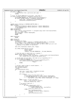```
540 if (event == NULL) {
541 /* Notification that a partition went away! */
542 return;
543 }
544 /* First, we should NEVER get an int here...only acks */
545 if (event−>xFlags.xFunction == HvLpEvent_Function_Int) {
546 printk(KERN_WARNING_VIO "Yikes! got an int in viocd event handler!\n");<br>547 if (event->xFlags.xAckInd == HvLpEvent AckInd DOAck) {
547 if (event−>xFlags.xAckInd == HvLpEvent_AckInd_DoAck) {
548 event−>xRc = HvLpEvent_Rc_InvalidSubtype;
549 HvCallEvent_ackLpEvent(event);<br>550 }
550 }
551 }
552
553 switch (event−>xSubtype & VIOMINOR_SUBTYPE_MASK) {
          554 case viocdopen:
555 viocd_diskinfo[bevent−>mDisk].blocksize = bevent−>mBlockSize;
556 viocd_diskinfo[bevent−>mDisk].mediasize = bevent−>mMediaSize;
557 /* FALLTHROUGH !! */558 case viocdgetinfo:
559 case viocdlockdoor:
                 560 pwe = (struct viocd_waitevent *) (unsigned long) event−>xCorrelationToken;
561 pwe−>rc = event−>xRc;
562 pwe−>subtypeRc = bevent−>mSubTypeRc;
563 \frac{1}{2} up(pwe−>sem);
                  564 break;
565
566 case viocdclose:<br>567 break;
                 567 break;
568
569 case viocdwrite:
570 case viocdread:{
                  unsigned long flags;
572 int reading = ((event−>xSubtype & VIOMINOR_SUBTYPE_MASK) == viocdread);
573 struct request *req = blkdev_entry_to_request(reqlist.next);
574 /* Since this is running in interrupt mode, we need to make sure we're not
575 * stepping on any global I/O operations
576 * /577 spin_lock_irqsave(&io_request_lock, flags);
578
579 pci_unmap_single(iSeries_vio_dev,
580 bevent−>mToken,
581 bevent−>mLen,
                                 582 reading ? PCI_DMA_FROMDEVICE : PCI_DMA_TODEVICE);
583
584 /* find the event to which this is a response */
585 while ((&req−>queue != &reqlist) &&
586 ((u64) (unsigned long) req−>buffer != bevent−>event.xCorrelationToken))
587 req = blkdev_entry_to_request(req−>queue.next);
588589 /* if the event was not there, then what are we responding to?? */
590 if (&req−>queue == &reqlist) {
591 printk(KERN_WARNING_VIO "Yikes! we never enqueued this guy!\n");<br>592 printk(KERN_WARNING_VIO "Yikes! we never enqueued this guy!\n");
                         592 spin_unlock_irqrestore(&io_request_lock,
\overline{f} flags);
                  594 break;
595 }
596
597 /* we don't need to keep it around anymore... */
598 spin_lock(&viocd_lock);<br>see list del(&reg->gueue);
                  list_del(&req->queue);
600 −−rwreq;
601 spin_unlock(&viocd_lock);
602 \left\{603 char stat = event−>xRc == HvLpEvent_Rc_Good;
int nsect = bevent->mLen >> 9;
605
606 if (!stat) {
607 const struct vio_error_entry *err =
608 vio_lookup_rc(viocd_err_table, bevent−>mSubTypeRc);
609 printk(KERN_WARNING_VIO "request %p failed with rc %d:0x%04X: %s\n",
610 req−>buffer, event−>xRc, bevent−>mSubTypeRc, err−>msg);
611 \Big\}612 while ((nsect > 0) && (req−>bh)) {
                                nsect -= req->current_nr_sectors;
614 viocd_end_request(req, stat);
615 }
\frac{7}{16} we weren't done yet \frac{1}{16} (req->bh) {
617 if (req−>bh) {
618 if (send_request(req) < 0) {
619 printk(KERN_WARNING_VIO
620 "couldn't re−submit req %p\n", req−>buffer);
\begin{array}{c} 621 \\ \text{621} \\ \text{622} \end{array} viocd_end_request(req, 0);
622 } else {
623 spin_lock(\deltaviocd_lock);<br>
\delta spin_lock(\deltaviocd_lock);<br>
\delta spin_lock(\deltaviocd_lock);
                                        list_add_tail(&req->queue, &reqlist);
\frac{625}{626} ++rwreq;
example: the spin_unlock(&viocd_lock);<br>
\begin{array}{c} \text{sgn} \\ \text{sgn} \end{array}627 }
628 }
629 }
Registered Version: Linux Support Power PC64 viocd.c Exhibit 8.1−28 pg 7/10
```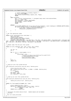```
630
631 /* restart handling of incoming requests */
632 do_viocd_request(NULL);
                        633 spin_unlock_irqrestore(&io_request_lock, flags);
634 break;
635 }
636 case viocdcheck:
637 pwe = (struct viocd_waitevent *) (unsigned long) event−>xCorrelationToken;
638 pwe−>rc = event−>xRc;
639 pwe−>subtypeRc = bevent−>mSubTypeRc;
                        pwe->changed = bevent->mFlags;
\frac{1}{641} up(pwe−>sem);<br>642 break;
                       642 break;
643
644 default:
645 printk(KERN_WARNING_VIO "message with invalid subtype %0x04X!\n", event−>xSubtype & VIOMINOR_SUBTYPE_MASK);
646 if (event−>xFlags.xAckInd == HvLpEvent_AckInd_DoAck) {
647 event−>xRc = HvLpEvent_Rc_InvalidSubtype;<br>648 HvCallEvent ackLpEvent(event);
{\tt HvCallEvent\_ackLpEvent(event);\atop 649}649 }
\begin{array}{c} 650 \\ 650 \end{array}651 }
652
653 /* Our file operations table
     \star /
655 static struct cdrom_device_ops viocd_dops = {
656 open:viocd_open,
657 release:viocd_release,
658 media_changed:viocd_media_changed,
%% lock_door:viocd_lock_door,<br>%% capability:CDC_CLOSE_TRAY | CDC_OPEN_TRAY | CDC_LOCK | CDC_SELECT_SPEED | CDC_SELECT_DISC | CDC_MULTI_SES<br>KET | CDC_MOL | CDC_MEDIA_CHANGED | CDC_PLAY_AUDIO | CDC_RESET | CDC_IOCTLS | CDC_D
661 };
662
663 /* Handle reads from the proc file system
664<br>665
<sup>666</sup> static int proc_read(char *buf, char **start, off_t offset, 666<br><sup>666</sup> solut blen, int *eof, void *data)
\begin{array}{c}\n\text{666} \\
\text{666} \\
\text{667}\n\end{array} \begin{array}{c}\n\text{666} \\
\text{667}\n\end{array}\{\begin{array}{lll} \text{668} & \text{int len} = 0; \\ \text{669} & \text{int i}; \end{array}int i;
670
\begin{array}{lll} 671 & \text{for} & \text{(i = 0; i < viocd_number; i++) < 672 & \text{len } += & \end{array}len +=673 sprintf(buf + len, 674 sprintf(buf + len, 674 sprintf(buf + len, 674 sprintf(
<sup>674</sup> viocd device %d is iSeries resource %10.10s type %4.4s, model %3.3s\n",<br>
<sup>675</sup> i, viocd unitinfo[i], rsrcname,
675 i, viocd_unitinfo[i].rsrcname,<br>viocd_unitinfo[i].type.
676 viocd_unitinfo[i].type,
                                      viocd_unitinfo[i].model);
678 }
\frac{1}{679} \frac{1}{680} \frac{1}{680} \frac{1}{680} \frac{1}{680} \frac{1}{680}680 return len;
681 }
682
683
684 /* setup our proc file system entries
685<br>686
   void viocd_proc_init(struct proc_dir_entry *iSeries_proc)
687 {
688 struct proc dir entry *ent;
689 ent = create_proc_entry("viocd", S_IFREG | S_IRUSR, iSeries_proc);<br>690 if (!ent)
\frac{1}{1} (!ent)
691 return;
692 ent−>nlink = 1;
693 ent−>data = NULL;
694 ent−>read_proc = proc_read;
   \rightarrow696
697 /* clean up our proc file system entries
698
699 void viocd_proc_delete(struct proc_dir_entry *iSeries_proc)
700 {
             remove_proc_entry("viocd", iSeries_proc);
702 }
703
704 static int find_capability(const char *type)
705 \{<br>706struct capability_entry *entry;
707 for(entry = capability_table; entry−>type; ++entry)
708 if(!strncmp(entry−>type, type, 4))
<sup>709</sup> break;<br>710 return entry->capabili
710 return entry−>capability;
   711 }
712
713 /* Initialize the whole device driver. Handle module and non−module
     * versions
715<br>716
      init int viocd init(void)
717 {
Registered Version: Linux Support Power PC64 viocd.c Exhibit 8.1−28 pg 8/10
```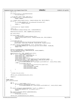```
718 int i, rc;
719
720 if (viopath_hostLp == HvLpIndexInvalid)<br>721 vio_set_hostlp();
                        vio_set_hostlp();
722
723 /* If we don't have a host, bail out */
724 if (viopath_hostLp == HvLpIndexInvalid)
725 return −ENODEV;
726
r \text{c} = \text{viopath\_open}(\text{viopath\_hostLp}, \text{viomajorsubtype\_edio}, \text{MAX\_CD\_REQ+2});<br>
\text{if } (r \text{c}) {
              if (rc)729 printk(KERN_WARNING_VIO "error opening path to host partition %d\n",
730 viopath_hostLp);
731 return rc;<br>732 }
732 }
733
734 /* Initialize our request handler
735 * /<br>736 * *736 rwreq = 0;<br>737 vio setHan
              vio_setHandler(viomajorsubtype_cdio, vioHandleCDEvent);
738
739 memset(&viocd_diskinfo, 0x00, sizeof(viocd_diskinfo));
740
              get_viocd_info();
742
743 if (viocd_numdev == 0) {
744 vio_clearHandler(viomajorsubtype_cdio);
745 viopath_close(viopath_hostLp, viomajorsubtype_cdio, MAX_CD_REQ+2);
746 return 0;
747 }
748
              749 printk(KERN_INFO_VIO
750 "%s: iSeries Virtual CD vers %s, major %d, max disks %d, hosting partition %d\n",<br>DEVICE NAME, VIOCD VERS, MAJOR NR, VIOCD MAX CD, viopath
                       DEVICE_NAME, VIOCD_VERS, MAJOR_NR, VIOCD_MAX_CD, viopath_hostLp);
752
753 if (devfs_register_blkdev(MAJOR_NR, "viocd", &viocd_fops) != 0) {
754 printk (KERN_WARNING_VIO "Unable to get major %d for viocd CD–ROM\n", MAJOR_NR);<br>755 printk (KERN_WARNING_VIO "Unable to get major %d for viocd CD–ROM\n", MAJOR_NR);
              755 return −EIO;
756 }
757
758 blksize_size[MAJOR_NR] = viocd_blocksizes;
759 blk_init_queue(BLK_DEFAULT_QUEUE(MAJOR_NR), DEVICE_REQUEST);
760 read_ahead[MAJOR_NR] = 4;
761
762 memset(&viocd_info, 0x00, sizeof(viocd_info));
763 for (i = 0; i < viocd_numdev; i++) {
764 viocd_info[i].dev = MKDEV(MAJOR_NR, i);
765 viocd_info[i].ops = \&viocd_dops;<br>
viocd_info[i].speed = 4;766 viocd_info[i].speed = 4;<br>767 viocd_info[i] capacity =
767 viocd_info[i].capacity = 1;
768 viocd_info[i].mask = ~find_capability(viocd_unitinfo[i].type);
769 sprintf(viocd_info[i].name, VIOCD_DEVICE, VIOCD_DEVICE_OFFSET + i);
770 if (register_cdrom(&viocd_info[i]) != 0) {
771 printk(KERN_WARNING_VIO "Cannot register viocd CD−ROM %s!\n", viocd_info[i].name);
772 } else {
773 printk(KERN_INFO_VIO)<br>774 cd % is iSeries res
\frac{774}{775} "cd %s is iSeries resource %10.10s type %4.4s, model %3.3s\n",<br>viocd_info[i].name,
775 viocd_info[i].name,
776 viocd_unitinfo[i].rsrcname,<br>
viocd_unitinfo[i].type,
777 viocd_unitinfo[i].type,
778 viocd_unitinfo[i].model);
779 }
780 }
781
782 /* 
783 * Create the proc entry<br>784 */
784 * /
785 iSeries_proc_callback(&viocd_proc_init);
786
787 return 0;
788 }
789
790 #ifdef MODULE
    void viocd_exit(void)
\begin{matrix} 792 \\ 793 \end{matrix}int \; i;<br>for (i =794 for (i = 0; i < viocd_numdev; i++) {
795 if (unregister_cdrom(&viocd_info[i]) != 0) {
796 printk(KERN_WARNING_VIO "Cannot unregister viocd CD−ROM %s!\n", viocd_info[i].name);
797 }
798 }
799 if ((devfs_unregister_blkdev(MAJOR_NR, "viocd") == −EINVAL)) {
800 \frac{\text{printk}(\text{KERN\_WARMING\_VIO} \text{ "can't unregister viod\!" };\text{ return };\text{ }801 return;
802 }
803 blk_cleanup_queue(BLK_DEFAULT_QUEUE(MAJOR_NR));<br>804 if (viocd unitinfo)
804 if (viocd_unitinfo)<br>805 if (viocd_unitinfo)
                        k \bar{f}ree(viocd_unitinfo);
806
Registered Version: Linux Support Power PC64 viocd.c Exhibit 8.1−28 pg 9/10
```
iSeries\_proc\_callback(&viocd\_proc\_delete);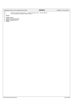|                                                                                                                                                                                                  | Registered Version: Linux Support Power PC64                                                                  | viocd.c | Exhibit 8.1-28 pg 10/10 |
|--------------------------------------------------------------------------------------------------------------------------------------------------------------------------------------------------|---------------------------------------------------------------------------------------------------------------|---------|-------------------------|
| 808<br>809<br>810<br>811<br>#endif<br>812<br>813<br>#ifdef MODULE<br>814<br>module init(viocd init);<br>815<br>module exit(viocd exit);<br>816<br>MODULE LICENSE("GPL");<br>817<br>#endif<br>818 | viopath_close(viopath_hostLp, viomajorsubtype_cdio, MAX_CD_REQ+2);<br>vio clearHandler(viomajorsubtype cdio); |         |                         |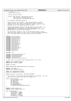# Registered Version: Linux Support Power PC64 **viocons.c** Exhibit 8.1−29 pg 1/16

 /\* −\*− linux−c −\*− \* drivers/char/viocons.c  $\frac{3}{4}$ iSeries Virtual Terminal  $\frac{5}{6}$ Authors: Dave Boutcher <br/>boutcher@us.ibm.com> \* Ryan Arnold <ryanarn@us.ibm.com> \* Colin Devilbiss <devilbis@us.ibm.com> \* \* (C) Copyright 2000 IBM Corporation \* \* This program is free software; you can redistribute it and/or <sup>13</sup> \* modify it under the terms of the GNU General Public License as <sup>14</sup> \* published by the Free Software Foundation; either version 2 of the<br> $\frac{1}{2}$  \* License, or (at your option) any later version License, or (at your option) anyu later version.  $16 \n17$  \* This program is distributed in the hope that it will be useful, but<br>18 \* WITHOUT ANY WARRANTY; without even the implied warranty of \* WITHOUT ANY WARRANTY; without even the implied warranty of 19 \* MERCHANTABILITY or FITNESS FOR A PARTICULAR PURPOSE.<br>20 \* General Public License for more details. \* General Public License for more details. \* \* You should have received a copy of the GNU General Public License <sup>23</sup> \* along with this program; if not, write to the Free Software Foundation, <sup>24</sup> \* Inc., 59 Temple Place, Suite 330, Boston, MA 02111−1307 USA \*  $rac{26}{27}$  **#include** <linux/config.h> **#include** <linux/version.h> **#include** <linux/kernel.h> #include <linux/proc\_fs.h> **#include** <linux/errno.h> **#include** <linux/vmalloc.h> **#include** <linux/mm.h> **#include** <linux/console.h> **#include** <linux/module.h> **#include** <asm/uaccess.h> **#include** <linux/init.h> **#include** <linux/wait.h> **#include** <linux/spinlock.h> <sup>40</sup> **#include** <asm/ioctls.h> <sup>41</sup> **#include** <linux/kd.h> **#include** <linux/tty.h> **#include** "vio.h" <sup>46</sup> **#include** <asm/iSeries/HvLpEvent.h> **#include** "asm/iSeries/HvCallEvent.h" **#include** "asm/iSeries/HvLpConfig.h" <sup>49</sup> **#include** "asm/iSeries/HvCall.h" **#include** <asm/iSeries/iSeries\_proc.h> /\* Check that the tty driver data actually points to our stuff \*/ <sup>54</sup> **#define** VIOTTY\_PARANOIA\_CHECK 1 **#define** VIOTTY\_MAGIC (0x0DCB) **static** int debug; **static** DECLARE\_WAIT\_QUEUE\_HEAD(viocons\_wait\_queue); **#define** VTTY\_PORTS 10 **#define** VIOTTY\_SERIAL\_START 65 **static** u64 sndMsgSeq[VTTY\_PORTS]; **static** u64 sndMsgAck[VTTY\_PORTS]; **static** spinlock\_t consolelock = SPIN\_LOCK\_UNLOCKED; /\* THe structure of the events that flow between us and OS/400. You can't <sup>70</sup> \* mess with this unless the OS/400 side changes too  $\frac{71}{72}$  \*/<br> $\frac{72}{51}$ 72 struct viocharlpevent {<br>73 struct HyLpEven 73 struct HvLpEvent event;<br>74 u32 mReserved1;  $u32$  mReserved1; u16 mVersion; u16 mSubTypeRc; 77 u8 virtualDevice;<br>78 u8 immediateDataL 78 u8 immediateDataLen;<br>79 u8 immediateData[VIC u8 immediateData[VIOCHAR\_MAX\_DATA]; }; <sup>82</sup> **#define** viochar\_window (10) **#define** viochar\_highwatermark (3) enum viocharsubtype { viocharopen = 0x0001, <sup>87</sup> viocharclose = 0x0002, viochardata = 0x0003,  $viocharack = 0x0004$ .

viocharconfig = 0x0005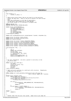Registered Version: Linux Support Power PC64 **viocons.c** Exhibit 8.1−29 pg 2/16

```
91 };
92
93 enum viochar_rc {<br>94 viochar_r
              viochar\_rc\_ebusy = 195 };
96
97 /* When we get writes faster than we can send it to the partition,
<sup>98</sup> * buffer the data here. There is one set of buffers for each virtual<br><sup>99</sup> * port.
99 * port.
100 * Note that bufferUsed is a bit map of used buffers.
101 * It had better have enough bits to hold NUM_BUF
102 * the bitops assume it is a multiple of unsigned long
103 + 7<br>104 + 4d =104 #define NUM_BUF (8)
    105 #define OVERFLOW_SIZE VIOCHAR_MAX_DATA
106
107 static struct overflowBuffers {
108 unsigned long bufferUsed;<br>109 108 *buffer[NIIM_RIIF];
              u8 *buffer[NUM_BUF];
110 int bufferBytes[NUM_BUF];<br>
111 int curbuf;
              int curbuf;
112 int bufferOverflow;<br>113 int overflowMessage
113 int overflowMessage;
   114 } overflow[VTTY_PORTS];
115
116 static void initDataEvent(struct viocharlpevent *viochar, HvLpIndex lp);
117
118 static struct tty_driver viotty_driver;
119 static struct tty_driver viottyS_driver;
120 static int viotty_refcount;
121
122 static struct tty_struct *viotty_table[VTTY_PORTS];
123 static struct tty_struct *viottyS_table[VTTY_PORTS];
124 static struct termios *viotty_termios[VTTY_PORTS];
125 static struct termios *viottyS_termios[VTTY_PORTS];
126 static struct termios *viotty_termios_locked[VTTY_PORTS];
127 static struct termios *viottyS_termios_locked[VTTY_PORTS];
128
129 void hvlog(char *fmt, ...)<br>
130 {
   \{131 int int i;
              static char buf[256];
133 va_list args;<br>134 va start(args)
134 va start(\arg s, fmt);<br>
135 i = v vsprintf(but. fmt)
              i = vsprintf(buf, fmt, args);
136 va_end(args);<br>137     HvCall writeL
137 HvCall_writeLogBuffer(buf, i);
              HvCall_writeLogBuffer("\r", 1);
139
140 }
141
142 /* Our port information. We store a pointer to one entry in the * tty driver data
     * tty_driver_data
144145 static struct port_info_tag {
146 int magic;<br>147 struct tty
              struct tty_struct *tty;
148 HvLpIndex \overline{1}p;<br>
149 u8 \text{ vcons};118 vcons;
150 u8 port;
151 } port_info[VTTY_PORTS];
152
153 /* Make sure we're pointing to a valid port_info structure. Shamelessly<br>154 * plagerized from serial.c
     * plagerized from serial.c
155 */
156 static inline int viotty_paranoia_check(struct port_info_tag *pi,
                                                       157 kdev_t device, const char *routine)
158 {
159 #ifdef VIOTTY_PARANOIA_CHECK<br>160 static const char *b
              static const char *badmagic =
161 "%s Warning: bad magic number for port_info struct (%s) in %s\n";<br>162 Static const char *badinfo =
              static const char *badinfo =
163 "%s Warning: null port_info for (%s) in %s\n";
164
165 if (!pi) {
166 printk(badinfo, KERN_WARNING_VIO, kdevname(device),
167 r routine);<br>168 return 1;
168 return 1;<br>169 169
169 }
170 if (pi−>magic != VIOTTY_MAGIC) {
171 printk(badmagic, KERN_WARNING_VIO, kdevname(device),
172 routine);<br>173 return 1;
              173 return 1;
174<br>175175 #endif
176 return 0;<br>177 }
177 }
178
179
180 * Handle reads from the proc file system. Right now we just dump the
```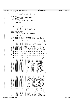Registered Version: Linux Support Power PC64 **viocons.c** Exhibit 8.1−29 pg 3/16

<sup>181</sup> \* state of the first TTY <sup>182</sup> \*/ <sup>183</sup> **static** int proc\_read(char \*buf, char \*\*start, off\_t offset, <sup>184</sup> int blen, int \*eof, void \*data)  $\begin{matrix}\n185 \\
186\n\end{matrix}$  $int$  len = 0; <sup>187</sup> struct tty\_struct \*tty = viotty\_table[0]; <sup>188</sup> struct termios \*termios; 189 **if** (tty ==  $NULL$ ) {<br>190 **i** en +=  $SDT$ <sup>190</sup> len += sprintf(buf + len, "no tty\n"); <sup>191</sup> \*eof = 1; 192 **return** len;<br>193 **f** <sup>193</sup> } 194  $1<sub>95</sub>$  len  $+$ = 196 sprintf(buf + len, 197 197 THE TASH THE COOK\_OUT %ID COOK\_IN %ID, NO\_WRITE\_SPLIT %ID\n",<br>198 tty->flags & TTY HW COOK\_OUT, <sup>198</sup> tty−>flags & TTY\_HW\_COOK\_OUT, 199 tty−>flags & TTY\_HW\_COOK\_IN,<br>200 ttv−>flags & TTY\_NO\_WRITE\_SE <sup>200</sup> tty−>flags & TTY\_NO\_WRITE\_SPLIT); 201 202 termios = tty->termios;<br>203 **if** (termios == **NULL**) { 203 **if** (termios == **NULL**)<br>204 **len** += sprin <sup>204</sup> len += sprintf(buf + len, "no termios\n"); <sup>205</sup> \*eof = 1; <sup>206</sup> **return** len; 207<br>208 <sup>208</sup> len += sprintf(buf + len, "INTR\_CHAR %2.2x\n", INTR\_CHAR(tty)); <sup>209</sup> len += sprintf(buf + len, "QUIT\_CHAR %2.2x\n", QUIT\_CHAR(tty)); 210 1en +=<br>
sprintf(buf + 1en, "ERASE\_CHAR %2.2x\n", ERASE\_CHAR(tty));<br>
2122 1en += sprintf(buf + 1en, "KILL\_CHAR %2.2x\n", KILL\_CHAR(tty));<br>
213 1en += sprintf(buf + 1en, "EOF\_CHAR %2.2x\n", EOF\_CHAR(tty));<br>
214 1en += sp  $217$  len  $+=$ <br> $218$  sp 218 sprintf(buf + len, "START\_CHAR %2.2x\n", START\_CHAR(tty));<br>219 1en += sprintf(buf + len, "STOP\_CHAR %2.2x\n", STOP\_CHAR(tty)) <sup>219</sup> len += sprintf(buf + len, "STOP\_CHAR %2.2x\n", STOP\_CHAR(tty)); <sup>220</sup> len += sprintf(buf + len, "SUSP\_CHAR %2.2x\n", SUSP\_CHAR(tty)); <sup>221</sup> len += sprintf(buf + len, "EOL\_CHAR %2.2x\n", EOL\_CHAR(tty));  $222$  len  $+=$ <br> $223$  sp  $223$  sprintf(buf + len, "REPRINT\_CHAR %2.2x\n", REPRINT\_CHAR(tty));<br> $224$  len +=  $224$  len +  $sprintf(buf + len, "DISCARD_CHAR %2.2x\n', DISCARD_CHAR(tty));$  $226$  len  $+ =$ <br> $227$  sp  $\frac{227}{228}$  sprintf(buf + len, "WERASE\_CHAR %2.2x\n", WERASE\_CHAR(tty));  $228$  len  $+$ = 229 sprintf(buf + len, "LNEXT\_CHAR %2.2x\n", LNEXT\_CHAR(tty));<br>229 sprintf(buf + len, "FOI2 CHAR %2.2x\n", FOI2 CHAR(tty))  $len + =$  sprintf(buf + len, "EOL2\_CHAR %2.2x\n", EOL2\_CHAR(tty)); 231 <sup>232</sup> len += sprintf(buf + len, "I\_IGNBRK %4.4x\n", I\_IGNBRK(tty)); <sup>233</sup> len += sprintf(buf + len, "I\_BRKINT %4.4x\n", I\_BRKINT(tty)); 233 len += sprintf(buf + len, "I\_BRKINT %4.4x\n", I\_BRKINT(tty));<br>234 len += sprintf(buf + len, "I\_IGNPAR %4.4x\n", I\_IGNPAR(tty));<br>235 len += sprintf(buf + len, "I\_PARMRK %4.4x\n", I\_PARMRK(tty))  $\begin{array}{ll} \text{#+4-xu} & , \text{ L-BKNNR (try)}; \\ \text{\#4Axh", \quad $I\_IRRRR (try))}; \\ \text{\#4Axh", \quad $I\_INPCR (try))}; \\ \text{\#4Axh", \quad $I\_ISTRIP (try))}; \end{array}$ 236 len += sprintf(buf + len, "I\_INPCK<br>
237 len += sprintf(buf + len, "I\_ISTRIP) len += sprintf(buf + len, "I\_ISTRIP %4.4x\n", I\_ISTRIP(tty));<br>len += sprintf(buf + len, "I\_INLCR %4.4x\n", I\_INLCR(tty));<br>len += sprintf(buf + len, "I\_IGNCR %4.4x\n", I\_IGNCR(tty));<br>len += sprintf(buf + len, "I\_ICRNL %4.4 <sup>238</sup> len += sprintf(buf + len, "I\_INLCR %4.4x\n", I\_INLCR(tty)); <sup>239</sup> len += sprintf(buf + len, "I\_IGNCR %4.4x\n", I\_IGNCR(tty)); <sup>240</sup> len += sprintf(buf + len, "I\_ICRNL %4.4x\n", I\_ICRNL(tty)); <sup>241</sup> len += sprintf(buf + len, "I\_IUCLC %4.4x\n", I\_IUCLC(tty)); 242 len += sprintf(buf + len, "I\_IXON<br>
243 len += sprintf(buf + len, "I\_IXAN) <sup>243</sup> len += sprintf(buf + len, "I\_IXANY %4.4x\n", I\_IXANY(tty)); <sup>244</sup> len += sprintf(buf + len, "I\_IXOFF %4.4x\n", I\_IXOFF(tty)); <sup>245</sup> len += sprintf(buf + len, "I\_IMAXBEL %4.4x\n", I\_IMAXBEL(tty)); 246 <sup>247</sup> len += sprintf(buf + len, "O\_OPOST %4.4x\n", O\_OPOST(tty)); <sup>248</sup> len += sprintf(buf + len, "O\_OLCUC %4.4x\n", O\_OLCUC(tty)); 249 len += sprintf(buf + len, "O\_OLCUC %4.4x\n", O\_ODCUC(tty));<br>
249 len += sprintf(buf + len, "O\_ONLCR %4.4x\n", O\_OLCUC(tty));<br>
250 len += sprintf(buf + len, "O\_OCRNL %4.4x\n", O\_OCRNL(tty));<br>
251 len += sprintf(buf + l  $len$  +=  $sprintf(buf + len, "O_OCRNL$ 251 len +=  $\text{spring}(buf + len, "OONOCR)\n$ 252 len += sprintf(buf + len, "O\_ONLRET %4.4x\n", O\_ONLRET(tty));<br>
253 len += sprintf(buf + len, "O\_OFILL %4.4x\n", O\_OFILL(tty));<br>
254 len += sprintf(buf + len, "O\_ONDEL %4.4x\n", O\_OFDEL(tty));<br>
255 len += sprintf(buf + 253 len +=  $\text{sprintf}(\text{buf} + \text{len}, \text{ "O-OFILL})$ <br>
254 len +=  $\text{sprintf}(\text{buf} + \text{len}, \text{ "O OFDELL})$  $len$  +=  $sprintf(buf + len, "O_OFDEL$ <sup>255</sup> len += sprintf(buf + len, "O\_NLDLY %4.4x\n", O\_NLDLY(tty)); <sup>256</sup> len += sprintf(buf + len, "O\_CRDLY %4.4x\n", O\_CRDLY(tty)); 257 len += sprintf(buf + len, "O\_TABDLY %4.4x\n", O\_TABDLY(tty)<br>
258 len += sprintf(buf + len, "O\_BSDLY %4.4x\n", O\_RABDLY(tty));<br>
269 len += sprintf(buf + len, "O\_VTDLY %4.4x\n", O\_VTDLY(tty));<br>
260 len += sprintf(buf + l <sup>258</sup> len += sprintf(buf + len, "O\_BSDLY %4.4x\n", O\_BSDLY(tty)); <sup>259</sup> len += sprintf(buf + len, "O\_VTDLY %4.4x\n", O\_VTDLY(tty)); <sup>260</sup> len += sprintf(buf + len, "O\_FFDLY %4.4x\n", O\_FFDLY(tty)); 261 %282 len += sprintf(buf + len, "C\_BAUD %4.4x\n", C\_BAUD(tty));<br>
len += sprintf(buf + len, "C\_CSIZE %4.4x\n", C\_CSIZE(tty));<br>
len += sprintf(buf + len, "C\_CSTOPB %4.4x\n", C\_CSTZE(tty));<br>
len += sprintf(buf + len, "C\_CREAD 268 len += sprintf(buf + len, "C\_HUPCL %4.4x\n", C\_HUPCL(tty));<br>
269 len += sprintf(buf + len, "C\_CLOCAL %4.4x\n", C\_CLOCAL(tty));<br>
270 len += sprintf(buf + len, "C\_CRTSCTS %4.4x\n", C\_CRTSCTS(tty));  $len$  += sprintf(buf + len,  $270$  len +=  $\text{sprintf}(\text{buf} + \text{len}, \text{ "C_CRTSCTS}])$ 

./PPC64/linux/drivers/iseries/viocons.c Page 131/239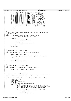```
27<sup>1</sup>272 len += sprintf(buf + len, "L_ISIG %4.4x\n", L_ISIG(tty));<br>
273 len += sprintf(buf + len, "L_ICANON %4.4x\n", L_ICANON(tty));<br>
274 len += sprintf(buf + len, "L_XCASE %4.4x\n", L_XCASE(tty));
273 len += sprintf(buf + len, "L_ICANON"<br>
274 len += sprintf(buf + len, "L_XCASE
274 len += sprintf(buf + len, "L_XCASE<br>
275 len += sprintf(buf + len, "L_ECHO
275 len += sprintf(buf + len, "L_ECHO %4.4x\n", L_ECHO(tty));
276 len += sprintf(buf + len, "L_ECHOE %4.4x\n", L_ECHOE(tty));
277 len += sprintf(buf + len, "L_ECHOK<br>
278 len += sprintf(buf + len, "L_ECHONL
278 len += sprintf(buf + len, "L_ECHONL %4.4x\n", L_ECHO(tty));<br>
278 len += sprintf(buf + len, "L_ECHOE %4.4x\n", L_ECHO(tty));<br>
277 len += sprintf(buf + len, "L_ECHOK %4.4x\n", L_ECHOK(tty));<br>
278 len += sprintf(buf + len
279 len += sprintf(buf + len, "L_NOFLSH %4.4x\n", L_NOFLSH(tty));
280 len += sprintf(buf + len, "L_TOSTOP<br>281 len += sprintf(buf + len, "L_ECHOCTL
               \begin{array}{rcl}\n\text{len } & +\text{ sprintf}(\text{buf } + \text{len }, \text{ "L-ECHOCTL}\n\end{array}282 len += sprintf(buf + len, "L_ECHOPRT %4.4x\n", L_ECHOPRT(tty));
283 len += sprintf(buf + len, "L_ECHOKE %4.4x\n", L_ECHOKE(tty));<br>
284 len += sprintf(buf + len, "L_FLUSHO %4.4x\n", L_FLUSHO(tty));<br>
286 len += sprintf(buf + len, "L_PENDIN %4.4x\n", L_PENDIN(tty));<br>
286 len += sprintf(bu
284 len += sprintf(buf + len, "L_FLUSHO
<br>
285 len += sprintf(buf + len, "L_PENDIN
               len += sprintf(buf + len,
286 len + sprintf(buf + len, "L_IEXTEN
287
288 *eof = 1;<br>289 return le
289 return len;
   290 }
291
292<br>293
293 * Handle writes to our proc file system. Right now just turns on and off
294 * our debug flag<br>
295 */
295 */
296 static int proc_write(struct file *file, const char *buffer,
297 unsigned long count, void *data)
298 {
299 if (count)<br>300 if
                          300 if (buffer[0] == '1') {
301 printk("viocons: debugging on\n");
302 debug = 1;
303 } else {
\frac{304}{205} printk("viocons: debugging off\n");
305 debug = 0;<br>306306 }
307 }
    <sup>1</sup>/<sub>2</sub> return count;
309 }
310
311<br>312\checkmark setup our proc file system entries
313<br>314
    void viocons_proc_init(struct proc_dir_entry *iSeries_proc)
315 {
316 struct proc_dir_entry *ent;<br>317 ent =
317 ent =<br>318 c
318 create_proc_entry("viocons", S_IFREG | S_IRUSR, iSeries_proc);<br>319 if (!ent)
319 if (!ent)
320 return;
321 ent−>nlink = 1;
322 ent−>data = NULL;
               323 ent−>read_proc = proc_read;
324 ent−>write_proc = proc_write;
    \rightarrow326
327
328 * clean up our proc file system entries
329 */<br>330 \sqrt{01}330 void viocons_proc_delete(struct proc_dir_entry *iSeries_proc)
331 \begin{array}{c} 2 \end{array}332 remove_proc_entry("viocons", iSeries_proc);<br>333 }
    \rightarrow334
335 /*
336 * Add data to our pending−send buffers. 
337<br>338
338 * NOTE: Don't use printk in here because it gets nastily recursive. hvlog can be
      * used to log to the hypervisor buffer
340341 static int bufferAdd(u8 port, const char *buf, size_t len, int userFlag)
342 \n{343}343 size_t bleft = len;<br>344 size t curlen;
344 size_t curlen;
345 char *cbuf = (char *) buf;
346 int nextbuf;
347 struct overflowBuffers *pov = &overflow[port];<br>348 while (bleft > 0) {
348 while (bleft > 0) {
349 /* If there is no space left in the current buffer, we have
350 * filled everything up, so return. If we filled the previous
351 * buffer we would already have moved to the next one.
352 * /
353 if (pov->bufferBytes[pov->curbuf] == OVERFLOW_SIZE) {<br>354 hylog("buffer%d full, no more space\n".
\frac{354}{255} hvlog("buffer %d full. no more space\n",
                                            355 pov−>curbuf);
356 pov−>bufferOverflow++;
357 pov->overflowMessage = 1;<br>358 return len – bleft;
358 return len − bleft;
359 }
360
Registered Version: Linux Support Power PC64 viocons.c Exhibit 8.1−29 pg 4/16
```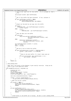```
361 /* Turn on the "used" bit for this buffer. If it's already on, that's<br>
* fine
362 * fine.<br>363 * /
363 * /
364 set_bit(pov−>curbuf, &pov−>bufferUsed);
365
366 /*
<sup>367</sup> * See if this buffer has been allocated. If not, allocate it<br>368 */
368 */
369 if (pov−>buffer[pov−>curbuf] == NULL)
370 pov−>buffer[pov−>curbuf] =
371 kmalloc(OVERFLOW_SIZE, GFP_ATOMIC);
372
373 /*
* Figure out how much we can copy into this buffer *375 */<sup>376</sup> if (bleft < 377 (OVERFL)
                       377 (OVERFLOW_SIZE − pov−>bufferBytes[pov−>curbuf]))
\frac{378}{379} else \frac{128}{379} else
379 else
380 curlen = curlen = curlen = curlen = curlen = curlen = curlen = curlen = curlen = curlen = curlen = curlen = curlen = curlen = curlen = curlen = curlen = curlen = curlen = curlen = curlen = curlen = curlen = curlen = cu
                               381 OVERFLOW_SIZE − pov−>bufferBytes[pov−>curbuf];
382
383 /*
* Copy the data into the buffer<br>*/*/385 * /386 if (userFlag)
387 copy_from_user(pov−>buffer[pov−>curbuf] +
                                          388 pov−>bufferBytes[pov−>curbuf], cbuf,
389 curlen);<br>290 else
                   390 else
391 memcpy(pov->buffer[pov−>curbuf] +<br>392 pov->bufferBytes[pov->curb
                                  392 pov−>bufferBytes[pov−>curbuf], cbuf,
393 curlen);
394
395 pov−>bufferBytes[pov−>curbuf] += curlen;
                   cbuf += curleni397 bleft −= curlen;
398
399 /*
400 * Now see if we've filled this buffer
401 * /
402 if (pov−>bufferBytes[pov−>curbuf] == OVERFLOW_SIZE) {
                           nextbuf = (pov-<curbuf + 1) % NUM_BUF;
404
405 /*
^{406} ^{406} ^{406} ^{407} ^{47} Move to the next buffer if it hasn't been used yet
407 * /
408 if (test_bit(nextbuf, &pov−>bufferUsed) == 0) {
409 pov−>curbuf = nextbuf;
410 }
411 }
412<br>413return len;
414 }
415
416 /* Send pending data
417 \stackrel{\ast}{\phantom{}_{410}}418 * NOTE: Don't use printk in here because it gets nastily recursive. hvlog can be<br>419 * used to log to the hypervisor buffer
    * used to log to the hypervisor buffer
420421 void sendBuffers(u8 port, HvLpIndex lp)
\begin{array}{c} 422 \\ 423 \end{array}423 HvLpEvent\_Rc hvrc;<br>
424 int next huf;
           int nextbuf;
425 struct viocharlpevent *viochar;
426 unsigned long flags;
427 struct overflowBuffers *pov = &overflow[port];
428
429 spin_lock_irqsave(&consolelock, flags);
430
431 viochar = (struct viocharlpevent *)<br>432 vio_get_event_buffer(viomajorsu
               vio_get_event_buffer(viomajorsubtype_chario);
433
434 /* Make sure we got a buffer
435 * /
436 if (viochar == NULL) {
437 hvlog("Yikes...can't get viochar buffer");<br>438 spin unlock irgrestore(&console
438 spin_unlock_irqrestore(&consolelock, flags);<br>
return;
           439 return;
440 }
441
442 if (pov−>bufferUsed == 0) {
<sup>443</sup> hvlog("in sendbuffers, but no buffers used\n");<br>y io free event, buffer(viona jorsubty
444 vio_free_event_buffer(viomajorsubtype_chario, viochar);
445 spin_unlock_irqrestore(&consolelock, flags);
446 return;
447 }
448
449 /*
450 * curbuf points to the buffer we're filling. We want to start sending AFTER
Registered Version: Linux Support Power PC64 viocons.c Exhibit 8.1−29 pg 5/16
```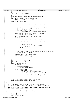```
Registered Version: Linux Support Power PC64 viocons.c Exhibit 8.1−29 pg 6/16
```

```
\frac{451}{452} * this one.
452 * /
453 nextbuf = (pov->curbuf + 1) % NUM_BUF;
454
455 / *
456 * Loop until we find a buffer with the bufferUsed bit on
457 *458 while (test_bit(nextbuf, &pov−>bufferUsed) == 0)
                     nextbut = (nextbuf + 1) % NUM_BUF;460
461 initDataEvent(viochar, lp);
462<br>463
463 /*
* While we have buffers with data, and our send window is open, send them
465 *466 while ((test_bit(nextbuf, &pov−>bufferUsed)) &&
467 ((sndMsgSeq[port] − sndMsgAck[port]) < viochar_window)) {
468 viochar−>immediateDataLen = pov−>bufferBytes[nextbuf];<br>viochar−>event_xCorrelationToken = sndMsαSeα[port]++;
469 viochar−>event.xCorrelationToken = sndMsgSeq[port]++;
470 viochar−>event.xSizeMinus1 =
471 offsetof(struct viocharlpevent,
472 immediateData) + viochar−>immediateDataLen;
473
474 memcpy(viochar−>immediateData, pov−>buffer[nextbuf],
                             475 viochar−>immediateDataLen);
476
477 hvrc = HvCallEvent_signalLpEvent(&viochar−>event);
478 if (hvrc) {
479 /*
419<br>480 * MUST unlock the spinlock before doing a printk
481 * /
482 vio_free_event_buffer(viomajorsubtype_chario,
483 viochar);<br>spin unlock ircrestore(&console
                              spin_unlock_irqrestore(&consolelock, flags);
485
486 printk(KERN_WARNING_VIO
<sup>487</sup> "console error sending event! return code % d\nu, <br><sup>488</sup> (int) hvrc );
\begin{array}{ccc} \text{488} & & \text{(int) hvrc);}\\ \text{489} & & \text{return}; \end{array}489 return;<br>490 f
490 }
491
492 /*
493 * clear the bufferUsed bit, zero the number of bytes in this buffer,<br>* and move to the next buffer
<sup>494</sup> * and move to the next buffer */495 * /
496 clear_bit(nextbuf, &pov−>bufferUsed);
+ 1 pov−>bufferBytes[nextbuf] = 0;<br>pov−>bufferBytes[nextbuf] = 0;<br>nextbuf = (nextbuf + 1) % NUM
498 nextbuf = (nextbuf + 1) % NUM_BUF;<br>499 }
            \}500
501
502<br>503
<sup>502</sup> \overline{503} \overline{503} \overline{504} \overline{504} \overline{504} \overline{504} \overline{504} \overline{504} \overline{504} \overline{504} \overline{504} \overline{504} \overline{504} \overline{504} \overline{504} \overline{504} \overline{504} \overline{504} \overline{504} \overline{50504 * this will re−use any allocated buffers
505 * /
506 if (pov−>bufferUsed == 0) {
                     pov->curbuf = 0;
508
509 if (pov−>overflowMessage)
                              pov->overflowMessage = 0;
511
512 if (port_info[port].tty) {
513 if ((port_info[port].tty−>
514 flags & (1 << TTY_DO_WRITE_WAKEUP))
515 && (port_info[port].tty−>ldisc.write_wakeup))
516 (port_info[port].tty−>ldisc.
517 write_wakeup) (port_info[port].tty);<br>518 wake up interruptible(&port info[port].tty->
                              518 wake_up_interruptible(&port_info[port].tty−>
519 write_wait);
520 }
521 }
522
523 vio_free_event_buffer(viomajorsubtype_chario, viochar);
524 spin_unlock_irqrestore(&consolelock, flags);
525
526 }
527
528 /* Our internal writer. Gets called both from the console device and
529 * the tty device. the tty pointer will be NULL if called from the console.
530 *<br>531 *
    * NOTE: Don't use printk in here because it gets nastily recursive. hvlog can be
532 * used to log to the hypervisor buffer
533<br>534
534 static int internal_write(struct tty_struct *tty, const char *buf,
535 size_t len, int userFlag)
\begin{matrix}536\\537\end{matrix}537 MvLpEvent_Rc hvrc;<br>538 Size_t bleft = len
538 512e bleft = len;<br>539 512e f curlen;
            size t curlen;
540 const char *curbuf = buf;
```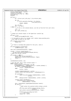```
541 struct viocharlpevent *viochar;
542 unsigned long flags;
543 struct port_info_tag *pi = NULL;<br>544 Struct port_info_tag *pi = NULL;
544 HvLpIndex 1\overline{p};<br>545 u8 port;
            u8 port;
546
\frac{1}{548} if (tty)
                     ) {<br>pi = (struct port_info_tag *) tty->driver_data;
549
550 if (!pi
551 || viotty_paranoia_check(pi, tty−>device,
552 "viotty_internal_write"))
553 return −ENODEV;
554
555 lp = pi−>lp;
556 port = pi−>port;
557 } else {
\begin{array}{ccc}\n\overline{\phantom{a}} & \overline{\phantom{a}} \\
\overline{\phantom{a}} & \overline{\phantom{a}} \\
\overline{\phantom{a}} & \overline{\phantom{a}} \\
\overline{\phantom{a}} & \overline{\phantom{a}} \\
\overline{\phantom{a}} & \overline{\phantom{a}} \\
\overline{\phantom{a}} & \overline{\phantom{a}} \\
\overline{\phantom{a}} & \overline{\phantom{a}} \\
\overline{\phantom{a}} & \overline{\phantom{a}} \\
\overline{\phantom{a}} & \overline{\phantom{a}} \\
\overline{\phantom{a}} & \overline{\phantom{a}} \\
\overline{\phantom{a}} & \over559 * /
560 port = 0;
561 lp = port_info[0].lp;
562 }
563
564 /* Always put console output in the hypervisor console log
565 */
566 if (port == 0)
                     HvCall writeLogBuffer(buf, len);
568
569 /* If the path to this LP is closed, don't bother doing anything more.
570 * just dump the data on the floor
571 *572 if (!viopath_isactive(lp))
573 return len;
574
575 /*
576 * If there is already data queued for this port, send it
577 */
578 if (overflow[port].bufferUsed)<br>579 if sendBuffers(port, lp);
                     sendBuffers(port, lp);
580
581 spin_lock_irqsave(&consolelock, flags);
582
583 viochar = (struct viocharlpevent *)
584 vio_get_event_buffer(viomajorsubtype_chario);<br>585 /* Make sure we got a buffer
             /* Make sure we got a buffer
586 *587 if (viochar == NULL) {
588 hvlog("Yikes...can't get viochar buffer");<br>spin_unlock_ircrestore(&console
589 spin_unlock_irqrestore(&consolelock, flags);<br>
return -1;
                     return -1;591 }
592
            initDataEvent(viochar, lp);
594
595 /* Got the lock, don't cause console output */
596 while ((bleft > 0) &&
597 (overflow[port].bufferUsed == 0) &&
598 ((sndMsgSeq[port] − sndMsgAck[port]) < viochar_window)) {
599 if (bleft > VIOCHAR_MAX_DATA)
600 curlen = VIOCHAR_MAX_DATA;
601 else
602 curlen = bleft;
603<br>604
                     604 viochar−>immediateDataLen = curlen;
605 viochar−>event.xCorrelationToken = sndMsgSeq[port]++;
606
607 if (userFlag)
608 copy_from_user(viochar−>immediateData, curbuf,
609 curlen);
                     610 else
611 memcpy(viochar−>immediateData, curbuf, curlen);
612
613 viochar−>event.xSizeMinus1 =
                          offsetof(struct viocharlpevent,
615 immediateData) + curlen;
616
617 hvrc = HvCallEvent_signalLpEvent(&viochar->event);<br>618 if (hvrc) {
618 if (hvrc) {
619 /*
* MUST unlock the spinlock before doing a printk<br>
<sup>621</sup> */
621 * /
622 vio_free_event_buffer(viomajorsubtype_chario,
\frac{1}{624} viochar);<br>spin unlock irrestore(\frac{1}{6}console
                              spin_unlock_irqrestore(&consolelock, flags);
625
h\nu\log ("viocons: error sending event! %d\n", \frac{626}{100} (int) h\nu\nc);
\frac{627}{628} (int) hvrc);<br>\frac{627}{628} return len – bleft
628 return len − bleft;
629 }
630
Registered Version: Linux Support Power PC64 viocons.c Exhibit 8.1−29 pg 7/16
```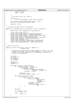```
631 curbuf += curlen;
632 bleft −= curlen;
633 }
634
635<br>636
             * If we didn't send it all, buffer it
637 * /\textbf{if} \text{ (bleft > 0) }<br>
\textbf{if} \text{ (bleft > 0) }bleft -= bufferAdd(port, curbuf, bleft, userFlag);
640<br>641
641 vio_free_event_buffer(viomajorsubtype_chario, viochar);
642 spin_unlock_irqrestore(&consolelock, flags);
643
644 return len − bleft;
   \left\{ \right\}646
647 /* Initialize the common fields in a charLpEvent
648<br>649
   649 static void initDataEvent(struct viocharlpevent *viochar, HvLpIndex lp)
650 {<br>651
            memset(viochar, 0x00, sizeof(struct viocharlpevent));
652
653 viochar−>event.xFlags.xValid = 1;
654 viochar−>event.xFlags.xFunction = HvLpEvent_Function_Int;
            655 viochar−>event.xFlags.xAckInd = HvLpEvent_AckInd_NoAck;
656 viochar−>event.xFlags.xAckType = HvLpEvent_AckType_DeferredAck;
657 viochar−>event.xType = HvLpEvent_Type_VirtualIo;
658 viochar−>event.xSubtype = viomajorsubtype_chario | viochardata;
659 viochar−>event.xSourceLp = HvLpConfig_getLpIndex();
660 viochar−>event.xTargetLp = lp;
661 viochar−>event.xSizeMinus1 = sizeof(struct viocharlpevent);
662 viochar−>event.xSourceInstanceId = viopath_sourceinst(lp);
663 viochar−>event.xTargetInstanceId = viopath_targetinst(lp);
   \rightarrow665
666
667 /* console device write
667 *<br>
668 *<br>
669 \mathsf{sta}669 static void viocons_write(struct console *co, const char *s,
                                unsigned count)
\begin{matrix} 671 \\ 672 \end{matrix}/* This parser will ensure that all single instances of either \ln or \ln are
\frac{673}{1000} * matched into carriage return/line feed combinations. It also allows for<br>* instances where there already exist \n\r combinations as well as the
674 * instances where there already exist \ln\{r} combinations as well as the \star reverse, \ln\{r} combinations.
             * reverse, \langle r \ranglen combinations.
676 * /677
678 int index;<br>679 char charp
679 char charptr[1];<br>
\begin{array}{ccc}\n680 & \text{int founder:} \\
\end{array}int foundcr;
681 and the roducer,<br>682 int slicebegin;<br>formation interests.
            int sliceend;
683
684 foundcr = 0;<br>685 slicebegin =
            slichedin = 0;
686 sliceend = 0;
687
688 for (index = 0; index < count; index++) \mathbf{f}(\mathbf{f}) = \mathbf{f}(\mathbf{f}) \mathbf{f}(\mathbf{f})689 if (!foundcr && s[index] == 0x0a) {
690 if ((slicebegin − sliceend > 0)
691 && sliceend < count) {
692 internal_write(NULL, &s[slicebegin],<br>693 internal_write(NULL, &s[slicebegin],
693 sliceend − slicebegin, 0);<br>slicebegin = slicebegin, 0);
                                       slicebegin = sliceend;695 }
---<br>
charptr[0] = '\r';<br>
sex<br>
internal write(NU
697 internal_write(NULL, charptr, 1, 0);<br>698 }
698 }
699 if (foundcr & \& \sinh(\sinh(\theta)) = 0 \times 0a) {<br>if ((index - 2) > = 0) {
700 if ((index − 2) >= 0) {
701 if (s[index − 2] != 0x0a) {
<sup>702</sup> internal_write(NULL)<br><sup>703</sup> 68 S
<sup>703</sup> \& slicebegin],<br>
<sup>704</sup> sliceend –
                                                                sliceend
705 slicebegin, 0);
706 slicebegin = sliceend;
707<br>708<br>708<br>708<br>708<br>708<br>708708 internal_write(NULL, charptr, 1, \frac{1}{100}709 0);
710 }
711 }
712 }
\overline{z_1} sliceend++;
714
\mathbf{if} (s[index] == 0 \times 0 \text{d})
716 foundcr = 1;<br>717 else
717 else
            \texttt{foundcr = 0;}719 }
Registered Version: Linux Support Power PC64 viocons.c Exhibit 8.1−29 pg 8/16
```
720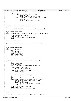```
721 internal_write(NULL, &s[slicebegin], sliceend − slicebegin, 0);
722
723 if (count > 1) {
724 if (foundcr == 1 && s[count − 1] != 0x0a) {<br>725 charptr[0] = '\n';
725 charptr[0] = '\n';
726 internal_write(NULL, charptr, 1, 0);
727 } else if (s[count − 1] == 0x0a && s[count − 2] != 0x0d) {
728
729<br>730 charptr[0] = '\r{r'};<br>internal write(NU
730 internal_write(NULL, charptr, 1, 0);
731 }
732<br>733 }
   \}734
735 /* Work out a the device associate with this console
736<br>737
   static kdev_t viocons_device(struct console *c)
738 {
739 return MKDEV(TTY_MAJOR, c−>index + viotty_driver.minor_start);
   740 }
741
742 /* console device read method
743<br>744
   744 static int viocons_read(struct console *co, const char *s, unsigned count)
745 {
746 printk(KERN_DEBUG_VIO "viocons_read\n");<br>747 // Implement me
747 // Implement me<br>748 interruptible_s
             interruptible_sleep_on(&viocons_wait_queue);
749 return \overline{0};
   \}751
   7 * Do console device setup
753<br>754
   754 static int __init viocons_setup(struct console *co, char *options)
755 {<br>756756 return 0;
757 }
758
759 /* console device I/O methods
760 */
761 static struct console viocons = {
762 name:"ttyS",
763 write:viocons_write,<br>764 read:viocons_read,
764 read:viocons_read,
            device:viocons_device,
766 setup:viocons_setup<br>767 flags:CON PRINTBUFFI
767 flags:CON_PRINTBUFFER,<br>768 };
   768 };
769
770
771 /* TTY Open method
\frac{772}{773} */
   static int viotty_open(struct tty_struct *tty, struct file *filp)
774 \{<br>775
            int port;
776 and the port.<br>776 and unsigned long flags;<br>777 MOD INC USE COUNT;
            MOD_INC_USE_COUNT;
778 port = MINOR(tty−>device) − tty−>driver.minor_start;
779
780 if (port >= VIOTTY_SERIAL_START)
781 port −= VIOTTY_SERIAL_START;
782
783 if ((port < 0) || (port >= VTTY_PORTS)) {<br>
MOD_DEC_USE_COUNT;
785 return −ENODEV;
786 }
787
788 spin_lock_irqsave(&consolelock, flags);
789
790 /*
791 * If some other TTY is already connected here, reject the open
792<br>793
793 if ((port_info[port].tty) && (port_info[port].tty != tty)) {<br>794 spin_unlock_irgrestore(&consolelock, flags);
                      spin_unlock_irqrestore(&consolelock, flags);
795 MOD_DEC_USE_COUNT;
796 printk(KERN_WARNING_VIO
797 "console attempt to open device twice from different ttys\n");<br>798 return -EBUSY;
798 return −EBUSY;
799 }
800 tty−>driver_data = &port_info[port];
801 port_info[port].tty = tty;
802 spin_unlock_irqrestore(&consolelock, flags);
803
804 return 0;<br>805 }
   \{806
\begin{array}{cc} 807 \\ 808 \\ * \end{array} /* TTY Close method
808<br>809
   static void viotty_close(struct tty_struct *tty, struct file *filp)
810 {
Registered Version: Linux Support Power PC64 viocons.c Exhibit 8.1−29 pg 9/16
```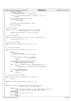```
811 unsigned long flags;
812 struct port_info_tag *pi =
813 (struct port_info_tag *) tty−>driver_data;
814
815 if (!pi || viotty_paranoia_check(pi, tty->device, "viotty_close"))<br>816 incluin:
                       816 return;
817
818 \text{spin\_lock\_irqsave}(\&\text{consolelock, flags});<br>819 \text{if } (\text{try--count} == 1)819 if (tty->count == 1)<br>820 i ->tty = NU
             920 pi–>tty = NULL;<br>}
821 }
822
             spin_unlock_irqrestore(&consolelock, flags);
824
825 MOD_DEC_USE_COUNT;
826 }
827
828 /* TTY Write method<br>829 *\frac{1}{\ast}830 static int viotty_write(struct tty_struct *tty, int from_user,
831 const unsigned char *buf, int count)
832 {
833 return internal_write(tty, buf, count, from_user);<br>834 }
   \}835
836 /* TTY put_char method
837 */
838 static void viotty_put_char(struct tty_struct *tty, unsigned char ch)
839 \{940\}internal write(tty, \&ch, 1, 0);
841 }
842
843 /* TTY flush_chars method
844<br>845
   static void viotty_flush_chars(struct tty_struct *tty)
846
847 }
848
849 /* TTY write_room method
850 */
851 static int viotty_write_room(struct tty_struct *tty)
852<br>853
rac{1}{654} int i;<br>rac{1}{654} int ro
854 int room = 0;<br>855 struct port is
855 struct port_info_tag *pi =
856 (struct port_info_tag *) tty−>driver_data;
857
858 if (!pi
859 || viotty_paranoia_check(pi, tty->device, sso
                                                "viotty_sendbuffers"))
861 return 0;
862<br>863
863 // If no buffers are used, return the max size<br>864 if (overflow[pi->port].bufferUsed == 0)
864 if (overflow[pi−>port].bufferUsed == 0)
865 return VIOCHAR_MAX_DATA * NUM_BUF;
866
867 for (i = 0; ((i < NUM_BUF) && (room < VIOCHAR_MAX_DATA)); i++) {
868 room +=<br>869 (OV)
869 (OVERFLOW_SIZE − overflow[pi->port].bufferBytes[i]);<br>870 }
             \}871
872 if (room > VIOCHAR_MAX_DATA)<br>873 return VIOCHAR_MAX_D
873 return VIOCHAR<sup>_MAX_DATA;</sup>
             874 else
875 return room;
876 }
877
878 /* TTY chars_in_buffer_room method
879<br>880
   static int viotty_chars_in_buffer(struct tty_struct *tty)
881 {
             882 return 0;
883 }
884
885 static void viotty_flush_buffer(struct tty_struct *tty)
886 {
887 }
888
889 static int viotty_ioctl(struct tty_struct *tty, struct file *file,
890 unsigned int cmd, unsigned long arg)<br>891 {
   \{892 switch (cmd) {<br>893 /* the
893 /* the ioctls below read/set the flags usually shown in the leds */<br>894 /* don't use them - they will go away without warning */
899<br>A /* don't use them − they will go away without warning */<br>R95 CASE KDGETLED:
             895 case KDGETLED:
896 case KDGKBLED:
                      897 return put_user(0, (char *) arg);
898
899 case KDSKBLED:
900 return 0;
Registered Version: Linux Support Power PC64 viocons.c Exhibit 8.1−29 pg 10/16
```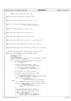$90'$  **return** n\_tty\_ioctl(tty, file, cmd, arg); } **static** void viotty throttle(struct tty struct \*tty) { } **static** void viotty\_unthrottle(struct tty\_struct \*tty) { } **static** void viotty\_set\_termios(struct tty\_struct \*tty,  $struct$  termios \*old\_termios) } **static** void viotty\_stop(struct tty\_struct \*tty) { } **static** void viotty\_start(struct tty\_struct \*tty) { } **static** void viotty hangup(struct tty struct \*tty) { } **static** void viotty\_break(struct tty\_struct \*tty, int break\_state) { } **static** void viotty\_send\_xchar(struct tty\_struct \*tty, char ch) { } **static** void viotty\_wait\_until\_sent(struct tty\_struct \*tty, int timeout) { /\* Handle an open charLpEvent. Could be either interrupt or ack 944<br>945 static void vioHandleOpenEvent(struct HvLpEvent \*event) <br>947 unsigned long flags;  $\frac{1}{948}$  u8 eventRc;<br> $\frac{1}{949}$  u16 eventSu 949 u16 eventSubtypeRc;<br>950 struct viocharlneve <sup>950</sup> struct viocharlpevent \*cevent = (struct viocharlpevent \*) event; u8 port = cevent−>virtualDevice; 952<br>953 **if** (event−>xFlags.xFunction == HvLpEvent\_Function\_Ack) { <sup>954</sup> **if** (port >= VTTY\_PORTS) **return**; spin\_lock\_irqsave(&consolelock, flags); /\* Got the lock, don't cause console output \*/ <sup>960</sup> **if** (event−>xRc == HvLpEvent\_Rc\_Good) { sndMsgSeq[port] = sndMsgAck[port] = 0; } 963<br>964 port\_info[port].lp = event−>xTargetLp; ersetted by the spin unlock irqrestore(&consolelock, flags); 968 **if** (event−>xCorrelationToken != 0) {<br>969 *insigned long* semptr = event. unsigned long semptr = event−>xCorrelationToken; <sup>970</sup> up((struct semaphore \*) semptr); } **else** 972 printk(KERN\_WARNING\_VIO<br>
973 monsole: wierd...got op 973<br>
974 **else** {<br> **else** { } **else** { /\* This had better require an ack, otherwise complain  $*$  / **if** (event−>xFlags.xAckInd != HvLpEvent\_AckInd\_DoAck) { 978 printk(KERN\_WARNING\_VIO<br>
"console: viocharonen v "console: viocharopen without ack bit!\n"); 980 **return**;<br>981 **1 return**; } 983 spin\_lock\_irqsave(&consolelock, flags);<br>984 /\* Got the lock, don't cause console ou  $4/$ \* Got the lock, don't cause console output \*/ /\* Make sure this is a good virtual tty \*/ <sup>987</sup> **if** (port >= VTTY\_PORTS) { 988 eventRc = HvLpEvent\_Rc\_SubtypeError;<br>eventSubtypeRc = viorc\_openRejected;  $eventSubtypeRc = viorc\_openRejected;$  } Registered Version: Linux Support Power PC64 **viocons.c** Exhibit 8.1−29 pg 11/16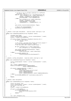```
991
992 /* If this is tty is already connected to a different
993 partition, fail */
994 else if ((port_info[port].lp != HvLpIndexInvalid) &&
995 (port_info[port].lp != event−>xSourceLp)) {
996 eventRc = HvLpEvent_Rc_SubtypeError;
997 eventSubtypeRc = viorc_openRejected;<br>998 else {
998 } else {
999 port_info[port].lp = event−>xSourceLp;<br>1000 port_info[port].lp = eventRc = HvLpFventRc Good;
1000 eventRc = HvLpEvent_Rc_Good;<br>
eventSubtypeRc = viorc_good;
1001 eventSubtypeRc = viorc_good;
1002 sndMsgSeq[port] = sndMsgAck[port] = 0;
1003 }
1004
1005 spin_unlock_irqrestore(&consolelock, flags);
1006
1007 /* Return the acknowledgement */<br>1008 1008 HvCallEvent ackLpEvent(event);
            HvCallEvent_ackLpEvent(event);
\begin{bmatrix} 1009 \\ 1010 \end{bmatrix}1010 }
1011
1012 /* Handle a close open charLpEvent. Could be either interrupt or ack
1013<br>1014
   static void vioHandleCloseEvent(struct HvLpEvent *event)
1015 {
1016 unsigned long flags;
1017 struct viocharlpevent *cevent = (struct viocharlpevent *) event;
1018 u8 port = cevent−>virtualDevice;
1019
1020 if (event−>xFlags.xFunction == HvLpEvent_Function_Int) {
1021 if (port >= VTTY_PORTS)<br>1022 return;
                              1022 return;
1023<br>1024
1024 /* For closes, just mark the console partition invalid */
1025 spin_lock_irqsave(&consolelock, flags);
1026 /* Got the lock, don't cause console output */
1027
1028 if (port_info[port].lp == event−>xSourceLp)
                             port_info[port].lp = HvLpIndexInvalid;1030
1031 spin_unlock_irqrestore(&consolelock, flags);
1032 printk(KERN_INFO_VIO
1033 "console close from %d\n", event−>xSourceLp);<br>
1034 } else {
1034 } else {
                     1035 printk(KERN_WARNING_VIO
1036 "console got unexpected close acknowlegement\n");<br>
1037
\begin{matrix} 1037 \\ 1038 \end{matrix}1038 }
1039
1040 /* Handle a config charLpEvent. Could be either interrupt or ack
10411042 static void vioHandleConfig(struct HvLpEvent *event)
1043 {
1044 struct viocharlpevent *cevent = (struct viocharlpevent *) event;<br>int len:
            int len;
1046
1047 len = cevent−>immediateDataLen;
1048 HvCall_writeLogBuffer(cevent−>immediateData,
                                    cevent−>immediateDataLen);
1050
1051 if (cevent−>immediateData[0] == 0x01) {
1052 printk(KERN_INFO_VIO<br>
1053 "console window re
<sup>1053</sup> "console window resized to %d: %d: %d: %d\n",
                             1054 cevent−>immediateData[1],
1055 cevent−>immediateData[2],
1056 cevent−>immediateData[3], cevent−>immediateData[4]);<br>1057 care diateData[3], cevent->immediateData[4]);
1057 } else {
                     printk(KERN_WARNING_VIO "console unknown config event\n");
1059<br>1060
            1060 return;
1061 }
1062
1063 /* Handle a data charLpEvent.
1064
1065 static void vioHandleData(struct HvLpEvent *event)
10661067 struct tty_struct *tty;<br>1068 struct viocharlpevent *
1068 struct viocharlpevent *cevent = (struct viocharlpevent *) event;
1069 struct port_info_tag *pi;
1070 int len;
1071 u8 port = cevent−>virtualDevice;
1072
1073 if (port >= VTTY_PORTS)<br>1074 best printless (KERN WARN
1074 printk(KERN_WARNING_VIO
                             \frac{1}{2} "console data on invalid virtual device %d\n",
1076 port);<br>
1077 return;
            1077 return;
1078 }
1079
1080 tty = port_info[port].tty;
Registered Version: Linux Support Power PC64 viocons.c Exhibit 8.1−29 pg 12/16
```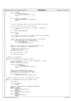Registered Version: Linux Support Power PC64 **viocons.c** Exhibit 8.1−29 pg 13/16

```
1082 if (tty == NULL) {<br>1083 printk (KER
1083 printk(KERN_WARNING_VIO<br>moty for virtual device
<sup>1084</sup> "no tty for virtual device %d\n", port);<br>\begin{array}{c} \n\text{return:} \\
\end{array}1085 return;
1086 }
1087
1088 if (tty->magic != TTY_MAGIC) {<br>1089 if printk(KERN WARNING VI
1089 printk(KERN_WARNING_VIO "tty bad magic\n");<br>
return;
              1090 return;
1091 }
1092
1093<br>1094
               * Just to be paranoid, make sure the tty points back to this port
1095
1096 pi = (struct port_info_tag *) tty−>driver_data;
1097
1098 if (!pi || viotty_paranoia_check(pi, tty−>device, "vioHandleData"))
                        1099 return;
1100
1101 len = cevent−>immediateDataLen;
1102
1103 if (len == 0)<br>1104 retur
                        return;1105
1106 /* Don't log the user's input to the hypervisor log or their password
1107 * will appear on a hypervisor log display.
1108 */
1109
1110 /* Don't copy more bytes than there is room for in the buffer */<br>1111 if (tty->flip.count + len > TTY_FLIPBUF_SIZE) {<br>1112 len = TTY_FLIPBUF_SIZE - tty->flip.count;
1113 printk(KERN_WARNING_VIO)<br>1114 monsole input huffer over
              <sup>1</sup> "console input buffer overflow!\n");
1115 }
1116
1117 memcpy(tty−>flip.char_buf_ptr, cevent−>immediateData, len);
1118 memset(tty−>flip.flag_buf_ptr, TTY_NORMAL, len);
1119
1120 /* Update the kernel buffer end */
1121 tty−>flip.count += len;
1122 tty−>flip.char_buf_ptr += len;
1123
1124 tty−>flip.flag_buf_ptr += len;
1125
1126 tty_flip_buffer_push(tty);<br>
1127 }
1127 }
1128
   /* Handle an ack charLpEvent.
11301131 static void vioHandleAck(struct HvLpEvent *event)
1132 \{<br>1133
              struct viocharlpevent *cevent = (struct viocharlpevent *) event;
1134 unsigned long flags;<br>1135 1135 118 port = cevent->vi
              u8 port = cevent−>virtualDevice;
1136
1137 if (port >= VTTY_PORTS) {
1138 printk(KERN_WARNING_VIO)<br>1139 viocons: data on invali
1139 "viocons: data on invalid virtual device\n");
              1140 return;
1141 }
1142
1143 spin_lock_irqsave(&consolelock, flags);<br>spdMsgAck[port] = event->xCorrelationTc
              1144 sndMsgAck[port] = event−>xCorrelationToken;
1145 spin_unlock_irqrestore(&consolelock, flags);
1146
1147 if (overflow[port].bufferUsed)<br>1148 sendBuffers(port, port
   sendBuffers(port, port_info[port].lp);
1149 }
1150
1151 /* Handle charLpEvents and route to the appropriate routine
1152
1153 static void vioHandleCharEvent(struct HvLpEvent *event)
1154 {
1155 int charminor;
1156
1157 if (event == NULL) {<br>1158 return;
                       return;1159 }
1160 charminor = event−>xSubtype & VIOMINOR_SUBTYPE_MASK;<br>1161 switch (charminor) {
              switch (charminor) {
1162 case viocharopen:
1163 vioHandleOpenEvent(event);<br>1164 break;
1164 break;<br>1165 case viochard
              1165 case viocharclose:
1166 vioHandleCloseEvent(event);<br>
1167 break;
1167 break;<br>1168 case viocharda
1168 case viochardata:
                        vioHandleData(event);
1170 break;
```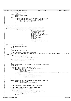```
1171 case viocharack:
1172 vioHandleAck(event);
1173 break;<br>1174 case viocharco
1174 case viocharconfig:<br>1175 vioHandleCo
1175 vioHandleConfig(event);<br>1176 break;
                        break;
1177 default:
1178 if ((event−>xFlags.xFunction == HvLpEvent_Function_Int) &&
1179 (event−>xFlags.xAckInd == HvLpEvent_AckInd_DoAck)) {
1180 event−>xRc = HvLpEvent_Rc_InvalidSubtype;<br>HvCallEvent ackLoEvent(event);
                        HvCallEvent_ackLpEvent(event);
1182 \Big\}\begin{array}{c} 1183 \\ 1184 \end{array} }
1184 }
1185
1186 /* Send an open event
1187
1188 static int viocons_sendOpen(HvLpIndex remoteLp, u8 port, void *sem)
1189<br>1190
1190 return HvCallEvent_signalLpEventFast(remoteLp,<br>HvLpEvent
                                                            HvLpEvent_Type_VirtualIo,
1192 viomajorsubtype_chario<br>
1193 viocharopen,<br>
1193 viocharopen,
1193 | viocharopen, wie besteht is a state of the state of the state of the state of the state of the state of the state of the state of the state of the state of the state of the state of the state of the state of the sta
1194<br>1195 1195 HvLpEvent_AckInd_DoAck, Experiment AckType Immer
                                                            1195 HvLpEvent_AckType_ImmediateAck,
1196 viopath_sourceinst
1197 (remotello),
1198 viopath_targetinst
1199 (remoteLp),
1200 (u64) (unsigned long)
1201 sem, VIOVERSION << 16,
1202 ((u64) port << 48), 0, 0, 0);
1203
1204 }
1205
1206 int __init viocons_init2(void)
1207 {<br>1208
1208 DECLARE_MUTEX_LOCKED(Semaphore);
              int rc;
1210
1211
1212 * Now open to the primary LP
\frac{\ast}{1214} \frac{\ast}{1214} printk(KERN_INFO_VIO "console open path to primary\n");
1214 printk(KERN_INFO_VIO "console open path to primary\n");<br>
1215 rc = viopath_open(HvLpConfig_getPrimaryLpIndex(), viomajorsubtype_chario, viochar_window + 2); /* +2 for<br>
fudge */
1216 if (rc) \{<br>1217 p
1217 printk(KERN_WARNING_VIO)<br>1218 metal console error opening t
              \{ "console error opening to primary %d\n", rc);
1219 }
1220
1221 if (viopath_hostLp == HvLpIndexInvalid) {<br>1222 vio set hostlp();
              \begin{matrix} \text{vio\_set\_hostlp();}\\ \end{matrix}1223 }
1224
1225<br>1226
               * And if the primary is not the same as the hosting LP, open to the
1227 * hosting lp
1228<br>1229
1229 if ((viopath_hostLp != HvLpIndexInvalid) &&
1230 (viopath_hostLp != HvLpConfig_getPrimaryLpIndex())) {
1231 printk(KERN_INFO_VIO
1232
printk(KERN_INFO_VIO
1232

Printk(KERN_INFO_VIO

Printk(KERN_INFO_VIO

Printk(KERN_INFO_VIO

Printk(KERN_INFO_VIO

Printk(KERN_INFO_VIO

Printk(KERN_INFO_VIO

Printk(KERN_INFO_VIO

Printk(KER
<sup>1232</sup> "console open path to hosting (\%d)\n",
                                 viopath_hostLp);
1234 rc = viopath_open(viopath_hostLp, viomajorsubtype_chario, viochar_window + 2); /* +2 for fudge *
    /
1235 if (rc) {
1236 printk(KERN_WARNING_VIO)<br>1237 monsole error opening to the console error opening to the console error opening to the console error opening to the console error opening to the console error opening to the console error
<sup>1237</sup> "console error opening to partition %d: %d\n",<br>
\frac{1}{2} vi opath host Lp. rc);
                        {\scriptsize \texttt{viopath\_hostLp, rc}}; \\\left\{\right.} 1239
1240 }
1241
1242 if (vio_setHandler(viomajorsubtype_chario, vioHandleCharEvent) < 0) {
1243 printk(KERN_WARNING_VIO<br>1244 1244 1244 1244 1245 1245 1254 1264 1279 1284 1295 1297 1298 1297 1298 1297 1298 1299 1298 1299 1299 129
1245 }
1246
1247 printk(KERN_INFO_VIO "console major number is %d\n", TTY_MAJOR);
1248
1249 /* First, try to open the console to the hosting lp.
1250 * Wait on a semaphore for the response.
1251<br>12521252 if ((viopath_isactive(viopath_hostLp)) &&
1253 (viocons_sendOpen(viopath_hostLp, 0, &Semaphore) == 0)) {
1254 printk(KERN_INFO_VIO
1255 "opening console to hosting partition %d\n",<br>
1256 \text{viopath\_hostLp};
1256 viopath_hostLp);<br>
1257 down(&Semaphore);
              down(&Semaphore);
1258 }
Registered Version: Linux Support Power PC64 viocons.c Exhibit 8.1−29 pg 14/16
```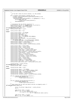1259 1260<br>1261 \* If we don't have an active console, try the primary 1262 <sup>1263</sup> **if** ((!viopath\_isactive(port\_info[0].lp)) && <sup>1264</sup> (viopath\_isactive(HvLpConfig\_getPrimaryLpIndex())) && 1265 (viocons\_sendOpen<br>1266 (viocons\_sendOpen<br>1266 (HvLpConfig getP: <sup>1266</sup> (HvLpConfig\_getPrimaryLpIndex(), 0, &Semaphore) == 0)) { 1267 printk (KERN\_INFO\_VIO)<br>1268 monet console to the console of the console of the console of the console of the console of the console of the console of the console of the console of the console of the console of the con 1268 "opening console to primary partition\n");<br>  $\frac{1}{269}$  down(&Semaphore); down(&Semaphore); <sup>1270</sup> } 1271 1272 /\* Initialize the tty\_driver structure \*/<br>1272 mamset (syjotty driver 0 sizeof(struct t 1273 memset(&viotty\_driver, 0, **sizeof**(struct tty\_driver));<br>1274 viotty\_driver.magic = TTY\_DRIVER\_MAGIC;<br>1275 viotty\_driver.driver\_name = "vioconsole"; 1276 **#if defined**(CONFIG\_DEVFS\_FS)<br>1277 viotty driver name =  $\overline{\text{viotty\_driver.name}} = \text{"tty%d"}$ ; <sup>1278</sup> **#else** viotty driver.name = "tty"; <sup>1280</sup> **#endif** 1281 viotty\_driver.major = TTY\_MAJOR;<br>1282 viotty\_driver.minor\_start = 1;  $1282$  viotty\_driver.minor\_start = 1;<br> $1283$  viotty driver.name base = 1;  $viotty\_driver.name\_base = 1;$ <sup>1284</sup> viotty\_driver.num = VTTY\_PORTS; <sup>1285</sup> viotty\_driver.type = TTY\_DRIVER\_TYPE\_CONSOLE;  $1286$  viotty\_driver.subtype = 1; 1287 viotty\_driver.init\_termios = tty\_std\_termios;<br>1288 viotty\_driver\_flags =  $viotty\_driver$ .flags = 1289 TTY\_DRIVER\_REAL\_RAW | TTY\_DRIVER\_RESET\_TERMIOS;<br>1290 viotty driver.refcount = &viotty refcount; viotty\_driver.refcount = &viotty\_refcount; <sup>1291</sup> viotty\_driver.table = viotty\_table; <sup>1292</sup> viotty\_driver.termios = viotty\_termios; <sup>1293</sup> viotty\_driver.termios\_locked = viotty\_termios\_locked; 1294 1295 viotty\_driver.open = viotty\_open;<br>1296 viotty\_driver.close = viotty\_clos 1296 viotty\_driver.close = viotty\_close;<br>1297 viotty\_driver.write = viotty\_write; 1297 viotty\_driver.write = viotty\_write;<br>1298 viotty\_driver.put\_char = viotty\_put  $viotty\_driver.put\_char = viotty\_put\_char;$ <sup>1299</sup> viotty\_driver.flush\_chars = viotty\_flush\_chars; <sup>1300</sup> viotty\_driver.write\_room = viotty\_write\_room; 1301 viotty\_driver.chars\_in\_buffer = viotty\_chars\_in\_buffer;<br>1302 viotty driver.flush buffer = viotty flush buffer; 1302 viotty\_driver.flush\_buffer = viotty\_flush\_buffer;<br>
1303 viotty driver.ioctl = viotty ioctl; <sup>1303</sup> viotty\_driver.ioctl = viotty\_ioctl; <sup>1304</sup> viotty\_driver.throttle = viotty\_throttle; <sup>1305</sup> viotty\_driver.unthrottle = viotty\_unthrottle; 1306 viotty\_driver.set\_termios = viotty\_set\_termios;<br>1307 viotty\_driver\_stop\_=\_viotty\_stop; <sup>1307</sup> viotty\_driver.stop = viotty\_stop; <sup>1308</sup> viotty\_driver.start = viotty\_start; <sup>1309</sup> viotty\_driver.hangup = viotty\_hangup; 1310 viotty\_driver.break\_ctl = viotty\_break;<br>1311 viotty driver.send xchar = viotty send viotty\_driver.send\_xchar = viotty\_send\_xchar; <sup>1312</sup> viotty\_driver.wait\_until\_sent = viotty\_wait\_until\_sent; 1313 1314 viottyS\_driver = viotty\_driver;<br>1315 **#if defined**(CONFIG DEVFS FS) <sup>1315</sup> **#if defined**(CONFIG\_DEVFS\_FS) 1316 viottyS\_driver.name = "ttyS%d";<br>1317 **#else** <sup>1317</sup> **#else** viottyS\_driver.name = "ttyS"; <sup>1319</sup> **#endif** 1320 viottyS\_driver.major = TTY\_MAJOR;<br>1321 viottyS driver.minor start = VIOT 1321 viottyS\_driver.minor\_start = VIOTTY\_SERIAL\_START;<br>1322 viottyS\_driver\_type = TTY\_DRIVER\_TYPE\_SERIAL; <sup>1322</sup> viottyS\_driver.type = TTY\_DRIVER\_TYPE\_SERIAL; <sup>1323</sup> viottyS\_driver.table = viottyS\_table; <sup>1324</sup> viottyS\_driver.termios = viottyS\_termios; 1325 viottyS\_driver.termios\_locked = viottyS\_termios\_locked; 1326 1327 **if** (tty\_register\_driver(&viotty\_driver)) {<br>
printk(KERN\_WARNING\_VIO <sup>1329</sup>  $\vert$ <sup>1329</sup>  $\vert$ <sup>1329</sup>  $\vert$ <sup>1330</sup>  $\vert$ <sup>1330</sup> <sup>1330</sup> } 1331 <sup>1332</sup> **if** (tty\_register\_driver(&viottyS\_driver)) { <sup>1333</sup> printk(KERN\_WARNING\_VIO <sup>1334</sup> "Couldn't register console S driver\n"); <sup>1335</sup> } 1336 /\* Now create the vcs and vcsa devfs entries so mingetty works \*/<br>1336 **Hif defined** (CONFIG DEVES ES) <sup>1337</sup> **#if defined**(CONFIG\_DEVFS\_FS) <sup>1338</sup> { <sup>1339</sup> struct tty\_driver temp\_driver = viotty\_driver; <sup>1340</sup> int i; 1341 <sup>1342</sup> temp\_driver.name = "vcs%d"; <sup>1343</sup> **for** (i = 0; i < VTTY\_PORTS; i++) <sup>1344</sup> tty\_register\_devfs(&temp\_driver, <sup>1345</sup> 0, i + temp\_driver.minor\_start); 1346 1347 temp\_driver.name = "vcsa%d"; 1348 **for** (i = 0; i < VTTY\_PORTS; i++) Registered Version: Linux Support Power PC64 **viocons.c** Exhibit 8.1−29 pg 15/16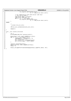```
1349 tty_register_devfs(&temp_driver,<br>1350 0, i + temp_driver.minor_start);
1351
1352 // For compatibility with some earlier code only!<br>1353 // This will go away!!!
1353 // This will go away!!!
1354 temp_driver.name = "viocons/%d";
1355 temp_driver.name_base = 0;
1356 for (i = 0; i < VTTY_PORTS; i++)
1357 tty_register_devfs(&temp_driver,<br>1358 1358 1358 filosofia 1358 filosofia 1358 filosofia 1358 filosofia 1358 filosofia 1358 filosofia 1358 filosofia 1358 filosofia 1358 filosofia 1358 filosofia 1358 filosofia 1358 filo
1359 }
1360 #endif
1361<br>1362
1362 /* 
1363 * Create the proc entry
1364 */
1365 iSeries_proc_callback(&viocons_proc_init);
1366
    1367 return 0;
1368 }
1369
1370 void _init viocons_init(void)
1371 {
1372 int i;<br>1373 printk
                 printk(KERN_INFO_VIO "registering console\n");
1374
1375 memset(&port_info, 0x00, sizeof(port_info));<br>
for (i = 0; i < VTTY_PORTS; i++) {<br>
sndMosgSeq[i] = sndMosgAck[i] = 0;<br>
port_info[i].port = i;<br>
port_info[i].port = i;<br>
port_info[i].port = iV_pJndexInvalid;<br>
port_inf
1381 }
1382
1383 register_console(&viocons);
1384 memset(overflow, 0x00, sizeof(overflow));
1385 debug = 0;
1386<br>1387
                 1387 HvCall_setLogBufferFormatAndCodepage(HvCall_LogBuffer_ASCII, 437);
1388 }
Registered Version: Linux Support Power PC64 viocons.c Exhibit 8.1−29 pg 16/16
```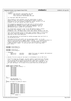```
7 * - - 1inux-c
2 * viodasd.c
3 * Authors: Dave Boutcher <boutcher@us.ibm.com>
                       Ryan Arnold <ryanarn@us.ibm.com>
5 * Colin Devilbiss <devilbis@us.ibm.com>
\epsilon7 * (C) Copyright 2000 IBM Corporation
 8 * 
9 * This program is free software; you can redistribute it and/or
* modify it under the terms of the GNU General Public License as<br>11 * published by the Free Software Foundation: either version 2 of
11 * published by the Free Software Foundation; either version 2 of the
12 * License, or (at your option) any later version.
13<br>14<sup>14</sup> * This program is distributed in the hope that it will be useful,<br><sup>15</sup> * but WITHOUT ANY WAPPANTY, without even the implied warranty of
15 * but WITHOUT ANY WARRANTY; without even the implied warranty of
16 * MERCHANTABILITY or FITNESS FOR A PARTICULAR PURPOSE. See the
17 * GNU General Public License for more details.
\frac{18}{19}* You should have received a copy of the GNU General Public License
20 * along with this program; if not, write to the Free Software
21 * Foundation, Inc., 59 Temple Place, Suite 330, Boston, MA 02111−1307 USA 
22 ***************************************************************************
<sup>23</sup> * This routine provides access to disk space (termed "DASD" in historical<br><sup>24</sup> * IBM terms) owned and managed by an 0S/400 partition running on the
<sup>24</sup> * IBM terms) owned and managed by an OS/400 partition running on the<br><sup>25</sup> * Same box as this Linux partition.
      * same box as this Linux partition.
rac{26}{27}27 * All disk operations are performed by sending messages back and forth to 
28 * the OS/400 partition. 
rac{29}{30}% * This device driver can either use its own major number, or it can<br>% * pretend to be an IDE drive (grep 'IDE[0-9]_MAJOR' ../../include/linux/major.h).<br>% * This is controlled with a CONFIG option. You can either call thi
* elegant solution to the fact that a lot of software doesn't recognize<br>* a new disk major number...or you can call this a really ugly hack.
* a new disk major number...or you can call this a really ugly hack.<br>35 * Your choice.
      * Your choice.
3637
<sup>38</sup> #include <linux/major.h><br>39 #include <linux/config.h
    #include <linux/config.h>
40
41 #include <linux/fs.h>
42 #include <linux/blkpg.h>
43
44 /* Changelog:<br>45 2001-11-27
                45 2001−11−27 devilbis Added first pass at complete IDE emulation
46 2002−07−07 boutcher Added randomness
     *48<br>49/* Decide if we are using our own major or pretending to be an IDE drive
5051 * If we are using our own major, we only support 7 partitions per physical
52 * disk....so with minor numbers 0−255 we get a maximum of 32 disks. If we
53 * are emulating IDE, we get 63 partitions per disk, with a maximum of 4
54 * disks per major, but common practice is to place only 2 devices in /dev
55 * for each IDE major, for a total of 20 (since there are 10 IDE majors).
56 */
57
58 #ifdef CONFIG_VIODASD_IDE
    static const int major_table[] = \{60 IDE0_MAJOR,
61 IDE1 MAJOR,
62 IDE2_MAJOR,<br>63 IDE3_MAJOR,
63 IDE3_MAJOR<br>64 IDE4 MAJOR
                64 IDE4_MAJOR,
65 IDE5_MAJOR,<br>66 IDE6_MAJOR,
66 IDE6_MAJOR,<br>67 IDE7 MAJOR,
67 IDE7_MAJOR,<br>68 IDE8 MAJOR.
                68 IDE8_MAJOR,
\begin{array}{cc}\n 69 \\
 70\n \end{array} \begin{array}{cc}\n 1DE9 \overline{M}AJOR\n \end{array}\lambda;
71 enum {
72 DEV_PER_MAJOR = 2,<br>73 PARTITION SHIFT =
73 PARTITION_SHIFT = 6,<br>74 };
    \lambda;
75 static int major_to_index(int major)
76 {
77 switch(major)<br>78 case IDEO MAJC
78 case IDE0_MAJOR: return 0;
79 case IDE1_MAJOR: return 1;
80 case IDE2_MAJOR: return 2;
81 case IDE3_MAJOR: return 3;<br>82 case IDE4_MAJOR: return 4;
82 case IDE4_MAJOR: return 4;
83 case IDE5_MAJOR: return 5;
84 case IDE6_MAJOR: return 6;
85 case IDE7_MAJOR: return 7;
86 case IDE8_MAJOR: return 8;
87 case IDE9_MAJOR: return 9;<br>88 default:
88 default:
                            89 return −1;
Registered Version: Linux Support Power PC64 viodasd.c Exhibit 8.1−30 pg 1/19
```
<sup>90</sup> }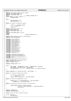```
91 }
92 #define do_viodasd_request do_hd_request
93 #define VIOD_DEVICE_NAME "ide"<br>94 #define VIOD_GENHD_NAME "hd"
    94 #define VIOD_GENHD_NAME "hd"
95 #else /* !CONFIG_VIODASD_IDE */
    static const int major_table[] = \{97 VIODASD_MAJOR,
\begin{matrix} 98 \\ 99 \\ 20 \end{matrix};
99 enum {
100 DEV_PER_MAJOR = 32,<br>101 PARTITION_SHIFT = 3
              PARTITION_SHIFT = 3,
102 \t{103}<br>103 st
103 static int major_to_index(int major)<br>104 {
104 \{<br>105if(max \leq ViODASDMAJOR)
106 return −1;<br>107 return 0;
              107 return 0;
108<br>109
    109 #define VIOD_DEVICE_NAME "viod"
110 #ifdef CONFIG_DEVFS_FS
111 #define VIOD_GENHD_NAME "viod"
112 #else
113 #define VIOD_GENHD_NAME "iseries/vd"
114 #endif
                                             115 #endif /* CONFIG_VIODASD_IDE */
116
117 #define DEVICE_NR(dev) (devt_to_diskno(dev))
118 #define LOCAL_END_REQUEST
119
120 #include <linux/sched.h>
121 #include <linux/timer.h>
122 #include <asm/uaccess.h>
123 #include <linux/module.h>
124 #include <linux/kernel.h>
125 #include <linux/blk.h><br>126 #include <linux/genhd.
    126 #include <linux/genhd.h>
127 #include <linux/hdreg.h>
128 #include <linux/fd.h><br>129 #include <linux/proc_
129 #include <linux/proc_fs.h>
    130 #include <linux/errno.h>
131 #include <linux/init.h>
132 #include <linux/vmalloc.h>
133 #include <linux/string.h><br>134 #include <linux/pci.h>
    #include <linux/pci.h>
135
136 #include <asm/iSeries/HvTypes.h>
137 #include <asm/iSeries/HvLpEvent.h>
138 #include <asm/iSeries/HvLpConfig.h>
139 #include "vio.h"
140 #include <asm/iSeries/iSeries_proc.h>
141
...<br>142 MODULE_DESCRIPTION("iSeries Virtual DASD");<br>143 MODULE_AUTHOR("Dave Boutcher");
    MODULE_AUTHOR("Dave Boutcher");
144 MODULE_LICENSE("GPL");
145
146 #define VIODASD_VERS "1.50"
147
148 enum {
149 NUM_MAJORS = sizeof(major_table) / sizeof(major_table[0]),
150 MAX_DISKNO = DEV_PER_MAJOR * NUM_MAJORS,
151 MAX_MAJOR_NAME = 16 + 1, /* maximum length of a gendisk−>name */
152 };
153
154 static volatile int viodasd_max_disk = MAX_DISKNO − 1;
155
156 static int diskno_to_major(int diskno)
\begin{matrix} 157 \\ 158 \end{matrix}158 if (diskno >= MAX_DISKNO)<br>159 if return -1;
159 return −1;
160 return major_table[diskno / DEV_PER_MAJOR];
161 }
162 static int devt_to_diskno(kdev_t dev)
\begin{matrix} 163 \\ 164 \end{matrix}164 return major_to_index(MAJOR(dev)) * DEV_PER_MAJOR +
165 (MINOR(dev) >> PARTITION\_SHIFT);166 }
167 static int diskno_to_devt(int diskno, int partition)
\begin{matrix} 168 \\ 169 \end{matrix}169 return MKDEV(diskno_to_major(diskno),
170 ((diskno % DEV_PER_MAJOR) << PARTITION_SHIFT) +<br>partition);
                               partition);172 }
173
174 #define VIOMAXREQ 16
    175 #define VIOMAXBLOCKDMA 12
176
177 extern struct pci_dev *iSeries_vio_dev;
178
179 struct openData {
180 1164 mDiskLen;
Registered Version: Linux Support Power PC64 viodasd.c Exhibit 8.1−30 pg 2/19
```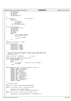```
181 u16 mMaxDisks;<br>182 u16 mCvlinders
               uld mCylinders;
183 u16 mTracks;<br>184 u16 mSectors
               u16 mSectors;
185 u16 mBytesPerSector;<br>186 };
   186 };
187
188 struct rwData { \frac{1}{189} // Used during rw
189 u64 \text{ mOffset};<br>190 struct \{190 struct {
                          u32 mToken;
192 u32 reserved;<br>193 u64 mLen;
193<br>193 u64 mLen;<br>194 amaInfo[VIOMAXB]
194 } dmaInfo[VIOMAXBLOCKDMA];<br>195 };
   195 };
196
197 struct vioblocklpevent {
198 struct HvLpEvent event;<br>199 132 mReserved1;
199 u32 mReserved1;<br>200 u16 mVersion;
200 u16 mVersion;<br>201 u16 mSubTypeR
               u16 mSubTypeRc;
202 u16 mDisk;<br>203 u16 mFlags
203 u16 mFlags;<br>204 union {
204 union {
                          struct openData openData;
206 struct rwData rwData;
207 struct {
<sup>221</sup> 208 208 208 208 208 208
209 } check;
               210 } u;
211 } \} ;
212
213 #define vioblockflags_ro 0x0001
214215 enum vioblocksubtype {<br>216 vioblockopen =
               216 vioblockopen = 0x0001,
217 vioblockclose = 0x0002,<br>
218 vioblockread = 0x0003,
218 vioblockread = 0x0003,<br>219 vioblockwrite = 0x0004
219 vioblockwrite = 0 \times 0004,<br>220 vioblockflush = 0 \times 0005.
               vioblockflush = 0x0005221 vioblockcheck = 0 \times 0007<br>222 };
   222 };
223
224 /* In a perfect world we will perform better if we get page−aligned I/O
     225 * requests, in multiples of pages. At least peg our block size to the
226 * actual page size.
227<br>228
    static int blksize = HVPAGESIZE; \frac{1}{2} /* in bytes */
229230 static DECLARE_WAIT_QUEUE_HEAD(viodasd_wait);<br>231 struct viodasd_waitevent {<br>232 struct semaphore *sem;
233 int rc;<br>
234 union {
234 union {
                          int changed; /* Used only for check change */
236 u16 subRC;<br>237 } data;
               } data;
238 };
239
240 static const struct vio_error_entry viodasd_err_table[] = {
241 {0x0201, EINVAL, "Invalid Range"},
242 {0x0202, EINVAL, "Invalid Token"},
243 {0x0203, EIO, "DMA Error"},<br>
244 {0x0204, EIO, "Use Error"},<br>
245 {0x0205, EIO, "Release Error"},<br>
246 {0x0206, EINVAL, "Invalid Disk"},<br>
247 {0x0206, EINVAL, "Invalid Disk"},<br>
249 {0x0208, EIO, "Already U
252 {0x020C, EROFS, "Read Only Device"},
253 {0x02FF, EIO, "Internal Error"},
254 {0x0000, 0, NULL},
255 };
256
257 /* Our gendisk table
258 */
259 static struct gendisk viodasd_gendisk[NUM_MAJORS];
260261 static struct gendisk *major_to_gendisk(int major)
262 \{<br>263
263 int index = major_to_index(major);<br>264 return index < 0 ? NULL : &viodasd
    return index < 0 ? NULL : &viodasd_gendisk[index];
265 }
266 static struct hd_struct *devt_to_partition(kdev_t dev)
267 \begin{cases} 268 \end{cases}268 return &major_to_gendisk(MAJOR(dev))−>part[MINOR(dev)];
    \}270
Registered Version: Linux Support Power PC64 viodasd.c Exhibit 8.1−30 pg 3/19
```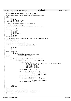```
271 /* Figure out the biggest I/O request (in sectors) we can accept
272
273 #define VIODASD_MAXSECTORS (4096 / 512 * VIOMAXBLOCKDMA)
274
275 /* Keep some statistics on what's happening for the PROC file system
276
277 static struct {
278 long tot;<br>279 long nobh
279 long nobh;<br>280 long nt.cel
280 long ntce[VIOMAXBLOCKDMA];<br>281 } viod stats[MAX DISKNO][2];
   281 } viod_stats[MAX_DISKNO][2];
282
   /* Number of disk I/O requests we've sent to 0S/400
284<br>285
  static int num_req_outstanding;
286
287 /* This is our internal structure for keeping track of disk devices
rac{288}{289}289 struct viodasd_device {<br>290 int useCount;
<sup>290</sup> int useCount;<br>291 116 cylinders;
292 u16 tracks;<br>293 u16 sectors
<sup>202</sup> <sup>293</sup> u16 sectors;<br><sup>294</sup> u16 bytesPer
294 ulf bytesPerSector;<br>295 u64 size;
            u64 size;
296 int readOnly;
297 } *viodasd devices;
298
299 /* When we get a disk I/O request we take it off the general request queue
300 * and put it here.
301 * /<br>302 stzstatic LIST_HEAD(reqlist);
303<br>304
304 /* Handle reads from the proc file system<br>305 */
305 */
306 static int proc_read(char *buf, char **start, off_t offset,
307<br>308 {<br>308 f
\begin{array}{c}\n 308 \quad \{ \\
 309\n \end{array}\begin{array}{ccc}\n\text{309} & \text{int len} = 0; \\
\text{310} & \text{int i;}\n\end{array}int i;
311 int j;
312
313 #if defined(MODULE)
314 len + =<br>315 sp
                sprintf(buf + len,316 "viod Module opened %d times. Major number %d\n",
317 MOD_IN_USE, major_table[0]);
318 #endif
319 len +=<br>320 sp
                 sprintf(buf + len, "viod%d possible devices\n", MAX_DISKNO);
321
\frac{322}{322} for (i = 0; i < 16; i++)<br>\frac{323}{323} if (viod stats[i
\begin{array}{c|c|c|c|c|c} \n\text{323} & \text{if (viod\_stats[j][0].tot } & \text{viod\_stats[i][1].tot)} & \n\end{array}\frac{324}{1} and \frac{1}{1} en \frac{1}{1} en \frac{1}{1} en \frac{1}{1}sprintf(buf + len,\begin{array}{r}\n \text{S26} \\
 \text{326} \\
 \text{327}\n \end{array} TDISK %2.2d: rd %-10.10ld wr %-10.10ld (no buffer list rd %-10.10ld wr %-10.10ld\n",<br>
1, viod stats[i][0].tot,
                                           i, viod_stats[i][0].tot,
328 viod_stats[i][1].tot,<br>329 viod_stats[i][0].nobb
329 viod_stats[i][0].nobh,
                                           viod_stats[i][1].nobh);
331
332 len += sprintf(buf + len, "rd DMA: ");
333<br>334
                              for (j = 0; j < VIOMAXBLOCKDMA; j++)335 len += sprintf(buf + len, "[%2.2d]%ld",
336 j,
337 viod_stats[i][0].ntce[j]);
338
339 len += sprintf(buf + len, "\nwr DMA: ");
340
341 for (j = 0; j < VIOMAXBLOCKDMA; j++)
342 len += sprintf(buf + len, " [%2.2d] %ld",
343 j,
344 viod_stats[i][1].ntce[j]);
345 \text{len} += \text{spring}(\text{buf} + \text{len}, \text{ "}\text{`n"});346 }
347 }
348
\frac{349}{248} *eof = 1;
350 return len;
  351 }
352
353 /* Handle writes to our proc file system
354<br>355355 static int proc_write(struct file *file, const char *buffer,
rac{1}{356} unsigned long count, void *data)
357 {
358 return count;<br>359 }
   359 }
360
Registered Version: Linux Support Power PC64 viodasd.c Exhibit 8.1−30 pg 4/19
```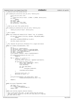/\* setup our proc file system entries void viodasd\_proc\_init(struct proc\_dir\_entry \*iSeries\_proc)  $364 \quad \{$ <br> $365$  struct proc\_dir\_entry \*ent;<br> $366$  ent =  $ent =$ 367 create\_proc\_entry("viodasd", S\_IFREG | S\_IRUSR, iSeries\_proc);<br>368 **if** (!ent) 368 **if** (!ent)<br>369 **return**; **return**; <sup>370</sup> ent−>nlink = 1; ent−>data = **NULL**; ent−>read\_proc = proc\_read; <sup>373</sup> ent−>write\_proc = proc\_write; } /\* clean up our proc file system entries void viodasd\_proc\_delete(struct proc\_dir\_entry \*iSeries\_proc) 379<br>380 remove\_proc\_entry("viodasd", iSeries\_proc); } /\* End a request 384<br>385 static void viodasd\_end\_request(struct request \*req, int uptodate) { **if** (end\_that\_request\_first(req, uptodate, VIOD\_DEVICE\_NAME)) **return**; add\_blkdev\_randomness(MAJOR(req−>rq\_dev)); 391<br>392 end\_that\_request\_last(req); } /\* This rebuilds the partition information for a single disk device \*/ **static** int viodasd\_revalidate(kdev\_t dev) {  $\frac{399}{400}$  int i;  $int$  device\_no = DEVICE\_NR(dev); int dev\_within\_major = device\_no % DEV\_PER\_MAJOR; <sup>402</sup> int part0 = (dev\_within\_major << PARTITION\_SHIFT); 403  $int \t{int} \t{1} < \t{R} \t{R} \t{R} \t{1}$   $int \t{int} \t{d} \t{d} \t{d}$   $int \t{d} \t{R} \t{d} \t{d} \t{d}$   $int \t{d} \t{d} \t{d} \t{d}$   $int \t{d} \t{d} \t{d} \t{d}$   $int \t{d} \t{d} \t{d} \t{d}$   $int \t{d} \t{d} \t{d} \t{d}$   $int \t{d} \t{d} \t{d} \t{d}$   $int \t{d}$ 404 int major = MAJOR(dev);<br>405 struct gendisk \*gendisk struct gendisk \*gendisk = major\_to\_gendisk(major); 407 **if** (viodasd\_devices[device\_no].size == 0)<br>408 **if i return** 0; **return** 0; 410 **for** (i = npart - 1; i >= 0; i--) {<br>
411 int minor = part0 + i; struct hd\_struct \*partition = &gendisk−>part[minor]; <sup>414</sup> **if** (partition−>nr\_sects != 0) { kdev\_t devp = MKDEV(major, minor); <sup>416</sup> struct super\_block \*sb; fsync\_dev(devp); 419  $\text{sb} = \text{get\_super}(\text{devp});$ <br>  $\text{if } (\text{sh})$  **if** (sb) <sup>421</sup> invalidate inodes(sb); 423 invalidate\_buffers(devp);<br>424 } } partition−>start\_sect = 0; partition−>nr\_sects = 0; } grok\_partitions(gendisk, dev\_within\_major, npart, viodasd\_devices[device\_no].size >> 9); **return** 0;  $\}$  **static** u16 access\_flags(mode\_t mode)  $\{439\}$  flags = 0; 440 **if** (!(mode & FMODE\_WRITE))<br>441 **flags**  $=$  vioblockf diags |= vioblockflags\_ro; **return** flags;  $\{ \}$  **static** void internal\_register\_disk(int diskno); /\* This is the actual open code. It gets called from the external  $448$  \* open entry point, as well as from the init code when we're figu \* open entry point, as well as from the init code when we're figuring <sup>449</sup> \* out what disks we have  $450 + /$ Registered Version: Linux Support Power PC64 **viodasd.c** Exhibit 8.1−30 pg 5/19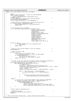```
451 static int internal_open(int device_no, u16 flags)
452 {
153 int i;<br>154 const
454 const int dev_within_major = device_no % DEV_PER_MAJOR;
455 struct gendisk *gendisk =<br>456 major to gendisk (disk
                  major_to_gendisk(diskno_to_major(device no));
457 HvLpEvent_Rc hvrc;<br>458 /* This semaphore
458 \frac{1}{458} /* This semaphore is raised in the interrupt handler \frac{1}{459} \frac{1}{459} DECLARE MUTEX LOCKED(Semaphore);
459 DECLARE_MUTEX_LOCKED(Semaphore);
460 struct viodasd_waitevent we = { sem:&Semaphore };
461
462 /* Check that we are dealing with a valid hosting partition \inf (viopath hostLp == HyLpIndexInvalid) {
463 if (viopath_hostLp == HvLpIndexInvalid)<br>464 if (viopath_hostLp == HvLpIndexInvalid)<br>printk(KERN_WARNING_VIO "Invalid ho
464 printk(KERN_WARNING_VIO "Invalid hosting partition\n");<br>return -FIO:
                       465 return −EIO;
466 }
467
468 \frac{1}{4} Send the open event to 0S/400 \frac{1}{4}<br>469 hvrc = HvCallEvent signalLpEventFast(viopath hostLp).
469 hvrc = HvCallEvent_signalLpEventFast(viopath_hostLp,<br>470 HvLpEvent Type
470 HvLpEvent_Type_VirtualIo<sub>(1471</sub> HvLpEvent_Type_VirtualIo<sub>(1471</sub>) HvLpEvent_Type_VirtualIo<sub>(1471</sub>)
                                                         viomajorsubtype_blockio |
472 vioblockopen, and the state of the state of the state of the state of the state of the state of the state of the state of the state of the state of the state of the state of the state of the state of the state of the s
473 HvLpEvent_AckInd_DoAck,<br>474 HvLpEvent_AckType_Immed
474 HvLpEvent_AckType_ImmediateAck,<br>
475 viopath sourceinst
                                                         viopath_sourceinst
476 (viopath_hostLp),
477 viopath_targetinst
478 (viopath_hostLp),
479 (u64) (unsigned long) &we,
480 VIOVERSION << 16,
481 ((u64) device_no << 48) |
482 ((u64) flags << 32), 0, 0, 0);
483<br>484
484 if (hvrc != 0) {
485 printk(\overline{KERN\_WARNING\_VIO} "bad rc on signalLpEvent %d\n",
                               (int) hyrc);
487 return −EIO;
488 }
489
490 /* Wait for the interrupt handler to get the response */
491 down(&Semaphore);
492
493 \frac{1}{4} /* Check the return code \frac{1}{4} /* \frac{1}{4} /* \frac{1}{4} /* \frac{1}{4} /* \frac{1}{4} /* \frac{1}{4} /* \frac{1}{4} /* \frac{1}{4} /* \frac{1}{4} /* \frac{1}{4} /* \frac{1}{4} /* \frac{1}{4} /* \frac{1}{4} /* \frac{1}{4} /* 
494 if (we.rc != 0) {<br>495 const str
                       const struct vio_error_entry *err =
496 vio_lookup_rc(viodasd_err_table, we.data.subRC);<br>497 printk(KERN WARNING VIO
497 printk(KERN_WARNING_VIO)<br>498 bad rc opening disk: %
498 "bad rc opening disk: %d:0x%04x (%d:0x%04x (%d:0x%04x (%d:0x%04x) = d:0x + d:0x + d:0x + d:0x + d:0x + d:0x + d:0x + d:0x + d:0x + d:0x + d:0x + d:0x + d:0x + d:0x + d:0x + d:0x499 (int) we.rc, we.data.subRC, err−>msg);<br>February −err−>errno;
                       500 return −err−>errno;
501 }
502
             1 If this is the first open of this device, update the device information */
504 /* If this is NOT the first open, assume that it isn't changing */
505 if (viodasd_devices[device_no].useCount == 0) {
506 if (viodasd_devices[device_no].size > 0) {
507 /* divide by 512 */
508 u64 tmpint = viodasd_devices[device_no].size >> 9;
509 gendisk−>part[dev_within_major << PARTITION_SHIFT].nr_sects = tmpint;
510 /* Now the value divided by 1024 */
511 tmpint = tmpint >> 1;
512 gendisk−>sizes[dev_within_major << PARTITION_SHIFT] = tmpint;
513<br>514514 for (i = dev_within_major << PARTITION_SHIFT;
515 i < ((dev_within_major + 1) << PARTITION_SHIFT);<br>
516
\mathbf{i} + + )
517518 hardsect_size[diskno_to_major(device_no)][i] =<br>519 sin viodasd devices[device_no].bytesPerSector;
519 viodasd_devices[device_no].bytesPerSector;
520 }
521 }
522 } else {
523 /* If the size of the device changed, weird things are happening! */
524 if (gendisk−>sizes[dev_within_major << PARTITION_SHIFT] !=
525 viodasd_devices[device_no].size >> 10) {
526 printk(KERN_WARNING_VIO
527 "disk size change (%dK to %dK) for device %d\n",
528 gendisk−>sizes[dev_within_major << PARTITION_SHIFT],
529 (int) viodasd_devices[device_no].size >> 10, device_no);<br>530
530 }
531 }
532
533 internal_register_disk(device_no);
534
535 /* Bump the use count */
536 viodas\overline{\text{d}}evices[device_no].useCount++;<br>537 return 0;
   find \begin{bmatrix} 1 \\ 1 \end{bmatrix}538 }
539
540 /* This is the actual release code. It gets called from the external
Registered Version: Linux Support Power PC64 viodasd.c Exhibit 8.1−30 pg 6/19
```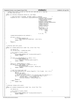```
541 * release entry point, as well as from the init code when we're figuring
542 * out what disks we have
543 */<br>544 sta
   static int internal_release(int device_no, u16 flags)
545 {<br>546
           \frac{1}{3} Send the event to 0S/400. We DON'T expect a response \frac{1}{3}547 HvLpEvent_Rc hvrc = HvCallEvent_signalLpEventFast(viopath_hostLp,
548 HvLpEvent_Type_VirtualIo,<br>549 HvLpEvent_Type_VirtualIo,<br>549 viomajorsubtype blockio
549 viomajorsubtype_blockio
550 | vioblockclose, <br>
HyLpEvent AckInd
551 HvLpEvent_AckInd_NoAck,
552 HvLpEvent_AckType_ImmediateAck,
553 viopath_sourceinst
554 (viopath_hostLp),
                                                            555 viopath_targetinst
556 (viopath_hostLp),
557 0, \overline{)}\frac{1}{558} VIOVERSION << 16, \frac{1}{558} (1164) device no
(1064) device_no<br>
(4064) device_no<br>
(48) | (1064)560<br>561<br>561<br>561<br>561561 flags and the control of the control of the control of the control of the control of the control of the control of the control of the control of the control of the control of the control of the control of the control o
562563 32), 32), 32564 0, 0, 0);
565
566 viodasd_devices[device_no].useCount−−;
567
568 if (hvrc != 0) {
569 printk(KERN_WARNING_VIO)<br>570 mbad rc sending event to
                          "bad rc sending event to OS/400 %d\n", (int) hvrc);
571 return −EIO;
572 }
573 return 0;<br>574 }
   \}575
576
577 /* External open entry point.<br>578 */
577 / *<br>578 * /<br>579 sta
   static int viodasd_open(struct inode *ino, struct file *fil)
580 {
581 int device_no;<br>582 int old max di
           582 int old_max_disk = viodasd_max_disk;
583
584 /* Do a bunch of sanity checks \star/if (!ino)
585 if (!ino) {<br>586 printk(KERN_WARNING_VIO "no inode provided in open\n");<br>587 return -ENODEV;
           587 return −ENODEV;
588 }
580590 if (major_to_index(MAJOR(ino−>i_rdev)) < 0) {
591 printk(KERN_WARNING_VIO
592 "Weird error...wrong major number on open\n");<br>593 return -ENODEV;
           593 return −ENODEV;
594 }
595
596 device_no = DEVICE_NR(ino−>i_rdev);
597 if (device_no > MAX_DISKNO || device_no < 0) {
598 printk(KERN_WARNING_VIO
599 "Invalid device number %d in open\n", device_no);<br>
{\bf return} -ENODEV;
                   600 return −ENODEV;
601 }
602
603 /* Call the actual open code */
604 if (internal_open(device_no, access_flags(fil ? fil−>f_mode : 0)) == 0) {
605 int i;
606 MOD_INC_USE_COUNT;
607 /* For each new disk: */
608 /* update the disk's geometry via internal_open and register it */
609 for (i = old_max_disk + 1; i <= viodasd_max_disk; ++i) {
610 internal_open(i, vioblockflags_ro);
611 internal_release(i, vioblockflags_ro);
612 }
613 return 0;
           614 } else {
615 return −EIO;
616 }
617 }
618
\frac{619}{619} /* External release entry point.
620621 static int viodasd_release(struct inode *ino, struct file *fil)
622 \n{623}int device_no;
624
\frac{d}{dx} or \frac{d}{dx} the same of sanity checks that \frac{d}{dx} is the same of \frac{d}{dx}626 if (!ino) {
627 printk(KERN_WARNING_VIO "no inode provided in release\n");<br>628 printk(KERN_WARNING_VIO "no inode provided in release\n");
628 return −ENODEV;
           \}630
Registered Version: Linux Support Power PC64 viodasd.c Exhibit 8.1−30 pg 7/19
```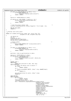```
631 if (major_to_index(MAJOR(ino−>i_rdev)) < 0) {
632 printk(KERN_WARNING_VIO
633 "Weird error...wrong major number on release\n");<br>634 return -ENODEV;
           find −ENODEV;<br>}
635 }
636
637 device_no = DEVICE_NR(ino−>i_rdev);
638
639 if (device_no > MAX_DISKNO || device_no < 0) {
640 printk("Tried to release invalid disk number %d\n",
641 device_no);
642<br>642 return −ENODEV;<br>643 }
643 }
644
645 /* Call the actual release code */
646 internal_release(device_no, access_flags(fil ? fil−>f_mode : 0));
647
648 MOD_DEC_USE_COUNT;<br>649 return 0;
649 return \overline{0};
   \}651
652 /* External ioctl entry point.
653<br>654
654 static int viodasd_ioctl(struct inode *ino, struct file *fil,
                            unsigned int cmd, unsigned long arg)
656 {
657 int device no;
658 int err;
659 HvLpEvent_Rc hvrc;
660 struct hd_struct *partition;
661 DECLARE_MUTEX_LOCKED(Semaphore);
662
663 /* Sanity checks \frac{1}{2} \frac{1}{2} \frac{1}{2} \frac{1}{2} \frac{1}{2} \frac{1}{2} \frac{1}{2} \frac{1}{2} \frac{1}{2} \frac{1}{2} \frac{1}{2} \frac{1}{2} \frac{1}{2} \frac{1}{2} \frac{1}{2} \frac{1}{2} \frac{1}{2} \frac{1}{2} \frac{1}{2} \frac{1}{2} 
664 if (!ino) {
665 printk(KERN_WARNING_VIO "no inode provided in ioctl\n");<br>references return -ENODEV;
           feturn −ENODEV;
667
668
669 if (major_to_index(MAJOR(ino−>i_rdev)) < 0) {
670 printk(KERN_WARNING_VIO
671 "Weird error...wrong major number on ioctl\n");<br>672 return -ENODEV;
           f return −ENODEV;
673 }
674
675 partition = devt_to_partition(ino−>i_rdev);
676
°**<br>677 device_no = DEVICE_NR(ino->i_rdev)<br>678 if (device no > viodasd max disk)
678 if (device_no > viodasd_max_disk) {
679 printk(KERN_WARNING_VIO<br>
"Invalid device number"
680 "Invalid device number %d in ioctl\n", device_no);
681 return −ENODEV;
682 }
683
\begin{array}{ccc} 684 & \text{switch} & (\text{cmd}) \\ \text{685} & \text{case} & \text{RI.KPG:} \end{array}685 case BLKPG:
686 return blk_ioctl(ino−>i_rdev, cmd, arg);
           687 case BLKGETSIZE:
688 \frac{7}{15} /* return the device size in sectors */
689 if (!arg)
                           690 return −EINVAL;
691 err =
692 verify_area(VERIFY_WRITE, (long *) arg, sizeof(long));
693 if (err)
                           694 return err;
695
696 put_user(partition−>nr_sects, (long *) arg);
                   697 return 0;
698
699 case FDFLUSH:
<sup>700</sup> case BLKFLSBUF:<br>701 if (!su
701 if (!suser())
<sup>702</sup> return −EACCES;<br>703 f sync dev(ino->i rdev);
703 fsync_dev(ino−>i_rdev);
                   704 invalidate_buffers(ino−>i_rdev);
705 hvrc = HvCallEvent_signalLpEventFast(viopath_hostLp,
706 HvLpEvent_Type_VirtualIo,
707 viomajorsubtype_blockio
708 | vioblockflush,<br>
The HyLeEvent AckInd
                                                         709 HvLpEvent_AckInd_DoAck,
710 HvLpEvent_AckType_ImmediateAck,
711 viopath_sourceinst
712 (viopath_hostLp),
713 viopath_targetinst
714 (viopath_hostLp),
                                                         ( u64) (unsigned long)
716 &Semaphore,
717 VIOVERSION << 16,
718 ((u64) device_no <<<br>
719 (1064) device_no <<<br>
719 (10.0.0.0);
                                                          48), 0, 0, 0);
720
Registered Version: Linux Support Power PC64 viodasd.c Exhibit 8.1−30 pg 8/19
```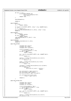```
721
722 if (hvrc != 0) {<br>723 printk(K)
The Contract of the Contract of the Printk (KERN_WARNING_VIO)<br>T24 model of the constraints when the constant of the Constant of the Constant of the Constant of the Constant of the Constant of the Constant of the Constant o
<sup>724</sup> "bad rc on sync signalLpEvent %d\n",<br>
rac{1}{25} (int) hyrc);
725 (int) \text{ hvrc});<br>726 return -EIO;7 return −EIO;<br>}
727 }
728
729 down(&Semaphore);
730
731 return 0;
732
733 case BLKRAGET:
734 if (!arg)
                          return −EINVAL;
736 err =
737 verify_area(VERIFY_WRITE, (long *) arg, sizeof(long));<br>738 if (err)
738 if (err)
<sup>739</sup> return err;<br>740 return err;<br>740 return extension put user(read ahead
740 put_user(read_ahead[MAJOR(ino->i_rdev)], (long *) arg);<br>741 return 0;
                  741 return 0;
742
743 case BLKRASET:
744 if (!suser())
                         return -EACCES;
746 if (arg > 0x00ff)<br>
747 return -E
<sup>747</sup> return −EINVAL;<br>748 read_ahead[MAJOR(ino->i
748 read_ahead[MAJOR(ino−>i_rdev)] = arg;
                  return 0;
750
751 case BLKRRPART:
752 viodasd_revalidate(ino->i_rdev);<br>753 return 0;
                  return \overline{0};
754
755 case HDIO_GETGEO:
756 {
757 unsigned char sectors;
758 unsigned char heads;
759 unsigned short cylinders;
760
761 struct hd_geometry *geo =
762 (struct hd_geometry *) arg;
763<br>764<br>764<br>764<br>if (geo == NULL)<br>if (geo = NULL)
                                 764 return −EINVAL;
765
766 err = verify_area(VERIFY_WRITE, geo, sizeof(*geo));
767 if (err)
                                 768 return err;
769
770 sectors = viodasd_devices[device_no].sectors;<br>
if (sectors == 0)
\frac{771}{772} if (sectors == 0)<br>sectors =
                                 sectors = 32;773
774 heads = viodasd_devices[device_no].tracks;<br>775 if (heads == 0)
                          if (heads == 0)776 heads = 64;
777
778 cylinders = viodasd_devices[device_no].cylinders;<br>779 if (cylinders == 0)
779 if (cylinders == 0)
                                 cylinders =
781 partition−>nr_sects / (sectors *
782 heads);
783
                          put_user(sectors, &geo->sectors);
785 put_user(heads, &geo−>heads);
786 put_user(cylinders, &geo−>cylinders);
787
788 put_user(partition->start_sect,<br>789 put_user(partition->start_sect,<br>(long *) &geo->start);
                                  789 (long *) &geo−>start);
790
791 return 0;
792 }
793
794 case HDIO_GETGEO_BIG:
795796 unsigned char sectors;<br>
797 unsigned char heads;
797 unsigned char heads;
798 unsigned int cylinders;
799
800 struct hd_big_geometry *geo =
801 (struct hd_big_geometry *) arg;
802 if (geo == NULL)<br>803 if (geo == NULL)
                                 803 return −EINVAL;
804
805 err = verify_area(VERIFY_WRITE, geo, sizeof(*geo));
806 if (err)
                                 807 return err;
808
809 sectors = viodasd_devices[device_no].sectors;
810 if (sectors == 0)
Registered Version: Linux Support Power PC64 viodasd.c Exhibit 8.1−30 pg 9/19
```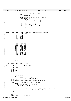$811$  sectors =  $32;$ 812 813 heads = viodasd\_devices[device\_no].tracks;<br>814 **if** (heads == 0)  $if (heads == 0)$  $815$  heads = 64; 816 <sup>817</sup> cylinders = viodasd\_devices[device\_no].cylinders; 818 **if** (cylinders == 0)<br>819 cylinders = 819 cylinders = cylinders = cylinders = cylinders = cylinders = cylinders = cylinders = cylinders = cylinders = cylinders = cylinders = cylinders = cylinders = cylinders = cylinders = cylinders = cylinders = cylinders = cy 820 partition−>nr\_sects / (sectors \*<br>821 heads); 821 heads); heads are the control of the control of the control of the control of the control of the control of the control of the control of the control of the control of the control of the control of the control of the c 822 <sup>823</sup> put\_user(sectors, &geo−>sectors); <sup>824</sup> put\_user(heads, &geo->heads);<br>put\_user(cylinders &geo->cyl put\_user(cylinders, &geo->cylinders); 826 er<br>827 put\_user(partition->start\_sect,<br>828 (long \*) & qeo->start); <sup>828</sup> (long \*) &geo−>start); 829 830 **return** 0;<br>831 **b**  $831$  } 832 833 **#define** PRTIOC(x) **case** x: printk(KERN\_WARNING\_VIO "got unsupported FD ioctl " #x "\n"); \ **return** −EINVAL; 835 <sup>836</sup> PRTIOC(FDCLRPRM); <sup>837</sup> PRTIOC(FDSETPRM); example:<br>838 PRTIOC(FDDEFPRM); <sup>839</sup> PRTIOC(FDGETPRM); <sup>840</sup> PRTIOC(FDMSGON); 841 PRTIOC(FDMSGOFF);<br>842 PRTIOC(FDFMTBEG); PRTIOC(FDFMTBEG); <sup>843</sup> PRTIOC(FDFMTTRK); <sup>844</sup> PRTIOC(FDFMTEND); 845 PRTIOC(FDSETEMSGTRESH);<br>
PRTIOC(FDSETMAXERRS); PRTIOC(FDSETMAXERRS); 847 **PRTIOC(FDGETMAXERRS);**<br>848 **PRTIOC(FDGETDRVTYP)**; exp. to the extent of the extra property of the extra property of the extra property of the extra property of the extra property of the extra property of the extra property of the extra property of the extra property of th 849 **PRTIOC(FDSETDRVPRM);**<br>R50 **PRTIOC(FDGETDRVPRM)**; PRTIOC(FDGETDRVPRM); <sup>851</sup> PRTIOC(FDGETDRVSTAT); <sup>852</sup> PRTIOC(FDPOLLDRVSTAT); <sup>853</sup> PRTIOC(FDRESET); <sup>854</sup> PRTIOC(FDGETFDCSTAT); PRTIOC(FDWERRORCLR); <sup>856</sup> PRTIOC(FDWERRORGET); <sup>857</sup> PRTIOC(FDRAWCMD); <sup>858</sup> PRTIOC(FDEJECT); PRTIOC(FDTWADDLE); 860 <sup>861</sup> } 862 <sup>863</sup> **return** −EINVAL; <sup>864</sup> } 865  $866$  /\* Send an actual I/O request to 0S/400 867 <sup>868</sup> **static** int send\_request(struct request \*req) 869<br>870 u64 sect\_size;  $871$  u64 start; 872 u64 len;<br>873 *int* dire 873 int direction;<br>874 int nsg; int nsg;  $875$   $116 \text{ vi} \text{o} \text{cm}$ ere and the community of the second state of the second state of the second state  $HvLp$  and  $Rc$  here  $i$ <sup>877</sup> struct vioblocklpevent \*bevent; <sup>878</sup> struct scatterlist sg[VIOMAXBLOCKDMA]; 879 struct buffer head \*bh;<br>aso int sqindex; int sgindex; <sup>881</sup> int device\_no = DEVICE\_NR(req−>rq\_dev); <sup>882</sup> int dev\_within\_major = device\_no % DEV\_PER\_MAJOR; 883 int statindex;<br>884 struct hd stru <sup>884</sup> struct hd\_struct \*partition = devt\_to\_partition(req−>rq\_dev); 885 <sup>886</sup> **if** (device\_no > viodasd\_max\_disk || device\_no < 0) {  $887$  printk<br>  $888$   $(")$ 888 ("yikes! sending a request to device %d of %d possible?\n",<br>device no viodasd max disk  $+1$ );  $device-no, voidasd_max\_disk + 1);$ <sup>890</sup> } 891  $892$  /\* Note that this SHOULD always be 512...but lets be architecturally correct \*/<br>893 sect size = hardsect size MAJOR(reg->rg dev) | [dev within major]; sect\_size = hardsect\_size[MAJOR(req->rq\_dev)][dev\_within\_major]; 894 <sup>895</sup> /\* Figure out the starting sector and length \*/ <sup>896</sup> start = (req−>sector + partition−>start\_sect) \* sect\_size; <sup>897</sup> len = req−>nr\_sectors \* sect\_size; 898  $\frac{800}{899}$  /\* More paranoia checks  $\frac{1}{2}$  /  $\frac{1}{2}$  /  $\frac{1}{2}$  /  $\frac{1}{2}$  /  $\frac{1}{2}$  /  $\frac{1}{2}$  /  $\frac{1}{2}$  /  $\frac{1}{2}$  /  $\frac{1}{2}$  /  $\frac{1}{2}$  /  $\frac{1}{2}$  /  $\frac{1}{2}$  /  $\frac{1}{2}$  /  $\frac{1}{2}$  /  $\frac{1}{2}$  /  $\frac$ <sup>900</sup> **if** ((req−>sector + req−>nr\_sectors) > Registered Version: Linux Support Power PC64 **viodasd.c** Exhibit 8.1−30 pg 10/19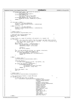```
901 (partition−>start_sect + partition−>nr_sects)) {
902 printk(KERN_WARNING_VIO
903 "Invalid request offset & length\n");<br>904 printk(KERN_WARNING_VIO
                    904 printk(KERN_WARNING_VIO
905 "req−>sector: %ld, req−>nr_sectors: %ld\n",
906 req−>sector, req−>nr_sectors);
907 printk(KERN_WARNING_VIO "major: %d, minor: %d\n",
908 MAJOR(req−>rq_dev), MINOR(req−>rq_dev));
909 return −1;<br>910 }
910 }
911
912 if (req->cmd == READ)<br>913 direction = PO
912 if (req->cmd == READ) {<br>
913 direction = PCI_DMA_FROMDEVICE;<br>
914 viocmd = viomajorsubtype blocki
914 viocmd = viomajorsubtype_blockio | vioblockread;<br>\frac{1}{2} statindex = 0:
                    statindex = 0;916 } else {
917 direction = PCI_DMA_TODEVICE;
918 viocmd = viomajorsubtype_blockio | vioblockwrite;
           {\rm statindex} = 1;920 }
921
922 /* Update totals */
           viod_stats[device_no][statindex].tot++;
924
925 /* Now build the scatter−gather list */
926 memset(&sg, 0x00, sizeof(sg));
927 sgindex = 0;
928
929 /* See if this is a swap I/O (without a bh pointer) or a regular I/O */<br>930 if (reg->bh) {
           if (req->bh) {<br>(* 0K.
931 f' ok...this loop takes buffers from the request and adds them to the SG until we're done, or until we hit a maximum. If we hit a maximum we'
                       932 until we're done, or until we hit a maximum. If we hit a maximum we'll
933 just finish this request later<br>
\frac{934}{h} = \frac{r e^{\alpha} - \frac{r}{h}}{r}934 bh = req−>bh;<br>935 bh = req−>bh;<br>while ((bh) &
935 while ((bh) && (sgindex < VIOMAXBLOCKDMA)) {<br>sq[sqindex]address = bh->b data;
                            936 sg[sgindex].address = bh−>b_data;
\frac{1}{937} sq[sqindex].length = bh−>b_size;
938
939 \text{sgindex}++;<br>
\text{bh} = \text{bh}-\text{bh}bh = bh->b_reqnext;
941 }
942 neg = pci\_map\_sg(iSeries\_vio\_dev, sg, sjindex, direction);<br>943 if ((nsq == 0) || (sg[0].dma\_length == 0)943 if ((nsg == 0) || (sg[0].dma_length == 0)
944 || (sg[0].dma_address == 0xFFFFFFFF)) {
945 printk(KERN_WARNING_VIO "error getting sg tces\n");
946 return −1;<br>947 f
947 }
948<br>949
949 } else {
950 /* Update stats */
951 viod_stats[device_no][statindex].nobh++;
952<br>953
953 sg[0].dma_address =<br>pci_map_single(
954 pci_map_single(iSeries_vio_dev, req−>buffer, len,
955 direction);
956 if (sg[0].dma_address == 0xFFFFFFFF) {
957 printk(KERN_WARNING_VIO
958 "error allocating tce for address %p len %ld\n",<br>
\text{res}-\text{buffer}. (long) len);
959 req−>buffer, (long) len);<br>return -1;<br>return -1;
                    960 return −1;
961 }
962 sg[0].dma_length = len;<br>
963 ng = 1;963 \log = 1;\left\{ \right\}965
966 /* Update stats */
           viod_stats[device_no][statindex].ntce[sgindex]++;
968
969 \frac{1}{4} This optimization handles a single DMA block \frac{1}{4} \frac{1}{4} \frac{1}{4} (sqindex == 1) {
970 if (sgindex == 1) {<br>
\frac{1}{2} /* Send the open event to OS/400 */
972 hvrc = HvCallEvent_signalLpEventFast(viopath_hostLp,<br>973 HvLpEvent Type
973 HvLpEvent_Type_VirtualIo,<br>974 violmaiorsubt.vpe blockio
                                                          viomajorsubtype_blockio
975 | viocmd,
976 HvLpEvent_AckInd_DoAck,
977 and the state of the state of the state of the HVLpEvent_AckType_ImmediateAck, \frac{1}{2} and \frac{1}{2} and \frac{1}{2} and \frac{1}{2} and \frac{1}{2} and \frac{1}{2} and \frac{1}{2} and \frac{1}{2} and \frac{1}{2} and \frac{1}{2} and
978 viopath_sourceinst<br>
(viopath_sourceinst<br>
(viopath_hostLp)
                                                           (viopath_hostLp),
980 viopath_targetinst
981 (viopath_hostLp),
982 ( u64 ) ( using <math>u64  u64 )<br>
  \  \ reg->buffer.
983 req−>buffer,
984 VIOVERSION << 16,
                                                           985 ((u64) device_no <<
986 48), start,
987 ((u64) sg[0].
\frac{1}{2} dma_address) << 32,<br>sq[0] dma length);
                                                          sg[0].dma_length);
990 } else {
Registered Version: Linux Support Power PC64 viodasd.c Exhibit 8.1−30 pg 11/19
```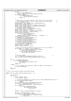```
991 bevent =
992 (struct vioblocklpevent *)
993 vio_get_event_buffer(viomajorsubtype_blockio);<br>994 if (bevent == NULL) {
                      if (bevent = iv NULL) {
995 printk(KERN_WARNING_VIO)<br>996 perror allocating disk ev
                                        "error allocating \overline{disk} event buffer\n");
997 return −1;<br>998 f
998 }
999
1000 /* Now build up the actual request. Note that we store the pointer /* to the request buffer in the correlation token so we can match
                      1/* to the request buffer in the correlation token so we can match 1/* this response un later
1002 /* this response up later */
1003 memset(bevent, 0x00, sizeof(struct vioblocklpevent));
1004 bevent−>event.xFlags.xValid = 1;<br>1005 bevent->event.xFlags.xFunction
                      1005 bevent−>event.xFlags.xFunction = HvLpEvent_Function_Int;
1006 bevent−>event.xFlags.xAckInd = HvLpEvent_AckInd_DoAck;
1007 bevent−>event.xFlags.xAckType =<br>1007 bevent−>event.xFlags.xAckType =
1008 HvLpEvent_AckType_ImmediateAck;<br>1009 hevent->event_xType = HyLpEvent Type
1009 bevent−>event.xType = HvLpEvent_Type_VirtualIo;
1010 bevent−>event.xSubtype = viocmd;
1011 bevent−>event.xSourceLp = HvLpConfig_getLpIndex();
1012 bevent−>event.xTargetLp = viopath_hostLp;<br>1013 bevent−>event.xSizeMinus1 =
1013 bevent−>event.xSizeMinus1 =<br>1014 offsetof(struct viobloc
1014 offsetof(struct vioblocklpevent,<br>
1015 u.rwData.dmaInfo) +
                                     u.rwData.dmaInfo) +
1016 (sizeof(bevent−>u.rwData.dmaInfo[0]) * (sgindex)) − 1;
1017 bevent−>event.xSizeMinus1 =
1018 sizeof(struct vioblocklpevent) − 1;
1019 bevent−>event.xSourceInstanceId =<br>1020 vionath sourceinst(vionath ho
                           viopath_sourceinst(viopath_hostLp);
1021 bevent->event.xTargetInstanceId =<br>1022 viopath targetinst(viopath ho
                           viopath_targetinst(viopath_hostLp);
1023 bevent−>event_xCorrelationToken =<br>1024 (1064) (1054) (1019) reg->bu
1024 (u64) (unsigned long) req->buffer;<br>
1025 hevent->mVersion = VIOVERSION:
1025 bevent−>mVersion = VIOVERSION;
1026 bevent−>mDisk = device_no;
1027 bevent−>u.rwData.mOffset = start;
1028
1029 /* Copy just the dma information from the sg list into the request */<br>1030 for (sgindex = 0; sgindex < nsg; sgindex++) {<br>1031 bevent->u.rwData.dmaInfo[sgindex].mToken =
1032 sg[sgindex].dma_address;
1033 bevent−>u.rwData.dmaInfo[sgindex].mLen =
1034 sg[sgindex].dma_length;<br>
1035 }
\left\{\n \begin{array}{ccc}\n 1035 & & \\
 \end{array}\n \right\}1036
\frac{1037}{1038} /* Send the request<br>
hyrc = HvCallEvent signalLpEvent(&bevent->event);
1038 hvrc = HvCallEvent_signalLpEvent(&bevent->event);<br>1038 hvrc = HvCallEvent_signalLpEvent(&bevent->event);
             vio_free_event_buffer(viomajorsubtype_blockio, bevent);<br>}
10401041
1042 if (hvrc != HvLpEvent_Rc_Good) {
                      printk(KERN_WARNING_VIO
<sup>1044</sup> "error sending disk event to OS/400 (rc %d)\n",<br>
\frac{1045}{105}(int) hvrc);
1046 return −1;<br>
1047 else {
             1047 } else {
1048 /* If the request was successful, bump the number of outstanding */
                      num_req_outstanding++;
1050 }
1051 return 0;
1052 }
1053<br>1054
   1<sup>*</sup> This is the external request processing routine
1055 */
1056 static void do_viodasd_request(request_queue_t * q)
\begin{matrix} 1057 \\ 1058 \end{matrix}1058 int \text{ device\_no;}<br>1059 for (i)1059 for (;;) for (
1060 struct request *req;
1061 struct gendisk *gendisk;
1062
1063 /* inlined INIT_REQUEST here because we don't define MAJOR_NR before blk.h */<br>if (list empty(\kappa q->queue head))
                      1064 if (list_empty(&q−>queue_head))
1065 return;
1066 req = blkdev_entry_next_request(&q−>queue_head);
1067 if (major_to_index(MAJOR(req−>rq_dev)) < 0)
1068 panic (VIOD_DEVICE_NAME ": request list destroyed");<br>
if (req \rightarrow b h) {
                      1069 if (req−>bh) {
1070 if (!buffer_locked(req−>bh))
1071 panic(VIOD_DEVICE_NAME
\frac{1072}{1073} \frac{1}{1073} \frac{1}{1073}1073 }
1074
1075 gendisk = major_to_gendisk(MAJOR(req−>rq_dev));
1076
107<br>1077 device_no = DEVICE_NR(req->rq_dev);<br>1078 if (device_no > MAX_DISKNO | devic
1078 if (device_no > MAX_DISKNO || device_no < 0) {<br>printk(KERN_WARNING_VIO "Invalid device # %d\n" ,
1080 device_no);
Registered Version: Linux Support Power PC64 viodasd.c Exhibit 8.1−30 pg 12/19
```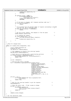```
1081 viodasd_end_request(req, 0);
1082 continue;<br>1083 a continue;
1083 }
1084
1085 if (gendisk−>sizes == NULL) {
1086 printk(KERN_WARNING_VIO
1087 The control of the control of the control of the control of the control of the control of the control of the control of the control of the control of the control of the control of the control of the control of the co
1088 viodasd_end_request(req, 0);<br>1088 continue;
1089 continue;<br>
1090 a continue;
1090 }
1091
1092 /* If the queue is plugged, don't dequeue anything right now */
1093 if ((q) && (q−>plugged)) {
1094 return;<br>
1095 }
1095 }
1096
1097 /* If we already have the maximum number of requests outstanding to OS/400
1098 just bail out. We'll come back later<br>if (num req outstanding >= VIOMAXREO) {
1099 if (num_req_outstanding >= VIOMAXREQ) {<br>1100 return;
1100 return;<br>1101 f
1101 \}1102
1103 /* get the current request, then dequeue it from the queue */<br>1104 blkdev_dequeue_request(req);
                       blkdev_dequeue_request(req);
1105
1106 /* Try sending the request */
1107 if (send_request(req) == 0) {
1108 list_add_tail(&req−>queue, &reqlist);
1109 else {
                       1111 viodasd_end_request(req, 0);
1111 \}1112    }<br>1113    }
1113 }
1114
1115 /* Check for changed disks
1116 */
1117 static int viodasd_check_change(kdev_t dev)
1118 \{<br>1119
1119 struct viodasd_waitevent we;
             HvLpEvent_Rc hvrc;
1121 1121 int device_no = DEVICE_NR(dev);
1122
1123 \frac{1}{1123} /* This semaphore is raised in the interrupt handler \frac{1}{1124} DECLARE MUTEX LOCKED(Semaphore);
             DECLARE_MUTEX_LOCKED(Semaphore);
1125
1126 /* Check that we are dealing with a valid hosting partition * */<br>1127 if (viopath hostLp == HvLpIndexInvalid) {
1127 if (viopath_hostLp == HvLpIndexInvalid)<br>1128 if (viopath_hostLp == HvLpIndexInvalid)<br>printk(KERN WARNING VIO "Invalid ho
1128 printk(KERN_WARNING_VIO "Invalid hosting partition\n");<br>
return -ETO;
             <sup>1</sup>129 return −EIO<sub>i</sub>
1130 }
1131
1132 we.sem = &Semaphore;
1133
1134 /* Send the open event to OS/400 */
1135 hvrc = HvCallEvent_signalLpEventFast(viopath_hostLp,
1136 HupEvent_inverse Control Control Control Control Control Control Control Control Control Control Control<br>HvDpEvent_Type_VirtualIo,<br>Institution of the state of the control control control control control control cont
                                                          viomajorsubtype_blockio |
1138 vioblockcheck, the state of the state of the vioblockcheck, the vioblockcheck, the state of the state of the state of the state of the state of the state of the state of the state of the state of the state of the stat
1139 HvLpEvent_AckInd_DoAck,
1140 HvLpEvent_AckType_ImmediateAck,
1141 viopath_sourceinst
1142 (viopath_hostLp), (viopath_hostLp), (viopath_targeting)
1143 viopath_targetinst
                                                          (viopath_hostLp),
1145 (u64) (unsigned long) &we,
1146 VIOVERSION << 16,
1147 ((u64) device_no << 48), 0, 0, 0, 1148
1148 0);
1149
1150 if (hvrc != 0) {
1151 printk(KERN_WARNING_VIO "bad rc on signalLpEvent %d\n",<br>
(1152)<br>
(1152)
1152 (int) hvrc);<br>1153 return -EIO;
             1153 return −EIO;
1154 }
1155
1156 /* Wait for the interrupt handler to get the response */
1157 down(&Semaphore);
1158
1159 /* Check the return code. If bad, assume no change * /*
1160 if (we.rc != 0)<br>1161 printle (K
                      10: - 0, 1<br>printk(KERN_WARNING_VIO
<sup>1162</sup> "bad rc %d on check_change. Assuming no change\n",<br>
\frac{(int)_{W \in C}(i)}{(int)_{W \in C}(i)}1163 (int) we.rc);<br>1164 return 0;<sup>1</sup><sub>1</sub>f<sub>1</sub>\frac{1}{6}<sup>1</sup><sub>1</sub>f<sub>1</sub>\frac{1}{6}<sup>1</sup><sub>1</sub>\frac{1}{6}1165 }
1166
1167 return we.data.changed;
1168 }
1169
1170 /* Our file operations table
Registered Version: Linux Support Power PC64 viodasd.c Exhibit 8.1−30 pg 13/19
```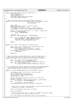```
Registered Version: Linux Support Power PC64 viodasd.c Exhibit 8.1−30 pg 14/19
```
 $1171 + x$ / <sup>111</sup>1172 **static** struct block device operations viodasd fops = { 1173 open:viodasd\_open,<br>
1174 release:viodasd\_re release:viodasd\_release, <sup>1175</sup> ioctl:viodasd\_ioctl, <sup>1176</sup> check\_media\_change:viodasd\_check\_change, 1177 revalidate:viodasd\_revalidate <sup>1178</sup> }; 1179 <sup>1180</sup> /\* returns the total number of scatterlist elements converted \*/ <sup>1181</sup> **static** int block\_event\_to\_scatterlist(**const** struct vioblocklpevent \*bevent, <sup>1182</sup> struct scatterlist \*sg,  $int *total_length$ <br>1183  $int *total_length)$ 1184<br>1195  $int$  i, numsg; <sup>1186</sup> **const** struct rwData \*rwData = &bevent−>u.rwData; <sup>1187</sup> **static const** int offset = 1188 offsetof(struct vioblocklpevent, u.rwData.dmaInfo);<br>1189 **static const** int element size = **sizeof**(rwData->dmaInfo); <sup>1189</sup> **static const** int element\_size = **sizeof**(rwData−>dmaInfo[0]); 1190 <sup>1191</sup> numsg = ((bevent−>event.xSizeMinus1 + 1) − offset) / element\_size; 1192 **if** (numsg > VIOMAXBLOCKDMA)<br>
1193 **inumsg = VIOMAXBLOCK**  $numsg = VIOMAXBLOCKDMA;$ 1194  $1195$  \*total\_len = 0; <sup>1196</sup> memset(sg, 0x00, **sizeof**(sg[0]) \* VIOMAXBLOCKDMA); 1197 <sup>1198</sup> **for** (i = 0; (i < numsg) && (rwData−>dmaInfo[i].mLen > 0); ++i) { 1199 sg[i].dma\_address = rwData->dmaInfo[i].mToken;<br>1200 sg[i]dma\_length = rwData->dmaInfo[i]mLen; sg[i].dma\_length = rwData->dmaInfo[i].mLen; 1201  $*$ total len += rwData->dmaInfo[i].mLen; <sup>1202</sup> } 1203 **return** i;<br>1204 } <sup>1204</sup> } 1205 <sup>1206</sup> **static** struct request \*find\_request\_with\_token(u64 token)  $1207$  {<br>1208 1208 struct request \*req = blkdev\_entry\_to\_request(reqlist.next);<br>1209 **while** ((&req->queue != &reqlist) && <sup>1209</sup> **while** ((&req−>queue != &reqlist) && <sup>1210</sup> ((u64) (unsigned long) req−>buffer != token)) 1211 req = blkdev\_entry\_to\_request(req->queue.next);<br>1212 **if** (&req->queue == &reqlist) { <sup>1213</sup> **return NULL**; <sup>1214</sup> } return req; <sup>1216</sup> } 1217 <sup>1218</sup> /\* Restart all queues, starting with the one \_after\_ the major given, \*/ <sup>1219</sup> /\* thus reducing the chance of starvation of disks with late majors. \*/ <sup>1220</sup> **static** void viodasd\_restart\_all\_queues\_starting\_from(int first\_major)  $1221 \quad \{$ <sup>1222</sup> int i, first\_index = major\_to\_index(first\_major); <sup>1223</sup> **for**(i = first\_index + 1; i < NUM\_MAJORS; ++i) 1224 do\_viodasd\_request(BLK\_DEFAULT\_QUEUE(major\_table[i]));<br>for(i = 0; i <= first index; ++i)  $for(i = 0; i \leq first_index; ++i)$ <sup>1226</sup> do\_viodasd\_request(BLK\_DEFAULT\_QUEUE(major\_table[i])); <sup>1227</sup> } 1228  $1229$  /\* For read and write requests, decrement the number of outstanding requests,<br> $1230$  \* Free the DMA buffers we allocated, and find the matching request by <sup>1230</sup> \* Free the DMA buffers we allocated, and find the matching request by <sup>1231</sup> \* using the buffer pointer we stored in the correlation token.  $1232$   $*$ <sup>1233</sup> **static** int viodasd\_handleReadWrite(struct vioblocklpevent \*bevent) <sup>1234</sup> { <sup>1235</sup> int num\_sg, num\_sect, pci\_direction, total\_len, major; <sup>1236</sup> struct request \*req; 1237 struct scatterlist sg[VIOMAXBLOCKDMA];<br>1238 struct HvLpEvent \*event = &bevent->eve 1238 struct HvLpEvent \*event = &bevent->event;<br>1239 sunsigned long irg flags; unsigned long irq\_flags; 1240 <sup>1241</sup> num\_sg = block\_event\_to\_scatterlist(bevent, sg, &total\_len); <sup>1242</sup> num\_sect = total\_len >> 9; <sup>1243</sup> **if** (event−>xSubtype == (viomajorsubtype\_blockio | vioblockread)) <sup>1244</sup> pci\_direction = PCI\_DMA\_FROMDEVICE; <sup>1245</sup> **else** 1246 pci\_direction = PCI\_DMA\_TODEVICE; 1247 pci\_unmap\_sq(iSeries\_vio\_dev, sq, num\_sq, pci\_direction); 1248 1249 <sup>1250</sup> /\* Since this is running in interrupt mode, we need to make sure we're not <sup>1251</sup> \* stepping on any global I/O operations 1252<br>1253 spin\_lock\_irqsave(&io\_request\_lock, irq\_flags); 1254 <sup>1255</sup> num\_req\_outstanding−−; 1256 1257 /\* Now find the matching request in OUR list (remember we moved the request  $*$  from the global list to our list when we got it)  $*$  from the global list to our list when we got it) 1259 <sup>1260</sup> req = find\_request\_with\_token(bevent−>event.xCorrelationToken);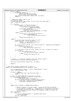Registered Version: Linux Support Power PC64 **viodasd.c** Exhibit 8.1−30 pg 15/19

<sup>1261</sup> **if** (req == **NULL**) { 1262 printk (KERN\_WARNING\_VIO)<br>1263 1263 Morequest mat 1263 The structure in the set of the set of the set of the set of the set of the set of the set of the set of the set of the set of the set of the set of the set of the set of the set of the set of the set of the set of th 1264 bevent−>event.xCorrelationToken);<br>1265 1265 bevent.irgrestore(&io request lock. 1265 spin\_unlock\_irqrestore(&io\_request\_lock, irq\_flags);<br>1266 seturn -1; 1<sup>2</sup>/<sub>1</sub><sup>6</sup>/<sub>1</sub><sup>6</sup>/<sub>1</sub><sup>6</sup>/<sub>1</sub><sup>6</sup>/<sub>1</sub><sup>6</sup>/<sub>1</sub><sup>6</sup>/<sub>1</sub><sup>6</sup>/<sub>1</sub><sup>6</sup>/<sub>1</sub><sup>6</sup>/<sub>1</sub><sup>6</sup>/<sub>1</sub><sup>6</sup>/<sub>1</sub><sup>6</sup>/<sub>1</sub><sup>6</sup>/<sub>1</sub><sup>6</sup>/<sub>1</sub><sup>6</sup>/<sub>1</sub><sup>6</sup>/<sub>1</sub><sup>6</sup>/<sub>1</sub><sup>6</sup>/<sub>1</sub><sup>6</sup>/<sub>1</sub><sup>6</sup>/<sub>1</sub><sup>6</sup>/<sub>1</sub><sup>6</sup>/<sub>1</sub><sup>6</sup>/<sub>1</sub><sup>6</sup>/<sub>1</sub><sup>6</sup>/<sub>1</sub><sup>6</sup>/<sub>1</sub><sup>6</sup>/<sub>1</sub><sup>6</sup>/<sub>1</sub><sup>6</sup>/<sub>1</sub><sup>6</sup>/<sub>1</sub><sup>6</sup> <sup>1267</sup> } 1268 1269 /\* Remove the request from our list \*/<br>1270 list del(&reg->gueue); 1270 list\_del(&req->queue);<br>1271 /\* Record this event's  $1/$ \* Record this event's major number so we can check that queue again \*/ <sup>1272</sup> major = MAJOR(req−>rq\_dev); 1273 1274 **if** (!req−>bh) {<br>1275 **if** (eye <sup>1275</sup> **if** (event−>xRc != HvLpEvent\_Rc\_Good) { <sup>1276</sup> **const** struct vio\_error\_entry \*err = 1277 vio\_lookup\_rc(viodasd\_err\_table,<br>
1278 vio\_lookup\_rc(viodasd\_err\_table,<br>
bevent->mSubTypeRc 1278 bevent−>mSubTypeRc);<br>1279 bevent−>mSubTypeRc); 1279 **1279** printk(KERN\_WARNING\_VIO<br>1280 **1280** read/write error %d:0x <sup>1280</sup> "read/write error %d:0x%04x (%s)\n", <sup>1281</sup> event−>xRc, bevent−>mSubTypeRc, err−>msg); 1282 viodasd\_end\_request(req, 0);<br>  $\begin{cases} \text{else} \end{cases}$ <sup>1283</sup> } **else** { 1284 **if** (num\_sect != req−>current\_nr\_sectors) {<br>1285 **if** (num\_sect != req->current\_nr\_sectors) { printk(KERN\_WARNING\_VIO 1286  $\blacksquare$  "Yikes...non bh i/o # sect doesn't match!!!\n ");  $\{1287\}$ <sup>1288</sup> viodasd\_end\_request(req, 1); <sup>1289</sup> } <sup>1290</sup> } **else** { 1291 /\* record having received the answers we did \*/<br>1292 **while** ((num\_sect > 0) && (req−>bh)) {<br>1293 num\_sect -= req->current\_nr\_sectors; <sup>1294</sup> viodasd\_end\_request(req, 1);  $\left\{\n \begin{array}{ccc}\n 1295 & & \\
 1295 & & \\
 1295 & & \\
 1295 & & \\
 1295 & & \\
 1295 & & \\
 1295 & & \\
 1295 & & \\
 1295 & & \\
 1295 & & \\
 1295 & & \\
 1295 & & \\
 1295 & & \\
 1295 & & \\
 1295 & & \\
 1295 & & \\
 1295 & & \\
 12$ <sup>1296</sup> /\* if they somehow answered \_more\_ than we asked for...something weird happened \*/ 1297 **if** (num\_sect) print 1298 **printk** (KERN\_WARNING\_VIO)<br>printk (KERN\_WARNING\_VIO)<br>"Yikes...sectors left over "Yikes...sectors left over on a request!!!\n"); 1300 <sup>1301</sup> /\* if they didn't answer the whole request this time, re−submit the request \*/ 1302 **if** (req->bh) {<br>1303 **if** (se 1303 **if** (send\_request(req) == 0) {<br>1304 1316 1316 1317 1304 1304 list\_add\_tail(&req->queue, &reqlist);<br>1305 let {<br>24 else { <sup>1305</sup> } **else** { 1306 viodasd\_end\_request(req, 0);<br>
}  $\left\{ \right\}$  $1308$  } <sup>1309</sup> } 1310 <sup>1311</sup> /\* Finally, try to get more requests off of this device's queue \*/ 1312 viodasd restart all queues starting from(major); 1313 <sup>1314</sup> spin\_unlock\_irqrestore(&io\_request\_lock, irq\_flags); 1315 1316 **return** 0;<br>
1317 } <sup>1317</sup> } 1318 <sup>1319</sup> /\* This routine handles incoming block LP events \*/ <sup>1320</sup> **static** void vioHandleBlockEvent(struct HvLpEvent \*event)  $1321 \begin{array}{c} 1 \end{array}$ <sup>1322</sup> struct vioblocklpevent \*bevent = (struct vioblocklpevent \*) event; <sup>1323</sup> struct viodasd\_waitevent \*pwe; 1324 <sup>1325</sup> **if** (event == **NULL**) { <sup>1326</sup> /\* Notification that a partition went away! \*/ <sup>1327</sup> **return**; 1328<br>1329 1329 // First, we should NEVER get an int here...only acks<br>
1330 **if** (event->xFlags.xFunction\_Int) {<br>
printk(KERN\_WARNING\_VIO<br>
"Yikes! got an int in viodasd event handler!\n"); <sup>1333</sup> **if** (event−>xFlags.xAckInd == HvLpEvent\_AckInd\_DoAck) { event->xRc = HvLpEvent\_Rc\_InvalidSubtype; <sup>1335</sup> HvCallEvent\_ackLpEvent(event);  $\left\{\right. \right\}$ <sup>1337</sup> } 1338 <sup>1339</sup> **switch** (event−>xSubtype & VIOMINOR\_SUBTYPE\_MASK) { 1340 <sup>1341</sup> /\* Handle a response to an open request. We get all the disk information <sup>1342</sup> \* in the response, so update it. The correlation token contains a pointer to <sup>1343</sup> \* a waitevent structure that has a semaphore in it. update the return code <sup>1344</sup> \* in the waitevent structure and post the semaphore to wake up the guy who <sup>1345</sup> \* sent the request \*/ 1346 **case** vioblockopen:<br>
1347 **bwe** =  $1347$  pwe =  $(1248)$ <sup>1348</sup> (struct viodasd\_waitevent \*) (unsigned long) event−> <sup>1349</sup> xCorrelationToken; <sup>1350</sup> pwe−>rc = event−>xRc;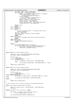```
1351 pwe−>data.subRC = bevent−>mSubTypeRc;
1352 if (event−>xRc == HvLpEvent_Rc_Good) {
1353 const struct openData *data = &bevent−>u.openData;
1354 struct viodasd_device *device =
1355 &viodasd_devices[bevent−>mDisk];<br>1356 device->readOnly =
                              1356 device−>readOnly =
1357 bevent−>mFlags & vioblockflags_ro;<br>1358 device−>size = data->mDiskLen;
1358 device−>size = data−>mDiskLen;<br>1359 device−>cylinders = data−>mCyl
1359 device−>cylinders = data−>mCylinders;<br>device−>tracks = data->mTracks;
1360 device−>tracks = data−>mTracks;
1361 device−>sectors = data−>mSectors;
1362 device−>bytesPerSector = data−>mBytesPerSector;
1363 viodasd_max_disk = data−>mMaxDisks;
1364<br>1265
                     1365 up(pwe−>sem);
1366 break;<br>1367 case vioblockc
1367 case vioblockclose:<br>1368 break;
1368 break;<br>1369 case vioblockc
1369 case vioblockcheck:<br>
1370 b pwe =
1370 pwe =
                         1371 (struct viodasd_waitevent *) (unsigned long) event−>
1372 xCorrelationToken;<br>1373 mwe->rc = event->xRc;
1373 pwe−>rc = event−>xRc;<br>1374 pwe−>data.changed = b
1374 pwe−>data.changed = bevent−>u.check.changed;
                     -<br>up(pwe−>sem);
1376 break;
1377 case vioblockflush:
1378 up((void *) (unsigned long) event−>xCorrelationToken);
1379 break;<br>1380 case vioblockr
            1380 case vioblockread:
1381 case vioblockwrite:<br>1382 case viodasd har
                     1382 viodasd_handleReadWrite(bevent);
1383 break;
1384
1385 default:
                     printk(KERN_WARNING_VIO "invalid subtype!");
1387 if (event−>xFlags.xAckInd == HvLpEvent_AckInd_DoAck) {
1388 event−>xRc = HvLpEvent_Rc_InvalidSubtype;
1389 HvCallEvent\_ackLpEvent(event);\left\{\right. \right\}\begin{array}{c} 1391 \\ 1392 \end{array}1392 }
1393
1394 static const char *major_name(int major)
1395 {
1396 static char major_names[NUM_MAJORS][MAX_MAJOR_NAME];<br>1397 int index = major to index(major);
            int index = major\_to\_index(major);1398<br>1200
1399 if(index < 0)<br>
1400 retur
                     1400 return NULL;
1401 if(major names[index][0] == \sqrt{0'} }
1402 if(index == 0)<br>
1403 strcpy
1403 strcpy(major_names[index], VIOD_GENHD_NAME);<br>1404 else
1404 else
                              sprintf(major_names[index], VIOD_GENHD_NAME"%d", index);
1406 }
   return major_names[index];
1408 }
1409
1410 static const char *device_name(int major)
1411 {
1412 static char device_names[NUM_MAJORS][MAX_MAJOR_NAME];
            int index = major_to_index(major);
1414
1415 if(index < 0)
1416 return NULL;
1417 if(device_names[index][0] == '\0') {<br>1418 #ifdef CONFIG VIODASD IDE
   1418 #ifdef CONFIG_VIODASD_IDE
1419 sprintf(device_names[index], VIOD_DEVICE_NAME"%d", index);
1420 #else
1421 strcpy(device_names[index], VIOD_DEVICE_NAME);<br>1422 #endif
    1422 #endif
1423 }
            return device_names[index];
1425 }
1426
1427 /* This routine tries to clean up anything we allocated/registered
1428<br>1429
   static void viodasd_cleanup_major(int major)
1430 {<br>1431
            1431 const int num_partitions = DEV_PER_MAJOR << PARTITION_SHIFT;
1432 int minor;
1433
1434 #define CLEANIT(x) if (x) {kfree(x); x=NULL;}
1435
1436 for (minor = 0; minor < num_partitions; minor++)<br>1437 for (minor dev(MKDEV(major, minor));
                     fsync_dev(MKDEV(major, minor));
1438
1439 blk_cleanup_queue(BLK_DEFAULT_QUEUE(major));
1440
Registered Version: Linux Support Power PC64 viodasd.c Exhibit 8.1−30 pg 16/19
```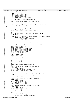```
1441 read ahead[major] = 0;
1442
1443 CLEANIT(blk_size[major]);<br>1444 CLEANIT(blksize_size[majo
1444 CLEANIT(blksize_size[major]);<br>1445 CLEANIT(hardsect_size[major])
1445 CLEANIT(hardsect_size[major]);<br>1446 CLEANIT(max sectors[major]);
                CLEANIT(max sectors[major]);
1447 CLEANIT(major_to_gendisk(major)−>part);
1448
1449 blk_cleanup_queue(BLK_DEFAULT_QUEUE(major));
1450
1451 devfs_unregister_blkdev(major, device_name(major));
1452 }
1453
1454 /* in case of bad return code, caller must cleanup2() for this major */
1455 static int viodasd_init_major(int major)
1456 {<br>1457
1457 int \frac{1}{1458} 1458 const1458 const int numpart = DEV_PER_MAJOR << PARTITION_SHIFT;<br>
int *sizes, *sectsizes, *blksizes, *maxsectors;<br>
struct hd_struct *partitions;<br>
struct gendisk *gendisk = major_to_gendisk(major);
1462
1463<br>1464
1464 * Do the devfs_register. This works even if devfs is not<br>
<sup>1465</sup> * configured
                 * configured
1466
1467 if (devfs_register_blkdev(major, device_name(major), &viodasd_fops)) {<br>1468 incluster printk(KERN_WARNING_VIO
                          printk(KERN_WARNING_VIO
1469 "%s: can't register major number %d\n",<br>device name (major) major);
                                    device_name(major), major);
1471 return −1;<br>1472 }
1472 }
1473
               blk_init_queue(BLK_DEFAULT_QUEUE(major), do_viodasd_request);
1475
1476 read ahead[major] = 8; /* 8 sector (4kB) read ahead */
1477
1478 /* initialize the struct */
1479 gendisk−>major = major;<br>1480 gendisk−>major name = m
1480 gendisk−>major_name = major_name(major);
1481 gendisk−>minor_shift = PARTITION_SHIFT;
1482 gendisk−>max_p = 1 << PARTITION_SHIFT;
1483 gendisk−>nr_real = DEV_PER_MAJOR;<br>1484 gendisk−>fops = &viodasd fops;
                gendisk->fops = &viodasd_fops;
1485
1486 /* to be assigned later */
1487 gendisk−>next = NULL;
1488 gendisk−>part = NULL;
1489 gendisk−>sizes = NULL;<br>1490 gendisk−>de arr = NULL;
1490 gendisk−>de_arr = NULL;
1491 gendisk−>flags = NULL;
1492<br>1493
1493 /* register us in the global list */<br>1494 add gendisk(gendisk);
                add_gendisk(gendisk);
1495
1496<br>1497
1496 \pi * Now fill in all the device driver info<br>1498 \pi * /
1498 */<br>1499 5171499 sizes = kmalloc(numpart * sizeof(int), GFP_KERNEL);<br>1500 if (lsizes)
                if (!sizes)
1501 return −ENOMEM;
1502 memset(sizes, 0x00, numpart * sizeof(int));
1503 blk_size[major] = gendisk−>sizes = sizes;
1504
1505 partitions =
1506 kmalloc(numpart * sizeof(struct hd_struct), GFP_KERNEL);<br>1507 if (!partitions)
1507 if (!partitions)<br>1508 return -
1508 return −ENOMEM;<br>1509 memset (partitions, 0x00
1509 memset(partitions, 0x00, numpart * sizeof(struct hd_struct));
1510 gendisk−>part = partitions;
1511
1512 blksizes = kmalloc(numpart * sizeof(int), GFP_KERNEL);
1513 if (!blksizes)<br>1514 return
                          1514 return −ENOMEM;
1515 for (i = 0; i < numpart; i++)
1516 blksizes[i] = blksize;
1517 blksize_size[major] = blksizes;
1518
1519 sectsizes = kmalloc(numpart * sizeof(int), GFP_KERNEL);
1520 if (!sectsizes)<br>1521 return
                          1521 return −ENOMEM;
1522 for (i = 0; i < number; i++)<br>
1523 for (s = 0; i < number; i++)<br>
1523
1523 \text{sects}[\text{i}] = 0;<br>
1524 hardsect size [major] = se
               hardsect\_size[major] = sectsizes;1525
1526 maxsectors = kmalloc(numpart * sizeof(int), GFP_KERNEL);<br>1527 if (!maxsectors)
1527 if (!maxsectors)<br>1528 return –
1528 return −ENOMEM;
1529 for (i = 0; i < numpart; i++)
1530 maxsectors[i] = VIODASD_MAXSECTORS;
Registered Version: Linux Support Power PC64 viodasd.c Exhibit 8.1−30 pg 17/19
```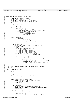```
1531 max_sectors[major] = maxsectors;
1532
1533 return 0;<br>1534 }
1534 }
1535
1536 static void internal_register_disk(int diskno)
\begin{matrix} 1537 \\ 1538 \end{matrix}1538 static int registered[MAX_DISKNO] = { 0, };<br>1539 int major = diskno to major(diskno);
1539 int \text{ major} = \text{diskno}\_\text{to}\_\text{ma}j \text{or}(\text{diskno})\,i<br>1540 int \text{dev within}\_\text{ma}j \text{or} = \text{diskno} k DEV
1540 int \frac{1}{1540} \arctan \frac{1}{1540} = \frac{1}{15} \arctan \frac{1}{15} \arctan \frac{1}{1540}<br>1541 int \frac{1}{1540} \arctan \frac{1}{1540} = \frac{1}{15} \arctan \frac{1}{15} \arctan \frac{1}{1540}struct gendisk *gendisk = major_to_gendisk(major);
1542 int i;
1543
1544 if(registered[diskno])
                             1545 return;
1546 registered[diskno] = 1;
1547
1548 if (diskno == 0) {<br>1549 printk(KER
1549 printk(KERN_INFO_VIO
<sup>1550</sup> "%s: \overline{C} \land \overline{C} \land \overline{C} \land \overline{C} \land \overline{C} \land \overline{C} \land \overline{C} \land \overline{C} \land \overline{C} \land \overline{C} \land \overline{C} \land \overline{C} \land \overline{C} \land \overline{C} \land
                                       w. Current, we done connected m.<br>VIOD_DEVICE_NAME, (int) viodasd_max_disk + 1);
1552 if (viodasd_max_disk > MAX_DISKNO − 1)<br>1553 if (viodasd_max_disk > MAX_DISKNO − 1)
1553 printk(KERN_INFO_VIO
<sup>1554</sup> "Only examining the first % d\ln",<br>
max_{MAX \text{ DTSKNO}});
                 MAX_DISKNO);
1556 }
1557
1558 register_disk(gendisk,
1559 MKDEV(major, 1560)
                                              dev_within_major <<
1561 PARTITION_SHIFT),
1562 1 << PARTITION_SHIFT, &viodasd_fops,<br>1563 1563 1563 1563
1563 gendisk−><br>gendisk−><br>nart[dev
                                     part[dev_within_major << PARTITION_SHIFT].nr_sects);
1565
1566 printk(KERN_INFO_VIO
1567 "%s: Disk %2.2d size %dM, sectors %d, heads %d, cylinders %d, sectsize %d\n",
1568 VIOD_DEVICE_NAME,<br>1569 diskno,
\frac{1569}{1570} diskno,
1570 (int) (viodasd_devices[diskno].size /
1571 (1024 * 1024)),
1572 (int) viodasd_devices[diskno].sectors,<br>1573 (int) viodasd_devices[diskno].tracks,
1573 (int) viodasd_devices[diskno].tracks,
1574 (int) viodasd_devices[diskno].cylinders,<br>1575 (int) hardsect size[major][dev within ma
                            (int) hardsect_size[major][dev_within_major <<
1576 PARTITION SHIFT]);
1577
1578 for (i = 1; i < (1 < \text{PARTITION\_SHIFT}); ++i)1579 int \text{minor} = (\text{dev\_within\_major} << \text{PARTITION\_SHIFT}) + i;<br>1580 struct \text{hd} \text{struct} * \text{partition} = \& \text{generalisk-parent}[\text{minor}];
1580 struct hd_struct *partition = &gendisk−>part[minor];
1581 if (partition−>nr_sects)
1582<br>1583 printk(KERN_INFO_VIO<br>1583 1582 start sector %ld, # sector %ld\n",
1584 VIOD_DEVICE_NAME, diskno, i,
                 1585 partition−>start_sect, partition−>nr_sects);
\begin{array}{c} 1586 \\ 1587 \end{array}1587 }
1588
1589 /* Initialize the whole device driver. Handle module and non−module
        versions
1591
\frac{1592}{1593} \frac{.}{1593} \frac{.}{1593} \frac{.}{1593} \frac{.}{1593} \frac{.}{1593} \frac{.}{1593} \frac{.}{1593} \frac{.}{1593} \frac{.}{1593} \frac{.}{1593} \frac{.}{1593} \frac{.}{1593} \frac{.}{1593} \frac{.}{1593} \frac{.}{1593} \frac{.}{15931593 {
                 int i, j;
1595 int rc;
1596
1597 /* Try to open to our host lp
1598 */
1599 if (viopath_hostLp == HvLpIndexInvalid) {<br>1600 if vio set hostlp();
                 vio_set_hostlp();
1601 }
1602
1603 if (viopath_hostLp == HvLpIndexInvalid) {<br>1604 printk(KERN_WARNING_VIO "%s:invalid hosting partition\n",
1605 VIOD_DEVICE_NAME);
1606 return −EIO;<br>1607 }
1607 }
1608
1609 printk(KERN_INFO_VIO
1609 P111111 \times P6121111 \times P616111 \times P616111 \times P616111 \times P616111 \times P616111 \times P616111 \times P616111 \times P616111 \times P616111 \times P616111 \times P616111 \times P616111 \times P616111 \times P616111 \times P616111 \times P616111 \times P616111 \times P616111 \times P616111 \times P616111 \times P616111 \times P6161111611 VIOD_DEVICE_NAME, VIODASD_VERS, major_table[0], MAX_DISKNO,
1612 viopath_hostLp);
1613
1614 if (ROOT_DEV == NODEV) {
1615 /* first disk, third partition */
1616 ROOT_DEV = diskno_to_devt(0, 3);
1617
1618 printk(KERN_INFO_VIO
                                        "Claiming root file system as third partition of first virtual disk");
1620 }
Registered Version: Linux Support Power PC64 viodasd.c Exhibit 8.1−30 pg 18/19
```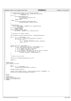```
1621
1622 /* Actually open the path to the hosting partition */<br>1623 1623 rc = viopath open(viopath hostLp, viomajorsubtype blockio,
1623 rc = viopath_open(viopath_hostLp, viomajorsubtype_blockio,<br>1624 rc = viopath_open(viopath_hostLp, viomajorsubtype_blockio,
1624<br>1625 if (rc) { VIOMAXR\overline{E}Q + 2;
1625 if (rc) {
                          printk(KERN_WARNING_VIO
1627 "error opening path to host partition %d\n",
1628 viopath_hostLp);
1629 return −EIO;<br>1630 } else {
1630 } else {
1631 printk("%s: opened path to hosting partition %d\n",
1632 VIOD_DEVICE_NAME, viopath_hostLp);
1633 }
1634
1635 viodasd_devices =
1636 kmalloc(MAX_DISKNO * sizeof(struct viodasd_device),<br>1636 kmalloc(MAX_DISKNO * sizeof(struct viodasd_device),
1637<br>
1637 GFP_KERNEL);<br>
1638 if (!viodasd devices)
1638 if (!viodasd_devices)<br>1639 return - ENOME
1639 return −ENOMEM;<br>1640 memset(viodasd devices,
1640 memset(viodasd_devices, 0x00,
1641 MAX_DISKNO * sizeof(struct viodasd_device));
1642
1643<br>1644
                * Initialize our request handler
1645
1646 vio_setHandler(viomajorsubtype_blockio, vioHandleBlockEvent);
1647
1648 for (i = 0; i < NUM_MAJORS; ++i) {
1649 int init_rc = viodasd_init_major(major_table[i]);
1650 if (init_rc < 0) {
1651 for (j = 0; j = 1<br>
for (j = 0; j <= i; ++j)<br>
1652 viodasd cleanup
                                               viodasd_cleanup_major(major_table[j]);
1653 return init_rc;<br>1654 b
\left\{\n \begin{array}{ccc}\n 1654 & & \\
 \end{array}\n \right\}1655 }
1656
1657 viodasd_max_disk = MAX_DISKNO - 1;<br>1658 for (i = 0; i <= viodasd_max_disk
1658 for (i = 0; i <= viodasd_max_disk && i < MAX_DISKNO; i++) {<br>1659 // Note that internal_open has side effects:
1659 \frac{1}{160} // Note that internal open has side effects:<br>1660 \frac{1}{160} // a) it undates the size of the disk
1660 // a) it updates the size of the disk
1661 // b) it updates viodasd_max_disk
1662 // c) it registers the disk if it has not done so already
1663 if (internal_open(i, vioblockflags_ro) == 0)<br>internal release(i, vioblockflags ro
               internal_release(i, vioblockflags_ro);<br>}
1665 }
1666
1667<br>1668
                 * Create the proc entry
1669<br>1670
               1670 iSeries_proc_callback(&viodasd_proc_init);
1671
1672 return 0;<br>1673 }
1673 }
1674
1675 #ifdef MODULE
1676 void viodasd_exit(void)
1677 {
1678 int \, \mathrm{i} \, t<br>1679 \mathbf{for} \, (\mathrm{i}1679 for(i = 0; i < NUM_MAJORS; ++i)<br>1680 for(i = 0; i < NUM_MAJORS; ++i)
                          viodasd_cleanup_major(major_table[i]);
1681
1682 CLEANIT(viodasd_devices);
1683<br>1684
               1684 viopath_close(viopath_hostLp, viomajorsubtype_blockio, VIOMAXREQ + 2);
1685 iSeries_proc_callback(&viodasd_proc_delete);
1686
1687<br>1688
    1688 #endif
1689
1690 #ifdef MODULE
1691 module_init(viodasd_init);
1692 module_exit(viodasd_exit);<br>1693 #endif
    1693 #endif
Registered Version: Linux Support Power PC64 viodasd.c Exhibit 8.1−30 pg 19/19
```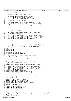Registered Version: Linux Support Power PC64 **vio.h** Exhibit 8.1−31 pg 1/2

 /\* −\*− linux−c −\*− \* drivers/char/vio.h \* iSeries Virtual I/O Message Path header  $\frac{5}{6}$ Authors: Dave Boutcher <br/>choutcher@us.ibm.com> \* Ryan Arnold <ryanarn@us.ibm.com> \* Colin Devilbiss <devilbis@us.ibm.com> \* \* (C) Copyright 2000 IBM Corporation \* \* This header file is used by the iSeries virtual I/O device<br> $13$  \* drivers. It defines the interfaces to the common function <sup>13</sup> \* drivers. It defines the interfaces to the common functions<br><sup>14</sup> \* (implemented in drivers/char/viopath.h) as well as defining <sup>14</sup>  $*$  (implemented in drivers/char/viopath.h) as well as defining<br> $*$  common functions and structures currently (at the time I \* common functions and structures. Currently (at the time I <sup>16</sup> \* wrote this comment) the iSeries virtual I/O device drivers <sup>17</sup> \* that use this are<br><sup>18</sup> \* drivers/block/v. \* drivers/block/viodasd.c drivers/char/viocons.c 20 \* drivers/char/viotape.c<br>21 \* drivers/cdrom/viocd.c drivers/cdrom/viocd.c  $rac{22}{23}$  \* The iSeries virtual ethernet support (veth.c) uses a whole \* different set of functions. \* \* This program is free software; you can redistribute it and/or <sup>27</sup> \* modify it under the terms of the GNU General Public License as \* published by the Free Software Foundation; either version 2 of the \* License, or (at your option) anyu later version.  $30^{\circ}$  \* This program is distributed in the hope that it will be useful, but <sup>32</sup> \* WITHOUT ANY WARRANTY; without even the implied warranty of 33 \* MERCHANTABILITY or FITNESS FOR A PARTICULAR PURPOSE. See the GNU<br>34 \* General Public License for more details. \* General Public License for more details. 35<br>36 \* You should have received a copy of the GNU General Public License <sup>37</sup> \* along with this program; if not, write to the Free Software Foundation, <sup>38</sup> \* Inc., 59 Temple Place, Suite 330, Boston, MA 02111−1307 USA  $40$ <sup>40</sup> \*/ <sup>41</sup> **#ifndef** \_VIO\_H **#define** \_VIO\_H **#include** <asm/iSeries/HvTypes.h> **#include** <asm/iSeries/HvLpEvent.h>  $\begin{array}{cc} \pi^3 & \text{/*} & \text{is} \\ \text{48} & \text{48} & \text{49} \\ \text{49} & \text{49} & \text{48} \end{array}$   $\begin{array}{cc} \text{48} & \text{49} \\ \text{49} & \text{49} \\ \text{40} & \text{49} \end{array}$ <sup>48</sup> \* HvLpEvent to figure out what kind of vio event is coming<br><sup>49</sup> \* in **We use a table to route these, and this defines** 49 \* in. We use a table to route these, and this defines \* the maximum number of distinct subtypes \*/ **#define** VIO\_MAX\_SUBTYPES 7 /\* Each subtype can register a handler to process their events. <sup>55</sup> \* The handler must have this interface.  $56 + /$ <br> $57 + VD$  **typedef** void (vio\_event\_handler\_t) (struct HvLpEvent \* event); int viopath\_open(HvLpIndex remoteLp, int subtype, int numReq); <sup>60</sup> int viopath\_close(HvLpIndex remoteLp, int subtype, int numReq); int vio\_setHandler(int subtype, vio\_event\_handler\_t \* beh); e int vio\_clearHandler(int subtype);<br>63 int viopath isactive(HvLpIndex lp) 63 int viopath\_isactive(HvLpIndex lp);<br>64 HvLpInstanceId viopath sourceinst(H HvLpInstanceId viopath\_sourceinst(HvLpIndex lp); HvLpInstanceId viopath\_targetinst(HvLpIndex lp); <sup>66</sup> void vio\_set\_hostlp(void); <sup>67</sup> void \*vio\_get\_event\_buffer(int subtype); void vio\_free\_event\_buffer(int subtype, void \*buffer); **extern** HvLpIndex viopath\_hostLp; **extern** HvLpIndex viopath\_ourLp; **#define** VIO\_MESSAGE "iSeries virtual I/O: " **#define** KERN\_DEBUG\_VIO KERN\_DEBUG VIO\_MESSAGE <sup>75</sup> **#define** KERN\_INFO\_VIO KERN\_INFO VIO\_MESSAGE **#define** KERN\_WARNING\_VIO KERN\_WARNING VIO\_MESSAGE **#define** VIOCHAR\_MAX\_DATA 200 **#define** VIOMAJOR\_SUBTYPE\_MASK 0xff00 **#define** VIOMINOR\_SUBTYPE\_MASK 0x00ff **#define** VIOMAJOR\_SUBTYPE\_SHIFT 8 **#define** VIOVERSION 0x0101 86<br>87  $\frac{87}{100}$  This is the general structure for VIO errors; each module should have a table<br>88 of them, and each table should be terminated by an entry of { 0, 0, NULL }. 88 of them, and each table should be terminated by an entry of  $\{0, 0, NULL\}$ . Then, to find a specific error message, a module should pass its local table and the return code.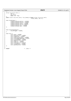```
\frac{91}{92} \frac{*}{5}\frac{92}{93} struct vio_error_entry {<br>\frac{1}{93} ul6 rc;
93 u16 rc;<br>
94 int erri
94 int errno;<br>95 const char
95 const char *msg;
\begin{matrix}96\\97\end{matrix};
 97 const struct vio_error_entry *vio_lookup_rc(const struct vio_error_entry
98 *local_table, u16 rc);
99
100 enum viosubtypes {<br>101 viomajorsu
101 viomajorsubtype_monitor = 0x0100,
102 viomajorsubtype_blockio = 0x0200,
103 viomajorsubtype_chario = 0x0300,
104 viomajorsubtype_config = 0x0400,
105 viomajorsubtype_cdio = 0x0500,
106 viomajorsubtype_tape = 0x0600
107 } ;
108
109
110 enum vioconfigsubtype {
111 vioconfigget = 0x0001,
112 } ;
113
114 enum viorc {
                       viorc\_good = 0x0000,
116 viorc_you - valued,<br>
116 viorc_noConnection = 0x0001,<br>
117 viorc_noReceiver = 0x0002,
117 \text{viorc\_nOReceiver} = 0 \times 0002,<br>
\text{viorc\_nOBufferAvailable} = 0 \times 0003,<br>
\text{viorc\_invalidMessage} = \text{Ox0004},<br>
\text{viorc\_invalidMessage} = 0 \times 0201,<br>
121<br>
121 \text{viorc\_invalidToken} = 0 \times 0202,<br>
122 \text{viorc\_DMAError} = 0 \times 0203,<br>
123 \text{viorc\_eBERTor} = 0 \times 0204,<br>
124 \text{viorc\_elear127 } ;
128129<br>130 #endif
                                                                         1<sup>*</sup> _VIO_H */
Registered Version: Linux Support Power PC64 vio.h Exhibit 8.1−31 pg 2/2
```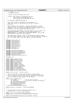Registered Version: Linux Support Power PC64 **viopath.c** Exhibit 8.1−32 pg 1/8

 /\* −\*− linux−c −\*−  $\frac{1}{2}$  \* arch/ppc64/viopath.c  $\frac{3}{4}$ iSeries Virtual I/O Message Path code  $\frac{5}{6}$ Authors: Dave Boutcher <br/>boutcher@us.ibm.com> \* Ryan Arnold <ryanarn@us.ibm.com> \* Colin Devilbiss <devilbis@us.ibm.com> \* \* (C) Copyright 2000 IBM Corporation \* \* This code is used by the iSeries virtual disk, cd, <sup>13</sup> \* tape, and console to communicate with OS/400 in another \* partition. \* This program is free software; you can redistribute it and/or <sup>17</sup> \* modify it under the terms of the GNU General Public License as <sup>18</sup> \* published by the Free Software Foundation; either version 2 of the<br><sup>19</sup> \* License, or (at your option) anyw later version. License, or (at your option) anyu later version.  $rac{20}{21}$  \* This program is distributed in the hope that it will be useful, but <sup>22</sup> \* WITHOUT ANY WARRANTY; without even the implied warranty of <sup>23</sup> \* MERCHANTABILITY or FITNESS FOR A PARTICULAR PURPOSE. See the GNU \* General Public License for more details. \* \* You should have received a copy of the GNU General Public License <sup>27</sup> \* along with this program; if not, write to the Free Software Foundation, <sup>28</sup> \* Inc., 59 Temple Place, Suite 330, Boston, MA 02111−1307 USA \*  $30<sup>2</sup>$  **#include** <linux/config.h> **#include** <asm/uaccess.h> **#include** <linux/module.h> **#include** <linux/kernel.h> **#include** <linux/errno.h> **#include** <linux/vmalloc.h> **#include** <linux/string.h> **#include** <linux/proc\_fs.h> **#include** <linux/pci.h> #include <linux/wait.h> **#include** <asm/iSeries/LparData.h> **#include** <asm/iSeries/HvLpEvent.h> **#include** <asm/iSeries/HvLpConfig.h> **#include** <asm/iSeries/HvCallCfg.h> **#include** <asm/iSeries/mf.h> **#include** <asm/iSeries/iSeries\_proc.h> <br> $49$  **#include** "vio.h" 51 EXPORT SYMBOL(viopath hostLp); 52 EXPORT\_SYMBOL(viopath\_ourLp);<br>53 EXPORT SYMBOL(vio set hostlp); EXPORT\_SYMBOL(vio\_set\_hostlp); 54 EXPORT\_SYMBOL(vio\_lookup\_rc);<br>55 EXPORT SYMBOL(viopath open); EXPORT\_SYMBOL(viopath\_open); EXPORT\_SYMBOL(viopath\_close); EXPORT\_SYMBOL(viopath\_isactive); EXPORT\_SYMBOL(viopath\_sourceinst); EXPORT\_SYMBOL(viopath\_targetinst); EXPORT\_SYMBOL(vio\_setHandler); EXPORT\_SYMBOL(vio\_clearHandler); EXPORT\_SYMBOL(vio\_get\_event\_buffer); <sup>63</sup> EXPORT\_SYMBOL(vio\_free\_event\_buffer); **extern** struct pci\_dev \* iSeries\_vio\_dev; /\* Status of the path to each other partition in the system.<br> $68$  \* This is overkill, since we will only ever establish conne \* This is overkill, since we will only ever establish connections \* to our hosting partition and the primary partition on the system. <sup>70</sup> \* But this allows for other support in the future.  $\frac{71}{72}$  **static** struct viopathStatus { <sup>73</sup> int isOpen:1; /\* Did we open the path? \*/ int isActive:1; /\* Do we have a mon msg outstanding \*/ int users[VIO\_MAX\_SUBTYPES]; <sup>76</sup> HvLpInstanceId mSourceInst; 77 HvLpInstanceId mTargetInst;<br>78 1nt numberAllocated; 78 int numberAllocated;<br>79 } viopathStatus[HVMAXARCHITE } viopathStatus[HVMAXARCHITECTEDLPS]; **static** spinlock\_t statuslock = SPIN\_LOCK\_UNLOCKED; <br> $84$  $\frac{84}{100}$  \* For each kind of event we allocate a buffer that is<br> $\frac{1}{85}$  \* quaranteed not to cross a page boundary \* quaranteed not to cross a page boundary 86<br>87 **static** void \*event\_buffer[VIO\_MAX\_SUBTYPES]; **static** atomic\_t event\_buffer\_available[VIO\_MAX\_SUBTYPES]; **static** void handleMonitorEvent(struct HvLpEvent \*event);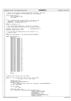$9'$  /\* We use this structure to handle asynchronous responses. The caller et a set of the semaphore and the handler posts the semaphore.<br>
<sup>93</sup> \* blocks on the semaphore and the handler posts the semaphore.  $\star$  / struct doneAllocParms\_t { <sup>96</sup> struct semaphore \*sem; int number; }; /\* Put a sequence number in each mon msg. The value is not<br>101 \* important. Start at something other than 0 just for \* important. Start at something other than 0 just for <sup>102</sup> \* readability. wrapping this is ok. \*/<br> $104$  sta static u8 viomonseq = 22; /\* Our hosting logical partition. We get this at startup <sup>107</sup> \* time, and different modules access this variable directly. \*/<br> $109$  Hy<sub>L</sub> HvLpIndex viopath\_hostLp = 0xff;  $/$ \* HvLpIndexInvalid \*/ HvLpIndex viopath\_ourLp = 0xff; 111<br>112  $/$ \* /\* For each kind of incoming event we set a pointer to a <sup>113</sup> \* routine to call. 113<br>114 \*/ **static** vio\_event\_handler\_t \*vio\_handler[VIO\_MAX\_SUBTYPES]; **static** char e2a(char x) { **switch** (x) { **case** 0xF0: **return** '0'; **case** 0xF1: **return** '1'; **case** 0xF2: **return** '2';<br>122 **case** 0xF2: **return** '2'; **case** 0xF3: **return** '3'; **case** 0xF4: **return** '4'; **case** 0xF5: **return** '5';<br>125 **case** 0xF6: **return** '6'; **case** 0xF6: **return** '6'; **case** 0xF7: **return** '7'; **case** 0xF8: **return** '8'; **case** 0xF9: **return** '9';<br>129 **case** 0xC1: **return** 'A' **case** 0xC1: **return** 'A'; **case** 0xC2: **return** 'B'; **case** 0xC3: **return** 'C';<br>132 **case** 0xC4: **return** 'D'; **case**  $0 \times C4$ : **return** 'D';<br>133 **case**  $0 \times C5$ : **return** 'E'; **case** 0xC5: **return** 'E'; **case** 0xC6: **return** 'F'; **case** 0xC7: **return** 'G'; **case** 0xC8: **return** 'H';<br>137 **case** 0xC8: **return** 'H'; **case** 0xC9: **return** 'I';<br>138 **case** 0xD1: **return** 'J'; **case** 0xD1: **return** 'J'; **case** 0xD2: **return** 'K'; **case** 0xD3: **return** 'L'; **case** 0xD4: **return** 'M'; **case** 0xD5: **return** 'N';<br>143 **case** 0xD5: **return** 'O'; **case** 0xD6: **return** 'O'; **case** 0xD7: **return** 'P'; **case** 0xD8: **return** 'Q'; **case** 0xD9: **return** 'R';<br>147 **case** 0xE2: **return** 'S'; **case**  $0 \times E2$ : **return** 'S';<br>148 **case**  $0 \times E3$ : **return** 'T'; **case**  $0 \times E3$ : **return** 'T';<br>149 **case**  $0 \times E4$ : **return** 'U' **case** 0xE4: **return** 'U'; **case** 0xE5: **return** 'V'; **case** 0xE6: **return** 'W'; **case** 0xE7: **return** 'X';<br>153 **case** 0xE7: **return** 'X'; **case** 0xE8: **return** 'Y';<br>154 **case** 0xE9: **return** 'Z'; **case** 0xE9: **return** 'Z'; }  $r_{\text{156}}$   $r_{\text{157}}$  '  $r_{\text{26}}$  '  $r_{\text{36}}$  '  $r_{\text{37}}$  '  $r_{\text{38}}$  $\}$  /\* Handle reads from the proc file system **static** int proc\_read(char \*buf, char \*\*start, off\_t offset, <sup>162</sup> int blen, int \*eof, void \*data)  $\begin{matrix} 163 \\ 164 \end{matrix}$ HvLpEvent, Rc hvrc; DECLARE\_MUTEX\_LOCKED(Semaphore); dma\_addr\_t dmaa = 167 pci\_map\_single(iSeries\_vio\_dev, buf, PAGE\_SIZE, PCI\_DMA\_FROMDEVICE);<br>168 int len = PAGE SIZE;  $int \text{len} = \text{PAGE\_SIZE}$ ; **if** (len > blen) <sup>171</sup> len = blen; <br> $173$ 173 memset(buf, 0x00, len);<br>174 hvrc = HvCallEvent sign hvrc = HvCallEvent\_signalLpEventFast(viopath\_hostLp, <sup>175</sup> HvLpEvent\_Type\_VirtualIo, <sup>176</sup> viomajorsubtype\_config | vioconfigget, 177<br>178 1178 HvLpEvent\_AckInd\_DoAck,<br>179 HvLpEvent\_AckTvpe\_Immed HvLpEvent\_AckType\_ImmediateAck, Registered Version: Linux Support Power PC64 **viopath.c** Exhibit 8.1−32 pg 2/8

viopath\_sourceinst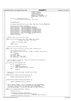```
181 (viopath_hostLp),
182 viopath_targetinst
\frac{183}{183} (viopath_hostLp),<br>(164) (unsigned)
                                                             ( u64 ) (unsigned long)
185 &Semaphore, VIOVERSION << 16,
186 ((u64) dmaa) << 32, len, 0,
187 0);
188 if (hvrc != HvLpEvent_Rc_Good) {<br>189 if printk("viopath hv error on op ?
              printk("viopath hv error on op %d\n", (int) hvrc);
190 }
191
192 down(&Semaphore);
193
194 pci_unmap_single(iSeries_vio_dev, dmaa, PAGE_SIZE, PCI_DMA_FROMDEVICE);
195
196 sprintf(buf+strlen(buf),"SRLNBR=");
197 buf[strlen(buf)] = e2a(xItExtVpdPanel.mfgID[2]);
198 buf[strlen(buf)] = e2a(xItExtVpdPanel.mfgID[3]);<br>199 buf[strlen(buf)] = e2a(xItExtVpdPanel.systemSeri
199 buf[strlen(buf)] = e2a(xItExtVpdPanel.systemSerial[1]);<br>200 buf[strlen(buf)] = e2a(xItExtVpdPanel.systemSerial[2]);
200 buf[strlen(buf)] = e2a(xItExtVpdPanel.systemSerial[2]);
201 buf[strlen(buf)] = e2a(xItExtVpdPanel.systemSerial[3]);
202 buf[strlen(buf)] = e2a(xItExtVpdPanel.systemSerial[4]);
203 buf[strlen(buf)] = e2a(xItExtVpdPanel.systemSerial[5]);
204 buf[strlen(buf)] = '\ln'; *eof = 1;<br>205 return strlen(buf);
              return strlen(buf);
206 }
207
208 /* Handle writes to our proc file system
209 */
210 static int proc_write(struct file *file, const char *buffer,
211 unsigned long count, void *data)
212 \quad \left\{ \right. \\ 213213 \frac{1}{2} /* Doesn't do anything today!!!
214 * /
215 return count;<br>216 }
   \}217
218 /* setup our proc file system entries
219<br>220
   static void vio_proc_init(struct proc_dir_entry *iSeries_proc)
221 {
              struct proc_dir_entry *ent;
223 ent = create_proc_entry("config", S_IFREG | S_IRUSR, iSeries_proc);<br>
274 if (!ent)
224 if (!ent)
                        return;
226 ent−>nlink = 1;<br>227 ent−>data = NIII
227 ent−>data = NULL;
228 ent−>read_proc = proc_read;<br>229 ent−>write_proc = proc_write
229 ent−>write_proc = proc_write;<br>230 }
   \}231
232 /* See if a given LP is active. Allow for invalid lps to be passed in * and just return invalid
     * and just return invalid
234int viopath_isactive(HvLpIndex lp)
236 \{237if (lp == HvLpIndexInvalid)
<sup>238</sup> return 0;<br><sup>239</sup> if (lp < HVMAXARC
239 if (lp < HVMAXARCHITECTEDLPS)<br>240 return viopathStatus[
                        240 return viopathStatus[lp].isActive;
241 else
242 return 0;
   \left\{\right\}244
245 /* We cache the source and target instance ids for each \frac{1}{246} * partition.
     * partition.
247<br>248
   248 HvLpInstanceId viopath_sourceinst(HvLpIndex lp)
249 \{250250 return viopathStatus[lp].mSourceInst;
251 }
252
253 HvLpInstanceId viopath_targetinst(HvLpIndex lp)
254 {
255 return viopathStatus[lp].mTargetInst;
256 }
257
258 /* Send a monitor message. This is a message with the acknowledge
259 * bit on that the other side will NOT explicitly acknowledge. When
260 * the other side goes down, the hypervisor will acknowledge any
261 * outstanding messages....so we will know when the other side dies.
262 */<br>263 sta
   static void sendMonMsg(HvLpIndex remoteLp)
264 {<br>265
              HvLpEvent_Rc hvrc;
266
267 viopathStatus[remoteLp].mSourceInst =<br>268 HvCallEvent_getSourceLpInstanceId
268 HvCallEvent_getSourceLpInstanceId(remoteLp,<br>269 HvLoEvent
                                                             HvLpEvent_Type_VirtualIo);
270 viopathStatus[remoteLp].mTargetInst =
Registered Version: Linux Support Power PC64 viopath.c Exhibit 8.1−32 pg 3/8
```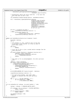```
271 HvCallEvent_getTargetLpInstanceId(remoteLp,
272 Example 272 Hypersent Construction of the Construction of the Construction of the VirtualIo);
273
274 /* Deliberately ignore the return code here. if we call this 275 * more than once, we don't care.
275 * more than once, we don't care.
276 * /
277 vio_setHandler(viomajorsubtype_monitor, handleMonitorEvent);
278
279 hvrc = HvCallEvent_signalLpEventFast(remoteLp,<br>280 HvLpEvent
280 280 HvLpEvent_Type_VirtualIo, 281
281 viomajorsubtype_monitor,
282 HvLpEvent_AckInd_DoAck,
283 HvLpEvent_AckType_DeferredAck,
284 viopathStatus[remoteLp].<br>mSourceInst mSourceInst
                                                            mSourceInst,
286 viopathStatus[remoteLp].
287 mTargetInst, viomonseq++,
288 0, 0, 0, 0, 0);
28<sup>9</sup>
290 if (hvrc == HvLpEvent_Rc_Good) {<br>viopathStatus[remoteLp].
                        viopathStatus[remoteLp].isActive = 1;
292 } else {
293 printk(KERN_WARNING_VIO
294
printk(MERN_MARNING_VIO
<sub>294</sub>
could not connect to pa
294 "could not connect to partition %d\n", remoteLp);
295 viopathStatus[remoteLp].isActive = 0;
296 }
297 }
298
299 static void handleMonitorEvent(struct HvLpEvent *event)
300301 HvLpIndex remoteLp;
              int i;
303<br>304
304 /* This handler is _also_ called as part of the loop
305 * at the end of this routine, so it must be able to
306 * ignore NULL events...
307 * /
308 if(!event)<br>309 re
                        309 return;
310
311 /* First see if this is just a normal monitor message from the * other partition
               * other partition
313<br>314314 if (event−>xFlags.xFunction == HvLpEvent_Function_Int) {<br>315 implicity = event->xSourceLp;
315 remoteLp = event−>xSourceLp;
316 if (!viopathStatus[remoteLp].isActive)
317 sendMonMsg(remoteLp);<br>318 return;
              318 return;
319 }
320
321 /* This path is for an acknowledgement; the other partition 322 * died
\begin{array}{ccc} 322 & * & \text{died} \\ 323 & * & \end{array}322<br>323 * /<br>324 * mem
324 remoteLp = event−>xTargetLp;<br>325 if ((event−>xSourceInstanceIn
              325 if ((event−>xSourceInstanceId !=
326 viopathStatus[remoteLp].mSourceInst)
                   327 || (event−>xTargetInstanceId !=
328 viopathStatus[remoteLp].mTargetInst)) {<br>329 printk(KERN WARNING VIO
329 printk(KERN_WARNING_VIO
                                 "ignoring ack....mismatched instances\n");
331 return;
332 }
333<br>334
              printk(KERN_WARNING_VIO "partition %d ended\n", remoteLp);
335
336 viopathStatus[remoteLp].isActive = 0;
337
\frac{338}{339} /* For each active handler, pass them a NULL<br>\frac{339}{339} * message to indicate that the other partit
\begin{array}{ccc}\n\text{339} & \text{* message to indicate that the other partition} \\
\text{340} & \text{* died}\n\end{array}* died
341 */
342 for (i = 0; i < VIO_MAX_SUBTYPES; i++) {<br>343 if (vio handler[i] != NULL)
343 if (vio_handler[i] != NULL)
              { \begin{array}{c} {\rm{ - }}\,\,{\rm{ ( - }}\,\,{\rm{ ( - }}\,\,{\rm{ ( - }}\,\,{\rm{ ( - }}\,\,{\rm{ ( - }}\,\,{\rm{ ( - }}\,\,{\rm{ ( - }}\,\,{\rm{ ( - }}\,\,{\rm{ ( - }}\,\,{\rm{ ( - }}\,\,{\rm{ ( - }}\,\,{\rm{ ( - }}\,\,{\rm{ ( - }}\,\,{\rm{ ( - }}\,\,{\rm{ ( - }}\,\,{\rm{ ( - }}\,\,{\rm{ ( - }}\,\,{\rm{ ( - }}\,\,{\rm{ ( - }}\,\,{\rm{ ( - }}\,\,{\rm{ ( - }}\,\,{\rm{ ( - }}\,\,{\rm{ ( - }}\345 }
346 }
347
348 int vio_setHandler(int subtype, vio_event_handler_t * beh)<br>349 {
349 {
350 subtype = subtype >> VIOMAJOR_SUBTYPE_SHIFT;
351
352 if ((subtype < 0) || (subtype >= VIO_MAX_SUBTYPES)) <br>353 return -EINVAL;
                        353 return −EINVAL;
354
355 if (vio_handler[subtype] != NULL)
356 return −EBUSY;
357
358 vio_handler[subtype] = beh;<br>359 return 0;
              359 return 0;
360 }
Registered Version: Linux Support Power PC64 viopath.c Exhibit 8.1−32 pg 4/8
```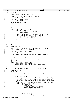Registered Version: Linux Support Power PC64 **viopath.c** Exhibit 8.1−32 pg 5/8

```
361
<sup>362</sup> int vio clearHandler(int subtype)
363 \quad \{<br>364subtype = subtype >> VIOMAJOR_SUBTYPE_SHIFT;
365
366 if ((subtype < 0) || (subtype >= VIO_MAX_SUBTYPES))
367 return −EINVAL;
368
369 if (vio_handler[subtype] == NULL)
                       370 return −EAGAIN;
371
372 vio_handler[subtype] = NULL;
   <sup>3</sup><br>3<sup>3</sup>
374 }
375
376 static void handleConfig(struct HvLpEvent *event)
377 {
rac{378}{379} if(!event)
379 return;<br>380 if (event->xFla
380 if (event−>xFlags.xFunction == HvLpEvent_Function_Int) {
381 printk(KERN_WARNING_VIO
382 "unexpected config request from partition % d",<br>383 event ->xSourceLp);
                               event−>xSourceLp);
384
385 if ((event−>xFlags.xFunction == HvLpEvent_Function_Int) &&
386 (event−>xFlags.xAckInd == HvLpEvent_AckInd_DoAck)) {
387 event−>xRc = HvLpEvent_Rc_InvalidSubtype;
388 HvCallEvent_ackLpEvent(event);
389 }
390 return;
391 }
392
393 up((struct semaphore *) event−>xCorrelationToken);
394 }
395
396 /* Initialization of the hosting partition
397<br>398
   \overrightarrow{1} void vio_set_hostlp(void)
399<br>400
400 /* If this has already been set then we DON'T want to either change
401 * it or re−register the proc file system
402 */<br>403 if
403 if (viopath_hostLp != HvLpIndexInvalid)
                       return;
405
\frac{406}{406} /* Figure out our hosting partition. This isn't allowed to change<br>407 * while we're active
^{407} * while we're active
408 * /
409 viopath_ourLp = HvLpConfig_getLpIndex();<br>410 viopath_bostIn = HvCallCfq_getHostingInI
             viopath_hostLp = HvCallCfg_getHostingLpIndex(viopath_ourLp);
411
412 /* If we have a valid hosting LP, create a proc file system entry
413 * for config information
414415 if (viopath_hostLp != HvLpIndexInvalid) {
416 iSeries_proc_callback(&vio_proc_init);<br>417 vio setHandler(viomajorsubtype config,
             417 vio_setHandler(viomajorsubtype_config, handleConfig);
418<br>419
   \left\{ \right\}420
421 static void vio_handleEvent(struct HvLpEvent *event, struct pt_regs *regs)
\begin{array}{c} 422 \\ 423 \end{array}423 HvLpIndex remoteLp;<br>424 int subtvpe =int subtype =
425 (event−><br>\frac{1}{x} (event−>
                   426 xSubtype & VIOMAJOR_SUBTYPE_MASK) >> VIOMAJOR_SUBTYPE_SHIFT;
427
428 if (event−>xFlags.xFunction == HvLpEvent_Function_Int) {
%429 remotelp = event->xSourcelp;<br>430 431 /* The isActive is checked because if the hosting partition<br>431 431 * Went down and came back up it would not be active but it would have<br>432 * different source and target instance
433 * reset them. This case really protects against an unauthorized
434 * active partition sending interrupts or acks to this linux partition.
435 * /
436 if (viopathStatus[remoteLp].isActive && (event−>xSourceInstanceId !=
437 viopathStatus[remoteLp].mTargetInst)) {<br>438 printk(KERN WARNING VIO
438 printk (KERN_WARNING_VIO)<br>message from invalid r
                                         " message from invalid partition. "
440 "int msg rcvd, source inst (%d) doesnt match (%d)\n",
441 viopathStatus[remoteLp].mTargetInst,
442 event−>xSourceInstanceId);
443 return;
444 }
445
446 if (viopathStatus[remoteLp].isActive && (event−>xTargetInstanceId !=
447 viopathStatus[remoteLp].mSourceInst)) {
448 printk(KERN_WARNING_VIO)<br>add message from invalid r
                                         " message from invalid partition. "
450 "int msg rcvd, target inst (\%d) doesnt match (\%d)\n",
```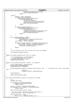```
451 viopathStatus[remoteLp].mSourceInst,<br>event->xTargetInstanceId);
                                       event−>xTargetInstanceId);
453 return;
454 }
455 } else {
                      .<br>remoteLp = event−>xTarqetLp;
457 if (event−>xSourceInstanceId !=
458 viopathStatus[remoteLp].mSourceInst) {<br>
printk(KERN WARNING VIO
459 printk(KERN_WARNING_VIO)<br>message from invalid r
460 "message from invalid partition. "<br>"ack ms9 rcvd source inst (%d) d
                                       "ack msg rcvd, source inst (%d) doesnt match (%d)\n" ,
462 viopathStatus[remoteLp].mSourceInst,<br>463 event->xSourceInstanceId);
463 event−>xSourceInstanceId);
464 return;
465 }
466<br>467
467 if (event−>xTargetInstanceId !=
468 viopathStatus[remoteLp].mTargetInst) {<br>printk(KERN WARNING VIO
469 printk(KERN_WARNING_VIO)<br>470 message from invalid r
470 "message from invalid partition. "
471 "viopath: ack msg rcvd, target inst (%d) doesnt match (%d)\n",
472 viopathStatus[remoteLp].mTargetInst,<br>473 event->xTargetInstanceId);
473 event−>xTargetInstanceId);
474 return;<br>475 f
475 }
476 }
477
478 if (vio_handler[subtype] == NULL) {
479 printk(KERN_WARNING_VIO)<br>
"unexpected virtual io expected virtual io expected virtual io expected virtual io expected virtual io expected virtual io expected virtual io expected virtual io expected virtual io expected 
                              "unexpected virtual io event subtype %d from partition %d\n",
481 event−>xSubtype, remoteLp);
482 /* No handler. Ack if necessary
483 * /484 if ((event−>xFlags.xFunction == HvLpEvent_Function_Int) &&
485 (event−>xFlags.xAckInd == HvLpEvent_AckInd_DoAck)) {
486 event−>xRc = HvLpEvent_Rc_InvalidSubtype;
487 HvCallEvent_ackLpEvent(event);<br>488 }
488 }
489 return;
490 }
491
492 /* This innocuous little line is where all the real work happens
493<br>494
494 (*vio_handler[subtype]) (event);
   \}496
   static void viopath_donealloc(void *parm, int number)
498 \t{499}499 struct doneAllocParms_t *doneAllocParmsp =<br>
(struct doneAllocParms t *) parm;
500 (struct doneAllocParms_t *) parm;
501 doneAllocParmsp−>number = number;
502 up(doneAllocParmsp−>sem);
   \}504
505 static int allocateEvents(HvLpIndex remoteLp, int numEvents)
\begin{matrix}506\\507\end{matrix}507 struct doneAllocParms_t doneAllocParms;<br>508 DECLARE MUTEX LOCKED(Semaphore);
508 DECLARE_MUTEX_LOCKED(Semaphore);<br>509 doneAllocParms.sem = &Semaphore;
             doneAllocParms.sem = &Semaphore;
510
511 mf_allocateLpEvents(remoteLp, HvLpEvent_Type_VirtualIo, 250, /* It would be nice to put a real number 
   here! */
512 numEvents,<br>513 6x10path 6x10path 6x10path 6x10path 6x10path 6x10path 6x10path 6x10path 6x10path 6x20path 6x20path 6x20path 6x20path 6x20path 6x20path 6x20path 6x20path 6x20path 6x20path 6x20path 6x20path 6x20path 6x20p
                                    513 &viopath_donealloc, &doneAllocParms);
514
515 down(&Semaphore);
516
517 return doneAllocParms.number;
518 }
519
520 int viopath_open(HvLpIndex remoteLp, int subtype, int numReq) 521 \t{521 {
522 int i;<br>523 unsign
            unsigned long flags;
524
525 if ((remoteLp >= HvMaxArchitectedLps)
526 || (remoteLp == HvLpIndexInvalid))<br>527 || (remoteLp == HvLpIndexInvalid))
                      527 return −EINVAL;
528
529 subtype = subtype >> VIOMAJOR_SUBTYPE_SHIFT;
530 if ((subtype < 0) || (subtype >= VIO_MAX_SUBTYPES))
531 return −EINVAL;
532
533 spin_lock_irqsave(&statuslock, flags);
534
535 /* OK...we can fit 4 maximum-sized events (256 bytes) in<br>536 * each page (4096). Get a new page every 4
536 * each page (4096). Get a new page every 4<br>537 * /
537 *538 if (event_buffer[0] == NULL) {
539 for (i = 0; i < VIO_MAX_SUBTYPES; i++) {
Registered Version: Linux Support Power PC64 viopath.c Exhibit 8.1−32 pg 6/8
```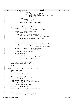```
540 if ((i \, 8, 4) == 0)\frac{1}{2} \frac{1}{2} \frac{1}{2} \frac{1}{2} \frac{1}{2} \frac{1}{2} \frac{1}{2} \frac{1}{2} \frac{1}{2} \frac{1}{2} \frac{1}{2} \frac{1}{2} \frac{1}{2} \frac{1}{2} \frac{1}{2} \frac{1}{2} \frac{1}{2} \frac{1}{2} \frac{1}{2} \frac{1}{2} \frac{1}{2} \frac{1}{2} 542 (void *) get_free_page(GFP_KERNEL);
543 if (event_buffer[i] == NULL) {
544 spin_unlock_irqrestore(&statuslock, flags);<br>
return -ENOMEM;
                                                    545 return −ENOMEM;
546 }
547 } else {
548 event_buffer[i] =
549 event_buffer[i − 1] + 256;
550 }
551 atomic_set(&event_buffer_available[i], 1);<br>552
552 }
553 }
554
555 viopathStatus[remoteLp].users[subtype]++;
556
557 if (!viopathStatus[remoteLp].isOpen) {<br>F558 HyCallEvent openLpEventPath(remoteler)
558 HvCallEvent_openLpEventPath(remoteLp,
                                                         HvLpEvent_Type_VirtualIo);
560
561 viopathStatus[remoteLp].numberAllocated +=<br>562 allocateEvents(remoteLp, 1);
                            allocateEvents(remoteLp, 1);
563
564 if (viopathStatus[remoteLp].numberAllocated == 0) {
565 HvCallEvent_closeLpEventPath(remoteLp,
566 HvLpEvent_Type_VirtualIo);
567
568 spin_unlock_irqrestore(&statuslock, flags);
569 return −ENOMEM;
570 }
571
572 viopathStatus[remoteLp].mSourceInst<br>F<sub>573</sub> HyCallEvent getSourceLpInstance
573 HvCallEvent_getSourceLpInstanceId(remoteLp, 574 HvCallEvent
574<br>
STS<br>
STS<br>
ViopathStatus[remote[o]_mTargetInst =<br>
HvLpEvent_Type_VirtualIo);
                       viopathStatus[remoteLp].mTargetInst =
576 HvCallEvent_getTargetLpInstanceId(remoteLp, 577
                                                                     577 HvLpEvent_Type_VirtualIo);
578
579 HvLpEvent_registerHandler(HvLpEvent_Type_VirtualIo,
580 \&\text{vio\_handleEvent};
581
582 viopathStatus[remoteLp].isOpen = 1;
583
584 sendMonMsg(remoteLp);
585
586 printk(KERN_INFO_VIO<br/>
printk(KERN_INFO_VIO<br/>
opening connection
587 "Opening connection to partition %d, setting sinst %d, tinst %d\n",
588 remoteLp,<br>see viopathSt
589 viopathStatus[remoteLp].mSourceInst,
590 viopathStatus[remoteLp].mTargetInst);
591 }
592
593 viopathStatus[remoteLp].numberAllocated +=<br>allocateEvents(remoteLp_numReq);
                  allocateEvents(remoteLp, numReq);
595 spin_unlock_irqrestore(&statuslock, flags);
596
597 return 0;
598 }
599
600 int viopath_close(HvLpIndex remoteLp, int subtype, int numReq)
601 \quad {\begin{matrix} \phantom{00} \phantom{00} \phantom{00} \phantom{00} \phantom{00} \phantom{00} \phantom{00} \phantom{00} \end{matrix}}602 unsigned long flags;<br>603 int i;
             int \tilde{i};
604 int numOpen;
er and the struct doneAllocParms_t doneAllocParms;<br>606 SECLARE MUTEX LOCKED(Semaphore);
606 DECLARE_MUTEX_LOCKED(Semaphore);<br>607 doneAllocParms.sem = &Semaphore;
             \overline{\text{doneAllocParms}}.\text{sem} = \&\text{Semaphore};608
609 if ((remoteLp >= HvMaxArchitectedLps)
610 || (remoteLp == HvLpIndexInvalid))
611 return −EINVAL;
612
613 subtype = subtype >> VIOMAJOR_SUBTYPE_SHIFT;
614 if ((subtype < 0) || (subtype >= VIO_MAX_SUBTYPES))
615 return −EINVAL;
616
617 spin_lock_irqsave(&statuslock, flags);
618
619 viopathStatus[remoteLp].users[subtype]−−;
620
621 mf_deallocateLpEvents( remoteLp, HvLpEvent_Type_VirtualIo,<br>622 mumReq.
\overline{a} \overline{b} \overline{c} \overline{c} \overline{c} \overline{c} \overline{c} \overline{c} \overline{c} \overline{c} \overline{c} \overline{c} \overline{c} \overline{c} \overline{c} \overline{c} \overline{c} \overline{c} \overline{c} \overline{c} \overline{c} \overline{c} \overline{c} \overline{c} \overline{623 &viopath_donealloc,<br>624 & SchoellocParms);
                                         \overline{\text{6done}}AllocParms );
625 down(&Semaphore);
626
627 for (i = 0, numOpen = 0; i < VIO_MAX_SUBTYPES; i++) {628 numOpen += viopathStatus[remoteLp].users[i];
                       numOpen += viopathStatus[remoteLp].users[i];
629 }
Registered Version: Linux Support Power PC64 viopath.c Exhibit 8.1−32 pg 7/8
```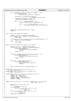```
630
631 if ((viopathStatus[remoteLp].isOpen) && (numOpen == 0)) {
632 printk(KERN_INFO_VIO)<br>633 "Closing connection"
                              "Closing connection to partition %d", remoteLp);
634
635 HvCallEvent_closeLpEventPath(remoteLp,
636 HvLpEvent_Type_VirtualIo);<br>637 diopathStatus[remoteLp].isOpen = 0;
637 viopathStatus[remoteLp].isOpen = 0;<br>638 viopathStatus[remoteLp].isActive =
                      viopathStatus[remoteLp].isActive = 0;
639
640 for (i = 0; i < VIO_MAX_SUBTYPES; i++) {
641 atomic_set(&event_buffer_available[i], 0);
642
for (i = 0; i < VIO_MAX_SUBTYPES; i += 4)<br>frae page ((unsigned long) event by
                               free_page((umsigned long) event_buffer[i]);
645 }
646 }
647
648<br>649
649 spin_unlock_irqrestore(&statuslock, flags);<br>650 return 0;
             650 return 0;
651 }
652
653 void *vio_get_event_buffer(int subtype)
654 {
655 subtype = subtype >> VIOMAJOR_SUBTYPE_SHIFT;
656 if ((subtype < 0) || (subtype >= VIO_MAX_SUBTYPES))
657 return NULL;
658
659 if (atomic_dec_if_positive(&event_buffer_available[subtype]) == 0)
660 return event_buffer[subtype];
             661 else
662 return NULL;<br>663 }
   \rightarrow664
665 void vio_free_event_buffer(int subtype, void *buffer)
666 {
<sup>667</sup> subtype = subtype >> VIOMAJOR_SUBTYPE_SHIFT;<br>668 if ((subtype < 0) || (subtype >= VIO_MAX_SUB
668 if ((subtype < 0) || (subtype >= VIO_MAX_SUBTYPES)) {
669 printk(KERN_WARNING_VIO
670 "unexpected subtype %d freeing event buffer\n",
671 subtype);
672 return;<br>673 }
673 }
674
675 if (atomic_read(&event_buffer_available[subtype]) != 0) {
676 printk (KERN_WARNING_VIO)<br>677 printk (MERN_WARNING_VIO)
677 The ing unallocated event buffer, subtype % d\ln, subtype \int subtype \int i
678 subtype);<br>679 subtype);
                      679 return;
680 }
681
682 if (buffer != event_buffer[subtype]) {
683 printk(KERN_WARNING_VIO<br>
"freeing invalid event b
                              "freeing invalid event buffer, subtype %d\n",
685 subtype);<br>686 }
686 }
687
688 atomic_set(&event_buffer_available[subtype], 1);
   689 }
690
691 static const struct vio_error_entry vio_no_error =
692 { 0, 0, "Non−VIO Error" };
693 static const struct vio_error_entry vio_unknown_error =
694 { 0, EIO, "Unknown Error" };
695
696 static const struct vio_error_entry vio_default_errors[] = {<br>
\{0x0001, EIO, "No Conection}),<br>
\{0x0002, EIO, "No Receiver}\},<br>
\{0x0003, EIO, "No Bufier Available"}\},700 {0x0004, EBADRQC, "Invalid Message Type"},
701 {0x0000, 0, NULL},
702 };
703
704 const struct vio_error_entry *vio_lookup_rc(const struct vio_error_entry
705 *local_table, u16 rc)
706 {<br>707707 const struct vio_error_entry *cur;<br>708 if (1rc)
             if (!rc)709 return &vio_no_error;<br>710 if (local table)
             if (local_table)<br>for (cur
\overline{\text{for}} (cur = local_table; cur−>rc; ++cur)<br>
\overline{\text{if}} (cur−>rc == rc)
712 if (cur−>rc == rc)<br>713 if (cur−>rc == rc)
713 return cur;
714 for (cur = vio_default_errors; cur−>rc; ++cur)
715 if (cur−>rc == rc)
716 return cur;<br>717 return &vio_unknown_error;
   return &vio_unknown_error;
718 }
Registered Version: Linux Support Power PC64 viopath.c Exhibit 8.1−32 pg 8/8
```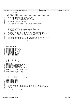/\* −\*− linux−c −\*− \* drivers/char/viotape.c \* iSeries Virtual Tape \*\*\*\*\*\*\*\*\*\*\*\*\*\*\*\*\*\*\*\*\*\*\*\*\*\*\*\*\*\*\*\*\*\*\*\*\*\*\*\*\*\*\*\*\*\*\*\*\*\*\*\*\*\*\*\*\*\*\*\*\*\*\*\*\*\*\*\*\*\*\*\*\*\*\*  $\epsilon$  \* Authors: Dave Boutcher <boutcher@us.ibm.com> 8 \* Ryan Arnold <ryanarn@us.ibm.com> Colin Devilbiss <devilbis@us.ibm.com> <br> $11$  \* (C) Copyright 2000 IBM Corporation <br> $13$  \* This program is free software; you can redistribute it and/or \* modify it under the terms of the GNU General Public License as <sup>15</sup> \* published by the Free Software Foundation; either version 2 of the \* License, or (at your option) anyu later version. <br>18 \* This program is distributed in the hope that it will be useful, but <sup>19</sup> \* WITHOUT ANY WARRANTY; without even the implied warranty of \* MERCHANTABILITY or FITNESS FOR A PARTICULAR PURPOSE. See the GNU <sup>21</sup> \* General Public License for more details.  $rac{22}{23}$  \* You should have received a copy of the GNU General Public License \* along with this program; if not, write to the Free Software Foundation, <sup>25</sup> \* Inc., 59 Temple Place, Suite 330, Boston, MA 02111−1307 USA  $rac{26}{27}$  \*\*\*\*\*\*\*\*\*\*\*\*\*\*\*\*\*\*\*\*\*\*\*\*\*\*\*\*\*\*\*\*\*\*\*\*\*\*\*\*\*\*\*\*\*\*\*\*\*\*\*\*\*\*\*\*\*\*\*\*\*\*\*\*\*\*\*\*\*\*\*\*\*\*\* \* This routine provides access to tape drives owned and managed by an OS/400 \* partition running on the same box as this Linux partition. \* All tape operations are performed by sending messages back and forth to <sup>32</sup> \* the OS/400 partition. The format of the messages is defined in \* iSeries/vio.h 34<br>35  $\star$  / **#undef** VIOT\_DEBUG **#include** <linux/config.h> <sup>41</sup> **#include** <linux/version.h> **#include** <linux/module.h> **#include** <linux/kernel.h> **#include** <linux/proc\_fs.h> **#include** <linux/errno.h> **#include** <linux/init.h> **#include** <linux/wait.h> **#include** <linux/spinlock.h> **#include** <asm/ioctls.h> <sup>50</sup> **#include** <linux/mtio.h> **#include** <linux/pci.h> 52 #include <linux/devfs\_fs.h><br>53 #include <linux/devfs fs ke **#include** <linux/devfs\_fs\_kernel.h> **#include** <asm/uaccess.h> **#include** "vio.h" #include <asm/iSeries/HvLpEvent.h> <sup>58</sup> **#include** "asm/iSeries/HvCallEvent.h" **#include** "asm/iSeries/HvLpConfig.h" **#include** <asm/iSeries/iSeries\_proc.h> **extern** struct pci\_dev \* iSeries\_vio\_dev; **static** int viotape\_major = 230; **static** int viotape\_numdev = 0; **#define** VIOTAPE\_MAXREQ 1  $\frac{69}{69}$  /\* version number for viotape driver \*/<br>
m static unsigned int version major = 1; **static** unsigned int version\_major = 1; <sup>71</sup> **static** unsigned int version\_minor = 0; 73 **static** u64 sndMsgSeq;<br>74 **static** u64 sndMsgAck; 74 **static** u64 sndMsgAck;<br>75 **static** u64 revMsgSeg; **static** u64 rcvMsgSeq; **static** u64 rcvMsgAck; /\*\*\*\*\*\*\*\*\*\*\*\*\*\*\*\*\*\*\*\*\*\*\*\*\*\*\*\*\*\*\*\*\*\*\*\*\*\*\*\*\*\*\*\*\*\*\*\*\*\*\*\*\*\*\*\*\*\*\*\*\*\*\*\*\*\*\*\*\*\*\*\*\*\*\* \* The minor number follows the conventions of the SCSI tape drives. The<br>\* position and pade are appeded in the pinor # We was this struct to bee \* rewind and mode are encoded in the minor #. We use this struct to break \* them out \*\*\*\*\*\*\*\*\*\*\*\*\*\*\*\*\*\*\*\*\*\*\*\*\*\*\*\*\*\*\*\*\*\*\*\*\*\*\*\*\*\*\*\*\*\*\*\*\*\*\*\*\*\*\*\*\*\*\*\*\*\*\*\*\*\*\*\*\*\*\*\*\*\*\*/ 83 struct viot\_devinfo\_struct {<br>84 int major;  $\int_{85}^{84}$  int major; int minor; 86 int devno;<br>87 int mode; 87 int mode;<br>88 int rewin  $\begin{array}{c} 88 \\ 89 \end{array}$  ; int rewind; Registered Version: Linux Support Power PC64 **viotape.c** Exhibit 8.1−33 pg 1/14

 };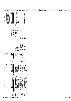|                      | Registered Version: Linux Support Power PC64                             | viotape.c | Exhibit 8.1-33 pg 2/14 |
|----------------------|--------------------------------------------------------------------------|-----------|------------------------|
| 91                   | 0<br>#define VIOTAPOP_RESET                                              |           |                        |
| 92<br>93             | 1<br>#define VIOTAPOP_FSF<br>2<br>#define VIOTAPOP_BSF                   |           |                        |
| 94                   | 3<br>#define VIOTAPOP_FSR                                                |           |                        |
| 95                   | 4<br>#define VIOTAPOP_BSR                                                |           |                        |
| 96<br>97             | 5<br>#define VIOTAPOP_WEOF<br>6<br>#define VIOTAPOP_REW                  |           |                        |
| 98                   | 7<br>#define VIOTAPOP_NOP                                                |           |                        |
| 99                   | 8<br>#define VIOTAPOP_EOM<br>9<br>#define VIOTAPOP_ERASE                 |           |                        |
| 100<br>101           | 10<br>#define VIOTAPOP_SETBLK                                            |           |                        |
| 102                  | #define VIOTAPOP_SETDENSITY<br>11                                        |           |                        |
| 103<br>104           | 12<br>#define VIOTAPOP_SETPOS<br>13<br>#define VIOTAPOP_GETPOS           |           |                        |
| 105                  | 14<br>#define VIOTAPOP_SETPART                                           |           |                        |
| 106                  |                                                                          |           |                        |
| 107<br>108           | struct viotapelpevent {<br>struct HvLpEvent event;                       |           |                        |
| 109                  | u32 mReservedl;                                                          |           |                        |
| 110<br>111           | ul6 mVersion;<br>ul6 mSubTypeRc;                                         |           |                        |
| 112                  | ul6 mTape;                                                               |           |                        |
| 113                  | $u16$ mFlags;                                                            |           |                        |
| 114<br>115           | u32 mToken;<br>u64 mLen;                                                 |           |                        |
| 116                  | $union \{$                                                               |           |                        |
| 117<br>118           | struct {<br>u32 mTapeOp;                                                 |           |                        |
| 119                  | u32 mCount;                                                              |           |                        |
| 120                  | tapeOp;}                                                                 |           |                        |
| 121<br>122           | struct<br>u32 mType;                                                     |           |                        |
| 123                  | u32 mResid;                                                              |           |                        |
| 124                  | u32 mDsreg;                                                              |           |                        |
| 125<br>126           | u32 mGstat;<br>u32 mErreg;                                               |           |                        |
| 127                  | u32 mFileNo;                                                             |           |                        |
| 128<br>129           | u32 mBlkNo;<br>getStatus;                                                |           |                        |
| 130                  | struct {                                                                 |           |                        |
| 131<br>132           | u32 mBlkNo;<br>getPos;                                                   |           |                        |
| 133                  | $\}$ u;                                                                  |           |                        |
| $\}$ ;<br>134        |                                                                          |           |                        |
| 135<br>136           | enum viotapesubtype {<br>$viotapeopen = 0x0001,$                         |           |                        |
| 137                  | $viotapeclose = 0x0002,$                                                 |           |                        |
| 138                  | $viotaperead = 0x0003,$<br>viotapewrite = $0x0004$ ,                     |           |                        |
| 139<br>140           | $viotapegetinfo = 0x0005,$                                               |           |                        |
| 141                  | $viotapeop = 0x0006,$                                                    |           |                        |
| 142<br>143           | $viotapegetpos = 0x0007,$<br>$viotape setpos = 0x0008,$                  |           |                        |
| 144                  | $viotapegetstatus = 0x0009$                                              |           |                        |
| $\}$ ;<br>145<br>146 |                                                                          |           |                        |
| 147                  | $enum$ viotape $Rc$                                                      |           |                        |
| 148                  | $viotape_InvalidRange = 0x0601,$                                         |           |                        |
| 149<br>150           | viotape InvalidToken = $0x0602$ ,<br>viotape DMAError = $0x0603$ ,       |           |                        |
| 151                  | $viotape_UseError = 0x0604,$                                             |           |                        |
| 152                  | viotape_ReleaseError = 0x0605,<br>viotape InvalidTape = $0x0606$ ,       |           |                        |
| 153<br>154           | $viotape_Invalidop = 0x0607,$                                            |           |                        |
| 155                  | $viotape_TapeErr = 0x0608,$                                              |           |                        |
| 156<br>157           | $viotape$ AllocTimedOut = $0x0640$ ,                                     |           |                        |
| 158                  | $viotape_BOTEnc = 0x0641,$                                               |           |                        |
| 159<br>160           | $viotape_BlankTape = 0x0642,$<br>$viotape_BufferEmpty = 0x0643,$         |           |                        |
| 161                  | $viotape_CleanCartFound = 0x0644,$                                       |           |                        |
| 162                  | $viotape_CmdNotAllowed = 0x0645,$                                        |           |                        |
| 163<br>164           | viotape_CmdNotSupported = 0x0646,<br>$viotape_DataCheck = 0x0647,$       |           |                        |
| 165                  | $viotape\_DecompressErr = 0x0648,$                                       |           |                        |
| 166<br>167           | $viotape\_DeviceTimeout = 0x0649$ ,<br>$viotape_PeviceUnaval1 = 0x064a,$ |           |                        |
| 168                  | $viotape\_DeviceBusy = 0x064b,$                                          |           |                        |
| 169                  | $viotape\_EndOfMedia = 0x064c,$                                          |           |                        |
| 170<br>171           | $viotape_End0fTape = 0x064d,$<br>$viotape_{\text{equipCheck}} = 0x064e,$ |           |                        |
| 172                  | $viotape_{Insufficients} = 0x064f,$                                      |           |                        |
| 173<br>174           | $viotape_InvalidLogBlk = 0x0650,$<br>$viotape\_LengthError = 0x0651,$    |           |                        |
| 175                  | $viotape_{LibDoorOpen} = 0x0652,$                                        |           |                        |
| 176                  | $viotape\_LoadFailure = 0x0653,$                                         |           |                        |
| 177<br>178           | $viotape_NotCapable = 0x0654,$<br>$viotape_NotOperational = 0x0655,$     |           |                        |
| 179                  | $viotape_NotReady = 0x0656,$                                             |           |                        |
| 180                  | $viotape\_OpCancelled = 0x0657,$                                         |           |                        |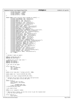```
181 viotape_PhyLinkErr = 0x0658,
182 viotape_RdyNotBOT = 0x0659,
183 viotape_TapeMark = 0x065a,<br>184 viotape_WriteProt = 0x065a,
                        viotape_W\interbot = 0x065b185 };
186
187 static const struct vio_error_entry viotape_err_table[] = {<br>
188 {viotape_InvalidRange, EIO, "Internal error"},<br>
189 {viotape_InvalidToken, EIO, "Internal error"},
190 {viotape_DMAError, EIO, "DMA error" },<br>
191<br>
192 {viotape_UseError, EIO, "Internal error" },<br>
193 {viotape_ReleaseError, EIO, "Internal error" },<br>
194 {viotape_InvalidTape, EIO, "Invalid tape device" },<br>
195 {viotape_I
198\{\text{viotape\_BlankTape, EIO, "Blank tape"}\},\ \{\text{viotape\_BlafferEmpty, EIO, "Buffer empty"}\},\ \{\text{viotape\_CleanCartFound}, ENO, WDEDIUM, m'Cleaning cartridge found"\},\ \{\text{viotape\_CheadNotAllowed, EIO, "Command not allowed"}\},\ \{\text{viotape\_CmedNotSupported, EIO, "Command not supported"}\},\ \{\text{viotape\_OndNotSupported, EIO, "Command not supported"}\},\%<br>
2006<br>
2006<br>
2006<br>
2006<br>
2006<br>
2007<br>
2007<br>
2007<br>
2007<br>
2007<br>
2007<br>
2007<br>
2007<br>
2007<br>
2007<br>
2007<br>
2007<br>
2007<br>
2007<br>
2007<br>
2007<br>
2007<br>
2007<br>
2007<br>
2007<br>
2007<br>
2007<br>
2007<br>
2007<br>
2007<br>
2007<br>
2007<br>
2007<br>
2007<br>
2007<br>
2007<br>
200
213 {viotape_LengthError, EOVERFLOW, "Length error" },<br>
214 {viotape_LibDoorOpen, EBUSY, "Door open" },<br>
215 {viotape_LoadFailure, ENOMEDIUM, "Load failure" },<br>
216 {viotape_MotCapable, EIO, "Not capable" },<br>
217 {viotape_
219 {viotape_OpCancelled, EIO, "Operation cancelled"},<br>
220 {viotape_PhyLinkErr, EIO, "Physical link error"},<br>
221 {viotape_RdyNotBOT, EIO, "Ready but not beginning of tape"},<br>
222 {viotape_TapeMark, EIO, "Tape mark"},<br>
{v
\{0, 0, \overline{NULL}\},<br>225 };
      225 };
226
227 /* Maximum # tapes we support
228<br>229
229 #define VIOTAPE_MAX_TAPE 8
       230 #define MAX_PARTITIONS 4
231
232 /* defines for current tape state */<br>233 #define VIOT IDLE 0
       233 #define VIOT_IDLE 0
234 #define VIOT_READING 1
235 #define VIOT_WRITING 2
236
237 /* Our info on the tapes
238 */<br>239 Str
239 struct tape_descr {<br>240 char rsrcna
240 char rsrcname[10];
241 char type[4];
242 char model[3];<br>243 ;
      \};
244
245 static struct tape_descr *viotape_unitinfo = NULL;
246
247 static const char *lasterr[VIOTAPE_MAX_TAPE];
248
249 static struct mtget viomtget[VIOTAPE_MAX_TAPE];
250
251 /* maintain the current state of each tape (and partition)<br>252 50 50 that we know when to write EOF marks.
252 so that we know when to write EOF marks.<br>253 \times253 */<br>254 St
      static struct {
255 unsigned char cur_part;
256 devfs_handle_t dev_handle;
257 struct {
258 unsigned char rwi;<br>259 and the state of the contract of the contract of the contract of the contract of the contract of the contract of the contract of the contract of the contract of the contract of the contract of th
                        259 } part_stat[MAX_PARTITIONS];
260 } state[VIOTAPE_MAX_TAPE];
261
262 /* We single−thread
263 */
264 static struct semaphore reqSem;
265
<sup>266</sup> /* When we send a request, we use this struct to get the response back<br><sup>267 *</sup> from the interrupt handler
267 * from the interrupt handler<br>268 */
\frac{268}{269} */
       struct opStruct {
270 void *buffer;
Registered Version: Linux Support Power PC64 viotape.c Exhibit 8.1−33 pg 3/14
```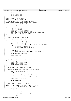```
271 dma_addr_t dmaaddr;
<sup>272</sup> size t count;
273 int rc;<br>274 Struct;
274 struct semaphore *sem;<br>275 struct opStruct *free;
             struct opStruct *free;
276 };
277
278 static spinlock_t opStructListLock;<br>279 static struct opStruct *opStructLis
   static struct opStruct *opStructList;
280
281 /* forward declaration to resolve interdependence */
282 static int chg_state(int index, unsigned char new_state,
283 struct file *file);
284
285 /* Decode the kdev_t into its parts
286<br>287
    void getDevInfo(kdev_t dev, struct viot_devinfo_struct *devi)
288 \{289\}289 devi−>major = MAJOR(dev);<br>290 devi−>minor = MINOR(dev);
290 devi−>minor = MINOR(dev);<br>291 devi−>devno = devi−>minor
             291 devi−>devno = devi−>minor & 0x1F;
292 devi−>mode = (devi−>minor & 0x60) >> 5;<br>293 /* if bit is set in the minor, do not
293 /* if bit is set in the minor, do not rewind automatically */<br>
294 devi->rewind = !(devi->minor & 0x80);
294 devi−>rewind = !(devi−>minor & 0x80);<br>295 }
   \}296
297
298 /* Allocate an op structure from our pool
299 */
300 static struct opStruct *getOpStruct(void)
\begin{matrix} 301 \\ 302 \end{matrix}struct opStruct *newOpStruct;
303 spin_lock(&opStructListLock);
304
305 if (opStructList == NULL) {
                       306 newOpStruct = kmalloc(sizeof(struct opStruct), GFP_KERNEL);
307 } else {
308 1988 newOpStruct = opStructList;<br>309 0pStructList = opStructList
              309 opStructList = opStructList−>free;
310 }
311
312 if (newOpStruct)
313 memset(newOpStruct, 0x00, sizeof(struct opStruct));
314
315 spin_unlock(&opStructListLock);
316
317 return newOpStruct;
318 }
319
320 /* Return an op structure to our pool
321 */
322 static void freeOpStruct(struct opStruct *opStruct)<br>323 {
   \{324 spin_lock(&opStructListLock);<br>325 construct->free = opStructList
325 opStruct−>free = opStructList;
326 opStructList = opStruct;
327 spin_unlock(&opStructListLock);
328 }
329
330 /* Map our tape return codes to errno values
331332 int tapeRcToErrno(int tapeRc, char *operation, int tapeno)
333 {<br>334const struct vio_error_entry *err;
335 if(tapeRc == 0)
336 return 0;<br>337 err = vio lookup
             err = vio_lookup_rc(viotape_err_table, tapeRc);
338
339 printk(KERN_WARNING_VIO "tape error 0x%04x on Device %d (%–10s): %s\n",<br>340 tapeRc, tapeno, viotape unitinfo[tapeno], rsrcname, e
                      340 tapeRc, tapeno, viotape_unitinfo[tapeno].rsrcname, err−>msg);
341
342 lasterr[tapeno] = err−>msg;
343
344 return −err−>errno;
345 }
346
\frac{347}{348} /* Handle reads from the proc file system.
348 */
349 static int proc_read(char *buf, char **start, off_t offset,
350 int blen, int *eof, void *data)
351 \quad \{352 int len = 0;<br>353 int i;
              int \div i354
355 len += sprintf(buf + len, "viotape driver version %d.%d\n",
356 version_major, version_minor);
357
358 for (i = 0; i < viotape_numdev; i++) {
359
360 len +=
```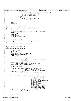```
361 sprintf(buf + len,<br>362 sprintf(buf + len,<br>"viotane devic
362<br>362 Wiotape device %d is iSeries resource %10.10s type %4.4s, model %3.3s\n",<br>363 i, viotape unitinfo[i].rsrcname,
363 i, viotape_unitinfo[i].rsrcname,<br>364 viotape_unitinfo[i].type,
364 viotape_unitinfo[i].type,
365 viotape_unitinfo[i].model);
                      366 if (lasterr[i])
367 len +=<br>368 sp
368 sprintf(buf + len, " last error: %s\n",<br>369 last error: \frac{1}{1});
             \left.\begin{array}{cc} \end{array}\right\}370 }
371
372 *eof = 1;<br>373 return le
    <sup>37</sup>3<br>373 return len;
374 }
375
376 /* setup our proc file system entries
377
378 void viotape_proc_init(struct proc_dir_entry *iSeries_proc)
\begin{matrix}379\\380\end{matrix}380 struct proc_dir_entry *ent;<br>381 ent =
             ent =382 create_proc_entry("viotape", S_IFREG | S_IRUSR, iSeries_proc);<br>383 if (!ent)
383 if (!ent)
384 return;<br>385 ent->nlink = 1;
             385 ent−>nlink = 1;
386 ent−>data = NULL;
387 ent−>read_proc = proc_read;
   388 }
389
390 /* clean up our proc file system entries
391<br>392
   void viotape_proc_delete(struct proc_dir_entry *iSeries_proc)
393 \{<br>394<sup>394</sup> remove_proc_entry("viotape", iSeries_proc);<br>395 }
   \}396
397
398 /* Get info on all tapes from OS/400<br>399 */
399 */<br>400 sta
   static void get_viotape_info(void)
401 {<br>402402 dma_addr_t dmaaddr;<br>403 HvLpEvent_Rc hvrc;
403 HvLpEvent_Rc hvrc;<br>
404 int i;
104 int \text{ } i;<br>405 structstruct opStruct *op = getOpStruct();
406 DECLARE_MUTEX_LOCKED(Semaphore);<br>407 if (op == NULL)
407 if (op == NULL)<br>
408 return;
                      408 return;
409
410 if (viotape_unitinfo == NULL) {
411 viotape_unitinfo =
412 kmalloc(sizeof(struct tape_descr) * VIOTAPE_MAX_TAPE,
                                    GFP_KERNEL);
414memset(viotape_unitinfo, 0x00,
416 sizeof(struct tape_descr) * VIOTAPE_MAX_TAPE);
417 memset(lasterr, 0x00, sizeof(lasterr));
418
419 op−>sem = &Semaphore;
420
421 dmaaddr = pci_map_single(iSeries_vio_dev, viotape_unitinfo,
422 sizeof(struct tape_descr) *
423 VIOTAPE_MAX_TAPE, PCI_DMA_FROMDEVICE);
424 if (dmaaddr == 0xFFFFFFFF) {
425 printk(KERN_WARNING_VIO "viotape error allocating tce\n");<br>
\text{return:}426 return;
427 }
428
429 hvrc = HvCallEvent_signalLpEventFast(viopath_hostLp,
430 HvLpEvent_Type_VirtualIo,
131 and the state of the state of the state of the state of the state of the state of the state of the state of the state of the state of the state of the state of the state of the state of the state of the state of the st
432 viotapegetinfo,
433 HvLpEvent_AckInd_DoAck,
                                                        434 HvLpEvent_AckType_ImmediateAck,
435 viopath_sourceinst
436 (viopath_hostLp),
437 viopath_targetinst<br>
438 (viopath_hostLp),
438 (viopath_hostLp), (viopath_hostLp), (viopath_hostLp), (viopath_hostLp), (viopath_hostLp), (viopath_hostLp), (viopath_hostLp), (viopath_hostLp), (viopath_hostLp), (viopath_hostLp), (viopath_hostLp), (viopath_hostLp), (v
                                                         (u64) (unsigned long) op,
440 VIOVERSION << 16, dmaaddr,
441 sizeof(struct tape_descr) *
442 VIOTAPE_MAX_TAPE, \overline{0}, 0);<br>
443 if (hyrc != HyLpEyent Rc Good) {
443 if (hvrc != HvLpEvent_Rc_Good) {<br>printk ("viotane hv error on on 6
             printk("viotape hv error on op %d\n", (int) hvrc);
445 }
446
447 down(&Semaphore);
448
449 freeOpStruct(op);
Registered Version: Linux Support Power PC64 viotape.c Exhibit 8.1−33 pg 5/14
```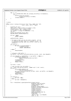```
451
452 for (i = 0;453 ((i < VIOTAPE_MAX_TAPE) && (viotape_unitinfo[i].rsrcname[0]));
454 i++) {<br>455 i++) {
455 printk("found a tape %10.10s\n"<br>viotape unitinfo[i
                             viotape_unitinfo[i].rsrcname);
457 viotape_num\det^{-1} viotape_num\det^{-1}458 }
   \}460
461
462 /* Write
463 */
464 static ssize_t viotap_write(struct file *file, const char *buf,
                                   size_t count, loff_t * ppos\begin{matrix}\n466 \\
467\n\end{matrix}467 HvLpEvent_Rc hvrc;<br>468 kdev t dev = file-
468 kdev_t dev = file−>f_dentry−>d_inode−>i_rdev;
469 unsigned short flags = file−>f_flags;
470 struct opStruct *op = getOpStruct();
471 int noblock = ((flags & O_NONBLOCK) != 0);
<sup>472</sup> int err;<br><sup>473</sup> struct v
473 struct viot_devinfo_struct devi;<br>474 DECLARE_MUTEX_LOCKED(Semaphore);
            DECLARE_MUTEX_LOCKED(Semaphore);
475
476 if (op == NULL)
                     477 return −ENOMEM;
478
479 getDevInfo(dev, &devi);
480
481 /* We need to make sure we can send a request. We use<br>482 * a semaphore to keep track of # requests in use. If
              * a semaphore to keep track of # requests in use. If
483 * we are non−blocking, make sure we don't block on the 
484 * semaphore
485 * /486 if (noblock) {
487 if (down_trylock(&reqSem)) {<br>
488 freeOpStruct(op);
489 return −EWOULDBLOCK;
490 }
491 } else {
             down(&reqSem);<br>}
493 }
494
495 /* Allocate a DMA buffer */
496 op−>buffer = pci_alloc_consistent(iSeries_vio_dev, count, &op−>dmaaddr);
497
498 if ((op−>dmaaddr == 0xFFFFFFFF) || (op−>buffer == NULL)) {
499 printk (KERN_WARNING_VIO)<br>"tane error allocating dn
                              " tape error allocating dma buffer for len %ld\n",
501 count);<br>502 freeOpStruct(o
502 freeOpStruct(op);<br>503 up(&regSem);
503 up(\& \text{regSem)};<br>504 return -EFAU
504 return −EFAULT;
             \left\{ \right\}506
507 op−>count = count;
508
509 /* Copy the data into the buffer */<br>510 err = copy from user(op->buffer, (co
             510 err = copy_from_user(op−>buffer, (const void *) buf, count);
511 if (err) {
512 printk(KERN_WARNING_VIO 
513 "tape: error on copy from user\n");<br>514 DCI free consistent (iSeries vio
                      514 pci_free_consistent(iSeries_vio_dev, count, op−>buffer, op−>dmaaddr);
515 freeOpStruct(op);
516 up(\&reqSem);<br>517 return -EFAU
             <sup>1</sup><br>517 return −EFAULT;
518 }
519
520 if (noblock) {
521 op−>sem = NULL;
522 } else {
             523 op−>sem = &Semaphore;
524 }
525
526 hvrc = HvCallEvent_signalLpEventFast(viopath_hostLp,<br>527 HvLpEvent_Type_
527 Samma Controller Controller Controller Controller Mathematic Controller Controller Controller Controller<br>
Samma Controller Controller Controller Controller Controller Controller Controller Controller Controller Contr
528 viomajorsubtype_tape |<br>
viotapewrite
                                                       viotapewrite
530 HvLpEvent_AckInd_DoAck,
531 HvLpEvent_AckType_ImmediateAck,
532 viopath_sourceinst
533 (viopath_hostLp), (viopath_hostLp), (viopath_hostLp), (viopath_hostLp), (viopath_hostLp), (viopath_hostLp), (viopath_hostLp), (viopath_hostLp), (viopath_hostLp), (viopath_hostLp), (viopath_hostLp), (viopath_hostLp), (v
534 viopath_targetinst<br>(viopath_hostLp).
535 (viopath_hostLp),
536 (u64) (unsigned long) op,
537 VIOVERSION << 16,<br>
538 ((u64) devi.
(1064) \text{ devi}.539 devno << 48) | op−>dmaaddr,
540 count, 0, 0);
Registered Version: Linux Support Power PC64 viotape.c Exhibit 8.1−33 pg 6/14
```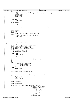```
541 if (hvrc != HvLpEvent_Rc_Good) {<br>
printk("viotape hv error on op %d\n", (int) hvrc);
543 pci_free_consistent(iSeries_vio_dev, count, op−>buffer, op−>dmaaddr);
544 freeOpStruct(op);<br>545 mp(&reqSem);
545 up(&\text{regSem};<br>546 return -FIO;546 return −EIO;
547 }
548
549 if (noblock)
                     return count;
551
552 down(&Semaphore);
553
            554 err = op−>rc;
555
556 \frac{556}{557} /* Free the buffer */
            557 pci_free_consistent(iSeries_vio_dev, count, op−>buffer, op−>dmaaddr);
558<br>559
            559 count = op−>count;
560
561 freeOpStruct(op);
562 up(&regSem);<br>563 if (err)
563 if (err)
564 return tapeRcToErrno(err, "write", devi.devno);<br>565 else {
            565 else {
566 chg_state(devi.devno, VIOT_WRITING, file);<br>567 churn count;
            fracturn count;<br>}
568 }
569 }
570
571 /* read
572
573 static ssize_t viotap_read(struct file *file, char *buf, size_t count,
574 loff_t * ptr)
575 {<br>576HvLpEvent_Rc hvrc;
577 kdev_t dev = file−>f_dentry−>d_inode−>i_rdev;
578 unsigned short flags = file−>f_flags;
579 struct opStruct *op = getOpStruct();
580 int noblock = ((flags & O_NONBLOCK) != 0);
581 int err;
582 struct viot_devinfo_struct devi;
583 DECLARE_MUTEX_LOCKED(Semaphore);
584
585 if (op == NULL)
586 return −ENOMEM;
587
588 getDevInfo(dev, &devi);
589
590 /* We need to make sure we can send a request. We use
591 * a semaphore to keep track of # requests in use. If
592 * we are non−blocking, make sure we don't block on the 
             * semaphore
594if (noblock) {
596 if (down_trylock(&reqSem)) {<br>597 if (down_treeOpStruct(op);
597 freeOpStruct(op);<br>598 freeDPStruct(op);<br>return -EWOULDBLO
598 return −EWOULDBLOCK;
599 }
600 } else {
601 down(\text{trace}_{\text{Sem}});
602 }
603<br>604
            chg_state(devi.devno, VIOT_READING, file);
605
006 /* Allocate a DMA buffer */<br>607 0p->buffer = pci alloc cons
            607 op−>buffer = pci_alloc_consistent(iSeries_vio_dev, count, &op−>dmaaddr);
608
609 if ((op−>dmaaddr == 0xFFFFFFFF) || (op−>buffer == NULL)) {
                     FreeOpStruct(op);
\text{up}(\& \text{regSem})\; i<br>
\text{return } -\text{EFAU}return −EFAULT;
613 }
614
615 op−>count = count;
616
617 op−>sem = &Semaphore;
618
619 hvrc = HvCallEvent_signalLpEventFast(viopath_hostLp,
620 HvLpEvent_Type_VirtualIo,
621 viomajorsubtype_tape |
622 viotaperead,
623 HvLpEvent_AckInd_DoAck,<br>624 HvLpEvent_AckTvpe_Immed
624 HvLpEvent_AckType_ImmediateAck,
625 viopath_sourceinst
626 (viopath_hostLp),
ez<br>ez<br>ez viopath_targetinst<br>(viopath_hostLp),
\begin{array}{c}\n \text{628} \\
 \text{628}\n \end{array}
(viopath_hostLp),<br>
\begin{array}{c}\n \text{(viopath)} \\
 \text{(164)} \\
 \text{(unsim and i)}\n \end{array}(u64) (unsigned long) op,
630 VIOVERSION << 16,
Registered Version: Linux Support Power PC64 viotape.c Exhibit 8.1−33 pg 7/14
```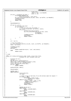```
(1064) \text{ devi}.<br>
h^{83} \text{ devo} \leq 48\frac{33}{632} devno << 48) | op->dmaaddr, \frac{33}{633}\begin{array}{c}\n\text{633} \\
\text{634}\n\end{array}
if (hvrc != HvLpEvent_Rc_Good) { count, 0, 0);
634 if (hvrc != HvLpEvent_Rc_Good) {<br>635 printk(KERN_WARNING_VIO
635 printk(KERN_WARNING_VIO)<br>636 metaphy error on on %d
                                "tape hv error on op %d\n", (int) hvrc);
637 pci_free_consistent(iSeries_vio_dev, count, op−>buffer, op−>dmaaddr);
638 freeOpStruct(op);<br>639 mp(&reqSem);
\text{G39} up(\text{XreqSem});<br>\text{return } -\text{FIO};
             640 return −EIO;
641 }
642<br>643
             down(&Semaphore);
644
645 if (op−>rc == 0) {
646 \begin{array}{ccc} 11 & y \cdot \frac{1}{2} & \cdots & 16 \\ 646 & & \end{array} if y = 9 data back \begin{array}{ccc} 1 & x \cdot \frac{1}{2} & \cdots & 16 \\ 1 & 1 & 1 & 1 \end{array}647 if (op−>count) {
648 \overrightarrow{A} \text{ Copy the data into the buffer } */<br>649 \overrightarrow{B} = \text{copy_to_user}(\text{buf}, \text{op->buffer})649 err = copy_to_user(buf, op->buffer, count);<br>650 if (err) {
650 if (err) {
                                          \sum_{i=1}^{n} printk("error on copy_to_user\n");
652 pci_free_consistent(iSeries_vio_dev, count,
653 op−>buffer,
654<br>655 freeOpStruct(op);<br>655 freeOpStruct(op);
                                          freeOpStruct(op);
656 up(&reqSem);
657 return −EFAULT;
658 }
659 }
660 }
661
             662 err = op−>rc;
663<br>664
^{664} /* Free the buffer */
665 pci_free_consistent(iSeries_vio_dev, count, op−>buffer, op−>dmaaddr);
             count = op−>count;
667
668 freeOpStruct(op);<br>669 mp(&reqSem);
\begin{array}{lll} 669 & \text{up}(\& \text{regSem}): \\ 670 & \text{if}(\text{err}): \end{array}if (err)
external tapeRcToErrno(err, "read", devi.devno);<br>
else
             672 else
673 return count;<br>674 }
   \left\{ \right\}675
676 /* read
677 */
678 static int viotap_ioctl(struct inode *inode, struct file *file,
    f and interest consigned intervals are defined as \{680 {
681 HvLpEvent_Rc hvrc;
\begin{array}{cc}\n 682 & \text{int}^{-} \text{err}\, i \\
 683 & \text{DECLARE}\n \end{array}683 DECLARE_MUTEX_LOCKED(Semaphore);<br>684 kdev_t dev = file->f_dentry->d_i
684 kdev_t dev = file−>f_dentry−>d_inode−>i_rdev;
685 struct opStruct *op = getOpStruct();
\begin{array}{lll} 686 & \text{struct } \text{viot\_devinfo\_struct } \text{devi}; \\ 687 & \text{if } (\text{op } == \text{NULL}) \end{array}if (op == NULL)688 return −ENOMEM;
689
690 getDevInfo(dev, &devi);
691
692 down(&reqSem);
693<br>694
             694 switch (cmd) {
695 case MTIOCTOP:{
<sup>696</sup> struct mtop mtc;<br>697 u32 myOp;
                                 u32 myOp;
698
\frac{709}{100} /* inode is null if and only if we (the kernel) made the request */<br>if (inode == NIII.)
<sup>700</sup>
if (inode == NULL)<br>701
if (inode == NULL)
701 memcpy(\text{kmtc}, (\text{void} *) arg,<br>702 sizeof(\text{struct} mbp)
702 sizeof(struct mtop));<br>
else if (copy_from_user
703 else if (copy_from_user
704 ((char *) &mtc, (char *) arg,
705 sizeof(struct mtop))) {
T^{706} T^{706} T^{707} T^{707} T^{707} T^{707} T^{707} T^{707} T^{707} T^{707} T^{707} T^{707} T^{707} T^{707} T^{707} T^{707} T^{707} T^{707} T^{707} T^{707} T^{707} T^{707} T^{707} T^{707} T^{70707 up(&reqSem);
708 return −EFAULT;
709 }
710
<sup>711</sup> switch (mtc.mt_op) {<br>712 case MTRESET:
712 case MTRESET:
713 713 714<br>714<sup>714</sup> break;<br><sup>715</sup> break;
                                715 case MTFSF:
716 myOp = VIOTAPOP_FSF;<br>
717The total transfer that the product of the product of the product of the product of the product of the product of the product of the product of the product of the product of the product of the product of the product of the
718 case MTBSF:
                                          myOp = VIOTAPOP_BSF;720 break;
Registered Version: Linux Support Power PC64 viotape.c Exhibit 8.1−33 pg 8/14
```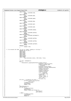```
721 case MTFSR:
 722 myOp = VIOTAPOP_FSR;<br>723<br>723723 break;
 724 case MTBSR:
 \text{myOp} = \text{VIOTAPOP\_BSR};<br>\text{break };
                              726 break;
 727 case MTWEOF:
 728 myOp = VIOTAPOP_WEOF;<br>729 break;
 729 break;
 730 case MTREW:
                                  = VIOTAPOP_REW;
 732 break;
 733 case MTNOP:
 \text{myOp} = \text{VIOTAPOP\_NOP};<br>
\text{break };
                              735 break;
 736 case MTEOM:
 \begin{array}{rcl}\n \text{true} & \text{true} & \text{true} \\
 \hline\n \text{true} & \text{true} & \text{true}\n \end{array}738 break;
 739 case MTERASE:
 \text{myOp} = \text{VIOTAPOP\_ERASE};<br>\text{break };
                              break;
 742 case MTSETBLK:
 \text{myOp} = \text{VIOTAPOP\_SETBLK};<br>
\text{break};<sup>744</sup> break;<br><sup>745</sup> break;<br>245 break;
                        case MTSETDENSITY:
 \text{myOp} = \text{VIOTAPOP\_SETDENSITY};<br>\text{break };
 <sup>7.17</sup> break;<br>
748 break;<br>
748 case MTTELL:
 748 case MTTELL:
 \text{myOp} = \text{VIOTAPOP\_GETPOS};<br>\text{Area};
                              750 break;
 751 case MTSEEK:
 \text{myOp} = \text{VIOTAPOP\_SETPOS};<br>\text{Area};
 753 break;
 754 case MTSETPART:
 755 myOp = VIOTAPOP_SETPART;<br>756 meak;
                              756 break;
 757 default:
 <sup>758</sup> return −EIO;<br>759 f
  759 }
 760
  761 /* if we moved the head, we are no longer reading or writing */
762 switch (mtc.mt_op) {
 763 case MTFSF:
 764 case MTBSF:
                        765 case MTFSR:
 766 case MTBSR:
 767 case MTTELL:
 768 case MTSEEK:
 769 case MTREW:
 770 chg_state(devi.devno, VIOT_IDLE, file);<br>771
  771 }
 772
 773 op−>sem = &Semaphore;
  774 hvrc =
775 HvCallEvent_signalLpEventFast(viopath_hostLp,
776 HvLpEvent_Type_VirtualIo,
777 viomajorsubtype_tape
 778 | viotapeop, 1988 | viotapeop, 1988 | viotapeop, 1988 | viotapeop, 1988 | viotapeop, 1988 | viotapeop, 198
 779 February 1920<br>HylpEvent_AckInd_DoAck , HylpEvent_AckInd_DoAck , HylpEvent_AckInd_DoAck ,
  780 HvLpEvent_AckType_ImmediateAck,
781 viopath_sourceinst
 782 (viopath_hostLp), 783<br>
782 (viopath_targetins
 783 viopath_targetinst
                                                    (viopath_hostLp),
  785 (u64) (unsigned
786 long) op,
 - 2007<br>
T87<br>
787<br>
788<br>
(1064) devi.
 788 ((u64) devi.
  789 devno << 48), 0,
790 (((u64) myOp) <<
 \frac{791}{792} and \frac{32}{100} | mtc. \frac{32}{100} | mtc. \frac{32}{100} | mtc. \frac{32}{100} | mtc. \frac{32}{100} | mtc. \frac{32}{100} | mtc. \frac{32}{100} | mtc. \frac{32}{100} | mtc. \frac{32}{100} | mtc. \frac{32}{100} | mtc. \frac792 mt_count, 0);<br>
if (hvrc != HvLpEvent_Rc_Good) {<br>
printk("viotape hv error on op %d\n",
  795 (int) hvrc);
796 freeOpStruct(op);
 797<br>798<br>798<br>return -EIO;
 798 return −EIO;
  799 }
 \det_{800} down(&Semaphore);<br>\det_{801} down(&Semaphore);
 801<br>802 if (op−>rc) {<br>802 if (op−>rc) {<br>free0
 802 freeOpStruct(op);<br>803 mp(&reqSem);
 803 up(\text{tr}_{\text{eqSem}});<br>804 return tapeR
 804 return tapeRcToErrno(op−>rc,
                                                " tape operation"
 \begin{array}{c|c|c|c|c|c} \text{806} & & & \text{devi.dev} \end{array};<br>\begin{array}{c|c|c|c|c} \text{else} & & & \text{devi.dev} \end{array};
 807 } else {
 808 freeOpStruct(op);<br>\ln(\kappa \cos \theta);<br>\ln(\kappa \cos \theta);
                              up(&reqSem);
 810 return 0;
 Registered Version: Linux Support Power PC64 viotape.c Exhibit 8.1−33 pg 9/14
./PPC64/linux/drivers/iseries/viotape.c Page 182/239
```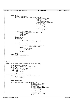```
811 }
en and break;<br>
\frac{1}{2} break;
813 \Big\}814
815 case MTIOCGET:
                   .seem = &Semaphore;<br>op−>sem = &Semaphore;
817 hvrc = HvCallEvent_signalLpEventFast(viopath_hostLp,
818 HvLpEvent_Type_VirtualIo,<br>BypEvent_Type_VirtualIo,<br>viomajorsubtype_tape |
\begin{array}{ccc} 819 & \text{viomajorsubtype\_tape} \\ 820 & \text{viotapeeeststatus.} \end{array}820 820 viotapegetstatus, sensus viotapegetstatus, sensus viotapegetstatus, sensus viotapegetstatus, sensus viotapegetstatus, sensus viotapegetstatus, sensus viotapegetstatus, sensus viotapegetstatus, sensus viotapegetstat
821 HvLpEvent_AckInd_DoAck,
822 HvLpEvent_AckType_ImmediateAck,
823 viopath_sourceinst
824 (viopath_hostLp), 825 (viopath_hostLp), 825825 viopath_targetinst
826 (viopath_hostLp),
827 (u64) (unsigned long)
\frac{828}{229} op, VIOVERSION << 16, \frac{16}{16}, \frac{16}{16}(2.829)<br>829 ((1.64) devi.<br>830 devno << 48
830 devno << 48), 0, 0,
831 0);<br>
if (hvrc != HvLpEvent_Rc_Good) {<br>
printk("viotape hv error on op %d\n", (int) hvrc);
834 freeOpStruct(op);<br>
835 mol&regSem);
                           up(&reqSem);
836 return −EIO;
837 }
838 down(&Semaphore);
\text{sup}(\text{%regSem});<br>\text{inf}(\text{on} > r\text{c})840 if (op−>rc) {
<sup>841</sup> freeOpStruct(op);<br><sup>842</sup> freeOpStruct(op);<br>return tapeRcToEr
                           842 return tapeRcToErrno(op−>rc, "get status",
843<br>844 devi.devno);<br>else {
844 } else {
845 freeOpStruct(op);<br>\lim_{n \to \infty} \frac{1}{n} freeOpStruct(op);
                           err =ers<br>
copy_to_user((void *) arg, &viomtget[dev],<br>
sizeof(viomtget[0]));
848 sizeof(viomtget[0]));<br>
849 if (err) {
849 if (err) {
                                   freeOpStruct(op);
851 return −EFAULT;<br>852 f
852 }
853 return 0;<br>854 b
854 }
855 break;
856 case MTIOCPOS:
857 printk("Got an MTIOCPOS\n");<br>858 default:
858 default:
859 return −ENOSYS;
860 }
r_{\text{661}} r_{\text{eturn 0}};
   }
863
864 /* Open
865 */
866 static int viotap_open(struct inode *inode, struct file *file)
867 {
868 DECLARE_MUTEX_LOCKED(Semaphore);
869 kdev_t dev = file−>f_dentry−>d_inode−>i_rdev;
           HvLpEvent_Rc hvrc;
870 struct opstruct *op = getOpStruct();
872 struct viot_devinfo_struct devi;<br>873 if (op == NULL)
\text{R73} if (op == NULL)<br>\text{R74} return
                  874 return −ENOMEM;
875
876 getDevInfo(dev, &devi);
877
878 // Note: We currently only support one mode!
879 if ((devi.devno >= viotape_numdev) || (devi.mode)) {
880 freeOpStruct(op);
881 return −ENODEV;<br>882 }
882 }
883
884 op−>sem = &Semaphore;
885
886 hvrc = HvCallEvent_signalLpEventFast(viopath_hostLp,<br>887 HvLpEvent_Type_
887 Antes Archives-Active Actor (1990)<br>BBT HyLpEvent_Type_VirtualIo,<br>wiomajorsubtype tape |
888 viomajorsubtype_tape |
                                                viotapeopen,
890 HvLpEvent_AckInd_DoAck,
891 HvLpEvent_AckType_ImmediateAck,
892 viopath_sourceinst<br>
893 viopath_sourceinst<br>
(viopath_hostLp),
893 (viopath_hostLp), (viopath_hostLp), (viopath_hostLp), (viopath_hostLp), (viopath_hostLp), (viopath_hostLp), (viopath_hostLp), (viopath_hostLp), (viopath_hostLp), (viopath_hostLp), (viopath_hostLp), (viopath_hostLp), (v
894 viopath_targetinst<br>(viopath_hostLp).
895 (viopath_hostLp),
896 (u64) (unsigned long) op,
897 VIOVERSION << 16,
898 ((u64) devi.devno << 48), 0,
899 0, 0);
Registered Version: Linux Support Power PC64 viotape.c Exhibit 8.1−33 pg 10/14
```
900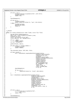```
901
902 if (hvrc != 0) {<br>
printk("viotape bad rc on signalLpEvent %d\n", (int) hvrc);
904 freeOpStruct(op);<br>905 return -EIO;
            return −EIO;
906 }
907
908 down(&Semaphore);
909
910 if (op->rc) {<br>911 freeO
                     freeOpStruct(op);
912 return tapeRcToErrno(op−>rc, "open", devi.devno);
913 } else {
914 freeOpStruct(op);<br>915 mon TNC USE COUNT
915 MOD_INC_USE_COUNT;
916 return 0;
917 \Big\}918 }
919
920
921 /* Release
\frac{922}{923} */
923 static int viotap_release(struct inode *inode, struct file *file)
924 \{925\}DECLARE_MUTEX_LOCKED(Semaphore);
926 kdev_t dev = file−>f_dentry−>d_inode−>i_rdev;
927 HvLpEvent_Rc hvrc;
928 struct viot_devinfo_struct devi;
929 struct opStruct *op = getOpStruct();
930931 if (op == NULL)
                     932 return −ENOMEM;
933 op−>sem = &Semaphore;
934
935 getDevInfo(dev, &devi);
936
937 if (devi.devno >= viotape_numdev) {<br>938 if freeOpStruct(op);
938 freeOpStruct(op);<br>939 freeDpfturn -ENODEV;
            return −ENODEV;
940 }
941
942 chg_state(devi.devno, VIOT_IDLE, file);
943
944 if (devi.rewind) {<br>945 hyders hyders = Hyders
945 hvrc = HvCallEvent_signalLpEventFast(viopath_hostLp,
946 HvLpEvent_Type_VirtualIo,
enter de la contradiction de la contradiction de la contradiction de la contradiction de la contradiction de la contradiction de la contradiction de la contradiction de la contradiction de la contradiction de la contradict
948 viotapeop,
949 HvLpEvent_AckInd_DoAck, HvLpEvent\_Acknowledton and HvLpEvent\_Acknowledton and HvLpEvent\_Acknowledton and HvLpEvent\_Acknowledton950 HvLpEvent_AckType_ImmediateAck,
951 viopath_sourceinst
952 (viopath_hostLp), wiopath_targeting (viopath_targeting), \frac{1}{2}extending the state of the state of the state of the state of the state of the state of the state of the state of the state of the state of the state of the state of the state of the state of the state of the state of the 
954 (viopath_hostLp),
955 (u64) (unsigned long)
956 op, VIOVERSION << 16,
(1064) deviies (1064) deviies (1064) deviies 48958 devno << 48), 0, \frac{1}{958} devno << 48), 0, \frac{1}{1064} VIOTAPOP F
959<br>959 ((\sqrt{u}64) \sqrt{U}OTAPOP_REW)<br>960 < 32. 0);
                                                               << 32, 0);961 down(&Semaphore);
962
963 if (op−>rc) {
                      tapeRcToErrno(op->rc, "rewind", devi.devno);<br>}
965 }
966 }
967
968 hvrc = HvCallEvent_signalLpEventFast(viopath_hostLp,<br>969 HyLpEvent Type
969 HvLpEvent_Type_VirtualIo,
970 viomajorsubtype_tape |
971 971 viotapeclose, viotapeclose, viotapeclose, viotapeclose, viotapeclose, viotapeclose, viotapeclose, viotapeclose, viotapeclose, viotapeclose, viotapeclose, viotapeclose, viotapeclose, viotapeclose, viotapeclose, viot
972 HvLpEvent_AckInd_DoAck,
973 HvLpEvent_AckType_ImmediateAck,<br>974 viopath sourceinst.
                                                      viopath_sourceinst
975 (viopath_hostLp),
976 viopath_targetinst
977 (viopath_hostLp), 978 (viopath_hostLp), 978
978 (0.64) (0.64) (0.64) (0.64) (0.64) (0.64) (0.64) (0.64) (0.64) (0.64) (0.64) (0.64) (0.64) (0.64) (0.64) (0.64) (0.64) (0.64) (0.64) (0.64) (0.64) (0.64) (0.64) (0.64) VIOVERSION << 16,
980 ((u64) devi.devno << 48), 0,
981 0, 0;982
983
984 if (hvrc != 0) {<br>985 printk("viotape: bad rc on signalLpEvent %d\n",
986 (int) hvrc);<br>987 return -EIO;
             Peturn −EIO;<br>Preturn −EIO;<br>Preturn −EIO;
988 }
989
990 down(&Semaphore);
Registered Version: Linux Support Power PC64 viotape.c Exhibit 8.1−33 pg 11/14
```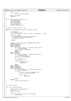```
991
992 if (op−>rc) {
993 printk("viotape: close failed\n");
994<br>995
995 MOD_DEC_USE_COUNT;
996 return 0;
997 }
998
999 struct file_operations viotap_fops = {<br>1000 0wner:THIS MODULE.
1000 owner:THIS_MODULE,<br>1001 1001 read:viotap read,
             read:viotap_read,
1002 write:viotap_write,
1003 ioctl:viotap_ioctl,
1004 open:viotap_open,<br>1005 release:viotap_re
             release:viotap_release,
1006 };
1007
1008 /* Handle interrupt events for tape
1009
1010 static void vioHandleTapeEvent(struct HvLpEvent *event)
1011 {
1012 1012 int tapeminor;<br>1013 5truct opStruc
1013 struct opStruct *op;<br>1014 struct viotapelpeven
             struct viotapelpevent *tevent = (struct viotapelpevent *) event;
1015
1016 if (event == NULL) {
1017 /* Notification that a partition went away! */
1018 if (!viopath_isactive(viopath_hostLp)) {
1019 /* TODO! Clean up */
10201021 return;<br>1022 }
1022 }
1023<br>1024
1024 tapeminor = event−>xSubtype & VIOMINOR_SUBTYPE_MASK;<br>1025 switch (tapeminor) {
1025 switch (tapeminor) {
1026 case viotapegetinfo:
1027 case viotapeopen:<br>1028 case viotapeclose
1028 case viotapeclose:<br>1029 case viotapeclose:<br>0p = (stru
1029 op = (struct opStruct *) (unsigned long) event−><br>xCorrelationToken:
                          xCorrelationToken;
1031 op−>rc = tevent−>mSubTypeRc;<br>
1032 up(op->sem);
1032 \frac{1}{1033} up(op->sem);
1033 break;<br>1034 case viotapere
1034 case viotaperead:
             case viotapewrite:
1036 op = (struct opStruct *) (unsigned long) event−>
1037 xCorrelationToken;<br>1038 00->rc = tevent->mSubT
1038 op−>rc = tevent−>mSubTypeRc;<br>1039 op->count = tevent->mLen;
                      1039 op−>count = tevent−>mLen;
10401041 if (op−>sem) {
1042 \text{up}(\text{op}-\text{sem});<br>
1043 and \text{else} {
1043 } else {
1044 freeOpStruct(op);<br>
1045<br>
1045<br>
1105
                               up(&reqSem);
1046 }
1047 break;<br>1048 case viotapeop
1048 case viotapeop:
1049 case viotapegetpos:
             case viotapesetpos:
1051 case viotapegetstatus:
1052 op = (struct opStruct *) (unsigned long) event-><br>1053 xCorrelationToken;
1053 xCorrelationToken;<br>
1054 if (op) {
                      if (op) { }1055 op−>count = tevent−>u.tapeOp.mCount;
1056 op−>rc = tevent−>mSubTypeRc;
1057
1058 if (op−>sem) {<br>1059 if (op−>sem) {<br>1059 iD (op−)
1059 \text{up}(\text{op}\text{->sem});
1060 }
1061 }
1062 break<br>1063 default:
1063 default:
             printk("viotape: wierd ack\n");<br>}
1065 }
1066 }
1067
1068
1069 /* Do initialization
1070 */<br>1071 intinit viotap_init(void)
1072 \{<br>10731073 DECLARE_MUTEX_LOCKED(Semaphore);<br>
1074 int rc;
1074 int rc;<br>1075 char tax
             char tapename[32];
1076 int i;
1077
1078 printk("viotape driver version %d.%d\n", version_major,<br>
1079 version minor);
                     version_minor);
1080
Registered Version: Linux Support Power PC64 viotape.c Exhibit 8.1−33 pg 12/14
```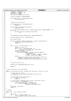```
1081 sndMsgSeq = sndMsgAck = 0;
1082 rcvMsgSeq = rcvMsgAck = 0;
1083 opStructList = NULL;<br>
1084 spin_lock_init(&opSt)
              spin\_lock\_init(\&opStructListLock);1085
1086 sema_init(&reqSem, VIOTAPE MAXREO);
1087
1088 if (viopath_hostLp == HvLpIndexInvalid)<br>
1089 vio set hostlp();
                        vio_set_hostlp();
1090
1091
1092 * Open to our hosting lp
1093<br>1094
1094 if (viopath_hostLp == HvLpIndexInvalid)<br>
\begin{bmatrix}\n\text{return } -1\n\end{bmatrix}:
                        return −1;
1096
1097 printk("viotape: init – open path to hosting (%d)\n",<br>
1098 viopath hostLp);
                       viopath_hostLp);
1099
1100 rc = viopath\_open(viopath\_hostLp, viomajorsubtype\_tape, VIOTAPE\_MAXREQ + 2);<br>1101 if (rc)if (rc)1102 printk ("viotape: error on viopath_open to hostlp %d\n",<br>
r c);
              rc);
1104 }
1105
1106 vio_setHandler(viomajorsubtype_tape, vioHandleTapeEvent);
1107
1108 printk("viotape major is %d\n", viotape_major);
1109
1110 get_viotape_info();
1111
1112 if (devfs_register_chrdev(viotape_major, "viotape", &viotap_fops)) {
1113 printk ("Error registering viotape device\n");<br>
return -1;
              1<sub>1</sub><br>11<sub>1</sub> return −1;
1115 }
1116
1117 for (i = 0; i <i>viotape_number</i>; i++) {<br>
1118
1118<br>
1119<br>
1119<br>
1119<br>
11191119 \text{state}[i].\text{cur\_part} = 0;<br>1120 \text{for}(i = 0; i < \text{MAX PA})1120 for (j = 0; j < MAX_PARTITIONS; ++j)<br>
1121 state[i].part_stat[j].rwi = VIOT_IDLE;<br>
1122 sprintf(tapename, "viotape%d", i);
1123 state[i].dev_handle =<br>1124 devfs register(NU
1124 devfs_register(NULL, tapename, DEVFS_FL_DEFAULT,<br>1125 viotape major, i,
1125 viotape_major, i,
1126 S_IFCHR | S_IRUSR | S_IWUSR | S_IRGRP |
1127 S_IWGRP, &viotap_fops, NULL);
1128 printk
1129 ("viotape device %s is iSeries resource %10.10s type %4.4s, model %3.3s\n",
1130 tapename, viotape_unitinfo[i].rsrcname,
1131 viotape_unitinfo[i].type, viotape_unitinfo[i].model);
1132 }
1133
1134* Create the proc entry
1136<br>1137
              iSeries_proc_callback(&viotape_proc_init);
1138
1139 return 0;
1140 }
1141
1142 /* Give a new state to the tape object
1143 */
1144 static int chg_state(int index, unsigned char new_state, struct file *file)
1145 {
1146 unsigned char *cur_state =
1147 &state[index].part_stat[state[index].cur_part].rwi;<br>1148 int rc = 0;
              int rc = 0;
1149
1150 /* if the same state, don't bother */1151 if \left( \begin{array}{cc} \star \text{cur\_state} =& \text{new\_state} \end{array} \right)<br>1152 if \left( \begin{array}{cc} \star \text{cur\_state} & \text{new\_state} \end{array} \right)return 0;
1153
1154 /* write an EOF if changing from writing to some other state */
1155 if (*cur_state == VIOT_WRITING) {
1156 struct mtop write_eof = { MTWEOF, 1 };
1157 1157 rc = viotap_ioctl(NULL, file, MTIOCTOP 1158
                                               (unsigned long) &write_eof);
1159 }
1160 *cur\_state = new\_state;
1161 return rc;<br>1162 }
1162 }
1163
1164 /* Cleanup
1165 */
1166 static void __exit viotap_exit(void)
\begin{matrix} 1167 & \{ \\ 1168 & \end{matrix}1168 int i, reti<br>1169 for (i = 0;for (i = 0; i < viotape_numdev; ++i)
1170 devfs_unregister(state[i].dev_handle);
Registered Version: Linux Support Power PC64 viotape.c Exhibit 8.1−33 pg 13/14
```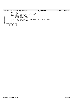|                                                                                                                                                                             | Registered Version: Linux Support Power PC64                                                                                                                                                                                                                                                                                                                           | viotape.c | Exhibit 8.1–33 pg 14/14 |
|-----------------------------------------------------------------------------------------------------------------------------------------------------------------------------|------------------------------------------------------------------------------------------------------------------------------------------------------------------------------------------------------------------------------------------------------------------------------------------------------------------------------------------------------------------------|-----------|-------------------------|
| 1171<br>1172<br>1173<br>1174<br>1175<br>1176<br>1177<br>1178<br>1179                                                                                                        | $ret = devfs$ unregister chroad viotape major, "viotape");<br>if $(\text{ret} < 0)$<br>$printk$ ("Error unregistering device: %d\n", ret);<br>iSeries proc callback(&viotape proc delete);<br><b>if</b> (viotape unitinfo != NULL)<br>kfree(viotape unitinfo);<br>viotape unitinfo = NULL;<br>viopath_close(viopath_hostLp, viomajorsubtype_tape, VIOTAPE_MAXREQ + 2); |           |                         |
| vio_clearHandler(viomajorsubtype tape);<br>1180<br>1181<br>1182<br>MODULE LICENSE("GPL");<br>1183<br>module init(viotap init);<br>1184<br>module exit(viotap exit);<br>1185 |                                                                                                                                                                                                                                                                                                                                                                        |           |                         |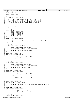Registered Version: Linux Support Power PC64 **abs\_addr.h** Exhibit 8.1−34 pg 1/2

```
1 #ifndef _ABS_ADDR_H
2 #define _ABS_ADDR_H
3
    4 #include <linux/config.h>
5
\epsilon7 * c 2001 PPC 64 Team, IBM Corp
8 *
9 * This program is free software; you can redistribute it and/or
10 * modify it under the terms of the GNU General Public License
11 * as published by the Free Software Foundation; either version
<sup>12</sup> * 2 of the License, or (at your option) any later version.
1314
15 #include <asm/types.h>
16 #include <asm/page.h>
17 #include <asm/prom.h>
18 #include <asm/lmb.h>
19
20 typedef u32 msChunks_entry;
21 struct msChunks {
22 unsigned long num_chunks;
23 unsigned long chunk_size;
24 unsigned long chunk_shift;<br>25 unsigned long chunk_mask;
               unsigned long chunk\_mask;26 msChunks_entry *abs;<br>27 };
   27 };
28
29 extern struct msChunks msChunks;
30
31 extern unsigned long msChunks_alloc(unsigned long, unsigned long, unsigned long);
    32 extern unsigned long reloc_offset(void);
33
34 #ifdef CONFIG_MSCHUNKS
35
36 static inline unsigned long
37 chunk_to_addr(unsigned long chunk)
38 {
39 unsigned long offset = reloc_offset();
40 struct msChunks *_msChunks = PTRRELOC(&msChunks);
41
42 return chunk << _msChunks−>chunk_shift;
43 }
44
45 static inline unsigned long
46 addr_to_chunk(unsigned long addr)
\begin{matrix} 47 & \left\{ 48 \right. \end{matrix}48 unsigned long offset = reloc_offset();
49 struct msChunks *_msChunks = PTRRELOC(&msChunks);
5051 return addr >> _msChunks−>chunk_shift;
52 }
53
54 static inline unsigned long
    chunk_offset(unsigned long addr)
\begin{matrix} 56 \\ 57 \end{matrix}unsigned long offset = reloc_offset();
58 struct msChunks *_msChunks = PTRRELOC(&msChunks);
59
60 return addr & _msChunks−>chunk_mask;
61 }
62
63 static inline unsigned long
    abs_chunk(unsigned long pchunk)
65 {
<sup>06</sup> unsigned long offset = reloc_offset();<br>67 struct msChunks * msChunks = PTRRELOC(
67 struct msChunks *_msChunks = PTRRELOC(&msChunks);<br>68 if (pchunk >= msChunks->num chunks) {
68 if ( pchunk >= _msChunks−>num_chunks ) {
69 return pchunk;
70 }
71 return PTRRELOC(_msChunks−>abs)[pchunk];
    72 }
73
74
75 static inline unsigned long
76 phys_to_absolute(unsigned long pa)
77 {
<sup>78</sup> return chunk_to_addr(abs_chunk(addr_to_chunk(pa))) + chunk_offset(pa);
    \left\{ \right\}80
81 static inline unsigned long
82 physRpn_to_absRpn(unsigned long rpn)
83<br>8484 unsigned long pa = rpn << PAGE_SHIFT;
85 unsigned long aa = phys_to_absolute(pa);
86 return (aa >> PAGE_SHIFT);
87}
88
89 static inline unsigned long
90 absolute_to_phys(unsigned long aa)
```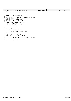Registered Version: Linux Support Power PC64 **abs\_addr.h** Exhibit 8.1−34 pg 2/2

```
91 \left\{\n \begin{array}{c}\n 91 \\
 92\n \end{array}\n \right.92 return lmb_abs_to_phys(aa);<br>93 }
    \rightarrow94
95 #else /* !CONFIG_MSCHUNKS */
96
 97 #define chunk_to_addr(chunk) ((unsigned long)(chunk))<br>
98 #define addr_to_chunk(addr) (addr)<br>
99 #define chunk_offset(addr) (0)<br>
99 #define abs_chunk(pchunk) (pchunk)
101
 102 #define phys_to_absolute(pa) (pa)
103 #define physRpn_to_absRpn(rpn) (rpn)
104 #define absolute_to_phys(aa) (aa)
105
     106 #endif /* !CONFIG_MSCHUNKS */
106<br>107
108
    static inline unsigned long
 110 virt_to_absolute(unsigned long ea)
111 {
112 return phys_to_absolute(_pa(ea));<br>113 }
    \{1, 3, \ldots\}114
 115 static inline unsigned long
116 absolute_to_virt(unsigned long aa)
117 {
118 return (unsigned long)_va(absolute_to_phys(aa));
119 }
120
121 #endif /* ABSADDR<sub>_</sub>H */
```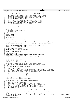$\frac{1}{1}$  $2 * \varphi h h$  \* Copyright (C) 2001 Dave Engebretsen & Todd Inglett IBM Corporation. \* \* This program is free software; you can redistribute it and/or modify <sup>6</sup> \* it under the terms of the GNU General Public License as published by \* the Free Software Foundation; either version 2 of the License, or \* (at your option) any later version. <sup>9</sup> \* \* This program is distributed in the hope that it will be useful, <sup>11</sup> \* but WITHOUT ANY WARRANTY; without even the implied warranty of <sup>12</sup> \* MERCHANTABILITY or FITNESS FOR A PARTICULAR PURPOSE. See the <sup>13</sup> \* GNU General Public License for more details. \* <sup>15</sup> \* You should have received a copy of the GNU General Public License <sup>16</sup> \* along with this program; if not, write to the Free Software <sup>17</sup> \* Foundation, Inc., 59 Temple Place, Suite 330, Boston, MA 02111−1307 USA /\* Start Change Log <sup>21</sup> \* 2001/10/27 : engebret : Created.  $\frac{22}{23}$  \* End Change Log  $\star$  **#ifndef** \_EEH\_H **#define** \_EEH\_H struct pci\_dev; **#define** IO\_UNMAPPED\_REGION\_ID 0xaUL **#define** IO\_TOKEN\_TO\_ADDR(token) ((((unsigned long)(token)) & 0xFFFFFFFF) | (0xEUL << 60)) /\* Flag bits encoded in the 3 unused function bits of devfn \*/ <sup>34</sup> **#define** EEH\_TOKEN\_DISABLED (1UL << 34UL) /\* eeh is disabled for this token \*/ **#define** IS\_EEH\_TOKEN\_DISABLED(token) ((unsigned long)(token) & EEH\_TOKEN\_DISABLED) **#define** EEH\_STATE\_OVERRIDE 1 /\* IOA does not require eeh traps \*/ <sup>38</sup> **#define** EEH\_STATE\_FAILURE 16 /\* \*/ /\* This is for profiling only \*/ <sup>41</sup> **extern** unsigned long eeh\_total\_mmio\_ffs; **extern** int eeh\_implemented; void eeh\_init(void); **static inline** int is\_eeh\_implemented(void) { **return** eeh\_implemented; } <sup>47</sup> int eeh\_get\_state(unsigned long ea); 48 unsigned  $long$  eeh\_check\_failure(void \*token, unsigned long val); <sup>50</sup> **#define** EEH\_DISABLE 0 **#define** EEH\_ENABLE 1 **#define** EEH\_RELEASE\_LOADSTORE 2 **#define** EEH\_RELEASE\_DMA 3 int eeh\_set\_option(struct pci\_dev \*dev, int options); /\* Given a PCI device check if eeh should be configured or not.<br> $57$  \* This may look at firmware properties and/or kernel cmdline of \* This may look at firmware properties and/or kernel cmdline options. 58  $\frac{*}{59}$  int int is\_eeh\_configured(struct pci\_dev \*dev); /\* Generate an EEH token. \* The high nibble of the offset is cleared, otherwise bounds checking is performed.<br> $63$  \* Use IO TOKEN TO ADDR(token) to translate this token back to a mapped virtual addr \* Use IO\_TOKEN\_TO\_ADDR(token) to translate this token back to a mapped virtual addr. Do NOT do this to perform IO -- use the read/write macros! \*/ <sup>66</sup> unsigned long eeh\_token(unsigned long phb, 67 busigned long bus,<br>68 busigned long bus,<br>1999 busigned long devi unsigned long devfn unsigned long offset); **extern** void \*memcpy(void \*, **const** void \*, unsigned long); <sup>72</sup> **extern** void \*memset(void \*,int, unsigned long); /\* EEH\_POSSIBLE\_ERROR() −− test for possible MMIO failure. \* \* Order this macro for performance. The state of the state of the state and it is a memory BAR, ioremap will<br>  $\frac{1}{76}$  \* If EEH is off for a device and it is a memory BAR, ioremap will<br>  $\frac{1}{76}$  \* map it to the IOREGION. In this case addr == vaddr and si \* map it to the IOREGION. In this case addr == vaddr and since these <sup>79</sup> \* should be in registers we compare them first. Next we check for \* all ones which is perhaps fastest as ~val. Finally we weed out <sup>81</sup> \* EEH disabled IO BARs. 82<br>83 83 \* If this macro yields TRUE, the caller relays to eeh\_check\_failure()  $*$  which does further tests out of line \* which does further tests out of line. 86 /\* #define EEH\_POSSIBLE\_ERROR(addr, vaddr, val) ((vaddr) != (addr) && ~(val) == 0 && !IS\_EEH\_TOKEN\_DISABLED(addr) ) \*/ 87 /\* This version is rearranged to collect some profiling data \*/<br>88 #define EEH POSSIBLE ERROR(addr, vaddr, val) (~(val) == 0 && (+ **#define** EEH\_POSSIBLE\_ERROR(addr, vaddr, val) (~(val) == 0 && (++eeh\_total\_mmio\_ffs, (vaddr) != (addr) && !IS\_EEH\_ TOKEN\_DISABLED(addr))) Registered Version: Linux Support Power PC64 **eeh.h** Exhibit 8.1–35 pg 1/3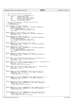Registered Version: Linux Support Power PC64 **eeh.h** Exhibit 8.1–35 pg 2/3

 $90<sup>°</sup>$  \* MMIO read/write operations with EEH support. \* \* addr: 64b token of the form 0xA0PPBBDDyyyyyyyy <sup>94</sup> \* 0xA0 : Unmapped MMIO region 95 \* PP : PHB index (starting at zero)<br>96 \* BB : PCI Bus number under given P 96 \* BB : PCI Bus number under given PHB<br>97 \* DD : PCI devfn under given bus \* DD : PCI devfn under given bus <sup>98</sup> \* yyyyyyyy : Virtual address offset <sub>99</sub> <sup>100</sup> \* An actual virtual address is produced from this token<br><sup>101</sup> \* by masking into the form: \* by masking into the form:<br> $102$  \* 0xE0000000yyyyyyyy  $102 \times 00000000yyyyyyyy$  \*/ <sup>104</sup> **static inline** u8 eeh\_readb(void \*addr) { <sup>105</sup> **volatile** u8 \*vaddr = (**volatile** u8 \*)IO\_TOKEN\_TO\_ADDR(addr); u8 val = in\_8(vaddr);<br> $107$  if (EEH POSSTBLE EREC if (EEH\_POSSIBLE\_ERROR(addr, vaddr, val)) 108 **return** eeh\_check\_failure(addr, val);<br>109 **return** val; return val; 110<br>111 111 **static inline** void eeh\_writeb(u8 val, void \*addr) {<br>112 **volatile** u8 \*vaddr = (**volatile** u8 \*)IO\_TOKE **volatile** u8 \*vaddr = (**volatile** u8 \*)IO\_TOKEN\_TO\_ADDR(addr); <sup>113</sup> out\_8(vaddr, val); } **static inline** u16 eeh\_readw(void \*addr) { **volatile** u16 \*vaddr = (**volatile** u16 \*)IO\_TOKEN\_TO\_ADDR(addr); <sup>117</sup> u16 val = in\_le16(vaddr); **if** (EEH\_POSSIBLE\_ERROR(addr, vaddr, val)) **return** eeh\_check\_failure(addr, val); **return** val; <br> $122$ 122 **static inline** void eeh\_writew(u16 val, void \*addr) {<br>
123 **volatile** u16 \*vaddr = (**volatile** u16 \*)IO\_TOKEN\_TO\_ADDR(addr);<br>
124 out\_le16(vaddr, val); } <sup>126</sup> **static inline** u32 eeh\_readl(void \*addr) {<br>127 **volatile** u32 \*vaddr = (**volatile** u **volatile** u32 \*vaddr = (**volatile** u32 \*)IO\_TOKEN\_TO\_ADDR(addr); <sup>128</sup> u32 val = in\_le32(vaddr); **if** (EEH\_POSSIBLE\_ERROR(addr, vaddr, val)) **return** eeh\_check\_failure(addr, val); **return** val; } <sup>133</sup> **static inline** void eeh\_writel(u32 val, void \*addr) { **volatile** u32 \*vaddr = (**volatile** u32 \*)IO\_TOKEN\_TO\_ADDR(addr); <sup>135</sup> out\_le32(vaddr, val); } 138 **static inline** void eeh\_memset\_io(void \*addr, int c, unsigned long n) {<br>139 void \*vaddr = (void \*)IO\_TOKEN\_TO\_ADDR(addr);<br>140 memset(vaddr, c, n); } 142 **static inline** void eeh\_memcpy\_fromio(void \*dest, void \*src, unsigned long n) {<br>
void \*vsrc = (void \*)IO\_TOKEN\_TO\_ADDR(src);<br>
memcpy(dest, vsrc, n);<br>
memcpy(dest, vsrc, n);<br>
memcpy(dest, nere at dest[n] \*/ } static inline void eeh\_memcpy\_toio(void \*dest, void \*src, unsigned long n) { 148 void \*vdest =  $\overline{(void *)}$ IO\_TOKEN\_TO\_ADDR(dest); 149 memcpy(vdest, src, n); } **static inline** void eeh\_insb(**volatile** u8 \*addr, void \*buf, int n) { **volatile** u8 \*vaddr = (**volatile** u8 \*)IO\_TOKEN\_TO\_ADDR(addr); <sup>154</sup> \_insb(vaddr, buf, n); 155  $\overline{}/\ast$  ToDo: look for ff's in buf[n]  $\ast$ /<br>156 }  $\}$  **static inline** void eeh\_outsb(**volatile** u8 \*addr, **const** void \*buf, int n) { <sup>159</sup> **volatile** u8 \*vaddr = (**volatile** u8 \*)IO\_TOKEN\_TO\_ADDR(addr); <sup>160</sup> \_outsb(vaddr, buf, n); } 163 **static inline** void eeh\_insw\_ns(**volatile** ul6 \*addr, void \*buf, int n) {<br>volatile ul6 \*vaddr = (**volatile** ul6 \*)IO\_TOKEN\_TO\_ADDR(addr);<br>the \_insw\_ns(vaddr, buf, n);<br> $\mu$  = insw\_ns(vaddr, buf, n);<br> $\mu$  = insw\_nsw\_ns } **static inline** void eeh\_outsw\_ns(**volatile** u16 \*addr, **const** void \*buf, int n) { **volatile** u16 \*vaddr = (**volatile** u16 \*)IO\_TOKEN\_TO\_ADDR(addr); <sup>171</sup> \_outsw\_ns(vaddr, buf, n); } **static inline** void eeh\_insl\_ns(**volatile** u32 \*addr, void \*buf, int n) { <sup>175</sup> **volatile** u32 \*vaddr = (**volatile** u32 \*)IO\_TOKEN\_TO\_ADDR(addr); <sup>176</sup> \_insl\_ns(vaddr, buf, n); <sup>177</sup> /\* ToDo: look for ffffffff's in buf[n] \*/ }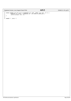|     | Registered Version: Linux Support Power PC64                                                        | eeh.h | Exhibit 8.1-35 pg 3/3 |
|-----|-----------------------------------------------------------------------------------------------------|-------|-----------------------|
| 179 |                                                                                                     |       |                       |
| 180 | <b>static inline</b> void eeh_outsl_ns( <b>volatile</b> u32 *addr, <b>const</b> void *buf, int n) { |       |                       |
| 181 | <b>volatile</b> u32 *vaddr = ( <b>volatile</b> u32 *)IO TOKEN TO ADDR(addr);                        |       |                       |
| 182 | outsl ns(vaddr, buf, n);                                                                            |       |                       |
| 183 |                                                                                                     |       |                       |
| 184 |                                                                                                     |       |                       |
| 185 |                                                                                                     |       |                       |
|     | #endif $/*$ EEH H $*/$                                                                              |       |                       |
|     |                                                                                                     |       |                       |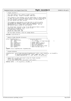```
1 /************************************************************************
 2 * flight_recorder.h *
3 ************************************************************************
      4 * This code supports the a generic flight recorder. *
5 * Copyright (C) 20yy <Allan H Trautman> <IBM Corp>
 6 * *
7 * This program is free software; you can redistribute it and/or modify *
8 * it under the terms of the GNU General Public License as published by *
<sup>9</sup> * the Free Software Foundation; either version 2 of the License, or<br><sup>10</sup> * (at your option) any later version.
10 * (at your option) any later version.<br>
11 *11 * *
12 * This program is distributed in the hope that it will be useful, * 
13 * but WITHOUT ANY WARRANTY; without even the implied warranty of *
<sup>14</sup> * MERCHANTABILITY or FITNESS FOR A PARTICULAR PURPOSE. See the * GNU General Public License for more details
      * GNU General Public License for more details.
16 * *
17 * You should have received a copy of the GNU General Public License * 
<sup>18</sup> * along with this program; if not, write to the:<br>\frac{1}{12} * Free Software Foundation, Inc.
19 * Free Software Foundation, Inc.,<br>20 * 59 Temple Place, Suite 330,
20 * 59 Temple Place, Suite 330, * 
21 * Boston, MA 02111−1307 USA *
22 ************************************************************************
23 * See the fight_recorder.c file for useage deails. *
24 ************************************************************************/
    25 #include <linux/kernel.h>
26
27 /************************************************************************
28 * Generic Flight Recorder Structure *
29 ************************************************************************/
30 struct flightRecorder {<br>31 struct flightRecorder { /* Structure Defination */<br>31 /* Eye Catcher
31 char Signature[8];<br>32 int Size;<br>33 int Flags;<br>34 char* StartPointer;
                                                                               32 int Size; /* Size of Flight Recorder */
33 int Flags; /* Format Flags. */
34 char* StartPointer; /* Buffer Starting Address */
35 char* EndPointer; /* Buffer Ending Address */
36 char* NextPointer; /* Next Entry Address */
37 char* Wealtonical,<br>37 char* WrapPointer; /* Point at which buffer wraps<br>38 char* Buffer; /* Where the data log is.
\begin{array}{ccc}\n\vdots & \vdots & \vdots & \vdots \\
\downarrow & \downarrow & \downarrow & \downarrow \\
\downarrow & \downarrow & \downarrow & \downarrow\n\end{array}
\begin{array}{ccc}\n\downarrow & \downarrow & \downarrow & \downarrow \\
\downarrow & \downarrow & \downarrow & \downarrow\n\end{array}39 \t{10}<br>40 tv
    typedef struct flightRecorder FlightRecorder;
41
42 /************************************************************************
43 * Forware declares
44 ************************************************************************/
45 FlightRecorder* alloc_Flight_Recorder(FlightRecorder* FrPtr, char* Signature, int SizeOfFr);
46 void fr_Log_Entry(FlightRecorder* LogFr, const char *fmt, ...);
47 int fr_Dump(FlightRecorder* Fr, char *Buffer, int BufferLen);
48<br>4949 /************************************************************************
50 * Sample Macro to make life easier using the flight_recorder. 
51 * TestFr is a global value.
52 * To use them: TESTFR("Test Loop value is &d",Loop");
53 ************************************************************************/
54 #define LOGFR(...) (fr_Log_Entry(__VA_ARGS__))
55
Registered Version: Linux Support Power PC64 flight_recorder.h Exhibit 8.1−36 pg 1/1
```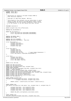Registered Version: Linux Support Power PC64 **lmb.h** Exhibit 8.1−37 pg 1/2

```
1 #ifndef _PPC64_LMB_H
2 #define _PPC64_LMB_H
3
 4 /*
5 * Definitions for talking to the Open Firmware PROM on
6 * Power Macintosh computers.
7 *
8 * Copyright (C) 2001 Peter Bergner, IBM Corp.
 *<br>
* This program is free software; you can redistribute it and/or<br>
* modify it under the terms of the GNU General Public License<br>
* as published by the Free Software Foundation; either version<br>
* 2 of the License, or (at 
14 * /
15
16 #include <asm/prom.h>
17
18 extern unsigned long reloc_offset(void);
19
20 #define MAX_LMB_REGIONS 64
21
22 union lmb_reg_property { 
23 struct reg_property32 addr32[MAX_LMB_REGIONS];
24 struct reg_property64 addr64[MAX_LMB_REGIONS];<br>25 };
   25 };
26
27 #define LMB_MEMORY_AREA 1
28 #define LMB_IO_AREA 2
29
 30 #define LMB_ALLOC_ANYWHERE 0
31 #define LMB_ALLOC_FIRST4GBYTE (1UL<<32)
32
33 struct lmb_property {
<sup>34</sup> unsigned long base;<br>35 unsigned long physb
 35 unsigned long physbase;
36 unsigned long size;
\begin{array}{c} 37 \\ 38 \end{array}; unsigned long type;
   38 };
39
40 struct lmb_region {
<sup>41</sup> unsigned long cnt;<br><sup>42</sup> unsigned long size
42 unsigned long size;<br>43 unsigned long iosiz
43 unsigned long iosize;<br>44 unsigned long lcd_size;
44 unsigned long lcd_size; /* Least Common Denominator */<br>45 Struct lmb property region[MAX LMB REGIONS+1];
               struct lmb_property region[MAX_LMB_REGIONS+1];
46 };
47
48 struct lmb {<br>49 unsi49 unsigned long debug;<br>50 unsigned long rmo si
               unsigned long rmo_size;
51 struct lmb_region memory;
52 struct lmb_region reserved;<br>53 };
   53 };
54
55 extern struct lmb lmb;
56
57 extern void lmb_init(void);
58 extern void lmb_analyze(void);<br>59 extern long lmb add(unsigned)
    extern long lmb_add(unsigned long, unsigned long);
60 #ifdef CONFIG_MSCHUNKS
61 extern long lmb_add_io(unsigned long base, unsigned long size);
62 #endif /* CONFIG_MSCHUNKS *<br>63 extern long lmb reserve(uns.
63 extern long lmb_reserve(unsigned long, unsigned long);<br>64 extern unsigned long lmb alloc(unsigned long, unsigned
 64 extern unsigned long lmb_alloc(unsigned long, unsigned long);
65 extern unsigned long lmb_alloc_base(unsigned long, unsigned long, unsigned long);
66 extern unsigned long lmb_phys_mem_size(void);
67 extern unsigned long lmb_end_of_DRAM(void);<br>68 extern unsigned long lmb abs to phys(unsign
extern unsigned long lmb_abs_to_phys(unsigned long);<br>
extern void lmb dump(char *);
    extern void Imb_dump(char *);70
 71 static inline unsigned long
72 lmb_addrs_overlap(unsigned long base1, unsigned long size1,
73 unsigned long base2, unsigned long size2)
    \{75 return ((base1 < (base2+size2)) && (base2 < (base1+size1)));
\begin{matrix} 76 \\ 76 \end{matrix}77
78 static inline long
    79 lmb_regions_overlap(struct lmb_region *rgn, unsigned long r1, unsigned long r2)
\begin{matrix} 80 \\ 81 \end{matrix} \quad \begin{matrix} \{ \end{matrix}unsigned long base1 = rgn->region[r1].base;
82 unsigned long size1 = rgn−>region[r1].size;
83 unsigned long base2 = rgn−>region[r2].base;
               unsigned long size2 = rgn->region[r2].size;
85
86 return lmb_addrs_overlap(base1,size1,base2,size2);
    87 }
88
89 static inline long
90 lmb_addrs_adjacent(unsigned long base1, unsigned long size1,
```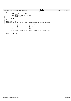```
91 unsigned long base2, unsigned long size2)
92 \begin{cases} 92 & \text{ } \end{cases}\frac{6}{93} if ( base2 == base1 + size1 ) {<br>return 1;
94 return 1;<br>95 else if ( basel
95 } else if ( base1 == base2 + size2 ) {
96 return −1;
97 }
98 return 0;<br>99 }
    99 }
100
101 static inline long
102 lmb_regions_adjacent(struct lmb_region *rgn, unsigned long r1, unsigned long r2)
\begin{array}{c}\n103 \\
104\n\end{array}104 insigned long base1 = rgn->region[r1].base;<br>105 insigned long size1 = rgn->region[r1].size;
105 unsigned long size1 = rgn−>region[r1].size;
106 unsigned long type1 = rgn−>region[r1].type;
107 unsigned long base2 = rgn−>region[r2].base;
108 unsigned long size2 = rgn−>region[r2].size;
109 unsigned long type2 = rgn−>region[r2].type;
110
111 return (type1 == type2) && lmb_addrs_adjacent(base1,size1,base2,size2);
112 }
113
    114 #endif /* _PPC64_LMB_H */
Registered Version: Linux Support Power PC64 lmb.h Exhibit 8.1−37 pg 2/2
```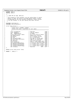Registered Version: Linux Support Power PC64 **naca.h naca.h** Exhibit 8.1–38 pg 1/1

<sup>1</sup> **#ifndef** \_NACA\_H **#define** \_NACA\_H /\* <sup>5</sup> \* c 2001 PPC 64 Team, IBM Corp  $\epsilon$  \* This program is free software; you can redistribute it and/or <sup>8</sup> \* modify it under the terms of the GNU General Public License \* as published by the Free Software Foundation; either version <sup>1</sup> and the License, or (at your option) any later version.<br>
<sup>11</sup> \*/  $\star$  /  $\begin{array}{c} 12 \\ 13 \end{array}$ 13 **#include** <asm/types.h><br>14 **#include** <asm/systemcf #include <asm/systemcfg.h> struct naca\_struct { /\*================================================================== <sup>18</sup> \* Cache line 1: 0x0000 − 0x007F \* Kernel only data − undefined for user space \*================================================================== \*/<br>void \*xItVpdAreas;<br>void \*xRamDisk; void \*xItVpdAreas; /\* VPD Data 0x00 \*/ <sup>23</sup> void \*xRamDisk; /\* iSeries ramdisk 0x08 \*/ u64 xRamDiskSize; /\* In pages 0x10 \*/ <sup>25</sup> struct paca\_struct \*paca; /\* Ptr to an array of pacas 0x18 \*/ u64 debug\_switch; /\* Debug print control 0x20 \*/ <sup>27</sup> u64 banner; /\* Ptr to banner string 0x28 \*/ u64 log;<br>
u64 serialPortAddr;<br>
u64 serialPortAddr;<br>
u64 intervalsor (\* 1979 of intervalsor of 238 \*/<br>
u64 intervalsor (\* 1979 of intervalsor of 240 \*/<br>
u64 slb\_size;<br>
u64 pftSize;<br>
u64 pftSize;<br>
u64 pftSize;<br>
/\* Log 2 of p void \*systemcfg; /\* Pointer to systemcfg data 0x58 \*/ <sup>34</sup> u32 dCacheL1LogLineSize; /\* L1 d−cache line size Log2 0x60 \*/ u32 dCacheL1LinesPerPage; /\* L1 d−cache lines / page 0x64 \*/ <sup>36</sup> u32 iCacheL1LogLineSize; /\* L1 i−cache line size Log2 0x68 \*/ u32 iCacheL1LinesPerPage; /\* L1 i−cache lines / page 0x6c \*/ <sup>38</sup> u64 resv0[2]; /\* Reserved 0x70 − 0x7F \*/ }; 

 **extern** struct naca\_struct \*naca; 

```
43 #endif /* _NACA_H */
```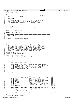**#ifndef** \_PPC64\_PACA\_H **#define** PPC64 PACA H /\*============================================================================ 5 \* Header File Id \* Name  $\qquad \qquad \ldots$ : paca.h  $\begin{array}{ccc} - & \cdot & \text{paca.h} \end{array}$  \* \* Description\_\_\_\_\_\_\_: \* <sup>10</sup> \* This control block defines the PACA which defines the processor<br><sup>11</sup> \* specific data for each logical processor on the system. \* specific data for each logical processor on the system. <sup>12</sup> \* There are some pointers defined that are utilized by PLIC. <br> $14$  \* C 2001 PPC 64 Team, IBM Corp \* <sup>16</sup> \* This program is free software; you can redistribute it and/or <sup>17</sup> \* modify it under the terms of the GNU General Public License \* as published by the Free Software Foundation; either version \* 2 of the License, or (at your option) any later version.  $\frac{20}{21}$   $\stackrel{*}{\#}$ include **#include** <asm/types.h> **#define** N\_EXC\_STACK 2 /\*−−−−−−−−−−−−−−−−−−−−−−−−−−−−−−−−−−−−−−−−−−−−−−−−−−−−−−−−−−−−−−−−−−−−−−−−−−−−− 26 \* Other Includes<br>27 \*---------------- \*−−−−−−−−−−−−−−−−−−−−−−−−−−−−−−−−−−−−−−−−−−−−−−−−−−−−−−−−−−−−−−−−−−−−−−−−−−−−−  $*/$ <br>29 #include 29 **#include** <asm/iSeries/ItLpPaca.h><br>20 **#include** <asm/iSeries/ItLpRegSave **#include** <asm/iSeries/ItLpRegSave.h> **#include** <asm/iSeries/ItLpQueue.h> #include <asm/rtas.h><br>#include <asm/mmu.h> 33 **#include** <asm/mmu.h><br>34 **#include** <asm/proces **#include** <asm/processor.h> /\* A paca entry is required for each logical processor. On systems <sup>37</sup> \* that support hardware multi−threading, this is equal to twice the <sup>38</sup> \* number of physical processors. On LPAR systems, we are required \* to have space for the maximum number of logical processors we \* could ever possibly have. Currently, we are limited to allocating <sup>41</sup> \* 24 processors to a partition which gives 48 logical processors on <sup>42</sup> \* an HMT box. Therefore, we reserve this many paca entries. <br> $44$  **#define** MAX\_PROCESSORS 24 **#define** MAX\_PACAS MAX\_PROCESSORS \* 2  $rac{46}{47}$ 47 **extern** struct paca\_struct paca[];<br>48 **#define** get paca() ((struct paca) **#define** get\_paca() ((struct paca\_struct \*)mfspr(SPRG3)) /\*============================================================================ \* Name\_\_\_\_\_\_\_: paca 52<br>53 \* Description:  $\frac{54}{55}$ Defines the layout of the paca. 56<br>57 This structure is not directly accessed by PLIC or the SP except \* for the first two pointers that point to the ItLpPaca area and the <sup>59</sup> \* ItLpRegSave area for this processor. Both the ItLpPaca and \* ItLpRegSave objects are currently contained within the \* PACA but they do not need to be. 62<br>63 \*============================================================================  $\star$  / struct paca\_struct { /\*===================================================================================== 67 \*  $CACHE\_LINE\_1$   $0x0000 - 0x007F$ <br>68 \*================================ \*=====================================================================================  $69 \times /$  struct ItLpPaca \*xLpPacaPtr; /\* Pointer to LpPaca for PLIC 0x00 \*/ <sup>71</sup> struct ItLpRegSave \*xLpRegSavePtr; /\* Pointer to LpRegSave for PLIC 0x08 \*/ <sup>72</sup> u64 xCurrent; /\* Pointer to current 0x10 \*/ % 12 university and the contract of the contract of the contract of the contract of the contract of the contract of the contract of the contract of the contract of the contract of the contract of the contract of the contra 116 xHwProcNum;<br>
116 xHwProcNum;<br>
116 xHwProcNum;<br>
12 default\_decr;<br>
164 xHrdIntStack;<br>
164 xHrdIntStack;<br>
17 Stack for hardware interrupts 0x20 \*/ <sup>75</sup> u32 default\_decr; /\* Default decrementer value 0x1c \*/ u64 xHrdIntStack; /\* Stack for hardware interrupts 0x20 \*/ u64 xKsave; /\* Saved Kernel stack addr or zero 0x28 \*/  $\begin{array}{ccc}\n 78 & 104 & \text{pvr}; \\
 18 & 104 & \text{pvr}; \\
 18 & 18 & \text{exception} \\
 18 & * \text{exception} \\
 18 & * \text{exception} \\
 18 & * \text{exception} \\
 18 & * \text{exception} \\
 18 & * \text{exception} \\
 18 & * \text{exception} \\
 18 & * \text{exception} \\
 18 & * \text{exception} \\
 18 & * \text{exception} \\
 18 & * \text{exception} \\
 1$ usings<br>u64 pvr;<br>u8 \*exception\_sp; 81 struct ItLpQueue \*lpQueuePtr; /\* LpQueue handled by this processor 0x40 \*/<br>82 0x48 \*/> cu64 xTOC; 10x48 \*/> Ascrnel TOC address u64 xTOC; /\* Kernel TOC address 0x48 \*/ <sup>83</sup> STAB xStab\_data; /\* Segment table information 0x50,0x58,0x60 \*/ u8 xSegments[STAB\_CACHE\_SIZE]; /\* Cache of used stab entries 0x68,0x70 \*/ <sup>85</sup> u8 xProcEnabled; /\* 1=soft enabled 0x78 \*/ u8 xHrdIntCount; /\* Count of active hardware interrupts 0x79 \*/  $u8$  resv1[6]; /\*===================================================================================== \* CACHE\_LINE\_2 0x0080 − 0x00FF Registered Version: Linux Support Power PC64 **paca.h** Exhibit 8.1−39 pg 1/2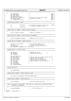```
91 *=====================================================================================
92
93 u64 *pgd_cache; /* 0x00 */
94 u64 *pmd_cache; /* 0x08 */
94 u64 *pmd_cache; /*<br>95 u64 *pte_cache; /* /* 0x10 */ 0x10 */<br>96 u64 pgtable_cache_sz; /* /* 0x10 */ 0x10 */
            u64 pgtable_cache_sz;<br>u64 next_jiffy_update_tb; <br>\frac{7}{100} /* TB value for next jiffy update \frac{6}{100} /*/
97 u64 next_jiffy_update_tb; <br>
98 u64 next_jiffy_update_tb; <br>
98 u32 lpEvent_count; /* lpEvents processed dx28 */
98 u32 lpEvent_count; <br>99 u8 rsvd2[128-5*8-1*4]; /* lpEvents processed 0x28 */ 0x28 */
            u8 r \cdot \text{svd2}[1 \cdot \text{28}-5 \cdot 8 - 1 \cdot 4];100
101 /*=====================================================================================
102 * CACHE_LINE_3 0x0100 - 0x017F<br>103 *==============================
103 *=====================================================================================
104 */105 u8 xProcStart; /* At startup, processor spins until 0x100 */
106 /* xProcStart becomes non−zero. */
107 u8 rsvd3[127];
108
109 /*=====================================================================================
110 * CACHE_LINE_4−8 0x0180 − 0x03FF Contains ItLpPaca
     111 *=====================================================================================
112 */<br>113struct ItLpPaca xLpPaca; /* Space for ItLpPaca */
114
115 /*=====================================================================================
116 * CACHE_LINE_9−16 0x0400 − 0x07FF Contains ItLpRegSave
117 *=====================================================================================
118 */119 struct ItLpRegSave xRegSav; /* Register save for proc */
120121 /*=====================================================================================
    122 * CACHE_LINE_17−18 0x0800 − 0x0EFF Reserved
123 *=====================================================================================
124 */<br>125125 struct rtas_args xRtas; /* Per processor RTAS struct */
126 u64 xR1; /* r1 save for RTAS calls */
127 u64 xSavedMsr;<br>127 u64 xSavedMsr; /* Old msr saved here by HvCall */<br>128 u8 rsvd5[256-16-sizeof(struct rtas_args)];
            128 u8 rsvd5[256−16−sizeof(struct rtas_args)];
129
130 /*=====================================================================================
131 * CACHE_LINE_19 − 20 Profile Data
132 *=====================================================================================
133 */<br>134
134 u32 pmc[12]; \frac{1}{35} /* Default pmc value */<br>135 u64 pmcc[8]; \frac{1}{35} /* Cumulative pmc counts */
                                               4* Cumulative pmc counts
135 u64 pmcc[8];<br>136 u64 rsvd5a[2];
137
138 u32 prof_multiplier; /*<br>139 u32 prof_shift; /*
139 using the set of the state of the same of the same of the set of the set of the set of the set of the set of the set of the set of the set of the set of the set of the set of the set of the set of the set of the set of
140 u32 *prof_buffer; /* iSeries profiling buffer */
141 u32 *prof_stext; /* iSeries start of kernel text */
142 u32 *prof_etext; /* iSeries start of kernel text */
143 u32 prof_len; /* iSeries length of profile buffer −1 */
144 u8 prof_mode; /* */
145 u8 rsvv5b[3];
146 u64 prof_counter; /* */
            u8 rsvd5c[128-8*6];
148<br>149
149 /*=====================================================================================
    150 * CACHE_LINE_20−30
151 *=====================================================================================
152 */<br>153
            u8 rsvd6[0x500];
154
155 /*=====================================================================================
156 * CACHE_LINE_31 0x0F00 − 0x0F7F Exception stack
    157 *=====================================================================================
158<br>159
            u8 exception_stack[N_EXC_STACK*EXC_FRAME_SIZE];
160
161 /*=====================================================================================
162 * CACHE_LINE_32 0x0F80 − 0x0FFF Reserved
163 *=====================================================================================
164
165 u8 rsvd7[0x80]; /* Give the stack some rope ... */
166
167 /*=====================================================================================
<sup>168</sup> * Page 2 Reserved for guard page. Also used as a stack early in SMP boots before
              relocation is enabled.
170 *=====================================================================================
     \star /
172 u8 guard[0x1000]; \frac{1}{2} , and then hang 'em \frac{1}{2}173 };
174
175 #endif /* PPC64 PACA H */Registered Version: Linux Support Power PC64 paca.h Exhibit 8.1−39 pg 2/2
```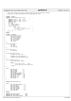$1 /$  $\frac{1}{2}$  \* This file contains the code to configure and utilize the ppc64 pmc hardware 2 a \* Copyright (C) 2002 David Engebretsen <engebret@us.ibm.com><br>4 \*/  $\star$ 5 <sup>6</sup> **#ifndef** \_\_KERNEL\_\_ <sup>7</sup> **#define** INLINE\_SYSCALL(arg1, arg2) \ <sup>8</sup> ({ \ <sup>9</sup> **register** long r0 \_\_asm\_\_ ("r0"); \ <sup>10</sup> **register** long r3 \_\_asm\_\_ ("r3"); \ <sup>11</sup> **register** long r4 \_\_asm\_\_ ("r4"); \ 12 long ret, err;<br>
13 r0 = 208;  $\setminus$ 14  $r3 = (long) (arg1)i$ <br>15  $r4 = (long) (arg2)i$ 15  $r4 = (long) (arg2) i \n\leq 16$ <br>
16  $\frac{1}{17}$   $\frac{1}{17}$   $\frac{1}{17}$   $\frac{1}{17}$   $\frac{1}{17}$   $\frac{1}{17}$   $\frac{1}{17}$   $\frac{1}{17}$   $\frac{1}{17}$   $\frac{1}{17}$   $\frac{1}{17}$   $\frac{1}{17}$   $\frac{1}{17}$   $\frac{1}{17}$   $\frac{1}{17}$   $\frac{1}{17}$   $\frac{1}{17}$   $\frac{1$  $22$  })<br> $23$  #end <sup>23</sup> **#endif** 24 <sup>25</sup> **#ifndef** \_\_ASSEMBLY\_\_ <sup>26</sup> struct perfmon\_base\_struct { <sup>27</sup> u64 profile\_buffer; 28 u64 profile\_length;<br>29 u64 trace\_buffer; 29 u64 trace\_buffer;<br>30 u64 trace\_length; <sup>30</sup> u64 trace\_length; <sup>31</sup> u64 trace\_end; <sup>32</sup> u64 state; <sup>33</sup> }; 34 35 struct pmc\_header  $\{36, 36\}$ int type; 37 int pid;<br>38 int resv  $\frac{38}{39}$  int resv[30]; <sup>39</sup> }; 40 41 struct pmc\_struct<br>42 *int* pmc[1] 42 int pmc[11];<br>43 }; <sup>43</sup> }; 44 <sup>45</sup> struct pmc\_info\_struct { <sup>46</sup> unsigned int mode, cpu; 47 <sup>48</sup> unsigned int pmc\_base[11]; <sup>49</sup> unsigned long pmc\_cumulative[8]; <sup>50</sup> }; 51 52 struct perfmon\_struct {<br>53 struct pmc head struct pmc\_header header; 54 <sup>55</sup> **union** { <sup>56</sup> struct pmc\_struct pmc; <sup>57</sup> struct pmc\_info\_struct pmc\_info;  $\begin{array}{c} 58 \\ 59 \end{array}$  } vdata; <sup>59</sup> }; 60 <sup>61</sup> enum { 62 PMC\_OP\_ALLOC = 1,<br>63 PMC\_OP\_FREE = 2, 63  $PMC$ <sup>OP\_FREE</sup> = 2,<br>64 PMC\_OP\_CLEAR = 4, PMC\_OP\_CLEAR <sup>65</sup> PMC\_OP\_DUMP = 5, <sup>66</sup> PMC\_OP\_DUMP\_HARDWARE = 6, 67 PMC\_OP\_DECR\_PROFILE = 20,<br>68 PMC\_OP\_PMC\_PROFILE = 21, 68  $PMC\_OP\_PMC\_PROFILE = 21,$ <br>69  $PMC\_OP\_SET = 30,$ 69 PMC\_OP\_SET = 30,<br>
70 PMC\_OP\_SET\_USER = 31,<br>
71 PMC\_OP\_END = 30 <sup>72</sup> }; 73 74 <sup>75</sup> **#define** PMC\_TRACE\_CMD 0xFF 76 <sup>77</sup> enum {  $\begin{array}{lll} 78 & \text{PMC\_TYPE\_DERC\_PROFILE} & = & 1\,, \ \texttt{PMC\_TYPE\_CYCLE} & = & 2\,, \ \texttt{PMC\_TYPE\_PCACHE} & = & 3\,, \ \texttt{BM\_TYPE\_DCACHE} & = & 3\,, \end{array}$ 82 PMC\_TYPE\_L2\_MISS = 5,<br>
83 PMC\_TYPE\_LWARCX = 6,  $B4 \qquad PMC_TYPE_END = 6$  $\lambda$ ; <sup>86</sup> **#endif** 87 <sup>88</sup> **#define** PMC\_STATE\_INITIAL 0x00 <sup>89</sup> **#define** PMC\_STATE\_READY 0x01 <sup>90</sup> **#define** PMC\_STATE\_DECR\_PROFILE 0x10 Registered Version: Linux Support Power PC64 **perfmon.h** Exhibit 8.1–40 pg 1/2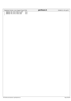| Registered Version: Linux Support Power PC64                                                            |                      | perfmon.h | Exhibit 8.1-40 pg $2/2$ |
|---------------------------------------------------------------------------------------------------------|----------------------|-----------|-------------------------|
| 91 #define PMC STATE PROFILE KERN<br>92 #define PMC STATE TRACE KERN<br>93 #define PMC STATE TRACE USER | 0x11<br>0x20<br>0x21 |           |                         |

./PPC64/linux/include/asm−ppc64/perfmon.h Page 200/239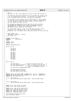```
\frac{1}{2}2 * pmc.h
3 * Copyright (C) 2001 Dave Engebretsen & Mike Corrigan IBM Corporation.
<sup>4</sup>
 5 * The PPC64 PMC subsystem encompases both the hardware PMC registers and 
6 * a set of software event counters. An interface is provided via the
7 * proc filesystem which can be used to access this subsystem.
 8 *
9 * This program is free software; you can redistribute it and/or modify
10 * it under the terms of the GNU General Public License as published by
11 * the Free Software Foundation; either version 2 of the License, or
12 * (at your option) any later version.
13<br>14<sup>14</sup> * This program is distributed in the hope that it will be useful,<br><sup>15</sup> * but WITHOUT ANY WAPPANTY, without even the implied warranty of
15 * but WITHOUT ANY WARRANTY; without even the implied warranty of
16 * MERCHANTABILITY or FITNESS FOR A PARTICULAR PURPOSE. See the
17 * GNU General Public License for more details.
18 * 
19 * You should have received a copy of the GNU General Public License
20 * along with this program; if not, write to the Free Software
21 * Foundation, Inc., 59 Temple Place, Suite 330, Boston, MA 02111−1307 USA
2223
24 /* Start Change Log
25 * 2001/06/05 : engebret : Created.
26 * End Change Log 
27
28
29 #ifndef _PPC64_TYPES_H
                              30 #include <asm/types.h>
31 #endif
32
33 #ifndef _PMC_H
34 #define _PMC_H
35
36 #define STAB_ENTRY_MAX 64
37
38 struct _pmc_hw
39 \begin{matrix} 30 \\ 40 \end{matrix}u64 mmcr0;
41 u64 mmcr1;<br>42 u64 mmcra;
                 u64 mmcra;
43
44 u64 pmc1;<br>45 u64 pmc2;
                 u64 pmc2;
46 u64 \text{ pmc}3;<br>
u64 \text{ pmc}4;47 u64 \overline{p}mc4;<br>48 u64 \overline{p}mc5;48 u64 \text{ pmc}5;<br>
49 u64 \text{ pmc}6;49 u64 \text{ pmc}6;<br>50 u64 \text{ pmc}7;50 u64 pmc7; 
51 u64 pmc8; 
52 \; | \; ;53
54 struct _pmc_sw
55 {
56 u64 stab_faults; /* Count of faults on the stab */
57 u64 stab_capacity_castouts;/* Count of castouts from the stab */
58 u64 stab_invalidations; /* Count of invalidations from the */
59 /* stab, not including castouts */
60 u64 stab_entry_use[STAB_ENTRY_MAX]; 
61
62 u64 htab_primary_overflows;
63 u64 htab_capacity_castouts;<br>64 u64 htab read to write faul
                 u64 htab_read_to_write_fault;
65 };
66
67 #define PMC_HW_TEXT_ENTRY_COUNT (sizeof(struct _pmc_hw) / sizeof(u64))
68 #define PMC_SW_TEXT_ENTRY_COUNT (sizeof(struct _pmc_sw) / sizeof(u64))
69 #define PMC_TEXT_ENTRY_SIZE 64
70
71 struct _pmc_sw_text {<br>72 char buffer[E
<sup>72</sup> char buffer[PMC_SW_TEXT_ENTRY_COUNT * PMC_TEXT_ENTRY_SIZE];<br>
<sup>73</sup> };
    73 };
74
75 struct _pmc_hw_text {
76 char buffer[PMC_HW_TEXT_ENTRY_COUNT * PMC_TEXT_ENTRY_SIZE];
77 };
78
79 extern struct _pmc_sw pmc_sw_system;
80 extern struct _pmc_sw pmc_sw_cpu[];
81
82 extern struct _pmc_sw_text pmc_sw_text;
83 extern struct _pmc_hw_text pmc_hw_text;
84 extern char *ppc64_pmc_stab(int file);
85 extern char *ppc64_pmc_htab(int file);
86 extern char *ppc64_pmc_hw(int file);
87
88 void *btmalloc(unsigned long size);<br>89 void btfree(void *addr);
     void btfree(void *addr);
Registered Version: Linux Support Power PC64 pmc.h Exhibit 8.1−41 pg 1/2
```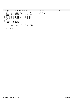| Registered Version: Linux Support Power PC64                                                                                                                                                                                                                                                                                                                                                                                                                                                               | pmc.h       | Exhibit 8.1-41 pg 2/2 |
|------------------------------------------------------------------------------------------------------------------------------------------------------------------------------------------------------------------------------------------------------------------------------------------------------------------------------------------------------------------------------------------------------------------------------------------------------------------------------------------------------------|-------------|-----------------------|
| #if 1<br>Q <sub>1</sub><br>.<br>$\frac{1}{2} \left( \frac{1}{2} \right) \left( \frac{1}{2} \right) \left( \frac{1}{2} \right) \left( \frac{1}{2} \right) \left( \frac{1}{2} \right) \left( \frac{1}{2} \right) \left( \frac{1}{2} \right) \left( \frac{1}{2} \right) \left( \frac{1}{2} \right) \left( \frac{1}{2} \right) \left( \frac{1}{2} \right) \left( \frac{1}{2} \right) \left( \frac{1}{2} \right) \left( \frac{1}{2} \right) \left( \frac{1}{2} \right) \left( \frac{1}{2} \right) \left( \frac$ | 1.7.7.7.7.7 |                       |

91 #if 1<br>92 #define PMC\_SW\_PROCESSOR(F) pmc\_sw\_cpu[smp\_processor\_id()].F++<br>94 #define PMC\_SW\_PROCESSOR\_A(F, E) (pmc\_sw\_cpu[smp\_processor\_id()].F[(E)])++<br>94 #define PMC\_SW\_SYSTEM(F) pmc\_sw\_system.F++ <sup>95</sup> **#else** <sup>96</sup> **#define** PMC\_SW\_PROCESSOR(F) **do** {;} **while** (0) <sup>97</sup> **#define** PMC\_SW\_PROCESSOR\_A(F) **do** {;} **while** (0) <sup>98</sup> **#define** PMC\_SW\_SYSTEM(F) **do** {;} **while** (0) <sup>99</sup> **#endif** 100 <sup>101</sup> **#define** PMC\_CONTROL\_CPI 1 <sup>102</sup> **#define** PMC\_CONTROL\_TLB 2  $103$ <br> $104$ 104 /\* To find an entry in the bolted page-table-directory \*/<br>105 **#define** pgd\_offset\_b(address) (bolted\_pgd + pgd\_index(address))<br>106 **#define** BTMALLOC\_START 0xB00000000000000<br>107 **#define** BTMALLOC\_END 0xB00000000fffff

108  $\#$ endif /\*  $\_PMC\_H$  \*/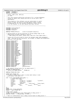**#ifndef** \_\_PPCDEBUG\_H **#define** PPCDEBUG\_H<br>3 /\*\*\*\*\*\*\*\*\*\*\*\*\*\*\*\*\*\*\*\*\* /\*\*\*\*\*\*\*\*\*\*\*\*\*\*\*\*\*\*\*\*\*\*\*\*\*\*\*\*\*\*\*\*\*\*\*\*\*\*\*\*\*\*\*\*\*\*\*\*\*\*\*\*\*\*\*\*\*\*\*\*\*\*\*\*\*\*\*\* \* Author: Adam Litke, IBM Corp \* (c) 2001  $\epsilon$  \* This file contains definitions and macros for a runtime debugging \* system for ppc64 (This should also work on 32 bit with a few \* adjustments. <br> $11$  \* This program is free software; you can redistribute it and/or <sup>12</sup> \* modify it under the terms of the GNU General Public License <sup>13</sup> \* as published by the Free Software Foundation; either version \* 2 of the License, or (at your option) any later version. \*\*\*\*\*\*\*\*\*\*\*\*\*\*\*\*\*\*\*\*\*\*\*\*\*\*\*\*\*\*\*\*\*\*\*\*\*\*\*\*\*\*\*\*\*\*\*\*\*\*\*\*\*\*\*\*\*\*\*\*\*\*\*\*\*\*\*\*/ **#include** <linux/config.h> **#include** <asm/udbg.h> **#include** <stdarg.h> **#define** PPCDBG\_BITVAL(X) ((1UL)<<((unsigned long)(X))) /\* Defined below are the bit positions of various debug flags in the <sup>25</sup> \* debug\_switch variable (defined in naca.h). \* −− When adding new values, please enter them into trace names below −− \* \* Values 62 & 63 can be used to stress the hardware page table management \* code. They must be set statically, any attempt to change them dynamically <sup>30</sup> \* would be a very bad idea.  $\frac{31}{32}$  **#define** PPCDBG\_MMINIT PPCDBG\_BITVAL(0) **#define** PPCDBG\_MM PPCDBG\_BITVAL(1)<br>34 **#define** PPCDBG\_SYS32 PPCDBG\_BITVAL(2) **#define** PPCDBG\_SYS32 PPCDBG\_BITVAL(2) **#define** PPCDBG\_SYS32NI PPCDBG\_BITVAL(3) **#define** PPCDBG\_SYS32X PPCDBG\_BITVAL(4) **#define** PPCDBG\_SYS32M PPCDBG\_BITVAL(5)<br>38 **#define** PPCDBG\_SYS64 PPCDBG\_BITVAL(6) **#define** PPCDBG\_SYS64 PPCDBG\_BITVAL(6)<br>39 **#define** PPCDBG\_SYS64NI PPCDBG\_BITVAL(7) **#define** PPCDBG\_SYS64NI PPCDBG\_BITVAL(7) **#define** PPCDBG\_SYS64X PPCDBG\_BITVAL(8) **#define** PPCDBG\_SIGNAL PPCDBG\_BITVAL(9)<br>42 **#define** PPCDBG\_SIGNALXMON PPCDBG\_BITVAL(10) **#define** PPCDBG\_SIGNALXMON PPCDBG\_BITVAL(10) **#define** PPCDBG\_BINFMT32 PPCDBG\_BITVAL(11) **#define** PPCDBG\_BINFMT64 PPCDBG\_BITVAL(12) **#define** PPCDBG\_BINFMTXMON **#define** PPCDBG\_BINFMT\_32ADDR PPCDBG\_BITVAL(14) **#define** PPCDBG\_ALIGNFIXUP PPCDBG\_BITVAL(15) **#define** PPCDBG\_TCEINIT PPCDBG\_BITVAL(16)<br>49 **#define** PPCDBG TCE PPCDBG BITVAL(17)  $\begin{tabular}{l} \texttt{\#define} \texttt{PCDBG_TCE} \end{tabular} \begin{tabular}{l} \texttt{\#define} \end{tabular} \end{tabular} \begin{tabular}{l} \texttt{\#define}} \end{tabular} \end{tabular} \begin{tabular}{l} \texttt{\#define}} \end{tabular} \end{tabular} \begin{tabular}{l} \texttt{\#define}} \end{tabular} \end{tabular} \begin{tabular}{l} \texttt{\#define}} \end{tabular} \end{tabular} \begin{tabular}{l} \texttt{\#define}} \end{tabular} \end{tabular} \begin{tabular}{l} \texttt{\#define}} \end{tabular} \end{tabular} \$  **#define** PPCDBG\_PHBINIT PPCDBG\_BITVAL(18) **#define** PPCDBG\_SMP<br>52 **#define** PPCDBG\_SMP<br>52 **#define** PPCDBG BOOT PPCDBG BITVAL(20) **#define** PPCDBG\_BOOT PPCDBG\_BITVAL(20)<br>53 **#define** PPCDBG\_BUSWALK PPCDBG\_BITVAL(21) **#define** PPCDBG\_BUSWALK PPCDBG\_BITVAL(21) <sup>54</sup> **#define** PPCDBG\_PROM PPCDBG\_BITVAL(22)<br>
55 **#define** PPCDBG RTAS PPCDBG BITVAL(23) **#define** PPCDBG\_RTAS PPCDBG\_BITVAL(23) **#define** PPCDBG\_HTABSTRESS PPCDBG\_BITVAL(62) **#define** PPCDBG\_HTABSIZE PPCDE<br>**#define** PPCDBG\_NONE (0UL) **#define** PPCDBG\_NONE (0UL) (0UL) (0UL)  $\# \text{define } PPCDBG_ALL$  61 /\* The default initial value for the debug switch  $*/$   $\theta$  #define PPC DEBUG DEFAULT 0 **#define** PPC\_DEBUG\_DEFAULT<br>63 /\* #define PPC DEBUG DEFAU /\* #define PPC\_DEBUG\_DEFAULT PPCDBG\_ALL \*/ **#define** PPCDBG\_NUM\_FLAGS 64 **#ifdef** WANT\_PPCDBG\_TAB<br>68 /\* A table of debug sw:  $4^*$  A table of debug switch names to allow name lookup in xmon \* (and whoever else wants it. 71 char \*trace\_names[PPCDBG\_NUM\_FLAGS] = {<br> $\frac{72}{72}$  /\* Known debug names \*/  $\frac{72}{73}$  /\* Known debug names \*/<br>
"mminit", "mm",  $\frac{12}{73}$  "mminit",<br>  $\frac{12}{74}$  "syscall32", "syscall32", "syscall32\_ni", "syscall32x", "syscall32m", <sup>75</sup> "syscall64", "syscall64\_ni", "syscall64x", "signal", "signal\_xmon", "binfmt32", "binfmt64", "binfmt\_xmon", "binfmt\_32addr", <sup>78</sup> "alignfixup", "tceinit", "tce", "phb\_init", <sup>79</sup> "smp", "boot", "buswalk", "prom",  $\frac{1}{80}$  "smp",<br> $\frac{1}{80}$  "rtas"  $81 \quad \}$  **#else** extern char \*trace\_names[64]; **#endif** /\* WANT\_PPCDBG\_TAB \*/ **#ifdef** CONFIG\_PPCDBG<br>87 /\* Macro to conditio 87 /\* Macro to conditionally print debug based on debug\_switch \*/<br>88 #define PPCDBG(...) udbg\_ppcdbg(\_\_VA\_ARGS\_\_) #define PPCDBG(...) udbg\_ppcdbg(\_\_VA\_ARGS\_\_) /\* Macro to conditionally call a debug routine based on debug\_switch \*/ Registered Version: Linux Support Power PC64 **ppcdebug.h** Exhibit 8.1−42 pg 1/2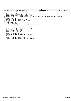| ppcdebug.h<br>Registered Version: Linux Support Power PC64<br>Exhibit 8.1–42 pg $2/2$ |                                                                                                         |  |  |
|---------------------------------------------------------------------------------------|---------------------------------------------------------------------------------------------------------|--|--|
| 91                                                                                    | #define PPCDBGCALL(FLAGS, FUNCTION) ifppcdebug(FLAGS) FUNCTION                                          |  |  |
| 92                                                                                    |                                                                                                         |  |  |
| 93                                                                                    | /* Macros to test for debug states */                                                                   |  |  |
| 94                                                                                    | #define ifppcdebug(FLAGS) if (udbg_ifdebug(FLAGS))                                                      |  |  |
| 95                                                                                    | #define ppcdebugset(FLAGS) (udbg ifdebug(FLAGS))                                                        |  |  |
| 96                                                                                    | #define PPCDBG BINFMT ((current->thread.flags & PPC FLAG 32BIT) ? PPCDBG BINFMT32 : PPCDBG BINFMT64)    |  |  |
| 97                                                                                    |                                                                                                         |  |  |
|                                                                                       | 98 #ifdef CONFIG XMON                                                                                   |  |  |
|                                                                                       | 99 #define PPCDBG ENTER DEBUGGER() xmon(0)                                                              |  |  |
|                                                                                       | 100 #define PPCDBG ENTER DEBUGGER REGS(X) xmon(X)                                                       |  |  |
| 101                                                                                   | #endif<br>102 #ifdef CONFIG KDB                                                                         |  |  |
|                                                                                       | 103 #include <linux kdb.h=""></linux>                                                                   |  |  |
| 104                                                                                   | #define PPCDBG ENTER DEBUGGER() kdb(KDB REASON CALL, 0, 0)                                              |  |  |
| 105                                                                                   | #endif                                                                                                  |  |  |
| 106                                                                                   |                                                                                                         |  |  |
|                                                                                       | $107$ #else                                                                                             |  |  |
|                                                                                       | 108 #define PPCDBG() do $\{i\}$ while (0)                                                               |  |  |
|                                                                                       | 109 #define PPCDBGCALL(FLAGS, FUNCTION) do $\{i\}$ while (0)                                            |  |  |
|                                                                                       | 110 <b>#define</b> if $predebug()$ <b>if</b> (0)                                                        |  |  |
|                                                                                       | 111 #define ppcdebugset(FLAGS) (0)                                                                      |  |  |
|                                                                                       | 112 #endif $/*$ CONFIG PPCDBG $*/$                                                                      |  |  |
| 113                                                                                   |                                                                                                         |  |  |
|                                                                                       | 114 #ifndef PPCDBG ENTER DEBUGGER                                                                       |  |  |
|                                                                                       | 115 #define PPCDBG ENTER DEBUGGER() do $\{i\}$ while(0)                                                 |  |  |
| 116                                                                                   | #endif                                                                                                  |  |  |
| 117                                                                                   |                                                                                                         |  |  |
|                                                                                       | 118 #ifndef PPCDBG ENTER DEBUGGER REGS<br>119 #define PPCDBG ENTER DEBUGGER REGS(A) do $\{i\}$ while(0) |  |  |
| 120                                                                                   | #endif                                                                                                  |  |  |
| 121                                                                                   |                                                                                                         |  |  |
|                                                                                       | 122 #endif $/*$ PPCDEBUG H */                                                                           |  |  |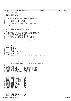<sup>1</sup> **#ifndef** \_PPC64\_RTAS\_H **#define** \_PPC64\_RTAS\_H **#include** <linux/spinlock.h> **#include** <asm/page.h> /\* \* Definitions for talking to the RTAS on CHRP machines. <sup>9</sup> \* \* Copyright (C) 2001 Peter Bergner <sup>11</sup> \* Copyright (C) 2001 PPC 64 Team, IBM Corp  $\begin{array}{c} 12 \\ 13 \end{array}$  \* This program is free software; you can redistribute it and/or \* modify it under the terms of the GNU General Public License <sup>15</sup> \* as published by the Free Software Foundation; either version \* 2 of the License, or (at your option) any later version. **#define** RTAS\_UNKNOWN\_SERVICE (−1) **#define** RTAS\_INSTANTIATE\_MAX (1UL<<30) /\* Don't instantiate rtas at/above this value \*/  $rac{22}{23}$ <sup>23</sup> \* In general to call RTAS use rtas\_token("string") to lookup<br><sup>24</sup> \* an RTAS token for the given string (e.g. "event-scan"). <sup>24</sup> \* an RTAS token for the given string (e.g. "event–scan").<br><sup>25</sup> \* To actually perform the call use \* To actually perform the call use \* ret = rtas\_call(token, n\_in, n\_out, ...) <sup>27</sup> \* Where n\_in is the number of input parameters and 28 \* n\_out is the number of output parameters  $rac{29}{30}$  \* If the "string" is invalid on this system, RTAS\_UNKOWN\_SERVICE <sup>31</sup> \* will be returned as a token. rtas\_call() does look for this <sup>32</sup> \* token and error out gracefully so rtas\_call(rtas\_token("str"), ...) \* may be safely used for one−shot calls to RTAS.  $34 \\
 35$  $\star$  **typedef** u32 rtas\_arg\_t; struct rtas\_args {<br> $132$  token; u32 token; 41 u32 nargs;<br>42 u32 nret;  $u32$  nret; 43 rtas\_arg\_t args[16];<br>44 **#if** 0 **#if** 0 spinlock\_t lock; **#endif** rtas\_arg\_t \*rets; /\* Pointer to return values in args[]. \*/ }; struct rtas\_t {<br> $51$  unsigned long entry; unsigned long entry; /\* physical address pointer \*/ <sup>52</sup> unsigned long base; /\* physical address pointer \*/ unsigned long size; spinlock\_t lock; 56 struct device\_node \*dev;  $\frac{1}{57}$  /\* virtual address pointer \*/ }; /\* Event classes \*/<br> $60$  #define INTERNAL\_ERROR 60 #define INTERNAL\_ERROR  $0 \times 800000000$  /\* set bit 0 \*/<br>61 #define EPOW\_WARNING  $62$  #define POWERMGMLEVENTS  $0 \times 20000000$  /\* set bit 2 \*/<br>63 #define HOTPLUG\_EVENTS  $0 \times 200000000$  /\* set bit 3 \*/ **#define** EVENT\_SCAN\_ALL\_EVENTS 0xf0000000 <sup>1</sup>66 /\* event−scan returns \*/<br>67 **#define** SEVERITY FATAL 67 **#define** SEVERITY\_FATAL 0x5<br>68 **#define** SEVERITY\_ERROR 0x4 **#define** SEVERITY\_ERROR 0x4<br>**#define** SEVERITY ERROR SYNC 0x3 **#define** SEVERITY\_ERROR\_SYNC 0x3 **#define** SEVERITY\_WARNING 0x2 <sup>71</sup> **#define** SEVERITY\_EVENT 0x1 **#define** SEVERITY\_NO\_ERROR 0x0 **#define** DISP\_FULLY\_RECOVERED 0x0 74 **#define** DISP\_LIMITED\_RECOVERY<br>75 **#define** DISP NOT RECOVERED **#define** DISP\_NOT\_RECOVERED 0x2 <sup>76</sup> **#define** PART\_PRESENT 0x0 77 **#define** PART\_NOT\_PRESENT 0x1<br>78 **#define** INITIATOR UNKNOWN 0x0 78 **#define** INITIATOR\_UNKNOWN 0x0<br>79 **#define** INITIATOR CPII 0x1 #define INITIATOR CPU 80 **#define** INITIATOR\_PCI 0x2<br>81 **#define** INITIATOR ISA 0x3 81 **#define** INITIATOR\_ISA 0x3<br>82 **#define** INITIATOR MEMORY 0x3 **#define** INITIATOR\_MEMORY 0x4 83 **#define** INITIATOR\_POWERMGM 0x5<br>84 **#define** TARGET UNKNOWN 0x0 84 **#define** TARGET\_UNKNOWN 0x0<br>85 **#define** TARGET CPII 0x1 **#define** TARGET\_CPU 0x1 **#define** TARGET\_PCI 0x2 87 **#define** TARGET\_ISA 0x3<br>88 **#define** TARGET\_MEMORY 0x4 **#define** TARGET\_MEMORY 0x4 #define TARGET POWERMGM Registered Version: Linux Support Power PC64 **rtas.h** Exhibit 8.1−43 pg 1/2

./PPC64/linux/include/asm−ppc64/rtas.h Page 205/239

**#define** TYPE\_RETRY 0x01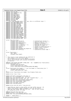|            | Registered Version: Linux Support Power PC64                                                                                       |              | rtas.h                                                                        | Exhibit 8.1-43 pg 2/2 |
|------------|------------------------------------------------------------------------------------------------------------------------------------|--------------|-------------------------------------------------------------------------------|-----------------------|
| 91         | #define TYPE_TCE_ERR                                                                                                               | 0x02         |                                                                               |                       |
| 92<br>93   | #define TYPE_INTERN_DEV_FAIL<br>#define TYPE_TIMEOUT                                                                               | 0x03<br>0x04 |                                                                               |                       |
| 94         | #define TYPE_DATA_PARITY                                                                                                           | 0x05         |                                                                               |                       |
| 95         | #define TYPE_ADDR_PARITY<br>#define TYPE_CACHE_PARITY                                                                              | 0x06<br>0x07 |                                                                               |                       |
| 96<br>97   | #define TYPE_ADDR_INVALID                                                                                                          | 0x08         |                                                                               |                       |
| 98         | #define TYPE_ECC_UNCORR                                                                                                            | 0x09         |                                                                               |                       |
| 99<br>100  | #define TYPE_ECC_CORR<br>#define TYPE_EPOW                                                                                         | 0x0a<br>0x40 |                                                                               |                       |
| 101        | /* I don't add PowerMGM events right now, this is a different topic */                                                             |              |                                                                               |                       |
| 102        | #define TYPE_PMGM_POWER_SW_ON                                                                                                      | 0x60         |                                                                               |                       |
| 103<br>104 | #define TYPE_PMGM_POWER_SW_OFF<br>#define TYPE_PMGM_LID_OPEN                                                                       | 0x61<br>0x62 |                                                                               |                       |
| 105        | #define TYPE_PMGM_LID_CLOSE                                                                                                        | 0x63         |                                                                               |                       |
| 106        | #define TYPE_PMGM_SLEEP_BTN                                                                                                        | 0x64         |                                                                               |                       |
| 107<br>108 | #define TYPE_PMGM_WAKE_BTN<br>#define TYPE_PMGM_BATTERY_WARN                                                                       | 0x65<br>0x66 |                                                                               |                       |
| 109        | #define TYPE_PMGM_BATTERY_CRIT                                                                                                     | 0x67         |                                                                               |                       |
| 110<br>111 | #define TYPE_PMGM_SWITCH_TO_BAT<br>#define TYPE_PMGM_SWITCH_TO_AC                                                                  | 0x68<br>0x69 |                                                                               |                       |
| 112        | #define TYPE_PMGM_KBD_OR_MOUSE                                                                                                     | 0x6a         |                                                                               |                       |
| 113        | #define TYPE_PMGM_ENCLOS_OPEN<br>#define TYPE_PMGM_ENCLOS_CLOSED                                                                   | 0x6b<br>0х6с |                                                                               |                       |
| 114<br>115 | #define TYPE_PMGM_RING_INDICATE 0x6d                                                                                               |              |                                                                               |                       |
| 116        | #define TYPE_PMGM_LAN_ATTENTION 0x6e                                                                                               |              |                                                                               |                       |
| 117<br>118 | #define TYPE_PMGM_TIME_ALARM<br>#define TYPE_PMGM_CONFIG_CHANGE                                                                    | 0x6f<br>0x70 |                                                                               |                       |
| 119        | #define TYPE_PMGM_SERVICE_PROC                                                                                                     | 0x71         |                                                                               |                       |
| 120        | struct rtas_error_log {                                                                                                            |              |                                                                               |                       |
| 121<br>122 | unsigned long version:8;                                                                                                           |              | /* Architectural version */                                                   |                       |
| 123        | unsigned long severity:3;                                                                                                          |              | /* Severity level of error */                                                 |                       |
| 124<br>125 | unsigned long disposition:2;<br>unsigned long extended:1;                                                                          |              | /* Degree of recovery */<br>$/*$ extended log present? */                     |                       |
| 126        | unsigned long /* reserved */ :2;                                                                                                   |              | /* Reserved for future use */                                                 |                       |
| 127<br>128 | unsigned long initiator:4;<br>unsigned long target:4;                                                                              |              | /* Initiator of event */<br>$\frac{*}{*}$ Target of failed operation */       |                       |
| 129        | unsigned long type:8;                                                                                                              |              | /* General event or error*/                                                   |                       |
| 130        | unsigned long extended_log_length:32;                                                                                              |              | /* length in bytes */                                                         |                       |
| 131<br>132 | unsigned char buffer[1];<br>$\}$ ;                                                                                                 |              | /* allocated by klimit bump */                                                |                       |
| 133        |                                                                                                                                    |              |                                                                               |                       |
| 134<br>135 | struct flash_block {<br><i>char</i> *data;                                                                                         |              |                                                                               |                       |
| 136        | unsigned long length;                                                                                                              |              |                                                                               |                       |
| 137        | $\}$ ;                                                                                                                             |              |                                                                               |                       |
| 138<br>139 | /* This struct is very similar but not identical to                                                                                |              |                                                                               |                       |
| 140        | * that needed by the rtas flash update.                                                                                            |              |                                                                               |                       |
| 141<br>142 | * All we need to do for rtas is rewrite num_blocks<br>* into a version/length and translate the pointers                           |              |                                                                               |                       |
| 143        | * to absolute.                                                                                                                     |              |                                                                               |                       |
| 144<br>145 | $^*/$                                                                                                                              |              | #define FLASH_BLOCKS_PER_NODE ((PAGE_SIZE - 16) / sizeof(struct flash_block)) |                       |
| 146        | struct flash_block_list {                                                                                                          |              |                                                                               |                       |
| 147        | unsigned long num_blocks;                                                                                                          |              |                                                                               |                       |
| 148<br>149 | struct flash block list *next;<br>struct flash_block blocks[FLASH_BLOCKS_PER_NODE];                                                |              |                                                                               |                       |
| 150        | $\vert \cdot \rangle$                                                                                                              |              |                                                                               |                       |
| 151<br>152 | struct flash_block_list_header { /* just the header of flash_block_list */<br>unsigned long num_blocks;                            |              |                                                                               |                       |
| 153        | struct flash block list *next;                                                                                                     |              |                                                                               |                       |
| 154        | $\}$ ;                                                                                                                             |              |                                                                               |                       |
| 155<br>156 | extern struct flash_block_list_header rtas_firmware_flash_list;                                                                    |              |                                                                               |                       |
| 157        | extern struct rtas_t rtas;                                                                                                         |              |                                                                               |                       |
| 158<br>159 | extern void enter_rtas(struct rtas_args *);                                                                                        |              |                                                                               |                       |
| 160        | extern int rtas_token(const char *service);                                                                                        |              |                                                                               |                       |
| 161        | extern long rtas_call(int token, int, int, unsigned long $*, \ldots$ );                                                            |              |                                                                               |                       |
| 162<br>163 | <b>extern</b> void phys_call_rtas(int, int, int, $\ldots$ );<br>extern void phys_call_rtas_display_status(char);                   |              |                                                                               |                       |
| 164        | extern void call_rtas_display_status(char);                                                                                        |              |                                                                               |                       |
| 165<br>166 | extern void rtas_restart(char *cmd);<br>extern void rtas_power_off(void);                                                          |              |                                                                               |                       |
| 167        | extern void rtas_halt(void);                                                                                                       |              |                                                                               |                       |
| 168        | extern struct proc_dir_entry *rtas_proc_dir;                                                                                       |              |                                                                               |                       |
| 169<br>170 |                                                                                                                                    |              |                                                                               |                       |
| 171        | /* Some RTAS ops require a data buffer and that buffer must be < 4G.                                                               |              |                                                                               |                       |
| 172<br>173 | * Rather than having a memory allocator, just use this buffer<br>* (get the lock first), make the RTAS call. Copy the data instead |              |                                                                               |                       |
| 174        | * of holding the buffer for long.                                                                                                  |              |                                                                               |                       |
| 175<br>176 | $\star$ /<br>#define RTAS_DATA_BUF_SIZE 1024                                                                                       |              |                                                                               |                       |
| 177        | extern spinlock_t rtas_data_buf_lock;                                                                                              |              |                                                                               |                       |
| 178        | extern <i>char</i> rtas_data_buf[RTAS_DATA_BUF_SIZE];                                                                              |              |                                                                               |                       |
| 179<br>180 | $\#$ endif /* _PPC64_RTAS_H */                                                                                                     |              |                                                                               |                       |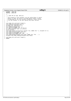# Registered Version: Linux Support Power PC64 **udbg.h** Exhibit 8.1−44 pg 1/1

<sup>1</sup> **#ifndef** \_\_UDBG\_HDR <sup>2</sup> **#define** \_\_UDBG\_HDR 3  $\begin{matrix} 4 & / \\ 5 & \end{matrix}$ <sup>5</sup> \* c 2001 PPC 64 Team, IBM Corp  $\epsilon$ <sup>7</sup> \* This program is free software; you can redistribute it and/or <sup>8</sup> \* modify it under the terms of the GNU General Public License <sup>9</sup> \* as published by the Free Software Foundation; either version<br>
<sup>9</sup> \* 2 of the License, or (at your option) any later version. <sup>9</sup> as purished by the rice is in the line and the same of the License, or (at your option) any later version.  $\star$  / 12 13 void udbg\_init\_uart(void \*comport);<br>14 void udbg\_putc(unsigned char c); 14 void udbg\_putc(unsigned char c);<br>15 unsigned char udbg getc(void); 15 unsigned char udbg\_getc(void);<br>
16 int udbg\_getc\_poll(void);<br>
17 void udbg\_write(**const** char \*s, int n);<br>
19 int udbg\_read(char \*buf, int buflen); <sup>20</sup> struct console; <sup>21</sup> void udbg\_console\_write(struct console \*con, **const** char \*s, unsigned int n); <sup>22</sup> void udbg\_puthex(unsigned long val); <sup>23</sup> void udbg\_printSP(**const** char \*s); <sup>24</sup> void udbg\_printf(**const** char \*fmt, ...); <sup>25</sup> void udbg\_ppcdbg(unsigned long flags, **const** char \*fmt, ...); <sup>26</sup> unsigned long udbg\_ifdebug(unsigned long flags);  $\frac{26}{27}$ 28 void udbg\_init\_uart(void \*comport);<br>29 **#endif** <sup>29</sup> **#endif**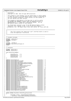## Registered Version: Linux Support Power PC64 **HvCallCfg.h** Exhibit 8.1–45 pg 1/3

 $/$ \*  $\gamma$  \* HvCallCfa h \* Copyright (C) 2001 Mike Corrigan IBM Corporation <sup>4</sup> \* \* This program is free software; you can redistribute it and/or modify <sup>6</sup> \* it under the terms of the GNU General Public License as published by \* the Free Software Foundation; either version 2 of the License, or \* (at your option) any later version. \* <sup>10</sup> \* This program is distributed in the hope that it will be useful, <sup>11</sup> \* but WITHOUT ANY WARRANTY; without even the implied warranty of <sup>12</sup> \* MERCHANTABILITY or FITNESS FOR A PARTICULAR PURPOSE. See the \* GNU General Public License for more details.  $\frac{14}{15}$ \* You should have received a copy of the GNU General Public License \* along with this program; if not, write to the Free Software <sup>17</sup> \* Foundation, Inc., 59 Temple Place, Suite 330, Boston, MA 02111−1307 USA  $18$ 19 //=====================================================================================  $\frac{1}{11}$ 22 // This file contains the "hypervisor call" interface which is used to  $\frac{23}{10}$  drive the hypervisor from the OS. drive the hypervisor from the OS.  $\frac{24}{25}$  //===================================================================================== 26 //−−−−−−−−−−−−−−−−−−−−−−−−−−−−−−−−−−−−−−−−−−−−−−−−−−−−−−−−−−−−−−−−−−− // Standard Includes //−−−−−−−−−−−−−−−−−−−−−−−−−−−−−−−−−−−−−−−−−−−−−−−−−−−−−−−−−−−−−−−−−−− <sup>30</sup> **#ifndef** \_HVCALLSC\_H <sup>31</sup> **#include** "HvCallSc.h" <sup>32</sup> **#endif** 33 **#ifndef** \_HVTYPES\_H <sup>35</sup> **#include** <asm/iSeries/HvTypes.h> <sup>36</sup> **#endif** 37 //−−−−−−−−−−−−−−−−−−−−−−−−−−−−−−−−−−−−−−−−−−−−−−−−−−−−−−−−−−−−−−−−−−−−−−−−−−−−−−−−−−−−− 39 // Constants<br>40 //---------- //−−−−−−−−−−−−−−−−−−−−−−−−−−−−−−−−−−−−−−−−−−−−−−−−−−−−−−−−−−−−−−−−−−−−−−−−−−−−−−−−−−−−− **#ifndef** \_HVCALLCFG\_H <sup>42</sup> **#define** \_HVCALLCFG\_H 43 enum HvCallCfg\_ReqQual  $\{$  HvCallCfg\_Cur = 0, <sup>47</sup> HvCallCfg\_Init = 1, <sup>48</sup> HvCallCfg\_Max = 2, <sup>49</sup> HvCallCfg\_Min = 3 <sup>50</sup> }; 51 **#define** HvCallCfgGetLps<br>53 **#define** HvCallCfgGetActiveLpMap Max **Hold HuCallCfg + 0**<br>HvCallCfg + 1 **#define** HvCallCfgGetActiveLpMap HvCallCfg + 1 <sup>54</sup> #define HvCallCfgGetLpVrmIndex bucker and HvCallCfg + 254 + 255 + 255 + 255 + 255 + 255 + 255 + 255 + 255 + 255 + 255 + 255 + 255 + 255 + 255 + 255 + 255 + 255 + 255 + 255 + 255 + 255 + 255 + 255 + 255 + 255 + 255 + 2 **#define** HvCallCfgGetLpMinSupportedPlicVrmIndex HvCallCfg + 3 **#define** HvCallCfgGetLpMinCompatablePlicVrmIndex HvCallCfg + 4 **#define** HvCallCfgGetLpVrmName HvCallCfg + 5 **#define** HvCallCfgGetSystemPhysicalProcessors HvCallCfg + 6 **#define** HvCallCfgGetPhysicalProcessors HvCallCfg + 7 **#define** HvCallCfgGetSystemMsChunks<br>61 **#define** HvCallCfqGetMsChunks HvCallCfq + 9 **Hefine** HvCallCfgGetMsChunks<br>61 **#define** HvCallCfgGetMsChunks<br>62 **#define** HvCallCfgGetInteractivePercentage HvCallCfg + 10 **#define** HvCallCfgGetInteractivePercentage HvCallCfg + 10<br>63 **#define** HvCallCfgIsBusDedicated HvCallCfg + 11 **#define** HvCallCfgIsBusDedicated HvCallCfg + 11<br>64 **#define** HvCallCfgGetBusOwner HvCallCfg + 12 **#define** HvCallCfgGetBusOwner HvCallCfg + 12 **#define** HvCallCfgGetBusAllocation **Home HumilTime** HvCallCfg + 13<br>66 **#define** HvCallCfgGetBusUnitOwner **Home HumilTime** HvCallCfg + 14 **#define** HvCallCfgGetBusUnitOwner<br>66 **#define** HvCallCfgGetBusUnitOwner HvCallCfg + 14<br>67 **#define** HvCallCfgGetBusUnitAllocation HvCallCfg + 15 **#define** HvCallCfgGetBusUnitAllocation **HvCallCfg + 15**<br>68 **#define** HvCallCfgGetVirtualBusPool **HvCallCfg + 16 #define** HvCallCfgGetVirtualBusPool HvCallCfg + 16 **#define** HvCallCfgGetBusUnitInterruptProc HvCallCfg + 17 % **#define** HvCallCfgGetConfiguredBusUnitsForIntProc HvCallCfg + 18<br> **#define** HvCallCfgGetRioSanBusPool HvCallCfg + 19 **#define** HvCallCfgGetRioSanBusPool **Humes** HvCallCfg + 19<br>72 **#define** HvCallCfgGetSharedPoolIndex HvCallCfg + 20 **#define** HvCallCfgGetSharedPoolIndex HvCallCfg + 20<br>
73 **#define** HvCallCfgGetSharedProcUnits HvCallCfg + 21 **#define** HvCallCfgGetSharedProcUnits <br>74 **#define** HvCallCfgGetNumProcsInSharedPool HvCallCfg + 22 #define HvCallCfgGetNumProcsInSharedPool **#define** HvCallCfgRouter23 <br>76 **#define** HvCallCfgRouter24 **H**vCallCfg + 24 **#define** HvCallCfgRouter24 HvCallCfg + 24 **#define** HvCallCfgRouter25<br>
78 **#define** HvCallCfgRouter26<br>
79 **#define** HvCallCfgRouter27<br>
79 **#define** HvCallCfgRouter27 <sup>78</sup> **#define** HvCallCfgRouter26<br><sup>79</sup> **#define** HvCallCfgRouter27 % **#define** HvCallCfgRouter27 <br> **#define** HvCallCfqGetMinRuntimeMsChunks HvCallCfq + 28 **#define** HvCallCfgGetMinRuntimeMsChunks<br>81 **#define** HvCallCfgSetMinRuntimeMsChunks HyCallCfg + 29 **#define** HvCallCfgSetMinRuntimeMsChunks<br>82 **#define** HvCallCfgSetMinRuntimeMsChunks HvCallCfg + 29<br>82 **#define** HvCallCfgGetVirtualLanIndexMap HvCallCfg + 30 **#define** HvCallCfgGetVirtualLanIndexMap HvCallCfg + 30 **#define** HvCallCfgGetLpExecutionMode HvCallCfg + 31 **#define** HvCallCfgGetHostingLpIndex 85 //==================================================================== **static inline** HvLpIndex HvCallCfg\_getLps(void)  $88 \qquad {\begin{matrix} \phantom{00} \phantom{00} \phantom{00} \phantom{00} \phantom{00} \phantom{00} \phantom{00} \phantom{00} \end{matrix}}$ HvLpIndex retVal = HvCall0(HvCallCfgGetLps); // getPaca()−>adjustHmtForNoOfSpinLocksHeld();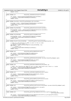```
91 return retVal;
9293 //====================================================================
                                       94 static inline int HvCallCfg_isBusDedicated(u64 busIndex)
95<br>96
            int retVal = HvCall1(HvCallCfgIsBusDedicated, busIndex);
97 // getPaca()−>adjustHmtForNoOfSpinLocksHeld();
98 return retVal;
99 }
100 //====================================================================
   101 static inline HvLpIndex HvCallCfg_getBusOwner(u64 busIndex)
102<br>103
103 HvLpIndex retVal = HvCall1(HvCallCfgGetBusOwner,busIndex);<br>104 // qetPaca()->adjustHmtForNoOfSpinLocksHeld();
104 // getPaca()->adjustHmtForNoOfSpinLocksHeld();<br>
return retVal;
            return retVal;
106107 //====================================================================
108 static inline HvLpIndexMap HvCallCfg_getBusAllocation(u64 busIndex)
109 {
110 HvLpIndexMap retVal = HvCall1(HvCallCfgGetBusAllocation,busIndex);<br>111 // getPaca()->adjustHmtForNoOfSpinLocksHeld();
112 return retVal;
113 }
114 //====================================================================
                                       HvCallCfg\_getActiveLpMap(void)116 \quad \{117 HvLpIndexMap retVal = HvCall0(HvCallCfgGetActiveLpMap);
118 // getPaca()−>adjustHmtForNoOfSpinLocksHeld();
119 return retVal;
   \{1, 2, \ldots\}121 //====================================================================
122 static inline HvLpVirtualLanIndexMap HvCallCfg_getVirtualLanIndexMap(HvLpIndex lp)
\begin{array}{c} 123 \\ 124 \end{array}124 // This is a new function in V5R1 so calls to this on older<br>125 // hypervisors will return -1
125 // hypervisors will return −1
126 u64 retVal = HvCall1(HvCallCfgGetVirtualLanIndexMap, lp);
127 if(retVal == −1)<br>128 retVal =
128<br>129 retVal = 0;<br>129 // getPaca()->adjus
129 // getPaca()->adjustHmtForNoOfSpinLocksHeld();<br>130 return retVal;
            130 return retVal;
131 }
132 //===================================================================
133 static inline u64 HvCallCfg_getSystemMsChunks(void)
\begin{matrix} 134 \\ 135 \end{matrix}u64 retVal = HvCall0(HvCallCfgGetSystemMsChunks);
136 // getPaca()->adjustHmtForNoOfSpinLocksHeld();<br>137 return retVal;
             137 return retVal;
138<br>139
139 //===================================================================
                                        140 static inline u64 HvCallCfg_getMsChunks(HvLpIndex lp,enum HvCallCfg_ReqQual qual)
141 \quad142 u64 retVal = HvCall2(HvCallCfgGetMsChunks, lp,qual);<br>143 // qetPaca()->adjustHmtForNoOfSpinLocksHeld();
            143 // getPaca()−>adjustHmtForNoOfSpinLocksHeld();
144 return retVal;
145 }
146 //===================================================================
                                       147 static inline u64 HvCallCfg_getMinRuntimeMsChunks(HvLpIndex lp)
148 \{<br>149
149 // NOTE: This function was added in v5r1 so older hypervisors will return a −1 value
150 u64 retVal = HvCall1(HvCallCfgGetMinRuntimeMsChunks,lp);
151 // getPaca()−>adjustHmtForNoOfSpinLocksHeld();
152 return retVal;
153<br>154154 //===================================================================
155 static inline u64 HvCallCfg_setMinRuntimeMsChunks(u64 chunks)
\begin{matrix} 156 \\ 157 \end{matrix}157 u64 retVal = HvCall1(HvCallCfgSetMinRuntimeMsChunks,chunks);<br>158 // qetPaca()->adjustHmtForNoOfSpinLocksHeld();
             158 // getPaca()−>adjustHmtForNoOfSpinLocksHeld();
159 return retVal;
\begin{matrix} 160 \end{matrix}161 //===================================================================
162 static inline u64 HvCallCfg_getSystemPhysicalProcessors(void)
\begin{matrix} 163 \\ 164 \end{matrix}u64 retVal = HvCall0(HvCallCfgGetSystemPhysicalProcessors);
165 // getPaca()−>adjustHmtForNoOfSpinLocksHeld();
166 return retVal;
167 }
168 //===================================================================
                                        169 static inline u64 HvCallCfg_getPhysicalProcessors(HvLpIndex lp,enum HvCallCfg_ReqQual qual)
170 {<br>171u64 retVal = HvCall2(HvCallCfgGetPhysicalProcessors, lp, qual);
172 // getPaca()->adjustHmtForNoOfSpinLocksHeld();<br>173 return retVal;
            173 return retVal;
174<br>175175<br>static inline u64 HyCallCfg getConfiguredBusUnitsForInt
176 static inline u64 HvCallCfg_getConfiguredBusUnitsForInterruptProc(HvLpIndex lp,
   177 u16 hvLogicalProcIndex)<br>{<br>}
178<br>179
            u64 retVal = HvCall2(HvCallCfgGetConfiguredBusUnitsForIntProc, lp,hvLogicalProcIndex);
180 // getPaca()−>adjustHmtForNoOfSpinLocksHeld();
Registered Version: Linux Support Power PC64 HvCallCfg.h Exhibit 8.1–45 pg 2/3
```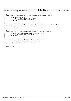## **return** retVal; } <sup>184</sup> //================================================================== <sup>185</sup> **static inline** HvLpSharedPoolIndex HvCallCfg\_getSharedPoolIndex(HvLpIndex lp) { 187 HvLpSharedPoolIndex retVal =<br>188 HvCall1(HvCallCfqGet) 188 HvCall1(HvCallCfgGetSharedPoolIndex, lp);<br>
189 // getPaca()->adjustHmtForNoOfSpinLocksHeld(); 189 // getPaca()−>adjustHmtForNoOfSpinLocksHeld();<br>190 **return** retVal; return retVal; } <sup>193</sup> //================================================================== **static inline** u64 HvCallCfg\_getSharedProcUnits(HvLpIndex lp,enum HvCallCfg\_ReqQual qual) { 195 l<br>196 u64 retVal = HvCall2(HvCallCfgGetSharedProcUnits,lp,qual);<br>197 // qetPaca()->adjustHmtForNoOfSpinLocksHeld(); 197 // getPaca()−>adjustHmtForNoOfSpinLocksHeld();<br>198 **return** retVal; return retVal; } <sup>201</sup> //================================================================== **static inline** u64 HvCallCfg\_getNumProcsInSharedPool(HvLpSharedPoolIndex sPI) { u16 retVal = HvCall1(HvCallCfgGetNumProcsInSharedPool,sPI); <sup>205</sup> // getPaca()−>adjustHmtForNoOfSpinLocksHeld(); **return** retVal;  $\left. \begin{array}{c} 208 \\ 209 \end{array} \right.$  //================================================================== static inline HvLpIndex HvCallCfg\_getHostingLpIndex(HvLpIndex lp) {<br>212 212 u64 retVal = HvCall1(HvCallCfgGetHostingLpIndex,lp);<br>213 // getPaca()->adjustHmtForNoOfSpinLocksHeld(); 213 // getPaca()->adjustHmtForNoOfSpinLocksHeld();<br>214 **return** retVal; **return** retVal; } **#endif** // \_HVCALLCFG\_H Registered Version: Linux Support Power PC64 **HvCallCfg.h** Exhibit 8.1–45 pg 3/3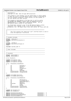# Registered Version: Linux Support Power PC64 **HvCallEvent.h** Exhibit 8.1–46 pg 1/4

 $1 /$  $\frac{1}{2}$  \* HvCallEvent.h \* Copyright (C) 2001 Mike Corrigan IBM Corporation \* \* This program is free software; you can redistribute it and/or modify <sup>6</sup> \* it under the terms of the GNU General Public License as published by \* the Free Software Foundation; either version 2 of the License, or \* (at your option) any later version. \* \* This program is distributed in the hope that it will be useful,<br>" \* but WITHOUT ANY WARRANTY; without even the implied warranty of<br>" \* MERCHANTABILITY or FITNESS FOR A PARTICULAR PURPOSE. See the<br>" GNU General Public L  $\frac{14}{15}$ \* You should have received a copy of the GNU General Public License \* along with this program; if not, write to the Free Software <sup>17</sup> \* Foundation, Inc., 59 Temple Place, Suite 330, Boston, MA 02111−1307 USA 18  $* /$  //==================================================================  $\frac{1}{11}$ 22 // This file contains the "hypervisor call" interface which is used to<br>23 // drive the hypervisor from the OS. 23 // drive the hypervisor from the  $\overline{OS}$ .  $\frac{24}{25}$  // //================================================================== //−−−−−−−−−−−−−−−−−−−−−−−−−−−−−−−−−−−−−−−−−−−−−−−−−−−−−−−−−−−−−−−−−−− // Standard Includes <sup>29</sup> //−−−−−−−−−−−−−−−−−−−−−−−−−−−−−−−−−−−−−−−−−−−−−−−−−−−−−−−−−−−−−−−−−−− <sup>30</sup> **#ifndef** \_HVCALLSC\_H **#include** <asm/iSeries/HvCallSc.h> **#endif** <sup>34</sup> **#ifndef** \_HVTYPES\_H **#include** <asm/iSeries/HvTypes.h> **#endif #include** <asm/abs\_addr.h> //−−−−−−−−−−−−−−−−−−−−−−−−−−−−−−−−−−−−−−−−−−−−−−−−−−−−−−−−−−−−−−−−−−− // Other Includes //−−−−−−−−−−−−−−−−−−−−−−−−−−−−−−−−−−−−−−−−−−−−−−−−−−−−−−−−−−−−−−−−−−− //−−−−−−−−−−−−−−−−−−−−−−−−−−−−−−−−−−−−−−−−−−−−−−−−−−−−−−−−−−−−−−−−−−− // Constants //−−−−−−−−−−−−−−−−−−−−−−−−−−−−−−−−−−−−−−−−−−−−−−−−−−−−−−−−−−−−−−−−−−− **#ifndef** \_HVCALLEVENT\_H **#define** \_HVCALLEVENT\_H struct HvLpEvent; 52 **typedef** u8 HvLpEvent\_Type;<br>53 **typedef** u8 HvLpEvent AckIn **typedef** u8 HvLpEvent\_AckInd; **typedef** u8 HvLpEvent\_AckType; struct HvCallEvent\_PackedParms  $\begin{matrix} 57 & \left\{ \\ 58 & \right. \end{matrix}$ 58 u8 xAckType:1;<br>59 u8 xAckInd:1; 59 u8 xAckInd:1;<br>60 u8 xRsvd:1; u8 xRsvd:1;<br>u8 xTargetLu 61 u8 xTargetLp:5;<br>62 u8 xType; 62 u8 xType;<br>63 u16 xSubty es<br>
64 UI6 xSubtype;<br>
64 HyLpInstanceId xSourceIn <sup>64</sup> HvLpInstanceId xSourceInstId; HvLpInstanceId xTargetInstId; } ; **typedef** u8 HvLpDma\_Direction; **typedef** u8 HvLpDma\_AddressType; struct HvCallEvent\_PackedDmaParms { 73 u8 xDirection:1;<br>74 u8 xLocalAddrTyp xLocalAddrType:1; 75 u8 xRemoteAddrType:1;<br>76 u8 xRsvd1:5; % valuations in the matrix of the matrix  $\frac{15}{77}$  which is the matrix  $\frac{15}{77}$  which is the matrix  $\frac{15}{77}$  which is the matrix  $\frac{15}{77}$  which is the matrix  $\frac{15}{77}$  which is the matrix of the matrix of the 77 HvLpIndex xRemoteLp;<br>
78 u8 xType; u8  $xType;$ <br>  $79$  u8  $xRswd2;$ <sup>79</sup> u8 xRsvd2; <sup>80</sup> HvLpInstanceId xLocalInstId; HvLpInstanceId xRemoteInstId; }; <sup>84</sup> **typedef** u64 HvLpEvent\_Rc; **typedef** u64 HvLpDma\_Rc; **#define** HvCallEventAckLpEvent HvCallEvent + 0 88 **#define** HvCallEventCancelLpEvent and the HvCallEvent + 1<br>189 **#define** HvCallEventCloseLpEventPath + 2 **#define** HvCallEventCloseLpEventPath  $\frac{1}{2}$  HvCallEvent + 2<br> **#define** HvCallEventDmaBufList HvCallEvent + 3 **#define** HvCallEventDmaBufList **Alleger 10 and 40 and 40 and 40 and 40 and 40 and 40 and 40 and 40 and 40 and 40 and 40 and 40 and 40 and 40 and 40 and 40 and 40 and 40 and 40 and 40 and 40 and 40 and 40 and 40 and 40** 

./PPC64/linux/include/asm−ppc64/iSeries/HvCallEvent.h Page 211/239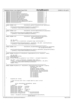```
91 #define HvCallEventDmaSingle HvCallEvent + 4
92 #define HvCallEventDmaToSp HvCallEvent + 5 
e a series and the HvCallEventGetOverflowLpEvents and the HvCallEvent + 6<br>
94 #define HvCallEventGetSourceLpInstanceId HvCallEvent + 7
    94 #define HvCallEventGetSourceLpInstanceId HvCallEvent + 7
95 #define HvCallEventGetTargetLpInstanceId HvCallEvent + 8<br>96 #define HvCallEventOpenLpEventPath + 9
    #define HvCallEventOpenLpEventPath<br>
#define HvCallEventOpenLpEventPath HvCallEvent + 9<br>
#define HvCallEventSetLpEventStack HvCallEvent + 10
er and the Home of the Hotel Human Hotel Hotel Human Hotel Hotel Hotel Hotel Hotel Hotel Hotel Hotel Hotel Hotel Hotel Hotel Hotel Hotel Hotel Hotel Hotel Hotel Hotel Hotel Hotel Hotel Hotel Hotel Hotel Hotel Hotel Hotel H
98 #define HvCallEventSignalLpEvent <br>99 #define HvCallEventSignalLpEventParms HvCallEvent + 12
99 #define HvCallEventSignalLpEventParms HyCallEvent + 12<br>100 #define HvCallEventSetInterLpOueueIndex HyCallEvent + 13
100 #define HvCallEventSetInterLpQueueIndex                         HvCallEvent + 13<br>101 #define HvCallEventSetLpEventOueueInterruptProc           HvCallEvent + 14
    101 #define HvCallEventSetLpEventQueueInterruptProc HvCallEvent + 14
102 #define HvCallEventRouter15
103
104 //======================================================================
                                        105 static inline void HvCallEvent_getOverflowLpEvents(u8 queueIndex)
\begin{matrix} 106 \\ 107 \end{matrix}HvCall1(HvCallEventGetOverflowLpEvents,queueIndex);
108 // getPaca()−>adjustHmtForNoOfSpinLocksHeld();
109 }
110 //======================================================================
                                        111 static inline void HvCallEvent_setInterLpQueueIndex(u8 queueIndex)
\begin{matrix} 112 \\ 113 \end{matrix}112<br>113 HvCall1(HvCallEventSetInterLpQueueIndex,queueIndex);<br>114 // getPaca()->adjustHmtForNoOfSpinLocksHeld();
   114 // getPaca()−>adjustHmtForNoOfSpinLocksHeld();
115 }
116 //======================================================================
117 static inline void HvCallEvent_setLpEventStack(u8 queueIndex,
118 char * eventStackAddr,
119 u32 eventStackSize)
   \left\{ \right.121 u64 abs_addr;<br>122 abs addr = vi
             abs_addr = virt_to_absolute( (unsigned long) eventStackAddr );
123
124 HvCall3(HvCallEventSetLpEventStack, queueIndex, abs_addr, eventStackSize);<br>// getPaca()->adjustHmtForNoOfSpinLocksHeld();
   125 // getPaca()−>adjustHmtForNoOfSpinLocksHeld();
\begin{array}{c} 126 \\ 127 \end{array} //========
127 //======================================================================
<sup>128</sup> static inline void HvCallEvent_setLpEventQueueInterruptProc(u8 queueIndex,<br>129 129 ul6 lpLogicalProcIndex)
   16 lpLogicalProcIndex)
130 {
131 HvCall2(HvCallEventSetLpEventQueueInterruptProc,queueIndex,lpLogicalProcIndex);
132 // getPaca()−>adjustHmtForNoOfSpinLocksHeld();
133 }<br>134 //========
                 134 //=====================================================================
135 static inline HvLpEvent_Rc HvCallEvent_signalLpEvent(struct HvLpEvent* event)
\begin{matrix}\n136 \\
137\n\end{matrix}1164 abs addr;
138 HvLpEvent_Rc retVal;<br>139 #ifdef DEBUG SENDEVENT
   #ifdef DEBUG SENDEVENT
140 printk("HvCallEvent_signalLpEvent: *event = %016lx\n ", (unsigned long)event);
141 #endif
142 abs_addr = virt_to_absolute( (unsigned long) event );<br>143 cetVal = (HyLpEvent Rc)HyCall1(HyCallEventSignalLpEve
             143 retVal = (HvLpEvent_Rc)HvCall1(HvCallEventSignalLpEvent, abs_addr);
144 // getPaca()−>adjustHmtForNoOfSpinLocksHeld();
145 return retVal;
146 }
    147 //=====================================================================
148 static inline HvLpEvent_Rc HvCallEvent_signalLpEventFast(HvLpIndex targetLp,
<sup>149</sup> HvLpEvent_Type type,<br>150 116 subtype,
150 u16 subtype,
151 HvLpEvent_AckInd ackInd,
152 HvLpEvent_AckType ackType,
153 HvLpInstanceId sourceInstanceId, 154<br>HvLpInstanceId fargetInstanceId, 154
                                                      154 HvLpInstanceId targetInstanceId,
155 u64 correlationToken,
156 u64 eventData1,
157 u64 eventData2, u64 eventData2, u64 eventData2, u64 eventData3.
158 u64 eventData3 u64 eventData3 u64 eventData4
159 u64 eventData4 u64 eventData4 u64 eventData4
    164 eventData5)
161<br>162
             HvLpEvent Rc retVal;
163
164 // Pack the misc bits into a single Dword to pass to PLIC
165 union
166 {
167 struct HvCallEvent_PackedParms parms;<br>168 struct 164 dword;
168 u64 dword;<br>169 hacked;
             } packed;
170 packed.parms.xAckType = ackType;<br>171 packed.parms.xAckInd = ackInd;
171 packed.parms.xAckInd = ac.<br>171 packed.parms.xAckInd = ac
172 packed.parms.xRsvd = 0;<br>173 packed.parms.xTargetLp = targetLp;
173 packed.parms.xTargetLp = targetLp;
174 packed.parms.xType = type;
             packed.parms.xSubtype = subtype;<br>packed.parms.xSourceInstId = sourceInstanceId;
176 packed.parms.xSourceInstId = sourceInstanceId;<br>177 packed.parms.xTargetInstId = targetInstanceId;
             packed.parms.xTargetInstId
178
179 retVal = (HvLpEvent_Rc)HvCall7(HvCallEventSignalLpEventParms,
180 packed.dword,
Registered Version: Linux Support Power PC64 HvCallEvent.h Exhibit 8.1–46 pg 2/4
```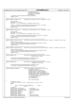181 correlationToken, the correlationToken, the correlationToken, the correlationToken, the correlationToken, the correlationToken, the correlationToken, the correlationToken, the correlationToken, the correlationToken, th 182 eventData1, eventData2, 183 eventData3,eventData4,eventData4,eventData4,eventData4,eventData4,eventData4,eventData4,eventData4,eventData4,eventData4,eventData4,eventData4,eventData4,eventData4,eventData4,eventData5,eventData5,eventData5,eventData  $eventData5$ ); 185 // getPaca()->adjustHmtForNoOfSpinLocksHeld();<br>186 **return** retVal; <sup>186</sup> **return** retVal; <sup>187</sup> } <sup>188</sup> //==================================================================== <sup>189</sup> **static inline** HvLpEvent\_Rc HvCallEvent\_ackLpEvent(struct HvLpEvent\* event) 190<br>191 u64 abs\_addr; <sup>192</sup> HvLpEvent\_Rc retVal; <sup>193</sup> abs\_addr = virt\_to\_absolute( (unsigned long) event ); 194 195 retVal = (HvLpEvent\_Rc)HvCall1(HvCallEventAckLpEvent, abs\_addr); 196 // getPaca()−>adjustHmtForNoOfSpinLocksHeld();<br>197 **return** retVal; <sup>1</sup>/P geen accepts<br> **return** retVal; 198<br>199 <sup>199</sup> //==================================================================== <sup>200</sup> **static inline** HvLpEvent\_Rc HvCallEvent\_cancelLpEvent(struct HvLpEvent\* event) <sup>201</sup> { <sup>202</sup> u64 abs\_addr; 203 HvLpEvent\_Rc retVal;<br>204 abs\_addr = virt\_to\_a  $abs\_addr = virt\_to\_absolute($  (unsigned long) event ); 205 206 retVal = (HvLpEvent Rc)HvCall1(HvCallEventCancelLpEvent, abs addr); <sup>207</sup> // getPaca()−>adjustHmtForNoOfSpinLocksHeld(); <sup>208</sup> **return** retVal;  $\frac{209}{210}$ <sup>210</sup> //=================================================================== <sup>211</sup> **static inline** HvLpInstanceId HvCallEvent\_getSourceLpInstanceId(HvLpIndex targetLp, HvLpEvent\_Type type) <sup>212</sup> { <sup>213</sup> HvLpInstanceId retVal; 214 retVal = HvCall2(HvCallEventGetSourceLpInstanceId,targetLp,type);<br>215 // aetPaca()->adjustHmtForNoOfSpinLocksHeld(); 215 // getPaca()−>adjustHmtForNoOfSpinLocksHeld();<br>216 **return** retVal; <sup>216</sup> **return** retVal; <sup>217</sup> } <sup>218</sup> //=================================================================== <sup>219</sup> **static inline** HvLpInstanceId HvCallEvent\_getTargetLpInstanceId(HvLpIndex targetLp, HvLpEvent\_Type type)  $220$ <sup>221</sup> HvLpInstanceId retVal;<br><sup>222</sup> retVal = HvCall2(HvCal <sup>222</sup> retVal = HvCall2(HvCallEventGetTargetLpInstanceId,targetLp,type); 223 // getPaca()->adjustHmtForNoOfSpinLocksHeld();<br>224 **return** retVal; <sup>224</sup> **return** retVal; <sup>225</sup> } <sup>226</sup> //=================================================================== 227 **static inline** void<br>
228 HvCallEvent\_openLpEventPath(HvLpIndex targetLp,<br>
HvLpEvent Type type)  $\frac{228}{229}$  HvLpEvent\_Type type)  $229$   $\{$ <br> $230$ 230 HvCall2(HvCallEventOpenLpEventPath,targetLp,type);<br>231 // getPaca()−>adjustHmtForNoOfSpinLocksHeld(); <sup>232</sup> }  $2/3$ <br>**static inline**  $void$  <br>**H**VCallEvent\_closeLpEventPath(HvLpInde 234 **static inline** void<br>
235<br>
HyLpEvent Type type)<br>
HyLpEvent Type type) HvLpEvent Type type) 236  $\begin{cases} 237 \end{cases}$ HvCall2(HvCallEventCloseLpEventPath,targetLp,type); <sup>238</sup> // getPaca()−>adjustHmtForNoOfSpinLocksHeld(); <sup>239</sup> } <sup>240</sup> //=================================================================== <sup>241</sup> **static inline** HvLpDma\_Rc HvCallEvent\_dmaBufList(HvLpEvent\_Type type, <sup>242</sup> and <sup>1</sup> <sup>-</sup> <sup>-</sup> HvLpIndex remotel<sub>p</sub>,<br><sup>243</sup> HvLpDma Direction of 243 and the contraction direction direction direction direction direction direction direction and  $\frac{1}{244}$ HvLpInstanceId localInstanceId, <sup>245</sup> HvLpInstanceId remoteInstanceId, 246 and 2001 and 2002 and 2003 and 2008 and 2008 and 2008 and 2008 and 2008 and 2008 and 2008 and 2008 and 200<br>247 and 2008 and 2008 and 2008 and 2008 and 2008 and 2008 and 2008 and 2008 and 2008 and 2008 and 2008 and 200<br> 247 HvLpDma\_AddressType remoteAddressType,<br>
248 // Do these need to be converted to  $\frac{1}{248}$  //  $\frac{1}{249}$  //  $\frac{1}{248}$  //  $\frac{1}{248}$  absolute addresses? <sup>249</sup> // absolute addresses? 27 absorute addre<br>u64 localBufList, <sup>251</sup> u64 remoteBufList, 252  $253$  u32 transfer<br>Length)  $254$   $\{$ <sup>254</sup> { <sup>255</sup> HvLpDma\_Rc retVal; 256 // Pack the misc bits into a single Dword to pass to PLIC<br>257 **union** <sup>257</sup> **union**  $258$   $\{$ struct HvCallEvent\_PackedDmaParms parms; 260  $u64$  dword;<br>261 } packed;  $}$  packed; 262 packed.parms.xDirection = direction;<br>263 packed.parms.xLocalAddrType = localAddressType; <sup>263</sup> packed.parms.xLocalAddrType = localAddressType; 264 packed.parms.xRemoteAddrType = remoteAddrType = remoteAddrType = remoteAddrType = remote packed.parms.xRsvd1 266 packed.parms.xRemoteLp = remoteLp;<br>267 packed.parms.xType = type; <sup>267</sup> packed.parms.xType = type; 268 packed.parms.xRsvd2 = 0;<br>269 packed.parms.xLocalInstId = localInstanceId; packed.parms.xLocalInstId 270 packed.parms.xRemoteInstId = remoteInstanceId; Registered Version: Linux Support Power PC64 **HvCallEvent.h** Exhibit 8.1–46 pg 3/4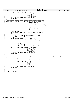```
27<sup>1</sup><sup>272</sup> retVal = (HvLpDma Rc)HvCall4(HvCallEventDmaBufList,
273 packed.dword, packed.dword, packed.dword, packed.dword,
274 localBufList,
275 remoteBufList<br>276 remoteBufList<br>transferLengt
                                                    transferLength);
277 // getPaca()−>adjustHmtForNoOfSpinLocksHeld();<br>278 return retVal;
              return retVal;
279<br>280
280 //=================================================================
                                            HvCallEvent\_dmaSingle(HvLpEvent_Type type)282<br>
282 HvLpIndex remoteLp,<br>
283 HvLpDma Direction of
external control of the Hubble HyLpDma_Direction direction,<br>284 HyLpDma_Direction direction, the HyLpDma_Direction direction,
284 HvLpInstanceId localInstanceId<br>285 HvLpInstanceId remoteInstanceId
                                                      HvLpInstanceId remoteInstanceId,
286 HvLpDma_AddressType localAddressType,
287 and the magnetic state of the method of the state of the state of the HVLpDma_AddressType remoteAddressType,<br>288 and the method of the state of the state of the state of the state of the state of the state of the state
<sup>288</sup> u64 localAddrOrTce,<br><sup>289</sup> u64 remoteAddrOrTce
<sup>289</sup> u64 remoteAddrOrTce,<br>290 u32 transferLength)
290 u32 transfer<br>Length)
    \{292 1928 HvLpDma_Rc retVal;<br>293 // Pack the misc b
293 // Pack the misc bits into a single Dword to pass to PLIC 294 union
              union<br>{
295 {
296 struct HvCallEvent_PackedDmaParms parms;<br>297 164 dword;
297 u64 dword;<br>
298 } packed;
              } packed;
299 packed.parms.xDirection = direction;<br>300 packed.parms.xLocalAddrTvpe = localAddressTvpe;
              packed.parms.xLocalAddrType = localAddressType;<br>packed.parms.xRemoteAddrType = remoteAddressType;
301 packed.parms.xRemoteAddrType = re<br>302 packed.parms.xRsvd1 = 0;
              packed.parms.xRsvd1 = 0;<br>packed.parms.xRemoteLp = remoteLp;
303 packed.parms.xRemoteLp = remoteLp;
304 packed.parms.xType = ty<br>305 packed.parms.xRsvd2 = 0;
<sup>2</sup> packed.parms.xRsvd2 = 0;<br>306 packed.parms.xLocalInstId = localInstanceId;
              packed.parms.xLocalInstId = localInstanceId;<br>packed.parms.xRemoteInstId = remoteInstanceId;
307 packed.parms.xRemoteInstId
308
309 retVal = (HvLpDma_Rc)HvCall4(HvCallEventDmaSingle,<br>310 packed.dword.
                                                   packed.dword,
311 311 localAddrOrTce, 312
312 and the control of the control of the control of the control of the control of the control of the control o<br>313 and the control of the control of the control of the control of the control of the control of the control 
313 transferLength);<br> 314 // getPaca()->adjustHmtForNoOfSpinLocksHeld()
314 // getPaca()->adjustHmtForNoOfSpinLocksHeld();<br>315 return retVal;
              315 return retVal;
316 }
    \frac{3}{2}<br>static inline HvLpDma_Rc HvCallEvent_dmaToSp(void* local, u
318 static inline HvLpDma_Rc HvCallEvent_dmaToSp(void* local, u32 remote, u32 length, HvLpDma_Direction dir)
319<br>320
320 u64 abs_addr;
321 HvLpDma_Rc retVal;
\frac{322}{322} abs addr = virt to absolute( (unsigned long) local );
323 
324 retVal = (HvLpDma_Rc)HvCall4(HvCallEventDmaToSp,
                                                   abs_addr,
326 remote , and the set of the set of the set of the set of the set of the set of the set of the set of the set of the set of the set of the set of the set of the set of the set of the set of the set of the set of the set
                                                   length,<br>dir);
\text{div}\,; \text{div}\,329 // getPaca()−>adjustHmtForNoOfSpinLocksHeld();<br>330 return retVal;
              330 return retVal;
331 }
332 //================================================================
333<br>334
    334 #endif // _HVCALLEVENT_H
335
Registered Version: Linux Support Power PC64 HvCallEvent.h Exhibit 8.1–46 pg 4/4
```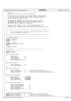Registered Version: Linux Support Power PC64 **HvCall.h** Exhibit 8.1–47 pg 1/3

 $1 /$  $\frac{1}{2}$  \* HvCall.h \* Copyright (C) 2001 Mike Corrigan IBM Corporation<br>4 \* <sup>4</sup> \* <sup>5</sup> \* This program is free software; you can redistribute it and/or modify <sup>6</sup> \* it under the terms of the GNU General Public License as published by <sup>7</sup> \* the Free Software Foundation; either version 2 of the License, or <sup>8</sup> \* (at your option) any later version. \* \* This program is distributed in the hope that it will be useful,<br>" \* but WITHOUT ANY WARRANTY; without even the implied warranty of<br>" \* MERCHANTABILITY or FITNESS FOR A PARTICULAR PURPOSE. See the<br>" GNU General Public L  $\frac{14}{15}$ \* You should have received a copy of the GNU General Public License <sup>16</sup> \* along with this program; if not, write to the Free Software <sup>17</sup> \* Foundation, Inc., 59 Temple Place, Suite 330, Boston, MA 02111−1307 USA 18  $* /$ 19 <sup>20</sup> //===========================================================================  $\frac{1}{11}$ 22 // This file contains the "hypervisor call" interface which is used to<br>23 // drive the hypervisor from the OS. 23 // drive the hypervisor from the  $\overline{OS}$ .  $\frac{24}{25}$  // <sup>25</sup> //=========================================================================== 26 <sup>27</sup> //−−−−−−−−−−−−−−−−−−−−−−−−−−−−−−−−−−−−−−−−−−−−−−−−−−−−−−−−−−−−−−−−−−− <sup>28</sup> // Standard Includes <sup>29</sup> //−−−−−−−−−−−−−−−−−−−−−−−−−−−−−−−−−−−−−−−−−−−−−−−−−−−−−−−−−−−−−−−−−−− <sup>30</sup> **#ifndef** \_HVCALLSC\_H <sup>31</sup> **#include** "HvCallSc.h" <sup>32</sup> **#endif** 33 <sup>34</sup> **#ifndef** \_HVTYPES\_H <sup>35</sup> **#include** <asm/iSeries/HvTypes.h> <sup>36</sup> **#endif** 37 <sup>38</sup> **#include** <asm/paca.h> 39 <sup>40</sup> //−−−−−−−−−−−−−−−−−−−−−−−−−−−−−−−−−−−−−−−−−−−−−−−−−−−−−−−−−−−−−−−−−−− <sup>41</sup> // Constants <sup>42</sup> //−−−−−−−−−−−−−−−−−−−−−−−−−−−−−−−−−−−−−−−−−−−−−−−−−−−−−−−−−−−−−−−−−−− <sup>43</sup> **#ifndef** \_HVCALL\_H <sup>44</sup> **#define** \_HVCALL\_H  $45$ 46 enum HvCall\_ReturnCode  $\begin{matrix} 47 & \left\{ 48 \right. \\ \end{matrix}$ 48  $48$  HvCall\_Good = 0,<br>49 HvCall Partial = 1, 49  $HvCall$   $HvCall$   $NotOwned$  = 1,<br>50  $HvCall$   $NotOwned$  = 2, <sup>50</sup> HvCall\_NotOwned = 2, <sup>51</sup> HvCall\_NotFreed = 3, 52 HvCall\_UnspecifiedError = 4<br>53 }; <sup>53</sup> }; 54 <sup>55</sup> enum HvCall\_TypeOfSIT  $\begin{matrix}56 & \{\\ 57 & \end{matrix}$  $HvCall\_ReduceOnly = 0,$ <br> $HvCall Unconditional = 1$ 58  $HvCall_UNr$ conditional  $\frac{1}{59}$  ; <sup>59</sup> }; 60 <sup>61</sup> enum HvCall\_TypeOfYield  $\begin{matrix} 62 & \{\\ 63 \end{matrix}$ <sup>63</sup> HvCall\_YieldTimed = 0, // Yield until specified time <sup>64</sup> HvCall\_YieldToActive = 1, // Yield until all active procs have run <sup>65</sup> HvCall\_YieldToProc = 2 // Yield until the specified processor has run 66 } ; 67 68 enum HvCall\_InterruptMasks  $69 \t{70}$  $HvCall\_MaskIPI$  =  $0x00000001$ ,<br> $HvCall~MaskLpEvent$  =  $0x00000002$ , <sup>71</sup> HvCall\_MaskLpEvent = 0x00000002, <sup>72</sup> HvCall\_MaskLpProd = 0x00000004, 73  $HvCall_MaskTimeout = 0x00000008$ <br>
74  $\}$ ;  $\}$ ; 75 <sup>76</sup> enum HvCall\_VaryOffChunkRc <sup>77</sup> { <sup>78</sup> HvCall\_VaryOffSucceeded = 0, <sup>79</sup> HvCall\_VaryOffWithdrawn = 1, <sup>80</sup> HvCall\_ChunkInLoadArea = 2, <sup>81</sup> HvCall\_ChunkInHPT = 3, 82  $HvCall$  ChunkNotAccessible = 4,<br>83  $HvCall$  ChunkInUse = 5 83  $HvCall_C$ hunkInUse <sup>84</sup> }; <sup>85</sup> \*/ 86 <sup>87</sup> /\* Type of yield for HvCallBaseYieldProcessor \*/<br>88 **#define** HvCall\_YieldTimed 0 // Yield <sup>88</sup> **#define** HvCall\_YieldTimed 0 // Yield until specified time (tb) <sup>89</sup> **#define** HvCall\_YieldToActive 1 // Yield until all active procs have run <sup>90</sup> **#define** HvCall\_YieldToProc 2 // Yield until the specified processor has run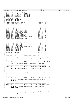|                                                                                                                                                                                                  | Registered Version: Linux Support Power PC64 |                                                                                                                                                                                                                                                                                                                                                                                                                                                                                                                                                                                                                                                                                                                                                                                                                                                                                                                                                                                                                                                                                                                           |                                                                | <b>HyCall.h</b>                                                                                                                                                                                                                                                                                                                                                                                                                                                                                                                                 | Exhibit 8.1-47 pg 2/3 |
|--------------------------------------------------------------------------------------------------------------------------------------------------------------------------------------------------|----------------------------------------------|---------------------------------------------------------------------------------------------------------------------------------------------------------------------------------------------------------------------------------------------------------------------------------------------------------------------------------------------------------------------------------------------------------------------------------------------------------------------------------------------------------------------------------------------------------------------------------------------------------------------------------------------------------------------------------------------------------------------------------------------------------------------------------------------------------------------------------------------------------------------------------------------------------------------------------------------------------------------------------------------------------------------------------------------------------------------------------------------------------------------------|----------------------------------------------------------------|-------------------------------------------------------------------------------------------------------------------------------------------------------------------------------------------------------------------------------------------------------------------------------------------------------------------------------------------------------------------------------------------------------------------------------------------------------------------------------------------------------------------------------------------------|-----------------------|
| 91<br>92<br>93<br>94<br>95<br>96<br>97                                                                                                                                                           |                                              | /* interrupt masks for setEnabledInterrupts */<br>#define HvCall_MaskIPI<br>#define HvCall_MaskLpEvent<br>#define HvCall_MaskLpProd<br>#define HvCall_MaskTimeout                                                                                                                                                                                                                                                                                                                                                                                                                                                                                                                                                                                                                                                                                                                                                                                                                                                                                                                                                         | 0x00000001<br>0x00000002<br>0x00000004<br>0x00000008           |                                                                                                                                                                                                                                                                                                                                                                                                                                                                                                                                                 |                       |
| 98<br>99<br>100<br>101                                                                                                                                                                           |                                              | /* Log buffer formats<br>#define HvCall_LogBuffer_ASCII<br>#define HvCall_LogBuffer_EBCDIC                                                                                                                                                                                                                                                                                                                                                                                                                                                                                                                                                                                                                                                                                                                                                                                                                                                                                                                                                                                                                                | $^*/$<br>0<br>1                                                |                                                                                                                                                                                                                                                                                                                                                                                                                                                                                                                                                 |                       |
| 102<br>103<br>104<br>105<br>106<br>107<br>108<br>109<br>110<br>111<br>112<br>113<br>114<br>115<br>116<br>117<br>118<br>119<br>120<br>121<br>122<br>123<br>124<br>125<br>126<br>127<br>128<br>129 |                                              | #define HvCallBaseAckDeferredInts<br>#define HvCallBaseCpmPowerOff<br>#define HvCallBaseGetHwPatch<br>#define HvCallBaseReIplSpAttn<br>#define HvCallBaseSetASR<br>#define HvCallBaseSetASRAndRfi<br>#define HvCallBaseSetIMR<br>#define HvCallBaseSendIPI<br>#define HvCallBaseTerminateMachine<br>#define HvCallBaseTerminateMachineSrc<br>#define HvCallBaseProcessPlicInterrupts<br>#define HvCallBaseIsPrimaryCpmOrMsdIpl<br>#define HyCallBaseSetVirtualSIT<br>#define HvCallBaseVaryOffThisProcessor<br>#define HvCallBaseVaryOffMemoryChunk<br>#define HvCallBaseVaryOffInteractivePercentage<br>#define HvCallBaseSendLpProd<br>#define HvCallBaseSetEnabledInterrupts<br>#define HvCallBaseYieldProcessor<br>#define HvCallBaseVaryOffSharedProcUnits<br>#define HvCallBaseSetVirtualDecr<br>#define HvCallBaseClearLogBuffer<br>#define HvCallBaseGetLogBufferCodePage<br>#define HvCallBaseGetLogBufferFormat<br>#define HvCallBaseGetLogBufferLength<br>#define HvCallBaseReadLogBuffer<br>#define HvCallBaseSetLogBufferFormatAndCodePage<br>#define HvCallBaseWriteLogBuffer<br>#define HvCallBaseRouter28 |                                                                | HvCallBase +<br>0<br>HvCallBase +<br>1<br>HvCallBase +<br>HvCallBase +<br>HvCallBase +<br>HvCallBase +<br>HvCallBase +<br>HvCallBase +<br>HvCallBase +<br>HvCallBase +<br>HvCallBase + 10<br>HvCallBase + 11<br>HvCallBase + 12<br>HvCallBase + 13<br>HvCallBase + 14<br>HvCallBase + 15<br>HvCallBase + 16<br>HvCallBase + 17<br>HvCallBase + 18<br>HvCallBase + 19<br>HvCallBase + 20<br>HvCallBase + 21<br>HvCallBase + 22<br>HvCallBase + 23<br>HvCallBase + 24<br>HvCallBase + 25<br>HvCallBase + 26<br>HvCallBase + 27<br>HvCallBase + 28 |                       |
| 130<br>131                                                                                                                                                                                       |                                              | #define HvCallBaseRouter29<br>#define HvCallBaseRouter30                                                                                                                                                                                                                                                                                                                                                                                                                                                                                                                                                                                                                                                                                                                                                                                                                                                                                                                                                                                                                                                                  |                                                                | HvCallBase + 29<br>HyCallBase + 30                                                                                                                                                                                                                                                                                                                                                                                                                                                                                                              |                       |
| 132<br>133<br>134                                                                                                                                                                                |                                              | #define HvCallCcSetDABR                                                                                                                                                                                                                                                                                                                                                                                                                                                                                                                                                                                                                                                                                                                                                                                                                                                                                                                                                                                                                                                                                                   |                                                                | $HvCallcc + 7$                                                                                                                                                                                                                                                                                                                                                                                                                                                                                                                                  |                       |
| 135<br>136                                                                                                                                                                                       |                                              |                                                                                                                                                                                                                                                                                                                                                                                                                                                                                                                                                                                                                                                                                                                                                                                                                                                                                                                                                                                                                                                                                                                           |                                                                |                                                                                                                                                                                                                                                                                                                                                                                                                                                                                                                                                 |                       |
| 137<br>138<br>139<br>140<br>141<br>142                                                                                                                                                           |                                              | static inline void<br>HvCall0(HvCallBaseSetVirtualDecr);                                                                                                                                                                                                                                                                                                                                                                                                                                                                                                                                                                                                                                                                                                                                                                                                                                                                                                                                                                                                                                                                  | HvCall_setVirtualDecr(void)                                    | /* Ignore any error return codes - most likely means that the target value for the<br>* LP has been increased and this vary off would bring us below the new target. */                                                                                                                                                                                                                                                                                                                                                                         |                       |
| 143<br>144<br>145<br>146                                                                                                                                                                         |                                              | static inline void                                                                                                                                                                                                                                                                                                                                                                                                                                                                                                                                                                                                                                                                                                                                                                                                                                                                                                                                                                                                                                                                                                        | HvCall2( HvCallBaseYieldProcessor, typeOfYield, yieldParm );   | HvCall_yieldProcessor(unsigned typeOfYield, u64 yieldParm)                                                                                                                                                                                                                                                                                                                                                                                                                                                                                      |                       |
| 147<br>148                                                                                                                                                                                       |                                              |                                                                                                                                                                                                                                                                                                                                                                                                                                                                                                                                                                                                                                                                                                                                                                                                                                                                                                                                                                                                                                                                                                                           |                                                                |                                                                                                                                                                                                                                                                                                                                                                                                                                                                                                                                                 |                       |
| 149<br>150                                                                                                                                                                                       |                                              | static inline void                                                                                                                                                                                                                                                                                                                                                                                                                                                                                                                                                                                                                                                                                                                                                                                                                                                                                                                                                                                                                                                                                                        |                                                                | HyCall setEnabledInterrupts(u64 enabledInterrupts)                                                                                                                                                                                                                                                                                                                                                                                                                                                                                              |                       |
| 151<br>152<br>153                                                                                                                                                                                |                                              |                                                                                                                                                                                                                                                                                                                                                                                                                                                                                                                                                                                                                                                                                                                                                                                                                                                                                                                                                                                                                                                                                                                           | HvCall1(HvCallBaseSetEnabledInterrupts, enabledInterrupts);    |                                                                                                                                                                                                                                                                                                                                                                                                                                                                                                                                                 |                       |
| 154<br>155                                                                                                                                                                                       |                                              | static inline void                                                                                                                                                                                                                                                                                                                                                                                                                                                                                                                                                                                                                                                                                                                                                                                                                                                                                                                                                                                                                                                                                                        | HvCall_clearLogBuffer(HvLpIndex lpindex)                       |                                                                                                                                                                                                                                                                                                                                                                                                                                                                                                                                                 |                       |
| 156<br>157<br>158<br>159                                                                                                                                                                         |                                              | HvCall1(HvCallBaseClearLogBuffer, lpindex);                                                                                                                                                                                                                                                                                                                                                                                                                                                                                                                                                                                                                                                                                                                                                                                                                                                                                                                                                                                                                                                                               |                                                                |                                                                                                                                                                                                                                                                                                                                                                                                                                                                                                                                                 |                       |
| 160<br>161                                                                                                                                                                                       |                                              | static inline u32                                                                                                                                                                                                                                                                                                                                                                                                                                                                                                                                                                                                                                                                                                                                                                                                                                                                                                                                                                                                                                                                                                         |                                                                | HvCall_getLogBufferCodePage(HvLpIndex lpindex)                                                                                                                                                                                                                                                                                                                                                                                                                                                                                                  |                       |
| 162<br>163<br>164<br>165<br>166                                                                                                                                                                  |                                              | return retVal;                                                                                                                                                                                                                                                                                                                                                                                                                                                                                                                                                                                                                                                                                                                                                                                                                                                                                                                                                                                                                                                                                                            | u32 retVal = HvCall1(HvCallBaseGetLogBufferCodePage, lpindex); |                                                                                                                                                                                                                                                                                                                                                                                                                                                                                                                                                 |                       |
| 167<br>168                                                                                                                                                                                       |                                              | static inline int                                                                                                                                                                                                                                                                                                                                                                                                                                                                                                                                                                                                                                                                                                                                                                                                                                                                                                                                                                                                                                                                                                         | HvCall_getLogBufferFormat(HvLpIndex lpindex)                   |                                                                                                                                                                                                                                                                                                                                                                                                                                                                                                                                                 |                       |
| 169<br>170<br>171<br>172<br>173                                                                                                                                                                  |                                              | return retVal;                                                                                                                                                                                                                                                                                                                                                                                                                                                                                                                                                                                                                                                                                                                                                                                                                                                                                                                                                                                                                                                                                                            | int retVal = HvCall1(HvCallBaseGetLogBufferFormat, lpindex);   |                                                                                                                                                                                                                                                                                                                                                                                                                                                                                                                                                 |                       |
| 174<br>175                                                                                                                                                                                       |                                              | static inline u32                                                                                                                                                                                                                                                                                                                                                                                                                                                                                                                                                                                                                                                                                                                                                                                                                                                                                                                                                                                                                                                                                                         | HvCall_getLogBufferLength(HvLpIndex lpindex)                   |                                                                                                                                                                                                                                                                                                                                                                                                                                                                                                                                                 |                       |
| 176<br>177<br>178<br>179<br>180                                                                                                                                                                  |                                              | return retVal;                                                                                                                                                                                                                                                                                                                                                                                                                                                                                                                                                                                                                                                                                                                                                                                                                                                                                                                                                                                                                                                                                                            | $u32$ retVal = HvCall1(HvCallBaseGetLogBufferLength, lpindex); |                                                                                                                                                                                                                                                                                                                                                                                                                                                                                                                                                 |                       |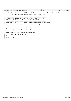```
181 //=====================================================================
182 static inline void HvCall_setLogBufferFormatAndCodepage(int format, u32 codePage)<br>183 {
\begin{matrix} 183 \\ 184 \end{matrix}HvCall2(HvCallBaseSetLogBufferFormatAndCodePage,format, codePage);
185 }
186
187 //=====================================================================
188 int HvCall_readLogBuffer(HvLpIndex lpindex, void *buffer, u64 bufLen);<br>189 void HvCall_writeLogBuffer(const void *buffer, u64 bufLen);
   void HvCall_writeLogBuffer(const void *buffer, u64 bufLen);
190
191 //=====================================================================
192 static inline void<br>
193 {<br>
193 {
193 {
           HvCall1( HvCallBaseSendIPI, targetPaca->xPacaIndex );
195}
196
197 //=====================================================================
   static inline void<br>{<br>}
199 {
           HvCall0( HvCallBaseTerminateMachineSrc );
\begin{bmatrix} 200 \\ 201 \end{bmatrix}202
203 static inline void HvCall_setDABR(unsigned long val)
204 {<br>205
           HvCall1(HvCallCcSetDABR, val);
206 }
207
208 #endif // _HVCALL_H
209
Registered Version: Linux Support Power PC64 HvCall.h Exhibit 8.1−47 pg 3/3
```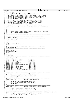### Registered Version: Linux Support Power PC64 **HvCallHpt.h** Exhibit 8.1–48 pg 1/2

 $\frac{1}{1}$  $\frac{1}{2}$  \* HvCallHpt.h \* Copyright (C) 2001 Mike Corrigan IBM Corporation \* \* This program is free software; you can redistribute it and/or modify <sup>6</sup> \* it under the terms of the GNU General Public License as published by \* the Free Software Foundation; either version 2 of the License, or \* (at your option) any later version. \* \* This program is distributed in the hope that it will be useful,<br>" \* but WITHOUT ANY WARRANTY; without even the implied warranty of<br>" \* MERCHANTABILITY or FITNESS FOR A PARTICULAR PURPOSE. See the<br>" GNU General Public L  $\frac{14}{15}$ \* You should have received a copy of the GNU General Public License \* along with this program; if not, write to the Free Software <sup>17</sup> \* Foundation, Inc., 59 Temple Place, Suite 330, Boston, MA 02111−1307 USA 18  $* /$  //============================================================================  $\frac{1}{1}$ 22 // This file contains the "hypervisor call" interface which is used to<br>23 // drive the hypervisor from the OS. drive the hypervisor from the OS.  $\frac{24}{25}$  //============================================================================ //−−−−−−−−−−−−−−−−−−−−−−−−−−−−−−−−−−−−−−−−−−−−−−−−−−−−−−−−−−−−−−−−−−− // Standard Includes <sup>29</sup> //−−−−−−−−−−−−−−−−−−−−−−−−−−−−−−−−−−−−−−−−−−−−−−−−−−−−−−−−−−−−−−−−−−− <sup>30</sup> **#ifndef** \_HVCALLSC\_H **#include** "HvCallSc.h" **#endif** <sup>34</sup> **#ifndef** \_HVTYPES\_H **#include** <asm/iSeries/HvTypes.h> **#endif** //−−−−−−−−−−−−−−−−−−−−−−−−−−−−−−−−−−−−−−−−−−−−−−−−−−−−−−−−−−−−−−−−−−− <sup>39</sup> // Other Includes <sup>40</sup> //−−−−−−−−−−−−−−−−−−−−−−−−−−−−−−−−−−−−−−−−−−−−−−−−−−−−−−−−−−−−−−−−−−− **#ifndef** \_PPC\_MMU\_H 43  $\sharp$ **include** <asm/mmu.h> **#endif** //−−−−−−−−−−−−−−−−−−−−−−−−−−−−−−−−−−−−−−−−−−−−−−−−−−−−−−−−−−−−−−−−−−−−−−−−−−−−− 47 // Constants //−−−−−−−−−−−−−−−−−−−−−−−−−−−−−−−−−−−−−−−−−−−−−−−−−−−−−−−−−−−−−−−−−−−−−−−−−−−−− **#ifndef** \_HVCALLHPT\_H **#define** \_HVCALLHPT\_H 52 **#define** HvCallHptGetHptAddress HvCallHpt + 0<br>53 **#define** HvCallHptGetHptPages HvCallHpt + 1 **#define** HvCallHptGetHptPages HvCallHpt + 1 **#define** HvCallHptSetPp HvCallHpt + 5 <sup>55</sup> **#define** HvCallHptSetSwBits HvCallHpt + 6 **#define** HvCallHptUpdate HvCallHpt + 7 **#define** HvCallHptInvalidateNoSyncICache HvCallHpt + 8 58 **#define** HvCallHptGet **1** HvCallHpt + 11<br>59 **#define** HvCallHptFindNextValid HvCallHpt + 12 **#define** HvCallHptFindNextValid HvCallHpt + 12 **#define** HvCallHptFindValid HvCallHpt + 13 <sup>61</sup> **#define** HvCallHptAddValidate HvCallHpt + 16 **#define** HvCallHptInvalidateSetSwBitsGet HvCallHpt + 18 //============================================================================ **static inline** u64 HvCallHpt\_getHptAddress(void)  $\begin{matrix} 67 & \left\{ \\ 68 & \right. \end{matrix}$ 68 u64 retval = HvCall0(HvCallHptGetHptAddress);<br>(/ getPaca()->adjustHmtForNoOfSpinLocksHeld() // getPaca()−>adjustHmtForNoOfSpinLocksHeld(); **return** retval;  $\frac{71}{72}$  //============================================================================ **static inline** u64 HvCallHpt\_getHptPages(void) { u64 retval = HvCall0(HvCallHptGetHptPages); <sup>76</sup> // getPaca()−>adjustHmtForNoOfSpinLocksHeld(); **return** retval; } //============================================================================= **static inline** void HvCallHpt\_setPp(u32 hpteIndex, u8 value) { 82 HvCall2( HvCallHptSetPp, hpteIndex, value );<br>83 // qetPaca()->adjustHmtForNoOfSpinLocksHeld( // getPaca()−>adjustHmtForNoOfSpinLocksHeld(); 84<br>85 //============================================================================= 86 **static inline** void<br>87 {<br>87 { { 88 HvCall3( HvCallHptSetSwBits, hpteIndex, bitson, bitsoff );<br>
(/ getPaca()->adjustHmtForNoOfSpinLocksHeld(); // getPaca()−>adjustHmtForNoOfSpinLocksHeld(); }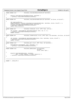<sup>91</sup> //============================================================================= <sup>92</sup> **static inline** void HvCallHpt\_invalidateNoSyncICache(u32 hpteIndex) 93  $\begin{matrix} 94 \\ 95 \end{matrix}$ 95 HvCall1( HvCallHptInvalidateNoSyncICache, hpteIndex );<br>96 // getPaca()->adjustHmtForNoOfSpinLocksHeld(); <sup>96</sup> // getPaca()−>adjustHmtForNoOfSpinLocksHeld();  $\left.\begin{array}{cc} 97 & \\ 98 & \end{array}\right\}$ <sup>98</sup> //============================================================================= <sup>99</sup> **static inline** u64 HvCallHpt\_invalidateSetSwBitsGet(u32 hpteIndex, u8 bitson, u8 bitsoff ) 100  $101 \quad \{$ 102 u64 compressedStatus;<br>103 compressedStatus = Hv 103 compressedStatus = HvCall4( HvCallHptInvalidateSetSwBitsGet, hpteIndex, bitson, bitsoff, 1 );<br>104 HvCall1( HvCallHptInvalidateNoSyncICache, hpteIndex ); <sup>104</sup> HvCall1( HvCallHptInvalidateNoSyncICache, hpteIndex ); <sup>105</sup> // getPaca()−>adjustHmtForNoOfSpinLocksHeld(); 106 **return** compressedStatus;<br>107 }  $\{$ <sup>108</sup> //============================================================================= <sup>109</sup> **static inline** u64 HvCallHpt\_findValid( struct \_HPTE \*hpte, u64 vpn )  $110$   $\{$  111 u64 retIndex = HvCall3Ret16( HvCallHptFindValid, hpte, vpn, 0, 0 ); 112 // getPaca()->adjustHmtForNoOfSpinLocksHeld();<br>113 **return** retIndex; 113 **return** retIndex;  $\begin{matrix} 114 \\ 115 \end{matrix}$ <sup>115</sup> //============================================================================= <sup>116</sup> **static inline** u64 HvCallHpt\_findNextValid( struct \_HPTE \*hpte, u32 hpteIndex, u8 bitson, u8 bitsoff ) 117  $\{$ <sup>118</sup> u64 retIndex = HvCall3Ret16( HvCallHptFindNextValid, hpte, hpteIndex, bitson, bitsoff ); <sup>119</sup> // getPaca()−>adjustHmtForNoOfSpinLocksHeld(); <sup>120</sup> **return** retIndex;  $\begin{array}{c} 121 \\ 122 \end{array}$  //====== <sup>122</sup> //============================================================================= 123 **static inline** void<br>  $124 \t{array}$  $124$   $\{$ <br> $125$ HvCall2Ret16( HvCallHptGet, hpte, hpteIndex, 0 ); 126 // getPaca()−>adjustHmtForNoOfSpinLocksHeld();<br>127 }  $\begin{array}{c} 127 \\ 128 \end{array}$ <sup>128</sup> //============================================================================ <sup>129</sup> **static inline** void HvCallHpt\_addValidate( u32 hpteIndex, 130 u32 hBit, the state of the state of the state of the state of the state of the state of the state of the state of the state of the state of the state of the state of the state of the state of the state of the state of struct \_HPTE \*hpte ) 132  $\begin{matrix} 133 \\ 134 \end{matrix}$ <sup>134</sup> HvCall4( HvCallHptAddValidate, hpteIndex, <sup>135</sup> hBit, (\*((u64 \*)hpte)), (\*(((u64 \*)hpte)+1)) ); 136 // getPaca()−>adjustHmtForNoOfSpinLocksHeld();<br>137 } <sup>137</sup> } 138 139 <sup>140</sup> //============================================================================= 141 <sup>142</sup> **#endif** // \_HVCALLHPT\_H 143 Registered Version: Linux Support Power PC64 **HvCallHpt.h** Exhibit 8.1–48 pg 2/2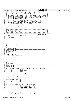| Registered Version: Linux Support Power PC64                                                                                                            | HvCallPci.h                                                                                                                                                | Exhibit 8.1-49 pg 1/8 |
|---------------------------------------------------------------------------------------------------------------------------------------------------------|------------------------------------------------------------------------------------------------------------------------------------------------------------|-----------------------|
| $\mathbf{1}$                                                                                                                                            |                                                                                                                                                            |                       |
| /* Provides the Hypervisor PCI calls for iSeries Linux Parition.<br>/* Copyright (C) 20yy <wayne g="" holm=""> <ibm corporation=""><br/>3</ibm></wayne> | $^*/$<br>$^{\star}$ /                                                                                                                                      |                       |
| $/$ *<br>$\overline{4}$                                                                                                                                 | $\star$ /                                                                                                                                                  |                       |
| 5                                                                                                                                                       | /* This program is free software; you can redistribute it and/or modify */<br>/* it under the terms of the GNU General Public License as published by $*/$ |                       |
| /* the Free Software Foundation; either version 2 of the License, or                                                                                    | $^*/$                                                                                                                                                      |                       |
| /* (at your option) any later version.<br>$/$ *                                                                                                         | $^*/$<br>$\star$ /                                                                                                                                         |                       |
| 9<br>/* This program is distributed in the hope that it will be useful,<br>10                                                                           | $^*/$                                                                                                                                                      |                       |
| /* but WITHOUT ANY WARRANTY; without even the implied warranty of<br>11<br>/* MERCHANTABILITY or FITNESS FOR A PARTICULAR PURPOSE. See the              | $^*/$<br>$^*/$                                                                                                                                             |                       |
| 12<br>/* GNU General Public License for more details.<br>13                                                                                             | $^{\star}$ /                                                                                                                                               |                       |
| $/$ *<br>14                                                                                                                                             | $^*/$                                                                                                                                                      |                       |
| /* You should have received a copy of the GNU General Public License<br>15<br>$\prime^*$ along with this program; if not, write to the:<br>16           | $^*/$<br>$^*/$                                                                                                                                             |                       |
| /* Free Software Foundation, Inc.,<br>17                                                                                                                | $\star$ /                                                                                                                                                  |                       |
| /* 59 Temple Place, Suite 330,<br>18<br>/* Boston, MA 02111-1307 USA<br>19                                                                              | $^*/$<br>$\star$ /                                                                                                                                         |                       |
| $7**$<br>20                                                                                                                                             |                                                                                                                                                            |                       |
| 21 /* Change Activity:<br>Created, Jan 9, 2001<br>$22 / *$                                                                                              | $^*/$<br>$*$ /                                                                                                                                             |                       |
| 23                                                                                                                                                      |                                                                                                                                                            |                       |
| 24<br>$\frac{1}{2}$<br>25                                                                                                                               | Header File Id                                                                                                                                             |                       |
| // Name________________: HvCallPci.H<br>26                                                                                                              |                                                                                                                                                            |                       |
| $\frac{1}{2}$<br>27<br>// Description_______:<br>28                                                                                                     |                                                                                                                                                            |                       |
| $\frac{1}{2}$<br>29                                                                                                                                     |                                                                                                                                                            |                       |
| $\frac{1}{2}$<br>30<br>drive the hypervisor from SLIC.<br>$\frac{1}{2}$<br>31                                                                           | This file contains the "hypervisor call" interface which is used to                                                                                        |                       |
| $\frac{1}{2}$<br>32                                                                                                                                     |                                                                                                                                                            |                       |
| 33<br>34                                                                                                                                                |                                                                                                                                                            |                       |
| 35                                                                                                                                                      |                                                                                                                                                            |                       |
| // Forward declarations<br>36<br>37                                                                                                                     |                                                                                                                                                            |                       |
| 38                                                                                                                                                      |                                                                                                                                                            |                       |
| 39<br>// Standard Includes<br>40                                                                                                                        |                                                                                                                                                            |                       |
| 41                                                                                                                                                      |                                                                                                                                                            |                       |
| #ifndef _HVCALLSC_H<br>42<br>#include "HvCallSc.h"<br>43                                                                                                |                                                                                                                                                            |                       |
| #endif<br>44                                                                                                                                            |                                                                                                                                                            |                       |
| 45<br>#ifndef _HVTYPES_H<br>46                                                                                                                          |                                                                                                                                                            |                       |
| #include <asm hvtypes.h="" iseries=""><br/>47</asm>                                                                                                     |                                                                                                                                                            |                       |
| #endif<br>48<br>49                                                                                                                                      |                                                                                                                                                            |                       |
| 50                                                                                                                                                      |                                                                                                                                                            |                       |
| // Other Includes<br>51<br>52                                                                                                                           |                                                                                                                                                            |                       |
| 53                                                                                                                                                      |                                                                                                                                                            |                       |
| 54<br>55                                                                                                                                                |                                                                                                                                                            |                       |
| // Constants<br>56<br>//-----------                                                                                                                     |                                                                                                                                                            |                       |
| 57<br>#ifndef HVCALLPCI H<br>58                                                                                                                         |                                                                                                                                                            |                       |
| #define _HVCALLPCI_H<br>59                                                                                                                              |                                                                                                                                                            |                       |
| 60<br>61                                                                                                                                                | struct HvCallPci_DsaAddr $\frac{1}{4}$ // make sure this struct size is 64-bits total                                                                      |                       |
| busNumber;<br>u16<br>62<br>u8<br>subBusNumber;<br>63                                                                                                    |                                                                                                                                                            |                       |
| u8<br>deviceId;<br>64                                                                                                                                   |                                                                                                                                                            |                       |
| barNumber;<br>u8<br>65<br>u8<br>reserved[3];                                                                                                            |                                                                                                                                                            |                       |
| 66<br>$\vert \cdot \rangle$<br>67                                                                                                                       |                                                                                                                                                            |                       |
| union HvDsaMap {<br>68                                                                                                                                  |                                                                                                                                                            |                       |
| u64<br>DsaAddr;<br>69<br>struct HvCallPci_DsaAddr Dsa;<br>70                                                                                            |                                                                                                                                                            |                       |
| $\}$ ;<br>71                                                                                                                                            |                                                                                                                                                            |                       |
| 72<br>struct HvCallPci_LoadReturn {<br>73                                                                                                               |                                                                                                                                                            |                       |
| u64<br>rc;<br>74<br>u64<br>value;                                                                                                                       |                                                                                                                                                            |                       |
| 75<br>$\vert \cdot \rangle$<br>76                                                                                                                       |                                                                                                                                                            |                       |
| 77<br>$enum$ HvCallPci_DeviceType ${HvCallPci_NodeDevice = 1}$ ,                                                                                        |                                                                                                                                                            |                       |
| 78<br>HvCallPci_SpDevice<br>79                                                                                                                          | $= 2,$                                                                                                                                                     |                       |
| HvCallPci_IopDevice<br>80                                                                                                                               | $= 3,$                                                                                                                                                     |                       |
| 81<br>82                                                                                                                                                | $HvCallPci_BridgeDevice = 4,$<br>$HvCallPci_MultifunctionDevice = 5,$                                                                                      |                       |
| HvCallPci_IoaDevice<br>83                                                                                                                               | $= 6$                                                                                                                                                      |                       |
| $\vert \cdot \rangle$<br>84<br>85                                                                                                                       |                                                                                                                                                            |                       |
|                                                                                                                                                         |                                                                                                                                                            |                       |
| 86                                                                                                                                                      |                                                                                                                                                            |                       |
| struct HvCallPci_DeviceInfo {<br>87<br>u32                                                                                                              |                                                                                                                                                            |                       |
| deviceType;<br>88<br>$\vert \cdot \rangle$<br>89<br>90                                                                                                  | // See DeviceType enum for values                                                                                                                          |                       |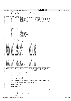91 struct HvCallPci\_BusUnitInfo {<br>92 u32 sizeReturned; <sup>92</sup> u32 sizeReturned; // length of data returned <sup>93</sup> u32 deviceType; // see DeviceType enum for values <sup>94</sup> }; 95 <sup>96</sup> struct HvCallPci\_BridgeInfo { <sup>97</sup> struct HvCallPci\_BusUnitInfo busUnitInfo; // Generic bus unit info <sup>98</sup> u8 subBusNumber; // Bus number of secondary bus 99 u8 u8 maxAgents; // Max idsels on secondary bus<br>100 u8 maxSubBusNumber; // Max Sub Bus 100 u8 maxSubBusNumber;<br>101 u8 109icalSlotNumber; // Logical Slot Number for IOA  $102$  } ; <sup>103</sup> 104 <sup>105</sup> // Maximum BusUnitInfo buffer size. Provided for clients so they can allocate <sup>106</sup> // a buffer big enough for any type of bus unit. Increase as needed. <sup>107</sup> enum {HvCallPci\_MaxBusUnitInfoSize = 128}; 108 109 *struct* HvCallPci\_BarParms {<br>110 1064 vad  $u64$  vaddr;<br>  $u64$  vaddr;<br>  $u64$  raddr; u64 raddr;<br>u64 size; 112 u64 size;<br>113 u64 prote 113 u64 protectStart;<br>114 u64 protectEnd; 114 u64 protectEnd;<br>115 u64 relocation0  $relocationOffset;$ 116 u64 pciAddress;<br>117 u64 perserved[3] 117 u64 reserved[3]; <sup>118</sup> }; 119 <sup>120</sup> enum HvCallPci\_VpdType { <sup>121</sup> HvCallPci\_BusVpd = 1, 122 HvCallPci\_BusAdapterVpd = 2<br>123 } <sup>123</sup> }; 124 <sup>125</sup> **#define** HvCallPciConfigLoad8 HvCallPci + 0 <sup>126</sup> **#define** HvCallPciConfigLoad16 HvCallPci + 1 127 **#define** HvCallPciConfigLoad32 HvCallPci + 2<br>128 **#define** HvCallPciConfigStore8 HvCallPci + 3 128 **#define** HvCallPciConfigStore8 HvCallPci + 3<br>129 **#define** HvCallPciConfigStore16 HvCallPci + 4 129 **#define** HvCallPciConfigStore16 HvCallPci + 4<br>130 **#define** HvCallPciConfigStore32 HvCallPci + 5 <sup>130</sup> **#define** HvCallPciConfigStore32 HvCallPci + 5 131 **#define** HvCallPciEoi<br>132 **#define** HvCallPciGetBarParms HvCallPci + 18 <sup>132</sup> **#define** HvCallPciGetBarParms HvCallPci + 18 <sup>133</sup> **#define** HvCallPciMaskFisr HvCallPci + 20 % #define HvCallPciUnmaskFisr **HvCallPci + 21**<br>4 Holder HuCallPciSetSlotReset HvCallPci + 25 135 **#define** HvCallPciSetSlotReset HvCallPci + 25<br>136 **#define** HvCallPciGetDeviceInfo HvCallPci + 27 136 **#define** HvCallPciGetDeviceInfo 1137 **#define** HvCallPcidetDeviceInfo HvCallPci + 27<br>137 **#define** HvCallPciGetCardVpd HvCallPci + 28 <sup>137</sup> **#define** HvCallPciGetCardVpd HvCallPci + 28 138 **#define** HvCallPciBarLoad8 HvCallPci + 40<br>139 **#define** HvCallPciBarLoad16 HvCallPci + 41 <sup>139</sup> **#define** HvCallPciBarLoad16 HvCallPci + 41 <sup>140</sup> **#define** HvCallPciBarLoad32 HvCallPci + 42 141 **#define** HvCallPciBarLoad64 HvCallPci + 43<br>142 **#define** HvCallPciBarLoad64 HvCallPci + 44 142 **#define** HvCallPciBarStore8 142 HvCallPci + 44<br>143 **#define** HvCallPciBarStore16 11 HvCallPci + 45 <sup>143</sup> **#define** HvCallPciBarStore16 HvCallPci + 45 144 **#define** HvCallPciBarStore32 HvCallPci + 46<br>145 **#define** HvCallPciBarStore64 HvCallPci + 47 <sup>145</sup> **#define** HvCallPciBarStore64 HvCallPci + 47 146 **#define** HvCallPciMaskInterrupts HvCallPci + 48<br>147 **#define** HvCallPciUnmaskInterrupts HvCallPci + 49 <sup>147</sup> **#define** HvCallPciUnmaskInterrupts HvCallPci + 49 148 **#define** HvCallPciGetBusUnitInfo 149 <sup>150</sup> //============================================================================ <sup>151</sup> **static inline** u64 HvCallPci\_configLoad8(u16 busNumber, u8 subBusNumber, 152  $\overline{\hspace{1cm}}$  152  $\overline{\hspace{1cm}}$  153  $\overline{\hspace{1cm}}$  153  $\overline{\hspace{1cm}}$  153  $\overline{\hspace{1cm}}$  153  $\overline{\hspace{1cm}}$  153  $\overline{\hspace{1cm}}$  153  $\overline{\hspace{1cm}}$  153  $\overline{\hspace{1cm}}$  153  $\overline{\hspace{1cm}}$  153  $\overline{\hspace{1cm}}$  153  $\overline{\hspace{1cm}}$  153  $\overline{\hspace{1cm}}$   $153$  u8  $*$ value)  $\{$ <sup>155</sup> struct HvCallPci\_DsaAddr dsa; <sup>156</sup> struct HvCallPci\_LoadReturn retVal; 157 158  $*(u64*)\&dsa) = 0;$ 159 <sup>160</sup> dsa.busNumber = busNumber; 161 dsa.subBusNumber = subBusNumber;<br>162 dsa.deviceId = deviceId;  $dsa. deviceId = deviceId;$ 163 <sup>164</sup> HvCall3Ret16(HvCallPciConfigLoad8, &retVal, \*(u64 \*)&dsa, offset, 0); 165 <sup>166</sup> // getPaca()−>adjustHmtForNoOfSpinLocksHeld(); 167 <sup>168</sup> \*value = retVal.value; 169 170 **return** retVal.rc; <sup>171</sup> } <sup>172</sup> //============================================================================ <sup>173</sup> **static inline** u64 HvCallPci\_configLoad16(u16 busNumber, u8 subBusNumber, <sup>174</sup> u8 deviceId, u32 offset, <sup>175</sup> u16 \*value)  $\begin{matrix} 176 \\ 177 \end{matrix}$ 177 struct HvCallPci\_DsaAddr dsa;<br>178 struct HvCallPci\_LoadReturn r struct HvCallPci\_LoadReturn retVal; 179 180  $*(1164*)\delta dsa) = 0;$ Registered Version: Linux Support Power PC64 **HvCallPci.h** Exhibit 8.1−49 pg 2/8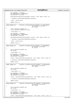```
181
182 dsa.busNumber = busNumber;
183 dsa.subBusNumber = subBusNumber;<br>dsa.subBusNumber = subBusNumber;<br>dsa.deviceId = deviceId;
             dsa.deviceId = deviceId;185
186 HvCall3Ret16(HvCallPciConfigLoad16, &retVal, *(u64 *)&dsa, offset, 0);
187
188 // getPaca()−>adjustHmtForNoOfSpinLocksHeld();
189
190 *value = retVal.value;
191
192 return retVal.rc;
\begin{matrix} 193 \\ 194 \end{matrix}194 //============================================================================
195 static inline u64 HvCallPci_configLoad32(u16 busNumber, u8 subBusNumber,
196 u8 deviceId, u32 offset,
197<br>198 \{198 {
199 Struct HvCallPci_DsaAddr dsa;<br>200 struct HvCallPci LoadReturn r
            struct HvCallPci_LoadReturn retVal;
201
202 * ((u64*) & dsa) = 0;
203
204 dsa.busNumber = busNumber;<br>205 dsa_subBusNumber = subBusN
            dsa.subBusNumber = subBusNumber;
206 dsa.deviceId = deviceId;
207
208 HvCall3Ret16(HvCallPciConfigLoad32, &retVal, *(u64 *)&dsa, offset, 0);
209
210 // getPaca()−>adjustHmtForNoOfSpinLocksHeld();
211<br>212
            *value = retVal.value;
213<br>214214 return retVal.rc;
215 }
216 //============================================================================
217 static inline u64 HvCallPci_configStore8(u16 busNumber, u8 subBusNumber, 218 u8 deviceId, u32 offset,
218 and the compact of the compact of the compact of the compact of the compact of the compact of the compact of the compact of the compact of the compact of the compact of the compact of the compact of the compact of the 
219<br>220 \{\{221 struct HvCallPci_DsaAddr dsa;<br>222 u64 retVal;
            u64 retVal;
223
224 *(u64*)\&dsa) = 0;225
ers<br>
226 dsa.busNumber = busNumber;<br>
227 dsa.subBusNumber = subBusN
227 dsa.subBusNumber = subBusNumber;<br>228 dsa.deviceId = deviceId;
            dsa.deviceId = deviceId;229230 retVal = HvCall4(HvCallPciConfigStore8, *(u64 *)&dsa, offset, value, 0);
231
232 // getPaca()−>adjustHmtForNoOfSpinLocksHeld();
233
234 return retVal;
235 }
236 //============================================================================
   237 static inline u64 HvCallPci_configStore16(u16 busNumber, u8 subBusNumber,
\overline{\hspace{1cm}} u8 deviceId, u32 offset,<br>\overline{\hspace{1cm}} u8 deviceId, u32 offset,<br>\overline{\hspace{1cm}} u16 value)
239 u16 value)
   \{<sup>241</sup> struct HvCallPci DsaAddr dsa;
242 u64 retVal;
243<br>244*(( u64^* )\delta dsa) = 0;
245
<sup>216</sup> dsa.busNumber = busNumber;<br>247 dsa.subBusNumber = subBusN
247 dsa.subBusNumber = subBusNumber;<br>248 dsa.deviceId = deviceId;
            dsa.deviceId = deviceId;249
250 retVal = HvCall4(HvCallPciConfigStore16, *(u64 *)&dsa, offset, value, 0);
251
252 // getPaca()−>adjustHmtForNoOfSpinLocksHeld();
253
254 return retVal;
255 }
256 //============================================================================
257 static inline u64 HvCallPci_configStore32(u16 busNumber, u8 subBusNumber,
258 u8 deviceId, u32 offset,
^{259} u32 value)
260 \quad \left\{ \right. \\ 261struct HvCallPci_DsaAddr dsa;
262 u64 retVal;
263
264 * ((u64*) & dsa) = 0;
265
266 dsa.busNumber = busNumber;<br>267 dsa.subBusNumber = subBusN
267 dsa.subBusNumber = subBusNumber;<br>268 dsa.deviceId = deviceId;
             dsa.deviceId = deviceId;
269
270 retVal = HvCall4(HvCallPciConfigStore32, *(u64 *)&dsa, offset, value, 0);
Registered Version: Linux Support Power PC64 HvCallPci.h Exhibit 8.1–49 pg 3/8
```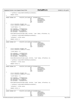```
27<sup>1</sup>272 // getPaca()−>adjustHmtForNoOfSpinLocksHeld();
273
274 return retVal;
275<br>276
   276 //============================================================================
277 static inline u64 HvCallPci_barLoad8(u16 busNumberParm,
<sup>278</sup> u8 subBusParm,<br><sup>279</sup> u8 deviceIdPar
<sup>279</sup> u8 deviceIdParm,<br>280 u8 barNumberParm, u8 barNumberParm,
280 barNumberParm, الله المعاشرة التي تقدم المعاشرة التي تقدم المعاشرة التي تقدم المعاشرة التي تقدم المعاشرة<br>كان المعاشرة التي تقدم المعاشرة التي تقدم المعاشرة التي تقدم المعاشرة التي تقدم التي تقدم التي تقدم التي تقدم 
                                            u64 offsetParm,<br>u8* valueParm)
282 \log^* valueParm)
283 \quad \left\{ \right. \\ 284284 struct HvCallPci_DsaAddr dsa;<br>285 struct HvCallPci LoadPeturn r
          struct HvCallPci_LoadReturn retVal;
286
^{287} * ((u64*) & dsa) = 0;
288<br>289
289 dsa.busNumber = busNumberParm;
290 dsa.subBusNumber = subBusParm;
291 dsa.deviceId = deviceIdParm;
292 dsa.barNumber = barNumberParm;
293
294 HvCall3Ret16(HvCallPciBarLoad8, &retVal, *(u64 *)&dsa, offsetParm, 0);
295
296 // getPaca()−>adjustHmtForNoOfSpinLocksHeld();
297
298 *valueParm = retVal.value;
299
300 return retVal.rc;
301 }
   302 //============================================================================
303 static inline u64 HvCallPci_barLoad16(u16 busNumberParm,
<sup>2</sup><br>2004 u8 subBusParm, u8 subBusParm, u8 subBusParm, u8 subBusParm, u8 subBusParm, u8 subBusParm, u8 subBusParm, u
<sup>305</sup> u8 deviceIdParm,<br><sup>306</sup> u8 harNumberParm,
                                             u8 barNumberParm,<br>u64 offsetParm.
307 u64 offsetParm,
   \frac{16*}{16*} valueParm)
309<br>310
310 struct HvCallPci_DsaAddr dsa;
311 struct HvCallPci_LoadReturn retVal;
312
313 *((u64*)&dsa) = 0;
314
315 dsa.busNumber = busNumberParm;
316 dsa.subBusNumber = subBusParm;
317 dsa.deviceId = deviceIdParm;<br>318 dsa.barNumber = barNumberPar
           dsa.barNumber = barNumberParm;
319
320 HvCall3Ret16(HvCallPciBarLoad16, &retVal, *(u64 *)&dsa, offsetParm, 0);
321
322 // getPaca()−>adjustHmtForNoOfSpinLocksHeld();
323
324 *valueParm = retVal.value;
325
326 return retVal.rc;
327 }
328 //============================================================================
329 static inline u64 HvCallPci_barLoad32(u16 busNumberParm,
                                             u8 subBusParm,<br>u8 deviceIdPar
331 u8 deviceIdParm,
<sup>332</sup> u8 barNumberParm,<br><sup>333</sup> u64 offsetParm,
1064 offsetParm, 133<br>132* valueParm)
                                                         valueParm)
335 {
336 struct HvCallPci_DsaAddr dsa;
          337 struct HvCallPci_LoadReturn retVal;
338
339 *( (u64*) \& dsa) = 0;340
341 dsa.busNumber = busNumberParm;
342 dsa.subBusNumber = subBusParm;
343 dsa.deviceId = deviceIdParm;
          dsa.barNumber = barNumberParm;
345
346 HvCall3Ret16(HvCallPciBarLoad32, &retVal, *(u64 *)&dsa, offsetParm, 0);
347
348 // getPaca()−>adjustHmtForNoOfSpinLocksHeld();
349
350 *valueParm = retVal.value;
351
352 return retVal.rc;
353 }
354 //============================================================================
                         355 static inline u64 HvCallPci_barLoad64(u16 busNumberParm,
356 u8 subBusParm,
357 u8 deviceIdParm,
358 u8 barNumberParm,
                                            u64 offsetParm,<br>u64* valueParm)
360 valueParm) which is the contract of 164* valueParm)
Registered Version: Linux Support Power PC64 HvCallPci.h Exhibit 8.1−49 pg 4/8
```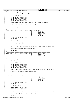```
361 {<br>362
362 struct HvCallPci_DsaAddr dsa;
            363 struct HvCallPci_LoadReturn retVal;
364
365 *((u64*)&dsa) = 0;
366
367 dsa.busNumber = busNumberParm;
368 dsa.subBusNumber = subBusParm;
369 dsa.deviceId = deviceIdParm;
            dsa.barNumber = barNumberParm;
371
372 HvCall3Ret16(HvCallPciBarLoad64, &retVal, *(u64 *)&dsa, offsetParm, 0);
373
            374 // getPaca()−>adjustHmtForNoOfSpinLocksHeld();
375
376 *valueParm = retVal.value;
377
378 return retVal.rc;
379 }
380 //============================================================================
   381 static inline u64 HvCallPci_barStore8(u16 busNumberParm,
382 u8 subBusParm,
383 u8 deviceIdParm,
<sup>384</sup> u8 barNumberParm,<br>385 u64 offsetParm,
                                                                 offsetParm,
386 valueParm)<br>387 \{\begin{matrix} 387 & \left\{ \\ 388 & \right. \end{matrix}struct HvCallPci_DsaAddr dsa;
389 u64 retVal;
390391 * ((u64*) & dsa) = 0;
392
<sub>302</sup><br>393 dsa.busNumber = busNumberParm;<br>394 dsa.subBusNumber = subBusParm;</sub>
394 dsa.subBusNumber = subBusParm;
395 dsa.deviceId = deviceIdParm;
            396 dsa.barNumber = barNumberParm;
397
398 retVal = HvCall4(HvCallPciBarStore8, *(u64 *)&dsa, offsetParm, valueParm, 0);
399
400 // getPaca()−>adjustHmtForNoOfSpinLocksHeld();
401
402 return retVal;
403 }
404 //============================================================================
405 static inline u64 HvCallPci_barStore16(u16 busNumberParm,
406 static inline u64 HvCallPci_barStore16(u16 busNumberParm, u8 subBusParm, u8 device1dParm, u8 device1dParm,
add a straight and the control of the control of the control of the control of the control of the control of the control of the control of the control of the control of the control of the control of the control of the cont
408 barNumberParm, 164 barNumberParm, 164 of fset Parm.
<sup>409</sup> u64 offsetParm,<br>
u16 valueParm) u16 valueParm)
                                                                 valueParm)
411 \{412 Struct HvCallPci_DsaAddr dsa;<br>413 u64 retVal;
            u64 retVal;
414
*( (u64*) \& dsa) = 0;416
417 dsa.busNumber = busNumberParm;
418 dsa.subBusNumber = subBusParm;
419 dsa.deviceId = deviceIdParm;<br>420 dsa.barNumber = barNumberPar
            420 dsa.barNumber = barNumberParm;
421
422 retVal = HvCall4(HvCallPciBarStore16, *(u64 *)&dsa, offsetParm, valueParm, 0);
423<br>424424 // getPaca()−>adjustHmtForNoOfSpinLocksHeld();
425
426 return retVal;
427<br>428
428 //============================================================================
429 static inline u64 HvCallPci_barStore32(u16 bushesness)
                                                     u8 subBusParm,<br>u8 deviceIdPar
431 u8 deviceIdParm, u8 deviceIdParm, u8 deviceIdParm, u8 deviceIdParm, u8 deviceIdParm, u8 deviceIdParm, u8 deviceIdParm, u8 deviceIdParm, u8 deviceIdParm, u8 deviceIdParm, u8 deviceIdParm, u8 deviceIdParm, u8 deviceIdPar
432 u8 barNumberParm, u8 barNumberParm, u8 barNumberParm, u8 barNumberParm, u64 barNumberParm, u64 barNumberParm, u
433 u64 offsetParm,
                                                                 valueParm)
435 {
436 struct HvCallPci_DsaAddr dsa;<br>437 u64 retVal;
            u64 retVal;
438
*( (u64*) \& dsa) = 0;440<br>441
441 dsa.busNumber = busNumberParm;
442 dsa.subBusNumber = subBusParm;<br>
443 dsa.deviceId = deviceIdParm;
443 dsa.deviceId = deviceIdParm;<br>dsa.barNumber = barNumberParm
            dsa.barNumber = barNumberParm;
445
446 retVal = HvCall4(HvCallPciBarStore32, *(u64 *)&dsa, offsetParm, valueParm, 0);
447
448 // getPaca()−>adjustHmtForNoOfSpinLocksHeld();
449
450 return retVal;
Registered Version: Linux Support Power PC64 HvCallPci.h Exhibit 8.1−49 pg 5/8
```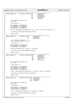$451$ <br> $452$ <sup>452</sup> //============================================================================ 453 **static inline** u64 HvCallPci\_barStore64(u16 bus<br>Number 454 u8 subBusParm,<br>
118 u8 subBusParm,<br>
118 device IdPar 455 u8 deviceIdParm, 1986 u8 deviceIdParm, 1986 u8 deviceIdParm, 1986 u8 deviceIdParm, 1986 u8 deviceIdParm, 1986 u9 u8 barNumberParm,<br>u64 offsetParm, 457 u64 offsetParm, u64 offsetParm, u64 offsetParm, u64 offsetParm, u64 offsetParm, u64 offsetParm, u64 offsetParm, u64 offsetParm, u64 offsetParm, u64 offsetParm, u64 offsetParm, u64 offsetParm, u64 offsetParm, u64 offset  $^{458}$  u64 valueParm)  $459$  {<br> $460$ 460 struct HvCallPci\_DsaAddr dsa;<br>461 v64 retVal; u64 retVal; 462<br>463 \*( $( u64* )$ &dsa) = 0; 464 <sup>465</sup> dsa.busNumber = busNumberParm; 466 dsa.subBusNumber = subBusParm;<br>467 dsa.deviceId = deviceIdParm; 467 dsa.deviceId = deviceIdParm;<br>468 dsa.deviceId = deviceIdParm;<br>dsa.barNumber = barNumberPar dsa.barNumber = barNumberParm; 469 <sup>470</sup> retVal = HvCall4(HvCallPciBarStore64, \*(u64 \*)&dsa, offsetParm, valueParm, 0); 471 <sup>472</sup> // getPaca()−>adjustHmtForNoOfSpinLocksHeld(); 473 474 **return** retVal;  $\rightarrow$ <sup>476</sup> //============================================================================ 477 **static inline** u64 HvCallPci\_eoi(u16 bushesn) Registered Version: Linux Support Power PC64 **HvCallPci.h** Exhibit 8.1–49 pg 6/8

### <sup>478</sup> u8 subBusParm,<br><sup>479</sup> u8 subBusParm,<br>u8 deviceIdPar 479 u8 deviceIdParm)  $\left\{ \right.$ +30<br>481 struct HvCallPci\_DsaAddr dsa;<br>482 struct HvCallPci LoadReturn r struct HvCallPci\_LoadReturn retVal; \*( $( u64^* )\&$ dsa) = 0; <sup>486</sup> dsa.busNumber = busNumberParm;

483<br>484

485

489

491

493

<sup>495</sup> }

 $\begin{matrix} 503 \\ 504 \end{matrix}$ 

506

508

 $513$ <br> $514$ 

515

517

519<br>520

<sup>525</sup> {

528

530

534

536

487 dsa.subBusNumber = subBusParm;<br>488 dsa.deviceId = deviceIdParm; dsa.deviceId = deviceIdParm; <sup>490</sup> HvCall1Ret16(HvCallPciEoi, &retVal, \*(u64\*)&dsa);

```
492 // getPaca()−>adjustHmtForNoOfSpinLocksHeld();
494 return retVal.rc;
```
### <sup>496</sup> //============================================================================ <sup>497</sup> **static inline** u64 HvCallPci\_getBarParms(u16 bus<br>Age  $\frac{1}{2}$  u8 subBusParm,  $\frac{1}{2}$  u8 subBusParm,  $\frac{1}{2}$  u8 subBusParm,  $\frac{1}{2}$  device  $\frac{1}{2}$ 499 u8 deviceIdParm,  $\frac{1}{18}$  deviceIdParm,  $\frac{1}{18}$  deviceIdParm, u8 barNumberParm,<br>u64 parms.  $501$  u64 parms,  $\frac{1}{2}$ <br>502<br>503 {<br>503 { 504 struct HvCallPci\_DsaAddr dsa;<br>505 1164 retVal;

```
509 dsa.busNumber = busNumberParm;
510 dsa.subBusNumber = subBusParm;
511 dsa.deviceId = deviceIdParm;
512 dsa.barNumber = barNumberParm;
```
 $1164$  retVal;

507  $*( (u64*) \& ds) = 0;$ 

 retVal = HvCall3(HvCallPciGetBarParms, \*(u64\*)&dsa, parms, sizeofParms); // getPaca()−>adjustHmtForNoOfSpinLocksHeld(); **return** retVal; //============================================================================ **static inline** u64 HvCallPci\_maskFisr(u16 busNumberParm, 522 u8 subBusParm. 522 u8 subBusParm,<br>523 u8 deviceIdParm,

```
523 u8 deviceIdParm,
524 u64 fisrMask)
526 struct HvCallPci_DsaAddr dsa;<br>527 u64 retVal;
```
<sup>532</sup> dsa.subBusNumber = subBusParm; dsa.deviceId = deviceIdParm; <sup>535</sup> retVal = HvCall2(HvCallPciMaskFisr, \*(u64\*)&dsa, fisrMask);

```
537 // getPaca()−>adjustHmtForNoOfSpinLocksHeld();
```
538 <sup>539</sup> **return** retVal; <sup>540</sup> }

u64 retVal;

<sup>531</sup> dsa.busNumber = busNumberParm;

 $\frac{325}{529}$  \*((u64\*)&dsa) = 0;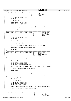```
541 //============================================================================
542 static inline u64 HvCallPci_unmaskFisr(u16 bus<br>
543 u8
543 u8 subBusParm,<br>544 u8 deviceIdParm,<br>644 u8 deviceIdParm
                                                  u8 deviceIdParm,<br>u64 fisrMask)
545<br>546 \{<br>546 \{\{547 struct HvCallPci_DsaAddr dsa;
           u64 retVal;
549
550 *(\mu 64*)\delta dsa) = 0;551
552 dsa.busNumber = busNumberParm;
553 dsa.subBusNumber = subBusParm;
           dsa.deviceId = deviceIdParm;
555
556 retVal = HvCall2(HvCallPciUnmaskFisr, *(u64*)&dsa, fisrMask);
557
558 // getPaca()−>adjustHmtForNoOfSpinLocksHeld();
559
560 return retVal;
561 }
562 //============================================================================
563 static inline u64 HvCallPci_setSlotReset(u16 ber
<sup>564</sup> u8 subBusParm,<br>118 subBusParm, security in the sub-Busparm, security in the sub-Busparm, security in the sub-Busparm, security in the sub-Busparm, security in the sub-Busparm, security in the sub-Busparm, security in
                                                                     deviceIdParm,
566 on NotOff)
567 {
           struct HvCallPci_DsaAddr dsa;
569 u64 retVal;
570
571 * ((u64*) & dsa) = 0;
572
573 dsa.busNumber = busNumberParm;<br>574 dsa.subBusNumber = subBusParm;
574 dsa.subBusNumber = subBusParm;<br>575 dsa deviceId = deviceIdParm;
           575 dsa.deviceId = deviceIdParm;
576
577 retVal = HvCall2(HvCallPciSetSlotReset, *(u64*)&dsa, onNotOff);
578
579 // getPaca()−>adjustHmtForNoOfSpinLocksHeld();
580
581 return retVal;<br>582 }
582 }
583 //============================================================================
584 static inline u64 HvCallPci_getDeviceInfo(u16 based bushes
                                                     u8 subBusParm,<br>u8 deviceNumbe
586 u8 deviceNumberParm, 18 - 4 = 0.64 deviceNumberParm, 10<sup>4</sup> parms,
587 u64 parms,
588<br>132 sizeofParms)
589 {
           struct HyCallPci DsaAddr dsa;
591 u64 retVal;
592
           *(( u64* ) \& ds) = 0;
594
595 dsa.busNumber = busNumberParm;
596 dsa.subBusNumber = subBusParm;
           597 dsa.deviceId = deviceNumberParm << 4;
598
599 retVal = HvCall3(HvCallPciGetDeviceInfo, *(u64*)&dsa, parms, sizeofParms);
600
601 // getPaca()−>adjustHmtForNoOfSpinLocksHeld();
602
603 return retVal;
604605 //============================================================================
606 static inline u64 HvCallPci_maskInterrupts(u16 busNumberParm,
607 u8 subBusParm, u8 subBusParm, u8 subBusParm, u8 subBusParm, u8 subBusParm, u8 subBusParm, u8 subBusParm, u
608 u8 deviceIdParm,
\frac{609}{610} \frac{1}{10} \frac{1}{10} \frac{1}{10} \frac{1}{10} \frac{1}{10} \frac{1}{10} \frac{1}{10} \frac{1}{10} \frac{1}{10} \frac{1}{10} \frac{1}{10} \frac{1}{10} \frac{1}{10} \frac{1}{10} \frac{1}{10} \frac{1}{10} \frac{1}{10} \frac{1}{10} \frac{1}{10}\left\{ \right.611 Struct HvCallPci_DsaAddr dsa;<br>612 064 retVal;
           u64 retVal;
613
614 * ((u64*)&dsa) = 0;
615
616 dsa.busNumber = busNumberParm;
617 dsa.subBusNumber = subBusParm;<br>618 dsa.subBusNumber = subBusParm;<br>618 dsa.deviceId = deviceIdParm;
           618 dsa.deviceId = deviceIdParm;
619
620 retVal = HvCall2(HvCallPciMaskInterrupts, *(u64*)&dsa, interruptMask);
621
622 // getPaca()−>adjustHmtForNoOfSpinLocksHeld();
623
624 return retVal;
625 }
626 //============================================================================
627 static inline u64 HvCallPci_unmaskInterrupts(u16 busNumberParm,
628 u8 subBusParm, 
                                                                     deviceIdParm,
630 u64 interruptMask)
Registered Version: Linux Support Power PC64 HvCallPci.h Exhibit 8.1–49 pg 7/8
```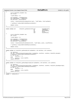```
631 {<br>632*** example in the struct HvCallPci_DsaAddr dsa;<br>example in the strain use of the retVal;
            serase mysa
634
635 *((u64*)&dsa) = 0;
636
637 dsa.busNumber = busNumberParm;
638 dsa.subBusNumber = subBusParm;
            639 dsa.deviceId = deviceIdParm;
640
641 retVal = HvCall2(HvCallPciUnmaskInterrupts, *(u64*)&dsa, interruptMask);
642<br>643
            643 // getPaca()−>adjustHmtForNoOfSpinLocksHeld();
644
645 return retVal;
646<br>647
   647 //============================================================================
648
649 static inline u64 HvCallPci_getBusUnitInfo(u16 busNumberParm,<br>650 u8 subBusParm,
eso and the contract of the contract of the contract of the contract of the contract of the contract of the contract of the contract of the contract of the contract of the contract of the contract of the contract of the co
                                                                        deviceIdParm,<br>parms,
\mu652 u64 parms,
653 u32 sizeofParms)
654 {<br>655
            struct HvCallPci_DsaAddr dsa;
656 u64 retVal;
657
*(u64*)\&dsa) = 0;659
660 dsa.busNumber = busNumberParm;
661 dsa.subBusNumber = subBusParm;<br>662 dsa.deviceId = deviceIdParm;
            dsa.deviceId = deviceIdParm;
663<br>664
            664 retVal = HvCall3(HvCallPciGetBusUnitInfo, *(u64*)&dsa, parms, sizeofParms);
665
666 // getPaca()−>adjustHmtForNoOfSpinLocksHeld();
667
668 return retVal;
669<br>670
   670 //============================================================================
671
672 static inline int HvCallPci_getBusVpd(u16 busNumParm, u64 destParm, u16 sizeParm)
673 {
rac{1}{674} int xRetSize;<br>rac{1}{675} u64 xRc = HvC
            u64 xRc = HvCall4(HvCallPciGetCardVpd, busNumParm, destParm, sizeParm, HvCallPci_BusVpd);
676 // getPaca()−>adjustHmtForNoOfSpinLocksHeld();
677 if (xRc == −1)
678 xRetsize = -1;<br>679 e1se679 else
                     xRetSize = xRc & 0xFFFF;681 return xRetSize;
682<br>683
   683 //============================================================================
684
685 static inline int HvCallPci_getBusAdapterVpd(u16 busNumParm, u64 destParm, u16 sizeParm)
686 {
            int xRetSize;
688 u64 xRc = HvCall4(HvCallPciGetCardVpd, busNumParm, destParm, sizeParm, HvCallPci_BusAdapterVpd);<br>// getPaca()->adjustHmtForNoOfSpinLocksHeld();
689 // getPaca()−>adjustHmtForNoOfSpinLocksHeld();
690 if (xRc == −1)
R = -1;692 else
R = \text{R} xRetSize = xRc & 0xFFFF;
            694 return xRetSize;
695 }
696 //============================================================================
697 #endif // _HVCALLPCI_H
Registered Version: Linux Support Power PC64 HvCallPci.h Exhibit 8.1–49 pg 8/8
```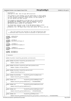## Registered Version: Linux Support Power PC64 **HvLpConfig.h** Exhibit 8.1–50 pg 1/4

 $/$ \*  $\frac{1}{2}$  \* HvLpConfig.h \* Copyright (C) 2001 Mike Corrigan IBM Corporation \* \* This program is free software; you can redistribute it and/or modify <sup>6</sup> \* it under the terms of the GNU General Public License as published by \* the Free Software Foundation; either version 2 of the License, or \* (at your option) any later version. \* \* This program is distributed in the hope that it will be useful,<br>" \* but WITHOUT ANY WARRANTY; without even the implied warranty of<br>" \* MERCHANTABILITY or FITNESS FOR A PARTICULAR PURPOSE. See the<br>" GNU General Public L  $\frac{14}{15}$ \* You should have received a copy of the GNU General Public License \* along with this program; if not, write to the Free Software <sup>17</sup> \* Foundation, Inc., 59 Temple Place, Suite 330, Boston, MA 02111−1307 USA //===========================================================================  $\frac{1}{1}$  // This file contains the interface to the LPAR configuration data<br>23 // to determine which resources should be allocated to each partition. // to determine which resources should be allocated to each partition. <br> $25$  //=========================================================================== <sup>27</sup> **#ifndef** \_HVCALLCFG\_H **#include** "HvCallCfg.h" **#endif** <sup>31</sup> **#ifndef** \_HVTYPES\_H **#include** <asm/iSeries/HvTypes.h> **#endif** <sup>35</sup> **#ifndef** \_ITLPNACA\_H **#include** <asm/iSeries/ItLpNaca.h> **#endif** <sup>39</sup> **#ifndef** \_LPARDATA\_H **#include** <asm/iSeries/LparData.h> **#endif** <sup>43</sup> **#ifndef** \_HVLPCONFIG\_H **#define** \_HVLPCONFIG\_H //−−−−−−−−−−−−−−−−−−−−−−−−−−−−−−−−−−−−−−−−−−−−−−−−−−−−−−−−−−−−−−−−−−− // Constants //−−−−−−−−−−−−−−−−−−−−−−−−−−−−−−−−−−−−−−−−−−−−−−−−−−−−−−−−−−−−−−−−−−− **extern** HvLpIndex HvLpConfig\_getLpIndex\_outline(void); //=================================================================== **static inline** HvLpIndex HvLpConfig\_getLpIndex(void)  $\begin{matrix}54 & \{\\ 55 & \end{matrix}$  **return** itLpNaca.xLpIndex; } //=================================================================== **static inline** HvLpIndex HvLpConfig\_getPrimaryLpIndex(void) { **return** itLpNaca.xPrimaryLpIndex; 61 }<br>62 //========= //================================================================= 63 **static inline** HvLpIndex HvLpConfig\_getLps(void)  $\{$  **return** HvCallCfg\_getLps(); } //=================================================================  $HvLpConfig_qetActiveLpMap(void)$ 69<br>70 **return** HvCallCfg\_getActiveLpMap(); } //=================================================================  $HvLpConfig\_getSystemMsMegs(void)$ 74  $\{$ <br>75 **return** HvCallCfg\_getSystemMsChunks() / HVCHUNKSPERMEG; } //================================================================= **static inline** u64 HvLpConfig\_getSystemMsChunks(void) { **return** HvCallCfg\_getSystemMsChunks(); } //================================================================= 83 **static inline** u64 HvLpConfig\_getSystemMsPages(void)  $\begin{bmatrix} 84 \\ 94 \end{bmatrix}$   $\{$ <br> $85$  **return** HvCallCfg\_getSystemMsChunks() \* HVPAGESPERCHUNK; } <sup>87</sup> //================================================================ <sup>88</sup> **static inline** u64 HvLpConfig\_getMsMegs(void) { **return** HvCallCfg\_getMsChunks(HvLpConfig\_getLpIndex(),HvCallCfg\_Cur) / HVCHUNKSPERMEG;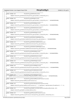} //================================================================ **static inline** u64 HvLpConfig\_getMsChunks(void) { **return** HvCallCfg\_getMsChunks(HvLpConfig\_getLpIndex(),HvCallCfg\_Cur); } //================================================================ **static inline** u64 HvLpConfig\_getMsPages(void) 99<br>100 **return** HvCallCfg\_getMsChunks(HvLpConfig\_getLpIndex(),HvCallCfg\_Cur) \* HVPAGESPERCHUNK; }<br> $102$  //========= //================================================================ **static inline** u64 HvLpConfig\_getMinMsMegs(void)<br>104 {  $\{$ **return** HvCallCfg\_getMsChunks(HvLpConfig\_getLpIndex(),HvCallCfg\_Min) / HVCHUNKSPERMEG; } //================================================================ **static inline** u64 HvLpConfig\_getMinMsChunks(void) { **return** HvCallCfg\_getMsChunks(HvLpConfig\_getLpIndex(),HvCallCfg\_Min); } //================================================================ **static inline** u64 HvLpConfig\_getMinMsPages(void)<br>114 {  $\{$ <br>115 **return** HvCallCfg\_getMsChunks(HvLpConfig\_getLpIndex(),HvCallCfg\_Min) \* HVPAGESPERCHUNK; } //================================================================ **static inline** u64 HvLpConfig\_getMinRuntimeMsMegs(void) <br> $120$  **return** HvCallCfg\_getMinRuntimeMsChunks(HvLpConfig\_getLpIndex()) / HVCHUNKSPERMEG; } //=============================================================== **static inline** u64 HvLpConfig\_getMinRuntimeMsChunks(void) **return** HvCallCfg\_getMinRuntimeMsChunks(HvLpConfig\_getLpIndex()); } //=============================================================== **static inline** u64 HvLpConfig\_getMinRuntimeMsPages(void)  $129 \begin{matrix} 1 \end{matrix}$  **return** HvCallCfg\_getMinRuntimeMsChunks(HvLpConfig\_getLpIndex()) \* HVPAGESPERCHUNK; } //=============================================================== **static inline** u64 HvLpConfig\_getMaxMsMegs(void) { **return** HvCallCfg\_getMsChunks(HvLpConfig\_getLpIndex(),HvCallCfg\_Max) / HVCHUNKSPERMEG;  $\begin{array}{c} 136 \\ 137 \end{array}$  //======== //=============================================================== **static inline** u64 HvLpConfig\_getMaxMsChunks(void) { **return** HvCallCfg\_getMsChunks(HvLpConfig\_getLpIndex(),HvCallCfg\_Max); //=============================================================== **static inline** u64 HvLpConfig\_getMaxMsPages(void)  $\{$ <br> $145$  **return** HvCallCfg\_getMsChunks(HvLpConfig\_getLpIndex(),HvCallCfg\_Max) \* HVPAGESPERCHUNK; } //=============================================================== **static inline** u64 HvLpConfig\_getInitMsMegs(void) { **return** HvCallCfg\_getMsChunks(HvLpConfig\_getLpIndex(),HvCallCfg\_Init) / HVCHUNKSPERMEG; 151 }<br>152 *//========*  //=============================================================== **static inline** u64 HvLpConfig\_getInitMsChunks(void)  $\{$ **return** HvCallCfg\_getMsChunks(HvLpConfig\_getLpIndex(),HvCallCfg\_Init); 156 }<br>157 //======== //=============================================================== **static inline** u64 HvLpConfig\_getInitMsPages(void) { **return** HvCallCfg\_getMsChunks(HvLpConfig\_getLpIndex(),HvCallCfg\_Init) \* HVPAGESPERCHUNK; } //=============================================================== **static inline** u64 HvLpConfig\_getSystemPhysicalProcessors(void)  $\begin{matrix} 163 \\ 164 \end{matrix}$  **return** HvCallCfg\_getSystemPhysicalProcessors(); } //=============================================================== **static inline** u64 HvLpConfig\_getSystemLogicalProcessors(void) <br> $169$  **return** HvCallCfg\_getSystemPhysicalProcessors() \* (/\*getPaca()−>getSecondaryThreadCount() +\*/ 1);  $\begin{bmatrix} 170 \\ 171 \end{bmatrix}$  $1/1 = 1 = 1 = 1.1$ <br>static inline u64 HyLoConfig getNumProcsInSharedPoo **static inline** u64 HvLpConfig\_getNumProcsInSharedPool(HvLpSharedPoolIndex sPI) { **return** HvCallCfg\_getNumProcsInSharedPool(sPI); } //=============================================================== **static inline** u64 HvLpConfig\_getPhysicalProcessors(void)  $\begin{matrix} 178 \\ 179 \end{matrix}$  **return** HvCallCfg\_getPhysicalProcessors(HvLpConfig\_getLpIndex(),HvCallCfg\_Cur); } Registered Version: Linux Support Power PC64 **HvLpConfig.h** Exhibit 8.1−50 pg 2/4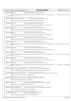|                          | Registered Version: Linux Support Power PC64                                                                                           | <b>HvLpConfig.h</b>                                 | Exhibit 8.1-50 pg 3/4 |
|--------------------------|----------------------------------------------------------------------------------------------------------------------------------------|-----------------------------------------------------|-----------------------|
| 181<br>182               | static inline u64                                                                                                                      | HvLpConfig getLogicalProcessors(void)               |                       |
| 183<br>184<br>185        | return HvCallCfg_getPhysicalProcessors(HvLpConfig_getLpIndex(),HvCallCfg_Cur) * (/*getPaca()->getSecondar<br>$yThreadCount()$ +*/ 1);  |                                                     |                       |
| 186<br>187<br>188<br>189 | static inline HvLpSharedPoolIndex                                                                                                      | HvLpConfig_getSharedPoolIndex(void)                 |                       |
|                          | return HvCallCfg_getSharedPoolIndex(HvLpConfig_getLpIndex());                                                                          |                                                     |                       |
| 190<br>191<br>192        | static inline u64                                                                                                                      | HyLpConfig getSharedProcUnits(void)                 |                       |
| 193<br>194               | return HvCallCfg_getSharedProcUnits(HvLpConfig_getLpIndex(),HvCallCfg_Cur);                                                            |                                                     |                       |
| 195<br>196               |                                                                                                                                        |                                                     |                       |
| 197<br>198               | static inline u64                                                                                                                      | HvLpConfig_getMinSharedProcUnits(void)              |                       |
| 199<br>200<br>201        | return HvCallCfg_getSharedProcUnits(HvLpConfig_getLpIndex(),HvCallCfg_Min);                                                            |                                                     |                       |
| 202<br>203               | static inline u64                                                                                                                      | HvLpConfig_getMaxSharedProcUnits(void)              |                       |
| 204<br>205               | return HvCallCfg_getSharedProcUnits(HvLpConfig_getLpIndex(),HvCallCfg_Max);                                                            |                                                     |                       |
| 206<br>207               | static inline u64                                                                                                                      | HvLpConfig_getMinPhysicalProcessors(void)           |                       |
| 208<br>209<br>210        | return HvCallCfg_getPhysicalProcessors(HvLpConfig_getLpIndex(),HvCallCfg_Min);                                                         |                                                     |                       |
| 211<br>212               | static inline u64                                                                                                                      | HvLpConfig_getMinLogicalProcessors(void)            |                       |
| 213<br>214<br>215        | return HvCallCfg_getPhysicalProcessors(HvLpConfig_getLpIndex(),HvCallCfg_Min) * (/*getPaca()->getSecondar<br>$yThreadCount()$ +*/ 1);  |                                                     |                       |
| 216<br>217               | static inline u64                                                                                                                      | HvLpConfig_getMaxPhysicalProcessors(void)           |                       |
| 218<br>219<br>220        | return HvCallCfg_getPhysicalProcessors(HvLpConfig_getLpIndex(),HvCallCfg_Max);                                                         |                                                     |                       |
| 221<br>222               | static inline u64                                                                                                                      | HvLpConfig_getMaxLogicalProcessors(void)            |                       |
| 223<br>224<br>225        | return HvCallCfg_getPhysicalProcessors(HvLpConfig_getLpIndex(),HvCallCfg_Max) * (/*getPaca()->getSecondar<br>$yThreadCount()$ +*/ 1);  |                                                     |                       |
| 226<br>227               | static inline u64                                                                                                                      | HvLpConfig_getInitPhysicalProcessors(void)          |                       |
| 228<br>229<br>230        | return HvCallCfq_qetPhysicalProcessors(HvLpConfig_getLpIndex(),HvCallCfg_Init);                                                        |                                                     |                       |
| 231                      | static inline u64                                                                                                                      | HvLpConfig_getInitLogicalProcessors(void)           |                       |
| 233<br>234<br>235        | return HvCallCfg_qetPhysicalProcessors(HvLpConfig_qetLpIndex(),HvCallCfg_Init) * (/*getPaca()->getSeconda<br>$ryThreadCount()$ +*/ 1); |                                                     |                       |
| 236<br>237               | static inline HvLpVirtualLanIndexMap                                                                                                   | HvLpConfig_getVirtualLanIndexMap(void)              |                       |
| 238<br>239               | <b>return</b> HvCallCfg_getVirtualLanIndexMap(HvLpConfig_getLpIndex_outline());                                                        |                                                     |                       |
| 240<br>241<br>242        | static inline HvLpVirtualLanIndexMap                                                                                                   | HvLpConfig_getVirtualLanIndexMapForLp(HvLpIndex lp) |                       |
| 243<br>244               | return HvCallCfg_getVirtualLanIndexMap(lp);                                                                                            |                                                     |                       |
| 245<br>246               |                                                                                                                                        |                                                     |                       |
| 247<br>248<br>249        | static inline HvLpIndex HvLpConfig_getBusOwner(HvBusNumber busNumber)<br>return HvCallCfg_getBusOwner(busNumber);                      |                                                     |                       |
| 250<br>251               |                                                                                                                                        |                                                     |                       |
| 252<br>253               | static inline int                                                                                                                      | HvLpConfig_isBusDedicated(HvBusNumber busNumber)    |                       |
| 254<br>255               | <b>return</b> HvCallCfg_isBusDedicated(busNumber);                                                                                     |                                                     |                       |
| 256<br>257<br>258        | static inline HvLpIndexMap                                                                                                             | HvLpConfig_getBusAllocation(HvBusNumber busNumber)  |                       |
| 259<br>260               | <b>return</b> HvCallCfg_getBusAllocation(busNumber);                                                                                   |                                                     |                       |
| 261<br>262<br>263        | // returns the absolute real address of the load area<br>static inline u64<br>HvLpConfig_getLoadAddress(void)                          |                                                     |                       |
| 264<br>265<br>266        | return itLpNaca.xLoadAreaAddr & 0x7fffffffffffffff;                                                                                    |                                                     |                       |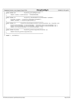//================================================================ **static inline** u64 HvLpConfig\_getLoadPages(void)<br>269 {  $\{$ <br>270 **return** itLpNaca.xLoadAreaChunks \* HVPAGESPERCHUNK; } <sup>272</sup> //================================================================ **static inline** int HvLpConfig\_isBusOwnedByThisLp(HvBusNumber busNumber)  $\{$ <br>275 275 HvLpIndex busOwner = HvLpConfig\_getBusOwner(busNumber);<br>276 **return** (busOwner == HvLpConfig qetLpIndex()); **return** (busOwner == HvLpConfig\_getLpIndex()); } //================================================================ <sup>279</sup> **static inline** int HvLpConfig\_doLpsCommunicateOnVirtualLan(HvLpIndex lp1, HvLpIndex lp2)<br>280 {  $\left\{\n\begin{array}{c}\n280 \\
281\n\end{array}\n\right.$ %% HvLpVirtualLanIndexMap virtualLanIndexMap1 = HvCallCfg\_getVirtualLanIndexMap( lp1 );<br>282 HvLpVirtualLanIndexMap virtualLanIndexMap2 = HvCallCfg\_getVirtualLanIndexMap( lp2 );<br>283 } <sup>285</sup> //================================================================ <sup>286</sup> **static inline** HvLpIndex HvLpConfig\_getHostingLpIndex(HvLpIndex lp) 287  $\{$  **return** HvCallCfg\_getHostingLpIndex(lp); } //================================================================ **#endif** // \_HVLPCONFIG\_H Registered Version: Linux Support Power PC64 **HvLpConfig.h** Exhibit 8.1−50 pg 4/4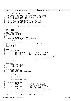```
\frac{1}{1}2 * iSeries_dma.h
<sup>2</sup> * Copyright (C) 2001 Mike Corrigan IBM Corporation
 4 * 
 5 * This program is free software; you can redistribute it and/or modify
6 * it under the terms of the GNU General Public License as published by
7 * the Free Software Foundation; either version 2 of the License, or
8 * (at your option) any later version.
* * This program is distributed in the hope that it will be useful,<br>" * but WITHOUT ANY WARRANTY; without even the implied warranty of<br>" * MERCHANTABILITY or FITNESS FOR A PARTICULAR PURPOSE. See the<br>" GNU General Public L
\frac{14}{15}* You should have received a copy of the GNU General Public License
16 * along with this program; if not, write to the Free Software
17 * Foundation, Inc., 59 Temple Place, Suite 330, Boston, MA 02111−1307 USA
18 * /19
20 #ifndef _ISERIES_DMA_H
21 #define _ISERIES_DMA_H
22
23 #include <asm/types.h><br>24 #ifndef LINUX_SPINLC
24 #ifndef __LINUX_SPINLOCK_H
25 #include <linux/spinlock.h>
26 #endif
27
28 // NUM_TCE_LEVELS defines the largest contiguous block
29 // of dma (tce) space we can get. NUM_TCE_LEVELS = 10 
30 // allows up to 2**9 pages (512 * 4096) = 2 MB
31 #define NUM_TCE_LEVELS 10
32
33 #define NO_TCE ((dma_addr_t)−1)
34
35 // Tces come in two formats, one for the virtual bus and a different<br>36 // format for PCT
     %% format for PCI<br>#define TCE VB 0
37 #define TCE_VB<br>38 #define TCE_PCI
    38 #define TCE_PCI 1
39
40
<sup>41</sup> union Tce {<br><sup>42</sup> u64 wholeTce;
43 struct \{<br>44 u6444 u64 cacheBits :6; /* Cache hash bits − not used */<br>45 u64 rsvd :6;<br>46 u64 rpn :40; /* Absolute page number */
45 u64 rsvd :6;
46 u64 rpn :40; /* Absolute page number *<br>47 u64 valid :1; /* Tce is valid (vb only)
47 u64 valid :1; /* Tce is valid (vb only) */<br>u64 all 10 :1; /* Tce is valid (vb only) */
48 u64 all to 1; 1; \neq Tce is valid for all lps (vb only) */<br>164 all to 164 all to 18; \neq Le is valid for all lps (vb only) */
49 u64 lpIndex : 3; /* Luc is variat in the volume of \frac{1}{2} user of \frac{1}{2} (vb only) */<br>50 u64 pciWrite : 1; /* Write allowed (pci only) */
50 u64 pciWrite :1; /* Write allowed (pci only) */
51 u64 readWrite :1; /* Read allowed (pci), Write allowed
52 (vb) \star/
53 } tceBits;
54 };
55
56 struct Bitmap {
                unsigned long numBits;<br>unsigned long numBytes;
58 unsigned long<br>59 unsigned char
                unsigned folg manus<br>unsigned char * map;
60 };
61
<sup>62</sup> struct MultiLevelBitmap {<br>63 		 unsigned long maxLevel;
63 unsigned long<br>64 Struct Bitmap
                                       level[NUM_TCE_LEVELS];
65 };
66
\begin{array}{cc}\n 67 & \text{struct} & \text{Teerable} \\
 68 & \text{u64} & \text{b}\n \end{array}u64 busNumber;<br>u64 size;
69 u64 size;<br>70 u64 startOffset;
70 u64 startOffset;
71 u64 index;
72 spinlock_t lock;
73 struct MultiLevelBitmap mlbm;<br>
74 };
   74 };
75
76 struct HvTceTableManagerCB {
77 u64 busNumber; /* Bus number for this tce table */
78 u64 start; /* Will be NULL for secondary */
79 u64 totalSize; /* Size (in pages) of whole table */
80 u64 startOffset; /* Index into real tce table of the
81 start of our section */
% u64 size; <br>% u64 index; /* Size (in pages) of our section */<br>% u64 maxTceTableIndex; /* Max number of tables for partition */<br>% u8 virtualBusFlag; /* Max number of tables for partition */<br>% u8 virtualBusFlag; /* Flag to 
86 u8 rsvd[5];
    87 };
88
89 extern struct TceTable virtBusTceTable; /* Tce table for virtual bus */
Registered Version: Linux Support Power PC64 iSeries_dma.h Exhibit 8.1−51 pg 1/2
```
90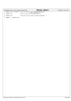|                     | Registered Version: Linux Support Power PC64                                 |                                                                                                                                    | iSeries_dma.h | Exhibit 8.1-51 pg 2/2 |
|---------------------|------------------------------------------------------------------------------|------------------------------------------------------------------------------------------------------------------------------------|---------------|-----------------------|
| 91<br>92            |                                                                              | extern struct TceTable * build_tce_table( struct HvTceTableManagerCB *,<br>$struct$ TceTable $\hspace{0.1mm}^*$ ) $\hspace{0.1mm}$ |               |                       |
| 93<br>$\mathsf{94}$ | extern void                                                                  | create_virtual_bus_tce_table( void );                                                                                              |               |                       |
| 95                  | extern void                                                                  | create_pci_bus_tce_table( unsigned busNumber );                                                                                    |               |                       |
| 96<br>97            | $\qquad \qquad \mbox{\tt\#endif} \ \mbox{\it\%}\ \ \_\text{\it\#SS\_DNA\_H}$ |                                                                                                                                    |               |                       |
|                     |                                                                              |                                                                                                                                    |               |                       |
|                     |                                                                              |                                                                                                                                    |               |                       |
|                     |                                                                              |                                                                                                                                    |               |                       |
|                     |                                                                              |                                                                                                                                    |               |                       |
|                     |                                                                              |                                                                                                                                    |               |                       |
|                     |                                                                              |                                                                                                                                    |               |                       |
|                     |                                                                              |                                                                                                                                    |               |                       |
|                     |                                                                              |                                                                                                                                    |               |                       |
|                     |                                                                              |                                                                                                                                    |               |                       |
|                     |                                                                              |                                                                                                                                    |               |                       |
|                     |                                                                              |                                                                                                                                    |               |                       |
|                     |                                                                              |                                                                                                                                    |               |                       |
|                     |                                                                              |                                                                                                                                    |               |                       |
|                     |                                                                              |                                                                                                                                    |               |                       |
|                     |                                                                              |                                                                                                                                    |               |                       |
|                     |                                                                              |                                                                                                                                    |               |                       |
|                     |                                                                              |                                                                                                                                    |               |                       |
|                     |                                                                              |                                                                                                                                    |               |                       |
|                     |                                                                              |                                                                                                                                    |               |                       |
|                     |                                                                              |                                                                                                                                    |               |                       |
|                     |                                                                              |                                                                                                                                    |               |                       |
|                     |                                                                              |                                                                                                                                    |               |                       |
|                     |                                                                              |                                                                                                                                    |               |                       |
|                     |                                                                              |                                                                                                                                    |               |                       |
|                     |                                                                              |                                                                                                                                    |               |                       |
|                     |                                                                              |                                                                                                                                    |               |                       |
|                     |                                                                              |                                                                                                                                    |               |                       |
|                     |                                                                              |                                                                                                                                    |               |                       |
|                     |                                                                              |                                                                                                                                    |               |                       |
|                     |                                                                              |                                                                                                                                    |               |                       |
|                     |                                                                              |                                                                                                                                    |               |                       |
|                     |                                                                              |                                                                                                                                    |               |                       |
|                     |                                                                              |                                                                                                                                    |               |                       |
|                     |                                                                              |                                                                                                                                    |               |                       |
|                     |                                                                              |                                                                                                                                    |               |                       |
|                     |                                                                              |                                                                                                                                    |               |                       |
|                     |                                                                              |                                                                                                                                    |               |                       |
|                     |                                                                              |                                                                                                                                    |               |                       |
|                     |                                                                              |                                                                                                                                    |               |                       |
|                     |                                                                              |                                                                                                                                    |               |                       |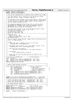# iSeries FlightRecorder.h

Exhibit 8.1-52 pg 1/1

#ifndef \_ISERIES\_FLIGHTRECORDER\_H #define  $\overline{\phantom{a}}$ **define** \_ISERIES\_FLIGHTRECORDER\_<br>\*\*\*\*\*\*\*\*\*\*\*\*\*\*\*\*\*\*\*\*\*\*\*\*\*\*\*\*\*\*\*  $\overline{\mathbf{3}}$ /\* File iSeries\_FlightRecorder.h created by Allan Trautman Jan 22 2001. \*/  $5\frac{1}{2}$ /\* This code supports the pci interface on the IBM iSeries systems. 6 /\* Copyright (C) 20yy <Allan H Trautman> <IBM Corp>  $\overline{7}$  $\mathbf{g}$ /\* This program is free software; you can redistribute it and/or modify<br>/\* it under the terms of the GNU General Public License as published by  $10$  $/$ \*  $11$ the Free Software Foundation; either version 2 of the License, or  $\frac{1}{x}$ (at your option) any later version.  $12$  $13$  $14$ /\* This program is distributed in the hope that it will be useful, /\* Ints program is discussional in the more that is not a warranty of<br>/\* but WITHOUT ANY WARRANTY; without even the implied warranty of<br>/\* MERCHANTABILITY or FITNESS FOR A PARTICULAR PURPOSE. See the  $\overline{AB}$  $16$ /\* GNU General Public License for more details.  $17$ 18  $\sqrt{*}$  You should have received a copy of the GNU General Public License  $19$ /\* along with this program; if not, write to the: 20 Free Software Foundation, Inc.,  $21$ /\* 59 Temple Place, Suite 330,<br>/\* Boston, MA 02111-1307 USA<br>/\*\*\*\*\*\*\*\*\*\*\*\*\*\*\*\*\*\*\*\*\*\*\*\*\*\*\*\*\*\* 22  $^{23}$ \*\*\*\*\*\*\*\*\*\*\*\*\*\*\*\*\*\*\*\*\*\*\*\*\*\*\*\*\*\*\*\*\*  $\overline{24}$  $******$ /\* Change Activity:  $25$  $\frac{1}{3}$  Created, Jan 22, 2001<br> $\frac{1}{3}$ <br> $\frac{1}{4}$  Added Times  $26$ Added Time stamp methods. Apr 12, 2001  $27$  $\mu$  =  $\mu$  =  $\mu$  =  $\mu$  =  $\mu$  =  $\mu$  =  $\mu$  =  $\mu$  =  $\mu$  =  $\mu$  =  $\mu$  =  $\mu$  =  $\mu$  =  $\mu$  =  $\mu$  =  $\mu$  =  $\mu$  =  $\mu$  =  $\mu$  =  $\mu$  =  $\mu$  =  $\mu$  =  $\mu$  =  $\mu$  =  $\mu$  =  $\mu$  =  $\mu$  =  $\mu$  =  $\mu$  =  $\mu$  =  $\mu$  =  $\mu$ 28  $7*********$ 29 /\* This is a generic Flight Recorder, simply stuffs line entries into a  $\overline{t}$  $30<sup>2</sup>$ /\* buffer for debug purposes.  $31$  $\frac{1}{\sqrt{1}}$  $32^{\circ}$ 33  $/*$  To use. /\* 1. Create one, make it global so it isn't on the stack.  $34$  $\frac{1}{x}$  $35^{\circ}$ FlightRecorder PciFlightRecorder;  $36$ /\* 2. Optionally create a pointer to it, just make<br>/\* FlightRecorder\* PciFr = &PciFlightRecorder; just makes it easier to use.  $37$ 38 39  $\frac{1}{2}$  3. Initialize with you signature.  $40$  $iseries\_Fr\_Initialize(PcIFT, "Pci Flight Recovery);$  $41$  $7*$  $42$  $43$  $/*$  4. Log entries.  $/$ \*  $44$ PciFr->logEntry(PciFr,"In Main");  $/$ \* 45  $\mu$  5. Later, you can find the Flight Recorder by looking in the 46  $\frac{1}{2}$  $\overline{47}$ 48 struct iSeries\_FlightRecorder; /\* Forward declares  $49$  $struct$  rtc time;  $50$ logEntry(struct iSeries\_FlightRecorder\*, char\* Text); void 51 LogTime( struct iSeries\_FlightRecorder\*, char\* Text);<br>logTime( struct iSeries\_FlightRecorder\*, char\* Text);<br>logDate( struct iSeries\_FlightRecorder\*, char\* Text); void 52  $53$  $void$ 54 #define FlightRecorderSize 4096  $55$ 56 /\* Generic Flight Recorder Structure 57 58  $\begin{minipage}{.4\linewidth} \begin{minipage}{.4\linewidth} \end{minipage} \begin{minipage}{.4\linewidth} \begin{minipage}{.4\linewidth} \end{minipage} \begin{minipage}{.4\linewidth} \end{minipage} \begin{minipage}{.4\linewidth} \end{minipage} \begin{minipage}{.4\linewidth} \end{minipage} \begin{minipage}{.4\linewidth} \end{minipage} \begin{minipage}{.4\linewidth} \end{minipage} \begin{minipage}{.4\linewidth} \end{minipage} \begin{minipage}{.4\linewidth} \end{minipage} \begin{minipage}{.4\linewidth} \end{minipage} \begin{minipage$ 59 char Signature[16];<br>char\* StartingPointer; /\* Eye Catcher<br>/\* Buffer Starting Address 60 61 \* Built Statens was seen<br>\* Next Entry Address<br>\* Number of Buffer Wraps char\* CurrentPointer; 62 int WrapCount;<br>
void (\*logEntry)(struct iSeries\_FlightRecorder\*,char\*);<br>
This is the condent about): 63 64 (\*logTime) (struct iSeries\_FlightRecorder\*,char\*);<br>(\*logTime) (struct iSeries\_FlightRecorder\*,char\*);<br>(\*logDate) (struct iSeries\_FlightRecorder\*,char\*); 65 void void 66 char Buffer[FlightRecorderSize]; 67  $\{\cdot\}$ 68 69 typedef struct iSeries\_FlightRecorder FlightRecorder; /\* Short Name  $\star/$  $70$  $\frac{1}{1}$   $\frac{1}{1}$   $\frac{1}{1}$   $\frac{1}{1}$   $\frac{1}{1}$   $\frac{1}{1}$   $\frac{1}{1}$   $\frac{1}{1}$   $\frac{1}{1}$   $\frac{1}{1}$   $\frac{1}{1}$   $\frac{1}{1}$   $\frac{1}{1}$   $\frac{1}{1}$   $\frac{1}{1}$   $\frac{1}{1}$   $\frac{1}{1}$   $\frac{1}{1}$   $\frac{1}{1}$   $\frac{1}{1}$   $\frac{1}{1}$   $\frac{1}{1}$   $71$  $72$ \* extern void iSeries\_LogFr\_Entry( FlightRecorder\*, char\* Text);<br>/\* extern void iSeries\_LogFr\_Date( FlightRecorder\*, char\* Text);<br>/\* extern void iSeries\_LogFr\_Time( FlightRecorder\*, char\* Text);<br>/\*\*\*\*\*\*\*\*\*\*\*\*\*\*\*\*\*\*\*\*\*\*\*\*\*\*  $\star$ 73 74 75 76 77 78 extern FlightRecorder\* PciFr; 70 PoiFrBuffer; /\* Ptr to Fr Work Buffer  $\star$  /  $80$  $extern$  chart #define ISERIES\_PCI\_FR(buffer) PoiFr->logEntry(PoiFr,buffer); 81 #define ISERIES\_PCI\_FR\_TIME(buffer) PciFr->logTime(PciFr,buffer); 82 #define ISERIES\_PCI\_FR\_DATE(buffer) PciFr->logDate(PciFr,buffer); 83 84 #endif /\* \_ISERIES\_FLIGHTRECORDER\_H \*/  $0<sub>E</sub>$ 

Registered Version: Linux Support Power PC64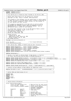iSeries pci.h Exhibit 8.1-53 pg 1/2 Registered Version: Linux Support Power PC64 #ifndef \_ISERIES\_64\_PCI\_H  $\overline{1}$  $\overline{\phantom{a}}$  $\overline{\mathbf{3}}$ /\* File iSeries\_pci.h created by Allan Trautman on Tue Feb 20, 2001.  $5\frac{1}{2}$ /\* Define some useful macros for the iSeries pci routines. 6 /\* Copyright (C) 20yy Allan H Trautman, IBM Corporation  $\overline{7}$  $\mathbf{g}$ /\* This program is free software; you can redistribute it and/or modify \*<br>/\* it under the terms of the GNU General Public License as published by \*  $10$  $/$ \*  $11$ the Free Software Foundation; either version 2 of the License, or /\* (at your option) any later version.  $12$  $\frac{1}{2}$  $13$  $14$ /\* This program is distributed in the hope that it will be useful, /\* Ints program is discussional in the more that is not a warranty of<br>/\* but WITHOUT ANY WARRANTY; without even the implied warranty of<br>/\* MERCHANTABILITY or FITNESS FOR A PARTICULAR PURPOSE. See the  $\overline{AB}$ 16 /\* GNU General Public License for more details.  $17$ 18 /\* You should have received a copy of the GNU General Public License  $19$ /\* along with this program; if not, write to the: 20 Free Software Foundation, Inc.,  $21$ 22  $23$ \*\*\*\*\*\*\*\*\*\*\*\*\*\*\*\*\*\*\*\*\*\*\*\*\*\*\*\*\*\*\*\*\*\*  $\overline{24}$  $x^*$  Change Activity:  $25$  $\begin{tabular}{ll} & & \textit{``i``i''} \\ \hline \textit{``i''} & \textit{Created Feb 20, 2001} \\ \textit{``i''} & \textit{Added 4} \\ \end{tabular}$ 26 Added device reset, March 22, 2001  $27$ Ported to ppc64, May 25, 2001 28 29  $30<sup>2</sup>$ #include <asm/iSeries/HvCallPci.h>  $31$  $32^{\circ}$ struct pci\_dev;<br>struct iSeries\_Device\_Node; /\* For Forward Reference  $\star$  / 33  $34$  $35$  $36$  $37$ #define ISERIES\_BUS(DevPtr) DevPtr->DsaAddr.busNumber 38 #define ISERIES\_SUBBUS(DevPtr) DevPtr->DsaAddr.subBusNumber 39 #define ISERIES\_DEVICE(DevPtr) DevPtr->DsaAddr.deviceId  $40$ #define ISERIES\_DEVFUN(DevPtr) DevPtr->DevFn  $41$ #define ISERIES\_DSA(DevPtr)  $(*(u64*)\&DevPtr->DsaAddr)$  $42$ 43 #define ISERIES\_DEVNODE(PciDev) ((struct iSeries\_Device\_Node\*)PciDev->sysdata)  $44$ #define EADsMaxAgents 7 45 46 /\* Decodes Linux DevFn to iSeries DevFn, bridge device, or function.  $\overline{47}$ 48  $\overline{40}$ #define ISERIES\_DECODE\_DEVFN(linuxdevfn) (((linuxdevfn & 0x71) << 1) (linuxdevfn & 0x07))<br>#define ISERIES\_DECODE\_DEVICE(linuxdevfn) (((linuxdevfn & 0x38) >> 3) (((linuxdevfn & 0x40) >> 2) + 0x10))<br>#define ISERIES\_DECODE\_FU  $50$ 51 52 #define ISERIES PCI AGENTID(idsel, func) ((idsel & 0x0F) << 4) | (func & 0x07)  $53$ 54  $($ subbus >> 5) & 0x7) 55 #define ISERIES GET DEVICE FROM SUBBUS(subbus) #define ISERIES\_GET\_FUNCTION\_FROM\_SUBBUS(subbus) ((subbus >> 2) & 0x7) 56 57 58 59 60 61 #define REALADDR(virtaddr) (0x8000000000000000 | (virt\_to\_absolute((u64)virtaddr))) 62 63  $64$ 65 66 #ifndef TRUE 67 #define TRUE 1 68  $\text{H}$ andif 69 #ifndef FALSE  $70$ #define FALSE 0  $71$ #endif  $72$ 73 74 75 76 struct iSeries\_Device\_Node { 77 struct\_list\_head\_Device\_List; /\* Must be first for cast to wo\*/<br>struct\_list\_head\_Device\_List; /\* Must be first for cast to wo\*/ 78  $70$ struct HvCallPci\_DsaAddr DsaAddr;/\* Direct Select Address  $\cdot$   $\cdot$  $80$ And Direct Select Address.<br>/\* busNumber,subBusNumber,  $\star$  / 81 82 AgentId; HvAgentId 83 /\* Linux devfn 84 int  $DevFn$ ; BarOffset;  $85$  $int$ /\* Assigned IRQ  $int$ Ira; 86 \* Return Code Holder ReturnCode; 87 int /\* Current Retry Count 88 int IoRetry; /\* Possible flags(disable/bist)\*/  $RQ$  $int$ Flags; /\* Vendor ID  $Q<sub>0</sub>$ 1116 Vendor;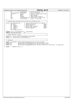|     | Registered Version: Linux Support Power PC64                  |                  | iSeries_pci.h                                                                      |           | Exhibit $8.1 - 53$ pg $2/2$ |
|-----|---------------------------------------------------------------|------------------|------------------------------------------------------------------------------------|-----------|-----------------------------|
| 91  | u8                                                            | LogicalSlot;     | /* Hy Slot Index for Tces                                                          | $\star$ / |                             |
| 92  | struct TceTable* DevTceTable;                                 |                  | /* Device TCE Table                                                                | $\star$ / |                             |
| 93  | spinlock t                                                    | IoLock;          | /* Lock to single thread device*/                                                  |           |                             |
| 94  | u8                                                            | PhbId;           | $/*$ Phb Card is on.                                                               | $\star$ / |                             |
| 95  | u16                                                           | Board;           | /* Board Number                                                                    | $\star$ / |                             |
| 96  | u8                                                            | FrameId;         | /* iSeries spcn Frame Id                                                           | $\star$ / |                             |
| 97  | char                                                          |                  | CardLocation[4];/* Char format of planar $vpd$                                     | $^*/$     |                             |
| 98  | char                                                          | Location[20];    | $/*$ Frame 1, Card C10                                                             | $\star$ / |                             |
| 99  |                                                               |                  |                                                                                    |           |                             |
| 100 |                                                               |                  |                                                                                    |           |                             |
| 101 | /* Location Data extracted from the VPD list and device info. |                  |                                                                                    | $\star$ / |                             |
| 102 |                                                               |                  |                                                                                    |           |                             |
| 103 | struct LocationDataStruct {                                   |                  | /* Location data structure for device                                              | $*$ /     |                             |
| 104 | $ul6$ Bus;                                                    |                  | /* iSeries Bus Number                                                              | $0x00*/$  |                             |
| 105 | u16 Board;                                                    | /* iSeries Board |                                                                                    | $0x02*/$  |                             |
| 106 | u8<br>FrameId;                                                |                  | /* iSeries spcn Frame Id                                                           | $0x04*/$  |                             |
| 107 | u8<br>PhbId;                                                  |                  | /* iSeries Phb Location                                                            | $0x05*/$  |                             |
| 108 | u8<br>AqentId;                                                |                  | /* iSeries AgentId                                                                 | $0x06*/$  |                             |
| 109 | u8<br>Card;                                                   |                  |                                                                                    |           |                             |
| 110 | char CardLocation[4];                                         |                  |                                                                                    |           |                             |
| 111 | $\cdot$                                                       |                  |                                                                                    |           |                             |
| 112 | typedef struct LocationDataStruct LocationData;               |                  |                                                                                    |           |                             |
| 113 | #define LOCATION_DATA_SIZE                                    | 48               |                                                                                    |           |                             |
| 114 |                                                               |                  |                                                                                    |           |                             |
| 115 | /* Flight Recorder tracing                                    |                  |                                                                                    | $\star$ / |                             |
| 116 |                                                               |                  |                                                                                    |           |                             |
| 117 | extern int iSeries Set PciTraceFlag(int TraceFlag);           |                  |                                                                                    |           |                             |
| 118 | extern int iSeries Get PciTraceFlag(void);                    |                  |                                                                                    |           |                             |
| 119 |                                                               |                  |                                                                                    |           |                             |
| 120 |                                                               |                  |                                                                                    |           |                             |
| 121 | /* Functions                                                  |                  |                                                                                    |           |                             |
| 122 |                                                               |                  |                                                                                    |           |                             |
| 123 |                                                               |                  | extern LocationData* iSeries GetLocationData(struct pci dev* PciDev);              |           |                             |
| 124 | extern int                                                    |                  | iSeries Device Information(struct pci dev*, char*, int);                           |           |                             |
| 125 | extern void                                                   |                  | iSeries_Get_Location_Code(struct_iSeries_Device_Node*);                            |           |                             |
| 126 | extern int                                                    |                  | iSeries_Device_ToggleReset(struct pci_dev* PciDev, int AssertTime, int DelayTime); |           |                             |
| 127 |                                                               |                  |                                                                                    |           |                             |
| 128 | #endif $/*$ _ISERIES_64_PCI_H */                              |                  |                                                                                    |           |                             |

./PPC64/linux/include/asm-ppc64/iSeries/iSeries\_pci.h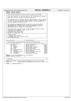## **iSeries VpdInfo.h**

#ifndef \_ISERIES\_VPDINFO\_H<br>#define \_ISERIES\_VPDINFO\_H<br>/\*\*\*\*\*\*\*\*\*\*\*\*\*\*\*\*\*\*\*\*\*\*\*\*\*\*  $\overline{1}$  $\overline{\phantom{a}}$  $\overline{\mathbf{3}}$ /\* File iSeries\_VpdInfo.h created by Allan Trautman Feb 08 2001. 5 /\* This code supports the location data fon on the IBM iSeries systems. \*/  $\epsilon$ /\* Copyright (C) 20yy <Allan H Trautman> <IBM Corp>  $\overline{7}$  $\mathbf{g}$ /\* This program is free software; you can redistribute it and/or modify<br>/\* it under the terms of the GNU General Public License as published by  $10$  $\frac{1}{2}$  $11$ /\* the Free Software Foundation; either version 2 of the License, or /\* (at your option) any later version.  $12$  $\frac{1}{2}$  $13$ /\* This program is distributed in the hope that it will be useful,<br>/\* but WITHOUT ANY WARRANTY; without even the implied warranty of<br>/\* MERCHANTABILITY or FITNESS FOR A PARTICULAR PURPOSE. See the  $14$  $15$  $16$ /\* GNU General Public License for more details.  $17$  $/$ \* 18 /\* You should have received a copy of the GNU General Public License  $19$ /\* along with this program; if not, write to the: 20 /\* Free Software Foundation, Inc.,  $21$ 22  $23$  $\overline{24}$  $y^*$  Change Activity:  $25$  $/$ \* /\* Created, Feg 8, 2001<br>/\* Reformated for Card, March 8, 2001 26  $27$ 28 29  $30<sup>2</sup>$  $31$  $32$ 33  $34$ struct LocationDataStruct { /\* Location data structure for device<br>u16 Bus; /\* iSeries Bus Number<br>0x  $\star'$  $35^{\circ}$  $\overline{O} \times \overline{O} \times$  $36$ \* ISEITES Bus Number<br>\* iSeries Board<br>\* iSeries spon Frame Id  $u16$  Board;  $0x02*/$  $37$  $u8$  FrameId;  $0x04*/$ 38 us Framela;<br>
us Framela;<br>
us PhbId;<br>
that Cardio (Atalian 116 Cardio 116 Cardio 116 Cardio 116 Cardio<br>
char CardLocation[4];<br>  $\frac{1}{2}$  is is eries Card Slot<br>
us AgentId;<br>  $\frac{1}{2}$  is is agentId<br>
us SecondaryAgentId;<br>  $\frac$  $0x05*/$ 39  $0x06*/$  $40$  $0x08*/$  $41$  $0 \times 0C^*$  $42$ 0x0D\*/<br>0x0E\*/ 43  $44$ 45  $0x0F^{\star}/$  $\lambda$ : 46  $\overline{47}$ typedef struct LocationDataStruct LocationData; #define LOCATION\_DATA\_SIZE 16 48  $49$  $50$ /\* Protypes 51 52 extern LocationData\* iSeries\_GetLocationData(struct pci\_dev\* PciDev);  $53$ 54 extern int iSeries\_Device\_Information(struct pci\_dev\*, char\*, int);  $55$ #endif /\* \_ISERIES\_VPDINFO\_H \*/ 56

Registered Version: Linux Support Power PC64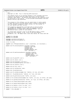```
\frac{1}{2} /*
2 * mf.h
3 * Copyright (C) 2001 Troy D. Armstrong IBM Corporation
 * * This modules exists as an interface between a Linux secondary partition<br>6 * running on an iSeries and the primary partition's Virtual Service<br>7 * Processor (VSP) object. The VSP has final authority over powering on/off
     * machine facility type operations.
10 *
11 * 
12 * This program is free software; you can redistribute it and/or modify
13 * it under the terms of the GNU General Public License as published by
<sup>14</sup> * the Free Software Foundation; either version 2 of the License, or<br>\frac{1}{2} * (at your ontion) any later version
     * (at your option) any later version.
16 \n1717 * This program is distributed in the hope that it will be useful,<br>18 * but WITHOUT ANY WARRANTY; without even the implied warranty of
18 * but WITHOUT ANY WARRANTY; without even the implied warranty of
19 * MERCHANTABILITY or FITNESS FOR A PARTICULAR PURPOSE. See the
20 * GNU General Public License for more details.
21 * 
22 * You should have received a copy of the GNU General Public License
23 * along with this program; if not, write to the Free Software
24 * Foundation, Inc., 59 Temple Place, Suite 330, Boston, MA 02111−1307 USA
2526
27 #ifndef MF_H_INCLUDED
28 #define MF_H_INCLUDED
29
30 #include <asm/iSeries/HvTypes.h>
31 #include <asm/iSeries/HvLpEvent.h>
32
33 struct rtc time;
34
35 typedef void (*MFCompleteHandler)( void * clientToken, int returnCode );
36
37 extern void mf_allocateLpEvents( HvLpIndex targetLp,
38 HvLpEvent_Type type,<br>38 HvLpEvent_Type type,<br>39 unsigned size,
<sup>39</sup> unsigned size,<br>
<sup>40</sup> unsigned amoun
                                             unsigned amount,
41 MFCompleteHandler hdlr,
42 void * userToken );
43
44 extern void mf_deallocateLpEvents( HvLpIndex targetLp,
                                               45 HvLpEvent_Type type,
46 unsigned count,<br>47 MFCompleteHandl
47 MFCompleteHandler hdlr,<br>
\frac{1}{48} MFCompleteHandler hdlr,
                                                void * userToken);
49
50 extern void mf_powerOff( void );
51
52 extern void mf_reboot( void );
53
54 extern void mf_displaySrc( u32 word );<br>55 extern void mf_displayProgress( u16 ya
    extern void mf_displayProgress( u16 value );
56
57 extern void mf_clearSrc( void );
58
59 extern void mf_init( void );
60
61 extern void mf_setSide(char side);
62
63 extern char mf_getSide(void);
64
65 extern void mf_setCmdLine(const char *cmdline, int size, u64 side);
66
67 extern int mf_getCmdLine(char *cmdline, int *size, u64 side);
68
69 extern void mf_getSrcHistory(char *buffer, int size);
70
71 extern int mf_setVmlinuxChunk(const char *buffer, int size, int offset, u64 side);
72
73 extern int mf_getVmlinuxChunk(char *buffer, int *size, int offset, u64 side);
74
75 extern int mf_setRtcTime(unsigned long time);
76
77 extern int mf_getRtcTime(unsigned long *time);
78
79 extern int mf_getRtc( struct rtc_time * tm );
80
81 extern int mf_setRtc( struct rtc_time * tm );
82
83 #endif /* MF_H_INCLUDED */
Registered Version: Linux Support Power PC64 mf.h Exhibit 8.1–55 pg 1/1
```